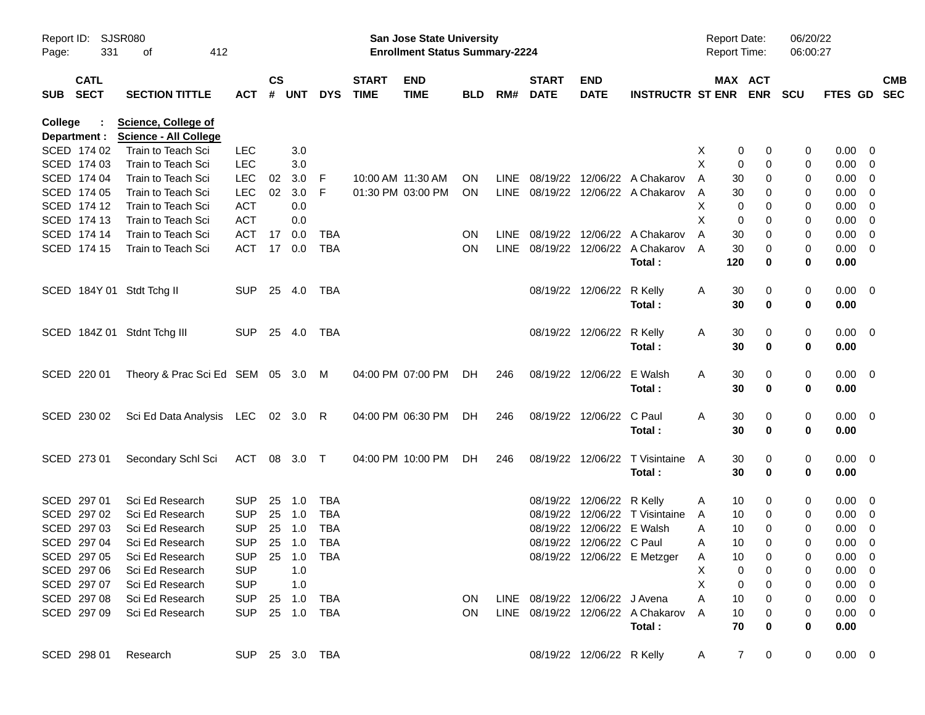| Report ID:<br>Page: | 331          | <b>SJSR080</b><br>412<br>οf                                |                |                    |            |            |                             | San Jose State University<br><b>Enrollment Status Summary-2224</b> |            |             |                             |                                |                                   | <b>Report Date:</b><br><b>Report Time:</b> |                     | 06/20/22<br>06:00:27 |                |            |
|---------------------|--------------|------------------------------------------------------------|----------------|--------------------|------------|------------|-----------------------------|--------------------------------------------------------------------|------------|-------------|-----------------------------|--------------------------------|-----------------------------------|--------------------------------------------|---------------------|----------------------|----------------|------------|
| SUB SECT            | <b>CATL</b>  | <b>SECTION TITTLE</b>                                      | ACT            | $\mathsf{cs}$<br># | <b>UNT</b> | <b>DYS</b> | <b>START</b><br><b>TIME</b> | <b>END</b><br><b>TIME</b>                                          | <b>BLD</b> | RM#         | <b>START</b><br><b>DATE</b> | <b>END</b><br><b>DATE</b>      | <b>INSTRUCTR ST ENR ENR</b>       |                                            | MAX ACT             | <b>SCU</b>           | FTES GD SEC    | <b>CMB</b> |
| College             | Department : | <b>Science, College of</b><br><b>Science - All College</b> |                |                    |            |            |                             |                                                                    |            |             |                             |                                |                                   |                                            |                     |                      |                |            |
|                     | SCED 174 02  | Train to Teach Sci                                         | <b>LEC</b>     |                    | 3.0        |            |                             |                                                                    |            |             |                             |                                |                                   | X<br>0                                     | 0                   | 0                    | $0.00 \t 0$    |            |
|                     | SCED 174 03  | Train to Teach Sci                                         | <b>LEC</b>     |                    | 3.0        |            |                             |                                                                    |            |             |                             |                                |                                   | X<br>0                                     | 0                   | 0                    | $0.00 \t 0$    |            |
|                     | SCED 174 04  | Train to Teach Sci                                         | <b>LEC</b>     | 02                 | 3.0        | -F         | 10:00 AM 11:30 AM           |                                                                    | <b>ON</b>  |             |                             |                                | LINE 08/19/22 12/06/22 A Chakarov | A<br>30                                    | 0                   | 0                    | $0.00 \t 0$    |            |
|                     | SCED 174 05  | Train to Teach Sci                                         | <b>LEC</b>     | 02 <sub>o</sub>    | 3.0        | F          |                             | 01:30 PM 03:00 PM                                                  | <b>ON</b>  |             |                             |                                | LINE 08/19/22 12/06/22 A Chakarov | 30<br>A                                    | 0                   | 0                    | $0.00 \t 0$    |            |
|                     | SCED 174 12  | Train to Teach Sci                                         | <b>ACT</b>     |                    | 0.0        |            |                             |                                                                    |            |             |                             |                                |                                   | X<br>0                                     | 0                   | 0                    | $0.00 \t 0$    |            |
|                     | SCED 174 13  | Train to Teach Sci                                         | <b>ACT</b>     |                    | 0.0        |            |                             |                                                                    |            |             |                             |                                |                                   | X<br>0                                     | 0                   | 0                    | $0.00 \t 0$    |            |
|                     | SCED 174 14  | Train to Teach Sci                                         | <b>ACT</b>     | 17                 | 0.0        | TBA        |                             |                                                                    | <b>ON</b>  | <b>LINE</b> |                             |                                | 08/19/22 12/06/22 A Chakarov      | 30<br>A                                    | 0                   | 0                    | $0.00 \t 0$    |            |
|                     | SCED 174 15  | Train to Teach Sci                                         | <b>ACT</b>     | 17                 | 0.0        | <b>TBA</b> |                             |                                                                    | <b>ON</b>  |             |                             |                                | LINE 08/19/22 12/06/22 A Chakarov | 30<br>A                                    | 0                   | 0                    | $0.00 \t 0$    |            |
|                     |              |                                                            |                |                    |            |            |                             |                                                                    |            |             |                             |                                | Total:                            | 120                                        | 0                   | 0                    | 0.00           |            |
|                     |              | SCED 184Y 01 Stdt Tchg II                                  | <b>SUP</b>     |                    | 25 4.0     | TBA        |                             |                                                                    |            |             |                             | 08/19/22 12/06/22 R Kelly      |                                   | A<br>30                                    | 0                   | 0                    | $0.00 \quad 0$ |            |
|                     |              |                                                            |                |                    |            |            |                             |                                                                    |            |             |                             |                                | Total:                            | 30                                         | 0                   | 0                    | 0.00           |            |
|                     |              | SCED 184Z 01 Stdnt Tchg III                                | <b>SUP</b>     |                    | 25 4.0     | TBA        |                             |                                                                    |            |             |                             | 08/19/22 12/06/22 R Kelly      |                                   | A<br>30                                    | 0                   | 0                    | $0.00 \quad 0$ |            |
|                     |              |                                                            |                |                    |            |            |                             |                                                                    |            |             |                             |                                | Total:                            | 30                                         | $\bf{0}$            | 0                    | 0.00           |            |
|                     | SCED 220 01  | Theory & Prac Sci Ed SEM 05 3.0 M                          |                |                    |            |            |                             | 04:00 PM 07:00 PM                                                  | DH.        | 246         |                             | 08/19/22 12/06/22 E Walsh      |                                   | A<br>30                                    | 0                   | 0                    | $0.00 \quad 0$ |            |
|                     |              |                                                            |                |                    |            |            |                             |                                                                    |            |             |                             |                                | Total:                            | 30                                         | $\bf{0}$            | 0                    | 0.00           |            |
|                     | SCED 230 02  | Sci Ed Data Analysis LEC 02 3.0 R                          |                |                    |            |            |                             | 04:00 PM 06:30 PM                                                  | DH.        | 246         |                             | 08/19/22 12/06/22 C Paul       |                                   | A<br>30                                    | 0                   | 0                    | $0.00 \quad 0$ |            |
|                     |              |                                                            |                |                    |            |            |                             |                                                                    |            |             |                             |                                | Total:                            | 30                                         | $\mathbf 0$         | 0                    | 0.00           |            |
|                     | SCED 273 01  | Secondary Schl Sci                                         | ACT 08 3.0 T   |                    |            |            |                             | 04:00 PM 10:00 PM                                                  | DH.        | 246         |                             |                                | 08/19/22 12/06/22 T Visintaine    | 30<br>A                                    | 0                   | 0                    | $0.00 \quad 0$ |            |
|                     |              |                                                            |                |                    |            |            |                             |                                                                    |            |             |                             |                                | Total:                            | 30                                         | 0                   | 0                    | 0.00           |            |
|                     | SCED 297 01  | Sci Ed Research                                            | <b>SUP</b>     | 25                 | 1.0        | TBA        |                             |                                                                    |            |             |                             | 08/19/22 12/06/22 R Kelly      |                                   | 10<br>A                                    | 0                   | 0                    | $0.00 \t 0$    |            |
|                     | SCED 297 02  | Sci Ed Research                                            | <b>SUP</b>     | 25                 | 1.0        | <b>TBA</b> |                             |                                                                    |            |             |                             |                                | 08/19/22 12/06/22 T Visintaine    | 10<br>A                                    | 0                   | 0                    | $0.00 \t 0$    |            |
|                     | SCED 297 03  | Sci Ed Research                                            | <b>SUP</b>     | 25                 | 1.0        | <b>TBA</b> |                             |                                                                    |            |             |                             | 08/19/22 12/06/22 E Walsh      |                                   | Α<br>10                                    | 0                   | 0                    | $0.00 \t 0$    |            |
|                     | SCED 297 04  | Sci Ed Research                                            | <b>SUP</b>     |                    | 25 1.0     | <b>TBA</b> |                             |                                                                    |            |             |                             | 08/19/22 12/06/22 C Paul       |                                   | 10<br>A                                    | $\Omega$            | 0                    | $0.00 \t 0$    |            |
|                     | SCED 297 05  | Sci Ed Research                                            | SUP 25 1.0     |                    |            | <b>TBA</b> |                             |                                                                    |            |             |                             |                                | 08/19/22 12/06/22 E Metzger       | $10$<br>Α                                  | 0                   |                      | $0.00 \t 0$    |            |
|                     | SCED 297 06  | Sci Ed Research                                            | <b>SUP</b>     |                    | 1.0        |            |                             |                                                                    |            |             |                             |                                |                                   | X<br>0                                     | 0                   | 0                    | $0.00 \t 0$    |            |
|                     | SCED 297 07  | Sci Ed Research                                            | <b>SUP</b>     |                    | 1.0        |            |                             |                                                                    |            |             |                             |                                |                                   | X<br>0                                     | 0                   | 0                    | $0.00 \t 0$    |            |
|                     | SCED 297 08  | Sci Ed Research                                            | SUP            |                    | 25 1.0     | TBA        |                             |                                                                    | <b>ON</b>  |             |                             | LINE 08/19/22 12/06/22 J Avena |                                   | Α<br>10                                    | 0                   | 0                    | $0.00 \t 0$    |            |
|                     | SCED 297 09  | Sci Ed Research                                            | SUP 25 1.0     |                    |            | TBA        |                             |                                                                    | <b>ON</b>  |             |                             |                                | LINE 08/19/22 12/06/22 A Chakarov | 10<br>A                                    | 0                   | 0                    | $0.00 \t 0$    |            |
|                     |              |                                                            |                |                    |            |            |                             |                                                                    |            |             |                             |                                | Total:                            | 70                                         | 0                   | 0                    | 0.00           |            |
|                     | SCED 298 01  | Research                                                   | SUP 25 3.0 TBA |                    |            |            |                             |                                                                    |            |             |                             | 08/19/22 12/06/22 R Kelly      |                                   | A                                          | $\overline{7}$<br>0 | 0                    | $0.00 \t 0$    |            |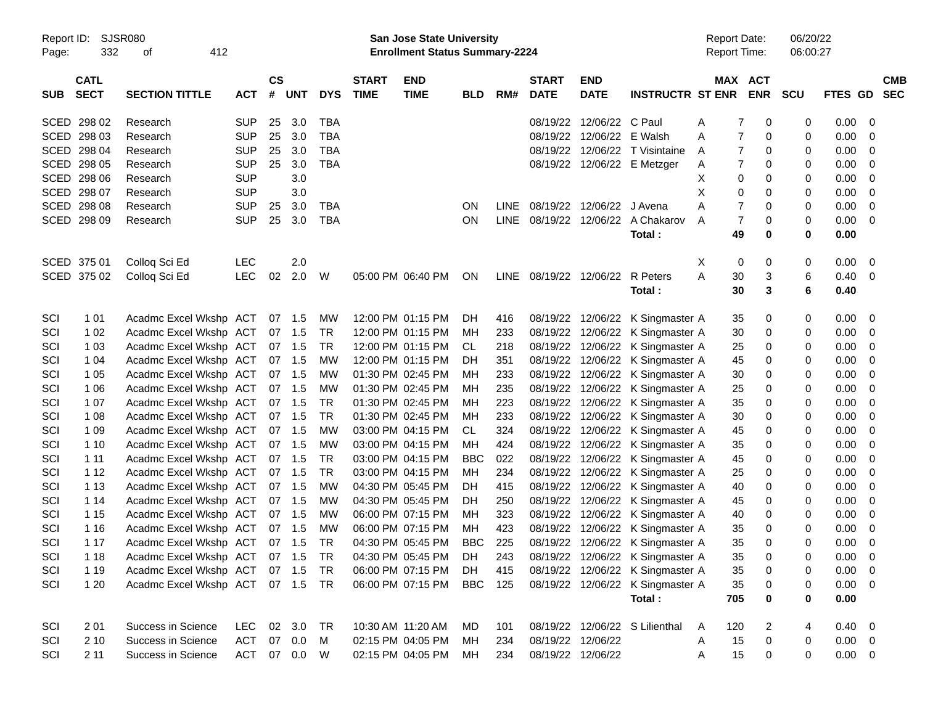| Report ID:<br>Page: | 332         | SJSR080<br>412<br>of          |              |           |            |            |              | San Jose State University<br><b>Enrollment Status Summary-2224</b> |            |             |                        |                   |                                  | <b>Report Date:</b><br>Report Time: |                     | 06/20/22<br>06:00:27 |                |                |
|---------------------|-------------|-------------------------------|--------------|-----------|------------|------------|--------------|--------------------------------------------------------------------|------------|-------------|------------------------|-------------------|----------------------------------|-------------------------------------|---------------------|----------------------|----------------|----------------|
|                     | <b>CATL</b> |                               |              | <b>CS</b> |            |            | <b>START</b> | <b>END</b>                                                         |            |             | <b>START</b>           | <b>END</b>        |                                  |                                     | MAX ACT             |                      |                | <b>CMB</b>     |
| <b>SUB</b>          | <b>SECT</b> | <b>SECTION TITTLE</b>         | <b>ACT</b>   | #         | <b>UNT</b> | <b>DYS</b> | <b>TIME</b>  | <b>TIME</b>                                                        | <b>BLD</b> | RM#         | <b>DATE</b>            | <b>DATE</b>       | <b>INSTRUCTR ST ENR</b>          |                                     | <b>ENR</b>          | <b>SCU</b>           | <b>FTES GD</b> | <b>SEC</b>     |
|                     | SCED 298 02 | Research                      | <b>SUP</b>   | 25        | 3.0        | TBA        |              |                                                                    |            |             | 08/19/22               | 12/06/22 C Paul   |                                  | A                                   | 0<br>7              | 0                    | 0.00           | $\mathbf 0$    |
|                     | SCED 298 03 | Research                      | <b>SUP</b>   | 25        | 3.0        | <b>TBA</b> |              |                                                                    |            |             | 08/19/22               | 12/06/22          | E Walsh                          | A                                   | $\overline{7}$<br>0 | 0                    | 0.00           | 0              |
|                     | SCED 298 04 | Research                      | <b>SUP</b>   | 25        | 3.0        | <b>TBA</b> |              |                                                                    |            |             | 08/19/22               | 12/06/22          | T Visintaine                     | A                                   | $\overline{7}$<br>0 | 0                    | 0.00           | 0              |
|                     | SCED 298 05 | Research                      | <b>SUP</b>   | 25        | 3.0        | <b>TBA</b> |              |                                                                    |            |             |                        |                   | 08/19/22 12/06/22 E Metzger      | A                                   | $\overline{7}$<br>0 | 0                    | 0.00           | 0              |
|                     | SCED 298 06 | Research                      | <b>SUP</b>   |           | 3.0        |            |              |                                                                    |            |             |                        |                   |                                  | X                                   | 0<br>0              | 0                    | 0.00           | 0              |
|                     | SCED 298 07 | Research                      | <b>SUP</b>   |           | 3.0        |            |              |                                                                    |            |             |                        |                   |                                  | Х                                   | 0<br>0              | 0                    | 0.00           | 0              |
|                     | SCED 298 08 | Research                      | <b>SUP</b>   | 25        | 3.0        | TBA        |              |                                                                    | ON         | LINE        |                        | 08/19/22 12/06/22 | J Avena                          | Α                                   | $\overline{7}$<br>0 | 0                    | 0.00           | 0              |
|                     | SCED 298 09 | Research                      | <b>SUP</b>   | 25        | 3.0        | <b>TBA</b> |              |                                                                    | ON         | <b>LINE</b> |                        | 08/19/22 12/06/22 | A Chakarov                       | A                                   | $\overline{7}$<br>0 | 0                    | 0.00           | 0              |
|                     |             |                               |              |           |            |            |              |                                                                    |            |             |                        |                   | Total:                           | 49                                  | 0                   | 0                    | 0.00           |                |
|                     | SCED 375 01 | Colloq Sci Ed                 | <b>LEC</b>   |           | 2.0        |            |              |                                                                    |            |             |                        |                   |                                  | Χ                                   | 0<br>0              | 0                    | 0.00           | 0              |
|                     | SCED 375 02 | Colloq Sci Ed                 | <b>LEC</b>   | 02        | 2.0        | W          |              | 05:00 PM 06:40 PM                                                  | ON         |             | LINE 08/19/22 12/06/22 |                   | R Peters                         | A<br>30                             | 3                   | 6                    | 0.40           | 0              |
|                     |             |                               |              |           |            |            |              |                                                                    |            |             |                        |                   | Total:                           | 30                                  | 3                   | 6                    | 0.40           |                |
| SCI                 | 1 0 1       | Acadmc Excel Wkshp ACT        |              |           | 07 1.5     | MW         |              | 12:00 PM 01:15 PM                                                  | DH         | 416         |                        | 08/19/22 12/06/22 | K Singmaster A                   | 35                                  | 0                   | 0                    | 0.00           | 0              |
| SCI                 | 1 0 2       | Acadmc Excel Wkshp ACT        |              |           | 07 1.5     | <b>TR</b>  |              | 12:00 PM 01:15 PM                                                  | МH         | 233         | 08/19/22               | 12/06/22          | K Singmaster A                   | 30                                  | 0                   | 0                    | 0.00           | 0              |
| SCI                 | 1 0 3       | Acadmc Excel Wkshp ACT        |              |           | 07 1.5     | TR         |              | 12:00 PM 01:15 PM                                                  | CL         | 218         | 08/19/22               | 12/06/22          | K Singmaster A                   | 25                                  | 0                   | 0                    | 0.00           | 0              |
| SCI                 | 1 0 4       | Acadmc Excel Wkshp ACT        |              |           | 07 1.5     | <b>MW</b>  |              | 12:00 PM 01:15 PM                                                  | DH         | 351         | 08/19/22               | 12/06/22          | K Singmaster A                   | 45                                  | 0                   | 0                    | 0.00           | 0              |
| SCI                 | 1 0 5       | Acadmc Excel Wkshp ACT        |              |           | 07 1.5     | <b>MW</b>  |              | 01:30 PM 02:45 PM                                                  | МH         | 233         | 08/19/22               | 12/06/22          | K Singmaster A                   | 30                                  | 0                   | 0                    | 0.00           | 0              |
| SCI                 | 1 0 6       | Acadmc Excel Wkshp ACT        |              |           | 07 1.5     | <b>MW</b>  |              | 01:30 PM 02:45 PM                                                  | МH         | 235         | 08/19/22               | 12/06/22          | K Singmaster A                   | 25                                  | 0                   | 0                    | 0.00           | 0              |
| SCI                 | 1 0 7       | Acadmc Excel Wkshp ACT        |              |           | 07 1.5     | <b>TR</b>  |              | 01:30 PM 02:45 PM                                                  | МH         | 223         | 08/19/22               | 12/06/22          | K Singmaster A                   | 35                                  | 0                   | 0                    | 0.00           | 0              |
| SCI                 | 1 0 8       | Acadmc Excel Wkshp ACT        |              |           | 07 1.5     | <b>TR</b>  |              | 01:30 PM 02:45 PM                                                  | МH         | 233         | 08/19/22               | 12/06/22          | K Singmaster A                   | 30                                  | 0                   | 0                    | 0.00           | 0              |
| SCI                 | 1 0 9       | Acadmc Excel Wkshp ACT        |              |           | 07 1.5     | <b>MW</b>  |              | 03:00 PM 04:15 PM                                                  | CL.        | 324         | 08/19/22               | 12/06/22          | K Singmaster A                   | 45                                  | 0                   | 0                    | 0.00           | 0              |
| SCI                 | 1 10        | Acadmc Excel Wkshp ACT        |              |           | 07 1.5     | <b>MW</b>  |              | 03:00 PM 04:15 PM                                                  | МH         | 424         | 08/19/22               | 12/06/22          | K Singmaster A                   | 35                                  | 0                   | 0                    | 0.00           | 0              |
| SCI                 | 1 1 1       | Acadmc Excel Wkshp ACT        |              |           | 07 1.5     | <b>TR</b>  |              | 03:00 PM 04:15 PM                                                  | <b>BBC</b> | 022         | 08/19/22               | 12/06/22          | K Singmaster A                   | 45                                  | 0                   | 0                    | 0.00           | 0              |
| SCI                 | 1 1 2       | Acadmc Excel Wkshp ACT        |              |           | 07 1.5     | <b>TR</b>  |              | 03:00 PM 04:15 PM                                                  | МH         | 234         | 08/19/22               | 12/06/22          | K Singmaster A                   | 25                                  | 0                   | 0                    | 0.00           | 0              |
| SCI                 | 1 1 3       | Acadmc Excel Wkshp ACT        |              |           | 07 1.5     | <b>MW</b>  |              | 04:30 PM 05:45 PM                                                  | DH         | 415         | 08/19/22               | 12/06/22          | K Singmaster A                   | 40                                  | 0                   | 0                    | 0.00           | 0              |
| SCI                 | 1 14        | Acadmc Excel Wkshp ACT        |              |           | 07 1.5     | <b>MW</b>  |              | 04:30 PM 05:45 PM                                                  | DH         | 250         | 08/19/22               | 12/06/22          | K Singmaster A                   | 45                                  | 0                   | 0                    | 0.00           | 0              |
| SCI                 | 1 15        | Acadmc Excel Wkshp ACT        |              |           | 07 1.5     | <b>MW</b>  |              | 06:00 PM 07:15 PM                                                  | МH         | 323         | 08/19/22               | 12/06/22          | K Singmaster A                   | 40                                  | 0                   | 0                    | 0.00           | 0              |
| SCI                 | 1 1 6       | Acadmc Excel Wkshp ACT        |              |           | 07 1.5     | <b>MW</b>  |              | 06:00 PM 07:15 PM                                                  | МH         | 423         | 08/19/22               | 12/06/22          | K Singmaster A                   | 35                                  | 0                   | 0                    | 0.00           | 0              |
| SCI                 | 1 1 7       | Acadmc Excel Wkshp ACT 07 1.5 |              |           |            | TR         |              | 04:30 PM 05:45 PM                                                  | <b>BBC</b> | 225         |                        |                   | 08/19/22 12/06/22 K Singmaster A | 35                                  | 0                   | $\Omega$             | 0.00           | 0              |
| SCI                 | 1 1 8       | Acadmc Excel Wkshp ACT 07 1.5 |              |           |            | <b>TR</b>  |              | 04:30 PM 05:45 PM                                                  | DH         | 243         |                        |                   | 08/19/22 12/06/22 K Singmaster A | 35                                  | 0                   | 0                    | 0.00           | - 0            |
| SCI                 | 1 1 9       | Acadmc Excel Wkshp ACT 07 1.5 |              |           |            | TR         |              | 06:00 PM 07:15 PM                                                  | DH         | 415         |                        |                   | 08/19/22 12/06/22 K Singmaster A | 35                                  | 0                   | 0                    | 0.00           | $\Omega$       |
| SCI                 | 1 2 0       | Acadmc Excel Wkshp ACT 07 1.5 |              |           |            | <b>TR</b>  |              | 06:00 PM 07:15 PM                                                  | <b>BBC</b> | 125         |                        |                   | 08/19/22 12/06/22 K Singmaster A | 35                                  | 0                   | 0                    | 0.00           | $\mathbf 0$    |
|                     |             |                               |              |           |            |            |              |                                                                    |            |             |                        |                   | Total:                           | 705                                 | 0                   | 0                    | 0.00           |                |
| SCI                 | 2 0 1       | Success in Science            | LEC.         |           | 02 3.0     | TR         |              | 10:30 AM 11:20 AM                                                  | MD         | 101         |                        |                   | 08/19/22 12/06/22 S Lilienthal   | 120<br>A                            | 2                   | 4                    | 0.40           | $\overline{0}$ |
| SCI                 | 2 10        | Success in Science            | ACT          |           | 07 0.0     | M          |              | 02:15 PM 04:05 PM                                                  | MH         | 234         |                        | 08/19/22 12/06/22 |                                  | 15<br>A                             | 0                   | 0                    | 0.00           | $\overline{0}$ |
| SCI                 | 211         | Success in Science            | ACT 07 0.0 W |           |            |            |              | 02:15 PM 04:05 PM                                                  | МH         | 234         |                        | 08/19/22 12/06/22 |                                  | 15<br>A                             | 0                   | 0                    | $0.00 \t 0$    |                |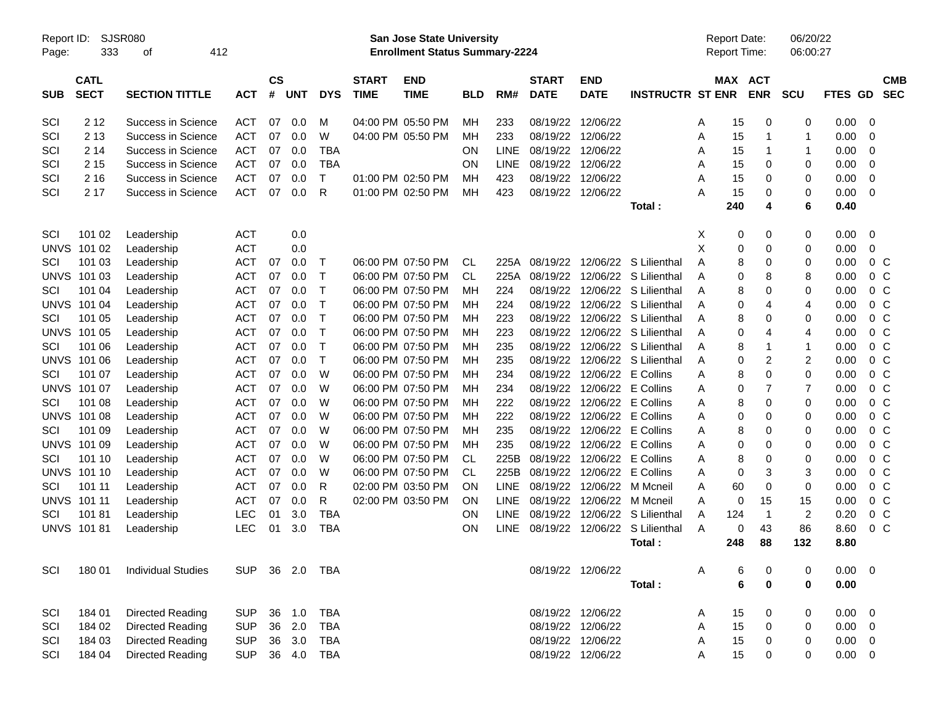| Report ID:<br>Page: | 333                        | <b>SJSR080</b><br>412<br>οf |            |                |            |              |                             | San Jose State University<br><b>Enrollment Status Summary-2224</b> |            |             |                             |                           |                         |   | <b>Report Date:</b><br>Report Time: |             | 06/20/22<br>06:00:27 |                |                          |
|---------------------|----------------------------|-----------------------------|------------|----------------|------------|--------------|-----------------------------|--------------------------------------------------------------------|------------|-------------|-----------------------------|---------------------------|-------------------------|---|-------------------------------------|-------------|----------------------|----------------|--------------------------|
| <b>SUB</b>          | <b>CATL</b><br><b>SECT</b> | <b>SECTION TITTLE</b>       | <b>ACT</b> | <b>CS</b><br># | <b>UNT</b> | <b>DYS</b>   | <b>START</b><br><b>TIME</b> | <b>END</b><br><b>TIME</b>                                          | <b>BLD</b> | RM#         | <b>START</b><br><b>DATE</b> | <b>END</b><br><b>DATE</b> | <b>INSTRUCTR ST ENR</b> |   | MAX ACT                             | <b>ENR</b>  | SCU                  | <b>FTES GD</b> | <b>CMB</b><br><b>SEC</b> |
| SCI                 | 2 1 2                      | Success in Science          | <b>ACT</b> | 07             | 0.0        | M            |                             | 04:00 PM 05:50 PM                                                  | МH         | 233         | 08/19/22                    | 12/06/22                  |                         | Α | 15                                  | 0           | 0                    | 0.00           | 0                        |
| SCI                 | 2 1 3                      | Success in Science          | <b>ACT</b> | 07             | 0.0        | W            |                             | 04:00 PM 05:50 PM                                                  | MH         | 233         | 08/19/22                    | 12/06/22                  |                         | Α | 15                                  | 1           | 1                    | 0.00           | 0                        |
| SCI                 | 2 14                       | Success in Science          | <b>ACT</b> | 07             | 0.0        | <b>TBA</b>   |                             |                                                                    | ON         | LINE        | 08/19/22                    | 12/06/22                  |                         | Α | 15                                  | 1           | 1                    | 0.00           | 0                        |
| SCI                 | 2 1 5                      | Success in Science          | <b>ACT</b> | 07             | 0.0        | <b>TBA</b>   |                             |                                                                    | ON         | LINE        | 08/19/22                    | 12/06/22                  |                         | Α | 15                                  | 0           | 0                    | 0.00           | 0                        |
| SCI                 | 2 1 6                      | Success in Science          | <b>ACT</b> | 07             | 0.0        | T            |                             | 01:00 PM 02:50 PM                                                  | MH         | 423         | 08/19/22                    | 12/06/22                  |                         | Α | 15                                  | 0           | 0                    | 0.00           | 0                        |
| SCI                 | 2 17                       | Success in Science          | <b>ACT</b> | 07             | 0.0        | R            |                             | 01:00 PM 02:50 PM                                                  | MH         | 423         | 08/19/22                    | 12/06/22                  |                         | A | 15                                  | 0           | 0                    | 0.00           | 0                        |
|                     |                            |                             |            |                |            |              |                             |                                                                    |            |             |                             |                           | Total:                  |   | 240                                 | 4           | 6                    | 0.40           |                          |
| SCI                 | 101 02                     | Leadership                  | <b>ACT</b> |                | 0.0        |              |                             |                                                                    |            |             |                             |                           |                         | Х | 0                                   | 0           | 0                    | 0.00           | 0                        |
| <b>UNVS</b>         | 101 02                     | Leadership                  | <b>ACT</b> |                | 0.0        |              |                             |                                                                    |            |             |                             |                           |                         | X | 0                                   | 0           | 0                    | 0.00           | 0                        |
| SCI                 | 101 03                     | Leadership                  | <b>ACT</b> | 07             | 0.0        | Т            |                             | 06:00 PM 07:50 PM                                                  | <b>CL</b>  | 225A        | 08/19/22                    |                           | 12/06/22 S Lilienthal   | A | 8                                   | 0           | 0                    | 0.00           | 0 <sup>C</sup>           |
| <b>UNVS</b>         | 101 03                     | Leadership                  | <b>ACT</b> | 07             | 0.0        | $\mathsf{T}$ |                             | 06:00 PM 07:50 PM                                                  | <b>CL</b>  | 225A        | 08/19/22                    |                           | 12/06/22 S Lilienthal   | A | 0                                   | 8           | 8                    | 0.00           | 0 <sup>C</sup>           |
| SCI                 | 101 04                     | Leadership                  | <b>ACT</b> | 07             | 0.0        | $\mathsf{T}$ |                             | 06:00 PM 07:50 PM                                                  | MH         | 224         | 08/19/22                    |                           | 12/06/22 S Lilienthal   | A | 8                                   | 0           | 0                    | 0.00           | 0 <sup>C</sup>           |
| <b>UNVS</b>         | 101 04                     | Leadership                  | <b>ACT</b> | 07             | 0.0        | $\mathsf{T}$ |                             | 06:00 PM 07:50 PM                                                  | MH         | 224         | 08/19/22                    |                           | 12/06/22 S Lilienthal   | A | 0                                   | 4           | 4                    | 0.00           | 0 <sup>C</sup>           |
| SCI                 | 101 05                     | Leadership                  | <b>ACT</b> | 07             | 0.0        | $\mathsf{T}$ |                             | 06:00 PM 07:50 PM                                                  | MH         | 223         | 08/19/22                    |                           | 12/06/22 S Lilienthal   | A | 8                                   | 0           | 0                    | 0.00           | 0 <sup>C</sup>           |
| <b>UNVS</b>         | 101 05                     | Leadership                  | <b>ACT</b> | 07             | 0.0        | $\mathsf T$  |                             | 06:00 PM 07:50 PM                                                  | MH         | 223         | 08/19/22                    |                           | 12/06/22 S Lilienthal   | A | 0                                   | 4           | 4                    | 0.00           | 0 <sup>C</sup>           |
| SCI                 | 101 06                     | Leadership                  | <b>ACT</b> | 07             | 0.0        | $\mathsf{T}$ |                             | 06:00 PM 07:50 PM                                                  | MH         | 235         | 08/19/22                    |                           | 12/06/22 S Lilienthal   | A | 8                                   | 1           | 1                    | 0.00           | 0 <sup>C</sup>           |
| <b>UNVS</b>         | 101 06                     | Leadership                  | <b>ACT</b> | 07             | 0.0        | $\mathsf{T}$ |                             | 06:00 PM 07:50 PM                                                  | MН         | 235         | 08/19/22                    |                           | 12/06/22 S Lilienthal   | A | 0                                   | 2           | 2                    | 0.00           | 0 <sup>C</sup>           |
| SCI                 | 101 07                     | Leadership                  | <b>ACT</b> | 07             | 0.0        | W            |                             | 06:00 PM 07:50 PM                                                  | MН         | 234         | 08/19/22                    | 12/06/22 E Collins        |                         | Α | 8                                   | 0           | 0                    | 0.00           | 0 <sup>C</sup>           |
| <b>UNVS</b>         | 101 07                     | Leadership                  | <b>ACT</b> | 07             | 0.0        | W            |                             | 06:00 PM 07:50 PM                                                  | MH         | 234         | 08/19/22                    | 12/06/22 E Collins        |                         | Α | 0                                   | 7           | $\overline{7}$       | 0.00           | 0 <sup>C</sup>           |
| SCI                 | 101 08                     | Leadership                  | <b>ACT</b> | 07             | 0.0        | W            |                             | 06:00 PM 07:50 PM                                                  | MH         | 222         | 08/19/22                    | 12/06/22 E Collins        |                         | Α | 8                                   | 0           | 0                    | 0.00           | 0 <sup>C</sup>           |
| <b>UNVS</b>         | 101 08                     | Leadership                  | <b>ACT</b> | 07             | 0.0        | W            |                             | 06:00 PM 07:50 PM                                                  | MН         | 222         | 08/19/22                    | 12/06/22 E Collins        |                         | Α | 0                                   | 0           | 0                    | 0.00           | 0 <sup>C</sup>           |
| SCI                 | 101 09                     | Leadership                  | <b>ACT</b> | 07             | 0.0        | W            |                             | 06:00 PM 07:50 PM                                                  | MH         | 235         | 08/19/22                    | 12/06/22 E Collins        |                         | Α | 8                                   | 0           | 0                    | 0.00           | 0 <sup>C</sup>           |
| <b>UNVS</b>         | 101 09                     | Leadership                  | <b>ACT</b> | 07             | 0.0        | W            |                             | 06:00 PM 07:50 PM                                                  | мн         | 235         | 08/19/22                    | 12/06/22 E Collins        |                         | Α | 0                                   | 0           | 0                    | 0.00           | 0 <sup>C</sup>           |
| SCI                 | 101 10                     | Leadership                  | <b>ACT</b> | 07             | 0.0        | W            |                             | 06:00 PM 07:50 PM                                                  | <b>CL</b>  | 225B        | 08/19/22                    | 12/06/22 E Collins        |                         | Α | 8                                   | 0           | 0                    | 0.00           | 0 <sup>C</sup>           |
| <b>UNVS</b>         | 101 10                     | Leadership                  | <b>ACT</b> | 07             | 0.0        | W            |                             | 06:00 PM 07:50 PM                                                  | <b>CL</b>  | 225B        | 08/19/22                    | 12/06/22 E Collins        |                         | Α | 0                                   | 3           | 3                    | 0.00           | 0 <sup>C</sup>           |
| SCI                 | 101 11                     | Leadership                  | <b>ACT</b> | 07             | 0.0        | R            |                             | 02:00 PM 03:50 PM                                                  | ON         | LINE        | 08/19/22                    | 12/06/22 M Mcneil         |                         | Α | 60                                  | 0           | 0                    | 0.00           | 0 <sup>C</sup>           |
| <b>UNVS</b>         | 101 11                     | Leadership                  | ACT        | 07             | 0.0        | R            |                             | 02:00 PM 03:50 PM                                                  | ON         | LINE        | 08/19/22                    | 12/06/22 M Mcneil         |                         | Α | 0                                   | 15          | 15                   | 0.00           | 0 <sup>C</sup>           |
| SCI                 | 10181                      | Leadership                  | <b>LEC</b> | 01             | 3.0        | <b>TBA</b>   |                             |                                                                    | ON         | LINE        | 08/19/22                    |                           | 12/06/22 S Lilienthal   | Α | 124                                 | $\mathbf 1$ | $\overline{c}$       | 0.20           | 0 <sup>C</sup>           |
|                     | <b>UNVS 101 81</b>         | Leadership                  | <b>LEC</b> | 01             | 3.0        | <b>TBA</b>   |                             |                                                                    | ON         | <b>LINE</b> | 08/19/22                    |                           | 12/06/22 S Lilienthal   | A | 0                                   | 43          | 86                   | 8.60           | 0 <sup>C</sup>           |
|                     |                            |                             |            |                |            |              |                             |                                                                    |            |             |                             |                           | Total :                 |   | 248                                 | 88          | 132                  | 8.80           |                          |
| SCI                 | 18001                      | <b>Individual Studies</b>   | <b>SUP</b> |                |            |              |                             |                                                                    |            |             | 08/19/22 12/06/22           |                           |                         | A | 6                                   | 0           | 0                    | 0.00           | 0                        |
|                     |                            |                             |            |                |            |              |                             |                                                                    |            |             |                             |                           | Total:                  |   | 6                                   | $\bf{0}$    | $\bf{0}$             | 0.00           |                          |
| SCI                 | 184 01                     | Directed Reading            | <b>SUP</b> |                | 36 1.0     | <b>TBA</b>   |                             |                                                                    |            |             | 08/19/22 12/06/22           |                           |                         | A | 15                                  | 0           | 0                    | 0.00           | 0                        |
| SCI                 | 184 02                     | <b>Directed Reading</b>     | <b>SUP</b> |                | 36 2.0     | <b>TBA</b>   |                             |                                                                    |            |             | 08/19/22 12/06/22           |                           |                         | Α | 15                                  | 0           | 0                    | 0.00           | 0                        |
| SCI                 | 184 03                     | <b>Directed Reading</b>     | <b>SUP</b> |                | 36 3.0     | <b>TBA</b>   |                             |                                                                    |            |             | 08/19/22 12/06/22           |                           |                         | Α | 15                                  | 0           | 0                    | 0.00           | 0                        |
| SCI                 | 184 04                     | <b>Directed Reading</b>     | <b>SUP</b> |                | 36 4.0     | TBA          |                             |                                                                    |            |             | 08/19/22 12/06/22           |                           |                         | Α | 15                                  | 0           | 0                    | 0.00           | 0                        |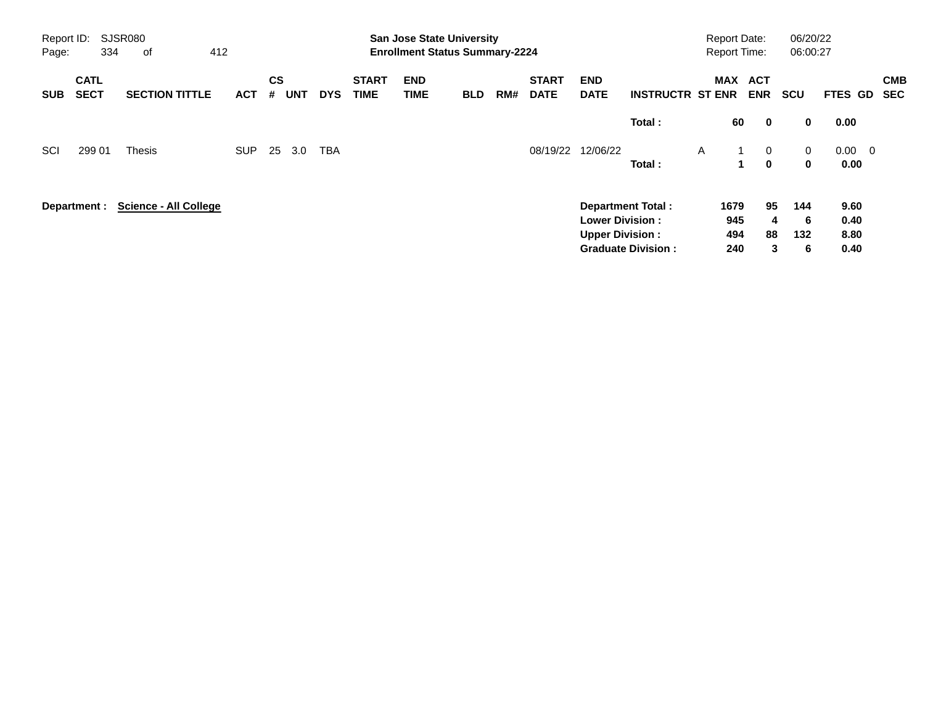| Report ID:<br>Page: | 334                        | <b>SJSR080</b><br>412<br>0f  |            |                    |            |            |                             |                           | <b>San Jose State University</b><br><b>Enrollment Status Summary-2224</b> |     |                             |                           |                           | <b>Report Date:</b><br><b>Report Time:</b> |                             |              | 06/20/22<br>06:00:27 |                          |
|---------------------|----------------------------|------------------------------|------------|--------------------|------------|------------|-----------------------------|---------------------------|---------------------------------------------------------------------------|-----|-----------------------------|---------------------------|---------------------------|--------------------------------------------|-----------------------------|--------------|----------------------|--------------------------|
| <b>SUB</b>          | <b>CATL</b><br><b>SECT</b> | <b>SECTION TITTLE</b>        | <b>ACT</b> | $\mathsf{cs}$<br># | <b>UNT</b> | <b>DYS</b> | <b>START</b><br><b>TIME</b> | <b>END</b><br><b>TIME</b> | <b>BLD</b>                                                                | RM# | <b>START</b><br><b>DATE</b> | <b>END</b><br><b>DATE</b> | <b>INSTRUCTR ST ENR</b>   | <b>MAX</b>                                 | <b>ACT</b><br><b>ENR</b>    | <b>SCU</b>   | FTES GD              | <b>CMB</b><br><b>SEC</b> |
|                     |                            |                              |            |                    |            |            |                             |                           |                                                                           |     |                             |                           | Total:                    |                                            | 60<br>$\mathbf 0$           | 0            | 0.00                 |                          |
| SCI                 | 299 01                     | <b>Thesis</b>                | <b>SUP</b> | 25                 | 3.0        | <b>TBA</b> |                             |                           |                                                                           |     | 08/19/22                    | 12/06/22                  |                           | A                                          | $\overline{0}$<br>1         | $\mathbf{0}$ | $0.00 \quad 0$       |                          |
|                     |                            |                              |            |                    |            |            |                             |                           |                                                                           |     |                             |                           | Total:                    |                                            | $\mathbf{0}$<br>$\mathbf 1$ | $\bf{0}$     | 0.00                 |                          |
|                     | Department :               | <b>Science - All College</b> |            |                    |            |            |                             |                           |                                                                           |     |                             |                           | <b>Department Total:</b>  | 1679                                       | 95                          | 144          | 9.60                 |                          |
|                     |                            |                              |            |                    |            |            |                             |                           |                                                                           |     |                             | <b>Lower Division:</b>    |                           | 945                                        |                             | 6<br>4       | 0.40                 |                          |
|                     |                            |                              |            |                    |            |            |                             |                           |                                                                           |     |                             | <b>Upper Division:</b>    |                           | 494                                        | 88                          | 132          | 8.80                 |                          |
|                     |                            |                              |            |                    |            |            |                             |                           |                                                                           |     |                             |                           | <b>Graduate Division:</b> | 240                                        |                             | 3<br>6       | 0.40                 |                          |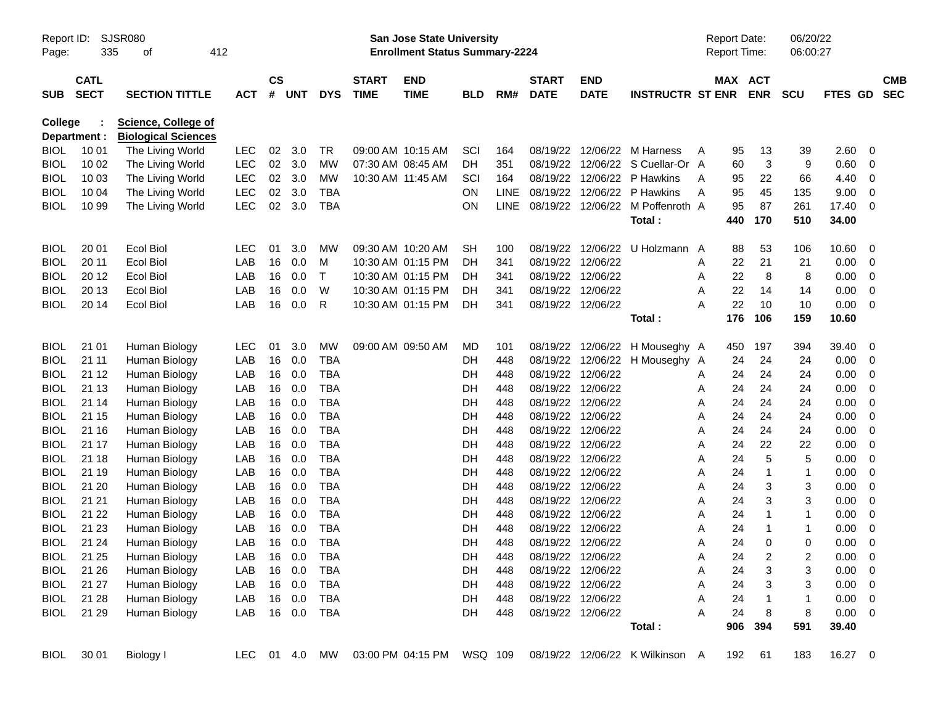| Report ID:<br>Page: | 335          | SJSR080<br>412<br>οf                                     |            |               |         |               |                   | San Jose State University<br><b>Enrollment Status Summary-2224</b> |            |             |              |                   |                                       | <b>Report Date:</b><br><b>Report Time:</b> |         |                         | 06/20/22<br>06:00:27    |                |                          |            |
|---------------------|--------------|----------------------------------------------------------|------------|---------------|---------|---------------|-------------------|--------------------------------------------------------------------|------------|-------------|--------------|-------------------|---------------------------------------|--------------------------------------------|---------|-------------------------|-------------------------|----------------|--------------------------|------------|
|                     | <b>CATL</b>  |                                                          |            | $\mathsf{cs}$ |         |               | <b>START</b>      | <b>END</b>                                                         |            |             | <b>START</b> | <b>END</b>        |                                       |                                            | MAX ACT |                         |                         |                |                          | <b>CMB</b> |
| <b>SUB</b>          | <b>SECT</b>  | <b>SECTION TITTLE</b>                                    | <b>ACT</b> |               | # UNT   | <b>DYS</b>    | <b>TIME</b>       | <b>TIME</b>                                                        | <b>BLD</b> | RM#         | <b>DATE</b>  | <b>DATE</b>       | <b>INSTRUCTR ST ENR</b>               |                                            |         | <b>ENR</b>              | <b>SCU</b>              | <b>FTES GD</b> |                          | <b>SEC</b> |
| <b>College</b>      | Department : | <b>Science, College of</b><br><b>Biological Sciences</b> |            |               |         |               |                   |                                                                    |            |             |              |                   |                                       |                                            |         |                         |                         |                |                          |            |
| <b>BIOL</b>         | 10 01        | The Living World                                         | LEC        | 02            | 3.0     | TR            |                   | 09:00 AM 10:15 AM                                                  | SCI        | 164         | 08/19/22     |                   | 12/06/22 M Harness                    | A                                          | 95      | 13                      | 39                      | 2.60           | 0                        |            |
| <b>BIOL</b>         | 10 02        | The Living World                                         | <b>LEC</b> | 02            | 3.0     | MW            | 07:30 AM 08:45 AM |                                                                    | DН         | 351         | 08/19/22     |                   | 12/06/22 S Cuellar-Or A               |                                            | 60      | 3                       | 9                       | 0.60           | 0                        |            |
| <b>BIOL</b>         | 10 03        | The Living World                                         | <b>LEC</b> | 02            | 3.0     | <b>MW</b>     | 10:30 AM 11:45 AM |                                                                    | SCI        | 164         | 08/19/22     |                   | 12/06/22 P Hawkins                    | A                                          | 95      | 22                      | 66                      | 4.40           | 0                        |            |
| <b>BIOL</b>         | 10 04        | The Living World                                         | <b>LEC</b> | 02            | 3.0     | <b>TBA</b>    |                   |                                                                    | ON.        | <b>LINE</b> | 08/19/22     |                   | 12/06/22 P Hawkins                    | A                                          | 95      | 45                      | 135                     | 9.00           | 0                        |            |
| <b>BIOL</b>         | 10 99        | The Living World                                         | <b>LEC</b> | 02            | 3.0     | <b>TBA</b>    |                   |                                                                    | <b>ON</b>  |             |              |                   | LINE 08/19/22 12/06/22 M Poffenroth A |                                            | 95      | 87                      | 261                     | 17.40          | 0                        |            |
|                     |              |                                                          |            |               |         |               |                   |                                                                    |            |             |              |                   | Total:                                |                                            | 440     | 170                     | 510                     | 34.00          |                          |            |
| <b>BIOL</b>         | 20 01        | <b>Ecol Biol</b>                                         | <b>LEC</b> | 01            | 3.0     | MW            |                   | 09:30 AM 10:20 AM                                                  | <b>SH</b>  | 100         | 08/19/22     |                   | 12/06/22 U Holzmann A                 |                                            | 88      | 53                      | 106                     | 10.60          | 0                        |            |
| <b>BIOL</b>         | 20 11        | <b>Ecol Biol</b>                                         | LAB        | 16            | 0.0     | M             |                   | 10:30 AM 01:15 PM                                                  | DH         | 341         | 08/19/22     | 12/06/22          |                                       | A                                          | 22      | 21                      | 21                      | 0.00           | 0                        |            |
| <b>BIOL</b>         | 20 12        | <b>Ecol Biol</b>                                         | LAB        | 16            | 0.0     | $\top$        |                   | 10:30 AM 01:15 PM                                                  | DН         | 341         | 08/19/22     | 12/06/22          |                                       | A                                          | 22      | 8                       | 8                       | 0.00           | 0                        |            |
| <b>BIOL</b>         | 20 13        | <b>Ecol Biol</b>                                         | LAB        | 16            | 0.0     | W             |                   | 10:30 AM 01:15 PM                                                  | DН         | 341         | 08/19/22     | 12/06/22          |                                       | Α                                          | 22      | 14                      | 14                      | 0.00           | 0                        |            |
| <b>BIOL</b>         | 20 14        | <b>Ecol Biol</b>                                         | LAB        | 16            | 0.0     | R             |                   | 10:30 AM 01:15 PM                                                  | DН         | 341         |              | 08/19/22 12/06/22 |                                       | Α                                          | 22      | 10                      | 10                      | 0.00           | 0                        |            |
|                     |              |                                                          |            |               |         |               |                   |                                                                    |            |             |              |                   | Total:                                |                                            | 176     | 106                     | 159                     | 10.60          |                          |            |
| <b>BIOL</b>         | 21 01        | Human Biology                                            | <b>LEC</b> | 01            | 3.0     | MW            |                   | 09:00 AM 09:50 AM                                                  | MD.        | 101         | 08/19/22     |                   | 12/06/22 H Mouseghy A                 |                                            | 450     | 197                     | 394                     | 39.40          | 0                        |            |
| <b>BIOL</b>         | 21 11        | Human Biology                                            | LAB        | 16            | 0.0     | <b>TBA</b>    |                   |                                                                    | DH         | 448         | 08/19/22     |                   | 12/06/22 H Mouseghy A                 |                                            | 24      | 24                      | 24                      | 0.00           | 0                        |            |
| <b>BIOL</b>         | 21 12        | Human Biology                                            | LAB        | 16            | 0.0     | <b>TBA</b>    |                   |                                                                    | DH         | 448         |              | 08/19/22 12/06/22 |                                       | A                                          | 24      | 24                      | 24                      | 0.00           | 0                        |            |
| <b>BIOL</b>         | 21 13        | Human Biology                                            | LAB        | 16            | 0.0     | <b>TBA</b>    |                   |                                                                    | DH         | 448         | 08/19/22     | 12/06/22          |                                       | A                                          | 24      | 24                      | 24                      | 0.00           | 0                        |            |
| <b>BIOL</b>         | 21 14        | Human Biology                                            | LAB        | 16            | 0.0     | <b>TBA</b>    |                   |                                                                    | DH         | 448         | 08/19/22     | 12/06/22          |                                       | A                                          | 24      | 24                      | 24                      | 0.00           | 0                        |            |
| <b>BIOL</b>         | 21 15        | Human Biology                                            | LAB        | 16            | 0.0     | <b>TBA</b>    |                   |                                                                    | DH         | 448         | 08/19/22     | 12/06/22          |                                       | A                                          | 24      | 24                      | 24                      | 0.00           | 0                        |            |
| <b>BIOL</b>         | 21 16        | Human Biology                                            | LAB        | 16            | 0.0     | <b>TBA</b>    |                   |                                                                    | DH         | 448         |              | 08/19/22 12/06/22 |                                       | A                                          | 24      | 24                      | 24                      | 0.00           | 0                        |            |
| <b>BIOL</b>         | 21 17        | Human Biology                                            | LAB        | 16            | 0.0     | <b>TBA</b>    |                   |                                                                    | DH         | 448         | 08/19/22     | 12/06/22          |                                       | A                                          | 24      | 22                      | 22                      | 0.00           | 0                        |            |
| <b>BIOL</b>         | 21 18        | Human Biology                                            | LAB        | 16            | 0.0     | <b>TBA</b>    |                   |                                                                    | DH         | 448         | 08/19/22     | 12/06/22          |                                       | A                                          | 24      | 5                       | 5                       | 0.00           | 0                        |            |
| <b>BIOL</b>         | 21 19        | Human Biology                                            | LAB        | 16            | 0.0     | <b>TBA</b>    |                   |                                                                    | DH         | 448         | 08/19/22     | 12/06/22          |                                       | A                                          | 24      | 1                       | 1                       | 0.00           | 0                        |            |
| <b>BIOL</b>         | 21 20        | Human Biology                                            | LAB        | 16            | 0.0     | <b>TBA</b>    |                   |                                                                    | DH         | 448         | 08/19/22     | 12/06/22          |                                       | A                                          | 24      | 3                       | 3                       | 0.00           | 0                        |            |
| <b>BIOL</b>         | 21 21        | Human Biology                                            | LAB        | 16            | 0.0     | <b>TBA</b>    |                   |                                                                    | DH         | 448         | 08/19/22     | 12/06/22          |                                       | A                                          | 24      | 3                       | 3                       | 0.00           | 0                        |            |
| <b>BIOL</b>         | 21 22        | Human Biology                                            | LAB        | 16            | 0.0     | <b>TBA</b>    |                   |                                                                    | DH         | 448         | 08/19/22     | 12/06/22          |                                       | A                                          | 24      | 1                       | 1                       | 0.00           | 0                        |            |
| <b>BIOL</b>         | 21 23        | Human Biology                                            | LAB        | 16            | 0.0     | <b>TBA</b>    |                   |                                                                    | DН         | 448         | 08/19/22     | 12/06/22          |                                       | Α                                          | 24      | 1                       | 1                       | 0.00           | 0                        |            |
| <b>BIOL</b>         | 21 24        | Human Biology                                            | LAB        | 16            | 0.0     | <b>TBA</b>    |                   |                                                                    | DН         | 448         |              | 08/19/22 12/06/22 |                                       | A                                          | 24      | 0                       | 0                       | 0.00           | $\mathbf 0$              |            |
| <b>BIOL</b>         | 21 25        | Human Biology                                            | LAB        |               | 16  0.0 | <b>TBA</b>    |                   |                                                                    | DH         | 448         |              | 08/19/22 12/06/22 |                                       | Α                                          | 24      | $\overline{\mathbf{c}}$ | $\overline{\mathbf{c}}$ | 0.00           | $\overline{0}$           |            |
| BIOL                | 21 26        | Human Biology                                            | LAB        |               | 16  0.0 | TBA           |                   |                                                                    | DH         | 448         |              | 08/19/22 12/06/22 |                                       | A                                          | 24      | 3                       | 3                       | 0.00           | $\overline{\mathbf{0}}$  |            |
| <b>BIOL</b>         | 21 27        | Human Biology                                            | LAB        |               | 16 0.0  | <b>TBA</b>    |                   |                                                                    | DH         | 448         |              | 08/19/22 12/06/22 |                                       | A                                          | 24      | 3                       | 3                       | 0.00           | $\overline{\mathbf{0}}$  |            |
| BIOL                | 21 28        | Human Biology                                            | LAB        |               | 16 0.0  | <b>TBA</b>    |                   |                                                                    | DH         | 448         |              | 08/19/22 12/06/22 |                                       | Α                                          | 24      | $\mathbf{1}$            | 1                       | 0.00           | $\overline{\phantom{0}}$ |            |
| <b>BIOL</b>         | 21 29        | Human Biology                                            | LAB        |               |         | 16  0.0  TBA  |                   |                                                                    | DH         | 448         |              | 08/19/22 12/06/22 |                                       | A                                          | 24      | 8                       | 8                       | $0.00 \ 0$     |                          |            |
|                     |              |                                                          |            |               |         |               |                   |                                                                    |            |             |              |                   | Total:                                |                                            | 906     | 394                     | 591                     | 39.40          |                          |            |
| BIOL                | 30 01        | Biology I                                                |            |               |         | LEC 01 4.0 MW |                   | 03:00 PM 04:15 PM WSQ 109                                          |            |             |              |                   | 08/19/22 12/06/22 K Wilkinson A       |                                            | 192     | 61                      | 183                     | 16.27 0        |                          |            |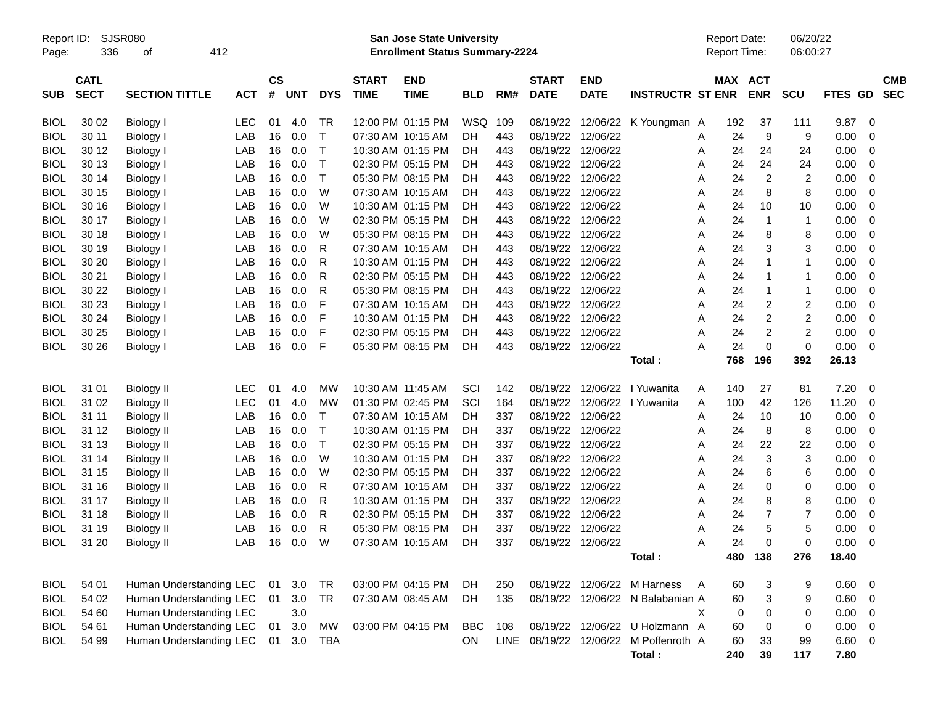| Report ID:<br>Page: | 336                        | SJSR080<br>412<br>0f    |            |                    |            |             |                             | <b>San Jose State University</b><br><b>Enrollment Status Summary-2224</b> |            |     |                             | <b>Report Date:</b><br>Report Time: |                                       | 06/20/22<br>06:00:27 |         |                         |                |             |                         |                          |
|---------------------|----------------------------|-------------------------|------------|--------------------|------------|-------------|-----------------------------|---------------------------------------------------------------------------|------------|-----|-----------------------------|-------------------------------------|---------------------------------------|----------------------|---------|-------------------------|----------------|-------------|-------------------------|--------------------------|
| <b>SUB</b>          | <b>CATL</b><br><b>SECT</b> | <b>SECTION TITTLE</b>   | <b>ACT</b> | $\mathsf{cs}$<br># | <b>UNT</b> | <b>DYS</b>  | <b>START</b><br><b>TIME</b> | <b>END</b><br><b>TIME</b>                                                 | <b>BLD</b> | RM# | <b>START</b><br><b>DATE</b> | <b>END</b><br><b>DATE</b>           | <b>INSTRUCTR ST ENR</b>               |                      | MAX ACT | <b>ENR</b>              | <b>SCU</b>     | FTES GD     |                         | <b>CMB</b><br><b>SEC</b> |
| <b>BIOL</b>         | 30 02                      | <b>Biology I</b>        | <b>LEC</b> | 01                 | 4.0        | TR          |                             | 12:00 PM 01:15 PM                                                         | <b>WSQ</b> | 109 | 08/19/22                    |                                     | 12/06/22 K Youngman A                 |                      | 192     | 37                      | 111            | 9.87        | - 0                     |                          |
| <b>BIOL</b>         | 30 11                      | Biology I               | LAB        | 16                 | 0.0        | $\mathsf T$ | 07:30 AM 10:15 AM           |                                                                           | DH         | 443 |                             | 08/19/22 12/06/22                   |                                       | Α                    | 24      | 9                       | 9              | 0.00        | 0                       |                          |
| <b>BIOL</b>         | 30 12                      | Biology I               | LAB        | 16                 | 0.0        | $\mathsf T$ |                             | 10:30 AM 01:15 PM                                                         | DН         | 443 |                             | 08/19/22 12/06/22                   |                                       | Α                    | 24      | 24                      | 24             | 0.00        | 0                       |                          |
| <b>BIOL</b>         | 30 13                      | Biology I               | LAB        | 16                 | 0.0        | $\mathsf T$ |                             | 02:30 PM 05:15 PM                                                         | DН         | 443 |                             | 08/19/22 12/06/22                   |                                       | A                    | 24      | 24                      | 24             | 0.00        | 0                       |                          |
| <b>BIOL</b>         | 30 14                      | Biology I               | LAB        | 16                 | 0.0        | $\mathsf T$ |                             | 05:30 PM 08:15 PM                                                         | DH         | 443 |                             | 08/19/22 12/06/22                   |                                       | Α                    | 24      | $\overline{c}$          | $\overline{2}$ | 0.00        | 0                       |                          |
| <b>BIOL</b>         | 30 15                      | Biology I               | LAB        | 16                 | 0.0        | W           |                             | 07:30 AM 10:15 AM                                                         | DН         | 443 |                             | 08/19/22 12/06/22                   |                                       | A                    | 24      | 8                       | 8              | 0.00        | 0                       |                          |
| <b>BIOL</b>         | 30 16                      | Biology I               | LAB        | 16                 | 0.0        | W           |                             | 10:30 AM 01:15 PM                                                         | DH         | 443 |                             | 08/19/22 12/06/22                   |                                       | A                    | 24      | 10                      | 10             | 0.00        | 0                       |                          |
| <b>BIOL</b>         | 30 17                      | <b>Biology I</b>        | LAB        | 16                 | 0.0        | W           |                             | 02:30 PM 05:15 PM                                                         | DH         | 443 |                             | 08/19/22 12/06/22                   |                                       | Α                    | 24      | -1                      | $\mathbf{1}$   | 0.00        | 0                       |                          |
| <b>BIOL</b>         | 30 18                      | Biology I               | LAB        | 16                 | 0.0        | W           |                             | 05:30 PM 08:15 PM                                                         | DH         | 443 |                             | 08/19/22 12/06/22                   |                                       | A                    | 24      | 8                       | 8              | 0.00        | 0                       |                          |
| <b>BIOL</b>         | 30 19                      | Biology I               | LAB        | 16                 | 0.0        | R           |                             | 07:30 AM 10:15 AM                                                         | DН         | 443 |                             | 08/19/22 12/06/22                   |                                       | A                    | 24      | 3                       | 3              | 0.00        | 0                       |                          |
| <b>BIOL</b>         | 30 20                      | <b>Biology I</b>        | LAB        | 16                 | 0.0        | R           |                             | 10:30 AM 01:15 PM                                                         | DH         | 443 |                             | 08/19/22 12/06/22                   |                                       | A                    | 24      | -1                      | $\mathbf{1}$   | 0.00        | 0                       |                          |
| <b>BIOL</b>         | 30 21                      | Biology I               | LAB        | 16                 | 0.0        | R           |                             | 02:30 PM 05:15 PM                                                         | DH         | 443 |                             | 08/19/22 12/06/22                   |                                       | A                    | 24      | -1                      | $\mathbf{1}$   | 0.00        | 0                       |                          |
| <b>BIOL</b>         | 30 22                      | Biology I               | LAB        | 16                 | 0.0        | R           |                             | 05:30 PM 08:15 PM                                                         | DН         | 443 |                             | 08/19/22 12/06/22                   |                                       | A                    | 24      | -1                      | $\mathbf{1}$   | 0.00        | 0                       |                          |
| <b>BIOL</b>         | 30 23                      | <b>Biology I</b>        | LAB        | 16                 | 0.0        | F           |                             | 07:30 AM 10:15 AM                                                         | DН         | 443 |                             | 08/19/22 12/06/22                   |                                       | A                    | 24      | 2                       | 2              | 0.00        | 0                       |                          |
| <b>BIOL</b>         | 30 24                      | Biology I               | LAB        | 16                 | 0.0        | F           |                             | 10:30 AM 01:15 PM                                                         | DH         | 443 |                             | 08/19/22 12/06/22                   |                                       | A                    | 24      | $\overline{\mathbf{c}}$ | $\overline{c}$ | 0.00        | 0                       |                          |
| <b>BIOL</b>         | 30 25                      | <b>Biology I</b>        | LAB        | 16                 | 0.0        | F           |                             | 02:30 PM 05:15 PM                                                         | DН         | 443 |                             | 08/19/22 12/06/22                   |                                       | A                    | 24      | $\overline{c}$          | $\overline{c}$ | 0.00        | 0                       |                          |
| BIOL                | 30 26                      | <b>Biology</b> I        | LAB        | 16                 | 0.0        | F           |                             | 05:30 PM 08:15 PM                                                         | DH         | 443 |                             | 08/19/22 12/06/22                   |                                       | А                    | 24      | 0                       | $\mathbf 0$    | 0.00        | - 0                     |                          |
|                     |                            |                         |            |                    |            |             |                             |                                                                           |            |     |                             |                                     | Total :                               |                      | 768     | 196                     | 392            | 26.13       |                         |                          |
| <b>BIOL</b>         | 31 01                      | <b>Biology II</b>       | <b>LEC</b> | 01                 | 4.0        | MW          |                             | 10:30 AM 11:45 AM                                                         | SCI        | 142 |                             |                                     | 08/19/22 12/06/22 l Yuwanita          | A                    | 140     | 27                      | 81             | 7.20        | $\overline{\mathbf{0}}$ |                          |
| <b>BIOL</b>         | 31 02                      | <b>Biology II</b>       | <b>LEC</b> | 01                 | 4.0        | MW          |                             | 01:30 PM 02:45 PM                                                         | SCI        | 164 | 08/19/22                    | 12/06/22                            | I Yuwanita                            | A                    | 100     | 42                      | 126            | 11.20       | 0                       |                          |
| <b>BIOL</b>         | 31 11                      | <b>Biology II</b>       | LAB        | 16                 | 0.0        | $\mathsf T$ |                             | 07:30 AM 10:15 AM                                                         | DH         | 337 |                             | 08/19/22 12/06/22                   |                                       | Α                    | 24      | 10                      | 10             | 0.00        | 0                       |                          |
| <b>BIOL</b>         | 31 12                      | <b>Biology II</b>       | LAB        | 16                 | 0.0        | $\mathsf T$ |                             | 10:30 AM 01:15 PM                                                         | DH         | 337 |                             | 08/19/22 12/06/22                   |                                       | A                    | 24      | 8                       | 8              | 0.00        | 0                       |                          |
| <b>BIOL</b>         | 31 13                      | <b>Biology II</b>       | LAB        | 16                 | 0.0        | $\mathsf T$ |                             | 02:30 PM 05:15 PM                                                         | DH         | 337 |                             | 08/19/22 12/06/22                   |                                       | Α                    | 24      | 22                      | 22             | 0.00        | 0                       |                          |
| <b>BIOL</b>         | 31 14                      | <b>Biology II</b>       | LAB        | 16                 | 0.0        | W           |                             | 10:30 AM 01:15 PM                                                         | DH         | 337 |                             | 08/19/22 12/06/22                   |                                       | Α                    | 24      | 3                       | 3              | 0.00        | 0                       |                          |
| <b>BIOL</b>         | 31 15                      | <b>Biology II</b>       | LAB        | 16                 | 0.0        | W           |                             | 02:30 PM 05:15 PM                                                         | DH         | 337 | 08/19/22 12/06/22           |                                     |                                       | A                    | 24      | 6                       | 6              | 0.00        | 0                       |                          |
| <b>BIOL</b>         | 31 16                      | <b>Biology II</b>       | LAB        | 16                 | 0.0        | R           |                             | 07:30 AM 10:15 AM                                                         | DН         | 337 |                             | 08/19/22 12/06/22                   |                                       | A                    | 24      | 0                       | 0              | 0.00        | 0                       |                          |
| <b>BIOL</b>         | 31 17                      | <b>Biology II</b>       | LAB        | 16                 | 0.0        | R           |                             | 10:30 AM 01:15 PM                                                         | DH         | 337 |                             | 08/19/22 12/06/22                   |                                       | A                    | 24      | 8                       | 8              | 0.00        | 0                       |                          |
| <b>BIOL</b>         | 31 18                      | <b>Biology II</b>       | LAB        | 16                 | 0.0        | R           |                             | 02:30 PM 05:15 PM                                                         | DН         | 337 |                             | 08/19/22 12/06/22                   |                                       | A                    | 24      | 7                       | 7              | 0.00        | 0                       |                          |
| <b>BIOL</b>         | 31 19                      | <b>Biology II</b>       | LAB        | 16                 | 0.0        | R           |                             | 05:30 PM 08:15 PM                                                         | DH         | 337 |                             | 08/19/22 12/06/22                   |                                       | A                    | 24      | 5                       | 5              | 0.00        | 0                       |                          |
| BIOL                | 31 20                      | <b>Biology II</b>       | LAB        | 16                 | 0.0        | W           |                             | 07:30 AM 10:15 AM                                                         | DH         | 337 | 08/19/22 12/06/22           |                                     |                                       | A                    | 24      | 0                       | 0              | 0.00        | $\overline{0}$          |                          |
|                     |                            |                         |            |                    |            |             |                             |                                                                           |            |     |                             |                                     | Total:                                |                      |         | 480 138                 | 276            | 18.40       |                         |                          |
| <b>BIOL</b>         | 54 01                      | Human Understanding LEC |            | 01                 | 3.0        | TR          |                             | 03:00 PM 04:15 PM                                                         | DH         | 250 |                             |                                     | 08/19/22 12/06/22 M Harness           | A                    | 60      | 3                       | 9              | $0.60 \t 0$ |                         |                          |
| <b>BIOL</b>         | 54 02                      | Human Understanding LEC |            | 01                 | 3.0        | <b>TR</b>   |                             | 07:30 AM 08:45 AM                                                         | DH         | 135 |                             |                                     | 08/19/22 12/06/22 N Balabanian A      |                      | 60      | 3                       | 9              | $0.60 \t 0$ |                         |                          |
| <b>BIOL</b>         | 54 60                      | Human Understanding LEC |            |                    | 3.0        |             |                             |                                                                           |            |     |                             |                                     |                                       | X                    | 0       | 0                       | 0              | $0.00 \t 0$ |                         |                          |
| <b>BIOL</b>         | 54 61                      | Human Understanding LEC |            | 01                 | $3.0\,$    | MW          |                             | 03:00 PM 04:15 PM                                                         | <b>BBC</b> | 108 |                             |                                     | 08/19/22 12/06/22 U Holzmann A        |                      | 60      | 0                       | 0              | $0.00 \t 0$ |                         |                          |
| <b>BIOL</b>         | 54 99                      | Human Understanding LEC |            | 01                 | 3.0        | <b>TBA</b>  |                             |                                                                           | ON         |     |                             |                                     | LINE 08/19/22 12/06/22 M Poffenroth A |                      | 60      | 33                      | 99             | 6.60 0      |                         |                          |
|                     |                            |                         |            |                    |            |             |                             |                                                                           |            |     |                             |                                     | Total:                                |                      | 240     | 39                      | 117            | 7.80        |                         |                          |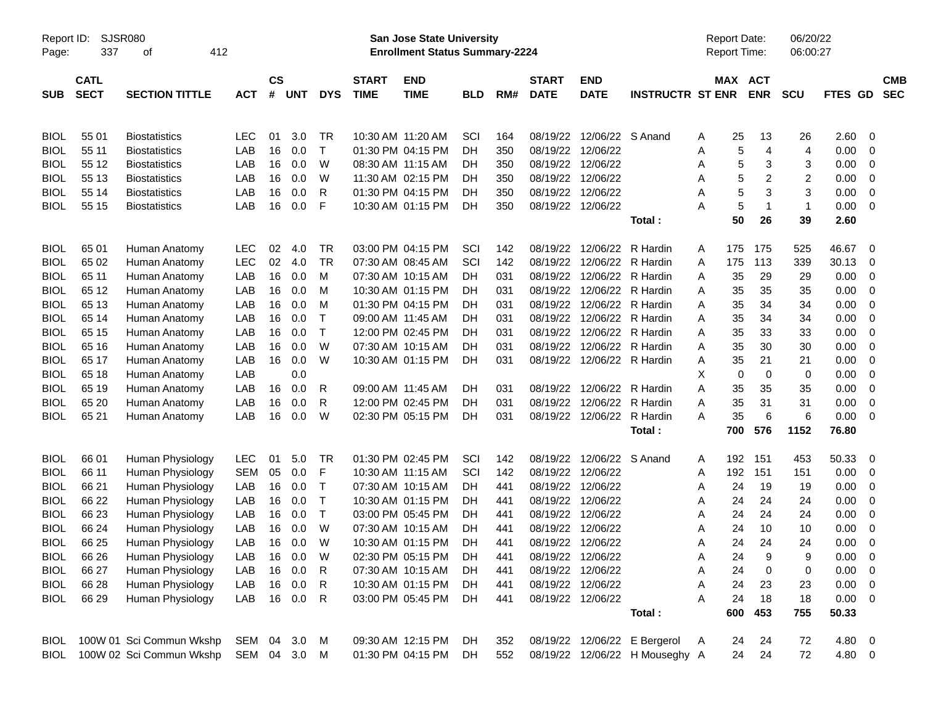| Report ID:<br>Page: | SJSR080<br>337             | 412<br>οf                |            |                |            |              |                             | San Jose State University<br><b>Enrollment Status Summary-2224</b> |            |     |                             |                            |                                | <b>Report Date:</b><br><b>Report Time:</b> |                       | 06/20/22<br>06:00:27 |             |                |                          |
|---------------------|----------------------------|--------------------------|------------|----------------|------------|--------------|-----------------------------|--------------------------------------------------------------------|------------|-----|-----------------------------|----------------------------|--------------------------------|--------------------------------------------|-----------------------|----------------------|-------------|----------------|--------------------------|
| <b>SUB</b>          | <b>CATL</b><br><b>SECT</b> | <b>SECTION TITTLE</b>    | <b>ACT</b> | <b>CS</b><br># | <b>UNT</b> | <b>DYS</b>   | <b>START</b><br><b>TIME</b> | <b>END</b><br><b>TIME</b>                                          | <b>BLD</b> | RM# | <b>START</b><br><b>DATE</b> | <b>END</b><br><b>DATE</b>  | <b>INSTRUCTR ST ENR</b>        |                                            | MAX ACT<br><b>ENR</b> | <b>SCU</b>           | FTES GD     |                | <b>CMB</b><br><b>SEC</b> |
|                     |                            |                          |            |                |            |              |                             |                                                                    |            |     |                             |                            |                                |                                            |                       |                      |             |                |                          |
| <b>BIOL</b>         | 55 01                      | <b>Biostatistics</b>     | <b>LEC</b> | 01             | 3.0        | <b>TR</b>    | 10:30 AM 11:20 AM           |                                                                    | SCI        | 164 | 08/19/22                    | 12/06/22 S Anand           |                                | 25<br>A                                    | 13                    | 26                   | 2.60        | - 0            |                          |
| <b>BIOL</b>         | 55 11                      | <b>Biostatistics</b>     | LAB        | 16             | 0.0        | $\mathsf{T}$ |                             | 01:30 PM 04:15 PM                                                  | DH         | 350 | 08/19/22                    | 12/06/22                   |                                | A                                          | $\overline{4}$<br>5   | 4                    | 0.00        | 0              |                          |
| <b>BIOL</b>         | 55 12                      | <b>Biostatistics</b>     | LAB        | 16             | 0.0        | W            | 08:30 AM 11:15 AM           |                                                                    | DH         | 350 | 08/19/22                    | 12/06/22                   |                                | A                                          | 5<br>3                | 3                    | 0.00        | 0              |                          |
| <b>BIOL</b>         | 55 13                      | <b>Biostatistics</b>     | LAB        | 16             | 0.0        | W            |                             | 11:30 AM 02:15 PM                                                  | DH         | 350 | 08/19/22                    | 12/06/22                   |                                | A                                          | 5<br>2                | $\overline{c}$       | 0.00        | 0              |                          |
| <b>BIOL</b>         | 55 14                      | <b>Biostatistics</b>     | LAB        | 16             | 0.0        | R            |                             | 01:30 PM 04:15 PM                                                  | DH         | 350 | 08/19/22                    | 12/06/22                   |                                | A                                          | 5<br>3                | 3                    | 0.00        | 0              |                          |
| <b>BIOL</b>         | 55 15                      | <b>Biostatistics</b>     | LAB        | 16             | 0.0        | F            |                             | 10:30 AM 01:15 PM                                                  | DH         | 350 |                             | 08/19/22 12/06/22          |                                | Α                                          | 5<br>$\mathbf 1$      | $\mathbf{1}$         | 0.00        | - 0            |                          |
|                     |                            |                          |            |                |            |              |                             |                                                                    |            |     |                             |                            | Total:                         | 50                                         | 26                    | 39                   | 2.60        |                |                          |
| <b>BIOL</b>         | 65 01                      | Human Anatomy            | <b>LEC</b> | 02             | 4.0        | <b>TR</b>    |                             | 03:00 PM 04:15 PM                                                  | SCI        | 142 | 08/19/22                    | 12/06/22                   | R Hardin                       | 175<br>A                                   | 175                   | 525                  | 46.67       | - 0            |                          |
| <b>BIOL</b>         | 65 02                      | Human Anatomy            | <b>LEC</b> | 02             | 4.0        | TR           |                             | 07:30 AM 08:45 AM                                                  | SCI        | 142 | 08/19/22                    | 12/06/22 R Hardin          |                                | 175<br>A                                   | 113                   | 339                  | 30.13       | 0              |                          |
| <b>BIOL</b>         | 65 11                      | Human Anatomy            | LAB        | 16             | 0.0        | M            |                             | 07:30 AM 10:15 AM                                                  | <b>DH</b>  | 031 | 08/19/22                    |                            | 12/06/22 R Hardin              | 35<br>Α                                    | 29                    | 29                   | 0.00        | 0              |                          |
| <b>BIOL</b>         | 65 12                      | Human Anatomy            | LAB        | 16             | 0.0        | M            |                             | 10:30 AM 01:15 PM                                                  | DH         | 031 | 08/19/22                    |                            | 12/06/22 R Hardin              | 35<br>A                                    | 35                    | 35                   | 0.00        | 0              |                          |
| <b>BIOL</b>         | 65 13                      | Human Anatomy            | LAB        | 16             | 0.0        | M            |                             | 01:30 PM 04:15 PM                                                  | DH         | 031 | 08/19/22                    | 12/06/22 R Hardin          |                                | 35<br>A                                    | 34                    | 34                   | 0.00        | - 0            |                          |
| <b>BIOL</b>         | 65 14                      | Human Anatomy            | LAB        | 16             | 0.0        | Т            | 09:00 AM 11:45 AM           |                                                                    | <b>DH</b>  | 031 | 08/19/22                    | 12/06/22 R Hardin          |                                | 35<br>Α                                    | 34                    | 34                   | 0.00        | 0              |                          |
| <b>BIOL</b>         | 65 15                      | Human Anatomy            | LAB        | 16             | 0.0        | Т            |                             | 12:00 PM 02:45 PM                                                  | DH         | 031 | 08/19/22                    |                            | 12/06/22 R Hardin              | 35<br>Α                                    | 33                    | 33                   | 0.00        | 0              |                          |
| <b>BIOL</b>         | 65 16                      | Human Anatomy            | LAB        | 16             | 0.0        | W            | 07:30 AM 10:15 AM           |                                                                    | DH         | 031 | 08/19/22                    |                            | 12/06/22 R Hardin              | 35<br>Α                                    | 30                    | 30                   | 0.00        | 0              |                          |
| <b>BIOL</b>         | 65 17                      | Human Anatomy            | LAB        | 16             | 0.0        | W            |                             | 10:30 AM 01:15 PM                                                  | DH         | 031 |                             | 08/19/22 12/06/22 R Hardin |                                | 35<br>Α                                    | 21                    | 21                   | 0.00        | - 0            |                          |
| <b>BIOL</b>         | 65 18                      | Human Anatomy            | LAB        |                | 0.0        |              |                             |                                                                    |            |     |                             |                            |                                | х                                          | 0<br>0                | 0                    | 0.00        | 0              |                          |
| <b>BIOL</b>         | 65 19                      | Human Anatomy            | LAB        | 16             | 0.0        | R            | 09:00 AM 11:45 AM           |                                                                    | DH         | 031 | 08/19/22                    | 12/06/22 R Hardin          |                                | Α<br>35                                    | 35                    | 35                   | 0.00        | 0              |                          |
| <b>BIOL</b>         | 65 20                      | Human Anatomy            | LAB        | 16             | 0.0        | R            |                             | 12:00 PM 02:45 PM                                                  | DH         | 031 | 08/19/22                    | 12/06/22                   | R Hardin                       | Α<br>35                                    | 31                    | 31                   | 0.00        | 0              |                          |
| <b>BIOL</b>         | 65 21                      | Human Anatomy            | LAB        | 16             | 0.0        | W            |                             | 02:30 PM 05:15 PM                                                  | DH         | 031 |                             | 08/19/22 12/06/22 R Hardin |                                | 35<br>A                                    | 6                     | 6                    | 0.00        | - 0            |                          |
|                     |                            |                          |            |                |            |              |                             |                                                                    |            |     |                             |                            | Total:                         | 700                                        | 576                   | 1152                 | 76.80       |                |                          |
| <b>BIOL</b>         | 66 01                      | Human Physiology         | LEC        | 01             | 5.0        | TR           |                             | 01:30 PM 02:45 PM                                                  | SCI        | 142 | 08/19/22                    | 12/06/22 S Anand           |                                | 192<br>A                                   | 151                   | 453                  | 50.33       | 0              |                          |
| <b>BIOL</b>         | 66 11                      | Human Physiology         | <b>SEM</b> | 05             | 0.0        | F            | 10:30 AM 11:15 AM           |                                                                    | SCI        | 142 | 08/19/22                    | 12/06/22                   |                                | 192<br>A                                   | 151                   | 151                  | 0.00        | - 0            |                          |
| <b>BIOL</b>         | 66 21                      | Human Physiology         | LAB        | 16             | 0.0        | Т            |                             | 07:30 AM 10:15 AM                                                  | DH.        | 441 | 08/19/22                    | 12/06/22                   |                                | 24<br>A                                    | 19                    | 19                   | 0.00        | 0              |                          |
| <b>BIOL</b>         | 66 22                      | Human Physiology         | LAB        | 16             | 0.0        | Т            |                             | 10:30 AM 01:15 PM                                                  | <b>DH</b>  | 441 | 08/19/22                    | 12/06/22                   |                                | 24<br>A                                    | 24                    | 24                   | 0.00        | 0              |                          |
| <b>BIOL</b>         | 66 23                      | Human Physiology         | LAB        | 16             | 0.0        | Т            |                             | 03:00 PM 05:45 PM                                                  | <b>DH</b>  | 441 | 08/19/22                    | 12/06/22                   |                                | 24<br>A                                    | 24                    | 24                   | 0.00        | 0              |                          |
| <b>BIOL</b>         | 66 24                      | Human Physiology         | LAB        | 16             | 0.0        | W            |                             | 07:30 AM 10:15 AM                                                  | <b>DH</b>  | 441 | 08/19/22                    | 12/06/22                   |                                | 24<br>A                                    | 10                    | 10                   | 0.00        | 0              |                          |
| <b>BIOL</b>         | 66 25                      | Human Physiology         | LAB        | 16             | 0.0        | W            |                             | 10:30 AM 01:15 PM                                                  | DH         | 441 | 08/19/22 12/06/22           |                            |                                | 24<br>A                                    | 24                    | 24                   | 0.00        | 0              |                          |
| <b>BIOL</b>         | 66 26                      | Human Physiology         | LAB        | 16             | 0.0        | W            |                             | 02:30 PM 05:15 PM                                                  | DH         | 441 |                             | 08/19/22 12/06/22          |                                | 24<br>Α                                    | 9                     | 9                    | 0.00        | $\overline{0}$ |                          |
| <b>BIOL</b>         | 66 27                      | Human Physiology         | LAB        | 16             | 0.0        | R            |                             | 07:30 AM 10:15 AM                                                  | DH         | 441 |                             | 08/19/22 12/06/22          |                                | Α<br>24                                    | 0                     | 0                    | 0.00        | - 0            |                          |
| <b>BIOL</b>         | 66 28                      | Human Physiology         | LAB        | 16             | 0.0        | R            |                             | 10:30 AM 01:15 PM                                                  | DH.        | 441 |                             | 08/19/22 12/06/22          |                                | 24<br>Α                                    | 23                    | 23                   | 0.00        | $\overline{0}$ |                          |
| <b>BIOL</b>         | 66 29                      | Human Physiology         | LAB        |                | 16 0.0     | R            |                             | 03:00 PM 05:45 PM                                                  | DH         | 441 |                             | 08/19/22 12/06/22          |                                | A<br>24                                    | 18                    | 18                   | $0.00 \t 0$ |                |                          |
|                     |                            |                          |            |                |            |              |                             |                                                                    |            |     |                             |                            | Total:                         | 600                                        | 453                   | 755                  | 50.33       |                |                          |
| BIOL                |                            | 100W 01 Sci Commun Wkshp | SEM        |                | 04 3.0     | M            |                             | 09:30 AM 12:15 PM                                                  | DH.        | 352 |                             |                            | 08/19/22 12/06/22 E Bergerol   | 24<br>A                                    | 24                    | 72                   | 4.80 0      |                |                          |
| <b>BIOL</b>         |                            | 100W 02 Sci Commun Wkshp | SEM        |                | 04 3.0     | M            |                             | 01:30 PM 04:15 PM                                                  | DH         | 552 |                             |                            | 08/19/22 12/06/22 H Mouseghy A | 24                                         | 24                    | 72                   | 4.80 0      |                |                          |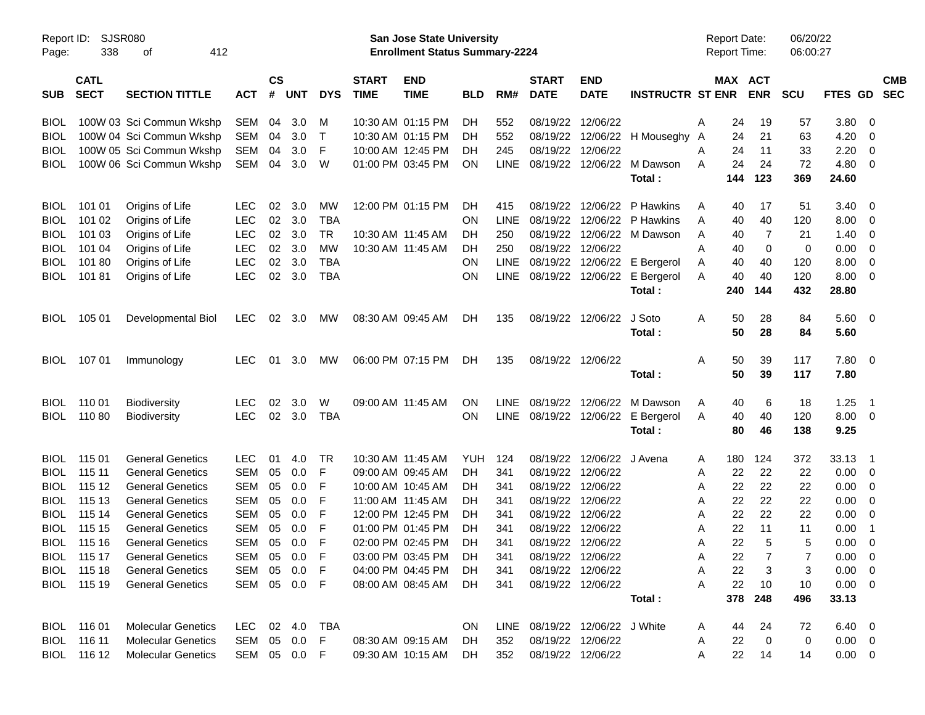| Report ID:<br>Page: | <b>SJSR080</b><br>338      | 412<br>οf                 |              |                    |            |            |                             | San Jose State University<br><b>Enrollment Status Summary-2224</b> |            |             |                             |                                |                                   | <b>Report Date:</b><br><b>Report Time:</b> |     |                       | 06/20/22<br>06:00:27 |                |                          |            |
|---------------------|----------------------------|---------------------------|--------------|--------------------|------------|------------|-----------------------------|--------------------------------------------------------------------|------------|-------------|-----------------------------|--------------------------------|-----------------------------------|--------------------------------------------|-----|-----------------------|----------------------|----------------|--------------------------|------------|
| <b>SUB</b>          | <b>CATL</b><br><b>SECT</b> | <b>SECTION TITTLE</b>     | <b>ACT</b>   | $\mathsf{cs}$<br># | <b>UNT</b> | <b>DYS</b> | <b>START</b><br><b>TIME</b> | <b>END</b><br><b>TIME</b>                                          | <b>BLD</b> | RM#         | <b>START</b><br><b>DATE</b> | <b>END</b><br><b>DATE</b>      | <b>INSTRUCTR ST ENR</b>           |                                            |     | MAX ACT<br><b>ENR</b> | <b>SCU</b>           | FTES GD SEC    |                          | <b>CMB</b> |
| <b>BIOL</b>         |                            | 100W 03 Sci Commun Wkshp  | SEM          | 04                 | 3.0        | M          |                             | 10:30 AM 01:15 PM                                                  | DH         | 552         | 08/19/22 12/06/22           |                                |                                   | A                                          | 24  | 19                    | 57                   | 3.80           | - 0                      |            |
| <b>BIOL</b>         |                            | 100W 04 Sci Commun Wkshp  | SEM          | 04                 | 3.0        | $\top$     |                             | 10:30 AM 01:15 PM                                                  | DH         | 552         |                             |                                | 08/19/22 12/06/22 H Mouseghy A    |                                            | 24  | 21                    | 63                   | 4.20           | - 0                      |            |
| <b>BIOL</b>         |                            | 100W 05 Sci Commun Wkshp  | <b>SEM</b>   | 04                 | 3.0        | F          |                             | 10:00 AM 12:45 PM                                                  | DH         | 245         | 08/19/22 12/06/22           |                                |                                   | A                                          | 24  | 11                    | 33                   | 2.20           | $\overline{0}$           |            |
| BIOL                |                            | 100W 06 Sci Commun Wkshp  | SEM          | 04                 | 3.0        | W          |                             | 01:00 PM 03:45 PM                                                  | <b>ON</b>  | <b>LINE</b> |                             |                                | 08/19/22 12/06/22 M Dawson        | A                                          | 24  | 24                    | 72                   | 4.80           | $\overline{\mathbf{0}}$  |            |
|                     |                            |                           |              |                    |            |            |                             |                                                                    |            |             |                             |                                | Total:                            |                                            | 144 | 123                   | 369                  | 24.60          |                          |            |
| <b>BIOL</b>         | 101 01                     | Origins of Life           | LEC.         | 02                 | 3.0        | МW         |                             | 12:00 PM 01:15 PM                                                  | <b>DH</b>  | 415         | 08/19/22                    | 12/06/22                       | P Hawkins                         | A                                          | 40  | 17                    | 51                   | 3.40           | - 0                      |            |
| <b>BIOL</b>         | 101 02                     | Origins of Life           | <b>LEC</b>   | 02                 | 3.0        | <b>TBA</b> |                             |                                                                    | <b>ON</b>  | <b>LINE</b> |                             | 08/19/22 12/06/22              | P Hawkins                         | A                                          | 40  | 40                    | 120                  | 8.00           | - 0                      |            |
| <b>BIOL</b>         | 101 03                     | Origins of Life           | <b>LEC</b>   | 02                 | 3.0        | TR         |                             | 10:30 AM 11:45 AM                                                  | DH         | 250         |                             |                                | 08/19/22 12/06/22 M Dawson        | A                                          | 40  | -7                    | 21                   | 1.40           | - 0                      |            |
| <b>BIOL</b>         | 101 04                     | Origins of Life           | <b>LEC</b>   | 02                 | 3.0        | MW         |                             | 10:30 AM 11:45 AM                                                  | <b>DH</b>  | 250         | 08/19/22 12/06/22           |                                |                                   | A                                          | 40  | 0                     | 0                    | 0.00           | $\overline{\mathbf{0}}$  |            |
| <b>BIOL</b>         | 10180                      | Origins of Life           | <b>LEC</b>   | 02                 | 3.0        | <b>TBA</b> |                             |                                                                    | <b>ON</b>  | <b>LINE</b> |                             |                                | 08/19/22 12/06/22 E Bergerol      | A                                          | 40  | 40                    | 120                  | 8.00           | $\overline{\mathbf{0}}$  |            |
| <b>BIOL</b>         | 10181                      | Origins of Life           | <b>LEC</b>   | 02                 | 3.0        | <b>TBA</b> |                             |                                                                    | <b>ON</b>  | <b>LINE</b> |                             |                                | 08/19/22 12/06/22 E Bergerol      | A                                          | 40  | 40                    | 120                  | 8.00           | $\overline{\phantom{0}}$ |            |
|                     |                            |                           |              |                    |            |            |                             |                                                                    |            |             |                             |                                | Total:                            |                                            | 240 | 144                   | 432                  | 28.80          |                          |            |
| <b>BIOL</b>         | 105 01                     | Developmental Biol        | <b>LEC</b>   | 02                 | 3.0        | <b>MW</b>  |                             | 08:30 AM 09:45 AM                                                  | DH         | 135         |                             | 08/19/22 12/06/22              | J Soto                            | A                                          | 50  | 28                    | 84                   | 5.60 0         |                          |            |
|                     |                            |                           |              |                    |            |            |                             |                                                                    |            |             |                             |                                | Total:                            |                                            | 50  | 28                    | 84                   | 5.60           |                          |            |
| <b>BIOL</b>         | 107 01                     | Immunology                | <b>LEC</b>   | 01                 | 3.0        | <b>MW</b>  |                             | 06:00 PM 07:15 PM                                                  | DH         | 135         | 08/19/22 12/06/22           |                                |                                   | A                                          | 50  | 39                    | 117                  | 7.80           | $\overline{\phantom{0}}$ |            |
|                     |                            |                           |              |                    |            |            |                             |                                                                    |            |             |                             |                                | Total:                            |                                            | 50  | 39                    | 117                  | 7.80           |                          |            |
| <b>BIOL</b>         | 110 01                     | <b>Biodiversity</b>       | <b>LEC</b>   | 02                 | 3.0        | W          |                             | 09:00 AM 11:45 AM                                                  | <b>ON</b>  | LINE.       |                             | 08/19/22 12/06/22              | M Dawson                          | A                                          | 40  | 6                     | 18                   | 1.25           | - 1                      |            |
| <b>BIOL</b>         | 11080                      | <b>Biodiversity</b>       | <b>LEC</b>   | 02                 | 3.0        | <b>TBA</b> |                             |                                                                    | ON.        |             |                             |                                | LINE 08/19/22 12/06/22 E Bergerol | A                                          | 40  | 40                    | 120                  | $8.00 \t 0$    |                          |            |
|                     |                            |                           |              |                    |            |            |                             |                                                                    |            |             |                             |                                | Total:                            |                                            | 80  | 46                    | 138                  | 9.25           |                          |            |
| <b>BIOL</b>         | 115 01                     | <b>General Genetics</b>   | <b>LEC</b>   | 01                 | 4.0        | TR         |                             | 10:30 AM 11:45 AM                                                  | YUH        | 124         |                             | 08/19/22 12/06/22 J Avena      |                                   | A                                          | 180 | 124                   | 372                  | 33.13          | - 1                      |            |
| <b>BIOL</b>         | 115 11                     | <b>General Genetics</b>   | <b>SEM</b>   | 05                 | 0.0        | F          |                             | 09:00 AM 09:45 AM                                                  | DH         | 341         | 08/19/22 12/06/22           |                                |                                   | A                                          | 22  | 22                    | 22                   | 0.00           | $\overline{\phantom{0}}$ |            |
| <b>BIOL</b>         | 115 12                     | <b>General Genetics</b>   | <b>SEM</b>   | 05                 | 0.0        | F          |                             | 10:00 AM 10:45 AM                                                  | DH         | 341         | 08/19/22 12/06/22           |                                |                                   | A                                          | 22  | 22                    | 22                   | 0.00           | - 0                      |            |
| <b>BIOL</b>         | 115 13                     | <b>General Genetics</b>   | <b>SEM</b>   | 05                 | 0.0        | F          |                             | 11:00 AM 11:45 AM                                                  | DH         | 341         | 08/19/22 12/06/22           |                                |                                   | A                                          | 22  | 22                    | 22                   | 0.00           | - 0                      |            |
| <b>BIOL</b>         | 115 14                     | <b>General Genetics</b>   | <b>SEM</b>   | 05                 | 0.0        | F          |                             | 12:00 PM 12:45 PM                                                  | DH         | 341         | 08/19/22 12/06/22           |                                |                                   | A                                          | 22  | 22                    | 22                   | 0.00           | - 0                      |            |
| <b>BIOL</b>         | 115 15                     | <b>General Genetics</b>   | <b>SEM</b>   | 05                 | 0.0        | F          |                             | 01:00 PM 01:45 PM                                                  | DH         | 341         | 08/19/22 12/06/22           |                                |                                   | A                                          | 22  | 11                    | 11                   | 0.00           | $\overline{\phantom{1}}$ |            |
| <b>BIOL</b>         | 115 16                     | <b>General Genetics</b>   | SEM          | 05                 | 0.0        | F          |                             | 02:00 PM 02:45 PM                                                  | DH         | 341         | 08/19/22 12/06/22           |                                |                                   | A                                          | 22  | 5                     | 5                    | 0.00           | 0                        |            |
|                     | BIOL 115 17                | <b>General Genetics</b>   | SEM 05 0.0   |                    |            | F          |                             | 03:00 PM 03:45 PM                                                  | DH         | 341         | 08/19/22 12/06/22           |                                |                                   | Α                                          | 22  | $\overline{7}$        | 7                    | $0.00 \t 0$    |                          |            |
|                     | BIOL 115 18                | <b>General Genetics</b>   | SEM 05 0.0   |                    |            | F          |                             | 04:00 PM 04:45 PM                                                  | <b>DH</b>  | 341         |                             | 08/19/22 12/06/22              |                                   | A                                          | 22  | 3                     | 3                    | $0.00 \t 0$    |                          |            |
|                     | BIOL 115 19                | <b>General Genetics</b>   | SEM 05 0.0   |                    |            | -F         |                             | 08:00 AM 08:45 AM                                                  | DH.        | 341         | 08/19/22 12/06/22           |                                |                                   | Α                                          | 22  | 10                    | 10                   | $0.00 \t 0$    |                          |            |
|                     |                            |                           |              |                    |            |            |                             |                                                                    |            |             |                             |                                | Total:                            |                                            | 378 | 248                   | 496                  | 33.13          |                          |            |
|                     | BIOL 116 01                | <b>Molecular Genetics</b> | LEC 02 4.0   |                    |            | TBA        |                             |                                                                    | ON.        |             |                             | LINE 08/19/22 12/06/22 J White |                                   | A                                          | 44  | 24                    | 72                   | $6.40 \quad 0$ |                          |            |
|                     | BIOL 116 11                | <b>Molecular Genetics</b> | SEM          |                    | 05 0.0     | F.         |                             | 08:30 AM 09:15 AM                                                  | DH.        | 352         | 08/19/22 12/06/22           |                                |                                   | A                                          | 22  | 0                     | 0                    | $0.00 \t 0$    |                          |            |
|                     | BIOL 116 12                | <b>Molecular Genetics</b> | SEM 05 0.0 F |                    |            |            |                             | 09:30 AM 10:15 AM                                                  | DH.        | 352         | 08/19/22 12/06/22           |                                |                                   | A                                          | 22  | 14                    | 14                   | $0.00 \t 0$    |                          |            |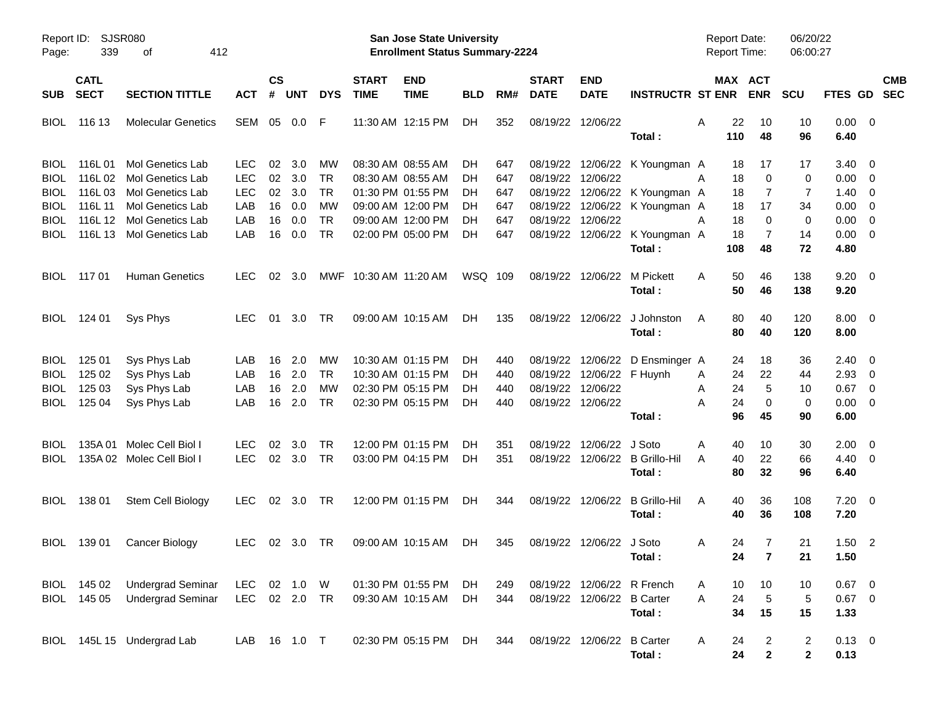| Report ID:<br>Page:                                                      | 339                                   | SJSR080<br>412<br>οf                                                                                                                        |                                                             |                                  |                                        |                                                       |                             | <b>San Jose State University</b><br><b>Enrollment Status Summary-2224</b>                                                  |                                     |                                        |                               |                                                |                                                                                                                                      | <b>Report Date:</b><br><b>Report Time:</b> |                                                                               | 06/20/22<br>06:00:27           |                                              |                                                                               |                          |
|--------------------------------------------------------------------------|---------------------------------------|---------------------------------------------------------------------------------------------------------------------------------------------|-------------------------------------------------------------|----------------------------------|----------------------------------------|-------------------------------------------------------|-----------------------------|----------------------------------------------------------------------------------------------------------------------------|-------------------------------------|----------------------------------------|-------------------------------|------------------------------------------------|--------------------------------------------------------------------------------------------------------------------------------------|--------------------------------------------|-------------------------------------------------------------------------------|--------------------------------|----------------------------------------------|-------------------------------------------------------------------------------|--------------------------|
| <b>SUB</b>                                                               | <b>CATL</b><br><b>SECT</b>            | <b>SECTION TITTLE</b>                                                                                                                       | <b>ACT</b>                                                  | $\mathsf{cs}$<br>#               | <b>UNT</b>                             | <b>DYS</b>                                            | <b>START</b><br><b>TIME</b> | <b>END</b><br><b>TIME</b>                                                                                                  | <b>BLD</b>                          | RM#                                    | <b>START</b><br><b>DATE</b>   | <b>END</b><br><b>DATE</b>                      | <b>INSTRUCTR ST ENR</b>                                                                                                              |                                            | MAX ACT<br><b>ENR</b>                                                         | <b>SCU</b>                     | <b>FTES GD</b>                               |                                                                               | <b>CMB</b><br><b>SEC</b> |
| <b>BIOL</b>                                                              | 116 13                                | <b>Molecular Genetics</b>                                                                                                                   | SEM                                                         | 05                               | $0.0\,$                                | -F                                                    |                             | 11:30 AM 12:15 PM                                                                                                          | DH.                                 | 352                                    |                               | 08/19/22 12/06/22                              | Total:                                                                                                                               | A<br>110                                   | 22<br>10<br>48                                                                | 10<br>96                       | $0.00 \quad 0$<br>6.40                       |                                                                               |                          |
| <b>BIOL</b><br><b>BIOL</b><br><b>BIOL</b><br><b>BIOL</b><br>BIOL<br>BIOL | 116L01<br>116L02<br>116L03<br>116L 11 | <b>Mol Genetics Lab</b><br>Mol Genetics Lab<br>Mol Genetics Lab<br>Mol Genetics Lab<br>116L 12 Mol Genetics Lab<br>116L 13 Mol Genetics Lab | <b>LEC</b><br><b>LEC</b><br><b>LEC</b><br>LAB<br>LAB<br>LAB | 02<br>02<br>02<br>16<br>16<br>16 | 3.0<br>3.0<br>3.0<br>0.0<br>0.0<br>0.0 | мw<br>TR<br><b>TR</b><br>МW<br><b>TR</b><br><b>TR</b> |                             | 08:30 AM 08:55 AM<br>08:30 AM 08:55 AM<br>01:30 PM 01:55 PM<br>09:00 AM 12:00 PM<br>09:00 AM 12:00 PM<br>02:00 PM 05:00 PM | DН<br>DH.<br>DH.<br>DН<br>DH<br>DH. | 647<br>647<br>647<br>647<br>647<br>647 | 08/19/22<br>08/19/22 12/06/22 | 12/06/22                                       | 08/19/22 12/06/22 K Youngman A<br>08/19/22 12/06/22 K Youngman A<br>08/19/22 12/06/22 K Youngman A<br>08/19/22 12/06/22 K Youngman A | A<br>A                                     | 18<br>17<br>18<br>0<br>18<br>7<br>18<br>17<br>18<br>0<br>$\overline{7}$<br>18 | 17<br>0<br>7<br>34<br>0<br>14  | 3.40<br>0.00<br>1.40<br>0.00<br>0.00<br>0.00 | $\overline{0}$<br>$\overline{0}$<br>0<br>0<br>0<br>$\overline{\mathbf{0}}$    |                          |
| <b>BIOL</b>                                                              | 117 01                                | <b>Human Genetics</b>                                                                                                                       | <b>LEC</b>                                                  | 02                               | 3.0                                    | MWF                                                   | 10:30 AM 11:20 AM           |                                                                                                                            | WSQ 109                             |                                        |                               | 08/19/22 12/06/22                              | Total:<br>M Pickett<br>Total:                                                                                                        | 108<br>A                                   | 48<br>50<br>46<br>50<br>46                                                    | 72<br>138<br>138               | 4.80<br>9.20<br>9.20                         | $\overline{\phantom{0}}$                                                      |                          |
| <b>BIOL</b>                                                              | 124 01                                | Sys Phys                                                                                                                                    | <b>LEC</b>                                                  | 01                               | 3.0                                    | <b>TR</b>                                             |                             | 09:00 AM 10:15 AM                                                                                                          | DH.                                 | 135                                    |                               | 08/19/22 12/06/22                              | J Johnston<br>Total:                                                                                                                 | A                                          | 80<br>40<br>80<br>40                                                          | 120<br>120                     | $8.00 \quad 0$<br>8.00                       |                                                                               |                          |
| <b>BIOL</b><br><b>BIOL</b><br><b>BIOL</b><br><b>BIOL</b>                 | 125 01<br>125 02<br>125 03<br>125 04  | Sys Phys Lab<br>Sys Phys Lab<br>Sys Phys Lab<br>Sys Phys Lab                                                                                | LAB.<br>LAB<br>LAB<br>LAB                                   | 16<br>16<br>16<br>16             | 2.0<br>2.0<br>2.0<br>2.0               | МW<br><b>TR</b><br>MW<br><b>TR</b>                    |                             | 10:30 AM 01:15 PM<br>10:30 AM 01:15 PM<br>02:30 PM 05:15 PM<br>02:30 PM 05:15 PM                                           | DH.<br>DH<br>DH.<br>DH.             | 440<br>440<br>440<br>440               | 08/19/22 12/06/22             | 08/19/22 12/06/22 F Huynh<br>08/19/22 12/06/22 | 08/19/22 12/06/22 D Ensminger A<br>Total:                                                                                            | Α<br>Α<br>А                                | 18<br>24<br>24<br>22<br>5<br>24<br>24<br>0<br>96<br>45                        | 36<br>44<br>10<br>0<br>90      | 2.40<br>2.93<br>0.67<br>0.00<br>6.00         | $\overline{0}$<br>$\overline{0}$<br>$\overline{0}$<br>$\overline{\mathbf{0}}$ |                          |
| <b>BIOL</b><br><b>BIOL</b>                                               |                                       | 135A 01 Molec Cell Biol I<br>135A 02 Molec Cell Biol I                                                                                      | <b>LEC</b><br><b>LEC</b>                                    | 02                               | 3.0<br>02 3.0                          | TR<br><b>TR</b>                                       |                             | 12:00 PM 01:15 PM<br>03:00 PM 04:15 PM                                                                                     | DH.<br>DH.                          | 351<br>351                             |                               | 08/19/22 12/06/22                              | J Soto<br>08/19/22 12/06/22 B Grillo-Hil<br>Total:                                                                                   | Α<br>A                                     | 10<br>40<br>40<br>22<br>80<br>32                                              | 30<br>66<br>96                 | 2.00<br>$4.40 \quad 0$<br>6.40               | $\overline{\mathbf{0}}$                                                       |                          |
| <b>BIOL</b>                                                              | 138 01                                | Stem Cell Biology                                                                                                                           | <b>LEC</b>                                                  |                                  | 02 3.0 TR                              |                                                       |                             | 12:00 PM 01:15 PM                                                                                                          | DH.                                 | 344                                    |                               | 08/19/22 12/06/22                              | <b>B</b> Grillo-Hil<br>Total:                                                                                                        | A                                          | 40<br>36<br>40<br>36                                                          | 108<br>108                     | 7.20<br>7.20                                 | $\overline{\phantom{0}}$                                                      |                          |
| <b>BIOL</b>                                                              | 139 01                                | Cancer Biology                                                                                                                              | <b>LEC</b>                                                  |                                  | $02 \quad 3.0$                         | - TR                                                  |                             | 09:00 AM 10:15 AM                                                                                                          | DH.                                 | 345                                    |                               | 08/19/22 12/06/22 J Soto                       | Total:                                                                                                                               | A                                          | 24<br>7<br>24<br>$\overline{7}$                                               | 21<br>21                       | 1.50<br>1.50                                 | $\overline{\phantom{0}}^2$                                                    |                          |
|                                                                          | BIOL 145 02<br>BIOL 145 05            | <b>Undergrad Seminar</b><br><b>Undergrad Seminar</b>                                                                                        | <b>LEC</b><br><b>LEC</b>                                    |                                  | 02 1.0 W<br>02  2.0  TR                |                                                       |                             | 01:30 PM 01:55 PM<br>09:30 AM 10:15 AM                                                                                     | DH.<br>DH                           | 249<br>344                             |                               | 08/19/22 12/06/22 B Carter                     | 08/19/22 12/06/22 R French<br>Total:                                                                                                 | A<br>A                                     | 10<br>10<br>24<br>$\,$ 5 $\,$<br>34<br>15                                     | 10<br>$\,$ 5 $\,$<br>15        | $0.67$ 0<br>$0.67$ 0<br>1.33                 |                                                                               |                          |
|                                                                          |                                       | BIOL 145L 15 Undergrad Lab                                                                                                                  | LAB                                                         |                                  | 16  1.0  T                             |                                                       |                             | 02:30 PM 05:15 PM                                                                                                          | DH                                  | 344                                    | 08/19/22 12/06/22             |                                                | <b>B</b> Carter<br>Total:                                                                                                            | Α                                          | 24<br>$\overline{c}$<br>$\mathbf{2}$<br>24                                    | $\overline{a}$<br>$\mathbf{2}$ | $0.13 \ 0$<br>0.13                           |                                                                               |                          |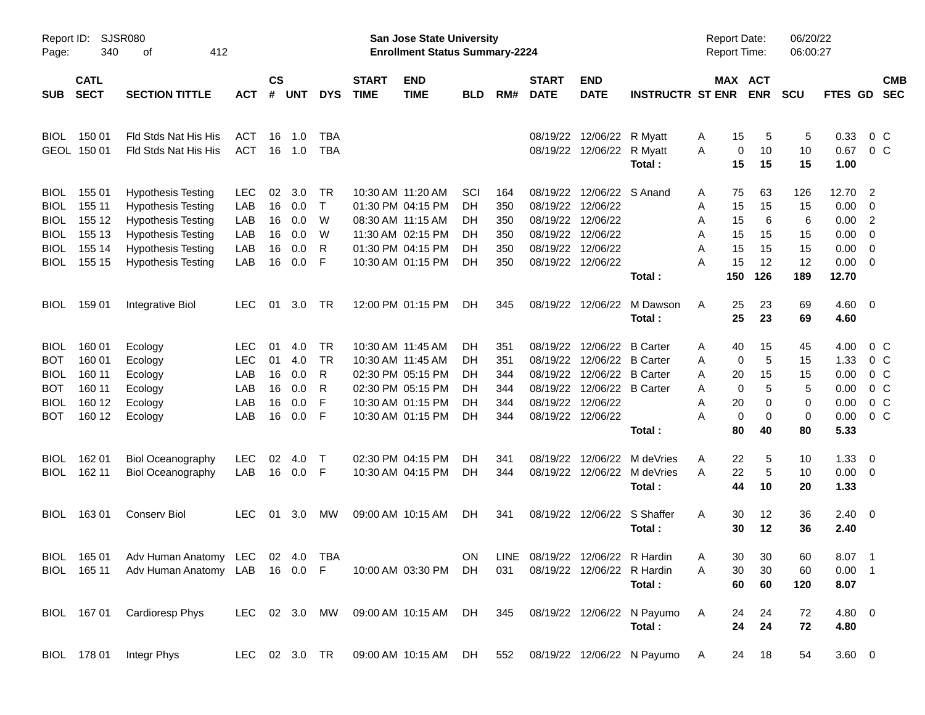| Report ID:<br>Page: | 340                        | <b>SJSR080</b><br>412<br>οf                                     |            |                    |            |            |                             | <b>San Jose State University</b><br><b>Enrollment Status Summary-2224</b> |            |     |                             |                                 |                                                                              | <b>Report Date:</b><br><b>Report Time:</b> |                              | 06/20/22<br>06:00:27 |                            |                            |            |
|---------------------|----------------------------|-----------------------------------------------------------------|------------|--------------------|------------|------------|-----------------------------|---------------------------------------------------------------------------|------------|-----|-----------------------------|---------------------------------|------------------------------------------------------------------------------|--------------------------------------------|------------------------------|----------------------|----------------------------|----------------------------|------------|
| <b>SUB</b>          | <b>CATL</b><br><b>SECT</b> | <b>SECTION TITTLE</b>                                           | <b>ACT</b> | $\mathsf{cs}$<br># | <b>UNT</b> | <b>DYS</b> | <b>START</b><br><b>TIME</b> | <b>END</b><br><b>TIME</b>                                                 | <b>BLD</b> | RM# | <b>START</b><br><b>DATE</b> | <b>END</b><br><b>DATE</b>       | <b>INSTRUCTR ST ENR</b>                                                      |                                            | <b>MAX ACT</b><br><b>ENR</b> | <b>SCU</b>           | FTES GD                    | <b>SEC</b>                 | <b>CMB</b> |
| <b>BIOL</b>         | 150 01                     | Fld Stds Nat His His                                            | <b>ACT</b> | 16                 | 1.0        | <b>TBA</b> |                             |                                                                           |            |     |                             | 08/19/22 12/06/22 R Myatt       |                                                                              | 15<br>A                                    | 5                            | 5                    | 0.33                       | $0\,C$                     |            |
|                     | GEOL 150 01                | Fld Stds Nat His His                                            | <b>ACT</b> | 16                 | 1.0        | <b>TBA</b> |                             |                                                                           |            |     |                             | 08/19/22 12/06/22 R Myatt       | Total:                                                                       | 0<br>A<br>15                               | 10<br>15                     | 10<br>15             | 0.67<br>1.00               | $0\,C$                     |            |
| <b>BIOL</b>         | 155 01                     | <b>Hypothesis Testing</b>                                       | <b>LEC</b> | 02                 | 3.0        | <b>TR</b>  |                             | 10:30 AM 11:20 AM                                                         | SCI        | 164 |                             | 08/19/22 12/06/22 S Anand       |                                                                              | 75<br>A                                    | 63                           | 126                  | 12.70                      | $\overline{\phantom{0}}^2$ |            |
| <b>BIOL</b>         | 155 11                     | <b>Hypothesis Testing</b>                                       | LAB        | 16                 | 0.0        | $\top$     |                             | 01:30 PM 04:15 PM                                                         | DH.        | 350 | 08/19/22                    | 12/06/22                        |                                                                              | 15<br>Α                                    | 15                           | 15                   | $0.00 \t 0$                |                            |            |
| <b>BIOL</b>         | 155 12                     | <b>Hypothesis Testing</b>                                       | LAB        | 16                 | 0.0        | W          |                             | 08:30 AM 11:15 AM                                                         | DH.        | 350 | 08/19/22                    | 12/06/22                        |                                                                              | 15<br>A                                    | 6                            | 6                    | 0.00                       | $\overline{\phantom{0}}$   |            |
| <b>BIOL</b>         | 155 13                     | <b>Hypothesis Testing</b>                                       | LAB        | 16                 | 0.0        | W          |                             | 11:30 AM 02:15 PM                                                         | DH.        | 350 |                             | 08/19/22 12/06/22               |                                                                              | Α<br>15                                    | 15                           | 15                   | $0.00 \t 0$                |                            |            |
| <b>BIOL</b>         | 155 14                     | <b>Hypothesis Testing</b>                                       | LAB        | 16                 | 0.0        | R<br>F     |                             | 01:30 PM 04:15 PM                                                         | DH.        | 350 | 08/19/22                    | 12/06/22<br>08/19/22 12/06/22   |                                                                              | A<br>15<br>15<br>A                         | 15<br>12                     | 15<br>12             | $0.00 \t 0$<br>$0.00 \t 0$ |                            |            |
| <b>BIOL</b>         | 155 15                     | <b>Hypothesis Testing</b>                                       | LAB        | 16                 | 0.0        |            |                             | 10:30 AM 01:15 PM                                                         | DН         | 350 |                             |                                 | Total:                                                                       | 150                                        | 126                          | 189                  | 12.70                      |                            |            |
| <b>BIOL</b>         | 159 01                     | Integrative Biol                                                | <b>LEC</b> | 01                 | 3.0        | TR         |                             | 12:00 PM 01:15 PM                                                         | DH.        | 345 | 08/19/22                    | 12/06/22                        | M Dawson                                                                     | 25<br>A                                    | 23                           | 69                   | $4.60$ 0                   |                            |            |
|                     |                            |                                                                 |            |                    |            |            |                             |                                                                           |            |     |                             |                                 | Total:                                                                       | 25                                         | 23                           | 69                   | 4.60                       |                            |            |
| <b>BIOL</b>         | 160 01                     | Ecology                                                         | <b>LEC</b> | 01                 | 4.0        | <b>TR</b>  |                             | 10:30 AM 11:45 AM                                                         | DH.        | 351 | 08/19/22                    | 12/06/22 B Carter               |                                                                              | 40<br>Α                                    | 15                           | 45                   | 4.00                       | $0\,$ C                    |            |
| <b>BOT</b>          | 160 01                     | Ecology                                                         | <b>LEC</b> | 01                 | 4.0        | <b>TR</b>  |                             | 10:30 AM 11:45 AM                                                         | DH.        | 351 | 08/19/22                    | 12/06/22 B Carter               |                                                                              | A                                          | 5<br>0                       | 15                   | 1.33                       | $0\,$ C                    |            |
| <b>BIOL</b>         | 160 11                     | Ecology                                                         | LAB        | 16                 | 0.0        | R          |                             | 02:30 PM 05:15 PM                                                         | DH         | 344 |                             | 08/19/22 12/06/22 B Carter      |                                                                              | A<br>20                                    | 15                           | 15                   | 0.00                       | $0\,$ C                    |            |
| <b>BOT</b>          | 160 11                     | Ecology                                                         | LAB        | 16                 | 0.0        | R          |                             | 02:30 PM 05:15 PM                                                         | DH.        | 344 |                             | 08/19/22 12/06/22 B Carter      |                                                                              | A                                          | 5<br>0                       | 5                    | 0.00                       | $0\,C$                     |            |
| <b>BIOL</b>         | 160 12                     | Ecology                                                         | LAB        | 16                 | 0.0        | F          |                             | 10:30 AM 01:15 PM                                                         | DН         | 344 | 08/19/22                    | 12/06/22                        |                                                                              | 20<br>A                                    | 0                            | 0                    | 0.00                       | $0\,C$                     |            |
| <b>BOT</b>          | 160 12                     | Ecology                                                         | LAB        | 16                 | 0.0        | F          |                             | 10:30 AM 01:15 PM                                                         | DH         | 344 |                             | 08/19/22 12/06/22               | Total:                                                                       | Α<br>80                                    | 0<br>0<br>40                 | 0<br>80              | 0.00<br>5.33               | 0 <sup>o</sup>             |            |
| <b>BIOL</b>         | 162 01                     | <b>Biol Oceanography</b>                                        | <b>LEC</b> | 02                 | 4.0        | $\top$     |                             | 02:30 PM 04:15 PM                                                         | DH         | 341 | 08/19/22                    | 12/06/22                        | M deVries                                                                    | 22<br>Α                                    | 5                            | 10                   | 1.33                       | $\overline{\phantom{0}}$   |            |
| <b>BIOL</b>         | 162 11                     | <b>Biol Oceanography</b>                                        | LAB        | 16                 | 0.0        | -F         |                             | 10:30 AM 04:15 PM                                                         | DH         | 344 |                             |                                 | 08/19/22 12/06/22 M deVries                                                  | 22<br>A                                    | 5                            | 10                   | $0.00 \t 0$                |                            |            |
|                     |                            |                                                                 |            |                    |            |            |                             |                                                                           |            |     |                             |                                 | Total:                                                                       | 44                                         | 10                           | 20                   | 1.33                       |                            |            |
| <b>BIOL</b>         | 16301                      | <b>Conserv Biol</b>                                             | <b>LEC</b> | 01                 | 3.0        | <b>MW</b>  |                             | 09:00 AM 10:15 AM                                                         | DH.        | 341 |                             | 08/19/22 12/06/22 S Shaffer     |                                                                              | A<br>30                                    | 12                           | 36                   | $2.40 \ 0$                 |                            |            |
|                     |                            |                                                                 |            |                    |            |            |                             |                                                                           |            |     |                             |                                 | Total:                                                                       | 30                                         | 12                           | 36                   | 2.40                       |                            |            |
|                     |                            | BIOL 165 01 Adv Human Anatomy LEC 02 4.0 TBA                    |            |                    |            |            |                             |                                                                           | ON         |     |                             | LINE 08/19/22 12/06/22 R Hardin |                                                                              | Α                                          | 30<br>30                     | 60                   | 8.07 1                     |                            |            |
|                     |                            | BIOL 165 11 Adv Human Anatomy LAB 16 0.0 F 10:00 AM 03:30 PM DH |            |                    |            |            |                             |                                                                           |            | 031 |                             | 08/19/22 12/06/22 R Hardin      | Total:                                                                       | 30<br>A<br>60                              | 30<br>60                     | 60<br>120            | $0.00$ 1<br>8.07           |                            |            |
|                     |                            | BIOL 167 01 Cardioresp Phys                                     |            |                    |            |            |                             |                                                                           |            |     |                             |                                 | LEC 02 3.0 MW 09:00 AM 10:15 AM DH 345 08/19/22 12/06/22 N Payumo            | 24<br>A                                    | 24                           | 72                   | 4.80 0                     |                            |            |
|                     |                            |                                                                 |            |                    |            |            |                             |                                                                           |            |     |                             |                                 | Total:                                                                       | 24                                         | 24                           | 72                   | 4.80                       |                            |            |
|                     |                            | BIOL 178 01 Integr Phys                                         |            |                    |            |            |                             |                                                                           |            |     |                             |                                 | LEC 02 3.0 TR  09:00 AM  10:15 AM  DH  552  08/19/22  12/06/22  N  Payumo  A |                                            | 24 18                        | 54                   | $3.60 \quad 0$             |                            |            |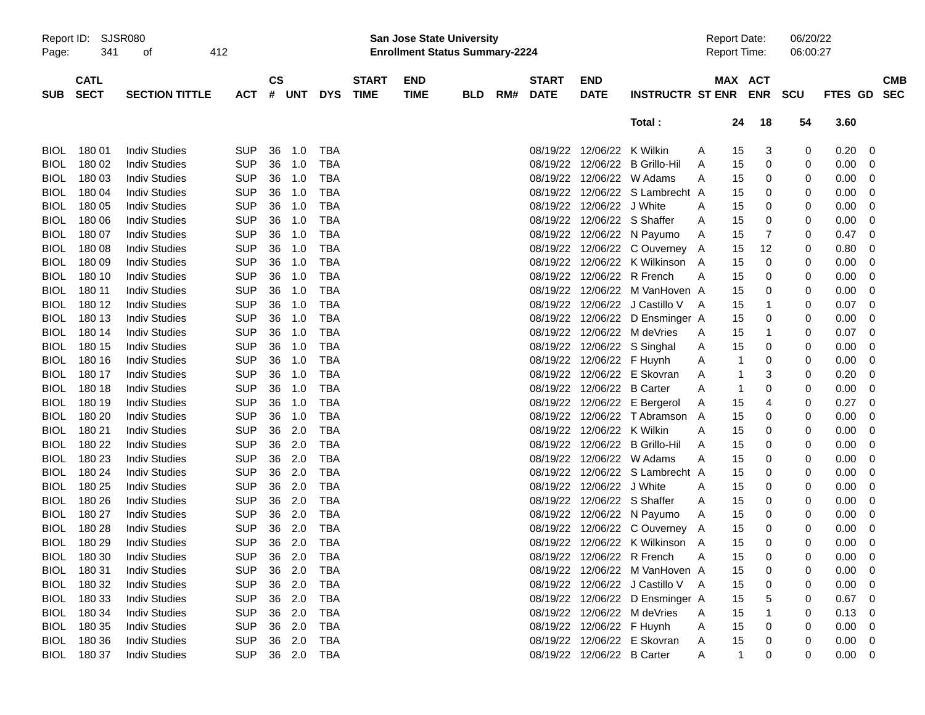| Report ID:  |                            | SJSR080               |            |                    |        |            |                             | <b>San Jose State University</b>      |            |     |                             |                             |                                 | <b>Report Date:</b> |              |            | 06/20/22 |             |            |
|-------------|----------------------------|-----------------------|------------|--------------------|--------|------------|-----------------------------|---------------------------------------|------------|-----|-----------------------------|-----------------------------|---------------------------------|---------------------|--------------|------------|----------|-------------|------------|
| Page:       | 341                        | 412<br>οf             |            |                    |        |            |                             | <b>Enrollment Status Summary-2224</b> |            |     |                             |                             |                                 | <b>Report Time:</b> |              |            | 06:00:27 |             |            |
|             |                            |                       |            |                    |        |            |                             |                                       |            |     |                             |                             |                                 |                     |              |            |          |             |            |
| <b>SUB</b>  | <b>CATL</b><br><b>SECT</b> | <b>SECTION TITTLE</b> | <b>ACT</b> | $\mathsf{cs}$<br># | UNT    | <b>DYS</b> | <b>START</b><br><b>TIME</b> | <b>END</b><br><b>TIME</b>             |            | RM# | <b>START</b><br><b>DATE</b> | <b>END</b><br><b>DATE</b>   | <b>INSTRUCTR ST ENR</b>         |                     | MAX ACT      | <b>ENR</b> | scu      | FTES GD SEC | <b>CMB</b> |
|             |                            |                       |            |                    |        |            |                             |                                       | <b>BLD</b> |     |                             |                             |                                 |                     |              |            |          |             |            |
|             |                            |                       |            |                    |        |            |                             |                                       |            |     |                             |                             | Total:                          |                     | 24           | 18         | 54       | 3.60        |            |
|             |                            |                       |            |                    |        |            |                             |                                       |            |     |                             |                             |                                 |                     |              |            |          |             |            |
| <b>BIOL</b> | 18001                      | <b>Indiv Studies</b>  | <b>SUP</b> | 36                 | 1.0    | TBA        |                             |                                       |            |     |                             | 08/19/22 12/06/22 K Wilkin  |                                 | A                   | 15           | 3          | 0        | 0.20        | 0          |
| <b>BIOL</b> | 180 02                     | <b>Indiv Studies</b>  | <b>SUP</b> | 36                 | 1.0    | <b>TBA</b> |                             |                                       |            |     |                             |                             | 08/19/22 12/06/22 B Grillo-Hil  | A                   | 15           | 0          | 0        | 0.00        | 0          |
| <b>BIOL</b> | 18003                      | <b>Indiv Studies</b>  | <b>SUP</b> | 36                 | 1.0    | <b>TBA</b> |                             |                                       |            |     |                             |                             | 08/19/22 12/06/22 W Adams       | A                   | 15           | 0          | 0        | 0.00        | 0          |
| <b>BIOL</b> | 180 04                     | <b>Indiv Studies</b>  | <b>SUP</b> | 36                 | 1.0    | <b>TBA</b> |                             |                                       |            |     |                             |                             | 08/19/22 12/06/22 S Lambrecht A |                     | 15           | 0          | 0        | 0.00        | 0          |
| <b>BIOL</b> | 180 05                     | <b>Indiv Studies</b>  | <b>SUP</b> | 36                 | 1.0    | <b>TBA</b> |                             |                                       |            |     |                             | 08/19/22 12/06/22 J White   |                                 | A                   | 15           | 0          | 0        | 0.00        | 0          |
| <b>BIOL</b> | 180 06                     | <b>Indiv Studies</b>  | <b>SUP</b> | 36                 | 1.0    | <b>TBA</b> |                             |                                       |            |     |                             | 08/19/22 12/06/22 S Shaffer |                                 | A                   | 15           | 0          | 0        | 0.00        | 0          |
| <b>BIOL</b> | 18007                      | <b>Indiv Studies</b>  | <b>SUP</b> | 36                 | 1.0    | <b>TBA</b> |                             |                                       |            |     |                             |                             | 08/19/22 12/06/22 N Payumo      | Α                   | 15           | 7          | 0        | 0.47        | 0          |
| <b>BIOL</b> | 18008                      | <b>Indiv Studies</b>  | <b>SUP</b> | 36                 | 1.0    | <b>TBA</b> |                             |                                       |            |     |                             |                             | 08/19/22 12/06/22 C Ouverney A  |                     | 15           | 12         | 0        | 0.80        | 0          |
| <b>BIOL</b> | 18009                      | <b>Indiv Studies</b>  | <b>SUP</b> | 36                 | 1.0    | <b>TBA</b> |                             |                                       |            |     |                             |                             | 08/19/22 12/06/22 K Wilkinson   | A                   | 15           | 0          | 0        | 0.00        | 0          |
| <b>BIOL</b> | 180 10                     | <b>Indiv Studies</b>  | <b>SUP</b> | 36                 | 1.0    | <b>TBA</b> |                             |                                       |            |     |                             | 08/19/22 12/06/22 R French  |                                 | Α                   | 15           | 0          | 0        | 0.00        | 0          |
| <b>BIOL</b> | 180 11                     | <b>Indiv Studies</b>  | <b>SUP</b> | 36                 | 1.0    | <b>TBA</b> |                             |                                       |            |     |                             |                             | 08/19/22 12/06/22 M VanHoven A  |                     | 15           | 0          | 0        | 0.00        | 0          |
| <b>BIOL</b> | 180 12                     | <b>Indiv Studies</b>  | <b>SUP</b> | 36                 | 1.0    | <b>TBA</b> |                             |                                       |            |     |                             |                             | 08/19/22 12/06/22 J Castillo V  | A                   | 15           | 1          | 0        | 0.07        | 0          |
| <b>BIOL</b> | 180 13                     | <b>Indiv Studies</b>  | <b>SUP</b> | 36                 | 1.0    | <b>TBA</b> |                             |                                       |            |     |                             |                             | 08/19/22 12/06/22 D Ensminger A |                     | 15           | 0          | 0        | 0.00        | 0          |
| <b>BIOL</b> | 180 14                     | <b>Indiv Studies</b>  | <b>SUP</b> | 36                 | 1.0    | <b>TBA</b> |                             |                                       |            |     |                             |                             | 08/19/22 12/06/22 M deVries     | A                   | 15           | 1          | 0        | 0.07        | 0          |
| <b>BIOL</b> | 180 15                     | <b>Indiv Studies</b>  | <b>SUP</b> | 36                 | 1.0    | <b>TBA</b> |                             |                                       |            |     |                             |                             | 08/19/22 12/06/22 S Singhal     | A                   | 15           | 0          | 0        | 0.00        | 0          |
| <b>BIOL</b> | 180 16                     | <b>Indiv Studies</b>  | <b>SUP</b> | 36                 | 1.0    | <b>TBA</b> |                             |                                       |            |     |                             | 08/19/22 12/06/22 F Huynh   |                                 | A                   | 1            | 0          | 0        | 0.00        | 0          |
| <b>BIOL</b> | 180 17                     | <b>Indiv Studies</b>  | <b>SUP</b> | 36                 | 1.0    | <b>TBA</b> |                             |                                       |            |     |                             |                             | 08/19/22 12/06/22 E Skovran     | A                   | 1            | 3          | 0        | 0.20        | 0          |
| <b>BIOL</b> | 180 18                     | <b>Indiv Studies</b>  | <b>SUP</b> | 36                 | 1.0    | <b>TBA</b> |                             |                                       |            |     |                             | 08/19/22 12/06/22 B Carter  |                                 | A                   | 1            | 0          | 0        | 0.00        | 0          |
| <b>BIOL</b> | 180 19                     | <b>Indiv Studies</b>  | <b>SUP</b> | 36                 | 1.0    | <b>TBA</b> |                             |                                       |            |     |                             |                             | 08/19/22 12/06/22 E Bergerol    | Α                   | 15           | 4          | 0        | 0.27        | 0          |
| <b>BIOL</b> | 180 20                     | <b>Indiv Studies</b>  | <b>SUP</b> | 36                 | 1.0    | <b>TBA</b> |                             |                                       |            |     |                             |                             | 08/19/22 12/06/22 T Abramson A  |                     | 15           | 0          | 0        | 0.00        | 0          |
| <b>BIOL</b> | 180 21                     | <b>Indiv Studies</b>  | <b>SUP</b> | 36                 | 2.0    | <b>TBA</b> |                             |                                       |            |     |                             | 08/19/22 12/06/22 K Wilkin  |                                 | A                   | 15           | 0          | 0        | 0.00        | 0          |
| <b>BIOL</b> | 180 22                     | <b>Indiv Studies</b>  | <b>SUP</b> | 36                 | 2.0    | <b>TBA</b> |                             |                                       |            |     |                             |                             | 08/19/22 12/06/22 B Grillo-Hil  | Α                   | 15           | 0          | 0        | 0.00        | 0          |
| <b>BIOL</b> | 180 23                     | <b>Indiv Studies</b>  | <b>SUP</b> | 36                 | 2.0    | <b>TBA</b> |                             |                                       |            |     |                             |                             | 08/19/22 12/06/22 W Adams       | A                   | 15           | 0          | 0        | 0.00        | 0          |
| <b>BIOL</b> | 180 24                     | <b>Indiv Studies</b>  | <b>SUP</b> | 36                 | 2.0    | <b>TBA</b> |                             |                                       |            |     |                             |                             | 08/19/22 12/06/22 S Lambrecht A |                     | 15           | 0          | 0        | 0.00        | 0          |
| <b>BIOL</b> | 180 25                     | <b>Indiv Studies</b>  | <b>SUP</b> | 36                 | 2.0    | <b>TBA</b> |                             |                                       |            |     |                             | 08/19/22 12/06/22 J White   |                                 | A                   | 15           | 0          | 0        | 0.00        | 0          |
| <b>BIOL</b> | 180 26                     | <b>Indiv Studies</b>  | <b>SUP</b> | 36                 | 2.0    | <b>TBA</b> |                             |                                       |            |     |                             | 08/19/22 12/06/22 S Shaffer |                                 | A                   | 15           | 0          | 0        | 0.00        | 0          |
| <b>BIOL</b> | 180 27                     | <b>Indiv Studies</b>  | <b>SUP</b> | 36                 | 2.0    | <b>TBA</b> |                             |                                       |            |     |                             |                             | 08/19/22 12/06/22 N Payumo      | A                   | 15           | 0          | 0        | 0.00        | 0          |
| <b>BIOL</b> | 180 28                     | <b>Indiv Studies</b>  | <b>SUP</b> | 36                 | 2.0    | <b>TBA</b> |                             |                                       |            |     |                             |                             | 08/19/22 12/06/22 C Ouverney A  |                     | 15           | 0          | 0        | 0.00        | 0          |
| <b>BIOL</b> | 180 29                     | <b>Indiv Studies</b>  | <b>SUP</b> |                    | 36 2.0 | <b>TBA</b> |                             |                                       |            |     |                             |                             | 08/19/22 12/06/22 K Wilkinson A |                     | 15           | 0          | 0        | 0.00        | 0          |
| <b>BIOL</b> | 180 30                     | <b>Indiv Studies</b>  | SUP 36 2.0 |                    |        | <b>TBA</b> |                             |                                       |            |     |                             | 08/19/22 12/06/22 R French  |                                 |                     | 15           | 0          | 0        | $0.00 \t 0$ |            |
|             | BIOL 180 31                | <b>Indiv Studies</b>  | <b>SUP</b> |                    | 36 2.0 | TBA        |                             |                                       |            |     |                             |                             | 08/19/22 12/06/22 M VanHoven A  |                     | 15           | 0          | 0        | 0.00        | 0          |
|             | BIOL 180 32                | <b>Indiv Studies</b>  | <b>SUP</b> |                    | 36 2.0 | <b>TBA</b> |                             |                                       |            |     |                             |                             | 08/19/22 12/06/22 J Castillo V  | A                   | 15           | 0          | 0        | 0.00        | 0          |
|             | BIOL 180 33                | <b>Indiv Studies</b>  | <b>SUP</b> |                    | 36 2.0 | <b>TBA</b> |                             |                                       |            |     |                             |                             | 08/19/22 12/06/22 D Ensminger A |                     | 15           | 5          | 0        | 0.67        | 0          |
| BIOL        | 180 34                     | <b>Indiv Studies</b>  | <b>SUP</b> |                    | 36 2.0 | <b>TBA</b> |                             |                                       |            |     |                             |                             | 08/19/22 12/06/22 M deVries     | A                   | 15           |            | 0        | 0.13        | 0          |
| BIOL        | 180 35                     | <b>Indiv Studies</b>  | <b>SUP</b> |                    | 36 2.0 | <b>TBA</b> |                             |                                       |            |     |                             | 08/19/22 12/06/22 F Huynh   |                                 | A                   | 15           | 0          | 0        | 0.00        | 0          |
|             | BIOL 180 36                | <b>Indiv Studies</b>  | <b>SUP</b> |                    | 36 2.0 | TBA        |                             |                                       |            |     |                             |                             | 08/19/22 12/06/22 E Skovran     | A                   | 15           | 0          | 0        | 0.00        | 0          |
| BIOL        | 180 37                     | <b>Indiv Studies</b>  | <b>SUP</b> |                    | 36 2.0 | TBA        |                             |                                       |            |     |                             | 08/19/22 12/06/22 B Carter  |                                 | Α                   | $\mathbf{1}$ | 0          | 0        | 0.00        | 0          |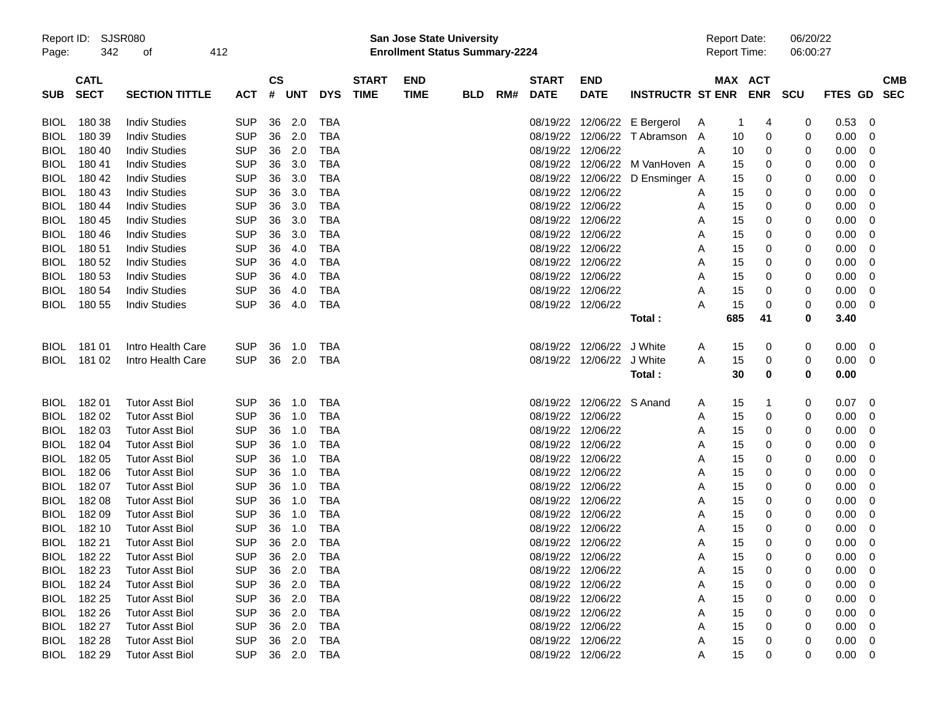|             | Report ID: SJSR080 |                        |            |               |            |            |              | San Jose State University |                                       |     |              |                   |                         | <b>Report Date:</b> |              | 06/20/22   |            |                |             |  |
|-------------|--------------------|------------------------|------------|---------------|------------|------------|--------------|---------------------------|---------------------------------------|-----|--------------|-------------------|-------------------------|---------------------|--------------|------------|------------|----------------|-------------|--|
| Page:       | 342<br>412<br>οf   |                        |            |               |            |            |              |                           | <b>Enrollment Status Summary-2224</b> |     |              |                   |                         |                     | Report Time: |            | 06:00:27   |                |             |  |
|             | <b>CATL</b>        |                        |            | $\mathsf{cs}$ |            |            | <b>START</b> | <b>END</b>                |                                       |     | <b>START</b> | <b>END</b>        |                         |                     | MAX ACT      |            |            |                | <b>CMB</b>  |  |
| <b>SUB</b>  | <b>SECT</b>        | <b>SECTION TITTLE</b>  | <b>ACT</b> | #             | <b>UNT</b> | <b>DYS</b> | <b>TIME</b>  | <b>TIME</b>               | <b>BLD</b>                            | RM# | <b>DATE</b>  | <b>DATE</b>       | <b>INSTRUCTR ST ENR</b> |                     |              | <b>ENR</b> | <b>SCU</b> | <b>FTES GD</b> | <b>SEC</b>  |  |
| <b>BIOL</b> | 180 38             | <b>Indiv Studies</b>   | <b>SUP</b> | 36            | 2.0        | <b>TBA</b> |              |                           |                                       |     | 08/19/22     | 12/06/22          | E Bergerol              | A                   | -1           | 4          | 0          | 0.53           | 0           |  |
| <b>BIOL</b> | 180 39             | <b>Indiv Studies</b>   | <b>SUP</b> | 36            | 2.0        | <b>TBA</b> |              |                           |                                       |     | 08/19/22     | 12/06/22          | T Abramson              | A                   | 10           | 0          | 0          | 0.00           | 0           |  |
| <b>BIOL</b> | 180 40             | <b>Indiv Studies</b>   | <b>SUP</b> | 36            | 2.0        | <b>TBA</b> |              |                           |                                       |     | 08/19/22     | 12/06/22          |                         | Α                   | 10           | 0          | 0          | 0.00           | 0           |  |
| <b>BIOL</b> | 180 41             | <b>Indiv Studies</b>   | <b>SUP</b> | 36            | 3.0        | <b>TBA</b> |              |                           |                                       |     | 08/19/22     | 12/06/22          | M VanHoven A            |                     | 15           | 0          | 0          | 0.00           | 0           |  |
| <b>BIOL</b> | 180 42             | <b>Indiv Studies</b>   | <b>SUP</b> | 36            | 3.0        | <b>TBA</b> |              |                           |                                       |     | 08/19/22     | 12/06/22          | D Ensminger A           |                     | 15           | 0          | 0          | 0.00           | 0           |  |
| <b>BIOL</b> | 180 43             | <b>Indiv Studies</b>   | <b>SUP</b> | 36            | 3.0        | <b>TBA</b> |              |                           |                                       |     | 08/19/22     | 12/06/22          |                         | Α                   | 15           | 0          | 0          | 0.00           | 0           |  |
| <b>BIOL</b> | 180 44             | <b>Indiv Studies</b>   | <b>SUP</b> | 36            | 3.0        | <b>TBA</b> |              |                           |                                       |     | 08/19/22     | 12/06/22          |                         | Α                   | 15           | 0          | 0          | 0.00           | 0           |  |
| <b>BIOL</b> | 180 45             | <b>Indiv Studies</b>   | <b>SUP</b> | 36            | 3.0        | <b>TBA</b> |              |                           |                                       |     | 08/19/22     | 12/06/22          |                         | Α                   | 15           | 0          | 0          | 0.00           | 0           |  |
| <b>BIOL</b> | 180 46             | <b>Indiv Studies</b>   | <b>SUP</b> | 36            | 3.0        | <b>TBA</b> |              |                           |                                       |     | 08/19/22     | 12/06/22          |                         | Α                   | 15           | 0          | 0          | 0.00           | 0           |  |
| <b>BIOL</b> | 180 51             | <b>Indiv Studies</b>   | <b>SUP</b> | 36            | 4.0        | <b>TBA</b> |              |                           |                                       |     | 08/19/22     | 12/06/22          |                         | Α                   | 15           | 0          | 0          | 0.00           | 0           |  |
| <b>BIOL</b> | 180 52             | <b>Indiv Studies</b>   | <b>SUP</b> | 36            | 4.0        | <b>TBA</b> |              |                           |                                       |     | 08/19/22     | 12/06/22          |                         | Α                   | 15           | 0          | 0          | 0.00           | 0           |  |
| <b>BIOL</b> | 180 53             | <b>Indiv Studies</b>   | <b>SUP</b> | 36            | 4.0        | <b>TBA</b> |              |                           |                                       |     | 08/19/22     | 12/06/22          |                         | Α                   | 15           | 0          | 0          | 0.00           | 0           |  |
| <b>BIOL</b> | 180 54             | <b>Indiv Studies</b>   | <b>SUP</b> | 36            | 4.0        | <b>TBA</b> |              |                           |                                       |     | 08/19/22     | 12/06/22          |                         | Α                   | 15           | 0          | 0          | 0.00           | 0           |  |
| <b>BIOL</b> | 180 55             | <b>Indiv Studies</b>   | <b>SUP</b> | 36            | 4.0        | <b>TBA</b> |              |                           |                                       |     |              | 08/19/22 12/06/22 |                         | А                   | 15           | 0          | 0          | 0.00           | 0           |  |
|             |                    |                        |            |               |            |            |              |                           |                                       |     |              |                   | Total:                  |                     | 685          | 41         | 0          | 3.40           |             |  |
| <b>BIOL</b> | 181 01             | Intro Health Care      | <b>SUP</b> | 36            | 1.0        | <b>TBA</b> |              |                           |                                       |     | 08/19/22     | 12/06/22          | J White                 | A                   | 15           | 0          | 0          | 0.00           | 0           |  |
| <b>BIOL</b> | 181 02             | Intro Health Care      | <b>SUP</b> | 36            | 2.0        | <b>TBA</b> |              |                           |                                       |     |              | 08/19/22 12/06/22 | J White                 | Α                   | 15           | 0          | 0          | 0.00           | 0           |  |
|             |                    |                        |            |               |            |            |              |                           |                                       |     |              |                   | Total:                  |                     | 30           | 0          | 0          | 0.00           |             |  |
| <b>BIOL</b> | 18201              | <b>Tutor Asst Biol</b> | <b>SUP</b> | 36            | 1.0        | <b>TBA</b> |              |                           |                                       |     | 08/19/22     | 12/06/22 S Anand  |                         | A                   | 15           | 1          | 0          | 0.07           | 0           |  |
| <b>BIOL</b> | 182 02             | <b>Tutor Asst Biol</b> | <b>SUP</b> | 36            | 1.0        | <b>TBA</b> |              |                           |                                       |     | 08/19/22     | 12/06/22          |                         | Α                   | 15           | 0          | 0          | 0.00           | 0           |  |
| <b>BIOL</b> | 182 03             | <b>Tutor Asst Biol</b> | <b>SUP</b> | 36            | 1.0        | <b>TBA</b> |              |                           |                                       |     | 08/19/22     | 12/06/22          |                         | Α                   | 15           | 0          | 0          | 0.00           | 0           |  |
| <b>BIOL</b> | 182 04             | <b>Tutor Asst Biol</b> | <b>SUP</b> | 36            | 1.0        | <b>TBA</b> |              |                           |                                       |     | 08/19/22     | 12/06/22          |                         | Α                   | 15           | 0          | 0          | 0.00           | 0           |  |
| <b>BIOL</b> | 182 05             | <b>Tutor Asst Biol</b> | <b>SUP</b> | 36            | 1.0        | <b>TBA</b> |              |                           |                                       |     | 08/19/22     | 12/06/22          |                         | Α                   | 15           | 0          | 0          | 0.00           | 0           |  |
| <b>BIOL</b> | 182 06             | <b>Tutor Asst Biol</b> | <b>SUP</b> | 36            | 1.0        | <b>TBA</b> |              |                           |                                       |     | 08/19/22     | 12/06/22          |                         | Α                   | 15           | 0          | 0          | 0.00           | 0           |  |
| <b>BIOL</b> | 182 07             | <b>Tutor Asst Biol</b> | <b>SUP</b> | 36            | 1.0        | <b>TBA</b> |              |                           |                                       |     | 08/19/22     | 12/06/22          |                         | Α                   | 15           | 0          | 0          | 0.00           | 0           |  |
| <b>BIOL</b> | 182 08             | <b>Tutor Asst Biol</b> | <b>SUP</b> | 36            | 1.0        | <b>TBA</b> |              |                           |                                       |     | 08/19/22     | 12/06/22          |                         | Α                   | 15           | 0          | 0          | 0.00           | 0           |  |
| <b>BIOL</b> | 182 09             | <b>Tutor Asst Biol</b> | <b>SUP</b> | 36            | 1.0        | <b>TBA</b> |              |                           |                                       |     | 08/19/22     | 12/06/22          |                         | Α                   | 15           | 0          | 0          | 0.00           | 0           |  |
| <b>BIOL</b> | 182 10             | <b>Tutor Asst Biol</b> | <b>SUP</b> | 36            | 1.0        | <b>TBA</b> |              |                           |                                       |     | 08/19/22     | 12/06/22          |                         | Α                   | 15           | 0          | 0          | 0.00           | 0           |  |
| <b>BIOL</b> | 182 21             | <b>Tutor Asst Biol</b> | <b>SUP</b> | 36            | 2.0        | <b>TBA</b> |              |                           |                                       |     |              | 08/19/22 12/06/22 |                         | Α                   | 15           | 0          | 0          | 0.00           | 0           |  |
| <b>BIOL</b> | 182 22             | <b>Tutor Asst Biol</b> | <b>SUP</b> |               | 36 2.0 TBA |            |              |                           |                                       |     |              | 08/19/22 12/06/22 |                         | Α                   | 15           | $\Omega$   | $\Omega$   | 0.00           | $\mathbf 0$ |  |
| BIOL        | 182 23             | <b>Tutor Asst Biol</b> | <b>SUP</b> | 36            | 2.0        | TBA        |              |                           |                                       |     |              | 08/19/22 12/06/22 |                         | Α                   | 15           | 0          | 0          | 0.00           | 0           |  |
| <b>BIOL</b> | 182 24             | <b>Tutor Asst Biol</b> | <b>SUP</b> | 36            | 2.0        | <b>TBA</b> |              |                           |                                       |     |              | 08/19/22 12/06/22 |                         | Α                   | 15           | 0          |            | 0.00           | 0           |  |
| <b>BIOL</b> | 182 25             | <b>Tutor Asst Biol</b> | <b>SUP</b> | 36            | 2.0        | <b>TBA</b> |              |                           |                                       |     |              | 08/19/22 12/06/22 |                         | Α                   | 15           | 0          |            | 0.00           | 0           |  |
| <b>BIOL</b> | 182 26             | <b>Tutor Asst Biol</b> | <b>SUP</b> | 36            | 2.0        | TBA        |              |                           |                                       |     |              | 08/19/22 12/06/22 |                         | Α                   | 15           | 0          |            | 0.00           | 0           |  |
| <b>BIOL</b> | 182 27             | <b>Tutor Asst Biol</b> | <b>SUP</b> | 36            | 2.0        | <b>TBA</b> |              |                           |                                       |     |              | 08/19/22 12/06/22 |                         | Α                   | 15           | 0          |            | 0.00           | 0           |  |
| <b>BIOL</b> | 182 28             | <b>Tutor Asst Biol</b> | <b>SUP</b> | 36            | 2.0        | TBA        |              |                           |                                       |     |              | 08/19/22 12/06/22 |                         | Α                   | 15           | 0          |            | 0.00           | 0           |  |
|             | BIOL 182 29        | <b>Tutor Asst Biol</b> | <b>SUP</b> |               | 36 2.0     | <b>TBA</b> |              |                           |                                       |     |              | 08/19/22 12/06/22 |                         | Α                   | 15           | 0          | 0          | $0.00 \quad 0$ |             |  |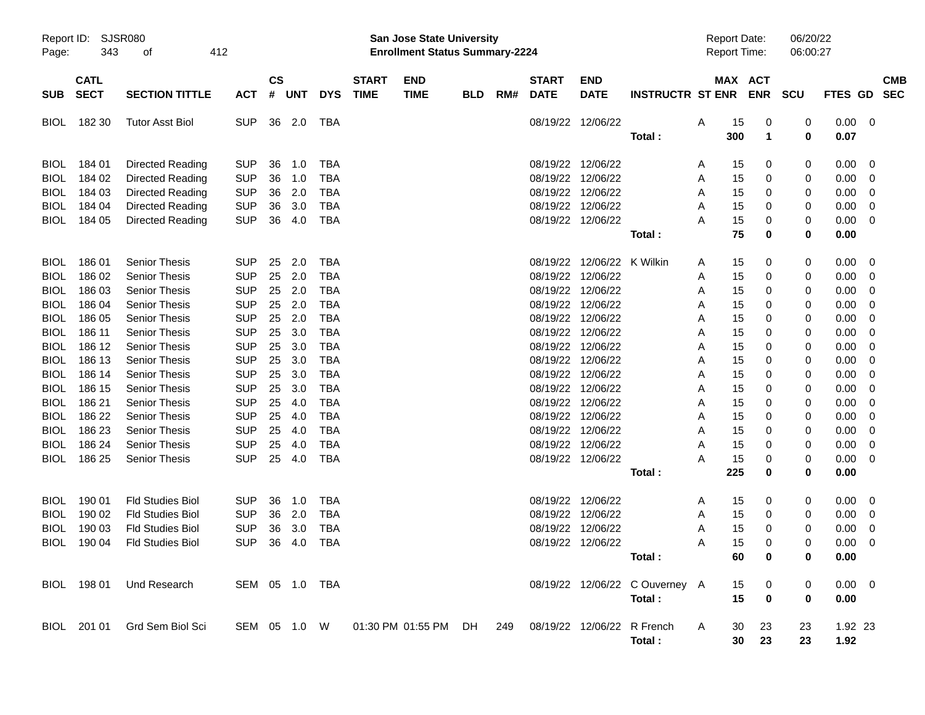| Report ID:<br>Page: | SJSR080<br>343             | 412<br>οf                    |                |                |            |            |                             | San Jose State University<br><b>Enrollment Status Summary-2224</b> |            |     |                             |                            |                                      | <b>Report Date:</b><br>Report Time: |                       |                       | 06/20/22<br>06:00:27 |                 |                          |            |
|---------------------|----------------------------|------------------------------|----------------|----------------|------------|------------|-----------------------------|--------------------------------------------------------------------|------------|-----|-----------------------------|----------------------------|--------------------------------------|-------------------------------------|-----------------------|-----------------------|----------------------|-----------------|--------------------------|------------|
| <b>SUB</b>          | <b>CATL</b><br><b>SECT</b> | <b>SECTION TITTLE</b>        | <b>ACT</b>     | <b>CS</b><br># | <b>UNT</b> | <b>DYS</b> | <b>START</b><br><b>TIME</b> | <b>END</b><br><b>TIME</b>                                          | <b>BLD</b> | RM# | <b>START</b><br><b>DATE</b> | <b>END</b><br><b>DATE</b>  | <b>INSTRUCTR ST ENR</b>              |                                     |                       | MAX ACT<br><b>ENR</b> | <b>SCU</b>           | FTES GD SEC     |                          | <b>CMB</b> |
| <b>BIOL</b>         | 182 30                     | <b>Tutor Asst Biol</b>       | <b>SUP</b>     | 36             | 2.0        | TBA        |                             |                                                                    |            |     | 08/19/22 12/06/22           |                            | Total:                               | Α                                   | 15<br>300             | 0<br>1                | 0<br>0               | 0.00<br>0.07    | $\overline{\phantom{0}}$ |            |
| <b>BIOL</b>         | 184 01                     | Directed Reading             | <b>SUP</b>     | 36             | 1.0        | <b>TBA</b> |                             |                                                                    |            |     | 08/19/22 12/06/22           |                            |                                      | A                                   | 15                    | 0                     | 0                    | 0.00            | $\overline{\mathbf{0}}$  |            |
| <b>BIOL</b>         | 184 02                     | Directed Reading             | <b>SUP</b>     | 36             | 1.0        | <b>TBA</b> |                             |                                                                    |            |     | 08/19/22 12/06/22           |                            |                                      | A                                   | 15                    | 0                     | 0                    | 0.00            | - 0                      |            |
| <b>BIOL</b>         | 184 03                     | Directed Reading             | <b>SUP</b>     | 36             | 2.0        | <b>TBA</b> |                             |                                                                    |            |     | 08/19/22 12/06/22           |                            |                                      | A                                   | 15                    | 0                     | 0                    | 0.00            | $\overline{\mathbf{0}}$  |            |
| <b>BIOL</b>         | 184 04                     | Directed Reading             | <b>SUP</b>     | 36             | 3.0        | <b>TBA</b> |                             |                                                                    |            |     | 08/19/22 12/06/22           |                            |                                      | A                                   | 15                    | 0                     | 0                    | 0.00            | $\overline{\mathbf{0}}$  |            |
| <b>BIOL</b>         | 184 05                     | Directed Reading             | <b>SUP</b>     | 36             | 4.0        | <b>TBA</b> |                             |                                                                    |            |     | 08/19/22 12/06/22           |                            |                                      | А                                   | 15                    | 0                     | 0                    | 0.00            | $\overline{\mathbf{0}}$  |            |
|                     |                            |                              |                |                |            |            |                             |                                                                    |            |     |                             |                            | Total:                               |                                     | 75                    | 0                     | 0                    | 0.00            |                          |            |
| <b>BIOL</b>         | 186 01                     | <b>Senior Thesis</b>         | <b>SUP</b>     | 25             | 2.0        | <b>TBA</b> |                             |                                                                    |            |     |                             | 08/19/22 12/06/22 K Wilkin |                                      | A                                   | 15                    | 0                     | 0                    | 0.00            | $\overline{\mathbf{0}}$  |            |
| <b>BIOL</b>         | 186 02                     | <b>Senior Thesis</b>         | <b>SUP</b>     | 25             | 2.0        | <b>TBA</b> |                             |                                                                    |            |     | 08/19/22 12/06/22           |                            |                                      | A                                   | 15                    | 0                     | 0                    | 0.00            | - 0                      |            |
| <b>BIOL</b>         | 186 03                     | Senior Thesis                | <b>SUP</b>     | 25             | 2.0        | <b>TBA</b> |                             |                                                                    |            |     | 08/19/22 12/06/22           |                            |                                      | A                                   | 15                    | 0                     | 0                    | 0.00            | $\overline{\mathbf{0}}$  |            |
| <b>BIOL</b>         | 186 04                     | <b>Senior Thesis</b>         | <b>SUP</b>     | 25             | 2.0        | <b>TBA</b> |                             |                                                                    |            |     | 08/19/22 12/06/22           |                            |                                      | A                                   | 15                    | 0                     | 0                    | 0.00            | - 0                      |            |
| <b>BIOL</b>         | 186 05                     | <b>Senior Thesis</b>         | <b>SUP</b>     | 25             | 2.0        | <b>TBA</b> |                             |                                                                    |            |     | 08/19/22 12/06/22           |                            |                                      | Α                                   | 15                    | 0                     | 0                    | 0.00            | - 0                      |            |
| <b>BIOL</b>         | 186 11                     | Senior Thesis                | <b>SUP</b>     | 25             | 3.0        | <b>TBA</b> |                             |                                                                    |            |     | 08/19/22 12/06/22           |                            |                                      | A                                   | 15                    | 0                     | 0                    | 0.00            | - 0                      |            |
| <b>BIOL</b>         | 186 12                     | Senior Thesis                | <b>SUP</b>     | 25             | 3.0        | <b>TBA</b> |                             |                                                                    |            |     | 08/19/22 12/06/22           |                            |                                      | A                                   | 15                    | 0                     | 0                    | 0.00            | - 0                      |            |
| <b>BIOL</b>         | 186 13                     | <b>Senior Thesis</b>         | <b>SUP</b>     | 25             | 3.0        | <b>TBA</b> |                             |                                                                    |            |     | 08/19/22 12/06/22           |                            |                                      | Α                                   | 15                    | 0                     | 0                    | 0.00            | - 0                      |            |
| <b>BIOL</b>         | 186 14                     | <b>Senior Thesis</b>         | <b>SUP</b>     | 25             | 3.0        | <b>TBA</b> |                             |                                                                    |            |     | 08/19/22 12/06/22           |                            |                                      | A                                   | 15                    | 0                     | 0                    | 0.00            | - 0                      |            |
| <b>BIOL</b>         | 186 15                     | Senior Thesis                | <b>SUP</b>     | 25             | 3.0        | <b>TBA</b> |                             |                                                                    |            |     | 08/19/22 12/06/22           |                            |                                      | A                                   | 15                    | 0                     | 0                    | 0.00            | - 0                      |            |
| <b>BIOL</b>         | 186 21                     | <b>Senior Thesis</b>         | <b>SUP</b>     | 25             | 4.0        | <b>TBA</b> |                             |                                                                    |            |     | 08/19/22 12/06/22           |                            |                                      | A                                   | 15                    | 0                     | 0                    | 0.00            | - 0                      |            |
| <b>BIOL</b>         | 186 22                     | <b>Senior Thesis</b>         | <b>SUP</b>     | 25             | 4.0        | <b>TBA</b> |                             |                                                                    |            |     | 08/19/22 12/06/22           |                            |                                      | A                                   | 15                    | 0                     | 0                    | 0.00            | - 0                      |            |
| <b>BIOL</b>         | 186 23                     | <b>Senior Thesis</b>         | <b>SUP</b>     | 25             | 4.0        | <b>TBA</b> |                             |                                                                    |            |     | 08/19/22 12/06/22           |                            |                                      | A                                   | 15                    | 0                     | 0                    | 0.00            | - 0                      |            |
| <b>BIOL</b>         | 186 24                     | <b>Senior Thesis</b>         | <b>SUP</b>     | 25             | 4.0        | <b>TBA</b> |                             |                                                                    |            |     | 08/19/22 12/06/22           |                            |                                      | A                                   | 15                    | 0                     | 0                    | 0.00            | $\overline{\mathbf{0}}$  |            |
| <b>BIOL</b>         | 186 25                     | <b>Senior Thesis</b>         | <b>SUP</b>     | 25             | 4.0        | TBA        |                             |                                                                    |            |     | 08/19/22 12/06/22           |                            |                                      | А                                   | 15                    | 0                     | 0                    | 0.00            | $\overline{\phantom{0}}$ |            |
|                     |                            |                              |                |                |            |            |                             |                                                                    |            |     |                             |                            | Total:                               |                                     | 225                   | 0                     | 0                    | 0.00            |                          |            |
| <b>BIOL</b>         | 190 01                     | Fld Studies Biol             | <b>SUP</b>     | 36             | 1.0        | <b>TBA</b> |                             |                                                                    |            |     | 08/19/22 12/06/22           |                            |                                      | A                                   | 15                    | 0                     | 0                    | 0.00            | - 0                      |            |
| <b>BIOL</b>         | 190 02                     | <b>Fld Studies Biol</b>      | <b>SUP</b>     | 36             | 2.0        | <b>TBA</b> |                             |                                                                    |            |     | 08/19/22 12/06/22           |                            |                                      | A                                   | 15                    | 0                     | 0                    | 0.00            | $\overline{0}$           |            |
| <b>BIOL</b>         | 190 03                     | <b>Fld Studies Biol</b>      | <b>SUP</b>     | 36             | 3.0        | <b>TBA</b> |                             |                                                                    |            |     | 08/19/22 12/06/22           |                            |                                      | A                                   | 15                    | 0                     | 0                    | 0.00            | $\overline{\mathbf{0}}$  |            |
| <b>BIOL</b>         | 190 04                     | <b>Fld Studies Biol</b>      | <b>SUP</b>     | 36             | 4.0        | <b>TBA</b> |                             |                                                                    |            |     | 08/19/22 12/06/22           |                            |                                      | A                                   | 15                    | 0                     | 0                    | 0.00            | - 0                      |            |
|                     |                            |                              |                |                |            |            |                             |                                                                    |            |     |                             |                            | Total:                               |                                     | 60                    | 0                     | 0                    | 0.00            |                          |            |
|                     |                            | BIOL 198 01 Und Research     | SEM 05 1.0 TBA |                |            |            |                             |                                                                    |            |     |                             |                            | 08/19/22 12/06/22 COuverney A        |                                     | 15                    | 0                     | 0                    | $0.00 \t 0$     |                          |            |
|                     |                            |                              |                |                |            |            |                             |                                                                    |            |     |                             |                            | Total:                               |                                     | 15                    | 0                     | 0                    | 0.00            |                          |            |
|                     |                            | BIOL 201 01 Grd Sem Biol Sci | SEM 05 1.0 W   |                |            |            |                             | 01:30 PM 01:55 PM DH                                               |            | 249 |                             |                            | 08/19/22 12/06/22 R French<br>Total: | A                                   | 30<br>30 <sub>o</sub> | 23<br>23              | 23<br>23             | 1.92 23<br>1.92 |                          |            |
|                     |                            |                              |                |                |            |            |                             |                                                                    |            |     |                             |                            |                                      |                                     |                       |                       |                      |                 |                          |            |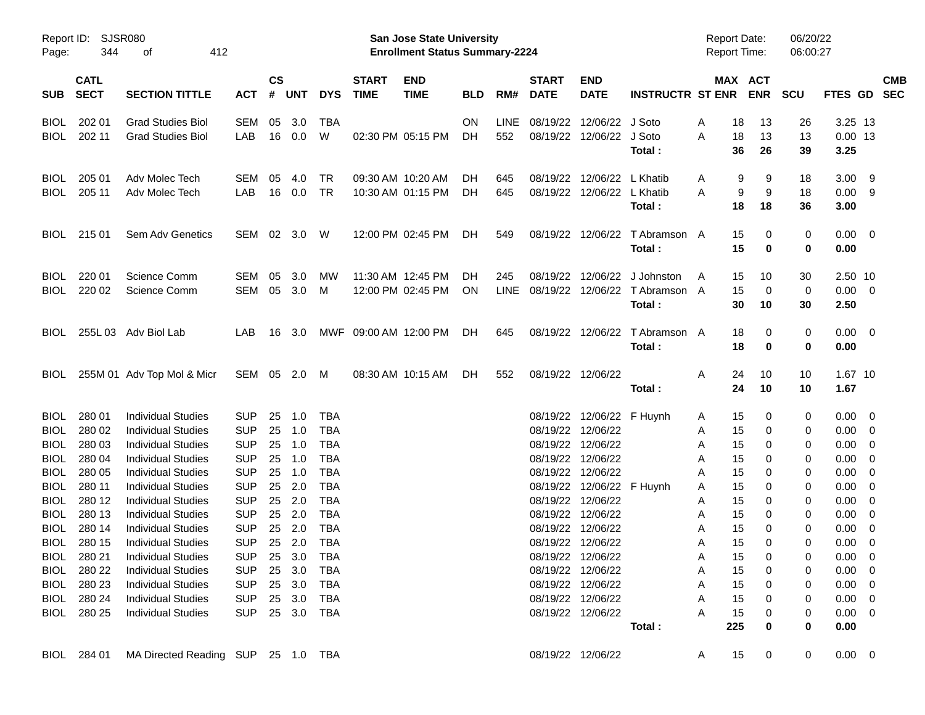| Report ID:<br>Page: | 344                        | <b>SJSR080</b><br>412<br>οf                            |                          |                             |            |                          |                             | San Jose State University<br><b>Enrollment Status Summary-2224</b> |            |             |                             |                                        |                         | <b>Report Date:</b><br>Report Time: |                            | 06/20/22<br>06:00:27 |                               |                          |                          |
|---------------------|----------------------------|--------------------------------------------------------|--------------------------|-----------------------------|------------|--------------------------|-----------------------------|--------------------------------------------------------------------|------------|-------------|-----------------------------|----------------------------------------|-------------------------|-------------------------------------|----------------------------|----------------------|-------------------------------|--------------------------|--------------------------|
| <b>SUB</b>          | <b>CATL</b><br><b>SECT</b> | <b>SECTION TITTLE</b>                                  | <b>ACT</b>               | $\mathbf{c}\mathbf{s}$<br># | <b>UNT</b> | <b>DYS</b>               | <b>START</b><br><b>TIME</b> | <b>END</b><br><b>TIME</b>                                          | <b>BLD</b> | RM#         | <b>START</b><br><b>DATE</b> | <b>END</b><br><b>DATE</b>              | <b>INSTRUCTR ST ENR</b> |                                     | MAX ACT<br><b>ENR</b>      | <b>SCU</b>           | <b>FTES GD</b>                |                          | <b>CMB</b><br><b>SEC</b> |
| <b>BIOL</b>         | 202 01                     | <b>Grad Studies Biol</b>                               | SEM                      | 05                          | 3.0        | TBA                      |                             |                                                                    | <b>ON</b>  | LINE        | 08/19/22                    | 12/06/22                               | J Soto                  | A                                   | 13<br>18                   | 26                   | 3.25 13                       |                          |                          |
| <b>BIOL</b>         | 202 11                     | <b>Grad Studies Biol</b>                               | LAB                      | 16                          | 0.0        | W                        |                             | 02:30 PM 05:15 PM                                                  | DH         | 552         | 08/19/22                    | 12/06/22                               | J Soto                  | A                                   | 18<br>13                   | 13                   | $0.00$ 13                     |                          |                          |
|                     |                            |                                                        |                          |                             |            |                          |                             |                                                                    |            |             |                             |                                        | Total:                  |                                     | 36<br>26                   | 39                   | 3.25                          |                          |                          |
| <b>BIOL</b>         | 205 01                     | Adv Molec Tech                                         | SEM                      | 05                          | 4.0        | <b>TR</b>                |                             | 09:30 AM 10:20 AM                                                  | DН         | 645         | 08/19/22                    | 12/06/22                               | L Khatib                | A                                   | 9<br>9                     | 18                   | 3.00                          | - 9                      |                          |
| <b>BIOL</b>         | 205 11                     | Adv Molec Tech                                         | LAB                      | 16                          | 0.0        | TR                       |                             | 10:30 AM 01:15 PM                                                  | DH.        | 645         | 08/19/22                    | 12/06/22                               | L Khatib                | A                                   | 9<br>9                     | 18                   | 0.00                          | - 9                      |                          |
|                     |                            |                                                        |                          |                             |            |                          |                             |                                                                    |            |             |                             |                                        | Total:                  |                                     | 18<br>18                   | 36                   | 3.00                          |                          |                          |
| <b>BIOL</b>         | 215 01                     | Sem Adv Genetics                                       | SEM 02 3.0               |                             |            | W                        |                             | 12:00 PM 02:45 PM                                                  | DH.        | 549         | 08/19/22                    | 12/06/22                               | T Abramson A            |                                     | 15<br>0                    | 0                    | $0.00 \quad 0$                |                          |                          |
|                     |                            |                                                        |                          |                             |            |                          |                             |                                                                    |            |             |                             |                                        | Total:                  |                                     | 15<br>0                    | 0                    | 0.00                          |                          |                          |
| <b>BIOL</b>         | 220 01                     | Science Comm                                           | SEM                      | 05                          | 3.0        | MW                       |                             | 11:30 AM 12:45 PM                                                  | DН         | 245         | 08/19/22                    | 12/06/22                               | J Johnston              | A                                   | 15<br>10                   | 30                   | 2.50 10                       |                          |                          |
| <b>BIOL</b>         | 220 02                     | Science Comm                                           | SEM 05 3.0               |                             |            | M                        |                             | 12:00 PM 02:45 PM                                                  | <b>ON</b>  | <b>LINE</b> | 08/19/22                    | 12/06/22                               | T Abramson A            |                                     | 15<br>0                    | 0                    | 0.00                          | $\overline{\phantom{0}}$ |                          |
|                     |                            |                                                        |                          |                             |            |                          |                             |                                                                    |            |             |                             |                                        | Total:                  |                                     | 30<br>10                   | 30                   | 2.50                          |                          |                          |
| <b>BIOL</b>         |                            | 255L 03 Adv Biol Lab                                   | LAB.                     | 16                          | 3.0        |                          | MWF 09:00 AM 12:00 PM       |                                                                    | DH.        | 645         |                             | 08/19/22 12/06/22                      | T Abramson A            |                                     | 18<br>0                    | 0                    | $0.00 \quad 0$                |                          |                          |
|                     |                            |                                                        |                          |                             |            |                          |                             |                                                                    |            |             |                             |                                        | Total:                  |                                     | 18<br>0                    | 0                    | 0.00                          |                          |                          |
| <b>BIOL</b>         |                            | 255M 01 Adv Top Mol & Micr                             | SEM 05 2.0               |                             |            | M                        |                             | 08:30 AM 10:15 AM                                                  | DH         | 552         |                             | 08/19/22 12/06/22                      |                         | A                                   | 24<br>10                   | 10                   | 1.67 10                       |                          |                          |
|                     |                            |                                                        |                          |                             |            |                          |                             |                                                                    |            |             |                             |                                        | Total:                  |                                     | 24<br>10                   | 10                   | 1.67                          |                          |                          |
| <b>BIOL</b>         | 280 01                     | <b>Individual Studies</b>                              | <b>SUP</b>               | 25                          | 1.0        | <b>TBA</b>               |                             |                                                                    |            |             | 08/19/22                    | 12/06/22 F Huynh                       |                         | A                                   | 15<br>0                    | 0                    | 0.00                          | - 0                      |                          |
| <b>BIOL</b>         | 280 02                     | <b>Individual Studies</b>                              | <b>SUP</b>               | 25                          | 1.0        | <b>TBA</b>               |                             |                                                                    |            |             | 08/19/22                    | 12/06/22                               |                         | A                                   | 15<br>0                    | 0                    | 0.00                          | $\mathbf 0$              |                          |
| <b>BIOL</b>         | 280 03                     | <b>Individual Studies</b>                              | <b>SUP</b>               | 25                          | 1.0        | <b>TBA</b>               |                             |                                                                    |            |             | 08/19/22                    | 12/06/22                               |                         | Α                                   | 15<br>0                    | 0                    | 0.00                          | 0                        |                          |
| <b>BIOL</b>         | 280 04                     | <b>Individual Studies</b>                              | <b>SUP</b>               | 25                          | 1.0        | <b>TBA</b>               |                             |                                                                    |            |             | 08/19/22                    | 12/06/22                               |                         | Α                                   | 15<br>0                    | 0                    | 0.00                          | 0                        |                          |
| <b>BIOL</b>         | 280 05                     | <b>Individual Studies</b>                              | <b>SUP</b>               | 25                          | 1.0        | <b>TBA</b>               |                             |                                                                    |            |             | 08/19/22                    | 12/06/22                               |                         | Α                                   | 15<br>0                    | 0                    | 0.00                          | 0                        |                          |
| <b>BIOL</b>         | 280 11                     | <b>Individual Studies</b>                              | <b>SUP</b>               | 25                          | 2.0        | <b>TBA</b>               |                             |                                                                    |            |             | 08/19/22                    | 12/06/22 F Huynh                       |                         | A                                   | 15<br>0                    | 0                    | 0.00                          | 0                        |                          |
| <b>BIOL</b>         | 280 12                     | <b>Individual Studies</b>                              | <b>SUP</b>               | 25                          | 2.0        | <b>TBA</b>               |                             |                                                                    |            |             | 08/19/22                    | 12/06/22                               |                         | Α                                   | 15<br>0                    | 0                    | 0.00                          | 0                        |                          |
| <b>BIOL</b>         | 280 13                     | <b>Individual Studies</b>                              | <b>SUP</b>               | 25                          | 2.0        | <b>TBA</b>               |                             |                                                                    |            |             | 08/19/22                    | 12/06/22                               |                         | A                                   | 15<br>0                    | 0                    | 0.00                          | 0                        |                          |
| <b>BIOL</b>         | 280 14<br>280 15           | <b>Individual Studies</b><br><b>Individual Studies</b> | <b>SUP</b>               | 25                          | 2.0        | <b>TBA</b><br><b>TBA</b> |                             |                                                                    |            |             | 08/19/22                    | 12/06/22                               |                         | Α                                   | 15<br>0<br>15              | 0                    | 0.00                          | 0                        |                          |
| <b>BIOL</b>         |                            |                                                        | <b>SUP</b>               | 25                          | 2.0        |                          |                             |                                                                    |            |             | 08/19/22                    | 12/06/22                               |                         | A                                   | 0                          | $\mathbf 0$          | 0.00                          | 0                        |                          |
| <b>BIOL</b>         | 280 21                     | <b>Individual Studies</b>                              | <b>SUP</b>               |                             | 25 3.0     | <b>TBA</b>               |                             |                                                                    |            |             |                             | 08/19/22 12/06/22                      |                         | A                                   | 15<br>0                    | 0                    | 0.00                          | $\overline{\mathbf{0}}$  |                          |
|                     | BIOL 280 22                | <b>Individual Studies</b>                              |                          |                             |            | SUP 25 3.0 TBA           |                             |                                                                    |            |             |                             | 08/19/22 12/06/22<br>08/19/22 12/06/22 |                         | A                                   | 15<br>$\overline{0}$<br>15 | 0                    | $0.00 \quad 0$                |                          |                          |
|                     | BIOL 280 23<br>BIOL 280 24 | <b>Individual Studies</b><br><b>Individual Studies</b> | <b>SUP</b><br><b>SUP</b> |                             | 25 3.0     | TBA                      |                             |                                                                    |            |             |                             | 08/19/22 12/06/22                      |                         | A                                   | 0<br>15                    | 0                    | $0.00 \quad 0$                |                          |                          |
|                     | BIOL 280 25                | <b>Individual Studies</b>                              | SUP 25 3.0 TBA           |                             | 25 3.0     | TBA                      |                             |                                                                    |            |             |                             | 08/19/22 12/06/22                      |                         | A<br>A                              | 0<br>15<br>0               | 0<br>0               | $0.00 \quad 0$<br>$0.00 \t 0$ |                          |                          |
|                     |                            |                                                        |                          |                             |            |                          |                             |                                                                    |            |             |                             |                                        | Total:                  | 225                                 | 0                          | $\mathbf 0$          | 0.00                          |                          |                          |
|                     |                            |                                                        |                          |                             |            |                          |                             |                                                                    |            |             |                             |                                        |                         |                                     |                            |                      |                               |                          |                          |
|                     |                            | BIOL 284 01 MA Directed Reading SUP 25 1.0 TBA         |                          |                             |            |                          |                             |                                                                    |            |             |                             | 08/19/22 12/06/22                      |                         | $\mathsf{A}$                        | 15<br>$\mathbf 0$          | 0                    | $0.00 \t 0$                   |                          |                          |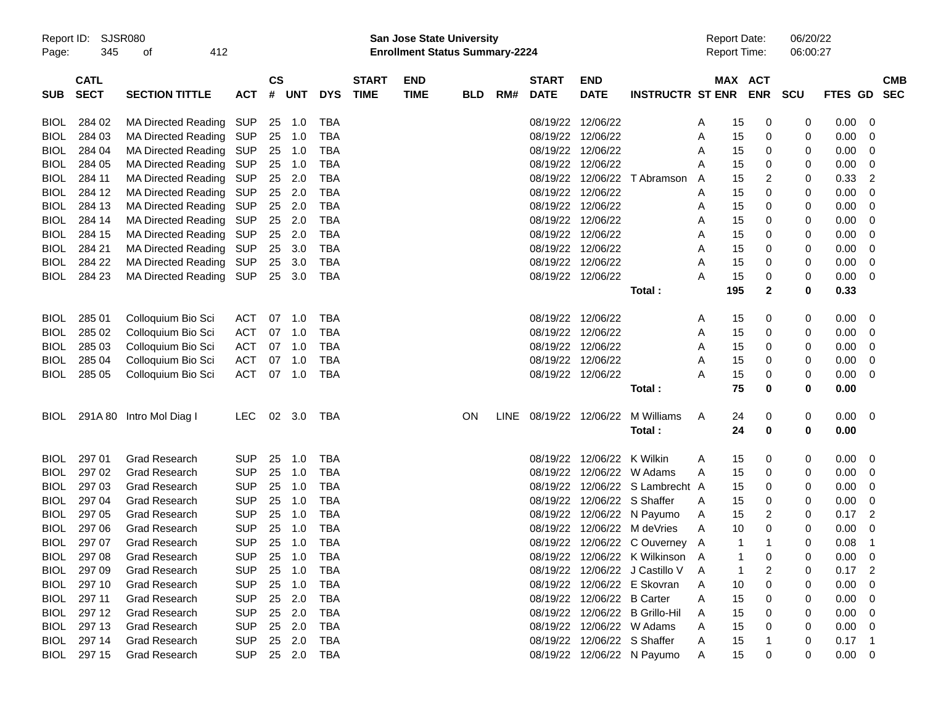|             | Report ID: SJSR080<br>345<br>412<br>of |                                |            |           |            |            |              | <b>San Jose State University</b>      |            |     |                   |                             |                                 |   | <b>Report Date:</b> |             | 06/20/22 |                |             |  |
|-------------|----------------------------------------|--------------------------------|------------|-----------|------------|------------|--------------|---------------------------------------|------------|-----|-------------------|-----------------------------|---------------------------------|---|---------------------|-------------|----------|----------------|-------------|--|
| Page:       |                                        |                                |            |           |            |            |              | <b>Enrollment Status Summary-2224</b> |            |     |                   |                             |                                 |   | <b>Report Time:</b> |             | 06:00:27 |                |             |  |
|             | <b>CATL</b>                            |                                |            | <b>CS</b> |            |            | <b>START</b> | <b>END</b>                            |            |     | <b>START</b>      | <b>END</b>                  |                                 |   | MAX ACT             |             |          |                | <b>CMB</b>  |  |
| <b>SUB</b>  | <b>SECT</b>                            | <b>SECTION TITTLE</b>          | <b>ACT</b> | #         | <b>UNT</b> | <b>DYS</b> | <b>TIME</b>  | <b>TIME</b>                           | <b>BLD</b> | RM# | <b>DATE</b>       | <b>DATE</b>                 | INSTRUCTR ST ENR ENR SCU        |   |                     |             |          | <b>FTES GD</b> | <b>SEC</b>  |  |
| <b>BIOL</b> | 284 02                                 | MA Directed Reading SUP        |            |           | 25 1.0     | TBA        |              |                                       |            |     | 08/19/22 12/06/22 |                             |                                 | A | 15                  | 0           | 0        | 0.00           | 0           |  |
| <b>BIOL</b> | 284 03                                 | MA Directed Reading SUP        |            | 25        | 1.0        | TBA        |              |                                       |            |     | 08/19/22 12/06/22 |                             |                                 | A | 15                  | 0           | 0        | 0.00           | 0           |  |
| <b>BIOL</b> | 284 04                                 | MA Directed Reading SUP        |            |           | 25 1.0     | TBA        |              |                                       |            |     |                   | 08/19/22 12/06/22           |                                 | A | 15                  | 0           | 0        | 0.00           | 0           |  |
| <b>BIOL</b> | 284 05                                 | MA Directed Reading SUP        |            | 25        | 1.0        | TBA        |              |                                       |            |     | 08/19/22 12/06/22 |                             |                                 | A | 15                  | 0           | 0        | 0.00           | 0           |  |
| <b>BIOL</b> | 284 11                                 | MA Directed Reading SUP        |            | 25        | 2.0        | TBA        |              |                                       |            |     |                   | 08/19/22 12/06/22           | T Abramson                      | A | 15                  | 2           | 0        | 0.33           | 2           |  |
| <b>BIOL</b> | 284 12                                 | MA Directed Reading SUP        |            | 25        | 2.0        | <b>TBA</b> |              |                                       |            |     | 08/19/22 12/06/22 |                             |                                 | A | 15                  | 0           | 0        | 0.00           | 0           |  |
| <b>BIOL</b> | 284 13                                 | MA Directed Reading SUP        |            | 25        | 2.0        | <b>TBA</b> |              |                                       |            |     | 08/19/22 12/06/22 |                             |                                 | A | 15                  | 0           | 0        | 0.00           | 0           |  |
| <b>BIOL</b> | 284 14                                 | MA Directed Reading SUP        |            | 25        | 2.0        | TBA        |              |                                       |            |     |                   | 08/19/22 12/06/22           |                                 | A | 15                  | 0           | 0        | 0.00           | 0           |  |
| <b>BIOL</b> | 284 15                                 | MA Directed Reading SUP        |            | 25        | 2.0        | TBA        |              |                                       |            |     | 08/19/22 12/06/22 |                             |                                 | A | 15                  | 0           | 0        | 0.00           | 0           |  |
| <b>BIOL</b> | 284 21                                 | MA Directed Reading SUP        |            | 25        | 3.0        | TBA        |              |                                       |            |     | 08/19/22 12/06/22 |                             |                                 | A | 15                  | 0           | 0        | 0.00           | 0           |  |
| <b>BIOL</b> | 284 22                                 | MA Directed Reading SUP        |            |           | 25 3.0     | <b>TBA</b> |              |                                       |            |     | 08/19/22 12/06/22 |                             |                                 | Α | 15                  | 0           | 0        | 0.00           | 0           |  |
| <b>BIOL</b> | 284 23                                 | MA Directed Reading SUP 25 3.0 |            |           |            | TBA        |              |                                       |            |     | 08/19/22 12/06/22 |                             |                                 | A | 15                  | 0           | 0        | 0.00           | 0           |  |
|             |                                        |                                |            |           |            |            |              |                                       |            |     |                   |                             | Total:                          |   | 195                 | 2           | 0        | 0.33           |             |  |
| <b>BIOL</b> | 285 01                                 | Colloquium Bio Sci             | ACT        | 07        | 1.0        | TBA        |              |                                       |            |     | 08/19/22 12/06/22 |                             |                                 | A | 15                  | 0           | 0        | 0.00           | 0           |  |
| <b>BIOL</b> | 285 02                                 | Colloquium Bio Sci             | ACT        | 07        | 1.0        | <b>TBA</b> |              |                                       |            |     | 08/19/22 12/06/22 |                             |                                 | A | 15                  | 0           | 0        | 0.00           | 0           |  |
| <b>BIOL</b> | 285 03                                 | Colloquium Bio Sci             | ACT        | 07        | 1.0        | TBA        |              |                                       |            |     | 08/19/22 12/06/22 |                             |                                 | A | 15                  | 0           | 0        | 0.00           | 0           |  |
| <b>BIOL</b> | 285 04                                 | Colloquium Bio Sci             | <b>ACT</b> | 07        | 1.0        | TBA        |              |                                       |            |     | 08/19/22 12/06/22 |                             |                                 | A | 15                  | 0           | 0        | 0.00           | 0           |  |
| BIOL        | 285 05                                 | Colloquium Bio Sci             | ACT        |           | 07 1.0     | TBA        |              |                                       |            |     | 08/19/22 12/06/22 |                             |                                 | A | 15                  | 0           | 0        | 0.00           | 0           |  |
|             |                                        |                                |            |           |            |            |              |                                       |            |     |                   |                             | Total:                          |   | 75                  | 0           | 0        | 0.00           |             |  |
| <b>BIOL</b> |                                        | 291A 80 Intro Mol Diag I       | LEC.       |           | 02 3.0     | TBA        |              |                                       | <b>ON</b>  |     |                   | LINE 08/19/22 12/06/22      | M Williams                      | A | 24                  | 0           | 0        | 0.00           | 0           |  |
|             |                                        |                                |            |           |            |            |              |                                       |            |     |                   |                             | Total:                          |   | 24                  | 0           | 0        | 0.00           |             |  |
| <b>BIOL</b> | 297 01                                 | <b>Grad Research</b>           | <b>SUP</b> | 25        | 1.0        | TBA        |              |                                       |            |     |                   | 08/19/22 12/06/22 K Wilkin  |                                 | A | 15                  | 0           | 0        | 0.00           | 0           |  |
| <b>BIOL</b> | 297 02                                 | <b>Grad Research</b>           | <b>SUP</b> | 25        | 1.0        | TBA        |              |                                       |            |     |                   |                             | 08/19/22 12/06/22 W Adams       | A | 15                  | 0           | 0        | 0.00           | 0           |  |
| <b>BIOL</b> | 297 03                                 | <b>Grad Research</b>           | <b>SUP</b> | 25        | 1.0        | <b>TBA</b> |              |                                       |            |     |                   |                             | 08/19/22 12/06/22 S Lambrecht A |   | 15                  | 0           | 0        | 0.00           | 0           |  |
| <b>BIOL</b> | 297 04                                 | <b>Grad Research</b>           | <b>SUP</b> | 25        | 1.0        | <b>TBA</b> |              |                                       |            |     |                   | 08/19/22 12/06/22 S Shaffer |                                 | A | 15                  | 0           | 0        | 0.00           | 0           |  |
| <b>BIOL</b> | 297 05                                 | <b>Grad Research</b>           | <b>SUP</b> | 25        | 1.0        | <b>TBA</b> |              |                                       |            |     |                   |                             | 08/19/22 12/06/22 N Payumo      | A | 15                  | 2           | 0        | 0.17           | 2           |  |
| <b>BIOL</b> | 297 06                                 | <b>Grad Research</b>           | <b>SUP</b> | 25        | 1.0        | <b>TBA</b> |              |                                       |            |     |                   |                             | 08/19/22 12/06/22 M deVries     | A | 10                  | 0           | 0        | 0.00           | 0           |  |
| BIOL        | 297 07                                 | <b>Grad Research</b>           | <b>SUP</b> | 25        | 1.0        | <b>TBA</b> |              |                                       |            |     |                   |                             | 08/19/22 12/06/22 C Ouverney A  |   | 1                   | -1          | 0        | 0.08           | $\mathbf 1$ |  |
|             | BIOL 297 08                            | Grad Research                  | <b>SUP</b> |           | 25 1.0 TBA |            |              |                                       |            |     |                   |                             | 08/19/22 12/06/22 K Wilkinson   |   | $\overline{A}$      | $\mathbf 0$ |          | $0.00 \t 0$    |             |  |
| <b>BIOL</b> | 297 09                                 | <b>Grad Research</b>           | <b>SUP</b> | 25        | 1.0        | TBA        |              |                                       |            |     |                   |                             | 08/19/22 12/06/22 J Castillo V  | A |                     | 2           | 0        | 0.17           | 2           |  |
| <b>BIOL</b> | 297 10                                 | <b>Grad Research</b>           | <b>SUP</b> | 25        | 1.0        | <b>TBA</b> |              |                                       |            |     |                   |                             | 08/19/22 12/06/22 E Skovran     | A | 10                  | 0           |          | 0.00           | 0           |  |
| <b>BIOL</b> | 297 11                                 | <b>Grad Research</b>           | <b>SUP</b> | 25        | 2.0        | <b>TBA</b> |              |                                       |            |     |                   | 08/19/22 12/06/22 B Carter  |                                 | Α | 15                  | 0           |          | 0.00           | 0           |  |
| <b>BIOL</b> | 297 12                                 | <b>Grad Research</b>           | <b>SUP</b> | 25        | 2.0        | <b>TBA</b> |              |                                       |            |     |                   |                             | 08/19/22 12/06/22 B Grillo-Hil  | Α | 15                  | 0           | 0        | 0.00           | 0           |  |
| <b>BIOL</b> | 297 13                                 | <b>Grad Research</b>           | <b>SUP</b> | 25        | 2.0        | <b>TBA</b> |              |                                       |            |     |                   |                             | 08/19/22 12/06/22 W Adams       | Α | 15                  | 0           | 0        | 0.00           | 0           |  |
| <b>BIOL</b> | 297 14                                 | <b>Grad Research</b>           | <b>SUP</b> | 25        | 2.0        | <b>TBA</b> |              |                                       |            |     |                   | 08/19/22 12/06/22 S Shaffer |                                 | Α | 15                  |             | 0        | 0.17           | -1          |  |
| BIOL        | 297 15                                 | <b>Grad Research</b>           | <b>SUP</b> |           | 25 2.0     | TBA        |              |                                       |            |     |                   |                             | 08/19/22 12/06/22 N Payumo      | Α | 15                  | 0           | 0        | 0.00           | 0           |  |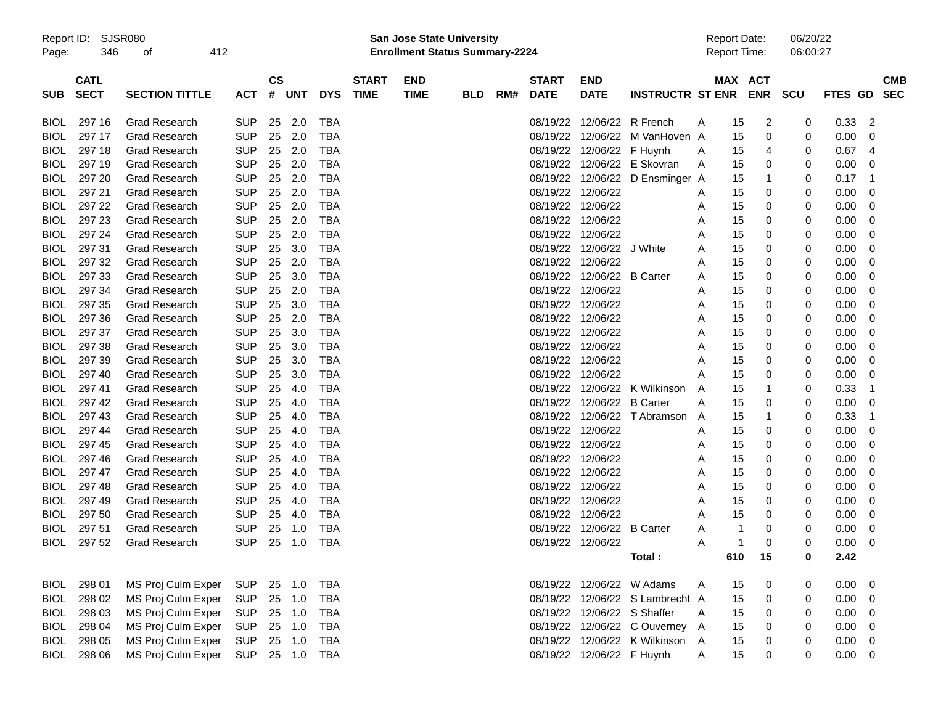| Report ID: |  | SJSR08 |
|------------|--|--------|
|------------|--|--------|

Report ID: SJSR080 **San Jose State University** Report Date: 06/20/22 Page: 346 of 412 **Enrollment Status Summary-2224** Report Time: 06:00:27

|             | <b>CATL</b> |                       |            | <b>CS</b> |            |            | <b>START</b> | <b>END</b>  |            |     | <b>START</b>      | <b>END</b>                  |                                 |         | MAX ACT              |             |                |                | <b>CMB</b> |
|-------------|-------------|-----------------------|------------|-----------|------------|------------|--------------|-------------|------------|-----|-------------------|-----------------------------|---------------------------------|---------|----------------------|-------------|----------------|----------------|------------|
| <b>SUB</b>  | <b>SECT</b> | <b>SECTION TITTLE</b> | <b>ACT</b> | #         | <b>UNT</b> | <b>DYS</b> | <b>TIME</b>  | <b>TIME</b> | <b>BLD</b> | RM# | <b>DATE</b>       | <b>DATE</b>                 | <b>INSTRUCTR ST ENR</b>         |         | <b>ENR</b>           | <b>SCU</b>  | <b>FTES GD</b> |                | <b>SEC</b> |
|             |             |                       |            |           |            |            |              |             |            |     |                   |                             |                                 |         |                      |             |                |                |            |
| <b>BIOL</b> | 297 16      | <b>Grad Research</b>  | <b>SUP</b> | 25        | 2.0        | TBA        |              |             |            |     |                   | 08/19/22 12/06/22 R French  |                                 | A       | $\overline{2}$<br>15 | 0           | 0.33           | $\overline{2}$ |            |
| <b>BIOL</b> | 297 17      | <b>Grad Research</b>  | <b>SUP</b> | 25        | 2.0        | <b>TBA</b> |              |             |            |     | 08/19/22          | 12/06/22                    | M VanHoven A                    | 15      | $\mathbf 0$          | 0           | 0.00           | $\Omega$       |            |
| <b>BIOL</b> | 297 18      | <b>Grad Research</b>  | <b>SUP</b> | 25        | 2.0        | <b>TBA</b> |              |             |            |     | 08/19/22          | 12/06/22 F Huynh            |                                 | A       | 15<br>4              | $\Omega$    | 0.67           | $\overline{4}$ |            |
| <b>BIOL</b> | 297 19      | <b>Grad Research</b>  | <b>SUP</b> | 25        | 2.0        | <b>TBA</b> |              |             |            |     |                   |                             | 08/19/22 12/06/22 E Skovran     | A       | 15<br>0              | 0           | 0.00           | $\mathbf 0$    |            |
| <b>BIOL</b> | 297 20      | <b>Grad Research</b>  | <b>SUP</b> | 25        | 2.0        | <b>TBA</b> |              |             |            |     |                   |                             | 08/19/22 12/06/22 D Ensminger A | 15      | $\mathbf 1$          | 0           | 0.17           | $\overline{1}$ |            |
| <b>BIOL</b> | 297 21      | <b>Grad Research</b>  | <b>SUP</b> | 25        | 2.0        | <b>TBA</b> |              |             |            |     | 08/19/22 12/06/22 |                             |                                 | 15<br>Α | 0                    | 0           | 0.00           | $\mathbf 0$    |            |
| <b>BIOL</b> | 297 22      | <b>Grad Research</b>  | <b>SUP</b> | 25        | 2.0        | <b>TBA</b> |              |             |            |     | 08/19/22 12/06/22 |                             |                                 | 15<br>A | 0                    | 0           | 0.00           | $\overline{0}$ |            |
| <b>BIOL</b> | 297 23      | <b>Grad Research</b>  | <b>SUP</b> | 25        | 2.0        | <b>TBA</b> |              |             |            |     | 08/19/22 12/06/22 |                             |                                 | 15<br>A | 0                    | 0           | 0.00           | $\mathbf 0$    |            |
| <b>BIOL</b> | 297 24      | <b>Grad Research</b>  | <b>SUP</b> | 25        | 2.0        | <b>TBA</b> |              |             |            |     | 08/19/22 12/06/22 |                             |                                 | 15<br>A | 0                    | 0           | 0.00           | $\overline{0}$ |            |
| <b>BIOL</b> | 297 31      | <b>Grad Research</b>  | <b>SUP</b> | 25        | 3.0        | <b>TBA</b> |              |             |            |     |                   | 08/19/22 12/06/22 J White   |                                 | 15<br>A | 0                    | 0           | 0.00           | $\mathbf 0$    |            |
| <b>BIOL</b> | 297 32      | <b>Grad Research</b>  | <b>SUP</b> | 25        | 2.0        | <b>TBA</b> |              |             |            |     | 08/19/22          | 12/06/22                    |                                 | 15<br>А | 0                    | 0           | 0.00           | $\overline{0}$ |            |
| <b>BIOL</b> | 297 33      | <b>Grad Research</b>  | <b>SUP</b> | 25        | 3.0        | <b>TBA</b> |              |             |            |     | 08/19/22          | 12/06/22 B Carter           |                                 | 15<br>A | 0                    | 0           | 0.00           | $\mathbf 0$    |            |
| <b>BIOL</b> | 297 34      | <b>Grad Research</b>  | <b>SUP</b> | 25        | 2.0        | <b>TBA</b> |              |             |            |     | 08/19/22 12/06/22 |                             |                                 | 15<br>A | 0                    | 0           | 0.00           | $\overline{0}$ |            |
| <b>BIOL</b> | 297 35      | <b>Grad Research</b>  | <b>SUP</b> | 25        | 3.0        | <b>TBA</b> |              |             |            |     | 08/19/22 12/06/22 |                             |                                 | 15<br>A | 0                    | 0           | 0.00           | $\mathbf 0$    |            |
| <b>BIOL</b> | 297 36      | <b>Grad Research</b>  | <b>SUP</b> | 25        | 2.0        | <b>TBA</b> |              |             |            |     | 08/19/22 12/06/22 |                             |                                 | 15<br>A | 0                    | 0           | 0.00           | $\overline{0}$ |            |
| <b>BIOL</b> | 297 37      | <b>Grad Research</b>  | <b>SUP</b> | 25        | 3.0        | <b>TBA</b> |              |             |            |     | 08/19/22 12/06/22 |                             |                                 | A<br>15 | 0                    | 0           | 0.00           | $\mathbf 0$    |            |
| <b>BIOL</b> | 297 38      | <b>Grad Research</b>  | <b>SUP</b> | 25        | 3.0        | <b>TBA</b> |              |             |            |     | 08/19/22 12/06/22 |                             |                                 | 15<br>A | $\mathbf 0$          | 0           | 0.00           | - 0            |            |
| <b>BIOL</b> | 297 39      | <b>Grad Research</b>  | <b>SUP</b> | 25        | 3.0        | <b>TBA</b> |              |             |            |     | 08/19/22 12/06/22 |                             |                                 | 15<br>A | 0                    | 0           | 0.00           | $\mathbf 0$    |            |
| <b>BIOL</b> | 297 40      | <b>Grad Research</b>  | <b>SUP</b> | 25        | 3.0        | <b>TBA</b> |              |             |            |     | 08/19/22 12/06/22 |                             |                                 | А<br>15 | 0                    | $\mathbf 0$ | 0.00           | $\overline{0}$ |            |
| <b>BIOL</b> | 297 41      | <b>Grad Research</b>  | <b>SUP</b> | 25        | 4.0        | <b>TBA</b> |              |             |            |     | 08/19/22          |                             | 12/06/22 K Wilkinson            | 15<br>A | $\overline{1}$       | 0           | 0.33           | $\overline{1}$ |            |
| <b>BIOL</b> | 297 42      | <b>Grad Research</b>  | <b>SUP</b> | 25        | 4.0        | <b>TBA</b> |              |             |            |     |                   | 08/19/22 12/06/22 B Carter  |                                 | 15<br>A | 0                    | $\mathbf 0$ | 0.00           | - 0            |            |
| <b>BIOL</b> | 297 43      | <b>Grad Research</b>  | <b>SUP</b> | 25        | 4.0        | <b>TBA</b> |              |             |            |     |                   |                             | 08/19/22 12/06/22 T Abramson    | 15<br>A | $\mathbf 1$          | 0           | 0.33           | $\overline{1}$ |            |
| <b>BIOL</b> | 297 44      | <b>Grad Research</b>  | <b>SUP</b> | 25        | 4.0        | <b>TBA</b> |              |             |            |     | 08/19/22 12/06/22 |                             |                                 | Α<br>15 | 0                    | 0           | 0.00           | $\overline{0}$ |            |
| <b>BIOL</b> | 297 45      | <b>Grad Research</b>  | <b>SUP</b> | 25        | 4.0        | <b>TBA</b> |              |             |            |     | 08/19/22 12/06/22 |                             |                                 | A<br>15 | 0                    | 0           | 0.00           | $\mathbf 0$    |            |
| <b>BIOL</b> | 297 46      | <b>Grad Research</b>  | <b>SUP</b> | 25        | 4.0        | <b>TBA</b> |              |             |            |     | 08/19/22 12/06/22 |                             |                                 | 15<br>A | 0                    | 0           | 0.00           | - 0            |            |
| <b>BIOL</b> | 297 47      | <b>Grad Research</b>  | <b>SUP</b> | 25        | 4.0        | <b>TBA</b> |              |             |            |     | 08/19/22 12/06/22 |                             |                                 | A<br>15 | 0                    | 0           | 0.00           | $\overline{0}$ |            |
| <b>BIOL</b> | 297 48      | <b>Grad Research</b>  | <b>SUP</b> | 25        | 4.0        | <b>TBA</b> |              |             |            |     | 08/19/22 12/06/22 |                             |                                 | A<br>15 | 0                    | $\mathbf 0$ | 0.00           | $\overline{0}$ |            |
| <b>BIOL</b> | 297 49      | <b>Grad Research</b>  | <b>SUP</b> | 25        | 4.0        | <b>TBA</b> |              |             |            |     | 08/19/22 12/06/22 |                             |                                 | A<br>15 | 0                    | 0           | 0.00           | $\mathbf 0$    |            |
| <b>BIOL</b> | 297 50      | <b>Grad Research</b>  | <b>SUP</b> | 25        | 4.0        | <b>TBA</b> |              |             |            |     | 08/19/22 12/06/22 |                             |                                 | 15<br>A | 0                    | 0           | 0.00           | - 0            |            |
| <b>BIOL</b> | 297 51      | <b>Grad Research</b>  | <b>SUP</b> | 25        | 1.0        | <b>TBA</b> |              |             |            |     |                   | 08/19/22 12/06/22 B Carter  |                                 | A       | 0<br>-1              | 0           | 0.00           | 0              |            |
| <b>BIOL</b> | 297 52      | <b>Grad Research</b>  | <b>SUP</b> | 25        | 1.0        | <b>TBA</b> |              |             |            |     | 08/19/22 12/06/22 |                             |                                 | A       | 0<br>1               | 0           | 0.00           | - 0            |            |
|             |             |                       |            |           |            |            |              |             |            |     |                   |                             | Total:                          | 610     | 15                   | 0           | 2.42           |                |            |
|             |             |                       |            |           |            |            |              |             |            |     |                   |                             |                                 |         |                      |             |                |                |            |
| <b>BIOL</b> | 298 01      | MS Proj Culm Exper    | <b>SUP</b> | 25        | 1.0        | <b>TBA</b> |              |             |            |     | 08/19/22          |                             | 12/06/22 W Adams                | 15<br>A | 0                    | 0           | 0.00           | - 0            |            |
| <b>BIOL</b> | 298 02      | MS Proj Culm Exper    | <b>SUP</b> | 25        | 1.0        | <b>TBA</b> |              |             |            |     | 08/19/22          |                             | 12/06/22 S Lambrecht A          | 15      | 0                    | 0           | 0.00           | - 0            |            |
| <b>BIOL</b> | 298 03      | MS Proj Culm Exper    | <b>SUP</b> | 25        | 1.0        | <b>TBA</b> |              |             |            |     |                   | 08/19/22 12/06/22 S Shaffer |                                 | A<br>15 | 0                    | 0           | 0.00           | 0              |            |
| <b>BIOL</b> | 298 04      | MS Proj Culm Exper    | <b>SUP</b> | 25        | 1.0        | <b>TBA</b> |              |             |            |     |                   |                             | 08/19/22 12/06/22 C Ouverney    | A<br>15 | 0                    | 0           | 0.00           | - 0            |            |
| <b>BIOL</b> | 298 05      | MS Proj Culm Exper    | <b>SUP</b> | 25        | 1.0        | <b>TBA</b> |              |             |            |     | 08/19/22          |                             | 12/06/22 K Wilkinson            | A<br>15 | 0                    | 0           | 0.00           | 0              |            |
| <b>BIOL</b> | 298 06      | MS Proj Culm Exper    | <b>SUP</b> | 25        | 1.0        | <b>TBA</b> |              |             |            |     |                   | 08/19/22 12/06/22 F Huynh   |                                 | A<br>15 | $\Omega$             | $\Omega$    | 0.00           | - 0            |            |
|             |             |                       |            |           |            |            |              |             |            |     |                   |                             |                                 |         |                      |             |                |                |            |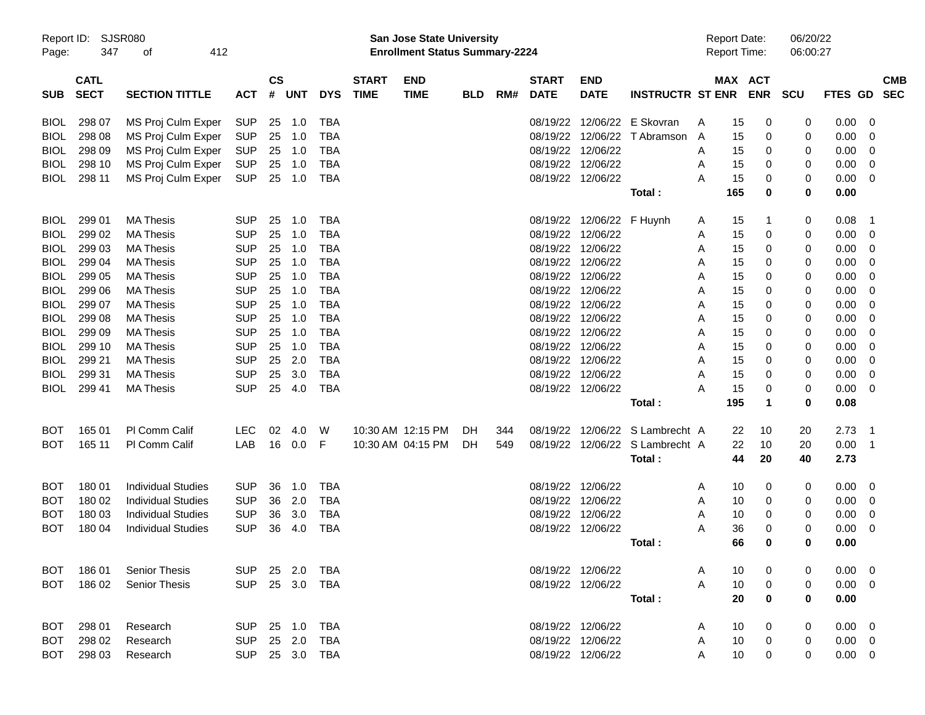| Report ID:<br>Page: | <b>SJSR080</b><br>347      | 412<br>οf                 |                |               |       |            |                             | San Jose State University<br><b>Enrollment Status Summary-2224</b> |            |     |                             |                           |                                 |   | <b>Report Date:</b><br>Report Time: |            | 06/20/22<br>06:00:27 |                |                          |
|---------------------|----------------------------|---------------------------|----------------|---------------|-------|------------|-----------------------------|--------------------------------------------------------------------|------------|-----|-----------------------------|---------------------------|---------------------------------|---|-------------------------------------|------------|----------------------|----------------|--------------------------|
| <b>SUB</b>          | <b>CATL</b><br><b>SECT</b> | <b>SECTION TITTLE</b>     | <b>ACT</b>     | $\mathsf{cs}$ | # UNT | <b>DYS</b> | <b>START</b><br><b>TIME</b> | <b>END</b><br><b>TIME</b>                                          | <b>BLD</b> | RM# | <b>START</b><br><b>DATE</b> | <b>END</b><br><b>DATE</b> | <b>INSTRUCTR ST ENR</b>         |   | MAX ACT                             | <b>ENR</b> | <b>SCU</b>           | FTES GD        | <b>CMB</b><br><b>SEC</b> |
| <b>BIOL</b>         | 298 07                     | MS Proj Culm Exper        | <b>SUP</b>     | 25            | 1.0   | TBA        |                             |                                                                    |            |     |                             |                           | 08/19/22 12/06/22 E Skovran     | Α | 15                                  | 0          | 0                    | 0.00           | 0                        |
| <b>BIOL</b>         | 298 08                     | MS Proj Culm Exper        | <b>SUP</b>     | 25            | 1.0   | TBA        |                             |                                                                    |            |     |                             |                           | 08/19/22 12/06/22 T Abramson    | A | 15                                  | 0          | 0                    | 0.00           | 0                        |
| <b>BIOL</b>         | 298 09                     | MS Proj Culm Exper        | <b>SUP</b>     | 25            | 1.0   | TBA        |                             |                                                                    |            |     |                             | 08/19/22 12/06/22         |                                 | A | 15                                  | 0          | 0                    | 0.00           | 0                        |
| <b>BIOL</b>         | 298 10                     | MS Proj Culm Exper        | <b>SUP</b>     | 25            | 1.0   | TBA        |                             |                                                                    |            |     |                             | 08/19/22 12/06/22         |                                 | A | 15                                  | 0          | 0                    | 0.00           | 0                        |
| <b>BIOL</b>         | 298 11                     | MS Proj Culm Exper        | <b>SUP</b>     | 25            | 1.0   | TBA        |                             |                                                                    |            |     |                             | 08/19/22 12/06/22         |                                 | A | 15                                  | 0          | 0                    | 0.00           | 0                        |
|                     |                            |                           |                |               |       |            |                             |                                                                    |            |     |                             |                           | Total:                          |   | 165                                 | 0          | 0                    | 0.00           |                          |
| <b>BIOL</b>         | 299 01                     | <b>MA Thesis</b>          | <b>SUP</b>     | 25            | 1.0   | TBA        |                             |                                                                    |            |     |                             | 08/19/22 12/06/22 F Huynh |                                 | A | 15                                  | 1          | 0                    | 0.08           | $\mathbf 1$              |
| BIOL                | 299 02                     | <b>MA Thesis</b>          | <b>SUP</b>     | 25            | 1.0   | TBA        |                             |                                                                    |            |     |                             | 08/19/22 12/06/22         |                                 | A | 15                                  | 0          | 0                    | 0.00           | 0                        |
| BIOL                | 299 03                     | <b>MA Thesis</b>          | <b>SUP</b>     | 25            | 1.0   | TBA        |                             |                                                                    |            |     |                             | 08/19/22 12/06/22         |                                 | A | 15                                  | 0          | 0                    | 0.00           | 0                        |
| BIOL                | 299 04                     | <b>MA Thesis</b>          | <b>SUP</b>     | 25            | 1.0   | TBA        |                             |                                                                    |            |     |                             | 08/19/22 12/06/22         |                                 | A | 15                                  | 0          | 0                    | 0.00           | 0                        |
| BIOL                | 299 05                     | <b>MA Thesis</b>          | <b>SUP</b>     | 25            | 1.0   | TBA        |                             |                                                                    |            |     |                             | 08/19/22 12/06/22         |                                 | A | 15                                  | 0          | 0                    | 0.00           | 0                        |
| <b>BIOL</b>         | 299 06                     | <b>MA Thesis</b>          | <b>SUP</b>     | 25            | 1.0   | TBA        |                             |                                                                    |            |     |                             | 08/19/22 12/06/22         |                                 | A | 15                                  | 0          | 0                    | 0.00           | 0                        |
| BIOL                | 299 07                     | <b>MA Thesis</b>          | <b>SUP</b>     | 25            | 1.0   | <b>TBA</b> |                             |                                                                    |            |     |                             | 08/19/22 12/06/22         |                                 | A | 15                                  | 0          | 0                    | 0.00           | 0                        |
| BIOL                | 299 08                     | <b>MA Thesis</b>          | <b>SUP</b>     | 25            | 1.0   | <b>TBA</b> |                             |                                                                    |            |     |                             | 08/19/22 12/06/22         |                                 | A | 15                                  | 0          | 0                    | 0.00           | 0                        |
| BIOL                | 299 09                     | <b>MA Thesis</b>          | <b>SUP</b>     | 25            | 1.0   | <b>TBA</b> |                             |                                                                    |            |     |                             | 08/19/22 12/06/22         |                                 | A | 15                                  | 0          | 0                    | 0.00           | 0                        |
| <b>BIOL</b>         | 299 10                     | <b>MA Thesis</b>          | <b>SUP</b>     | 25            | 1.0   | <b>TBA</b> |                             |                                                                    |            |     |                             | 08/19/22 12/06/22         |                                 | A | 15                                  | 0          | 0                    | 0.00           | 0                        |
| <b>BIOL</b>         | 299 21                     | <b>MA Thesis</b>          | <b>SUP</b>     | 25            | 2.0   | TBA        |                             |                                                                    |            |     |                             | 08/19/22 12/06/22         |                                 | A | 15                                  | 0          | 0                    | 0.00           | 0                        |
| <b>BIOL</b>         | 299 31                     | <b>MA Thesis</b>          | <b>SUP</b>     | 25            | 3.0   | <b>TBA</b> |                             |                                                                    |            |     |                             | 08/19/22 12/06/22         |                                 | A | 15                                  | 0          | 0                    | 0.00           | 0                        |
| BIOL                | 299 41                     | <b>MA Thesis</b>          | <b>SUP</b>     | 25            | 4.0   | <b>TBA</b> |                             |                                                                    |            |     |                             | 08/19/22 12/06/22         |                                 | A | 15                                  | 0          | 0                    | 0.00           | 0                        |
|                     |                            |                           |                |               |       |            |                             |                                                                    |            |     |                             |                           | Total:                          |   | 195                                 | 1          | 0                    | 0.08           |                          |
| <b>BOT</b>          | 165 01                     | PI Comm Calif             | <b>LEC</b>     | 02            | 4.0   | W          |                             | 10:30 AM 12:15 PM                                                  | DH         | 344 |                             |                           | 08/19/22 12/06/22 S Lambrecht A |   | 22                                  | 10         | 20                   | 2.73           | -1                       |
| <b>BOT</b>          | 165 11                     | PI Comm Calif             | LAB            | 16            | 0.0   | F          |                             | 10:30 AM 04:15 PM                                                  | DH         | 549 |                             |                           | 08/19/22 12/06/22 S Lambrecht A |   | 22                                  | 10         | 20                   | 0.00           | $\mathbf 1$              |
|                     |                            |                           |                |               |       |            |                             |                                                                    |            |     |                             |                           | Total:                          |   | 44                                  | 20         | 40                   | 2.73           |                          |
| BOT                 | 180 01                     | <b>Individual Studies</b> | <b>SUP</b>     | 36            | 1.0   | TBA        |                             |                                                                    |            |     | 08/19/22 12/06/22           |                           |                                 | A | 10                                  | 0          | 0                    | 0.00           | 0                        |
| BOT                 | 180 02                     | <b>Individual Studies</b> | <b>SUP</b>     | 36            | 2.0   | TBA        |                             |                                                                    |            |     |                             | 08/19/22 12/06/22         |                                 | A | 10                                  | 0          | 0                    | 0.00           | 0                        |
| <b>BOT</b>          | 180 03                     | <b>Individual Studies</b> | <b>SUP</b>     | 36            | 3.0   | TBA        |                             |                                                                    |            |     |                             | 08/19/22 12/06/22         |                                 | A | 10                                  | 0          | 0                    | 0.00           | 0                        |
| BOT                 | 180 04                     | <b>Individual Studies</b> | <b>SUP</b>     | 36            | 4.0   | TBA        |                             |                                                                    |            |     |                             | 08/19/22 12/06/22         |                                 | A | 36                                  | 0          | 0                    | 0.00           | 0                        |
|                     |                            |                           |                |               |       |            |                             |                                                                    |            |     |                             |                           | Total :                         |   | 66                                  | 0          | 0                    | 0.00           |                          |
| BOT                 | 18601                      | <b>Senior Thesis</b>      | SUP 25 2.0     |               |       | TBA        |                             |                                                                    |            |     |                             | 08/19/22 12/06/22         |                                 | A | 10                                  | 0          | 0                    | $0.00 \t 0$    |                          |
| BOT                 | 186 02                     | <b>Senior Thesis</b>      | SUP 25 3.0     |               |       | TBA        |                             |                                                                    |            |     |                             | 08/19/22 12/06/22         |                                 | A | 10                                  | 0          | 0                    | 0.00           | $\overline{\mathbf{0}}$  |
|                     |                            |                           |                |               |       |            |                             |                                                                    |            |     |                             |                           | Total:                          |   | 20                                  | $\bf{0}$   | 0                    | 0.00           |                          |
| BOT                 | 298 01                     | Research                  | SUP 25 1.0 TBA |               |       |            |                             |                                                                    |            |     |                             | 08/19/22 12/06/22         |                                 | A | 10                                  | 0          | 0                    | $0.00 \quad 0$ |                          |
| BOT                 | 298 02                     | Research                  | SUP 25 2.0     |               |       | TBA        |                             |                                                                    |            |     |                             | 08/19/22 12/06/22         |                                 | A | 10                                  | 0          | 0                    | $0.00 \t 0$    |                          |
| BOT                 | 298 03                     | Research                  | SUP 25 3.0 TBA |               |       |            |                             |                                                                    |            |     |                             | 08/19/22 12/06/22         |                                 | A | 10                                  | 0          | 0                    | $0.00 \t 0$    |                          |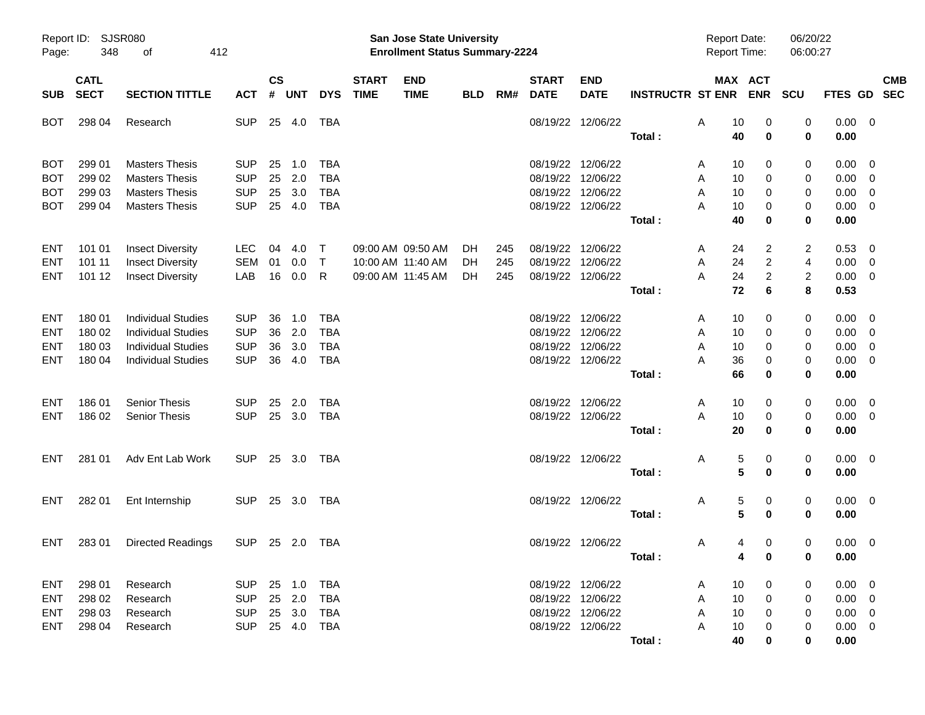| Page:                                  | <b>SJSR080</b><br>Report ID:<br>348<br>412<br>οf<br><b>CATL</b> |                                                                               |                          |                    |                   |                          |                             | San Jose State University<br><b>Enrollment Status Summary-2224</b> |                   |                   |                                        |                                        |                         | <b>Report Date:</b><br><b>Report Time:</b> |                                       | 06/20/22<br>06:00:27                  |                                  |                                                     |            |
|----------------------------------------|-----------------------------------------------------------------|-------------------------------------------------------------------------------|--------------------------|--------------------|-------------------|--------------------------|-----------------------------|--------------------------------------------------------------------|-------------------|-------------------|----------------------------------------|----------------------------------------|-------------------------|--------------------------------------------|---------------------------------------|---------------------------------------|----------------------------------|-----------------------------------------------------|------------|
| <b>SUB</b>                             | <b>SECT</b>                                                     | <b>SECTION TITTLE</b>                                                         | <b>ACT</b>               | $\mathsf{cs}$<br># | <b>UNT</b>        | <b>DYS</b>               | <b>START</b><br><b>TIME</b> | <b>END</b><br><b>TIME</b>                                          | <b>BLD</b>        | RM#               | <b>START</b><br><b>DATE</b>            | <b>END</b><br><b>DATE</b>              | <b>INSTRUCTR ST ENR</b> |                                            | MAX ACT<br><b>ENR</b>                 | <b>SCU</b>                            | FTES GD SEC                      |                                                     | <b>CMB</b> |
| BOT                                    | 298 04                                                          | Research                                                                      | <b>SUP</b>               | 25                 | 4.0               | TBA                      |                             |                                                                    |                   |                   |                                        | 08/19/22 12/06/22                      | Total:                  | Α<br>10<br>40                              | 0<br>0                                | 0<br>0                                | $0.00 \quad 0$<br>0.00           |                                                     |            |
| <b>BOT</b><br><b>BOT</b>               | 299 01<br>299 02                                                | <b>Masters Thesis</b><br><b>Masters Thesis</b>                                | <b>SUP</b><br><b>SUP</b> | 25<br>25           | 1.0<br>2.0        | TBA<br><b>TBA</b>        |                             |                                                                    |                   |                   |                                        | 08/19/22 12/06/22<br>08/19/22 12/06/22 |                         | 10<br>A<br>Α<br>10                         | 0<br>0                                | 0<br>0                                | 0.00<br>0.00                     | $\overline{\phantom{0}}$<br>$\overline{\mathbf{0}}$ |            |
| <b>BOT</b><br><b>BOT</b>               | 299 03<br>299 04                                                | <b>Masters Thesis</b><br><b>Masters Thesis</b>                                | <b>SUP</b><br><b>SUP</b> | 25<br>25           | 3.0<br>4.0        | <b>TBA</b><br><b>TBA</b> |                             |                                                                    |                   |                   |                                        | 08/19/22 12/06/22<br>08/19/22 12/06/22 |                         | A<br>10<br>А<br>10                         | 0<br>0                                | 0<br>0                                | 0.00<br>0.00                     | $\overline{\mathbf{0}}$<br>$\overline{\mathbf{0}}$  |            |
|                                        |                                                                 |                                                                               |                          |                    |                   |                          |                             |                                                                    |                   |                   |                                        |                                        | Total:                  | 40                                         | 0                                     | 0                                     | 0.00                             |                                                     |            |
| <b>ENT</b><br><b>ENT</b><br><b>ENT</b> | 101 01<br>101 11<br>101 12                                      | <b>Insect Diversity</b><br><b>Insect Diversity</b><br><b>Insect Diversity</b> | LEC<br>SEM<br>LAB        | 04<br>01<br>16     | 4.0<br>0.0<br>0.0 | Т<br>$\top$<br>R         |                             | 09:00 AM 09:50 AM<br>10:00 AM 11:40 AM<br>09:00 AM 11:45 AM        | DH.<br>DH.<br>DH. | 245<br>245<br>245 | 08/19/22 12/06/22<br>08/19/22 12/06/22 | 08/19/22 12/06/22                      |                         | 24<br>A<br>A<br>24<br>24<br>A              | 2<br>2<br>2                           | $\overline{c}$<br>4<br>$\overline{2}$ | 0.53<br>0.00<br>$0.00 \t 0$      | $\overline{\mathbf{0}}$<br>$\overline{\mathbf{0}}$  |            |
|                                        |                                                                 |                                                                               |                          |                    |                   |                          |                             |                                                                    |                   |                   |                                        |                                        | Total:                  | 72                                         | 6                                     | 8                                     | 0.53                             |                                                     |            |
| <b>ENT</b><br>ENT                      | 180 01<br>180 02                                                | <b>Individual Studies</b><br><b>Individual Studies</b>                        | <b>SUP</b><br><b>SUP</b> | 36<br>36           | 1.0<br>2.0        | <b>TBA</b><br><b>TBA</b> |                             |                                                                    |                   |                   |                                        | 08/19/22 12/06/22<br>08/19/22 12/06/22 |                         | 10<br>A<br>A<br>10                         | 0<br>0                                | 0<br>0                                | 0.00<br>0.00                     | $\overline{\phantom{0}}$<br>$\overline{\mathbf{0}}$ |            |
| <b>ENT</b><br><b>ENT</b>               | 180 03<br>180 04                                                | <b>Individual Studies</b><br><b>Individual Studies</b>                        | <b>SUP</b><br><b>SUP</b> | 36<br>36           | 3.0<br>4.0        | <b>TBA</b><br><b>TBA</b> |                             |                                                                    |                   |                   |                                        | 08/19/22 12/06/22<br>08/19/22 12/06/22 |                         | A<br>10<br>А<br>36                         | 0<br>0                                | 0<br>0                                | 0.00<br>0.00                     | $\overline{\mathbf{0}}$<br>$\overline{\phantom{0}}$ |            |
| ENT                                    | 186 01                                                          | <b>Senior Thesis</b>                                                          | <b>SUP</b>               | 25                 | 2.0               | TBA                      |                             |                                                                    |                   |                   | 08/19/22 12/06/22                      |                                        | Total:                  | 66<br>Α<br>10                              | 0<br>0                                | 0<br>0                                | 0.00<br>0.00                     | $\overline{\mathbf{0}}$                             |            |
| <b>ENT</b>                             | 186 02                                                          | <b>Senior Thesis</b>                                                          | <b>SUP</b>               |                    | 25 3.0            | <b>TBA</b>               |                             |                                                                    |                   |                   |                                        | 08/19/22 12/06/22                      | Total:                  | A<br>10<br>20                              | 0<br>0                                | 0<br>0                                | $0.00 \t 0$<br>0.00              |                                                     |            |
| ENT                                    | 281 01                                                          | Adv Ent Lab Work                                                              | <b>SUP</b>               |                    | 25 3.0            | TBA                      |                             |                                                                    |                   |                   |                                        | 08/19/22 12/06/22                      |                         | Α                                          | 5<br>0                                | 0                                     | $0.00 \quad 0$                   |                                                     |            |
|                                        |                                                                 |                                                                               |                          |                    |                   |                          |                             |                                                                    |                   |                   |                                        |                                        | Total:                  |                                            | 5<br>$\mathbf 0$                      | 0                                     | 0.00                             |                                                     |            |
| <b>ENT</b>                             | 282 01                                                          | Ent Internship                                                                | <b>SUP</b>               |                    | 25 3.0            | TBA                      |                             |                                                                    |                   |                   |                                        | 08/19/22 12/06/22                      | Total:                  | Α                                          | 5<br>0<br>5<br>0                      | 0<br>0                                | $0.00 \quad 0$<br>0.00           |                                                     |            |
| <b>ENT</b>                             | 28301                                                           | <b>Directed Readings</b>                                                      | <b>SUP</b>               |                    | 25 2.0            | TBA                      |                             |                                                                    |                   |                   | 08/19/22 12/06/22                      |                                        | Total:                  | Α                                          | 4<br>0<br>$\mathbf{A}$<br>$\mathbf 0$ | 0<br>0                                | $0.00\,$<br>0.00                 | $\overline{\mathbf{0}}$                             |            |
| <b>ENT</b>                             | 298 01                                                          | Research                                                                      | SUP 25 1.0               |                    |                   | TBA                      |                             |                                                                    |                   |                   |                                        | 08/19/22 12/06/22                      |                         | 10<br>A                                    | 0                                     | 0                                     | $0.00 \quad 0$                   |                                                     |            |
| ENT<br>ENT                             | 298 02<br>298 03                                                | Research<br>Research                                                          | <b>SUP</b><br><b>SUP</b> |                    | 25 2.0<br>25 3.0  | <b>TBA</b><br><b>TBA</b> |                             |                                                                    |                   |                   |                                        | 08/19/22 12/06/22<br>08/19/22 12/06/22 |                         | Α<br>10<br>10<br>A                         | 0<br>0                                | 0<br>0                                | $0.00 \quad 0$<br>$0.00 \quad 0$ |                                                     |            |
| <b>ENT</b>                             | 298 04                                                          | Research                                                                      | <b>SUP</b>               |                    | 25 4.0            | TBA                      |                             |                                                                    |                   |                   |                                        | 08/19/22 12/06/22                      | Total:                  | A<br>10<br>40                              | 0<br>0                                | 0<br>0                                | $0.00 \t 0$<br>0.00              |                                                     |            |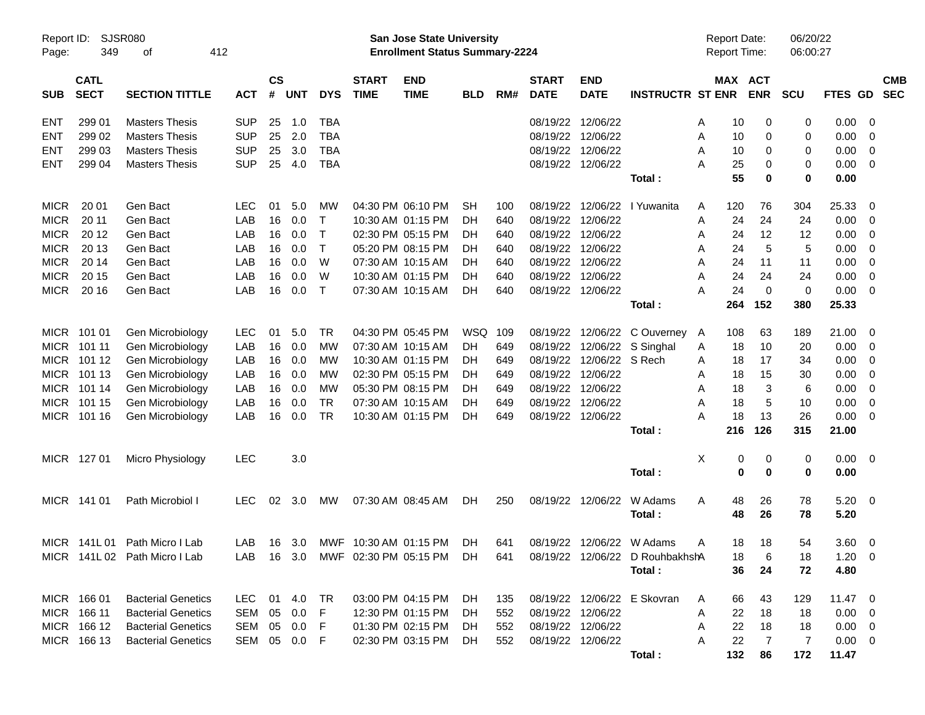| Report ID:<br>Page: | 349                        | SJSR080<br>οf                 | 412        |              |               |            |              |                             | San Jose State University<br><b>Enrollment Status Summary-2224</b> |            |     |                             |                           |                                 |   |     | <b>Report Date:</b><br><b>Report Time:</b> | 06/20/22<br>06:00:27 |                |                         |                          |
|---------------------|----------------------------|-------------------------------|------------|--------------|---------------|------------|--------------|-----------------------------|--------------------------------------------------------------------|------------|-----|-----------------------------|---------------------------|---------------------------------|---|-----|--------------------------------------------|----------------------|----------------|-------------------------|--------------------------|
| <b>SUB</b>          | <b>CATL</b><br><b>SECT</b> | <b>SECTION TITTLE</b>         | <b>ACT</b> | #            | $\mathsf{cs}$ | <b>UNT</b> | <b>DYS</b>   | <b>START</b><br><b>TIME</b> | <b>END</b><br><b>TIME</b>                                          | <b>BLD</b> | RM# | <b>START</b><br><b>DATE</b> | <b>END</b><br><b>DATE</b> | <b>INSTRUCTR ST ENR</b>         |   |     | MAX ACT<br><b>ENR</b>                      | <b>SCU</b>           | <b>FTES GD</b> |                         | <b>CMB</b><br><b>SEC</b> |
| <b>ENT</b>          | 299 01                     | <b>Masters Thesis</b>         | <b>SUP</b> |              | 25            | 1.0        | <b>TBA</b>   |                             |                                                                    |            |     | 08/19/22 12/06/22           |                           |                                 | A | 10  | 0                                          | 0                    | 0.00           | 0                       |                          |
| <b>ENT</b>          | 299 02                     | <b>Masters Thesis</b>         | <b>SUP</b> |              | 25            | 2.0        | <b>TBA</b>   |                             |                                                                    |            |     | 08/19/22 12/06/22           |                           |                                 | A | 10  | 0                                          | 0                    | 0.00           | 0                       |                          |
| <b>ENT</b>          | 299 03                     | <b>Masters Thesis</b>         | <b>SUP</b> |              | 25            | 3.0        | <b>TBA</b>   |                             |                                                                    |            |     | 08/19/22 12/06/22           |                           |                                 | A | 10  | 0                                          | 0                    | 0.00           | 0                       |                          |
| <b>ENT</b>          | 299 04                     | <b>Masters Thesis</b>         | <b>SUP</b> |              | 25            | 4.0        | <b>TBA</b>   |                             |                                                                    |            |     |                             | 08/19/22 12/06/22         |                                 | A | 25  | 0                                          | 0                    | 0.00           | 0                       |                          |
|                     |                            |                               |            |              |               |            |              |                             |                                                                    |            |     |                             |                           | Total:                          |   | 55  | 0                                          | 0                    | 0.00           |                         |                          |
| <b>MICR</b>         | 20 01                      | Gen Bact                      | <b>LEC</b> |              | 01            | 5.0        | MW           |                             | 04:30 PM 06:10 PM                                                  | <b>SH</b>  | 100 |                             |                           | 08/19/22 12/06/22 l Yuwanita    | A | 120 | 76                                         | 304                  | 25.33          | 0                       |                          |
| <b>MICR</b>         | 20 11                      | Gen Bact                      | LAB        |              | 16            | 0.0        | Τ            |                             | 10:30 AM 01:15 PM                                                  | DH         | 640 | 08/19/22 12/06/22           |                           |                                 | A | 24  | 24                                         | 24                   | 0.00           | 0                       |                          |
| <b>MICR</b>         | 20 12                      | Gen Bact                      | LAB        |              | 16            | 0.0        | $\mathsf{T}$ |                             | 02:30 PM 05:15 PM                                                  | DH         | 640 |                             | 08/19/22 12/06/22         |                                 | A | 24  | 12                                         | 12                   | 0.00           | 0                       |                          |
| <b>MICR</b>         | 20 13                      | Gen Bact                      | LAB        |              | 16            | 0.0        | Τ            |                             | 05:20 PM 08:15 PM                                                  | DH         | 640 |                             | 08/19/22 12/06/22         |                                 | A | 24  | 5                                          | 5                    | 0.00           | 0                       |                          |
| <b>MICR</b>         | 20 14                      | Gen Bact                      | LAB        |              | 16            | 0.0        | W            |                             | 07:30 AM 10:15 AM                                                  | DH         | 640 | 08/19/22 12/06/22           |                           |                                 | A | 24  | 11                                         | 11                   | 0.00           | 0                       |                          |
| <b>MICR</b>         | 20 15                      | Gen Bact                      | LAB        |              | 16            | 0.0        | W            |                             | 10:30 AM 01:15 PM                                                  | DH         | 640 | 08/19/22 12/06/22           |                           |                                 | A | 24  | 24                                         | 24                   | 0.00           | 0                       |                          |
| <b>MICR</b>         | 20 16                      | Gen Bact                      | LAB        |              | 16            | 0.0        | $\top$       |                             | 07:30 AM 10:15 AM                                                  | DH         | 640 | 08/19/22 12/06/22           |                           |                                 | А | 24  | 0                                          | $\mathbf 0$          | 0.00           | 0                       |                          |
|                     |                            |                               |            |              |               |            |              |                             |                                                                    |            |     |                             |                           | Total:                          |   | 264 | 152                                        | 380                  | 25.33          |                         |                          |
|                     | MICR 101 01                | Gen Microbiology              | LEC        |              | 01            | 5.0        | TR           |                             | 04:30 PM 05:45 PM                                                  | WSQ        | 109 |                             | 08/19/22 12/06/22         | C Ouverney A                    |   | 108 | 63                                         | 189                  | 21.00          | 0                       |                          |
| MICR                | 101 11                     | Gen Microbiology              | LAB        |              | 16            | 0.0        | MW           |                             | 07:30 AM 10:15 AM                                                  | DH         | 649 |                             | 08/19/22 12/06/22         | S Singhal                       | A | 18  | 10                                         | 20                   | 0.00           | 0                       |                          |
| MICR                | 101 12                     | Gen Microbiology              | LAB        |              | 16            | 0.0        | MW           |                             | 10:30 AM 01:15 PM                                                  | DH         | 649 |                             | 08/19/22 12/06/22 S Rech  |                                 | A | 18  | 17                                         | 34                   | 0.00           | 0                       |                          |
| MICR                | 101 13                     | Gen Microbiology              | LAB        |              | 16            | 0.0        | MW           |                             | 02:30 PM 05:15 PM                                                  | DH         | 649 | 08/19/22 12/06/22           |                           |                                 | A | 18  | 15                                         | 30                   | 0.00           | 0                       |                          |
| MICR                | 101 14                     | Gen Microbiology              | LAB        |              | 16            | 0.0        | MW           |                             | 05:30 PM 08:15 PM                                                  | DH         | 649 | 08/19/22 12/06/22           |                           |                                 | A | 18  | 3                                          | 6                    | 0.00           | 0                       |                          |
| MICR                | 101 15                     | Gen Microbiology              | LAB        |              | 16            | 0.0        | <b>TR</b>    |                             | 07:30 AM 10:15 AM                                                  | DH         | 649 | 08/19/22 12/06/22           |                           |                                 | A | 18  | 5                                          | 10                   | 0.00           | 0                       |                          |
|                     | MICR 101 16                | Gen Microbiology              | LAB        |              | 16            | 0.0        | TR           |                             | 10:30 AM 01:15 PM                                                  | DH         | 649 | 08/19/22 12/06/22           |                           |                                 | А | 18  | 13                                         | 26                   | 0.00           | 0                       |                          |
|                     |                            |                               |            |              |               |            |              |                             |                                                                    |            |     |                             |                           | Total:                          |   | 216 | 126                                        | 315                  | 21.00          |                         |                          |
|                     | MICR 127 01                | Micro Physiology              | LEC        |              |               | 3.0        |              |                             |                                                                    |            |     |                             |                           |                                 | Χ | 0   | 0                                          | 0                    | 0.00           | 0                       |                          |
|                     |                            |                               |            |              |               |            |              |                             |                                                                    |            |     |                             |                           | Total:                          |   | 0   | 0                                          | $\mathbf 0$          | 0.00           |                         |                          |
|                     | MICR 141 01                | Path Microbiol I              | <b>LEC</b> |              | 02            | 3.0        | МW           |                             | 07:30 AM 08:45 AM                                                  | DH         | 250 |                             | 08/19/22 12/06/22         | W Adams                         | A | 48  | 26                                         | 78                   | 5.20           | 0                       |                          |
|                     |                            |                               |            |              |               |            |              |                             |                                                                    |            |     |                             |                           | Total:                          |   | 48  | 26                                         | 78                   | 5.20           |                         |                          |
|                     |                            | MICR 141L 01 Path Micro I Lab | LAB.       |              | 16            | - 3.0      |              | MWF 10:30 AM 01:15 PM       |                                                                    | DH.        | 641 |                             | 08/19/22 12/06/22 W Adams |                                 | A | 18  | 18                                         | 54                   | 3.60           | 0                       |                          |
|                     |                            | MICR 141L 02 Path Micro I Lab | LAB        |              |               |            |              |                             | 16 3.0 MWF 02:30 PM 05:15 PM DH                                    |            | 641 |                             |                           | 08/19/22 12/06/22 D RouhbakhshA |   | 18  | $\,6$                                      | 18                   | $1.20 \t 0$    |                         |                          |
|                     |                            |                               |            |              |               |            |              |                             |                                                                    |            |     |                             |                           | Total:                          |   | 36  | 24                                         | 72                   | 4.80           |                         |                          |
|                     | MICR 166 01                | <b>Bacterial Genetics</b>     | LEC        |              |               | 01 4.0     | TR           |                             | 03:00 PM 04:15 PM                                                  | DH         | 135 |                             |                           | 08/19/22 12/06/22 E Skovran     | A | 66  | 43                                         | 129                  | 11.47 0        |                         |                          |
|                     | MICR 166 11                | <b>Bacterial Genetics</b>     |            | SEM 05       |               | 0.0        | F.           |                             | 12:30 PM 01:15 PM                                                  | DH.        | 552 | 08/19/22 12/06/22           |                           |                                 | A | 22  | 18                                         | 18                   | 0.00           | $\overline{0}$          |                          |
|                     | MICR 166 12                | <b>Bacterial Genetics</b>     |            | SEM 05 0.0   |               |            | F            |                             | 01:30 PM 02:15 PM                                                  | DH.        | 552 | 08/19/22 12/06/22           |                           |                                 | A | 22  | 18                                         | 18                   | 0.00           | $\overline{\mathbf{0}}$ |                          |
|                     | MICR 166 13                | <b>Bacterial Genetics</b>     |            | SEM 05 0.0 F |               |            |              |                             | 02:30 PM 03:15 PM                                                  | DH         | 552 |                             | 08/19/22 12/06/22         |                                 | A | 22  | $\overline{7}$                             | 7                    | $0.00 \t 0$    |                         |                          |
|                     |                            |                               |            |              |               |            |              |                             |                                                                    |            |     |                             |                           | Total:                          |   | 132 | 86                                         | 172                  | 11.47          |                         |                          |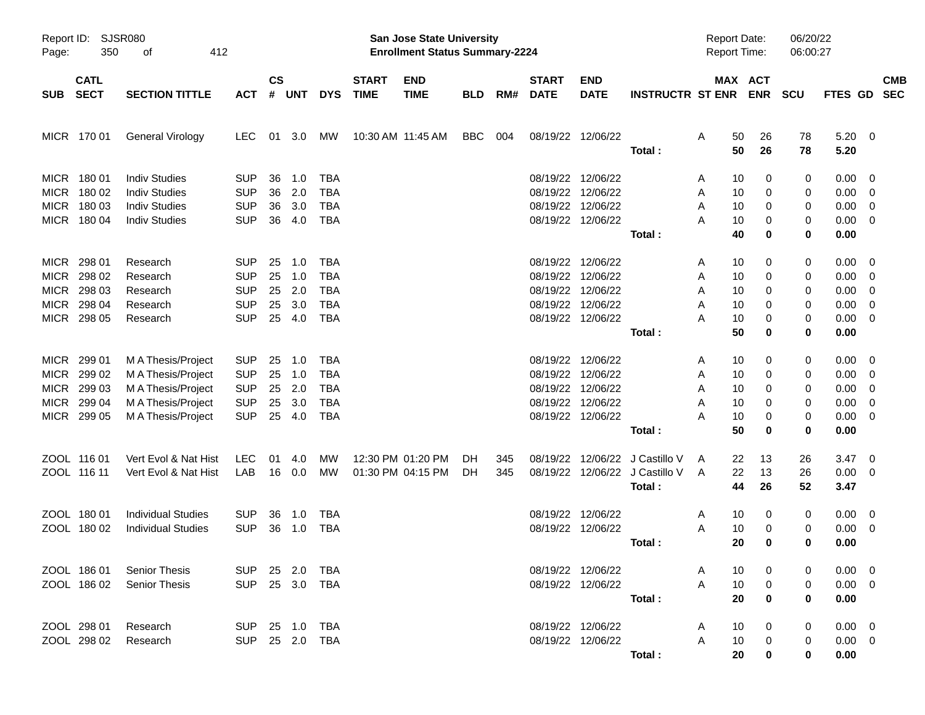| Page:       | Report ID: SJSR080<br>350  | 412<br>οf                 |                |                    |            |            |                             | San Jose State University<br><b>Enrollment Status Summary-2224</b> |            |     |                             |                           |                                | Report Date:<br><b>Report Time:</b> |                       | 06/20/22<br>06:00:27 |                |                         |            |
|-------------|----------------------------|---------------------------|----------------|--------------------|------------|------------|-----------------------------|--------------------------------------------------------------------|------------|-----|-----------------------------|---------------------------|--------------------------------|-------------------------------------|-----------------------|----------------------|----------------|-------------------------|------------|
| <b>SUB</b>  | <b>CATL</b><br><b>SECT</b> | <b>SECTION TITTLE</b>     | <b>ACT</b>     | $\mathsf{cs}$<br># | <b>UNT</b> | <b>DYS</b> | <b>START</b><br><b>TIME</b> | <b>END</b><br><b>TIME</b>                                          | <b>BLD</b> | RM# | <b>START</b><br><b>DATE</b> | <b>END</b><br><b>DATE</b> | <b>INSTRUCTR ST ENR</b>        |                                     | MAX ACT<br><b>ENR</b> | <b>SCU</b>           | FTES GD SEC    |                         | <b>CMB</b> |
|             | MICR 170 01                | General Virology          | <b>LEC</b>     | 01                 | 3.0        | МW         | 10:30 AM 11:45 AM           |                                                                    | <b>BBC</b> | 004 |                             | 08/19/22 12/06/22         | Total:                         | 50<br>Α<br>50                       | 26<br>26              | 78<br>78             | 5.20<br>5.20   | $\overline{\mathbf{0}}$ |            |
|             | MICR 180 01                | <b>Indiv Studies</b>      | <b>SUP</b>     | 36                 | 1.0        | <b>TBA</b> |                             |                                                                    |            |     |                             | 08/19/22 12/06/22         |                                | 10                                  | 0                     | 0                    | 0.00           | $\overline{0}$          |            |
|             | MICR 180 02                | <b>Indiv Studies</b>      | <b>SUP</b>     | 36                 | 2.0        | <b>TBA</b> |                             |                                                                    |            |     |                             | 08/19/22 12/06/22         |                                | A<br>10<br>Α                        | 0                     | 0                    | 0.00           | $\overline{\mathbf{0}}$ |            |
| <b>MICR</b> | 180 03                     | <b>Indiv Studies</b>      | <b>SUP</b>     | 36                 | 3.0        | <b>TBA</b> |                             |                                                                    |            |     |                             | 08/19/22 12/06/22         |                                | 10<br>Α                             | 0                     | 0                    | 0.00           | $\overline{\mathbf{0}}$ |            |
|             | MICR 180 04                | <b>Indiv Studies</b>      | <b>SUP</b>     | 36                 | 4.0        | <b>TBA</b> |                             |                                                                    |            |     |                             | 08/19/22 12/06/22         |                                | A<br>10                             | 0                     | 0                    | 0.00           | $\overline{\mathbf{0}}$ |            |
|             |                            |                           |                |                    |            |            |                             |                                                                    |            |     |                             |                           | Total:                         | 40                                  | 0                     | $\bf{0}$             | 0.00           |                         |            |
| <b>MICR</b> | 298 01                     | Research                  | <b>SUP</b>     | 25                 | 1.0        | <b>TBA</b> |                             |                                                                    |            |     |                             | 08/19/22 12/06/22         |                                | 10<br>A                             | 0                     | 0                    | 0.00           | $\overline{\mathbf{0}}$ |            |
| <b>MICR</b> | 298 02                     | Research                  | <b>SUP</b>     | 25                 | 1.0        | <b>TBA</b> |                             |                                                                    |            |     |                             | 08/19/22 12/06/22         |                                | 10<br>Α                             | 0                     | 0                    | 0.00           | $\overline{\mathbf{0}}$ |            |
| <b>MICR</b> | 298 03                     | Research                  | <b>SUP</b>     | 25                 | 2.0        | <b>TBA</b> |                             |                                                                    |            |     |                             | 08/19/22 12/06/22         |                                | 10<br>Α                             | 0                     | 0                    | 0.00           | $\overline{0}$          |            |
| <b>MICR</b> | 298 04                     | Research                  | <b>SUP</b>     | 25                 | 3.0        | <b>TBA</b> |                             |                                                                    |            |     |                             | 08/19/22 12/06/22         |                                | 10<br>A                             | 0                     | 0                    | 0.00           | $\overline{0}$          |            |
|             | MICR 298 05                | Research                  | <b>SUP</b>     | 25                 | 4.0        | <b>TBA</b> |                             |                                                                    |            |     |                             | 08/19/22 12/06/22         |                                | A<br>10                             | 0                     | 0                    | 0.00           | $\overline{\mathbf{0}}$ |            |
|             |                            |                           |                |                    |            |            |                             |                                                                    |            |     |                             |                           | Total:                         | 50                                  | 0                     | $\bf{0}$             | 0.00           |                         |            |
| MICR        | 299 01                     | M A Thesis/Project        | <b>SUP</b>     | 25                 | 1.0        | <b>TBA</b> |                             |                                                                    |            |     |                             | 08/19/22 12/06/22         |                                | 10<br>A                             | 0                     | 0                    | 0.00           | $\overline{0}$          |            |
| <b>MICR</b> | 299 02                     | M A Thesis/Project        | <b>SUP</b>     | 25                 | 1.0        | <b>TBA</b> |                             |                                                                    |            |     |                             | 08/19/22 12/06/22         |                                | 10<br>Α                             | 0                     | 0                    | 0.00           | $\overline{\mathbf{0}}$ |            |
| <b>MICR</b> | 299 03                     | M A Thesis/Project        | <b>SUP</b>     | 25                 | 2.0        | <b>TBA</b> |                             |                                                                    |            |     |                             | 08/19/22 12/06/22         |                                | 10<br>Α                             | 0                     | 0                    | 0.00           | $\overline{0}$          |            |
| <b>MICR</b> | 299 04                     | M A Thesis/Project        | <b>SUP</b>     | 25                 | 3.0        | <b>TBA</b> |                             |                                                                    |            |     |                             | 08/19/22 12/06/22         |                                | 10<br>A                             | 0                     | 0                    | 0.00           | $\overline{\mathbf{0}}$ |            |
|             | MICR 299 05                | M A Thesis/Project        | <b>SUP</b>     | 25                 | 4.0        | <b>TBA</b> |                             |                                                                    |            |     |                             | 08/19/22 12/06/22         |                                | 10<br>A                             | 0                     | 0                    | 0.00           | $\overline{\mathbf{0}}$ |            |
|             |                            |                           |                |                    |            |            |                             |                                                                    |            |     |                             |                           | Total:                         | 50                                  | 0                     | $\mathbf 0$          | 0.00           |                         |            |
|             | ZOOL 116 01                | Vert Evol & Nat Hist      | <b>LEC</b>     | 01                 | 4.0        | MW         |                             | 12:30 PM 01:20 PM                                                  | DH         | 345 |                             |                           | 08/19/22 12/06/22 J Castillo V | 22<br>A                             | 13                    | 26                   | 3.47           | $\overline{\mathbf{0}}$ |            |
|             | ZOOL 116 11                | Vert Evol & Nat Hist      | LAB            |                    | 16 0.0     | МW         |                             | 01:30 PM 04:15 PM                                                  | DH.        | 345 |                             |                           | 08/19/22 12/06/22 J Castillo V | 22<br>A                             | 13                    | 26                   | 0.00           | $\overline{\mathbf{0}}$ |            |
|             |                            |                           |                |                    |            |            |                             |                                                                    |            |     |                             |                           | Total:                         | 44                                  | 26                    | 52                   | 3.47           |                         |            |
|             | ZOOL 180 01                | <b>Individual Studies</b> | <b>SUP</b>     | 36                 | 1.0        | TBA        |                             |                                                                    |            |     | 08/19/22 12/06/22           |                           |                                | 10<br>A                             | 0                     | 0                    | 0.00           | $\overline{0}$          |            |
|             | ZOOL 180 02                | <b>Individual Studies</b> | <b>SUP</b>     | 36                 | 1.0        | <b>TBA</b> |                             |                                                                    |            |     |                             | 08/19/22 12/06/22         |                                | A<br>10                             | 0                     | 0                    | 0.00           | $\overline{\mathbf{0}}$ |            |
|             |                            |                           |                |                    |            |            |                             |                                                                    |            |     |                             |                           | Total:                         | 20                                  | 0                     | $\mathbf 0$          | 0.00           |                         |            |
|             | ZOOL 186 01                | <b>Senior Thesis</b>      | SUP 25 2.0 TBA |                    |            |            |                             |                                                                    |            |     |                             | 08/19/22 12/06/22         |                                | 10<br>A                             | 0                     | 0                    | $0.00 \t 0$    |                         |            |
|             | ZOOL 186 02                | <b>Senior Thesis</b>      | SUP 25 3.0 TBA |                    |            |            |                             |                                                                    |            |     |                             | 08/19/22 12/06/22         |                                | A<br>10                             | 0                     | 0                    | $0.00 \quad 0$ |                         |            |
|             |                            |                           |                |                    |            |            |                             |                                                                    |            |     |                             |                           | Total:                         | 20                                  | 0                     | 0                    | 0.00           |                         |            |
|             | ZOOL 298 01                | Research                  | SUP 25 1.0 TBA |                    |            |            |                             |                                                                    |            |     |                             | 08/19/22 12/06/22         |                                | 10<br>A                             | 0                     | 0                    | $0.00 \t 0$    |                         |            |
|             | ZOOL 298 02                | Research                  | SUP 25 2.0 TBA |                    |            |            |                             |                                                                    |            |     |                             | 08/19/22 12/06/22         |                                | A<br>10                             | 0                     | 0                    | $0.00 \t 0$    |                         |            |
|             |                            |                           |                |                    |            |            |                             |                                                                    |            |     |                             |                           | Total:                         | 20                                  | $\mathbf 0$           | 0                    | 0.00           |                         |            |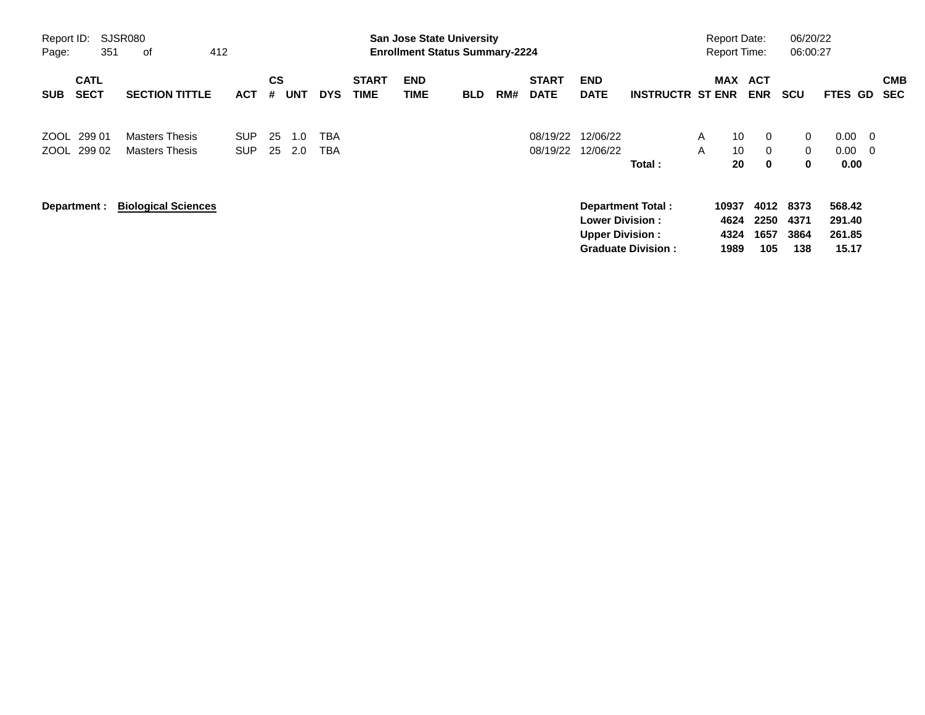| Report ID:<br>Page:                      | SJSR080<br>412<br>351<br>оf                    |                    |                |            |            |                             |                    | <b>San Jose State University</b><br><b>Enrollment Status Summary-2224</b> |     |                             |                                                  |                                                       |                   | <b>Report Date:</b><br><b>Report Time:</b> |                             | 06/20/22<br>06:00:27                          |                                     |                                |                          |
|------------------------------------------|------------------------------------------------|--------------------|----------------|------------|------------|-----------------------------|--------------------|---------------------------------------------------------------------------|-----|-----------------------------|--------------------------------------------------|-------------------------------------------------------|-------------------|--------------------------------------------|-----------------------------|-----------------------------------------------|-------------------------------------|--------------------------------|--------------------------|
| <b>CATL</b><br><b>SECT</b><br><b>SUB</b> | <b>SECTION TITTLE</b>                          | <b>ACT</b>         | <b>CS</b><br># | <b>UNT</b> | <b>DYS</b> | <b>START</b><br><b>TIME</b> | <b>END</b><br>TIME | <b>BLD</b>                                                                | RM# | <b>START</b><br><b>DATE</b> | <b>END</b><br><b>DATE</b>                        | <b>INSTRUCTR ST ENR</b>                               |                   | <b>MAX</b>                                 | <b>ACT</b><br><b>ENR</b>    | <b>SCU</b>                                    | <b>FTES</b>                         | GD                             | <b>CMB</b><br><b>SEC</b> |
| ZOOL 299 01<br>299 02<br>ZOOL            | <b>Masters Thesis</b><br><b>Masters Thesis</b> | SUP.<br><b>SUP</b> | 25<br>25       | 1.0<br>2.0 | TBA<br>TBA |                             |                    |                                                                           |     | 08/19/22<br>08/19/22        | 12/06/22<br>12/06/22                             | Total:                                                | $\mathsf{A}$<br>A | 10<br>10<br>20                             | 0<br>$\Omega$<br>0          | $\mathbf{0}$<br>$\overline{0}$<br>$\mathbf 0$ | 0.00<br>0.00<br>0.00                | - 0<br>$\overline{\mathbf{0}}$ |                          |
| Department :                             | <b>Biological Sciences</b>                     |                    |                |            |            |                             |                    |                                                                           |     |                             | <b>Lower Division:</b><br><b>Upper Division:</b> | <b>Department Total:</b><br><b>Graduate Division:</b> |                   | 10937<br>4624<br>4324<br>1989              | 4012<br>2250<br>1657<br>105 | 8373<br>4371<br>3864<br>138                   | 568.42<br>291.40<br>261.85<br>15.17 |                                |                          |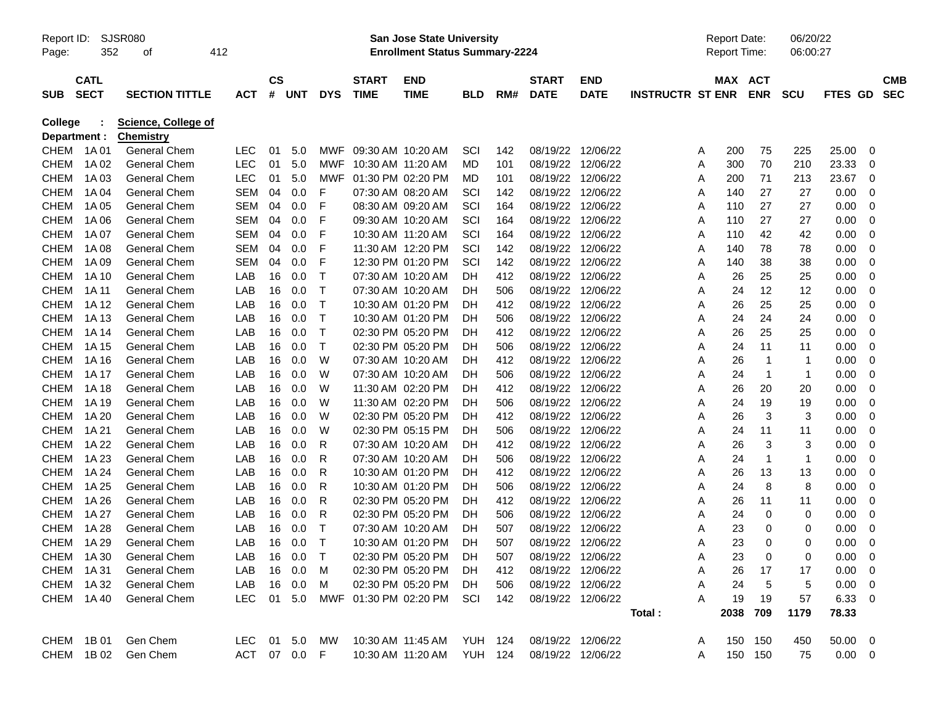| Report ID:<br>Page:            | 352         | <b>SJSR080</b><br>οf                           | 412          |           |        |              |                       | <b>San Jose State University</b><br><b>Enrollment Status Summary-2224</b> |                |     |                   |             |                         |   | <b>Report Date:</b><br><b>Report Time:</b> |             | 06/20/22<br>06:00:27 |             |            |
|--------------------------------|-------------|------------------------------------------------|--------------|-----------|--------|--------------|-----------------------|---------------------------------------------------------------------------|----------------|-----|-------------------|-------------|-------------------------|---|--------------------------------------------|-------------|----------------------|-------------|------------|
|                                | <b>CATL</b> |                                                |              | <b>CS</b> |        |              | <b>START</b>          | <b>END</b>                                                                |                |     | <b>START</b>      | <b>END</b>  |                         |   | MAX ACT                                    |             |                      |             | <b>CMB</b> |
| <b>SUB</b>                     | <b>SECT</b> | <b>SECTION TITTLE</b>                          | <b>ACT</b>   | #         | UNT    | <b>DYS</b>   | <b>TIME</b>           | <b>TIME</b>                                                               | BLD            | RM# | <b>DATE</b>       | <b>DATE</b> | <b>INSTRUCTR ST ENR</b> |   |                                            | <b>ENR</b>  | <b>SCU</b>           | FTES GD     | <b>SEC</b> |
| <b>College</b><br>Department : |             | <b>Science, College of</b><br><b>Chemistry</b> |              |           |        |              |                       |                                                                           |                |     |                   |             |                         |   |                                            |             |                      |             |            |
| <b>CHEM</b>                    | 1A 01       | <b>General Chem</b>                            | <b>LEC</b>   | 01        | 5.0    | MWF          |                       | 09:30 AM 10:20 AM                                                         | SCI            | 142 | 08/19/22          | 12/06/22    |                         | A | 200                                        | 75          | 225                  | 25.00       | 0          |
| <b>CHEM</b>                    | 1A 02       | <b>General Chem</b>                            | <b>LEC</b>   | 01        | 5.0    | MWF          | 10:30 AM 11:20 AM     |                                                                           | MD             | 101 | 08/19/22          | 12/06/22    |                         | A | 300                                        | 70          | 210                  | 23.33       | 0          |
| <b>CHEM</b>                    | 1A03        | General Chem                                   | <b>LEC</b>   | 01        | 5.0    | MWF          |                       | 01:30 PM 02:20 PM                                                         | MD             | 101 | 08/19/22          | 12/06/22    |                         | A | 200                                        | 71          | 213                  | 23.67       | 0          |
| <b>CHEM</b>                    | 1A 04       | General Chem                                   | <b>SEM</b>   | 04        | 0.0    | F            |                       | 07:30 AM 08:20 AM                                                         | SCI            | 142 | 08/19/22          | 12/06/22    |                         | Α | 140                                        | 27          | 27                   | 0.00        | 0          |
| <b>CHEM</b>                    | 1A 05       | General Chem                                   | SEM          | 04        | 0.0    | F            |                       | 08:30 AM 09:20 AM                                                         | SCI            | 164 | 08/19/22          | 12/06/22    |                         | Α | 110                                        | 27          | 27                   | 0.00        | 0          |
| <b>CHEM</b>                    | 1A 06       | <b>General Chem</b>                            | SEM          | 04        | 0.0    | F            |                       | 09:30 AM 10:20 AM                                                         | SCI            | 164 | 08/19/22          | 12/06/22    |                         | A | 110                                        | 27          | 27                   | 0.00        | 0          |
| <b>CHEM</b>                    | 1A 07       | General Chem                                   | SEM          | 04        | 0.0    | F            |                       | 10:30 AM 11:20 AM                                                         | SCI            | 164 | 08/19/22          | 12/06/22    |                         | A | 110                                        | 42          | 42                   | 0.00        | 0          |
| <b>CHEM</b>                    | 1A 08       | General Chem                                   | SEM          | 04        | 0.0    | F            |                       | 11:30 AM 12:20 PM                                                         | SCI            | 142 | 08/19/22          | 12/06/22    |                         | Α | 140                                        | 78          | 78                   | 0.00        | 0          |
| <b>CHEM</b>                    | 1A 09       | <b>General Chem</b>                            | SEM          | 04        | 0.0    | F            |                       | 12:30 PM 01:20 PM                                                         | SCI            | 142 | 08/19/22          | 12/06/22    |                         | Α | 140                                        | 38          | 38                   | 0.00        | 0          |
| <b>CHEM</b>                    | 1A 10       | <b>General Chem</b>                            | LAB          | 16        | 0.0    | $\mathsf{T}$ |                       | 07:30 AM 10:20 AM                                                         | DН             | 412 | 08/19/22          | 12/06/22    |                         | A | 26                                         | 25          | 25                   | 0.00        | 0          |
| <b>CHEM</b>                    | 1A 11       | <b>General Chem</b>                            | LAB          | 16        | 0.0    | $\mathsf{T}$ |                       | 07:30 AM 10:20 AM                                                         | DH             | 506 | 08/19/22          | 12/06/22    |                         | A | 24                                         | 12          | 12                   | 0.00        | 0          |
| <b>CHEM</b>                    | 1A 12       | General Chem                                   | LAB          | 16        | 0.0    | $\mathsf{T}$ |                       | 10:30 AM 01:20 PM                                                         | DH             | 412 | 08/19/22          | 12/06/22    |                         | Α | 26                                         | 25          | 25                   | 0.00        | 0          |
| <b>CHEM</b>                    | 1A 13       | General Chem                                   | LAB          | 16        | 0.0    | $\mathsf{T}$ |                       | 10:30 AM 01:20 PM                                                         | DH             | 506 | 08/19/22          | 12/06/22    |                         | A | 24                                         | 24          | 24                   | 0.00        | 0          |
| <b>CHEM</b>                    | 1A 14       | General Chem                                   | LAB          | 16        | 0.0    | $\mathsf{T}$ |                       | 02:30 PM 05:20 PM                                                         | DH             | 412 | 08/19/22          | 12/06/22    |                         | A | 26                                         | 25          | 25                   | 0.00        | 0          |
| <b>CHEM</b>                    | 1A 15       | General Chem                                   | LAB          | 16        | 0.0    | $\mathsf{T}$ |                       | 02:30 PM 05:20 PM                                                         | DH             | 506 | 08/19/22          | 12/06/22    |                         | Α | 24                                         | 11          | 11                   | 0.00        | 0          |
| <b>CHEM</b>                    | 1A 16       | General Chem                                   | LAB          | 16        | 0.0    | W            |                       | 07:30 AM 10:20 AM                                                         | DH             | 412 | 08/19/22          | 12/06/22    |                         | Α | 26                                         | $\mathbf 1$ | -1                   | 0.00        | 0          |
| <b>CHEM</b>                    | 1A 17       | General Chem                                   | LAB          | 16        | 0.0    | W            |                       | 07:30 AM 10:20 AM                                                         | DH             | 506 | 08/19/22          | 12/06/22    |                         | Α | 24                                         | 1           | -1                   | 0.00        | 0          |
| <b>CHEM</b>                    | 1A 18       | General Chem                                   | LAB          | 16        | 0.0    | W            |                       | 11:30 AM 02:20 PM                                                         | DH             | 412 | 08/19/22          | 12/06/22    |                         | Α | 26                                         | 20          | 20                   | 0.00        | 0          |
| <b>CHEM</b>                    | 1A 19       | <b>General Chem</b>                            | LAB          | 16        | 0.0    | W            |                       | 11:30 AM 02:20 PM                                                         | DH             | 506 | 08/19/22          | 12/06/22    |                         | Α | 24                                         | 19          | 19                   | 0.00        | 0          |
| <b>CHEM</b>                    | 1A 20       | <b>General Chem</b>                            | LAB          | 16        | 0.0    | W            |                       | 02:30 PM 05:20 PM                                                         | DH             | 412 | 08/19/22          | 12/06/22    |                         | Α | 26                                         | 3           | 3                    | 0.00        | 0          |
| <b>CHEM</b>                    | 1A 21       | <b>General Chem</b>                            | LAB          | 16        | 0.0    | W            |                       | 02:30 PM 05:15 PM                                                         | DH             | 506 | 08/19/22          | 12/06/22    |                         | Α | 24                                         | 11          | 11                   | 0.00        | 0          |
| <b>CHEM</b>                    | 1A 22       | <b>General Chem</b>                            | LAB          | 16        | 0.0    | R            |                       | 07:30 AM 10:20 AM                                                         | DH             | 412 | 08/19/22          | 12/06/22    |                         | Α | 26                                         | 3           | 3                    | 0.00        | 0          |
| <b>CHEM</b>                    | 1A 23       | <b>General Chem</b>                            | LAB          | 16        | 0.0    | R            |                       | 07:30 AM 10:20 AM                                                         | DH             | 506 | 08/19/22          | 12/06/22    |                         | Α | 24                                         | 1           | -1                   | 0.00        | 0          |
| <b>CHEM</b>                    | 1A 24       | <b>General Chem</b>                            | LAB          | 16        | 0.0    | R            |                       | 10:30 AM 01:20 PM                                                         | DН             | 412 | 08/19/22          | 12/06/22    |                         | Α | 26                                         | 13          | 13                   | 0.00        | 0          |
| <b>CHEM</b>                    | 1A 25       | <b>General Chem</b>                            | LAB          | 16        | 0.0    | R            |                       | 10:30 AM 01:20 PM                                                         | DH             | 506 | 08/19/22          | 12/06/22    |                         | Α | 24                                         | 8           | 8                    | 0.00        | 0          |
| <b>CHEM</b>                    | 1A 26       | <b>General Chem</b>                            | LAB          | 16        | 0.0    | R            |                       | 02:30 PM 05:20 PM                                                         | DH             | 412 | 08/19/22          | 12/06/22    |                         | A | 26                                         | 11          | 11                   | 0.00        | 0          |
| <b>CHEM</b>                    | 1A 27       | <b>General Chem</b>                            | LAB          | 16        | 0.0    | R            |                       | 02:30 PM 05:20 PM                                                         | DН             | 506 | 08/19/22          | 12/06/22    |                         | A | 24                                         | 0           | 0                    | 0.00        | 0          |
| <b>CHEM</b>                    | 1A 28       | <b>General Chem</b>                            | LAB          | 16        | 0.0    | $\mathsf{T}$ |                       | 07:30 AM 10:20 AM                                                         | DH             | 507 | 08/19/22          | 12/06/22    |                         | A | 23                                         | 0           | 0                    | 0.00        | 0          |
| <b>CHEM</b>                    | 1A 29       | <b>General Chem</b>                            | LAB          | 16        | 0.0    | $\mathsf{T}$ |                       | 10:30 AM 01:20 PM                                                         | DH             | 507 | 08/19/22 12/06/22 |             |                         | A | 23                                         | 0           | 0                    | 0.00        | 0          |
|                                | CHEM 1A30   | General Chem                                   | LAB          |           | 16 0.0 | $\mathsf{T}$ |                       | 02:30 PM 05:20 PM                                                         | DH             | 507 | 08/19/22 12/06/22 |             |                         | A | 23                                         | $\theta$    | 0                    | $0.00 \t 0$ |            |
|                                | CHEM 1A31   | General Chem                                   | LAB.         | 16        | 0.0    | M            |                       | 02:30 PM 05:20 PM                                                         | <b>DH</b>      | 412 | 08/19/22 12/06/22 |             |                         | A | 26                                         | 17          | 17                   | 0.00        | 0          |
| CHEM                           | 1A 32       | General Chem                                   | LAB          |           | 16 0.0 | м            |                       | 02:30 PM 05:20 PM                                                         | DH             | 506 | 08/19/22 12/06/22 |             |                         | Α | 24                                         | 5           | 5                    | 0.00        | 0          |
|                                | CHEM 1A40   | General Chem                                   | <b>LEC</b>   |           | 01 5.0 |              | MWF 01:30 PM 02:20 PM |                                                                           | SCI            | 142 | 08/19/22 12/06/22 |             |                         | A | 19                                         | 19          | 57                   | 6.33        | 0          |
|                                |             |                                                |              |           |        |              |                       |                                                                           |                |     |                   |             | Total:                  |   | 2038 709                                   |             | 1179                 | 78.33       |            |
|                                | CHEM 1B01   | Gen Chem                                       | LEC 01 5.0   |           |        | МW           |                       | 10:30 AM 11:45 AM                                                         | <b>YUH 124</b> |     | 08/19/22 12/06/22 |             |                         | A |                                            | 150 150     | 450                  | 50.00 0     |            |
|                                | CHEM 1B02   | Gen Chem                                       | ACT 07 0.0 F |           |        |              |                       | 10:30 AM 11:20 AM                                                         | <b>YUH 124</b> |     | 08/19/22 12/06/22 |             |                         | A |                                            | 150 150     | 75                   | $0.00 \t 0$ |            |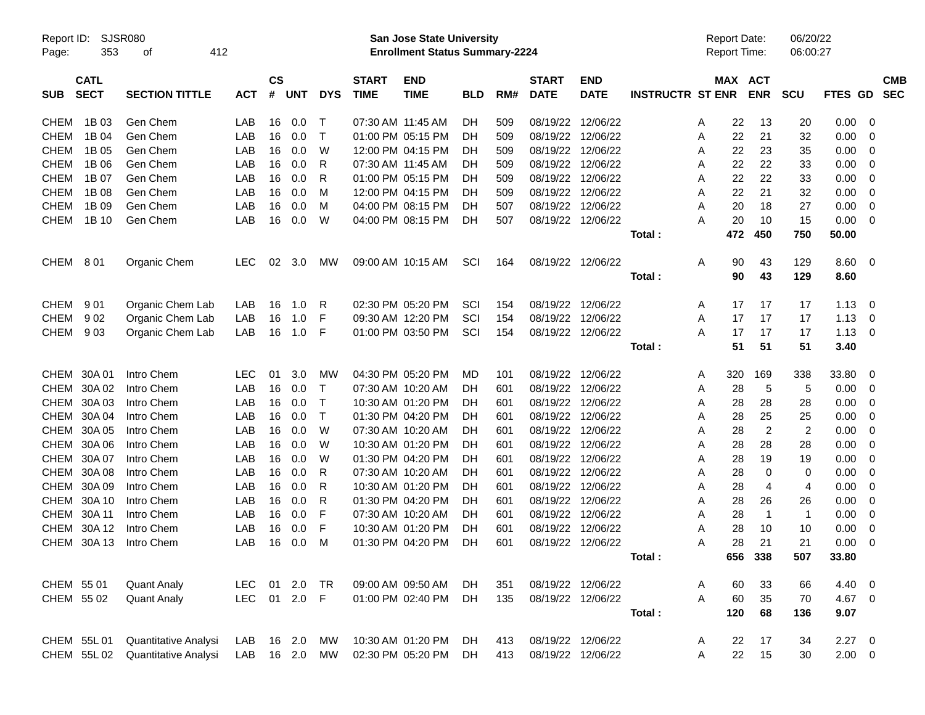| Report ID:<br>Page: | 353                        | <b>SJSR080</b><br>412<br>οf |            |                             |             |              |                             | San Jose State University<br><b>Enrollment Status Summary-2224</b> |            |     |                             |                           |                         |   | <b>Report Date:</b><br><b>Report Time:</b> |                | 06/20/22<br>06:00:27 |             |     |                          |
|---------------------|----------------------------|-----------------------------|------------|-----------------------------|-------------|--------------|-----------------------------|--------------------------------------------------------------------|------------|-----|-----------------------------|---------------------------|-------------------------|---|--------------------------------------------|----------------|----------------------|-------------|-----|--------------------------|
| <b>SUB</b>          | <b>CATL</b><br><b>SECT</b> | <b>SECTION TITTLE</b>       | <b>ACT</b> | $\mathsf{cs}$<br>$\pmb{\#}$ | <b>UNT</b>  | <b>DYS</b>   | <b>START</b><br><b>TIME</b> | <b>END</b><br><b>TIME</b>                                          | <b>BLD</b> | RM# | <b>START</b><br><b>DATE</b> | <b>END</b><br><b>DATE</b> | <b>INSTRUCTR ST ENR</b> |   | MAX ACT                                    | <b>ENR</b>     | <b>SCU</b>           | FTES GD     |     | <b>CMB</b><br><b>SEC</b> |
| <b>CHEM</b>         | 1B 03                      | Gen Chem                    | LAB        | 16                          | 0.0         | Т            |                             | 07:30 AM 11:45 AM                                                  | DH         | 509 |                             | 08/19/22 12/06/22         |                         | A | 22                                         | 13             | 20                   | 0.00        | -0  |                          |
| <b>CHEM</b>         | 1B 04                      | Gen Chem                    | LAB        | 16                          | 0.0         | $\mathsf{T}$ |                             | 01:00 PM 05:15 PM                                                  | DН         | 509 |                             | 08/19/22 12/06/22         |                         | A | 22                                         | 21             | 32                   | 0.00        | 0   |                          |
| <b>CHEM</b>         | 1B 05                      | Gen Chem                    | LAB        | 16                          | 0.0         | W            |                             | 12:00 PM 04:15 PM                                                  | DН         | 509 |                             | 08/19/22 12/06/22         |                         | A | 22                                         | 23             | 35                   | 0.00        | 0   |                          |
| <b>CHEM</b>         | 1B 06                      | Gen Chem                    | LAB        | 16                          | 0.0         | R            |                             | 07:30 AM 11:45 AM                                                  | DН         | 509 |                             | 08/19/22 12/06/22         |                         | A | 22                                         | 22             | 33                   | 0.00        | 0   |                          |
| <b>CHEM</b>         | 1B 07                      | Gen Chem                    | LAB        | 16                          | 0.0         | R            |                             | 01:00 PM 05:15 PM                                                  | DН         | 509 |                             | 08/19/22 12/06/22         |                         | A | 22                                         | 22             | 33                   | 0.00        | 0   |                          |
| <b>CHEM</b>         | 1B 08                      | Gen Chem                    | LAB        | 16                          | 0.0         | м            |                             | 12:00 PM 04:15 PM                                                  | DН         | 509 |                             | 08/19/22 12/06/22         |                         | A | 22                                         | 21             | 32                   | 0.00        | 0   |                          |
| <b>CHEM</b>         | 1B 09                      | Gen Chem                    | LAB        | 16                          | 0.0         | м            |                             | 04:00 PM 08:15 PM                                                  | DН         | 507 |                             | 08/19/22 12/06/22         |                         | A | 20                                         | 18             | 27                   | 0.00        | 0   |                          |
| CHEM                | 1B 10                      | Gen Chem                    | LAB        | 16                          | 0.0         | W            |                             | 04:00 PM 08:15 PM                                                  | <b>DH</b>  | 507 |                             | 08/19/22 12/06/22         |                         | A | 20                                         | 10             | 15                   | 0.00        | - 0 |                          |
|                     |                            |                             |            |                             |             |              |                             |                                                                    |            |     |                             |                           | Total:                  |   | 472                                        | 450            | 750                  | 50.00       |     |                          |
| CHEM                | 801                        | Organic Chem                | <b>LEC</b> | 02                          | 3.0         | мw           |                             | 09:00 AM 10:15 AM                                                  | SCI        | 164 |                             | 08/19/22 12/06/22         |                         | A | 90                                         | 43             | 129                  | 8.60 0      |     |                          |
|                     |                            |                             |            |                             |             |              |                             |                                                                    |            |     |                             |                           | Total:                  |   | 90                                         | 43             | 129                  | 8.60        |     |                          |
| CHEM                | 901                        | Organic Chem Lab            | LAB        | 16                          | 1.0         | R            |                             | 02:30 PM 05:20 PM                                                  | SCI        | 154 |                             | 08/19/22 12/06/22         |                         | A | 17                                         | 17             | 17                   | 1.13        | - 0 |                          |
| <b>CHEM</b>         | 902                        | Organic Chem Lab            | LAB        | 16                          | 1.0         | F            |                             | 09:30 AM 12:20 PM                                                  | SCI        | 154 |                             | 08/19/22 12/06/22         |                         | A | 17                                         | 17             | 17                   | 1.13        | 0   |                          |
| CHEM                | 903                        | Organic Chem Lab            | LAB        | 16                          | 1.0         | F            |                             | 01:00 PM 03:50 PM                                                  | SCI        | 154 |                             | 08/19/22 12/06/22         |                         | A | 17                                         | 17             | 17                   | 1.13        | - 0 |                          |
|                     |                            |                             |            |                             |             |              |                             |                                                                    |            |     |                             |                           | Total:                  |   | 51                                         | 51             | 51                   | 3.40        |     |                          |
|                     | CHEM 30A 01                | Intro Chem                  | <b>LEC</b> | 01                          | 3.0         | МW           |                             | 04:30 PM 05:20 PM                                                  | MD         | 101 |                             | 08/19/22 12/06/22         |                         | A | 320                                        | 169            | 338                  | 33.80       | 0   |                          |
|                     | CHEM 30A 02                | Intro Chem                  | LAB        | 16                          | 0.0         | Т            |                             | 07:30 AM 10:20 AM                                                  | DН         | 601 |                             | 08/19/22 12/06/22         |                         | Α | 28                                         | 5              | 5                    | 0.00        | 0   |                          |
|                     | CHEM 30A 03                | Intro Chem                  | LAB        | 16                          | 0.0         | Т            |                             | 10:30 AM 01:20 PM                                                  | DН         | 601 |                             | 08/19/22 12/06/22         |                         | Α | 28                                         | 28             | 28                   | 0.00        | 0   |                          |
|                     | CHEM 30A 04                | Intro Chem                  | LAB        | 16                          | 0.0         | Т            |                             | 01:30 PM 04:20 PM                                                  | DН         | 601 |                             | 08/19/22 12/06/22         |                         | Α | 28                                         | 25             | 25                   | 0.00        | 0   |                          |
|                     | CHEM 30A 05                | Intro Chem                  | LAB        | 16                          | 0.0         | W            |                             | 07:30 AM 10:20 AM                                                  | DН         | 601 |                             | 08/19/22 12/06/22         |                         | A | 28                                         | $\overline{2}$ | 2                    | 0.00        | 0   |                          |
|                     | CHEM 30A 06                | Intro Chem                  | LAB        | 16                          | 0.0         | W            |                             | 10:30 AM 01:20 PM                                                  | DН         | 601 |                             | 08/19/22 12/06/22         |                         | A | 28                                         | 28             | 28                   | 0.00        | 0   |                          |
|                     | CHEM 30A 07                | Intro Chem                  | LAB        | 16                          | 0.0         | W            |                             | 01:30 PM 04:20 PM                                                  | DН         | 601 |                             | 08/19/22 12/06/22         |                         | A | 28                                         | 19             | 19                   | 0.00        | 0   |                          |
|                     | CHEM 30A 08                | Intro Chem                  | LAB        | 16                          | 0.0         | R            |                             | 07:30 AM 10:20 AM                                                  | DН         | 601 |                             | 08/19/22 12/06/22         |                         | Α | 28                                         | 0              | 0                    | 0.00        | 0   |                          |
|                     | CHEM 30A 09                | Intro Chem                  | LAB        | 16                          | 0.0         | R            |                             | 10:30 AM 01:20 PM                                                  | DН         | 601 |                             | 08/19/22 12/06/22         |                         | A | 28                                         | 4              | 4                    | 0.00        | 0   |                          |
|                     | CHEM 30A 10                | Intro Chem                  | LAB        | 16                          | 0.0         | R            |                             | 01:30 PM 04:20 PM                                                  | DН         | 601 |                             | 08/19/22 12/06/22         |                         | A | 28                                         | 26             | 26                   | 0.00        | 0   |                          |
|                     | CHEM 30A 11                | Intro Chem                  | LAB        | 16                          | 0.0         | F            |                             | 07:30 AM 10:20 AM                                                  | DН         | 601 |                             | 08/19/22 12/06/22         |                         | Α | 28                                         | -1             | $\mathbf{1}$         | 0.00        | 0   |                          |
|                     | CHEM 30A 12                | Intro Chem                  | LAB        | 16                          | 0.0         | F            |                             | 10:30 AM 01:20 PM                                                  | DН         | 601 |                             | 08/19/22 12/06/22         |                         | A | 28                                         | 10             | 10                   | 0.00        | 0   |                          |
|                     | CHEM 30A 13                | Intro Chem                  | LAB        | 16                          | 0.0         | м            |                             | 01:30 PM 04:20 PM                                                  | DН         | 601 | 08/19/22 12/06/22           |                           |                         | A | 28                                         | 21             | 21                   | 0.00        | 0   |                          |
|                     |                            |                             |            |                             |             |              |                             |                                                                    |            |     |                             |                           | Total :                 |   |                                            | 656 338        | 507                  | 33.80       |     |                          |
| CHEM 55 01          |                            | <b>Quant Analy</b>          | LEC.       |                             | 01 2.0      | TR           |                             | 09:00 AM 09:50 AM                                                  | DH         | 351 |                             | 08/19/22 12/06/22         |                         | A | 60                                         | 33             | 66                   | 4.40 0      |     |                          |
| CHEM 55 02          |                            | <b>Quant Analy</b>          | LEC        |                             | 01 2.0 F    |              |                             | 01:00 PM 02:40 PM                                                  | DH         | 135 |                             | 08/19/22 12/06/22         |                         | A | 60                                         | 35             | 70                   | 4.67 0      |     |                          |
|                     |                            |                             |            |                             |             |              |                             |                                                                    |            |     |                             |                           | Total:                  |   | 120                                        | 68             | 136                  | 9.07        |     |                          |
|                     | CHEM 55L 01                | Quantitative Analysi        | LAB        |                             | 16 2.0      | МW           |                             | 10:30 AM 01:20 PM                                                  | DH         | 413 | 08/19/22 12/06/22           |                           |                         | A | 22                                         | 17             | 34                   | $2.27$ 0    |     |                          |
|                     | CHEM 55L 02                | Quantitative Analysi        | LAB        |                             | 16  2.0  MW |              |                             | 02:30 PM 05:20 PM                                                  | DH         | 413 |                             | 08/19/22 12/06/22         |                         | A | 22                                         | 15             | 30                   | $2.00 \t 0$ |     |                          |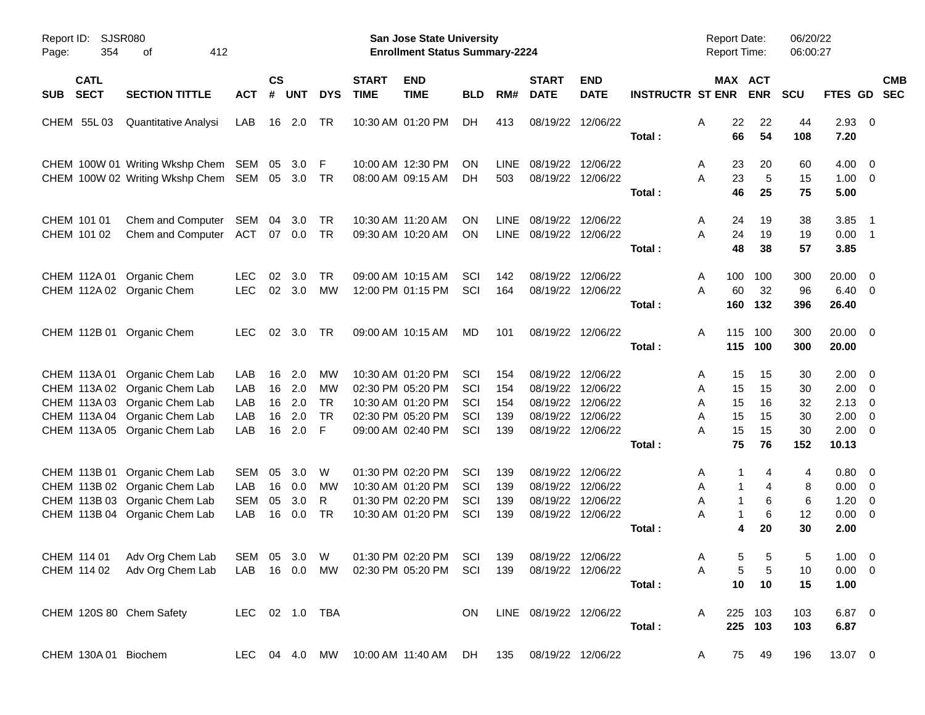| Page: | Report ID: SJSR080<br>354  | 412<br>οf                                                                                                                                                         |                                        |                            |                                 |                                         |                             | San Jose State University<br><b>Enrollment Status Summary-2224</b>                                    |                                 |                                 |                                                                            |                                  |                             | Report Date:<br><b>Report Time:</b>                       |                                  | 06/20/22<br>06:00:27              |                                               |                                                                                                                   |            |
|-------|----------------------------|-------------------------------------------------------------------------------------------------------------------------------------------------------------------|----------------------------------------|----------------------------|---------------------------------|-----------------------------------------|-----------------------------|-------------------------------------------------------------------------------------------------------|---------------------------------|---------------------------------|----------------------------------------------------------------------------|----------------------------------|-----------------------------|-----------------------------------------------------------|----------------------------------|-----------------------------------|-----------------------------------------------|-------------------------------------------------------------------------------------------------------------------|------------|
| SUB   | <b>CATL</b><br><b>SECT</b> | <b>SECTION TITTLE</b>                                                                                                                                             | <b>ACT</b>                             | $\mathsf{cs}$<br>#         | <b>UNT</b>                      | <b>DYS</b>                              | <b>START</b><br><b>TIME</b> | <b>END</b><br><b>TIME</b>                                                                             | <b>BLD</b>                      | RM#                             | <b>START</b><br><b>DATE</b>                                                | <b>END</b><br><b>DATE</b>        | <b>INSTRUCTR ST ENR ENR</b> | MAX ACT                                                   |                                  | <b>SCU</b>                        | FTES GD SEC                                   |                                                                                                                   | <b>CMB</b> |
|       | CHEM 55L03                 | Quantitative Analysi                                                                                                                                              | LAB                                    |                            | 16 2.0                          | TR                                      |                             | 10:30 AM 01:20 PM                                                                                     | DH                              | 413                             | 08/19/22 12/06/22                                                          |                                  | Total:                      | A<br>22<br>66                                             | 22<br>54                         | 44<br>108                         | 2.93<br>7.20                                  | $\overline{0}$                                                                                                    |            |
|       |                            | CHEM 100W 01 Writing Wkshp Chem SEM<br>CHEM 100W 02 Writing Wkshp Chem SEM 05 3.0                                                                                 |                                        | 05                         | 3.0                             | -F<br>TR                                |                             | 10:00 AM 12:30 PM<br>08:00 AM 09:15 AM                                                                | ΟN<br>DH                        | <b>LINE</b><br>503              | 08/19/22 12/06/22<br>08/19/22 12/06/22                                     |                                  | Total:                      | 23<br>A<br>23<br>Α<br>46                                  | 20<br>5<br>25                    | 60<br>15<br>75                    | 4.00<br>$1.00 \t 0$<br>5.00                   | $\overline{\mathbf{0}}$                                                                                           |            |
|       | CHEM 101 01<br>CHEM 101 02 | Chem and Computer<br>Chem and Computer                                                                                                                            | SEM<br>ACT 07 0.0                      | 04                         | 3.0                             | TR<br><b>TR</b>                         |                             | 10:30 AM 11:20 AM<br>09:30 AM 10:20 AM                                                                | ON<br><b>ON</b>                 | <b>LINE</b><br>LINE             | 08/19/22 12/06/22<br>08/19/22 12/06/22                                     |                                  | Total:                      | A<br>24<br>24<br>Α<br>48                                  | 19<br>19<br>38                   | 38<br>19<br>57                    | 3.85<br>$0.00$ 1<br>3.85                      | $\overline{\phantom{0}}$ 1                                                                                        |            |
|       | CHEM 112A 01               | Organic Chem<br>CHEM 112A 02 Organic Chem                                                                                                                         | <b>LEC</b><br><b>LEC</b>               | 02<br>02                   | 3.0<br>3.0                      | <b>TR</b><br>MW                         |                             | 09:00 AM 10:15 AM<br>12:00 PM 01:15 PM                                                                | SCI<br>SCI                      | 142<br>164                      | 08/19/22<br>08/19/22 12/06/22                                              | 12/06/22                         | Total:                      | 100<br>A<br>60<br>Α<br>160                                | 100<br>32<br>132                 | 300<br>96<br>396                  | 20.00<br>6.40<br>26.40                        | $\overline{\mathbf{0}}$<br>$\overline{\mathbf{0}}$                                                                |            |
|       |                            | CHEM 112B 01 Organic Chem                                                                                                                                         | <b>LEC</b>                             | 02                         | 3.0                             | TR                                      |                             | 09:00 AM 10:15 AM                                                                                     | MD                              | 101                             | 08/19/22 12/06/22                                                          |                                  | Total:                      | A<br>115<br>115                                           | 100<br>100                       | 300<br>300                        | $20.00 \t 0$<br>20.00                         |                                                                                                                   |            |
|       |                            | CHEM 113A 01 Organic Chem Lab<br>CHEM 113A 02 Organic Chem Lab<br>CHEM 113A 03 Organic Chem Lab<br>CHEM 113A 04 Organic Chem Lab<br>CHEM 113A 05 Organic Chem Lab | LAB<br>LAB<br>LAB<br>LAB<br>LAB        | 16<br>16<br>16<br>16<br>16 | 2.0<br>2.0<br>2.0<br>2.0<br>2.0 | MW<br>MW<br><b>TR</b><br><b>TR</b><br>E |                             | 10:30 AM 01:20 PM<br>02:30 PM 05:20 PM<br>10:30 AM 01:20 PM<br>02:30 PM 05:20 PM<br>09:00 AM 02:40 PM | SCI<br>SCI<br>SCI<br>SCI<br>SCI | 154<br>154<br>154<br>139<br>139 | 08/19/22<br>08/19/22<br>08/19/22 12/06/22<br>08/19/22<br>08/19/22 12/06/22 | 12/06/22<br>12/06/22<br>12/06/22 | Total:                      | 15<br>A<br>15<br>A<br>15<br>A<br>Α<br>15<br>15<br>Α<br>75 | 15<br>15<br>16<br>15<br>15<br>76 | 30<br>30<br>32<br>30<br>30<br>152 | 2.00<br>2.00<br>2.13<br>2.00<br>2.00<br>10.13 | $\overline{\mathbf{0}}$<br>$\overline{\mathbf{0}}$<br>$\overline{0}$<br>$\overline{0}$<br>$\overline{\mathbf{0}}$ |            |
|       |                            | CHEM 113B 01 Organic Chem Lab<br>CHEM 113B 02 Organic Chem Lab<br>CHEM 113B 03 Organic Chem Lab<br>CHEM 113B 04 Organic Chem Lab                                  | <b>SEM</b><br>LAB<br><b>SEM</b><br>LAB | 05<br>16<br>05<br>16       | 3.0<br>0.0<br>3.0<br>0.0        | W<br>МW<br>R<br><b>TR</b>               |                             | 01:30 PM 02:20 PM<br>10:30 AM 01:20 PM<br>01:30 PM 02:20 PM<br>10:30 AM 01:20 PM                      | SCI<br>SCI<br>SCI<br>SCI        | 139<br>139<br>139<br>139        | 08/19/22<br>08/19/22<br>08/19/22 12/06/22<br>08/19/22 12/06/22             | 12/06/22<br>12/06/22             | Total:                      | A<br>1<br>A<br>$\mathbf{1}$<br>Α<br>A<br>1<br>4           | 4<br>4<br>6<br>6<br>20           | 4<br>8<br>6<br>12<br>30           | 0.80<br>0.00<br>1.20<br>0.00<br>2.00          | $\overline{\mathbf{0}}$<br>$\overline{\mathbf{0}}$<br>0<br>$\overline{0}$                                         |            |
|       |                            | CHEM 114 01 Adv Org Chem Lab SEM 05 3.0 W 01:30 PM 02:20 PM SCI 139<br>CHEM 114 02 Adv Org Chem Lab LAB 16 0.0 MW 02:30 PM 05:20 PM SCI 139                       |                                        |                            |                                 |                                         |                             |                                                                                                       |                                 |                                 | 08/19/22 12/06/22<br>08/19/22 12/06/22                                     |                                  | Total:                      | $\overline{5}$<br>$\mathsf{A}$<br>5<br>A<br>10            | 5<br>5<br>10                     | 5<br>10<br>15                     | $1.00 \t 0$<br>$0.00 \quad 0$<br>1.00         |                                                                                                                   |            |
|       |                            | CHEM 120S 80 Chem Safety                                                                                                                                          | LEC 02 1.0 TBA                         |                            |                                 |                                         |                             |                                                                                                       | ON.                             |                                 | LINE 08/19/22 12/06/22                                                     |                                  | Total:                      | A                                                         | 225 103<br>225 103               | 103<br>103                        | 6.87 0<br>6.87                                |                                                                                                                   |            |
|       | CHEM 130A 01 Biochem       |                                                                                                                                                                   |                                        |                            |                                 |                                         |                             | LEC 04 4.0 MW 10:00 AM 11:40 AM DH 135 08/19/22 12/06/22                                              |                                 |                                 |                                                                            |                                  |                             | A                                                         | 75 49                            | 196                               | 13.07 0                                       |                                                                                                                   |            |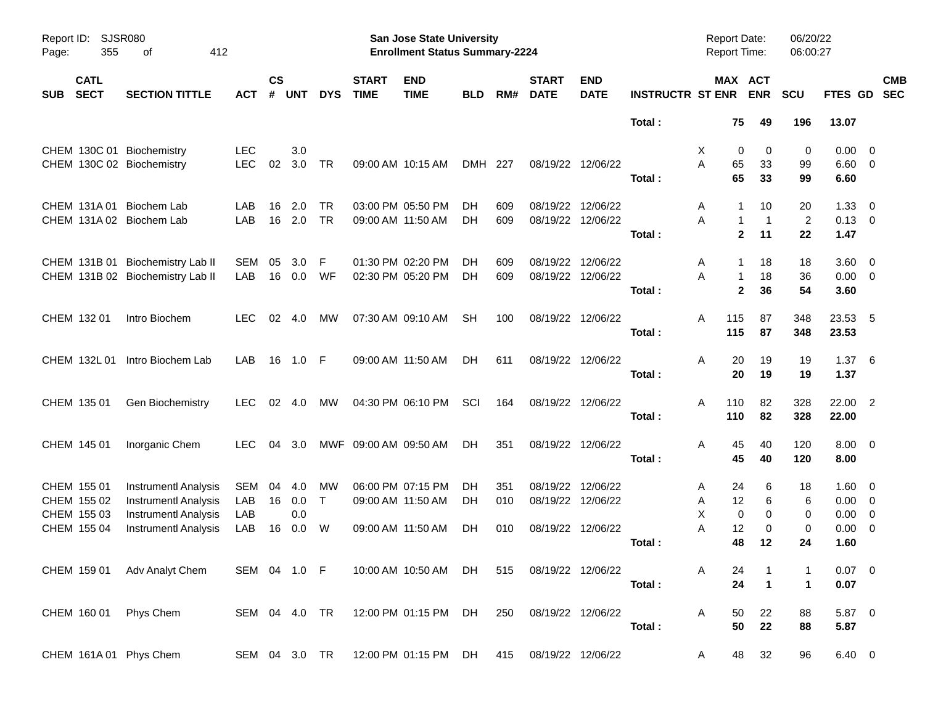| Report ID:<br>355<br>Page:               | <b>SJSR080</b><br>412<br>οf                                |               |                    |            |            |                             | <b>San Jose State University</b><br><b>Enrollment Status Summary-2224</b> |            |     |                             |                           |                         | <b>Report Date:</b><br>Report Time: |                    | 06/20/22<br>06:00:27 |                     |                          |            |
|------------------------------------------|------------------------------------------------------------|---------------|--------------------|------------|------------|-----------------------------|---------------------------------------------------------------------------|------------|-----|-----------------------------|---------------------------|-------------------------|-------------------------------------|--------------------|----------------------|---------------------|--------------------------|------------|
| <b>CATL</b><br><b>SECT</b><br><b>SUB</b> | <b>SECTION TITTLE</b>                                      | <b>ACT</b>    | $\mathsf{cs}$<br># | <b>UNT</b> | <b>DYS</b> | <b>START</b><br><b>TIME</b> | <b>END</b><br><b>TIME</b>                                                 | <b>BLD</b> | RM# | <b>START</b><br><b>DATE</b> | <b>END</b><br><b>DATE</b> | <b>INSTRUCTR ST ENR</b> | MAX ACT                             | <b>ENR</b>         | <b>SCU</b>           | FTES GD SEC         |                          | <b>CMB</b> |
|                                          |                                                            |               |                    |            |            |                             |                                                                           |            |     |                             |                           | Total:                  | 75                                  | 49                 | 196                  | 13.07               |                          |            |
| CHEM 130C 01 Biochemistry                |                                                            | <b>LEC</b>    |                    | 3.0        |            |                             |                                                                           |            |     |                             |                           |                         | X<br>0                              | 0                  | 0                    | 0.00                | $\overline{\phantom{0}}$ |            |
| CHEM 130C 02 Biochemistry                |                                                            | <b>LEC</b>    | 02                 | 3.0        | <b>TR</b>  |                             | 09:00 AM 10:15 AM                                                         | DMH 227    |     |                             | 08/19/22 12/06/22         |                         | А<br>65                             | 33                 | 99                   | $6.60 \quad 0$      |                          |            |
|                                          |                                                            |               |                    |            |            |                             |                                                                           |            |     |                             |                           | Total:                  | 65                                  | 33                 | 99                   | 6.60                |                          |            |
| CHEM 131A 01 Biochem Lab                 |                                                            | LAB           | 16                 | 2.0        | <b>TR</b>  |                             | 03:00 PM 05:50 PM                                                         | DH         | 609 |                             | 08/19/22 12/06/22         |                         | A<br>-1                             | 10                 | 20                   | 1.33                | $\overline{\mathbf{0}}$  |            |
| CHEM 131A 02 Biochem Lab                 |                                                            | LAB           | 16                 | 2.0        | <b>TR</b>  |                             | 09:00 AM 11:50 AM                                                         | DH         | 609 | 08/19/22 12/06/22           |                           |                         | Α<br>1                              | $\overline{1}$     | $\overline{2}$       | $0.13 \ 0$          |                          |            |
|                                          |                                                            |               |                    |            |            |                             |                                                                           |            |     |                             |                           | Total:                  |                                     | $\mathbf{2}$<br>11 | 22                   | 1.47                |                          |            |
|                                          | CHEM 131B 01 Biochemistry Lab II                           | SEM           | 05                 | 3.0        | F          |                             | 01:30 PM 02:20 PM                                                         | DH         | 609 |                             | 08/19/22 12/06/22         |                         | A<br>-1                             | 18                 | 18                   | 3.60                | $\overline{\phantom{0}}$ |            |
|                                          | CHEM 131B 02 Biochemistry Lab II                           | LAB           | 16                 | 0.0        | WF         |                             | 02:30 PM 05:20 PM                                                         | DH         | 609 | 08/19/22 12/06/22           |                           |                         | Α<br>$\mathbf{1}$                   | 18                 | 36                   | $0.00 \t 0$         |                          |            |
|                                          |                                                            |               |                    |            |            |                             |                                                                           |            |     |                             |                           | Total:                  | $\mathbf{2}$                        | 36                 | 54                   | 3.60                |                          |            |
| CHEM 132 01                              | Intro Biochem                                              | LEC.          | 02                 | 4.0        | МW         |                             | 07:30 AM 09:10 AM                                                         | SН         | 100 | 08/19/22 12/06/22           |                           |                         | 115<br>Α                            | 87                 | 348                  | 23.53 5             |                          |            |
|                                          |                                                            |               |                    |            |            |                             |                                                                           |            |     |                             |                           | Total:                  | 115                                 | 87                 | 348                  | 23.53               |                          |            |
| CHEM 132L 01                             | Intro Biochem Lab                                          | LAB           | 16                 | 1.0        | - F        |                             | 09:00 AM 11:50 AM                                                         | DH         | 611 | 08/19/22 12/06/22           |                           |                         | Α<br>20                             | 19                 | 19                   | 1.376               |                          |            |
|                                          |                                                            |               |                    |            |            |                             |                                                                           |            |     |                             |                           | Total:                  | 20                                  | 19                 | 19                   | 1.37                |                          |            |
|                                          |                                                            | LEC.          |                    | 02 4.0     | МW         |                             | 04:30 PM 06:10 PM                                                         | SCI        | 164 | 08/19/22 12/06/22           |                           |                         | A<br>110                            | 82                 | 328                  |                     |                          |            |
| CHEM 135 01                              | Gen Biochemistry                                           |               |                    |            |            |                             |                                                                           |            |     |                             |                           | Total:                  | 110                                 | 82                 | 328                  | 22.00 2<br>22.00    |                          |            |
|                                          |                                                            |               |                    |            |            |                             |                                                                           |            |     |                             |                           |                         |                                     |                    |                      |                     |                          |            |
| CHEM 145 01                              | Inorganic Chem                                             | LEC.          |                    | 04 3.0     |            | MWF 09:00 AM 09:50 AM       |                                                                           | DH         | 351 | 08/19/22 12/06/22           |                           | Total:                  | Α<br>45<br>45                       | 40<br>40           | 120<br>120           | $8.00 \t 0$<br>8.00 |                          |            |
|                                          |                                                            |               |                    |            |            |                             |                                                                           |            |     |                             |                           |                         |                                     |                    |                      |                     |                          |            |
| CHEM 155 01                              | <b>Instrumentl Analysis</b>                                | SEM           | 04                 | 4.0        | МW         |                             | 06:00 PM 07:15 PM                                                         | DH         | 351 | 08/19/22 12/06/22           |                           |                         | 24<br>A                             | 6                  | 18                   | 1.60                | - 0                      |            |
| CHEM 155 02                              | <b>Instrumentl Analysis</b>                                | LAB           | 16                 | 0.0        | $\top$     |                             | 09:00 AM 11:50 AM                                                         | <b>DH</b>  | 010 | 08/19/22 12/06/22           |                           |                         | 12<br>Α                             | 6                  | 6                    | 0.00                | $\overline{\mathbf{0}}$  |            |
| CHEM 155 03                              | <b>Instrumentl Analysis</b><br><b>Instrumentl Analysis</b> | LAB<br>LAB    |                    | 0.0        | W          |                             |                                                                           |            | 010 | 08/19/22 12/06/22           |                           |                         | X<br>0<br>Α<br>12                   | 0                  | 0                    | 0.00                | $\overline{0}$           |            |
| CHEM 155 04                              |                                                            |               | 16                 | 0.0        |            |                             | 09:00 AM 11:50 AM                                                         | DH         |     |                             |                           | Total:                  | 48                                  | 0<br>12            | 0<br>24              | 0.00<br>1.60        | $\overline{\mathbf{0}}$  |            |
|                                          |                                                            |               |                    |            |            |                             |                                                                           |            |     |                             |                           |                         |                                     |                    |                      |                     |                          |            |
|                                          | CHEM 159 01 Adv Analyt Chem                                | SEM 04 1.0 F  |                    |            |            |                             | 10:00 AM 10:50 AM DH                                                      |            | 515 | 08/19/22 12/06/22           |                           |                         | A<br>24                             |                    | 1                    | $0.07 \quad 0$      |                          |            |
|                                          |                                                            |               |                    |            |            |                             |                                                                           |            |     |                             |                           | Total:                  | 24                                  | $\overline{1}$     | $\mathbf{1}$         | 0.07                |                          |            |
| CHEM 160 01 Phys Chem                    |                                                            | SEM 04 4.0 TR |                    |            |            |                             | 12:00 PM 01:15 PM DH                                                      |            | 250 | 08/19/22 12/06/22           |                           |                         | Α<br>50                             | 22                 | 88                   | 5.87 0              |                          |            |
|                                          |                                                            |               |                    |            |            |                             |                                                                           |            |     |                             |                           | Total:                  | 50                                  | 22                 | 88                   | 5.87                |                          |            |
| CHEM 161A 01 Phys Chem                   |                                                            | SEM 04 3.0 TR |                    |            |            |                             | 12:00 PM 01:15 PM DH                                                      |            | 415 | 08/19/22 12/06/22           |                           |                         | 48<br>A                             | 32                 | 96                   | 6.40 0              |                          |            |
|                                          |                                                            |               |                    |            |            |                             |                                                                           |            |     |                             |                           |                         |                                     |                    |                      |                     |                          |            |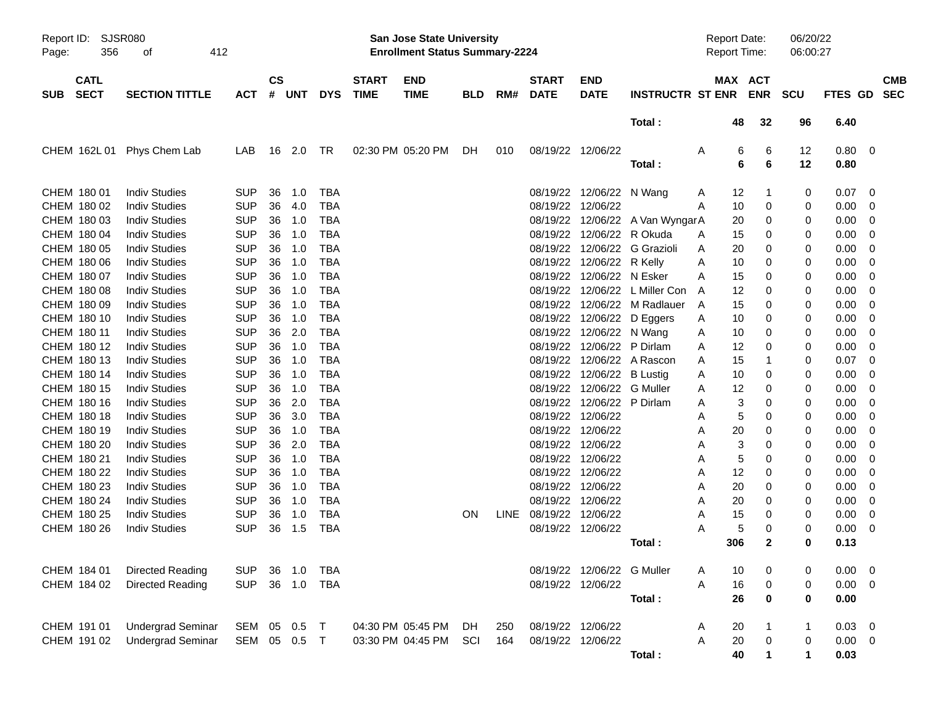| Report ID:<br>356<br>Page:               | SJSR080<br>412<br>οf       |            |                    |            |            | San Jose State University<br><b>Enrollment Status Summary-2224</b> |            |     |                             |                            |                                 | <b>Report Date:</b><br><b>Report Time:</b> |        |                       | 06/20/22<br>06:00:27 |                    |                          |            |
|------------------------------------------|----------------------------|------------|--------------------|------------|------------|--------------------------------------------------------------------|------------|-----|-----------------------------|----------------------------|---------------------------------|--------------------------------------------|--------|-----------------------|----------------------|--------------------|--------------------------|------------|
| <b>CATL</b><br><b>SECT</b><br><b>SUB</b> | <b>SECTION TITTLE</b>      | <b>ACT</b> | $\mathsf{cs}$<br># | <b>UNT</b> | <b>DYS</b> | <b>END</b><br><b>START</b><br><b>TIME</b><br><b>TIME</b>           | <b>BLD</b> | RM# | <b>START</b><br><b>DATE</b> | <b>END</b><br><b>DATE</b>  | <b>INSTRUCTR ST ENR</b>         |                                            |        | MAX ACT<br><b>ENR</b> | <b>SCU</b>           | FTES GD SEC        |                          | <b>CMB</b> |
|                                          |                            |            |                    |            |            |                                                                    |            |     |                             |                            | Total:                          |                                            | 48     | 32                    | 96                   | 6.40               |                          |            |
|                                          | CHEM 162L 01 Phys Chem Lab | LAB        |                    | 16 2.0     | TR         | 02:30 PM 05:20 PM                                                  | DH.        | 010 | 08/19/22 12/06/22           |                            | Total:                          | A                                          | 6<br>6 | 6<br>6                | 12<br>12             | $0.80 \ 0$<br>0.80 |                          |            |
| CHEM 180 01                              | <b>Indiv Studies</b>       | <b>SUP</b> | 36                 | 1.0        | <b>TBA</b> |                                                                    |            |     |                             | 08/19/22 12/06/22 N Wang   |                                 | A                                          | 12     | -1                    | 0                    | 0.07               | $\overline{\phantom{0}}$ |            |
| CHEM 180 02                              | <b>Indiv Studies</b>       | <b>SUP</b> | 36                 | 4.0        | <b>TBA</b> |                                                                    |            |     | 08/19/22 12/06/22           |                            |                                 | A                                          | 10     | 0                     | 0                    | $0.00 \t 0$        |                          |            |
| CHEM 180 03                              | <b>Indiv Studies</b>       | <b>SUP</b> | 36                 | 1.0        | <b>TBA</b> |                                                                    |            |     |                             |                            | 08/19/22 12/06/22 A Van WyngarA |                                            | 20     | 0                     | 0                    | $0.00 \t 0$        |                          |            |
| CHEM 180 04                              | <b>Indiv Studies</b>       | <b>SUP</b> | 36                 | 1.0        | <b>TBA</b> |                                                                    |            |     |                             | 08/19/22 12/06/22 R Okuda  |                                 | A                                          | 15     | 0                     | 0                    | $0.00 \t 0$        |                          |            |
| CHEM 180 05                              | <b>Indiv Studies</b>       | <b>SUP</b> | 36                 | 1.0        | <b>TBA</b> |                                                                    |            |     |                             |                            | 08/19/22 12/06/22 G Grazioli    | A                                          | 20     | 0                     | 0                    | 0.00               | $\overline{\phantom{0}}$ |            |
| CHEM 180 06                              | <b>Indiv Studies</b>       | <b>SUP</b> | 36                 | 1.0        | <b>TBA</b> |                                                                    |            |     |                             | 08/19/22 12/06/22 R Kelly  |                                 | A                                          | 10     | 0                     | 0                    | $0.00 \t 0$        |                          |            |
| CHEM 180 07                              | <b>Indiv Studies</b>       | <b>SUP</b> | 36                 | 1.0        | <b>TBA</b> |                                                                    |            |     |                             | 08/19/22 12/06/22 N Esker  |                                 | A                                          | 15     | 0                     | 0                    | 0.00               | $\overline{\phantom{0}}$ |            |
| CHEM 180 08                              | <b>Indiv Studies</b>       | <b>SUP</b> | 36                 | 1.0        | <b>TBA</b> |                                                                    |            |     |                             |                            | 08/19/22 12/06/22 L Miller Con  | A                                          | 12     | 0                     | 0                    | 0.00               | $\overline{\phantom{0}}$ |            |
| CHEM 180 09                              | <b>Indiv Studies</b>       | <b>SUP</b> | 36                 | 1.0        | <b>TBA</b> |                                                                    |            |     |                             |                            | 08/19/22 12/06/22 M Radlauer    | A                                          | 15     | 0                     | 0                    | $0.00 \t 0$        |                          |            |
| CHEM 180 10                              | <b>Indiv Studies</b>       | <b>SUP</b> | 36                 | 1.0        | <b>TBA</b> |                                                                    |            |     |                             | 08/19/22 12/06/22 D Eggers |                                 | Α                                          | 10     | 0                     | 0                    | 0.00               | $\overline{\phantom{0}}$ |            |
| CHEM 180 11                              | <b>Indiv Studies</b>       | <b>SUP</b> | 36                 | 2.0        | <b>TBA</b> |                                                                    |            |     |                             | 08/19/22 12/06/22 N Wang   |                                 | A                                          | 10     | 0                     | 0                    | $0.00 \t 0$        |                          |            |
| CHEM 180 12                              | <b>Indiv Studies</b>       | <b>SUP</b> | 36                 | 1.0        | <b>TBA</b> |                                                                    |            |     |                             | 08/19/22 12/06/22 P Dirlam |                                 | A                                          | 12     | 0                     | 0                    | 0.00               | $\overline{\phantom{0}}$ |            |
| CHEM 180 13                              | <b>Indiv Studies</b>       | <b>SUP</b> | 36                 | 1.0        | <b>TBA</b> |                                                                    |            |     |                             |                            | 08/19/22 12/06/22 A Rascon      | A                                          | 15     | -1                    | 0                    | 0.07               | $\overline{\phantom{0}}$ |            |
| CHEM 180 14                              | <b>Indiv Studies</b>       | <b>SUP</b> | 36                 | 1.0        | <b>TBA</b> |                                                                    |            |     |                             | 08/19/22 12/06/22 B Lustig |                                 | A                                          | 10     | 0                     | 0                    | 0.00               | $\overline{\phantom{0}}$ |            |
| CHEM 180 15                              | <b>Indiv Studies</b>       | <b>SUP</b> | 36                 | 1.0        | <b>TBA</b> |                                                                    |            |     |                             | 08/19/22 12/06/22 G Muller |                                 | A                                          | 12     | 0                     | 0                    | 0.00               | $\overline{\phantom{0}}$ |            |
| CHEM 180 16                              | <b>Indiv Studies</b>       | <b>SUP</b> | 36                 | 2.0        | <b>TBA</b> |                                                                    |            |     |                             | 08/19/22 12/06/22 P Dirlam |                                 | A                                          | 3      | 0                     | 0                    | 0.00               | $\overline{\phantom{0}}$ |            |
| CHEM 180 18                              | <b>Indiv Studies</b>       | <b>SUP</b> | 36                 | 3.0        | <b>TBA</b> |                                                                    |            |     | 08/19/22 12/06/22           |                            |                                 | A                                          | 5      | 0                     | 0                    | 0.00               | $\overline{\phantom{0}}$ |            |
| CHEM 180 19                              | <b>Indiv Studies</b>       | <b>SUP</b> | 36                 | 1.0        | <b>TBA</b> |                                                                    |            |     | 08/19/22 12/06/22           |                            |                                 | A                                          | 20     | 0                     | 0                    | 0.00               | $\overline{\phantom{0}}$ |            |
| CHEM 180 20                              | <b>Indiv Studies</b>       | <b>SUP</b> | 36                 | 2.0        | <b>TBA</b> |                                                                    |            |     | 08/19/22 12/06/22           |                            |                                 | A                                          | 3      | 0                     | 0                    | 0.00               | $\overline{\phantom{0}}$ |            |
| CHEM 180 21                              | <b>Indiv Studies</b>       | <b>SUP</b> | 36                 | 1.0        | <b>TBA</b> |                                                                    |            |     | 08/19/22 12/06/22           |                            |                                 | A                                          | 5      | 0                     | 0                    | 0.00               | $\overline{\phantom{0}}$ |            |
| CHEM 180 22                              | <b>Indiv Studies</b>       | <b>SUP</b> | 36                 | 1.0        | <b>TBA</b> |                                                                    |            |     | 08/19/22 12/06/22           |                            |                                 | A                                          | 12     | 0                     | 0                    | 0.00               | $\overline{\phantom{0}}$ |            |
| CHEM 180 23                              | <b>Indiv Studies</b>       | <b>SUP</b> | 36                 | 1.0        | <b>TBA</b> |                                                                    |            |     | 08/19/22 12/06/22           |                            |                                 | A                                          | 20     | 0                     | 0                    | 0.00               | $\overline{\phantom{0}}$ |            |
| CHEM 180 24                              | <b>Indiv Studies</b>       | <b>SUP</b> | 36                 | 1.0        | <b>TBA</b> |                                                                    |            |     | 08/19/22 12/06/22           |                            |                                 | A                                          | 20     | 0                     | 0                    | 0.00               | $\overline{\mathbf{0}}$  |            |
| CHEM 180 25                              | <b>Indiv Studies</b>       | <b>SUP</b> | 36                 | 1.0        | <b>TBA</b> |                                                                    | <b>ON</b>  |     | LINE 08/19/22 12/06/22      |                            |                                 | A                                          | 15     | 0                     | 0                    | 0.00               | $\overline{\mathbf{0}}$  |            |
| CHEM 180 26                              | <b>Indiv Studies</b>       | <b>SUP</b> | 36                 | 1.5        | <b>TBA</b> |                                                                    |            |     | 08/19/22 12/06/22           |                            |                                 | Α                                          | 5      | 0                     | 0                    | 0.00               | $\overline{\mathbf{0}}$  |            |
|                                          |                            |            |                    |            |            |                                                                    |            |     |                             |                            | Total :                         |                                            | 306    | $\mathbf{2}$          | 0                    | 0.13               |                          |            |
| CHEM 184 01                              | Directed Reading           | <b>SUP</b> |                    | 36 1.0     | TBA        |                                                                    |            |     |                             | 08/19/22 12/06/22 G Muller |                                 | A                                          | 10     | 0                     | 0                    | $0.00 \t 0$        |                          |            |
| CHEM 184 02                              | Directed Reading           | <b>SUP</b> |                    | 36 1.0     | <b>TBA</b> |                                                                    |            |     | 08/19/22 12/06/22           |                            |                                 | A                                          | 16     | $\pmb{0}$             | 0                    | $0.00 \t 0$        |                          |            |
|                                          |                            |            |                    |            |            |                                                                    |            |     |                             |                            | Total:                          |                                            | 26     | $\pmb{0}$             | 0                    | 0.00               |                          |            |
| CHEM 191 01                              | <b>Undergrad Seminar</b>   | SEM 05 0.5 |                    |            | $\top$     | 04:30 PM 05:45 PM                                                  | DH         | 250 | 08/19/22 12/06/22           |                            |                                 | Α                                          | 20     |                       | $\mathbf 1$          | $0.03 \ 0$         |                          |            |
| CHEM 191 02                              | <b>Undergrad Seminar</b>   | SEM 05 0.5 |                    |            | $\top$     | 03:30 PM 04:45 PM                                                  | SCI        | 164 | 08/19/22 12/06/22           |                            |                                 | Α                                          | $20\,$ | $\pmb{0}$             | 0                    | $0.00 \t 0$        |                          |            |
|                                          |                            |            |                    |            |            |                                                                    |            |     |                             |                            | Total:                          |                                            | 40     |                       | 1                    | 0.03               |                          |            |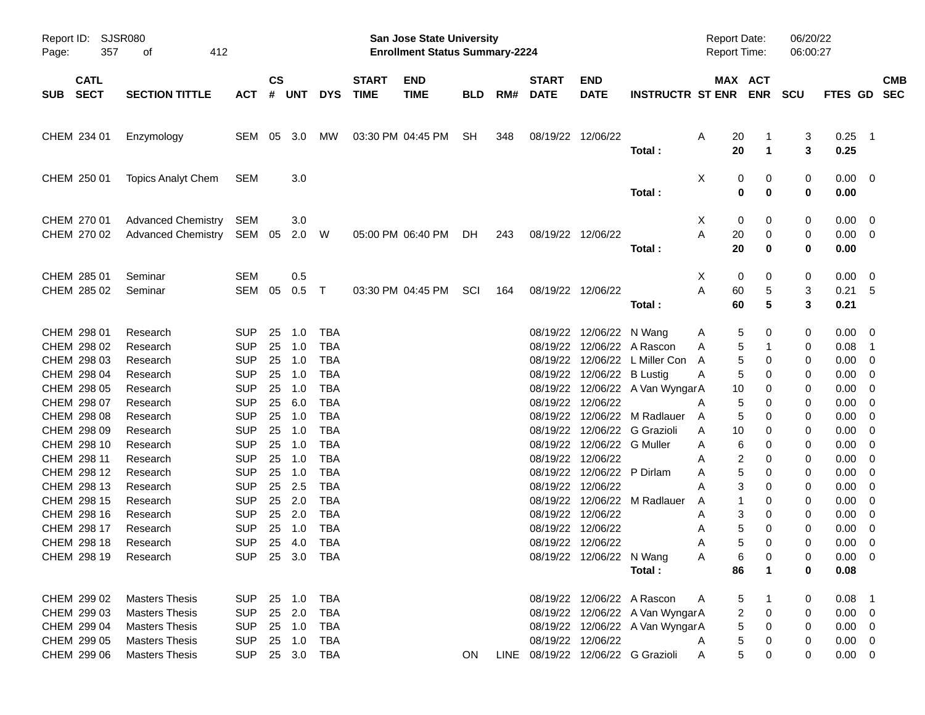| Report ID:<br>357<br>Page:                | SJSR080<br>412<br>οf                                                    |                                            |                |                            |                                        |                             | San Jose State University<br><b>Enrollment Status Summary-2224</b> |            |     |                             |                                                                               |                                                                    | <b>Report Date:</b><br><b>Report Time:</b> |                                         | 06/20/22<br>06:00:27 |                                           |                           |
|-------------------------------------------|-------------------------------------------------------------------------|--------------------------------------------|----------------|----------------------------|----------------------------------------|-----------------------------|--------------------------------------------------------------------|------------|-----|-----------------------------|-------------------------------------------------------------------------------|--------------------------------------------------------------------|--------------------------------------------|-----------------------------------------|----------------------|-------------------------------------------|---------------------------|
| <b>CATL</b><br><b>SECT</b><br><b>SUB</b>  | <b>SECTION TITTLE</b>                                                   | ACT                                        | <b>CS</b><br># | <b>UNT</b>                 | <b>DYS</b>                             | <b>START</b><br><b>TIME</b> | <b>END</b><br><b>TIME</b>                                          | <b>BLD</b> | RM# | <b>START</b><br><b>DATE</b> | <b>END</b><br><b>DATE</b>                                                     | <b>INSTRUCTR ST ENR</b>                                            |                                            | MAX ACT<br><b>ENR</b>                   | <b>SCU</b>           |                                           | <b>CMB</b><br>FTES GD SEC |
| CHEM 234 01                               | Enzymology                                                              | SEM 05 3.0                                 |                |                            | MW                                     |                             | 03:30 PM 04:45 PM                                                  | SH         | 348 |                             | 08/19/22 12/06/22                                                             | Total:                                                             | A<br>20<br>20                              | -1<br>$\mathbf 1$                       | 3<br>3               | $0.25$ 1<br>0.25                          |                           |
| CHEM 250 01                               | <b>Topics Analyt Chem</b>                                               | SEM                                        |                | 3.0                        |                                        |                             |                                                                    |            |     |                             |                                                                               | Total:                                                             | Χ                                          | 0<br>0<br>$\bf{0}$<br>0                 | 0<br>0               | $0.00 \t 0$<br>0.00                       |                           |
| CHEM 270 01<br>CHEM 270 02                | <b>Advanced Chemistry</b><br><b>Advanced Chemistry</b>                  | SEM<br>SEM                                 | 05             | 3.0<br>2.0                 | - W                                    |                             | 05:00 PM 06:40 PM                                                  | DH.        | 243 |                             | 08/19/22 12/06/22                                                             | Total:                                                             | X<br>A<br>20<br>20                         | 0<br>0<br>0<br>$\bf{0}$                 | 0<br>0<br>0          | $0.00 \t 0$<br>$0.00 \t 0$<br>0.00        |                           |
| CHEM 285 01<br>CHEM 285 02                | Seminar<br>Seminar                                                      | SEM<br>SEM                                 | 05             | 0.5<br>0.5                 | $\top$                                 |                             | 03:30 PM 04:45 PM                                                  | SCI        | 164 |                             | 08/19/22 12/06/22                                                             | Total:                                                             | X<br>Α<br>60<br>60                         | 0<br>0<br>5<br>5                        | 0<br>3<br>3          | $0.00 \t 0$<br>0.21 5<br>0.21             |                           |
| CHEM 298 01<br>CHEM 298 02                | Research<br>Research                                                    | <b>SUP</b><br><b>SUP</b>                   | 25<br>25       | 1.0<br>1.0                 | TBA<br><b>TBA</b>                      |                             |                                                                    |            |     |                             | 08/19/22 12/06/22 N Wang                                                      | 08/19/22 12/06/22 A Rascon                                         | A<br>A                                     | 5<br>0<br>5<br>1                        | 0<br>0               | $0.00 \t 0$<br>0.08                       | $\overline{\phantom{1}}$  |
| CHEM 298 03<br>CHEM 298 04<br>CHEM 298 05 | Research<br>Research<br>Research                                        | <b>SUP</b><br><b>SUP</b><br><b>SUP</b>     | 25<br>25<br>25 | 1.0<br>1.0<br>1.0          | <b>TBA</b><br><b>TBA</b><br><b>TBA</b> |                             |                                                                    |            |     |                             | 08/19/22 12/06/22 B Lustig                                                    | 08/19/22 12/06/22 L Miller Con<br>08/19/22 12/06/22 A Van WyngarA  | A<br>A<br>10                               | 5<br>0<br>5<br>0<br>0                   | 0<br>0<br>0          | $0.00 \t 0$<br>0.00<br>0.00               | - 0<br>- 0                |
| CHEM 298 07<br>CHEM 298 08<br>CHEM 298 09 | Research<br>Research<br>Research                                        | <b>SUP</b><br><b>SUP</b><br><b>SUP</b>     | 25<br>25<br>25 | 6.0<br>1.0<br>1.0          | <b>TBA</b><br><b>TBA</b><br><b>TBA</b> |                             |                                                                    |            |     |                             | 08/19/22 12/06/22                                                             | 08/19/22 12/06/22 M Radlauer<br>08/19/22 12/06/22 G Grazioli       | Α<br>A<br>A<br>10                          | 5<br>0<br>5<br>0<br>0                   | 0<br>0<br>0          | 0.00<br>0.00<br>0.00                      | - 0<br>- 0<br>- 0         |
| CHEM 298 10<br>CHEM 298 11<br>CHEM 298 12 | Research<br>Research<br>Research                                        | <b>SUP</b><br><b>SUP</b><br><b>SUP</b>     | 25<br>25<br>25 | 1.0<br>1.0<br>1.0          | <b>TBA</b><br><b>TBA</b><br><b>TBA</b> |                             |                                                                    |            |     |                             | 08/19/22 12/06/22 G Muller<br>08/19/22 12/06/22<br>08/19/22 12/06/22 P Dirlam |                                                                    | A<br>A<br>A                                | 6<br>0<br>2<br>0<br>5<br>0              | 0<br>0<br>0          | 0.00<br>0.00<br>0.00                      | - 0<br>- 0<br>- 0         |
| CHEM 298 13<br>CHEM 298 15<br>CHEM 298 16 | Research<br>Research<br>Research                                        | <b>SUP</b><br><b>SUP</b><br><b>SUP</b>     | 25<br>25       | 25 2.5<br>2.0<br>2.0       | <b>TBA</b><br><b>TBA</b><br><b>TBA</b> |                             |                                                                    |            |     |                             | 08/19/22 12/06/22<br>08/19/22 12/06/22                                        | 08/19/22 12/06/22 M Radlauer                                       | A<br>A<br>A                                | 3<br>0<br>1<br>0<br>3<br>0              | 0<br>0<br>0          | 0.00<br>0.00<br>0.00                      | - 0<br>- 0<br>- 0         |
| CHEM 298 17<br>CHEM 298 18<br>CHEM 298 19 | Research<br>Research<br>Research                                        | <b>SUP</b><br><b>SUP</b><br>SUP 25 3.0 TBA | 25             | 1.0<br>25 4.0              | <b>TBA</b><br><b>TBA</b>               |                             |                                                                    |            |     |                             | 08/19/22 12/06/22<br>08/19/22 12/06/22<br>08/19/22 12/06/22 N Wang            |                                                                    | A<br>A<br>Α                                | 5<br>0<br>5<br>0<br>6<br>0              | 0<br>0<br>0          | 0.00<br>0.00<br>$0.00 \t 0$               | - 0<br>- 0                |
| CHEM 299 02                               | <b>Masters Thesis</b>                                                   | <b>SUP</b>                                 |                | 25 1.0                     | <b>TBA</b>                             |                             |                                                                    |            |     |                             |                                                                               | Total:<br>08/19/22 12/06/22 A Rascon                               | 86<br>A                                    | $\mathbf{1}$<br>5                       | 0<br>0               | 0.08<br>$0.08$ 1                          |                           |
| CHEM 299 03<br>CHEM 299 04<br>CHEM 299 05 | <b>Masters Thesis</b><br><b>Masters Thesis</b><br><b>Masters Thesis</b> | <b>SUP</b><br><b>SUP</b><br><b>SUP</b>     |                | 25 2.0<br>25 1.0<br>25 1.0 | <b>TBA</b><br><b>TBA</b><br>TBA        |                             |                                                                    |            |     |                             | 08/19/22 12/06/22                                                             | 08/19/22 12/06/22 A Van WyngarA<br>08/19/22 12/06/22 A Van WyngarA | A                                          | $\overline{c}$<br>0<br>5<br>0<br>5<br>0 | 0<br>0<br>0          | $0.00 \t 0$<br>$0.00 \t 0$<br>$0.00 \t 0$ |                           |
| CHEM 299 06                               | <b>Masters Thesis</b>                                                   | <b>SUP</b>                                 |                |                            | 25 3.0 TBA                             |                             |                                                                    | ON         |     |                             |                                                                               | LINE 08/19/22 12/06/22 G Grazioli                                  | Α                                          | 5<br>0                                  | 0                    | $0.00 \t 0$                               |                           |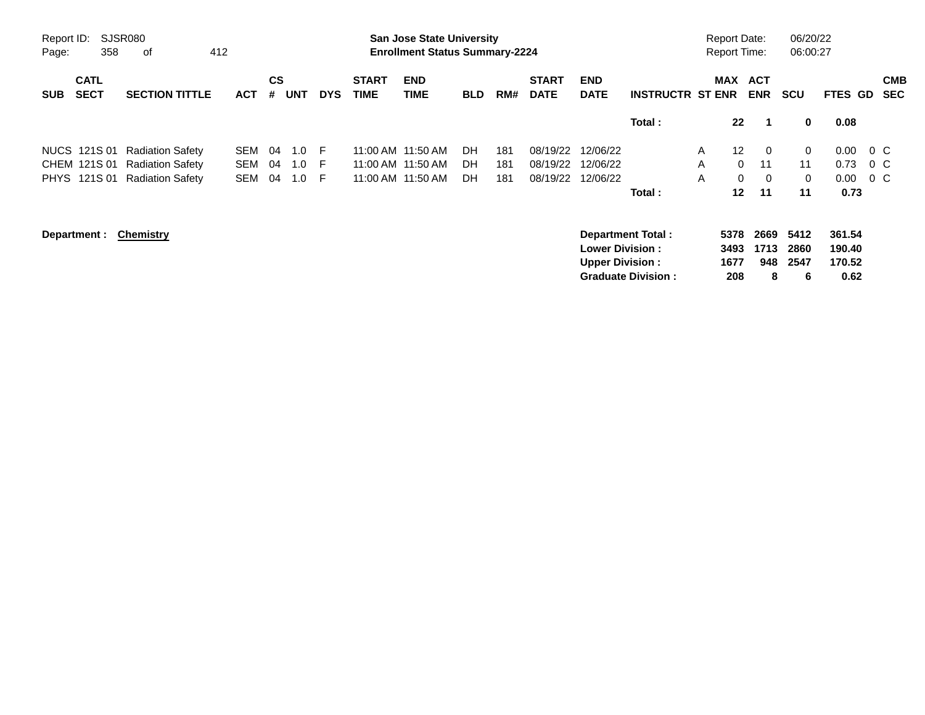| Report ID:<br>Page: | 358                        | <b>SJSR080</b><br>0f<br>412 |            |                |            |            |                             | <b>San Jose State University</b><br><b>Enrollment Status Summary-2224</b> |            |     |                             |                                                  |                                                       | <b>Report Date:</b><br><b>Report Time:</b> |                             |                          | 06/20/22<br>06:00:27      |                                    |                          |
|---------------------|----------------------------|-----------------------------|------------|----------------|------------|------------|-----------------------------|---------------------------------------------------------------------------|------------|-----|-----------------------------|--------------------------------------------------|-------------------------------------------------------|--------------------------------------------|-----------------------------|--------------------------|---------------------------|------------------------------------|--------------------------|
| <b>SUB</b>          | <b>CATL</b><br><b>SECT</b> | <b>SECTION TITTLE</b>       | <b>ACT</b> | <b>CS</b><br># | <b>UNT</b> | <b>DYS</b> | <b>START</b><br><b>TIME</b> | <b>END</b><br><b>TIME</b>                                                 | <b>BLD</b> | RM# | <b>START</b><br><b>DATE</b> | <b>END</b><br><b>DATE</b>                        | <b>INSTRUCTR ST ENR</b>                               |                                            |                             | MAX ACT<br><b>ENR</b>    | <b>SCU</b>                | <b>FTES GD</b>                     | <b>CMB</b><br><b>SEC</b> |
|                     |                            |                             |            |                |            |            |                             |                                                                           |            |     |                             |                                                  | Total:                                                |                                            | $22 \,$                     | -1                       | 0                         | 0.08                               |                          |
|                     | NUCS 121S 01               | <b>Radiation Safety</b>     | SEM        | 04             | 1.0        | -F         |                             | 11:00 AM 11:50 AM                                                         | DH         | 181 | 08/19/22                    | 12/06/22                                         |                                                       | A                                          | 12 <sup>2</sup>             | $\overline{0}$           | 0                         | 0.00                               | $0\,$ C                  |
|                     | CHEM 121S 01               | <b>Radiation Safety</b>     | <b>SEM</b> | 04             | 1.0        | E          |                             | 11:00 AM 11:50 AM                                                         | DH         | 181 | 08/19/22                    | 12/06/22                                         |                                                       | A                                          | $\Omega$                    | 11                       | 11                        | 0.73                               | $0\,$ C                  |
|                     | PHYS 121S 01               | <b>Radiation Safety</b>     | <b>SEM</b> | 04             | 1.0        | -F         |                             | 11:00 AM 11:50 AM                                                         | DH         | 181 | 08/19/22                    | 12/06/22                                         |                                                       | A                                          | $\mathbf{0}$                | $\overline{0}$           | 0                         | 0.00                               | $0\,$ C                  |
|                     |                            |                             |            |                |            |            |                             |                                                                           |            |     |                             |                                                  | Total:                                                |                                            | $12 \,$                     | 11                       | 11                        | 0.73                               |                          |
|                     | Department :               | <b>Chemistry</b>            |            |                |            |            |                             |                                                                           |            |     |                             | <b>Lower Division:</b><br><b>Upper Division:</b> | <b>Department Total:</b><br><b>Graduate Division:</b> |                                            | 5378<br>3493<br>1677<br>208 | 2669<br>1713<br>948<br>8 | 5412<br>2860<br>2547<br>6 | 361.54<br>190.40<br>170.52<br>0.62 |                          |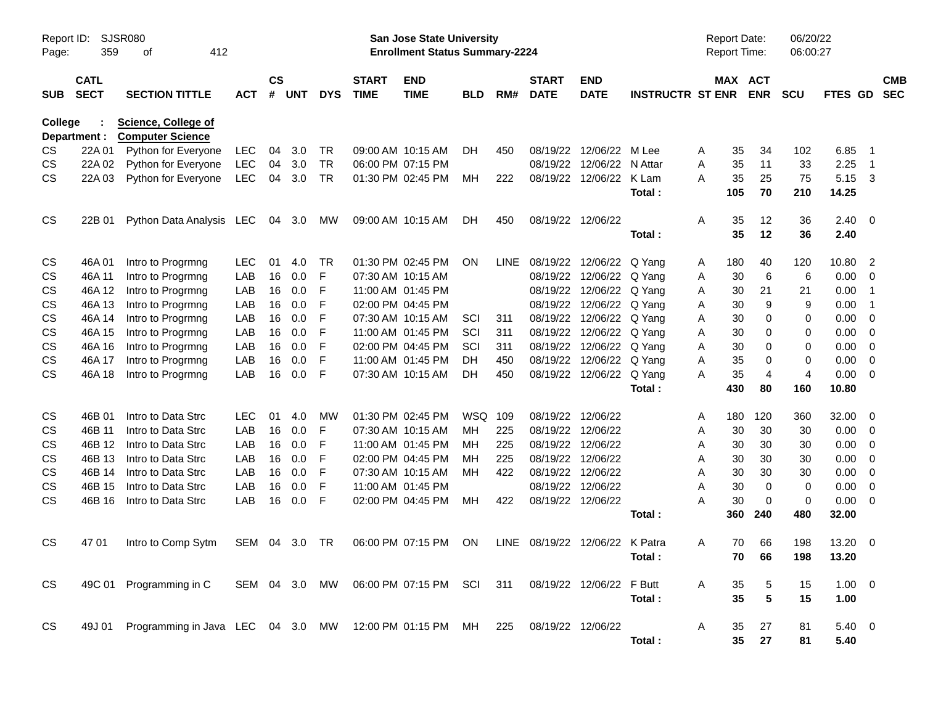| Page:      | SJSR080<br>Report ID:<br>359<br>412<br>оf<br><b>CATL</b><br><b>SECT</b><br><b>SECTION TITTLE</b> |                                                                                     |            |                    |            |            |                             | <b>San Jose State University</b><br><b>Enrollment Status Summary-2224</b> |            |      |                             |                                |                         |   | <b>Report Date:</b><br>Report Time: |                 | 06/20/22<br>06:00:27 |                    |                            |                          |
|------------|--------------------------------------------------------------------------------------------------|-------------------------------------------------------------------------------------|------------|--------------------|------------|------------|-----------------------------|---------------------------------------------------------------------------|------------|------|-----------------------------|--------------------------------|-------------------------|---|-------------------------------------|-----------------|----------------------|--------------------|----------------------------|--------------------------|
| <b>SUB</b> |                                                                                                  |                                                                                     | <b>ACT</b> | $\mathsf{cs}$<br># | <b>UNT</b> | <b>DYS</b> | <b>START</b><br><b>TIME</b> | <b>END</b><br><b>TIME</b>                                                 | <b>BLD</b> | RM#  | <b>START</b><br><b>DATE</b> | <b>END</b><br><b>DATE</b>      | <b>INSTRUCTR ST ENR</b> |   | MAX ACT                             | <b>ENR</b>      | <b>SCU</b>           | FTES GD            |                            | <b>CMB</b><br><b>SEC</b> |
| College    | Department :                                                                                     | <b>Science, College of</b><br><b>Computer Science</b>                               |            |                    |            |            |                             |                                                                           |            |      |                             |                                |                         |   |                                     |                 |                      |                    |                            |                          |
| CS         | 22A 01                                                                                           | Python for Everyone                                                                 | <b>LEC</b> | 04                 | 3.0        | <b>TR</b>  |                             | 09:00 AM 10:15 AM                                                         | DH.        | 450  |                             | 08/19/22 12/06/22              | M Lee                   | A | 35                                  | 34              | 102                  | 6.85               | - 1                        |                          |
| CS         | 22A 02                                                                                           | Python for Everyone                                                                 | <b>LEC</b> | 04                 | 3.0        | <b>TR</b>  |                             | 06:00 PM 07:15 PM                                                         |            |      |                             | 08/19/22 12/06/22              | N Attar                 | A | 35                                  | 11              | 33                   | 2.25               | $\overline{\phantom{0}}$ 1 |                          |
| CS         | 22A 03                                                                                           | Python for Everyone                                                                 | <b>LEC</b> | 04                 | 3.0        | <b>TR</b>  |                             | 01:30 PM 02:45 PM                                                         | MН         | 222  |                             | 08/19/22 12/06/22              | K Lam<br>Total:         | А | 35<br>105                           | 25<br>70        | 75<br>210            | 5.15 3<br>14.25    |                            |                          |
| <b>CS</b>  | 22B 01                                                                                           | Python Data Analysis LEC                                                            |            |                    | 04 3.0     | МW         |                             | 09:00 AM 10:15 AM                                                         | DH         | 450  |                             | 08/19/22 12/06/22              | Total:                  | A | 35<br>35                            | 12<br>12        | 36<br>36             | $2.40 \ 0$<br>2.40 |                            |                          |
| CS         | 46A 01                                                                                           | Intro to Progrmng                                                                   | <b>LEC</b> | 01                 | 4.0        | <b>TR</b>  |                             | 01:30 PM 02:45 PM                                                         | <b>ON</b>  | LINE |                             | 08/19/22 12/06/22              | Q Yang                  | A | 180                                 | 40              | 120                  | 10.80              | $\overline{2}$             |                          |
| CS         | 46A 11                                                                                           | Intro to Progrmng                                                                   | LAB        | 16                 | 0.0        | F          |                             | 07:30 AM 10:15 AM                                                         |            |      | 08/19/22                    | 12/06/22                       | Q Yang                  | Α | 30                                  | 6               | 6                    | 0.00               | 0                          |                          |
| CS         | 46A 12                                                                                           | Intro to Progrmng                                                                   | LAB        | 16                 | 0.0        | F          |                             | 11:00 AM 01:45 PM                                                         |            |      |                             | 08/19/22 12/06/22              | Q Yang                  | A | 30                                  | 21              | 21                   | 0.00               | $\overline{\phantom{0}}$ 1 |                          |
| CS         | 46A 13                                                                                           | Intro to Progrmng                                                                   | LAB        | 16                 | 0.0        | F          |                             | 02:00 PM 04:45 PM                                                         |            |      |                             | 08/19/22 12/06/22              | Q Yang                  | A | 30                                  | 9               | 9                    | 0.00               | $\overline{\phantom{0}}$ 1 |                          |
| CS         | 46A 14                                                                                           | Intro to Progrmng                                                                   | LAB        | 16                 | 0.0        | F          |                             | 07:30 AM 10:15 AM                                                         | SCI        | 311  |                             | 08/19/22 12/06/22              | Q Yang                  | A | 30                                  | 0               | 0                    | 0.00               | 0                          |                          |
| CS         | 46A 15                                                                                           | Intro to Progrmng                                                                   | LAB        | 16                 | 0.0        | F          |                             | 11:00 AM 01:45 PM                                                         | SCI        | 311  |                             | 08/19/22 12/06/22              | Q Yang                  | A | 30                                  | 0               | 0                    | 0.00               | $\overline{0}$             |                          |
| CS         | 46A 16                                                                                           | Intro to Progrmng                                                                   | LAB        | 16                 | 0.0        | F          |                             | 02:00 PM 04:45 PM                                                         | SCI        | 311  |                             | 08/19/22 12/06/22              | Q Yang                  | A | 30                                  | 0               | 0                    | 0.00               | - 0                        |                          |
| CS         | 46A 17                                                                                           | Intro to Progrmng                                                                   | LAB        | 16                 | 0.0        | F          |                             | 11:00 AM 01:45 PM                                                         | DH         | 450  |                             | 08/19/22 12/06/22              | Q Yang                  | A | 35                                  | 0               | 0                    | 0.00               | 0                          |                          |
| CS         | 46A 18                                                                                           | Intro to Progrmng                                                                   | LAB        | 16                 | 0.0        | F          |                             | 07:30 AM 10:15 AM                                                         | DH         | 450  |                             | 08/19/22 12/06/22              | Q Yang                  | Α | 35                                  | $\overline{4}$  | $\overline{4}$       | 0.00               | $\overline{0}$             |                          |
|            |                                                                                                  |                                                                                     |            |                    |            |            |                             |                                                                           |            |      |                             |                                | Total:                  |   | 430                                 | 80              | 160                  | 10.80              |                            |                          |
| CS         | 46B 01                                                                                           | Intro to Data Strc                                                                  | <b>LEC</b> | 01                 | 4.0        | MW         |                             | 01:30 PM 02:45 PM                                                         | WSQ 109    |      |                             | 08/19/22 12/06/22              |                         | A | 180                                 | 120             | 360                  | 32.00              | $\overline{\mathbf{0}}$    |                          |
| CS         | 46B 11                                                                                           | Intro to Data Strc                                                                  | LAB        | 16                 | 0.0        | F          |                             | 07:30 AM 10:15 AM                                                         | MH         | 225  | 08/19/22                    | 12/06/22                       |                         | A | 30                                  | 30              | 30                   | 0.00               | $\overline{\mathbf{0}}$    |                          |
| CS         | 46B 12                                                                                           | Intro to Data Strc                                                                  | LAB        | 16                 | 0.0        | F          |                             | 11:00 AM 01:45 PM                                                         | MН         | 225  |                             | 08/19/22 12/06/22              |                         | A | 30                                  | 30              | 30                   | 0.00               | - 0                        |                          |
| CS         | 46B 13                                                                                           | Intro to Data Strc                                                                  | LAB        | 16                 | 0.0        | F          |                             | 02:00 PM 04:45 PM                                                         | MН         | 225  |                             | 08/19/22 12/06/22              |                         | A | 30                                  | 30              | 30                   | 0.00               | 0                          |                          |
| CS         | 46B 14                                                                                           | Intro to Data Strc                                                                  | LAB        | 16                 | 0.0        | F          |                             | 07:30 AM 10:15 AM                                                         | MН         | 422  |                             | 08/19/22 12/06/22              |                         | A | 30                                  | 30              | 30                   | 0.00               | - 0                        |                          |
| CS         | 46B 15                                                                                           | Intro to Data Strc                                                                  | LAB        | 16                 | 0.0        | F          |                             | 11:00 AM 01:45 PM                                                         |            |      |                             | 08/19/22 12/06/22              |                         | A | 30                                  | $\mathbf 0$     | 0                    | 0.00               | - 0                        |                          |
| CS         | 46B 16                                                                                           | Intro to Data Strc                                                                  | LAB        | 16                 | 0.0        | F          |                             | 02:00 PM 04:45 PM                                                         | MH         | 422  |                             | 08/19/22 12/06/22              | Total :                 | A | 30<br>360                           | 0<br>240        | $\mathbf 0$<br>480   | 0.00<br>32.00      | $\overline{\mathbf{0}}$    |                          |
| <b>CS</b>  | 47 01                                                                                            | Intro to Comp Sytm                                                                  | SEM 04 3.0 |                    |            | TR         |                             | 06:00 PM 07:15 PM                                                         | ON         |      |                             | LINE 08/19/22 12/06/22 K Patra |                         | A | 70                                  | 66              | 198                  | 13.20 0            |                            |                          |
|            |                                                                                                  |                                                                                     |            |                    |            |            |                             |                                                                           |            |      |                             |                                | Total :                 |   |                                     | 70 66           | 198                  | 13.20              |                            |                          |
| <b>CS</b>  |                                                                                                  | 49C 01 Programming in C                                                             |            |                    |            |            |                             | SEM 04 3.0 MW 06:00 PM 07:15 PM SCI 311 08/19/22 12/06/22 F Butt          |            |      |                             |                                |                         | Α | 35                                  | 5               | 15                   | $1.00 \t 0$        |                            |                          |
|            |                                                                                                  |                                                                                     |            |                    |            |            |                             |                                                                           |            |      |                             |                                | Total:                  |   | 35                                  | $5\phantom{.0}$ | 15                   | 1.00               |                            |                          |
| <b>CS</b>  |                                                                                                  | 49J 01 Programming in Java LEC 04 3.0 MW 12:00 PM 01:15 PM MH 225 08/19/22 12/06/22 |            |                    |            |            |                             |                                                                           |            |      |                             |                                | Total:                  | A | 35<br>35                            | 27<br>27        | 81<br>81             | 5.40 0<br>5.40     |                            |                          |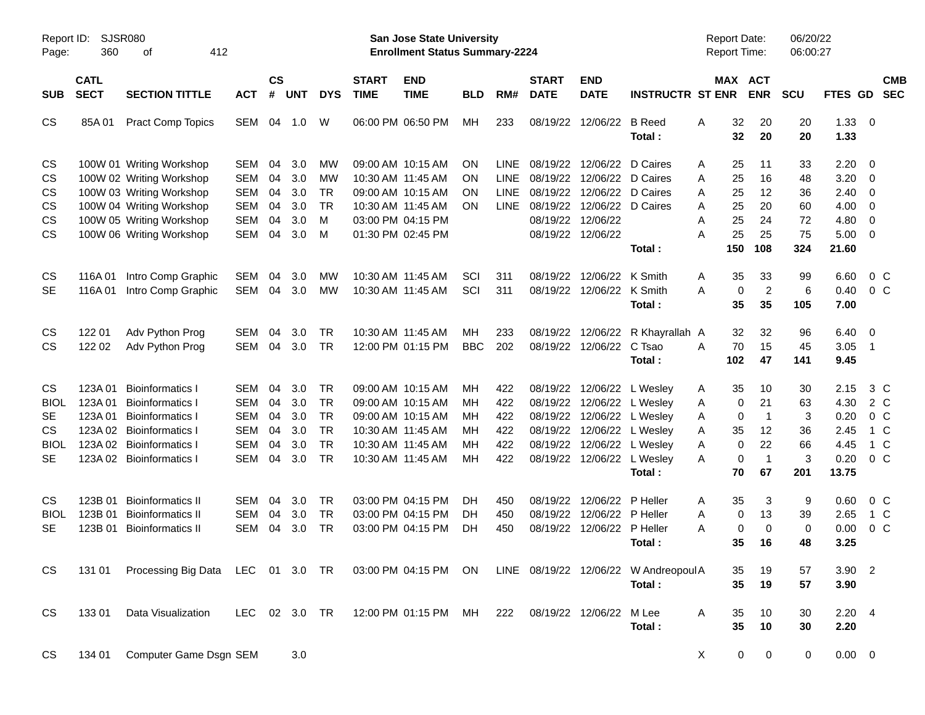| Report ID:<br>360<br>Page:    | 412<br>οf                                                                        |                                                                                                                                                                                                                                                                                                  |                                  |                                        |                                                                     |                             |                           |                                                                                                                                                                                                                                                                                                                                                                                                                                  |                                                          |                                  |                                       |                                                                                                                                        |                                                                                                                                                                                                                                                                                                                                                                                                                                   |                                                                                                                                                            |                                                                                                                                                                                                                                                           |                                                       |                                                            |                                                       |
|-------------------------------|----------------------------------------------------------------------------------|--------------------------------------------------------------------------------------------------------------------------------------------------------------------------------------------------------------------------------------------------------------------------------------------------|----------------------------------|----------------------------------------|---------------------------------------------------------------------|-----------------------------|---------------------------|----------------------------------------------------------------------------------------------------------------------------------------------------------------------------------------------------------------------------------------------------------------------------------------------------------------------------------------------------------------------------------------------------------------------------------|----------------------------------------------------------|----------------------------------|---------------------------------------|----------------------------------------------------------------------------------------------------------------------------------------|-----------------------------------------------------------------------------------------------------------------------------------------------------------------------------------------------------------------------------------------------------------------------------------------------------------------------------------------------------------------------------------------------------------------------------------|------------------------------------------------------------------------------------------------------------------------------------------------------------|-----------------------------------------------------------------------------------------------------------------------------------------------------------------------------------------------------------------------------------------------------------|-------------------------------------------------------|------------------------------------------------------------|-------------------------------------------------------|
| <b>CATL</b><br><b>SECT</b>    | <b>SECTION TITTLE</b>                                                            | <b>ACT</b>                                                                                                                                                                                                                                                                                       | $\mathsf{cs}$<br>#               |                                        | <b>DYS</b>                                                          | <b>START</b><br><b>TIME</b> | <b>END</b><br><b>TIME</b> | <b>BLD</b>                                                                                                                                                                                                                                                                                                                                                                                                                       | RM#                                                      | <b>START</b><br><b>DATE</b>      | <b>END</b><br><b>DATE</b>             |                                                                                                                                        |                                                                                                                                                                                                                                                                                                                                                                                                                                   | <b>ENR</b>                                                                                                                                                 | <b>SCU</b>                                                                                                                                                                                                                                                |                                                       | <b>SEC</b>                                                 | <b>CMB</b>                                            |
| 85A01                         | <b>Pract Comp Topics</b>                                                         | SEM                                                                                                                                                                                                                                                                                              |                                  |                                        | W                                                                   |                             |                           | МH                                                                                                                                                                                                                                                                                                                                                                                                                               | 233                                                      | 08/19/22                         |                                       | <b>B</b> Reed<br>Total:                                                                                                                | A                                                                                                                                                                                                                                                                                                                                                                                                                                 | 20<br>20                                                                                                                                                   | 20<br>20                                                                                                                                                                                                                                                  | 1.33<br>1.33                                          | - 0                                                        |                                                       |
|                               |                                                                                  | <b>SEM</b><br><b>SEM</b><br><b>SEM</b><br><b>SEM</b><br><b>SEM</b><br><b>SEM</b>                                                                                                                                                                                                                 | 04<br>04<br>04<br>04<br>04<br>04 | 3.0<br>3.0<br>3.0<br>3.0<br>3.0<br>3.0 | МW<br>MW<br><b>TR</b><br><b>TR</b><br>M<br>M                        |                             |                           | ΟN<br>ΟN<br>ΟN<br>ON                                                                                                                                                                                                                                                                                                                                                                                                             | <b>LINE</b><br><b>LINE</b><br><b>LINE</b><br><b>LINE</b> |                                  |                                       | D Caires                                                                                                                               | A<br>Α<br>Α<br>A<br>Α<br>А                                                                                                                                                                                                                                                                                                                                                                                                        | 11<br>16<br>12<br>20<br>24<br>25                                                                                                                           | 33<br>48<br>36<br>60<br>72<br>75                                                                                                                                                                                                                          | 2.20<br>3.20<br>2.40<br>4.00<br>4.80<br>5.00          | $\overline{\mathbf{0}}$<br>0<br>0<br>0<br>0<br>$\mathbf 0$ |                                                       |
| 116A 01<br>116A 01            | Intro Comp Graphic<br>Intro Comp Graphic                                         | <b>SEM</b><br>SEM                                                                                                                                                                                                                                                                                | 04<br>04                         | 3.0<br>3.0                             | МW<br><b>MW</b>                                                     |                             |                           | SCI<br>SCI                                                                                                                                                                                                                                                                                                                                                                                                                       | 311<br>311                                               | 08/19/22                         |                                       | K Smith<br>Total:                                                                                                                      | A<br>А                                                                                                                                                                                                                                                                                                                                                                                                                            | 33<br>$\overline{2}$<br>35                                                                                                                                 | 99<br>6<br>105                                                                                                                                                                                                                                            | 6.60<br>0.40<br>7.00                                  | 0 <sup>o</sup><br>0 <sup>o</sup>                           |                                                       |
| 122 01<br>122 02              | Adv Python Prog<br>Adv Python Prog                                               | <b>SEM</b><br>SEM                                                                                                                                                                                                                                                                                | 04<br>04                         | 3.0<br>3.0                             | <b>TR</b><br><b>TR</b>                                              |                             |                           | MН<br><b>BBC</b>                                                                                                                                                                                                                                                                                                                                                                                                                 | 233<br>202                                               | 08/19/22                         |                                       | C Tsao<br>Total:                                                                                                                       | A                                                                                                                                                                                                                                                                                                                                                                                                                                 | 32<br>15<br>47                                                                                                                                             | 96<br>45<br>141                                                                                                                                                                                                                                           | 6.40<br>3.05<br>9.45                                  | - 0<br>$\overline{1}$                                      |                                                       |
| 123A 01<br>123A 01<br>123A 01 | <b>Bioinformatics I</b><br><b>Bioinformatics I</b><br><b>Bioinformatics I</b>    | SEM<br><b>SEM</b><br><b>SEM</b><br><b>SEM</b><br><b>SEM</b><br><b>SEM</b>                                                                                                                                                                                                                        | 04<br>04<br>04<br>04<br>04<br>04 | 3.0<br>3.0<br>3.0<br>3.0<br>3.0<br>3.0 | TR<br><b>TR</b><br><b>TR</b><br><b>TR</b><br><b>TR</b><br><b>TR</b> |                             |                           | MН<br>MН<br>MН<br>MН<br>мн<br>МH                                                                                                                                                                                                                                                                                                                                                                                                 | 422<br>422<br>422<br>422<br>422<br>422                   |                                  |                                       | Total:                                                                                                                                 | A<br>A<br>A<br>Α<br>Α<br>Α                                                                                                                                                                                                                                                                                                                                                                                                        | 10<br>21<br>$\overline{1}$<br>12<br>22<br>$\overline{1}$<br>67                                                                                             | 30<br>63<br>3<br>36<br>66<br>3<br>201                                                                                                                                                                                                                     | 2.15<br>4.30<br>0.20<br>2.45<br>4.45<br>0.20<br>13.75 | 3 C<br>2 C<br>$0\,C$<br>1 C<br>1 C<br>$0\,C$               |                                                       |
| 123B 01<br>123B 01<br>123B 01 | <b>Bioinformatics II</b><br><b>Bioinformatics II</b><br><b>Bioinformatics II</b> | <b>SEM</b><br><b>SEM</b><br><b>SEM</b>                                                                                                                                                                                                                                                           | 04<br>04<br>04                   | 3.0<br>3.0<br>3.0                      | TR<br><b>TR</b><br><b>TR</b>                                        |                             |                           | DH<br>DH<br>DH                                                                                                                                                                                                                                                                                                                                                                                                                   | 450<br>450<br>450                                        | 08/19/22<br>08/19/22             |                                       | P Heller<br>P Heller<br>Total:                                                                                                         | A<br>Α<br>Α                                                                                                                                                                                                                                                                                                                                                                                                                       | 3<br>13<br>$\mathbf 0$<br>16                                                                                                                               | 9<br>39<br>0<br>48                                                                                                                                                                                                                                        | 0.60<br>2.65<br>0.00<br>3.25                          | $0\,$ C<br>1 C<br>0 <sup>o</sup>                           |                                                       |
|                               |                                                                                  |                                                                                                                                                                                                                                                                                                  |                                  |                                        |                                                                     |                             |                           |                                                                                                                                                                                                                                                                                                                                                                                                                                  |                                                          |                                  |                                       | Total:                                                                                                                                 |                                                                                                                                                                                                                                                                                                                                                                                                                                   | 19<br>19                                                                                                                                                   | 57<br>57                                                                                                                                                                                                                                                  | 3.90                                                  |                                                            |                                                       |
| 134 01                        |                                                                                  |                                                                                                                                                                                                                                                                                                  |                                  |                                        |                                                                     |                             |                           |                                                                                                                                                                                                                                                                                                                                                                                                                                  |                                                          |                                  |                                       | Total:                                                                                                                                 |                                                                                                                                                                                                                                                                                                                                                                                                                                   | 10<br>$\mathbf 0$                                                                                                                                          | 30<br>$\mathbf 0$                                                                                                                                                                                                                                         | 2.20                                                  |                                                            |                                                       |
|                               | 133 01                                                                           | <b>SJSR080</b><br>100W 01 Writing Workshop<br>100W 02 Writing Workshop<br>100W 03 Writing Workshop<br>100W 04 Writing Workshop<br>100W 05 Writing Workshop<br>100W 06 Writing Workshop<br>123A 02 Bioinformatics I<br>123A 02 Bioinformatics I<br>123A 02 Bioinformatics I<br>Data Visualization | Computer Game Dsgn SEM           |                                        | <b>UNT</b><br>04 1.0<br>3.0                                         | LEC 02 3.0 TR               |                           | 06:00 PM 06:50 PM<br>09:00 AM 10:15 AM<br>10:30 AM 11:45 AM<br>09:00 AM 10:15 AM<br>10:30 AM 11:45 AM<br>03:00 PM 04:15 PM<br>01:30 PM 02:45 PM<br>10:30 AM 11:45 AM<br>10:30 AM 11:45 AM<br>10:30 AM 11:45 AM<br>12:00 PM 01:15 PM<br>09:00 AM 10:15 AM<br>09:00 AM 10:15 AM<br>09:00 AM 10:15 AM<br>10:30 AM 11:45 AM<br>10:30 AM 11:45 AM<br>10:30 AM 11:45 AM<br>03:00 PM 04:15 PM<br>03:00 PM 04:15 PM<br>03:00 PM 04:15 PM |                                                          | <b>San Jose State University</b> | <b>Enrollment Status Summary-2224</b> | 08/19/22<br>08/19/22<br>08/19/22<br>08/19/22 12/06/22<br>08/19/22 12/06/22<br>08/19/22<br>08/19/22<br>08/19/22<br>08/19/22<br>08/19/22 | 12/06/22<br>12/06/22 D Caires<br>12/06/22 D Caires<br>12/06/22<br>08/19/22 12/06/22 D Caires<br>Total:<br>12/06/22<br>12/06/22 K Smith<br>12/06/22<br>08/19/22 12/06/22<br>08/19/22 12/06/22 L Wesley<br>12/06/22 L Wesley<br>12/06/22 L Wesley<br>12/06/22 L Wesley<br>12/06/22 L Wesley<br>08/19/22 12/06/22 L Wesley<br>12/06/22<br>12/06/22<br>08/19/22 12/06/22 P Heller<br>12:00 PM 01:15 PM MH 222 08/19/22 12/06/22 M Lee | <b>INSTRUCTR ST ENR</b><br>R Khayrallah A<br>131 01 Processing Big Data LEC 01 3.0 TR 03:00 PM 04:15 PM ON LINE 08/19/22 12/06/22 W Andreopoul A<br>Α<br>X | <b>Report Date:</b><br>Report Time:<br>MAX ACT<br>32<br>32<br>25<br>25<br>25<br>25<br>25<br>25<br>150<br>108<br>35<br>0<br>35<br>32<br>70<br>102<br>35<br>0<br>0<br>35<br>0<br>0<br>70<br>35<br>0<br>0<br>35<br>35<br>35<br>35<br>10<br>35<br>$\mathbf 0$ | 324<br>30                                             | 06/20/22<br>06:00:27<br>21.60                              | <b>FTES GD</b><br>$3.90$ 2<br>$2.20$ 4<br>$0.00 \t 0$ |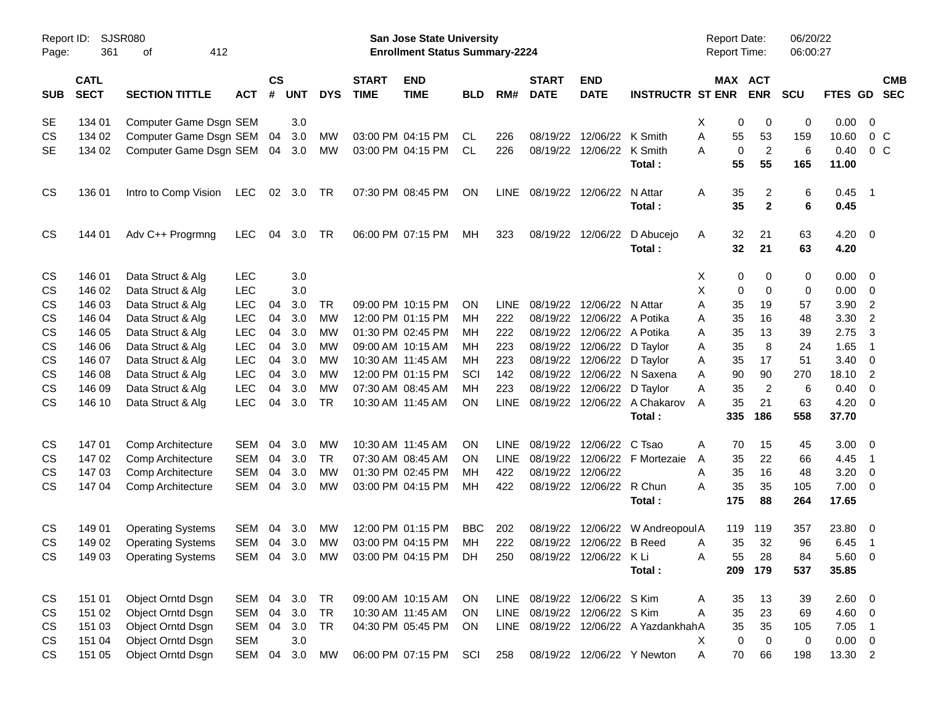| Report ID:<br>Page: | <b>SJSR080</b><br>361      | 412<br>оf                              |                          |                    |            |                        |                             | San Jose State University<br><b>Enrollment Status Summary-2224</b> |                 |                            |                              |                           |                                      | <b>Report Date:</b><br><b>Report Time:</b> |                      | 06/20/22<br>06:00:27 |                |                                                      |
|---------------------|----------------------------|----------------------------------------|--------------------------|--------------------|------------|------------------------|-----------------------------|--------------------------------------------------------------------|-----------------|----------------------------|------------------------------|---------------------------|--------------------------------------|--------------------------------------------|----------------------|----------------------|----------------|------------------------------------------------------|
| <b>SUB</b>          | <b>CATL</b><br><b>SECT</b> | <b>SECTION TITTLE</b>                  | <b>ACT</b>               | $\mathsf{cs}$<br># | <b>UNT</b> | <b>DYS</b>             | <b>START</b><br><b>TIME</b> | <b>END</b><br><b>TIME</b>                                          | <b>BLD</b>      | RM#                        | <b>START</b><br><b>DATE</b>  | <b>END</b><br><b>DATE</b> | <b>INSTRUCTR ST ENR</b>              | MAX ACT                                    | <b>ENR</b>           | <b>SCU</b>           | <b>FTES GD</b> | <b>CMB</b><br><b>SEC</b>                             |
| SE                  | 134 01                     | Computer Game Dsgn SEM                 |                          |                    | 3.0        |                        |                             |                                                                    |                 |                            |                              |                           |                                      | Χ<br>0                                     | 0                    | 0                    | 0.00           | $\overline{\mathbf{0}}$                              |
| CS                  | 134 02                     | Computer Game Dsgn SEM                 |                          | 04                 | 3.0        | MW                     |                             | 03:00 PM 04:15 PM                                                  | CL.             | 226                        | 08/19/22                     | 12/06/22                  | K Smith                              | 55<br>Α                                    | 53                   | 159                  | 10.60          | $0\,C$                                               |
| <b>SE</b>           | 134 02                     | Computer Game Dsgn SEM                 |                          | 04                 | 3.0        | МW                     |                             | 03:00 PM 04:15 PM                                                  | CL              | 226                        | 08/19/22                     | 12/06/22                  | K Smith                              | $\mathbf 0$<br>Α                           | $\overline{c}$       | 6                    | 0.40           | 0 <sup>o</sup>                                       |
|                     |                            |                                        |                          |                    |            |                        |                             |                                                                    |                 |                            |                              |                           | Total:                               | 55                                         | 55                   | 165                  | 11.00          |                                                      |
| <b>CS</b>           | 136 01                     | Intro to Comp Vision                   | <b>LEC</b>               |                    | 02 3.0     | TR                     |                             | 07:30 PM 08:45 PM                                                  | ON              | LINE                       | 08/19/22                     | 12/06/22                  | N Attar                              | 35<br>Α                                    | 2                    | 6                    | 0.45           | $\overline{\phantom{1}}$                             |
|                     |                            |                                        |                          |                    |            |                        |                             |                                                                    |                 |                            |                              |                           | Total:                               | 35                                         | $\mathbf{2}$         | 6                    | 0.45           |                                                      |
| <b>CS</b>           | 144 01                     | Adv C++ Progrmng                       | <b>LEC</b>               | 04                 | 3.0        | TR                     |                             | 06:00 PM 07:15 PM                                                  | МH              | 323                        | 08/19/22                     | 12/06/22                  | D Abucejo                            | 32<br>Α                                    | 21                   | 63                   | $4.20 \ 0$     |                                                      |
|                     |                            |                                        |                          |                    |            |                        |                             |                                                                    |                 |                            |                              |                           | Total:                               | 32                                         | 21                   | 63                   | 4.20           |                                                      |
| <b>CS</b>           | 146 01                     | Data Struct & Alg                      | <b>LEC</b>               |                    | 3.0        |                        |                             |                                                                    |                 |                            |                              |                           |                                      | 0<br>X                                     | 0                    | 0                    | $0.00 \t 0$    |                                                      |
| CS                  | 146 02                     | Data Struct & Alg                      | <b>LEC</b>               |                    | 3.0        |                        |                             |                                                                    |                 |                            |                              |                           |                                      | X<br>0                                     | 0                    | 0                    | $0.00 \t 0$    |                                                      |
| CS                  | 146 03                     | Data Struct & Alg                      | <b>LEC</b>               | 04                 | 3.0        | TR                     |                             | 09:00 PM 10:15 PM                                                  | ON              | <b>LINE</b>                | 08/19/22                     | 12/06/22 N Attar          |                                      | 35<br>Α                                    | 19                   | 57                   | 3.90           | $\overline{c}$                                       |
| CS                  | 146 04                     | Data Struct & Alg                      | <b>LEC</b>               | 04                 | 3.0        | MW                     |                             | 12:00 PM 01:15 PM                                                  | MН              | 222                        | 08/19/22                     | 12/06/22 A Potika         |                                      | 35<br>Α                                    | 16                   | 48                   | 3.30           | $\overline{2}$                                       |
| CS                  | 146 05                     | Data Struct & Alg                      | <b>LEC</b>               | 04                 | 3.0        | МW                     |                             | 01:30 PM 02:45 PM                                                  | мн              | 222                        | 08/19/22                     | 12/06/22 A Potika         |                                      | 35<br>Α                                    | 13                   | 39                   | 2.75           | 3                                                    |
| CS                  | 146 06                     | Data Struct & Alg                      | <b>LEC</b>               | 04                 | 3.0        | MW                     |                             | 09:00 AM 10:15 AM                                                  | мн              | 223                        | 08/19/22                     | 12/06/22 D Taylor         |                                      | 35<br>Α                                    | 8                    | 24                   | 1.65           | $\overline{1}$                                       |
| CS                  | 146 07                     | Data Struct & Alg                      | <b>LEC</b>               | 04                 | 3.0        | <b>MW</b>              |                             | 10:30 AM 11:45 AM                                                  | мн              | 223                        | 08/19/22                     | 12/06/22 D Taylor         |                                      | 35<br>Α                                    | 17                   | 51                   | $3.40 \quad 0$ |                                                      |
| CS<br>CS            | 146 08<br>146 09           | Data Struct & Alg<br>Data Struct & Alg | <b>LEC</b><br><b>LEC</b> | 04<br>04           | 3.0<br>3.0 | <b>MW</b><br><b>MW</b> |                             | 12:00 PM 01:15 PM<br>07:30 AM 08:45 AM                             | SCI<br>мн       | 142<br>223                 | 08/19/22<br>08/19/22         | 12/06/22 D Taylor         | 12/06/22 N Saxena                    | 90<br>Α<br>35<br>Α                         | 90<br>$\overline{c}$ | 270<br>6             | 18.10<br>0.40  | $\overline{\phantom{0}}$<br>$\overline{\phantom{0}}$ |
| CS                  | 146 10                     | Data Struct & Alg                      | <b>LEC</b>               | 04                 | 3.0        | <b>TR</b>              |                             | 10:30 AM 11:45 AM                                                  | ΟN              | LINE                       | 08/19/22                     |                           | 12/06/22 A Chakarov                  | 35<br>Α                                    | 21                   | 63                   | $4.20 \ 0$     |                                                      |
|                     |                            |                                        |                          |                    |            |                        |                             |                                                                    |                 |                            |                              |                           | Total:                               | 335                                        | 186                  | 558                  | 37.70          |                                                      |
|                     |                            |                                        |                          |                    |            |                        |                             |                                                                    |                 |                            |                              |                           |                                      |                                            |                      |                      |                |                                                      |
| <b>CS</b><br>CS     | 14701<br>147 02            | Comp Architecture                      | <b>SEM</b><br><b>SEM</b> | 04<br>04           | 3.0<br>3.0 | MW<br><b>TR</b>        |                             | 10:30 AM 11:45 AM<br>07:30 AM 08:45 AM                             | ΟN              | <b>LINE</b><br><b>LINE</b> | 08/19/22<br>08/19/22         | 12/06/22                  | C Tsao<br>12/06/22 F Mortezaie       | 70<br>Α<br>35                              | 15<br>22             | 45<br>66             | 3.00<br>4.45   | $\overline{\phantom{0}}$                             |
| CS                  | 147 03                     | Comp Architecture<br>Comp Architecture | <b>SEM</b>               | 04                 | 3.0        | MW                     |                             | 01:30 PM 02:45 PM                                                  | <b>ON</b><br>мн | 422                        | 08/19/22                     | 12/06/22                  |                                      | A<br>35<br>Α                               | 16                   | 48                   | 3.20           | $\overline{\phantom{1}}$<br>$\overline{\phantom{0}}$ |
| CS                  | 147 04                     | Comp Architecture                      | <b>SEM</b>               | 04                 | 3.0        | MW                     |                             | 03:00 PM 04:15 PM                                                  | мн              | 422                        |                              | 08/19/22 12/06/22 R Chun  |                                      | 35<br>Α                                    | 35                   | 105                  | $7.00 \t 0$    |                                                      |
|                     |                            |                                        |                          |                    |            |                        |                             |                                                                    |                 |                            |                              |                           | Total:                               | 175                                        | 88                   | 264                  | 17.65          |                                                      |
| <b>CS</b>           | 149 01                     | <b>Operating Systems</b>               | SEM                      | 04                 | 3.0        | MW                     |                             | 12:00 PM 01:15 PM                                                  | <b>BBC</b>      | 202                        | 08/19/22                     | 12/06/22                  | W Andreopoul A                       | 119                                        | 119                  | 357                  | 23.80 0        |                                                      |
| CS                  | 149 02                     | <b>Operating Systems</b>               | <b>SEM</b>               | 04                 | 3.0        | MW                     |                             | 03:00 PM 04:15 PM                                                  | МH              | 222                        |                              | 08/19/22 12/06/22 B Reed  |                                      | 35<br>Α                                    | 32                   | 96                   | 6.45           | $\overline{\phantom{1}}$                             |
| CS                  | 149 03                     | <b>Operating Systems</b>               |                          |                    |            |                        |                             | SEM 04 3.0 MW 03:00 PM 04:15 PM DH                                 |                 | 250                        |                              | 08/19/22 12/06/22 K Li    |                                      | Α                                          | 55<br>28             | 84                   | 5.60 0         |                                                      |
|                     |                            |                                        |                          |                    |            |                        |                             |                                                                    |                 |                            |                              |                           | Total:                               | 209                                        | 179                  | 537                  | 35.85          |                                                      |
| CS                  | 151 01                     | Object Orntd Dsgn                      | SEM 04 3.0               |                    |            | <b>TR</b>              |                             | 09:00 AM 10:15 AM                                                  | ON.             |                            | LINE 08/19/22 12/06/22 S Kim |                           |                                      | 35<br>A                                    | 13                   | 39                   | 2.60 0         |                                                      |
| CS                  | 151 02                     | Object Orntd Dsgn                      | SEM                      | 04                 | 3.0        | TR                     |                             | 10:30 AM 11:45 AM                                                  | ON.             |                            | LINE 08/19/22 12/06/22 S Kim |                           |                                      | 35<br>Α                                    | 23                   | 69                   | 4.60 0         |                                                      |
| CS                  | 151 03                     | Object Orntd Dsgn                      | SEM                      |                    | 04 3.0     | TR                     |                             | 04:30 PM 05:45 PM                                                  | ON.             |                            |                              |                           | LINE 08/19/22 12/06/22 A YazdankhahA | 35                                         | 35                   | 105                  | $7.05$ 1       |                                                      |
| CS                  | 151 04                     | Object Orntd Dsgn                      | <b>SEM</b>               |                    | 3.0        |                        |                             |                                                                    |                 |                            |                              |                           |                                      | $\mathbf 0$<br>Χ                           | $\mathbf 0$          | 0                    | $0.00 \t 0$    |                                                      |
| CS                  | 151 05                     | Object Orntd Dsgn                      | SEM                      | 04                 | 3.0        | MW                     |                             | 06:00 PM 07:15 PM                                                  | SCI             | 258                        |                              |                           | 08/19/22 12/06/22 Y Newton           | Α<br>70                                    | 66                   | 198                  | 13.30 2        |                                                      |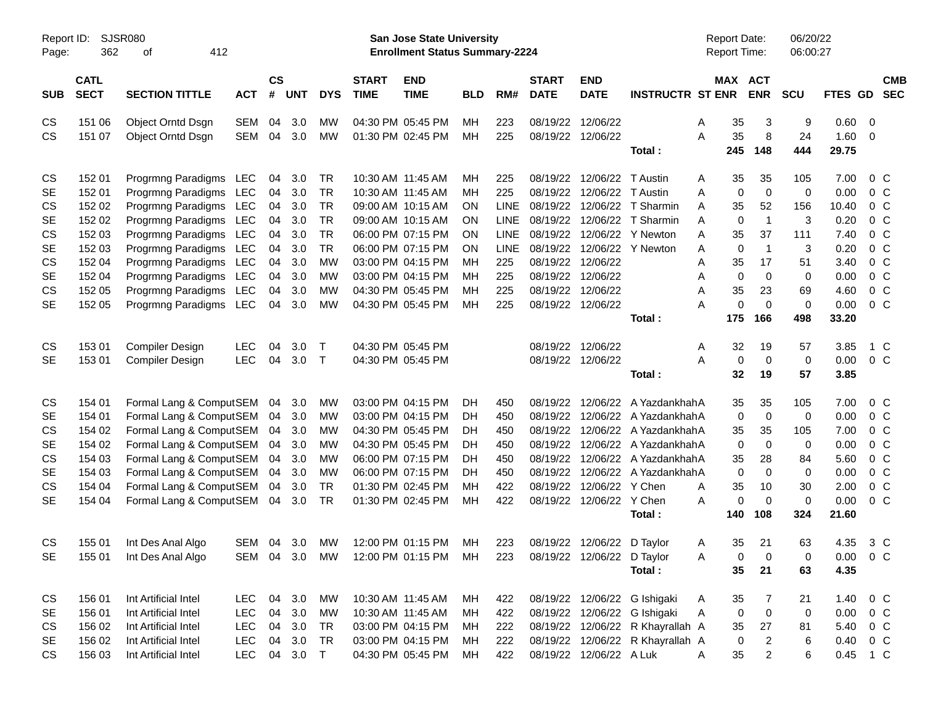| Report ID:<br>Page:                                                                         | 362                                                                                              | <b>SJSR080</b><br>412<br>οf                                                                                                                                                                                                                                      |                                                        |                                                          |                                                                    |                                                                                               |                             | <b>San Jose State University</b><br><b>Enrollment Status Summary-2224</b>                                                                                                                                      |                                                                 |                                                                                                    |                                                                                                                               |                                                                            |                                                                                                                                                                    | <b>Report Date:</b><br>Report Time:                                                                                                                            |                                                                                                                 | 06/20/22<br>06:00:27                                                    |                                                                                        |                                                                                                                                                                                  |
|---------------------------------------------------------------------------------------------|--------------------------------------------------------------------------------------------------|------------------------------------------------------------------------------------------------------------------------------------------------------------------------------------------------------------------------------------------------------------------|--------------------------------------------------------|----------------------------------------------------------|--------------------------------------------------------------------|-----------------------------------------------------------------------------------------------|-----------------------------|----------------------------------------------------------------------------------------------------------------------------------------------------------------------------------------------------------------|-----------------------------------------------------------------|----------------------------------------------------------------------------------------------------|-------------------------------------------------------------------------------------------------------------------------------|----------------------------------------------------------------------------|--------------------------------------------------------------------------------------------------------------------------------------------------------------------|----------------------------------------------------------------------------------------------------------------------------------------------------------------|-----------------------------------------------------------------------------------------------------------------|-------------------------------------------------------------------------|----------------------------------------------------------------------------------------|----------------------------------------------------------------------------------------------------------------------------------------------------------------------------------|
| <b>SUB</b>                                                                                  | <b>CATL</b><br><b>SECT</b>                                                                       | <b>SECTION TITTLE</b>                                                                                                                                                                                                                                            | <b>ACT</b>                                             | <b>CS</b><br>$\pmb{\#}$                                  | <b>UNT</b>                                                         | <b>DYS</b>                                                                                    | <b>START</b><br><b>TIME</b> | <b>END</b><br><b>TIME</b>                                                                                                                                                                                      | <b>BLD</b>                                                      | RM#                                                                                                | <b>START</b><br><b>DATE</b>                                                                                                   | <b>END</b><br><b>DATE</b>                                                  | <b>INSTRUCTR ST ENR</b>                                                                                                                                            | MAX ACT                                                                                                                                                        | <b>ENR</b>                                                                                                      | <b>SCU</b>                                                              | FTES GD                                                                                | <b>CMB</b><br><b>SEC</b>                                                                                                                                                         |
| CS<br>CS                                                                                    | 151 06<br>151 07                                                                                 | Object Orntd Dsgn<br>Object Orntd Dsgn                                                                                                                                                                                                                           | SEM<br>SEM                                             | 04<br>04                                                 | 3.0<br>3.0                                                         | <b>MW</b><br><b>MW</b>                                                                        |                             | 04:30 PM 05:45 PM<br>01:30 PM 02:45 PM                                                                                                                                                                         | MH<br>MH                                                        | 223<br>225                                                                                         | 08/19/22                                                                                                                      | 12/06/22<br>08/19/22 12/06/22                                              | Total:                                                                                                                                                             | 35<br>A<br>A<br>35<br>245                                                                                                                                      | 3<br>8<br>148                                                                                                   | 9<br>24<br>444                                                          | 0.60<br>1.60<br>29.75                                                                  | $\overline{\phantom{0}}$<br>$\overline{\mathbf{0}}$                                                                                                                              |
| CS<br><b>SE</b><br>CS<br><b>SE</b><br>CS<br><b>SE</b><br>CS<br><b>SE</b><br>CS<br><b>SE</b> | 152 01<br>152 01<br>152 02<br>152 02<br>152 03<br>152 03<br>152 04<br>152 04<br>152 05<br>152 05 | Progrmng Paradigms LEC<br>Progrmng Paradigms LEC<br>Progrmng Paradigms LEC<br>Progrmng Paradigms LEC<br>Progrmng Paradigms LEC<br>Progrmng Paradigms LEC<br>Progrmng Paradigms LEC<br>Progrmng Paradigms LEC<br>Progrmng Paradigms LEC<br>Progrmng Paradigms LEC |                                                        | 04<br>04<br>04<br>04<br>04<br>04<br>04<br>04<br>04<br>04 | 3.0<br>3.0<br>3.0<br>3.0<br>3.0<br>3.0<br>3.0<br>3.0<br>3.0<br>3.0 | TR<br>TR<br>TR<br>TR<br>TR<br><b>TR</b><br><b>MW</b><br><b>MW</b><br><b>MW</b><br><b>MW</b>   |                             | 10:30 AM 11:45 AM<br>10:30 AM 11:45 AM<br>09:00 AM 10:15 AM<br>09:00 AM 10:15 AM<br>06:00 PM 07:15 PM<br>06:00 PM 07:15 PM<br>03:00 PM 04:15 PM<br>03:00 PM 04:15 PM<br>04:30 PM 05:45 PM<br>04:30 PM 05:45 PM | MН<br>MH<br>OΝ<br>OΝ<br>OΝ<br><b>ON</b><br>MH<br>MH<br>MН<br>MH | 225<br>225<br><b>LINE</b><br><b>LINE</b><br><b>LINE</b><br><b>LINE</b><br>225<br>225<br>225<br>225 | 08/19/22<br>08/19/22<br>08/19/22<br>08/19/22<br>08/19/22<br>08/19/22<br>08/19/22<br>08/19/22<br>08/19/22<br>08/19/22 12/06/22 | 12/06/22 T Austin<br>12/06/22 T Austin<br>12/06/22<br>12/06/22<br>12/06/22 | 12/06/22 T Sharmin<br>12/06/22 T Sharmin<br>12/06/22 Y Newton<br>12/06/22 Y Newton<br>Total:                                                                       | 35<br>A<br>$\mathbf 0$<br>A<br>35<br>A<br>$\mathbf 0$<br>A<br>35<br>A<br>$\mathbf 0$<br>A<br>35<br>A<br>$\mathbf 0$<br>A<br>35<br>A<br>$\mathbf 0$<br>A<br>175 | 35<br>$\mathbf 0$<br>52<br>$\overline{1}$<br>37<br>$\overline{1}$<br>17<br>$\mathbf 0$<br>23<br>$\Omega$<br>166 | 105<br>0<br>156<br>3<br>111<br>3<br>51<br>0<br>69<br>$\mathbf 0$<br>498 | 7.00<br>0.00<br>10.40<br>0.20<br>7.40<br>0.20<br>3.40<br>0.00<br>4.60<br>0.00<br>33.20 | 0 <sup>o</sup><br>0 <sup>o</sup><br>0 <sup>o</sup><br>0 <sup>o</sup><br>0 <sup>o</sup><br>0 <sup>o</sup><br>0 <sup>o</sup><br>0 <sup>o</sup><br>0 <sup>o</sup><br>0 <sup>o</sup> |
| CS<br><b>SE</b>                                                                             | 153 01<br>153 01                                                                                 | Compiler Design<br>Compiler Design                                                                                                                                                                                                                               | <b>LEC</b><br><b>LEC</b>                               | 04<br>04                                                 | 3.0<br>3.0                                                         | $\top$<br>$\top$                                                                              |                             | 04:30 PM 05:45 PM<br>04:30 PM 05:45 PM                                                                                                                                                                         |                                                                 |                                                                                                    | 08/19/22 12/06/22                                                                                                             | 08/19/22 12/06/22                                                          | Total:                                                                                                                                                             | 32<br>A<br>A<br>0<br>32                                                                                                                                        | 19<br>0<br>19                                                                                                   | 57<br>0<br>57                                                           | 3.85<br>0.00<br>3.85                                                                   | 1 C<br>0 <sup>o</sup>                                                                                                                                                            |
| CS<br><b>SE</b><br>CS<br><b>SE</b><br>CS<br><b>SE</b><br>CS<br><b>SE</b>                    | 154 01<br>154 01<br>154 02<br>154 02<br>154 03<br>154 03<br>154 04<br>154 04                     | Formal Lang & ComputSEM<br>Formal Lang & ComputSEM<br>Formal Lang & ComputSEM<br>Formal Lang & ComputSEM<br>Formal Lang & ComputSEM<br>Formal Lang & ComputSEM<br>Formal Lang & ComputSEM<br>Formal Lang & ComputSEM                                             |                                                        | 04<br>04<br>04<br>04<br>04<br>04<br>04<br>04             | 3.0<br>3.0<br>3.0<br>3.0<br>3.0<br>3.0<br>3.0<br>3.0               | MW<br><b>MW</b><br><b>MW</b><br><b>MW</b><br><b>MW</b><br><b>MW</b><br><b>TR</b><br><b>TR</b> |                             | 03:00 PM 04:15 PM<br>03:00 PM 04:15 PM<br>04:30 PM 05:45 PM<br>04:30 PM 05:45 PM<br>06:00 PM 07:15 PM<br>06:00 PM 07:15 PM<br>01:30 PM 02:45 PM<br>01:30 PM 02:45 PM                                           | DH<br>DH<br>DH<br>DH<br>DН<br>DH<br>МH<br>MH                    | 450<br>450<br>450<br>450<br>450<br>450<br>422<br>422                                               | 08/19/22<br>08/19/22<br>08/19/22<br>08/19/22<br>08/19/22<br>08/19/22<br>08/19/22                                              | 12/06/22 Y Chen<br>08/19/22 12/06/22 Y Chen                                | 12/06/22 A YazdankhahA<br>12/06/22 A YazdankhahA<br>12/06/22 A YazdankhahA<br>12/06/22 A YazdankhahA<br>12/06/22 A YazdankhahA<br>12/06/22 A YazdankhahA<br>Total: | 35<br>0<br>35<br>0<br>35<br>$\mathbf 0$<br>35<br>A<br>0<br>Α<br>140                                                                                            | 35<br>$\mathbf 0$<br>35<br>0<br>28<br>0<br>10<br>0<br>108                                                       | 105<br>0<br>105<br>0<br>84<br>0<br>30<br>$\mathbf 0$<br>324             | 7.00<br>0.00<br>7.00<br>0.00<br>5.60<br>0.00<br>2.00<br>0.00<br>21.60                  | $0\,C$<br>0 <sup>o</sup><br>0 <sup>o</sup><br>0 <sup>o</sup><br>0 <sup>o</sup><br>0 <sup>o</sup><br>0 <sup>o</sup><br>0 <sup>o</sup>                                             |
| CS<br><b>SE</b>                                                                             | 155 01<br>155 01                                                                                 | Int Des Anal Algo<br>Int Des Anal Algo                                                                                                                                                                                                                           | SEM 04                                                 |                                                          | 3.0                                                                | МW                                                                                            |                             | 12:00 PM 01:15 PM<br>SEM 04 3.0 MW 12:00 PM 01:15 PM MH                                                                                                                                                        | МH                                                              | 223<br>223                                                                                         |                                                                                                                               | 08/19/22 12/06/22 D Taylor<br>08/19/22 12/06/22 D Taylor                   | Total:                                                                                                                                                             | 35<br>A<br>0<br>Α<br>35                                                                                                                                        | 21<br>0<br>21                                                                                                   | 63<br>0<br>63                                                           | 4.35<br>$0.00 \t 0 C$<br>4.35                                                          | $3\,C$                                                                                                                                                                           |
| CS<br>SE<br>CS<br>SE<br>CS                                                                  | 156 01<br>156 01<br>156 02<br>156 02<br>156 03                                                   | Int Artificial Intel<br>Int Artificial Intel<br>Int Artificial Intel<br>Int Artificial Intel<br>Int Artificial Intel                                                                                                                                             | LEC<br><b>LEC</b><br><b>LEC</b><br>LEC<br>LEC 04 3.0 T | 04<br>04<br>04                                           | 04 3.0<br>3.0<br>3.0<br>3.0                                        | МW<br>МW<br>TR<br>TR                                                                          |                             | 10:30 AM 11:45 AM<br>10:30 AM 11:45 AM<br>03:00 PM 04:15 PM<br>03:00 PM 04:15 PM<br>04:30 PM 05:45 PM                                                                                                          | MН<br>МH<br>МH<br>МH<br>МH                                      | 422<br>422<br>222<br>222<br>422                                                                    |                                                                                                                               | 08/19/22 12/06/22 A Luk                                                    | 08/19/22 12/06/22 G Ishigaki<br>08/19/22 12/06/22 G Ishigaki<br>08/19/22 12/06/22 R Khayrallah A<br>08/19/22 12/06/22 R Khayrallah A                               | 35<br>A<br>0<br>A<br>35<br>0<br>35<br>A                                                                                                                        | 7<br>0<br>27<br>$\overline{c}$<br>$\overline{2}$                                                                | 21<br>0<br>81<br>6<br>6                                                 | 1.40<br>0.00<br>5.40<br>0.40                                                           | 0 C<br>$0\,C$<br>$0\,$ C<br>$0\,C$<br>0.45 1 C                                                                                                                                   |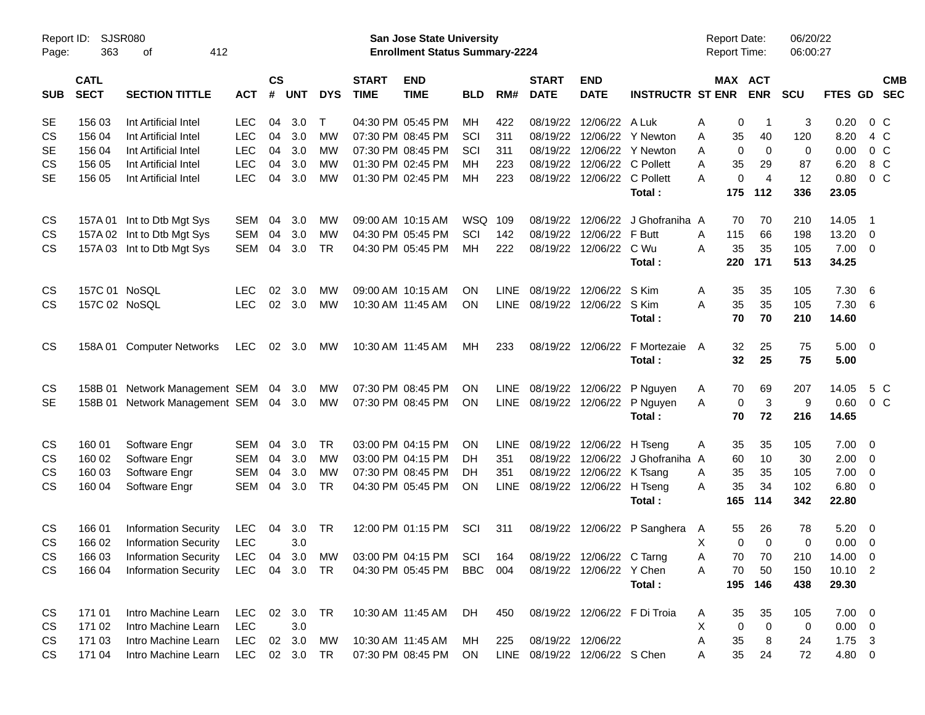| Page:      | Report ID:<br>SJSR080<br>363<br>412<br>οf<br><b>CATL</b> |                                                                     |               |                    |            |            |                             | San Jose State University<br><b>Enrollment Status Summary-2224</b> |            |             |                               |                           |                              | <b>Report Date:</b><br><b>Report Time:</b> |                       | 06/20/22<br>06:00:27 |                 |                          |
|------------|----------------------------------------------------------|---------------------------------------------------------------------|---------------|--------------------|------------|------------|-----------------------------|--------------------------------------------------------------------|------------|-------------|-------------------------------|---------------------------|------------------------------|--------------------------------------------|-----------------------|----------------------|-----------------|--------------------------|
| <b>SUB</b> | <b>SECT</b>                                              | <b>SECTION TITTLE</b>                                               | <b>ACT</b>    | $\mathsf{cs}$<br># | <b>UNT</b> | <b>DYS</b> | <b>START</b><br><b>TIME</b> | <b>END</b><br><b>TIME</b>                                          | <b>BLD</b> | RM#         | <b>START</b><br><b>DATE</b>   | <b>END</b><br><b>DATE</b> | <b>INSTRUCTR ST ENR</b>      |                                            | MAX ACT<br><b>ENR</b> | <b>SCU</b>           | FTES GD         | <b>CMB</b><br><b>SEC</b> |
| <b>SE</b>  | 156 03                                                   | Int Artificial Intel                                                | <b>LEC</b>    | 04                 | 3.0        | $\top$     |                             | 04:30 PM 05:45 PM                                                  | MH         | 422         | 08/19/22                      | 12/06/22                  | A Luk                        | Α<br>0                                     | -1                    | 3                    | 0.20            | 0 <sup>o</sup>           |
| <b>CS</b>  | 156 04                                                   | Int Artificial Intel                                                | <b>LEC</b>    | 04                 | 3.0        | <b>MW</b>  |                             | 07:30 PM 08:45 PM                                                  | SCI        | 311         | 08/19/22                      | 12/06/22                  | Y Newton                     | 35<br>Α                                    | 40                    | 120                  | 8.20            | 4 C                      |
| <b>SE</b>  | 156 04                                                   | Int Artificial Intel                                                | <b>LEC</b>    | 04                 | 3.0        | MW         |                             | 07:30 PM 08:45 PM                                                  | SCI        | 311         | 08/19/22                      | 12/06/22                  | <b>Y</b> Newton              | 0<br>A                                     | 0                     | 0                    | 0.00            | 0 <sup>o</sup>           |
| <b>CS</b>  | 156 05                                                   | Int Artificial Intel                                                | <b>LEC</b>    | 04                 | 3.0        | MW         |                             | 01:30 PM 02:45 PM                                                  | MН         | 223         | 08/19/22                      | 12/06/22                  | C Pollett                    | 35<br>A                                    | 29                    | 87                   | 6.20            | 8 C                      |
| <b>SE</b>  | 156 05                                                   | Int Artificial Intel                                                | <b>LEC</b>    | 04                 | 3.0        | <b>MW</b>  |                             | 01:30 PM 02:45 PM                                                  | MH         | 223         | 08/19/22                      |                           | 12/06/22 C Pollett           | A                                          | 0<br>$\overline{4}$   | 12                   | 0.80            | $0\,C$                   |
|            |                                                          |                                                                     |               |                    |            |            |                             |                                                                    |            |             |                               |                           | Total:                       | 175                                        | 112                   | 336                  | 23.05           |                          |
| CS         |                                                          | 157A 01 Int to Dtb Mgt Sys                                          | <b>SEM</b>    | 04                 | 3.0        | MW         |                             | 09:00 AM 10:15 AM                                                  | <b>WSQ</b> | 109         | 08/19/22                      | 12/06/22                  | J Ghofraniha A               | 70                                         | 70                    | 210                  | 14.05           | - 1                      |
| <b>CS</b>  |                                                          | 157A 02 Int to Dtb Mgt Sys                                          | <b>SEM</b>    | 04                 | 3.0        | MW         |                             | 04:30 PM 05:45 PM                                                  | SCI        | 142         | 08/19/22                      | 12/06/22                  | F Butt                       | Α<br>115                                   | 66                    | 198                  | 13.20           | $\overline{\mathbf{0}}$  |
| <b>CS</b>  |                                                          | 157A 03 Int to Dtb Mgt Sys                                          | <b>SEM</b>    | 04                 | 3.0        | <b>TR</b>  |                             | 04:30 PM 05:45 PM                                                  | <b>MH</b>  | 222         | 08/19/22                      | 12/06/22                  | C Wu                         | 35<br>A                                    | 35                    | 105                  | 7.00            | $\overline{\phantom{0}}$ |
|            |                                                          |                                                                     |               |                    |            |            |                             |                                                                    |            |             |                               |                           | Total:                       | 220                                        | 171                   | 513                  | 34.25           |                          |
| <b>CS</b>  | 157C 01 NoSQL                                            |                                                                     | <b>LEC</b>    | 02                 | 3.0        | <b>MW</b>  |                             | 09:00 AM 10:15 AM                                                  | <b>ON</b>  | <b>LINE</b> | 08/19/22                      | 12/06/22                  | S Kim                        | Α<br>35                                    | 35                    | 105                  | 7.30            | $6\overline{6}$          |
| <b>CS</b>  | 157C 02 NoSQL                                            |                                                                     | <b>LEC</b>    |                    | 02 3.0     | <b>MW</b>  |                             | 10:30 AM 11:45 AM                                                  | <b>ON</b>  | LINE        | 08/19/22                      | 12/06/22                  | S Kim                        | 35<br>A                                    | 35                    | 105                  | 7.30            | - 6                      |
|            |                                                          |                                                                     |               |                    |            |            |                             |                                                                    |            |             |                               |                           | Total:                       | 70                                         | 70                    | 210                  | 14.60           |                          |
| <b>CS</b>  |                                                          | 158A 01 Computer Networks                                           | LEC           | 02                 | 3.0        | МW         |                             | 10:30 AM 11:45 AM                                                  | MH         | 233         |                               | 08/19/22 12/06/22         | F Mortezaie                  | 32<br>A                                    | 25                    | 75                   | $5.00 \t 0$     |                          |
|            |                                                          |                                                                     |               |                    |            |            |                             |                                                                    |            |             |                               |                           | Total:                       | 32                                         | 25                    | 75                   | 5.00            |                          |
| CS         | 158B 01                                                  | Network Management SEM 04 3.0                                       |               |                    |            | MW         |                             | 07:30 PM 08:45 PM                                                  | OΝ         | LINE        | 08/19/22                      | 12/06/22                  | P Nguyen                     | 70<br>A                                    | 69                    | 207                  | 14.05           | 5 C                      |
| <b>SE</b>  | 158B 01                                                  | Network Management SEM 04 3.0                                       |               |                    |            | МW         |                             | 07:30 PM 08:45 PM                                                  | <b>ON</b>  | LINE        | 08/19/22                      | 12/06/22                  | P Nguyen                     | $\mathbf 0$<br>A                           | 3                     | 9                    | 0.60            | 0 <sup>o</sup>           |
|            |                                                          |                                                                     |               |                    |            |            |                             |                                                                    |            |             |                               |                           | Total:                       | 70                                         | 72                    | 216                  | 14.65           |                          |
| CS         | 160 01                                                   | Software Engr                                                       | <b>SEM</b>    | 04                 | 3.0        | <b>TR</b>  |                             | 03:00 PM 04:15 PM                                                  | OΝ         | <b>LINE</b> | 08/19/22                      | 12/06/22                  | H Tseng                      | 35<br>A                                    | 35                    | 105                  | 7.00            | $\overline{\phantom{0}}$ |
| <b>CS</b>  | 160 02                                                   | Software Engr                                                       | <b>SEM</b>    | 04                 | 3.0        | MW         |                             | 03:00 PM 04:15 PM                                                  | DН         | 351         | 08/19/22                      | 12/06/22                  | J Ghofraniha A               | 60                                         | 10                    | 30                   | 2.00            | $\overline{\mathbf{0}}$  |
| <b>CS</b>  | 160 03                                                   | Software Engr                                                       | <b>SEM</b>    | 04                 | 3.0        | MW         |                             | 07:30 PM 08:45 PM                                                  | DН         | 351         | 08/19/22                      | 12/06/22                  | K Tsang                      | 35<br>A                                    | 35                    | 105                  | 7.00            | $\overline{\mathbf{0}}$  |
| <b>CS</b>  | 160 04                                                   | Software Engr                                                       | SEM           | 04                 | 3.0        | <b>TR</b>  |                             | 04:30 PM 05:45 PM                                                  | OΝ         | <b>LINE</b> | 08/19/22                      | 12/06/22                  | H Tseng                      | 35<br>A                                    | 34                    | 102                  | 6.80            | $\overline{\phantom{0}}$ |
|            |                                                          |                                                                     |               |                    |            |            |                             |                                                                    |            |             |                               |                           | Total:                       | 165                                        | 114                   | 342                  | 22.80           |                          |
| CS         | 166 01                                                   | <b>Information Security</b>                                         | <b>LEC</b>    | 04                 | 3.0        | TR         |                             | 12:00 PM 01:15 PM                                                  | SCI        | 311         | 08/19/22                      |                           | 12/06/22 P Sanghera          | 55<br>$\mathsf{A}$                         | 26                    | 78                   | 5.20            | $\overline{\phantom{0}}$ |
| <b>CS</b>  | 166 02                                                   | <b>Information Security</b>                                         | <b>LEC</b>    |                    | 3.0        |            |                             |                                                                    |            |             |                               |                           |                              | Х                                          | 0<br>$\Omega$         | 0                    | 0.00            | $\overline{\phantom{0}}$ |
| CS         | 166 03                                                   | Information Security LEC 04 3.0 MW 03:00 PM 04:15 PM SCI 164        |               |                    |            |            |                             |                                                                    |            |             |                               | 08/19/22 12/06/22 C Tarng |                              | 70<br>Α                                    | 70                    | 210                  | 14.00 0         |                          |
| CS.        |                                                          | 166 04 Information Security LEC 04 3.0 TR 04:30 PM 05:45 PM BBC 004 |               |                    |            |            |                             |                                                                    |            |             |                               | 08/19/22 12/06/22 Y Chen  |                              | 70<br>A                                    | 50                    | 150                  | $10.10 \quad 2$ |                          |
|            |                                                          |                                                                     |               |                    |            |            |                             |                                                                    |            |             |                               |                           | Total:                       |                                            | 195 146               | 438                  | 29.30           |                          |
| CS         | 171 01                                                   | Intro Machine Learn                                                 | LEC 02 3.0 TR |                    |            |            |                             | 10:30 AM_11:45 AM  DH                                              |            | 450         |                               |                           | 08/19/22 12/06/22 F Di Troia | 35<br>A                                    | 35                    | 105                  | $7.00 \t 0$     |                          |
| CS         | 171 02                                                   | Intro Machine Learn                                                 | <b>LEC</b>    |                    | 3.0        |            |                             |                                                                    |            |             |                               |                           |                              | Χ<br>0                                     | $\overline{0}$        | 0                    | $0.00 \t 0$     |                          |
| CS         | 171 03                                                   | Intro Machine Learn                                                 | LEC           |                    | 02 3.0     | MW         |                             | 10:30 AM 11:45 AM                                                  | MH         | 225         | 08/19/22 12/06/22             |                           |                              | Α<br>35                                    | 8                     | 24                   | $1.75 \t3$      |                          |
| CS         | 171 04                                                   | Intro Machine Learn                                                 | LEC 02 3.0 TR |                    |            |            |                             | 07:30 PM 08:45 PM ON                                               |            |             | LINE 08/19/22 12/06/22 S Chen |                           |                              | 35<br>A                                    | 24                    | 72                   | 4.80 0          |                          |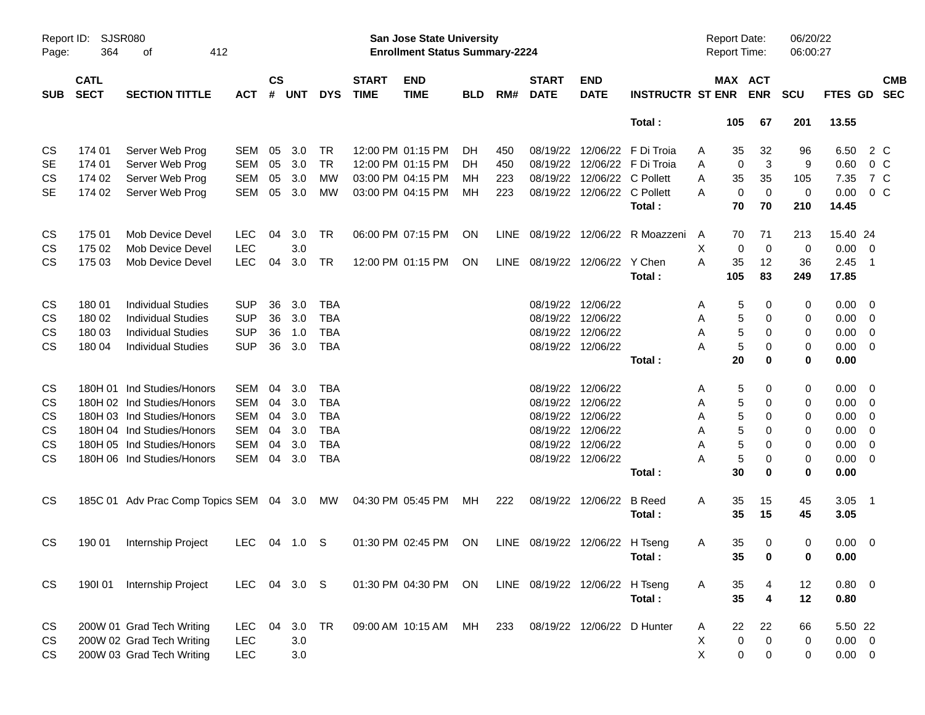| Page:      | SJSR080<br>Report ID:<br>364<br>412<br>оf<br><b>CATL</b> |                                         |              |                    |            |            |                             | <b>San Jose State University</b><br><b>Enrollment Status Summary-2224</b> |            |      |                                |                             |                              | Report Date:<br>Report Time: |             |                | 06/20/22<br>06:00:27 |             |                         |            |
|------------|----------------------------------------------------------|-----------------------------------------|--------------|--------------------|------------|------------|-----------------------------|---------------------------------------------------------------------------|------------|------|--------------------------------|-----------------------------|------------------------------|------------------------------|-------------|----------------|----------------------|-------------|-------------------------|------------|
| <b>SUB</b> | <b>SECT</b>                                              | <b>SECTION TITTLE</b>                   | <b>ACT</b>   | $\mathsf{cs}$<br># | <b>UNT</b> | <b>DYS</b> | <b>START</b><br><b>TIME</b> | <b>END</b><br><b>TIME</b>                                                 | <b>BLD</b> | RM#  | <b>START</b><br><b>DATE</b>    | <b>END</b><br><b>DATE</b>   | <b>INSTRUCTR ST ENR</b>      |                              | MAX ACT     | <b>ENR</b>     | <b>SCU</b>           | FTES GD SEC |                         | <b>CMB</b> |
|            |                                                          |                                         |              |                    |            |            |                             |                                                                           |            |      |                                |                             | Total:                       |                              | 105         | 67             | 201                  | 13.55       |                         |            |
| CS         | 174 01                                                   | Server Web Prog                         | <b>SEM</b>   | 05                 | 3.0        | TR         | 12:00 PM 01:15 PM           |                                                                           | DH.        | 450  |                                |                             | 08/19/22 12/06/22 F Di Troia | A                            | 35          | 32             | 96                   | 6.50        | 2 C                     |            |
| <b>SE</b>  | 174 01                                                   | Server Web Prog                         | <b>SEM</b>   | 05                 | 3.0        | <b>TR</b>  | 12:00 PM 01:15 PM           |                                                                           | DH.        | 450  |                                |                             | 08/19/22 12/06/22 F Di Troia | Α                            | 0           | 3              | 9                    | 0.60        | 0 <sup>o</sup>          |            |
| CS         | 174 02                                                   | Server Web Prog                         | <b>SEM</b>   | 05                 | 3.0        | MW         | 03:00 PM 04:15 PM           |                                                                           | мн         | 223  |                                | 08/19/22 12/06/22 C Pollett |                              | Α                            | 35          | 35             | 105                  | 7.35        | 7 C                     |            |
| <b>SE</b>  | 174 02                                                   | Server Web Prog                         | <b>SEM</b>   | 05                 | 3.0        | <b>MW</b>  | 03:00 PM 04:15 PM           |                                                                           | МH         | 223  |                                | 08/19/22 12/06/22 C Pollett |                              | A                            | $\mathbf 0$ | $\overline{0}$ | $\mathbf 0$          | 0.00        | 0 <sup>C</sup>          |            |
|            |                                                          |                                         |              |                    |            |            |                             |                                                                           |            |      |                                |                             | Total:                       |                              | 70          | 70             | 210                  | 14.45       |                         |            |
| CS         | 175 01                                                   | Mob Device Devel                        | <b>LEC</b>   | 04                 | 3.0        | TR         |                             | 06:00 PM 07:15 PM                                                         | ON         | LINE |                                |                             | 08/19/22 12/06/22 R Moazzeni | A                            | 70          | 71             | 213                  | 15.40 24    |                         |            |
| <b>CS</b>  | 175 02                                                   | Mob Device Devel                        | <b>LEC</b>   |                    | 3.0        |            |                             |                                                                           |            |      |                                |                             |                              | X                            | 0           | $\mathbf 0$    | 0                    | 0.00        | $\overline{\mathbf{0}}$ |            |
| <b>CS</b>  | 175 03                                                   | Mob Device Devel                        | <b>LEC</b>   | 04                 | 3.0        | TR         |                             | 12:00 PM 01:15 PM                                                         | ON         |      | LINE 08/19/22 12/06/22 Y Chen  |                             |                              | A                            | 35          | 12             | 36                   | 2.45        | - 1                     |            |
|            |                                                          |                                         |              |                    |            |            |                             |                                                                           |            |      |                                |                             | Total:                       | 105                          |             | 83             | 249                  | 17.85       |                         |            |
| CS         | 18001                                                    | <b>Individual Studies</b>               | <b>SUP</b>   | 36                 | 3.0        | <b>TBA</b> |                             |                                                                           |            |      | 08/19/22 12/06/22              |                             |                              | A                            | 5           | 0              | 0                    | 0.00        | $\overline{\mathbf{0}}$ |            |
| CS         | 180 02                                                   | <b>Individual Studies</b>               | <b>SUP</b>   | 36                 | 3.0        | <b>TBA</b> |                             |                                                                           |            |      | 08/19/22 12/06/22              |                             |                              | Α                            | 5           | 0              | 0                    | 0.00        | $\overline{0}$          |            |
| <b>CS</b>  | 180 03                                                   | <b>Individual Studies</b>               | <b>SUP</b>   | 36                 | 1.0        | <b>TBA</b> |                             |                                                                           |            |      | 08/19/22 12/06/22              |                             |                              | Α                            | 5           | 0              | 0                    | 0.00        | $\overline{0}$          |            |
| <b>CS</b>  | 180 04                                                   | <b>Individual Studies</b>               | <b>SUP</b>   | 36                 | 3.0        | <b>TBA</b> |                             |                                                                           |            |      |                                | 08/19/22 12/06/22           |                              | A                            | 5           | 0              | 0                    | 0.00        | $\overline{0}$          |            |
|            |                                                          |                                         |              |                    |            |            |                             |                                                                           |            |      |                                |                             | Total:                       |                              | 20          | 0              | $\mathbf 0$          | 0.00        |                         |            |
| CS         |                                                          | 180H 01 Ind Studies/Honors              | <b>SEM</b>   | 04                 | 3.0        | <b>TBA</b> |                             |                                                                           |            |      | 08/19/22 12/06/22              |                             |                              | A                            | 5           | 0              | 0                    | 0.00        | $\overline{\mathbf{0}}$ |            |
| CS         |                                                          | 180H 02 Ind Studies/Honors              | <b>SEM</b>   | 04                 | 3.0        | <b>TBA</b> |                             |                                                                           |            |      | 08/19/22 12/06/22              |                             |                              | Α                            | 5           | 0              | 0                    | 0.00        | $\mathbf 0$             |            |
| CS         |                                                          | 180H 03 Ind Studies/Honors              | <b>SEM</b>   | 04                 | 3.0        | <b>TBA</b> |                             |                                                                           |            |      | 08/19/22 12/06/22              |                             |                              | Α                            | 5           | 0              | 0                    | 0.00        | 0                       |            |
| CS         |                                                          | 180H 04 Ind Studies/Honors              | <b>SEM</b>   | 04                 | 3.0        | <b>TBA</b> |                             |                                                                           |            |      | 08/19/22 12/06/22              |                             |                              | Α                            | 5           | 0              | 0                    | 0.00        | 0                       |            |
| CS         |                                                          | 180H 05 Ind Studies/Honors              | <b>SEM</b>   | 04                 | 3.0        | <b>TBA</b> |                             |                                                                           |            |      | 08/19/22 12/06/22              |                             |                              | Α                            | 5           | 0              | 0                    | 0.00        | 0                       |            |
| <b>CS</b>  |                                                          | 180H 06 Ind Studies/Honors              | <b>SEM</b>   |                    | 04 3.0     | <b>TBA</b> |                             |                                                                           |            |      |                                | 08/19/22 12/06/22           |                              | A                            | 5           | 0              | 0                    | 0.00        | $\overline{0}$          |            |
|            |                                                          |                                         |              |                    |            |            |                             |                                                                           |            |      |                                |                             | Total:                       |                              | 30          | 0              | $\mathbf 0$          | 0.00        |                         |            |
| CS         |                                                          | 185C 01 Adv Prac Comp Topics SEM 04 3.0 |              |                    |            | MW         | 04:30 PM 05:45 PM           |                                                                           | МH         | 222  |                                | 08/19/22 12/06/22           | <b>B</b> Reed                | A                            | 35          | 15             | 45                   | $3.05$ 1    |                         |            |
|            |                                                          |                                         |              |                    |            |            |                             |                                                                           |            |      |                                |                             | Total:                       |                              | 35          | 15             | 45                   | 3.05        |                         |            |
| <b>CS</b>  | 190 01                                                   | Internship Project                      | LEC          |                    | 04 1.0 S   |            |                             | 01:30 PM 02:45 PM                                                         | ON         |      | LINE 08/19/22 12/06/22 H Tseng |                             |                              | A                            | 35          | 0              | 0                    | 0.00        | $\overline{\mathbf{0}}$ |            |
|            |                                                          |                                         |              |                    |            |            |                             |                                                                           |            |      |                                |                             | Total:                       |                              | 35          | $\mathbf 0$    | 0                    | 0.00        |                         |            |
| CS         | 190101                                                   | Internship Project                      | LEC 04 3.0 S |                    |            |            |                             | 01:30 PM 04:30 PM                                                         | ON         |      | LINE 08/19/22 12/06/22 H Tseng |                             |                              | A                            | 35          | 4              | 12                   | $0.80 \t 0$ |                         |            |
|            |                                                          |                                         |              |                    |            |            |                             |                                                                           |            |      |                                |                             | Total:                       |                              | 35          | 4              | 12                   | 0.80        |                         |            |
| CS         |                                                          | 200W 01 Grad Tech Writing               | <b>LEC</b>   | 04                 | 3.0        | TR         |                             | 09:00 AM 10:15 AM                                                         | MH         | 233  |                                | 08/19/22 12/06/22 D Hunter  |                              | A                            | 22          | 22             | 66                   | 5.50 22     |                         |            |
| CS         |                                                          | 200W 02 Grad Tech Writing               | <b>LEC</b>   |                    | 3.0        |            |                             |                                                                           |            |      |                                |                             |                              | X                            | $\pmb{0}$   | $\mathbf 0$    | 0                    | $0.00 \t 0$ |                         |            |
| CS         |                                                          | 200W 03 Grad Tech Writing               | <b>LEC</b>   |                    | 3.0        |            |                             |                                                                           |            |      |                                |                             |                              | X                            | $\pmb{0}$   | 0              | 0                    | $0.00 \t 0$ |                         |            |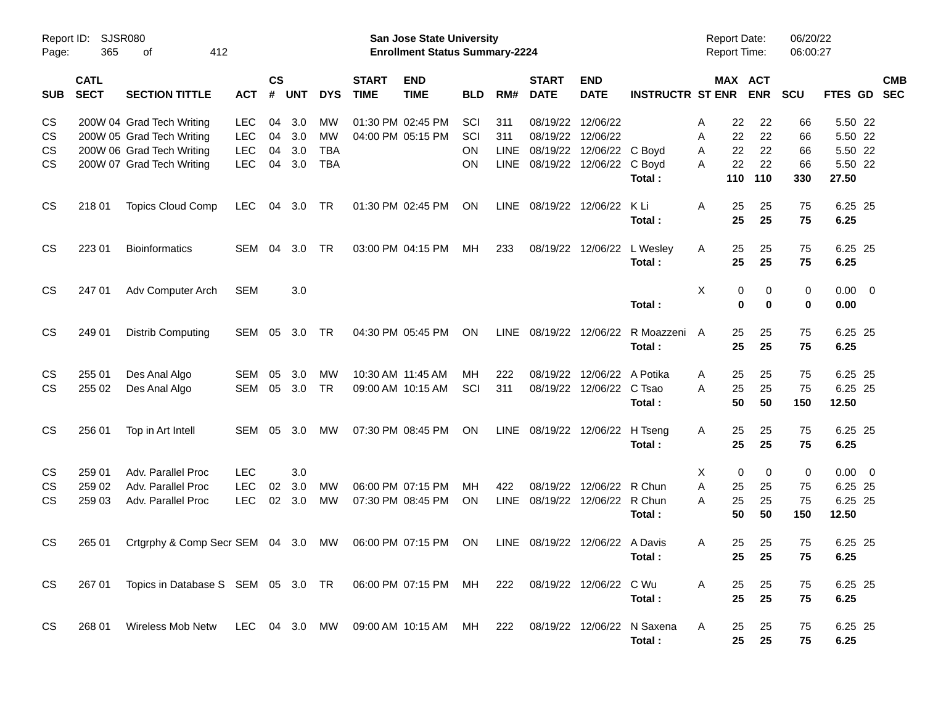| Page:      | Report ID: SJSR080<br>365<br>412<br>оf<br><b>CATL</b> |                                                                                           |                          |                    |            |                 |                             | San Jose State University<br><b>Enrollment Status Summary-2224</b> |            |             |                             |                           |                         | <b>Report Date:</b><br>Report Time: |                       | 06/20/22<br>06:00:27 |                    |                          |
|------------|-------------------------------------------------------|-------------------------------------------------------------------------------------------|--------------------------|--------------------|------------|-----------------|-----------------------------|--------------------------------------------------------------------|------------|-------------|-----------------------------|---------------------------|-------------------------|-------------------------------------|-----------------------|----------------------|--------------------|--------------------------|
| <b>SUB</b> | <b>SECT</b>                                           | <b>SECTION TITTLE</b>                                                                     | <b>ACT</b>               | $\mathsf{cs}$<br># | <b>UNT</b> | <b>DYS</b>      | <b>START</b><br><b>TIME</b> | <b>END</b><br><b>TIME</b>                                          | <b>BLD</b> | RM#         | <b>START</b><br><b>DATE</b> | <b>END</b><br><b>DATE</b> | <b>INSTRUCTR ST ENR</b> |                                     | MAX ACT<br><b>ENR</b> | <b>SCU</b>           | FTES GD            | <b>CMB</b><br><b>SEC</b> |
| CS<br>CS   |                                                       | 200W 04 Grad Tech Writing                                                                 | <b>LEC</b><br><b>LEC</b> | 04<br>04           | 3.0<br>3.0 | МW<br><b>MW</b> |                             | 01:30 PM 02:45 PM<br>04:00 PM 05:15 PM                             | SCI<br>SCI | 311<br>311  | 08/19/22<br>08/19/22        | 12/06/22<br>12/06/22      |                         | 22<br>Α<br>22                       | 22<br>22              | 66<br>66             | 5.50 22<br>5.50 22 |                          |
| CS         |                                                       | 200W 05 Grad Tech Writing<br>200W 06 Grad Tech Writing                                    | <b>LEC</b>               | 04                 | 3.0        | <b>TBA</b>      |                             |                                                                    | <b>ON</b>  | LINE        | 08/19/22                    | 12/06/22 C Boyd           |                         | Α<br>22<br>Α                        | 22                    | 66                   | 5.50 22            |                          |
| <b>CS</b>  |                                                       | 200W 07 Grad Tech Writing                                                                 | <b>LEC</b>               | 04                 | 3.0        | <b>TBA</b>      |                             |                                                                    | OΝ         | <b>LINE</b> | 08/19/22                    | 12/06/22 C Boyd           |                         | 22<br>A                             | 22                    | 66                   | 5.50 22            |                          |
|            |                                                       |                                                                                           |                          |                    |            |                 |                             |                                                                    |            |             |                             |                           | Total:                  | 110                                 | 110                   | 330                  | 27.50              |                          |
| <b>CS</b>  | 218 01                                                | <b>Topics Cloud Comp</b>                                                                  | <b>LEC</b>               | 04                 | 3.0        | TR              |                             | 01:30 PM 02:45 PM                                                  | <b>ON</b>  | <b>LINE</b> | 08/19/22                    | 12/06/22                  | K Li                    | 25<br>Α                             | 25                    | 75                   | 6.25 25            |                          |
|            |                                                       |                                                                                           |                          |                    |            |                 |                             |                                                                    |            |             |                             |                           | Total:                  | 25                                  | 25                    | 75                   | 6.25               |                          |
| <b>CS</b>  | 223 01                                                | <b>Bioinformatics</b>                                                                     | <b>SEM</b>               | 04                 | 3.0        | TR              |                             | 03:00 PM 04:15 PM                                                  | MН         | 233         | 08/19/22                    | 12/06/22                  | L Wesley                | 25<br>Α                             | 25                    | 75                   | 6.25 25            |                          |
|            |                                                       |                                                                                           |                          |                    |            |                 |                             |                                                                    |            |             |                             |                           | Total:                  | 25                                  | 25                    | 75                   | 6.25               |                          |
| <b>CS</b>  | 247 01                                                | Adv Computer Arch                                                                         | <b>SEM</b>               |                    | 3.0        |                 |                             |                                                                    |            |             |                             |                           |                         | X                                   | 0<br>0                | 0                    | $0.00 \t 0$        |                          |
|            |                                                       |                                                                                           |                          |                    |            |                 |                             |                                                                    |            |             |                             |                           | Total:                  |                                     | 0<br>$\bf{0}$         | 0                    | 0.00               |                          |
| <b>CS</b>  | 249 01                                                | <b>Distrib Computing</b>                                                                  | <b>SEM</b>               | 05                 | 3.0        | TR              |                             | 04:30 PM 05:45 PM                                                  | <b>ON</b>  | <b>LINE</b> | 08/19/22                    | 12/06/22                  | R Moazzeni              | 25<br>A                             | 25                    | 75                   | 6.25 25            |                          |
|            |                                                       |                                                                                           |                          |                    |            |                 |                             |                                                                    |            |             |                             |                           | Total:                  | 25                                  | 25                    | 75                   | 6.25               |                          |
| CS         | 255 01                                                | Des Anal Algo                                                                             | <b>SEM</b>               | 05                 | 3.0        | МW              |                             | 10:30 AM 11:45 AM                                                  | MН         | 222         | 08/19/22                    | 12/06/22                  | A Potika                | 25<br>Α                             | 25                    | 75                   | 6.25 25            |                          |
| <b>CS</b>  | 255 02                                                | Des Anal Algo                                                                             | <b>SEM</b>               | 05                 | 3.0        | <b>TR</b>       |                             | 09:00 AM 10:15 AM                                                  | SCI        | 311         |                             | 08/19/22 12/06/22 C Tsao  |                         | 25<br>Α                             | 25                    | 75                   | 6.25 25            |                          |
|            |                                                       |                                                                                           |                          |                    |            |                 |                             |                                                                    |            |             |                             |                           | Total:                  | 50                                  | 50                    | 150                  | 12.50              |                          |
| <b>CS</b>  | 256 01                                                | Top in Art Intell                                                                         | SEM                      | 05                 | 3.0        | MW              |                             | 07:30 PM 08:45 PM                                                  | <b>ON</b>  |             |                             | LINE 08/19/22 12/06/22    | H Tseng                 | 25<br>Α                             | 25                    | 75                   | 6.25 25            |                          |
|            |                                                       |                                                                                           |                          |                    |            |                 |                             |                                                                    |            |             |                             |                           | Total:                  | 25                                  | 25                    | 75                   | 6.25               |                          |
| CS         | 259 01                                                | Adv. Parallel Proc                                                                        | <b>LEC</b>               |                    | 3.0        |                 |                             |                                                                    |            |             |                             |                           |                         | Χ                                   | $\mathbf 0$<br>0      | 0                    | $0.00 \t 0$        |                          |
| <b>CS</b>  | 259 02                                                | Adv. Parallel Proc                                                                        | <b>LEC</b>               | 02                 | 3.0        | МW              |                             | 06:00 PM 07:15 PM                                                  | MН         | 422         | 08/19/22                    | 12/06/22                  | R Chun                  | Α<br>25                             | 25                    | 75                   | 6.25 25            |                          |
| <b>CS</b>  | 259 03                                                | Adv. Parallel Proc                                                                        | <b>LEC</b>               | 02                 | 3.0        | МW              |                             | 07:30 PM 08:45 PM                                                  | <b>ON</b>  | LINE        |                             | 08/19/22 12/06/22 R Chun  | Total:                  | 25<br>Α<br>50                       | 25<br>50              | 75<br>150            | 6.25 25<br>12.50   |                          |
| <b>CS</b>  | 265 01                                                | Crtgrphy & Comp Secr SEM 04 3.0 MW                                                        |                          |                    |            |                 |                             | 06:00 PM 07:15 PM                                                  | ON         | LINE        | 08/19/22                    | 12/06/22 A Davis          |                         | 25<br>Α                             | 25                    | 75                   | 6.25 25            |                          |
|            |                                                       |                                                                                           |                          |                    |            |                 |                             |                                                                    |            |             |                             |                           | Total:                  |                                     | 25<br>25              | 75                   | 6.25               |                          |
| CS.        |                                                       | 267 01 Topics in Database S SEM 05 3.0 TR 06:00 PM 07:15 PM MH 222 08/19/22 12/06/22 C Wu |                          |                    |            |                 |                             |                                                                    |            |             |                             |                           |                         | 25<br>A                             | 25                    | 75                   | 6.25 25            |                          |
|            |                                                       |                                                                                           |                          |                    |            |                 |                             |                                                                    |            |             |                             |                           | Total:                  | 25                                  | 25                    | 75                   | 6.25               |                          |
| CS         | 268 01                                                | Wireless Mob Netw LEC 04 3.0 MW 09:00 AM 10:15 AM MH 222 08/19/22 12/06/22 N Saxena       |                          |                    |            |                 |                             |                                                                    |            |             |                             |                           |                         | 25<br>A                             | 25                    | 75                   | 6.25 25            |                          |
|            |                                                       |                                                                                           |                          |                    |            |                 |                             |                                                                    |            |             |                             |                           | Total:                  | 25                                  | 25                    | 75                   | 6.25               |                          |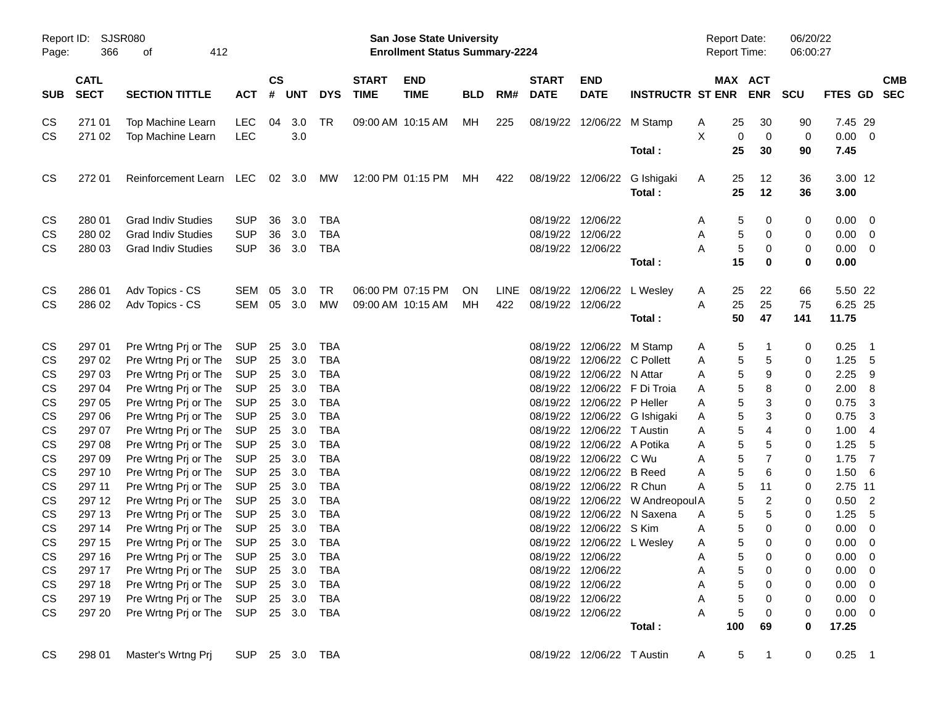| Page:      | Report ID: SJSR080<br>366<br>412<br>οf<br><b>CATL</b> |                                     |                |                    |        |            |                             | San Jose State University<br><b>Enrollment Status Summary-2224</b> |            |     |                             |                                |                                  | Report Date:<br><b>Report Time:</b> |                 |                         | 06/20/22<br>06:00:27 |             |                          |            |
|------------|-------------------------------------------------------|-------------------------------------|----------------|--------------------|--------|------------|-----------------------------|--------------------------------------------------------------------|------------|-----|-----------------------------|--------------------------------|----------------------------------|-------------------------------------|-----------------|-------------------------|----------------------|-------------|--------------------------|------------|
| <b>SUB</b> | <b>SECT</b>                                           | <b>SECTION TITTLE</b>               | <b>ACT</b>     | $\mathsf{cs}$<br># | UNT    | <b>DYS</b> | <b>START</b><br><b>TIME</b> | <b>END</b><br><b>TIME</b>                                          | <b>BLD</b> | RM# | <b>START</b><br><b>DATE</b> | <b>END</b><br><b>DATE</b>      | <b>INSTRUCTR ST ENR</b>          |                                     |                 | MAX ACT<br><b>ENR</b>   | <b>SCU</b>           | FTES GD SEC |                          | <b>CMB</b> |
| CS         | 271 01                                                | Top Machine Learn                   | <b>LEC</b>     | 04                 | 3.0    | TR         |                             | 09:00 AM 10:15 AM                                                  | MН         | 225 |                             | 08/19/22 12/06/22 M Stamp      |                                  | A                                   | 25              | 30                      | 90                   | 7.45 29     |                          |            |
| <b>CS</b>  | 271 02                                                | Top Machine Learn                   | <b>LEC</b>     |                    | 3.0    |            |                             |                                                                    |            |     |                             |                                |                                  | X                                   | 0               | $\mathbf 0$             | 0                    | $0.00 \t 0$ |                          |            |
|            |                                                       |                                     |                |                    |        |            |                             |                                                                    |            |     |                             |                                | Total:                           |                                     | 25              | 30                      | 90                   | 7.45        |                          |            |
| <b>CS</b>  | 272 01                                                | Reinforcement Learn                 | LEC            |                    | 02 3.0 | MW         |                             | 12:00 PM 01:15 PM                                                  | MН         | 422 |                             |                                | 08/19/22 12/06/22 G Ishigaki     | A                                   | 25              | 12                      | 36                   | 3.00 12     |                          |            |
|            |                                                       |                                     |                |                    |        |            |                             |                                                                    |            |     |                             |                                | Total:                           |                                     | 25              | 12                      | 36                   | 3.00        |                          |            |
| CS         | 280 01                                                | <b>Grad Indiv Studies</b>           | <b>SUP</b>     | 36                 | 3.0    | <b>TBA</b> |                             |                                                                    |            |     |                             | 08/19/22 12/06/22              |                                  | A                                   | 5               | 0                       | 0                    | $0.00 \t 0$ |                          |            |
| CS         | 280 02                                                | <b>Grad Indiv Studies</b>           | <b>SUP</b>     | 36                 | 3.0    | <b>TBA</b> |                             |                                                                    |            |     |                             | 08/19/22 12/06/22              |                                  | Α                                   | 5               | 0                       | 0                    | $0.00 \t 0$ |                          |            |
| CS         | 280 03                                                | <b>Grad Indiv Studies</b>           | <b>SUP</b>     | 36                 | 3.0    | <b>TBA</b> |                             |                                                                    |            |     |                             | 08/19/22 12/06/22              |                                  | A                                   | 5               | 0                       | 0                    | $0.00 \t 0$ |                          |            |
|            |                                                       |                                     |                |                    |        |            |                             |                                                                    |            |     |                             |                                | Total:                           |                                     | 15              | 0                       | $\mathbf 0$          | 0.00        |                          |            |
| CS         | 286 01                                                | Adv Topics - CS                     | SEM            | 05                 | 3.0    | <b>TR</b>  |                             | 06:00 PM 07:15 PM                                                  | <b>ON</b>  |     |                             | LINE 08/19/22 12/06/22 LWesley |                                  | A                                   | 25              | 22                      | 66                   | 5.50 22     |                          |            |
| <b>CS</b>  | 286 02                                                | Adv Topics - CS                     | SEM 05         |                    | 3.0    | МW         |                             | 09:00 AM 10:15 AM                                                  | MН         | 422 |                             | 08/19/22 12/06/22              |                                  | A                                   | 25              | 25                      | 75                   | 6.25 25     |                          |            |
|            |                                                       |                                     |                |                    |        |            |                             |                                                                    |            |     |                             |                                | Total:                           |                                     | 50              | 47                      | 141                  | 11.75       |                          |            |
| CS         | 297 01                                                | Pre Wrtng Prj or The                | SUP            | 25                 | 3.0    | TBA        |                             |                                                                    |            |     |                             | 08/19/22 12/06/22 M Stamp      |                                  | A                                   | 5               | -1                      | 0                    | 0.25        | $\overline{\phantom{1}}$ |            |
| CS         | 297 02                                                | Pre Wrtng Prj or The                | <b>SUP</b>     | 25                 | 3.0    | <b>TBA</b> |                             |                                                                    |            |     |                             | 08/19/22 12/06/22 C Pollett    |                                  | A                                   | 5               | 5                       | 0                    | 1.25        | 5                        |            |
| CS         | 297 03                                                | Pre Wrtng Prj or The                | <b>SUP</b>     | 25                 | 3.0    | <b>TBA</b> |                             |                                                                    |            |     |                             | 08/19/22 12/06/22 N Attar      |                                  | A                                   | 5               | 9                       | 0                    | 2.25        | - 9                      |            |
| CS         | 297 04                                                | Pre Wrtng Prj or The                | <b>SUP</b>     | 25                 | 3.0    | <b>TBA</b> |                             |                                                                    |            |     |                             |                                | 08/19/22 12/06/22 F Di Troia     | A                                   | 5               | 8                       | 0                    | 2.00        | 8                        |            |
| CS         | 297 05                                                | Pre Wrtng Prj or The                | <b>SUP</b>     | 25                 | 3.0    | <b>TBA</b> |                             |                                                                    |            |     |                             | 08/19/22 12/06/22 P Heller     |                                  | Α                                   | 5               | 3                       | 0                    | 0.75        | 3                        |            |
| CS         | 297 06                                                | Pre Wrtng Prj or The                | <b>SUP</b>     | 25                 | 3.0    | <b>TBA</b> |                             |                                                                    |            |     |                             |                                | 08/19/22 12/06/22 G Ishigaki     | A                                   | 5               | 3                       | 0                    | 0.75        | 3                        |            |
| CS         | 297 07                                                | Pre Wrtng Prj or The                | <b>SUP</b>     | 25                 | 3.0    | <b>TBA</b> |                             |                                                                    |            |     |                             | 08/19/22 12/06/22 T Austin     |                                  | Α                                   | 5               | 4                       | 0                    | 1.00        | 4                        |            |
| CS         | 297 08                                                | Pre Wrtng Prj or The                | <b>SUP</b>     | 25                 | 3.0    | <b>TBA</b> |                             |                                                                    |            |     |                             | 08/19/22 12/06/22 A Potika     |                                  | Α                                   | 5               | 5                       | 0                    | 1.25        | 5                        |            |
| CS         | 297 09                                                | Pre Wrtng Prj or The                | <b>SUP</b>     | 25                 | 3.0    | <b>TBA</b> |                             |                                                                    |            |     |                             | 08/19/22 12/06/22 C Wu         |                                  | Α                                   | 5               | $\overline{7}$          | 0                    | 1.75        | $\overline{7}$           |            |
| CS         | 297 10                                                | Pre Wrtng Prj or The                | <b>SUP</b>     | 25                 | 3.0    | <b>TBA</b> |                             |                                                                    |            |     |                             | 08/19/22 12/06/22 B Reed       |                                  | Α                                   | 5               | 6                       | 0                    | 1.50        | 6                        |            |
| CS         | 297 11                                                | Pre Wrtng Prj or The                | <b>SUP</b>     | 25                 | 3.0    | <b>TBA</b> |                             |                                                                    |            |     |                             | 08/19/22 12/06/22 R Chun       |                                  | A                                   | 5               | 11                      | 0                    | 2.75 11     |                          |            |
| CS         | 297 12                                                | Pre Wrtng Prj or The                | <b>SUP</b>     | 25                 | 3.0    | <b>TBA</b> |                             |                                                                    |            |     |                             |                                | 08/19/22 12/06/22 W Andreopoul A |                                     | 5               | $\overline{\mathbf{c}}$ | 0                    | 0.50        | $\overline{\phantom{0}}$ |            |
| CS         | 297 13                                                | Pre Wrtng Prj or The                | <b>SUP</b>     | 25                 | 3.0    | <b>TBA</b> |                             |                                                                    |            |     |                             |                                | 08/19/22 12/06/22 N Saxena       | A                                   | 5               | 5                       | 0                    | 1.25        | 5                        |            |
| CS         | 297 14                                                | Pre Wrtng Prj or The                | <b>SUP</b>     | 25                 | 3.0    | <b>TBA</b> |                             |                                                                    |            |     |                             | 08/19/22 12/06/22 S Kim        |                                  | Α                                   | 5               | 0                       | 0                    | $0.00 \t 0$ |                          |            |
| CS         | 297 15                                                | Pre Wrtng Prj or The                | <b>SUP</b>     | 25                 | 3.0    | <b>TBA</b> |                             |                                                                    |            |     |                             | 08/19/22 12/06/22 L Wesley     |                                  | A                                   | 5               | 0                       | 0                    | 0.00        | $\overline{\mathbf{0}}$  |            |
| CS         | 297 16                                                | Pre Wrtng Prj or The SUP 25 3.0 TBA |                |                    |        |            |                             |                                                                    |            |     |                             | 08/19/22 12/06/22              |                                  | $\mathsf{A}$                        | 5 <sub>5</sub>  | 0                       | 0                    | $0.00 \t 0$ |                          |            |
| CS         | 297 17                                                | Pre Wrtng Prj or The                | SUP            |                    | 25 3.0 | TBA        |                             |                                                                    |            |     |                             | 08/19/22 12/06/22              |                                  | A                                   | 5               | 0                       | 0                    | $0.00 \t 0$ |                          |            |
| CS         | 297 18                                                | Pre Wrtng Prj or The                | SUP            |                    | 25 3.0 | <b>TBA</b> |                             |                                                                    |            |     |                             | 08/19/22 12/06/22              |                                  | Α                                   | 5               | 0                       | 0                    | $0.00 \t 0$ |                          |            |
| CS         | 297 19                                                | Pre Wrtng Prj or The                | SUP            |                    |        | 25 3.0 TBA |                             |                                                                    |            |     |                             | 08/19/22 12/06/22              |                                  | Α                                   | 5               | 0                       | 0                    | $0.00 \t 0$ |                          |            |
| CS         | 297 20                                                | Pre Wrtng Prj or The                | SUP 25 3.0 TBA |                    |        |            |                             |                                                                    |            |     |                             | 08/19/22 12/06/22              |                                  | A                                   | 5               | 0                       | 0                    | $0.00 \t 0$ |                          |            |
|            |                                                       |                                     |                |                    |        |            |                             |                                                                    |            |     |                             |                                | Total:                           |                                     | 100             | 69                      | 0                    | 17.25       |                          |            |
| CS         | 298 01                                                | Master's Wrtng Prj                  | SUP 25 3.0 TBA |                    |        |            |                             |                                                                    |            |     |                             | 08/19/22 12/06/22 T Austin     |                                  | A                                   | $5\phantom{.0}$ | $\overline{1}$          | 0                    | $0.25$ 1    |                          |            |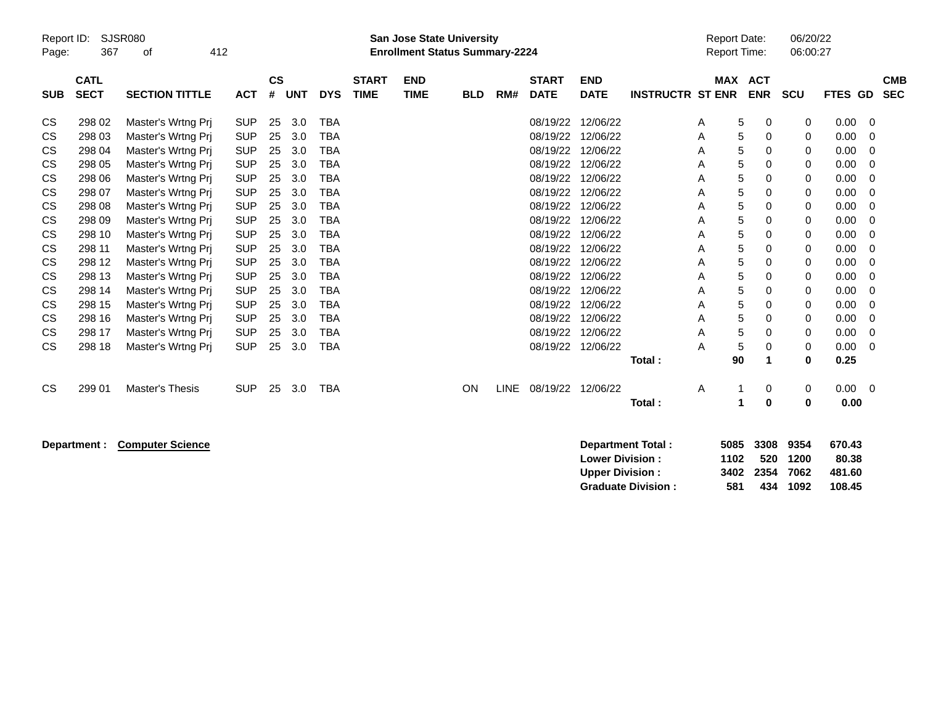| Report ID:<br>Page: | 367                        | SJSR080<br>412<br>οf  |            |                |            |            |                             | <b>San Jose State University</b><br><b>Enrollment Status Summary-2224</b> |            |             |                             |                           |                         | <b>Report Date:</b><br><b>Report Time:</b> |                              | 06/20/22<br>06:00:27 |         |                          |
|---------------------|----------------------------|-----------------------|------------|----------------|------------|------------|-----------------------------|---------------------------------------------------------------------------|------------|-------------|-----------------------------|---------------------------|-------------------------|--------------------------------------------|------------------------------|----------------------|---------|--------------------------|
| <b>SUB</b>          | <b>CATL</b><br><b>SECT</b> | <b>SECTION TITTLE</b> | <b>ACT</b> | <b>CS</b><br># | <b>UNT</b> | <b>DYS</b> | <b>START</b><br><b>TIME</b> | <b>END</b><br><b>TIME</b>                                                 | <b>BLD</b> | RM#         | <b>START</b><br><b>DATE</b> | <b>END</b><br><b>DATE</b> | <b>INSTRUCTR ST ENR</b> |                                            | <b>MAX ACT</b><br><b>ENR</b> | <b>SCU</b>           | FTES GD | <b>CMB</b><br><b>SEC</b> |
| <b>CS</b>           | 298 02                     | Master's Wrtng Prj    | <b>SUP</b> | 25             | 3.0        | <b>TBA</b> |                             |                                                                           |            |             | 08/19/22                    | 12/06/22                  |                         | A                                          | 5<br>0                       | 0                    | 0.00    | -0                       |
| CS                  | 298 03                     | Master's Wrtng Prj    | <b>SUP</b> | 25             | 3.0        | <b>TBA</b> |                             |                                                                           |            |             | 08/19/22                    | 12/06/22                  |                         | A                                          | 5<br>0                       | 0                    | 0.00    | 0                        |
| CS                  | 298 04                     | Master's Wrtng Prj    | <b>SUP</b> | 25             | 3.0        | TBA        |                             |                                                                           |            |             | 08/19/22                    | 12/06/22                  |                         | Α                                          | 5<br>0                       | 0                    | 0.00    | 0                        |
| CS                  | 298 05                     | Master's Wrtng Pri    | <b>SUP</b> | 25             | 3.0        | <b>TBA</b> |                             |                                                                           |            |             | 08/19/22                    | 12/06/22                  |                         | Α                                          | 5<br>0                       | 0                    | 0.00    | $\Omega$                 |
| CS                  | 298 06                     | Master's Wrtng Prj    | <b>SUP</b> | 25             | 3.0        | <b>TBA</b> |                             |                                                                           |            |             | 08/19/22                    | 12/06/22                  |                         | A                                          | 5<br>0                       | 0                    | 0.00    | $\Omega$                 |
| CS                  | 298 07                     | Master's Wrtng Prj    | <b>SUP</b> | 25             | 3.0        | <b>TBA</b> |                             |                                                                           |            |             | 08/19/22                    | 12/06/22                  |                         | Α                                          | 5<br>0                       | 0                    | 0.00    | 0                        |
| CS                  | 298 08                     | Master's Wrtng Prj    | <b>SUP</b> | 25             | 3.0        | <b>TBA</b> |                             |                                                                           |            |             | 08/19/22                    | 12/06/22                  |                         | A                                          | 5<br>0                       | 0                    | 0.00    | $\Omega$                 |
| CS                  | 298 09                     | Master's Wrtng Prj    | <b>SUP</b> | 25             | 3.0        | <b>TBA</b> |                             |                                                                           |            |             | 08/19/22                    | 12/06/22                  |                         | Α                                          | 5<br>0                       | 0                    | 0.00    | $\Omega$                 |
| CS                  | 298 10                     | Master's Wrtng Pri    | <b>SUP</b> | 25             | 3.0        | <b>TBA</b> |                             |                                                                           |            |             | 08/19/22                    | 12/06/22                  |                         | Α                                          | 5<br>0                       | 0                    | 0.00    | 0                        |
| СS                  | 298 11                     | Master's Wrtng Prj    | <b>SUP</b> | 25             | 3.0        | <b>TBA</b> |                             |                                                                           |            |             | 08/19/22                    | 12/06/22                  |                         | A                                          | 5<br>0                       | 0                    | 0.00    | 0                        |
| СS                  | 298 12                     | Master's Wrtng Prj    | <b>SUP</b> | 25             | 3.0        | <b>TBA</b> |                             |                                                                           |            |             | 08/19/22                    | 12/06/22                  |                         | A                                          | 5<br>0                       | 0                    | 0.00    | 0                        |
| CS                  | 298 13                     | Master's Wrtng Prj    | <b>SUP</b> | 25             | 3.0        | <b>TBA</b> |                             |                                                                           |            |             | 08/19/22                    | 12/06/22                  |                         | Α                                          | 5<br>0                       | 0                    | 0.00    | $\Omega$                 |
| CS                  | 298 14                     | Master's Wrtng Prj    | <b>SUP</b> | 25             | 3.0        | TBA        |                             |                                                                           |            |             | 08/19/22                    | 12/06/22                  |                         | Α                                          | 5<br>0                       | 0                    | 0.00    | $\Omega$                 |
| СS                  | 298 15                     | Master's Wrtng Pri    | <b>SUP</b> | 25             | 3.0        | <b>TBA</b> |                             |                                                                           |            |             | 08/19/22                    | 12/06/22                  |                         | A                                          | 5<br>0                       | 0                    | 0.00    | 0                        |
| CS                  | 298 16                     | Master's Wrtng Pri    | <b>SUP</b> | 25             | 3.0        | <b>TBA</b> |                             |                                                                           |            |             | 08/19/22                    | 12/06/22                  |                         | A                                          | 5<br>0                       | 0                    | 0.00    | 0                        |
| CS                  | 298 17                     | Master's Wrtng Prj    | <b>SUP</b> | 25             | 3.0        | <b>TBA</b> |                             |                                                                           |            |             | 08/19/22                    | 12/06/22                  |                         | Α                                          | 5<br>0                       | 0                    | 0.00    | 0                        |
| <b>CS</b>           | 298 18                     | Master's Wrtng Prj    | <b>SUP</b> | 25             | 3.0        | <b>TBA</b> |                             |                                                                           |            |             | 08/19/22                    | 12/06/22                  |                         | A                                          | 5<br>0                       | 0                    | 0.00    | 0                        |
|                     |                            |                       |            |                |            |            |                             |                                                                           |            |             |                             |                           | Total:                  |                                            | 90                           | 0                    | 0.25    |                          |
| <b>CS</b>           | 299 01                     | Master's Thesis       | <b>SUP</b> | 25             | 3.0        | <b>TBA</b> |                             |                                                                           | ON         | <b>LINE</b> | 08/19/22 12/06/22           |                           |                         | A                                          | 0                            | 0                    | 0.00    | - 0                      |
|                     |                            |                       |            |                |            |            |                             |                                                                           |            |             |                             |                           | Total:                  |                                            | 0<br>1                       | 0                    | 0.00    |                          |

**Department : Computer Science 3308 510.4336 520.4336 9354 670.4336 670.4336 9364 670.43** 

| <b>Department Total:</b>  |      | 5085 3308 9354 |          | 670.43 |
|---------------------------|------|----------------|----------|--------|
| <b>Lower Division :</b>   | 1102 |                | 520 1200 | 80.38  |
| <b>Upper Division :</b>   |      | 3402 2354 7062 |          | 481.60 |
| <b>Graduate Division:</b> | 581  |                | 434 1092 | 108.45 |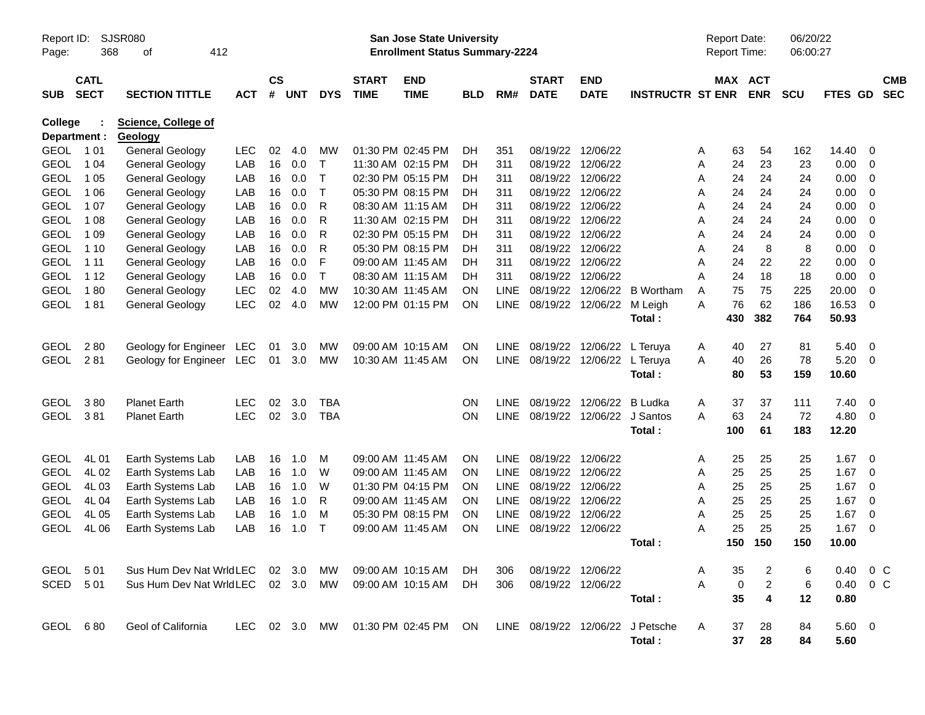| Report ID:   |                                 | <b>SJSR080</b>                    |               |           |            |              |                   | <b>San Jose State University</b><br><b>Enrollment Status Summary-2224</b> |     |             |              |                      |                                  |        | <b>Report Date:</b><br>Report Time: |                         | 06/20/22<br>06:00:27 |                        |                          |            |
|--------------|---------------------------------|-----------------------------------|---------------|-----------|------------|--------------|-------------------|---------------------------------------------------------------------------|-----|-------------|--------------|----------------------|----------------------------------|--------|-------------------------------------|-------------------------|----------------------|------------------------|--------------------------|------------|
| Page:        | 368<br>412<br>οf<br><b>CATL</b> |                                   |               |           |            |              |                   |                                                                           |     |             |              |                      |                                  |        |                                     |                         |                      |                        |                          |            |
|              |                                 |                                   |               | <b>CS</b> |            |              | <b>START</b>      | <b>END</b>                                                                |     |             | <b>START</b> | <b>END</b>           |                                  |        | <b>MAX ACT</b>                      |                         |                      |                        |                          | <b>CMB</b> |
| <b>SUB</b>   | <b>SECT</b>                     | <b>SECTION TITTLE</b>             | <b>ACT</b>    | #         | <b>UNT</b> | <b>DYS</b>   | <b>TIME</b>       | <b>TIME</b>                                                               | BLD | RM#         | <b>DATE</b>  | <b>DATE</b>          | <b>INSTRUCTR ST ENR</b>          |        |                                     | <b>ENR</b>              | <b>SCU</b>           | <b>FTES GD</b>         |                          | <b>SEC</b> |
| College      |                                 | <b>Science, College of</b>        |               |           |            |              |                   |                                                                           |     |             |              |                      |                                  |        |                                     |                         |                      |                        |                          |            |
| Department : |                                 | Geology                           |               |           |            |              |                   |                                                                           |     |             |              |                      |                                  |        |                                     |                         |                      |                        |                          |            |
| <b>GEOL</b>  | 1 0 1                           | General Geology                   | <b>LEC</b>    | 02        | 4.0        | <b>MW</b>    |                   | 01:30 PM 02:45 PM                                                         | DH  | 351         | 08/19/22     | 12/06/22             |                                  | A      | 63                                  | 54                      | 162                  | 14.40                  | 0                        |            |
| <b>GEOL</b>  | 1 0 4                           | <b>General Geology</b>            | LAB           | 16        | 0.0        | $\top$       |                   | 11:30 AM 02:15 PM                                                         | DH  | 311         | 08/19/22     | 12/06/22             |                                  | Α      | 24                                  | 23                      | 23                   | 0.00                   | - 0                      |            |
| <b>GEOL</b>  | 1 0 5                           | <b>General Geology</b>            | LAB           | 16        | 0.0        | $\top$       |                   | 02:30 PM 05:15 PM                                                         | DH  | 311         | 08/19/22     | 12/06/22             |                                  | A      | 24                                  | 24                      | 24                   | 0.00                   | 0                        |            |
| <b>GEOL</b>  | 1 0 6                           | <b>General Geology</b>            | LAB           | 16        | 0.0        | $\mathsf{T}$ |                   | 05:30 PM 08:15 PM                                                         | DH  | 311         | 08/19/22     | 12/06/22             |                                  | A      | 24                                  | 24                      | 24                   | 0.00                   | 0                        |            |
| <b>GEOL</b>  | 1 0 7                           | <b>General Geology</b>            | LAB           | 16        | 0.0        | R            |                   | 08:30 AM 11:15 AM                                                         | DH  | 311         | 08/19/22     | 12/06/22             |                                  | A      | 24                                  | 24                      | 24                   | 0.00                   | $\mathbf 0$              |            |
| <b>GEOL</b>  | 1 0 8                           | <b>General Geology</b>            | LAB           | 16        | 0.0        | R            |                   | 11:30 AM 02:15 PM                                                         | DH  | 311         | 08/19/22     | 12/06/22             |                                  | A      | 24                                  | 24                      | 24                   | 0.00                   | $\overline{0}$           |            |
| <b>GEOL</b>  | 1 0 9                           | <b>General Geology</b>            | LAB           | 16        | 0.0        | R            |                   | 02:30 PM 05:15 PM                                                         | DH  | 311         | 08/19/22     | 12/06/22             |                                  | A      | 24                                  | 24                      | 24                   | 0.00                   | 0                        |            |
| <b>GEOL</b>  | 1 1 0                           | <b>General Geology</b>            | LAB           | 16        | 0.0        | R            |                   | 05:30 PM 08:15 PM                                                         | DH  | 311         | 08/19/22     | 12/06/22             |                                  | A      | 24                                  | 8                       | 8                    | 0.00                   | $\mathbf 0$              |            |
| <b>GEOL</b>  | 1 1 1                           | <b>General Geology</b>            | LAB           | 16        | 0.0        | F            |                   | 09:00 AM 11:45 AM                                                         | DH  | 311         | 08/19/22     | 12/06/22<br>12/06/22 |                                  | A      | 24                                  | 22                      | 22                   | 0.00                   | $\overline{0}$           |            |
| <b>GEOL</b>  | 1 1 2                           | <b>General Geology</b>            | LAB           | 16        | 0.0        | $\mathsf{T}$ |                   | 08:30 AM 11:15 AM                                                         | DH  | 311         | 08/19/22     |                      |                                  | A      | 24                                  | 18                      | 18                   | 0.00                   | $\overline{0}$           |            |
| <b>GEOL</b>  | 180                             | <b>General Geology</b>            | <b>LEC</b>    | 02<br>02  | 4.0        | <b>MW</b>    | 10:30 AM 11:45 AM | 12:00 PM 01:15 PM                                                         | ON  | <b>LINE</b> | 08/19/22     | 12/06/22             | <b>B</b> Wortham                 | A<br>A | 75<br>76                            | 75<br>62                | 225<br>186           | 20.00                  | 0                        |            |
| <b>GEOL</b>  | 181                             | <b>General Geology</b>            | <b>LEC</b>    |           | 4.0        | <b>MW</b>    |                   |                                                                           | ON  | <b>LINE</b> | 08/19/22     | 12/06/22             | M Leigh                          |        | 430                                 | 382                     | 764                  | 16.53<br>50.93         | - 0                      |            |
|              |                                 |                                   |               |           |            |              |                   |                                                                           |     |             |              |                      | Total:                           |        |                                     |                         |                      |                        |                          |            |
| <b>GEOL</b>  | 280                             | Geology for Engineer LEC          |               | 01        | 3.0        | MW           |                   | 09:00 AM 10:15 AM                                                         | ΟN  | <b>LINE</b> |              | 08/19/22 12/06/22    | L Teruya                         | A      | 40                                  | 27                      | 81                   | 5.40                   | $\overline{\phantom{0}}$ |            |
| <b>GEOL</b>  | 281                             | Geology for Engineer LEC          |               | 01        | 3.0        | <b>MW</b>    |                   | 10:30 AM 11:45 AM                                                         | ON  | LINE        | 08/19/22     | 12/06/22             | L Teruya                         | A      | 40                                  | 26                      | 78                   | 5.20                   | - 0                      |            |
|              |                                 |                                   |               |           |            |              |                   |                                                                           |     |             |              |                      | Total:                           |        | 80                                  | 53                      | 159                  | 10.60                  |                          |            |
|              |                                 |                                   |               |           |            |              |                   |                                                                           |     |             |              |                      |                                  |        |                                     |                         |                      |                        |                          |            |
| <b>GEOL</b>  | 380                             | <b>Planet Earth</b>               | <b>LEC</b>    | 02        | 3.0        | <b>TBA</b>   |                   |                                                                           | ΟN  | <b>LINE</b> | 08/19/22     | 12/06/22             | <b>B</b> Ludka                   | Α      | 37                                  | 37                      | 111                  | 7.40                   | $\overline{\mathbf{0}}$  |            |
| <b>GEOL</b>  | 381                             | <b>Planet Earth</b>               | <b>LEC</b>    | 02        | 3.0        | <b>TBA</b>   |                   |                                                                           | ON  | <b>LINE</b> | 08/19/22     | 12/06/22             | J Santos                         | A      | 63                                  | 24                      | 72                   | 4.80                   | - 0                      |            |
|              |                                 |                                   |               |           |            |              |                   |                                                                           |     |             |              |                      | Total:                           |        | 100                                 | 61                      | 183                  | 12.20                  |                          |            |
|              |                                 |                                   |               |           |            |              |                   |                                                                           |     |             |              |                      |                                  |        |                                     |                         |                      |                        |                          |            |
| <b>GEOL</b>  | 4L 01                           | Earth Systems Lab                 | LAB           | 16        | 1.0        | M            |                   | 09:00 AM 11:45 AM                                                         | ΟN  | <b>LINE</b> | 08/19/22     | 12/06/22             |                                  | A      | 25                                  | 25                      | 25                   | 1.67                   | 0                        |            |
| <b>GEOL</b>  | 4L02                            | Earth Systems Lab                 | LAB           | 16        | 1.0        | W            | 09:00 AM 11:45 AM |                                                                           | ΟN  | <b>LINE</b> | 08/19/22     | 12/06/22             |                                  | A      | 25                                  | 25                      | 25                   | 1.67                   | 0                        |            |
| <b>GEOL</b>  | 4L03                            | Earth Systems Lab                 | LAB           | 16        | 1.0        | W            |                   | 01:30 PM 04:15 PM                                                         | ΟN  | LINE        | 08/19/22     | 12/06/22             |                                  | A      | 25                                  | 25                      | 25                   | 1.67                   | 0                        |            |
| <b>GEOL</b>  | 4L04                            | Earth Systems Lab                 | LAB           | 16        | 1.0        | R            |                   | 09:00 AM 11:45 AM                                                         | ON  | <b>LINE</b> | 08/19/22     | 12/06/22             |                                  | A      | 25                                  | 25                      | 25                   | 1.67                   | 0                        |            |
| <b>GEOL</b>  | 4L05                            | Earth Systems Lab                 | LAB           | 16        | 1.0        | м            |                   | 05:30 PM 08:15 PM                                                         | ΟN  | <b>LINE</b> | 08/19/22     | 12/06/22             |                                  | A      | 25                                  | 25                      | 25                   | 1.67                   | 0                        |            |
| <b>GEOL</b>  | 4L06                            | Earth Systems Lab                 | LAB           | 16        | 1.0        | $\top$       | 09:00 AM 11:45 AM |                                                                           | ON  | <b>LINE</b> | 08/19/22     | 12/06/22             |                                  | A      | 25                                  | 25                      | 25                   | 1.67                   | $\overline{0}$           |            |
|              |                                 |                                   |               |           |            |              |                   |                                                                           |     |             |              |                      | Total:                           |        | 150                                 | 150                     | 150                  | 10.00                  |                          |            |
| GEOL 501     |                                 | Sus Hum Dev Nat WridLEC 02 3.0    |               |           |            | MW.          |                   | 09:00 AM 10:15 AM                                                         | DH. | 306         |              | 08/19/22 12/06/22    |                                  | Α      | 35                                  | 2                       | 6                    | $0.40 \quad 0 \quad C$ |                          |            |
| SCED 501     |                                 | Sus Hum Dev Nat WrldLEC 02 3.0 MW |               |           |            |              |                   | 09:00 AM 10:15 AM                                                         | DH. | 306         |              | 08/19/22 12/06/22    |                                  | A      | 0                                   | $\overline{\mathbf{c}}$ | 6                    |                        | 0.40 0 C                 |            |
|              |                                 |                                   |               |           |            |              |                   |                                                                           |     |             |              |                      | Total:                           |        | 35                                  | 4                       | 12                   | 0.80                   |                          |            |
|              |                                 |                                   |               |           |            |              |                   |                                                                           |     |             |              |                      |                                  |        |                                     |                         |                      |                        |                          |            |
| GEOL 680     |                                 | Geol of California                | LEC 02 3.0 MW |           |            |              |                   | 01:30 PM 02:45 PM ON                                                      |     |             |              |                      | LINE 08/19/22 12/06/22 J Petsche | A      | 37                                  | 28                      | 84                   | 5.60 0                 |                          |            |
|              |                                 |                                   |               |           |            |              |                   |                                                                           |     |             |              |                      | Total:                           |        | 37                                  | 28                      | 84                   | 5.60                   |                          |            |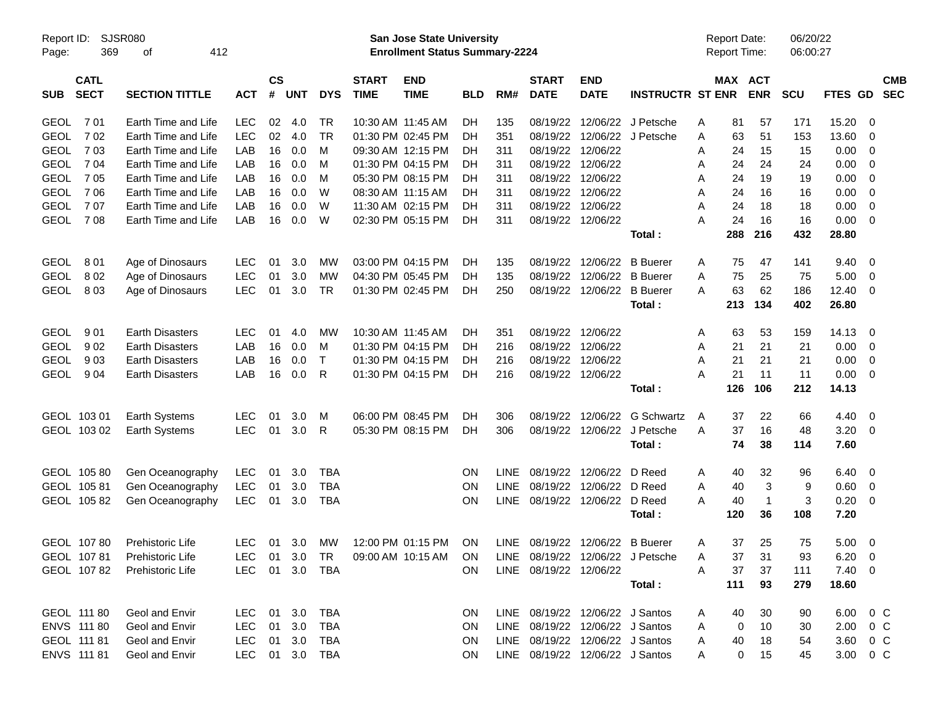| Report ID:<br>369<br>Page:               | <b>SJSR080</b><br>412<br>οf |            |                             |            |              |                             | <b>San Jose State University</b><br><b>Enrollment Status Summary-2224</b> |            |             |                             |                                 |                                  | <b>Report Date:</b><br>Report Time: |     |                | 06/20/22<br>06:00:27 |                  |                          |                          |
|------------------------------------------|-----------------------------|------------|-----------------------------|------------|--------------|-----------------------------|---------------------------------------------------------------------------|------------|-------------|-----------------------------|---------------------------------|----------------------------------|-------------------------------------|-----|----------------|----------------------|------------------|--------------------------|--------------------------|
| <b>CATL</b><br><b>SECT</b><br><b>SUB</b> | <b>SECTION TITTLE</b>       | <b>ACT</b> | $\mathsf{cs}$<br>$\pmb{\#}$ | <b>UNT</b> | <b>DYS</b>   | <b>START</b><br><b>TIME</b> | <b>END</b><br><b>TIME</b>                                                 | <b>BLD</b> | RM#         | <b>START</b><br><b>DATE</b> | <b>END</b><br><b>DATE</b>       | <b>INSTRUCTR ST ENR</b>          | MAX ACT                             |     | <b>ENR</b>     | <b>SCU</b>           | FTES GD          |                          | <b>CMB</b><br><b>SEC</b> |
| 701<br><b>GEOL</b>                       | Earth Time and Life         | <b>LEC</b> | 02                          | 4.0        | <b>TR</b>    |                             | 10:30 AM 11:45 AM                                                         | DH         | 135         | 08/19/22                    |                                 | 12/06/22 J Petsche               | Α                                   | 81  | 57             | 171                  | 15.20            | 0                        |                          |
| <b>GEOL</b><br>702                       | Earth Time and Life         | <b>LEC</b> | 02                          | 4.0        | <b>TR</b>    |                             | 01:30 PM 02:45 PM                                                         | DH         | 351         | 08/19/22                    |                                 | 12/06/22 J Petsche               | Α                                   | 63  | 51             | 153                  | 13.60            | - 0                      |                          |
| <b>GEOL</b><br>703                       | Earth Time and Life         | LAB        | 16                          | 0.0        | м            |                             | 09:30 AM 12:15 PM                                                         | DH         | 311         | 08/19/22                    | 12/06/22                        |                                  | Α                                   | 24  | 15             | 15                   | 0.00             | 0                        |                          |
| <b>GEOL</b><br>7 04                      | Earth Time and Life         | LAB        | 16                          | 0.0        | M            |                             | 01:30 PM 04:15 PM                                                         | DН         | 311         | 08/19/22                    | 12/06/22                        |                                  | Α                                   | 24  | 24             | 24                   | 0.00             | 0                        |                          |
| <b>GEOL</b><br>705                       | Earth Time and Life         | LAB        | 16                          | 0.0        | M            |                             | 05:30 PM 08:15 PM                                                         | DН         | 311         | 08/19/22                    | 12/06/22                        |                                  | Α                                   | 24  | 19             | 19                   | 0.00             | 0                        |                          |
| <b>GEOL</b><br>706                       | Earth Time and Life         | LAB        | 16                          | 0.0        | W            |                             | 08:30 AM 11:15 AM                                                         | DH         | 311         |                             | 08/19/22 12/06/22               |                                  | Α                                   | 24  | 16             | 16                   | 0.00             | 0                        |                          |
| 707<br><b>GEOL</b>                       | Earth Time and Life         | LAB        | 16                          | 0.0        | W            |                             | 11:30 AM 02:15 PM                                                         | DH         | 311         | 08/19/22                    | 12/06/22                        |                                  | Α                                   | 24  | 18             | 18                   | 0.00             | 0                        |                          |
| 708<br><b>GEOL</b>                       | Earth Time and Life         | LAB        | 16                          | 0.0        | W            |                             | 02:30 PM 05:15 PM                                                         | DH         | 311         |                             | 08/19/22 12/06/22               |                                  | А                                   | 24  | 16             | 16                   | 0.00             | $\overline{\mathbf{0}}$  |                          |
|                                          |                             |            |                             |            |              |                             |                                                                           |            |             |                             |                                 | Total:                           |                                     | 288 | 216            | 432                  | 28.80            |                          |                          |
| <b>GEOL</b><br>801                       | Age of Dinosaurs            | <b>LEC</b> | 01                          | 3.0        | МW           |                             | 03:00 PM 04:15 PM                                                         | DH         | 135         | 08/19/22                    | 12/06/22                        | <b>B</b> Buerer                  | A                                   | 75  | 47             | 141                  | 9.40             | $\overline{\mathbf{0}}$  |                          |
| <b>GEOL</b><br>802                       | Age of Dinosaurs            | <b>LEC</b> | 01                          | 3.0        | МW           |                             | 04:30 PM 05:45 PM                                                         | DН         | 135         | 08/19/22                    | 12/06/22                        | <b>B</b> Buerer                  | Α                                   | 75  | 25             | 75                   | 5.00             | - 0                      |                          |
| <b>GEOL</b><br>803                       | Age of Dinosaurs            | <b>LEC</b> | 01                          | 3.0        | <b>TR</b>    |                             | 01:30 PM 02:45 PM                                                         | DH         | 250         |                             | 08/19/22 12/06/22               | <b>B</b> Buerer                  | А                                   | 63  | 62             | 186                  | 12.40            | $\overline{0}$           |                          |
|                                          |                             |            |                             |            |              |                             |                                                                           |            |             |                             |                                 | Total:                           |                                     | 213 | 134            | 402                  | 26.80            |                          |                          |
| <b>GEOL</b><br>901                       | <b>Earth Disasters</b>      | LEC        | 01                          | 4.0        | МW           |                             | 10:30 AM 11:45 AM                                                         | DH         | 351         |                             | 08/19/22 12/06/22               |                                  | A                                   | 63  | 53             | 159                  | 14.13            | $\overline{\mathbf{0}}$  |                          |
| <b>GEOL</b><br>902                       | <b>Earth Disasters</b>      | LAB        | 16                          | 0.0        | м            |                             | 01:30 PM 04:15 PM                                                         | <b>DH</b>  | 216         | 08/19/22                    | 12/06/22                        |                                  | Α                                   | 21  | 21             | 21                   | 0.00             | $\overline{\mathbf{0}}$  |                          |
| <b>GEOL</b><br>903                       | <b>Earth Disasters</b>      | LAB        | 16                          | 0.0        | $\mathsf{T}$ |                             | 01:30 PM 04:15 PM                                                         | DН         | 216         | 08/19/22                    | 12/06/22                        |                                  | Α                                   | 21  | 21             | 21                   | 0.00             | $\overline{\mathbf{0}}$  |                          |
| <b>GEOL</b><br>904                       | <b>Earth Disasters</b>      | LAB        | 16                          | 0.0        | R            |                             | 01:30 PM 04:15 PM                                                         | DH         | 216         |                             | 08/19/22 12/06/22               |                                  | А                                   | 21  | 11             | 11                   | 0.00             | $\overline{\mathbf{0}}$  |                          |
|                                          |                             |            |                             |            |              |                             |                                                                           |            |             |                             |                                 | Total:                           |                                     | 126 | 106            | 212                  | 14.13            |                          |                          |
| GEOL 103 01                              | <b>Earth Systems</b>        | <b>LEC</b> | 01                          | 3.0        | M            |                             | 06:00 PM 08:45 PM                                                         | DH         | 306         | 08/19/22                    | 12/06/22                        | <b>G Schwartz</b>                | A                                   | 37  | 22             | 66                   | 4.40             | $\overline{\mathbf{0}}$  |                          |
| GEOL 103 02                              | <b>Earth Systems</b>        | <b>LEC</b> | 01                          | 3.0        | R            |                             | 05:30 PM 08:15 PM                                                         | DH         | 306         | 08/19/22                    | 12/06/22                        | J Petsche                        | Α                                   | 37  | 16             | 48                   | 3.20             | $\overline{\mathbf{0}}$  |                          |
|                                          |                             |            |                             |            |              |                             |                                                                           |            |             |                             |                                 | Total:                           |                                     | 74  | 38             | 114                  | 7.60             |                          |                          |
| GEOL 105 80                              | Gen Oceanography            | LEC        | 01                          | 3.0        | TBA          |                             |                                                                           | ΟN         | LINE.       |                             | 08/19/22 12/06/22 D Reed        |                                  | A                                   | 40  | 32             | 96                   | 6.40             | $\overline{\phantom{0}}$ |                          |
| GEOL 105 81                              | Gen Oceanography            | <b>LEC</b> | 01                          | 3.0        | <b>TBA</b>   |                             |                                                                           | ΟN         | <b>LINE</b> | 08/19/22                    | 12/06/22 D Reed                 |                                  | Α                                   | 40  | 3              | 9                    | 0.60             | $\overline{\mathbf{0}}$  |                          |
| GEOL 105 82                              | Gen Oceanography            | <b>LEC</b> | 01                          | 3.0        | <b>TBA</b>   |                             |                                                                           | ΟN         | <b>LINE</b> |                             | 08/19/22 12/06/22 D Reed        |                                  | А                                   | 40  | $\overline{1}$ | 3                    | 0.20             | $\overline{\mathbf{0}}$  |                          |
|                                          |                             |            |                             |            |              |                             |                                                                           |            |             |                             |                                 | Total:                           |                                     | 120 | 36             | 108                  | 7.20             |                          |                          |
| GEOL 10780                               | <b>Prehistoric Life</b>     | LEC        | 01                          | 3.0        | МW           |                             | 12:00 PM 01:15 PM                                                         | <b>ON</b>  | LINE        |                             | 08/19/22 12/06/22 B Buerer      |                                  | Α                                   | 37  | 25             | 75                   | $5.00 \quad 0$   |                          |                          |
| GEOL 10781                               | Prehistoric Life            | LEC.       |                             | 01 3.0 TR  |              |                             | 09:00 AM 10:15 AM                                                         | ON         |             |                             |                                 | LINE 08/19/22 12/06/22 J Petsche | A                                   | 37  | 31             | 93                   | $6.20 \quad 0$   |                          |                          |
| GEOL 10782                               | Prehistoric Life            | LEC.       |                             |            | 01 3.0 TBA   |                             |                                                                           | <b>ON</b>  |             | LINE 08/19/22 12/06/22      |                                 |                                  | Α                                   | 37  | 37             | 111                  | $7.40 \ 0$       |                          |                          |
|                                          |                             |            |                             |            |              |                             |                                                                           |            |             |                             |                                 | Total:                           |                                     | 111 | 93             | 279                  | 18.60            |                          |                          |
| GEOL 111 80                              | Geol and Envir              | LEC.       |                             | 01 3.0     | TBA          |                             |                                                                           | <b>ON</b>  |             |                             | LINE 08/19/22 12/06/22 J Santos |                                  | A                                   | 40  | 30             | 90                   | 6.00 0 C         |                          |                          |
| ENVS 111 80                              | Geol and Envir              | <b>LEC</b> | 01                          | 3.0        | TBA          |                             |                                                                           | <b>ON</b>  |             |                             | LINE 08/19/22 12/06/22 J Santos |                                  | Α                                   | 0   | 10             | 30                   | $2.00 \t 0 \t C$ |                          |                          |
| GEOL 111 81                              | Geol and Envir              | <b>LEC</b> | 01                          | 3.0        | TBA          |                             |                                                                           | <b>ON</b>  |             |                             | LINE 08/19/22 12/06/22 J Santos |                                  | Α                                   | 40  | 18             | 54                   | 3.60 0 C         |                          |                          |
| ENVS 111 81                              | Geol and Envir              | <b>LEC</b> |                             |            | 01 3.0 TBA   |                             |                                                                           | <b>ON</b>  |             |                             | LINE 08/19/22 12/06/22 J Santos |                                  | A                                   | 0   | 15             | 45                   | 3.00             | $0\,C$                   |                          |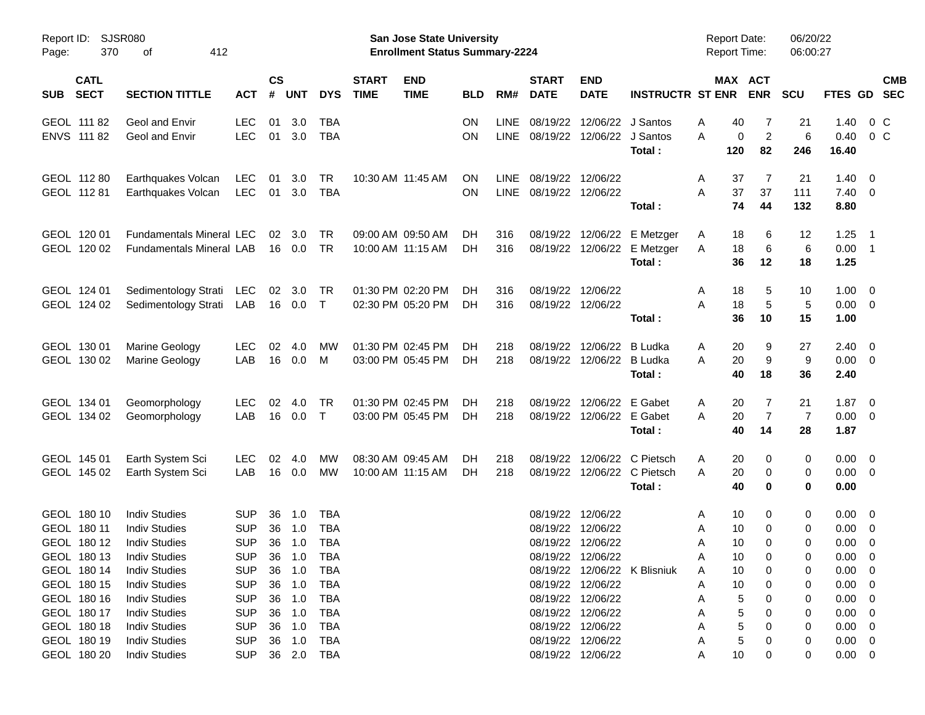| Report ID:<br>Page:                                      | <b>SJSR080</b><br>370<br>412<br>οf                                                           |                                                      |                    |                                      |                                               |                             | San Jose State University<br><b>Enrollment Status Summary-2224</b> |                 |                            |                             |                                                                                  |                                                    | <b>Report Date:</b><br><b>Report Time:</b> |                           | 06/20/22<br>06:00:27    |                                                                |                                                      |
|----------------------------------------------------------|----------------------------------------------------------------------------------------------|------------------------------------------------------|--------------------|--------------------------------------|-----------------------------------------------|-----------------------------|--------------------------------------------------------------------|-----------------|----------------------------|-----------------------------|----------------------------------------------------------------------------------|----------------------------------------------------|--------------------------------------------|---------------------------|-------------------------|----------------------------------------------------------------|------------------------------------------------------|
| <b>CATL</b><br><b>SECT</b><br><b>SUB</b>                 | <b>SECTION TITTLE</b>                                                                        | <b>ACT</b>                                           | $\mathsf{cs}$<br># | <b>UNT</b>                           | <b>DYS</b>                                    | <b>START</b><br><b>TIME</b> | <b>END</b><br><b>TIME</b>                                          | <b>BLD</b>      | RM#                        | <b>START</b><br><b>DATE</b> | <b>END</b><br><b>DATE</b>                                                        | <b>INSTRUCTR ST ENR</b>                            |                                            | MAX ACT<br><b>ENR</b>     | <b>SCU</b>              | FTES GD                                                        | <b>CMB</b><br><b>SEC</b>                             |
| GEOL 111 82<br>ENVS 111 82                               | Geol and Envir<br>Geol and Envir                                                             | <b>LEC</b><br><b>LEC</b>                             | 01                 | 3.0<br>01 3.0                        | <b>TBA</b><br><b>TBA</b>                      |                             |                                                                    | ΟN<br>OΝ        | LINE<br><b>LINE</b>        | 08/19/22<br>08/19/22        | 12/06/22                                                                         | J Santos<br>12/06/22 J Santos<br>Total:            | A<br>40<br>A<br>0<br>120                   | 7<br>$\overline{2}$<br>82 | 21<br>6<br>246          | 1.40<br>0.40<br>16.40                                          | $0\,$ C<br>$0\,C$                                    |
| GEOL 112 80<br>GEOL 112 81                               | Earthquakes Volcan<br>Earthquakes Volcan                                                     | LEC<br>LEC                                           | 01<br>01           | 3.0<br>3.0                           | <b>TR</b><br><b>TBA</b>                       |                             | 10:30 AM 11:45 AM                                                  | ΟN<br><b>ON</b> | <b>LINE</b><br><b>LINE</b> |                             | 08/19/22 12/06/22<br>08/19/22 12/06/22                                           | Total:                                             | Α<br>37<br>37<br>A<br>74                   | 7<br>37<br>44             | 21<br>111<br>132        | 1.40<br>7.40<br>8.80                                           | - 0<br>$\overline{\mathbf{0}}$                       |
| GEOL 120 01<br>GEOL 120 02                               | <b>Fundamentals Mineral LEC</b><br><b>Fundamentals Mineral LAB</b>                           |                                                      | 02                 | 3.0<br>16  0.0                       | <b>TR</b><br><b>TR</b>                        |                             | 09:00 AM 09:50 AM<br>10:00 AM 11:15 AM                             | DH.<br>DH.      | 316<br>316                 | 08/19/22                    | 12/06/22                                                                         | 08/19/22 12/06/22 E Metzger<br>E Metzger<br>Total: | A<br>18<br>18<br>A<br>36                   | 6<br>6<br>12              | 12<br>6<br>18           | 1.25<br>0.00<br>1.25                                           | - 1<br>$\overline{\phantom{1}}$                      |
| GEOL 124 01<br>GEOL 124 02                               | Sedimentology Strati<br>Sedimentology Strati                                                 | LEC<br>LAB                                           | 02                 | 3.0<br>16  0.0                       | TR<br>$\top$                                  |                             | 01:30 PM 02:20 PM<br>02:30 PM 05:20 PM                             | DH.<br>DH.      | 316<br>316                 |                             | 08/19/22 12/06/22<br>08/19/22 12/06/22                                           | Total:                                             | 18<br>Α<br>18<br>A<br>36                   | 5<br>5<br>10              | 10<br>5<br>15           | 1.00<br>0.00<br>1.00                                           | $\overline{\mathbf{0}}$<br>$\overline{\mathbf{0}}$   |
| GEOL 130 01<br>GEOL 130 02                               | Marine Geology<br>Marine Geology                                                             | <b>LEC</b><br>LAB                                    | 02<br>16           | 4.0<br>0.0                           | МW<br>M                                       |                             | 01:30 PM 02:45 PM<br>03:00 PM 05:45 PM                             | DH.<br>DH.      | 218<br>218                 | 08/19/22                    | 12/06/22<br>08/19/22 12/06/22                                                    | B Ludka<br><b>B</b> Ludka<br>Total:                | 20<br>Α<br>20<br>A<br>40                   | 9<br>9<br>18              | 27<br>9<br>36           | 2.40<br>0.00<br>2.40                                           | $\overline{\mathbf{0}}$<br>$\overline{\mathbf{0}}$   |
| GEOL 134 01<br>GEOL 134 02                               | Geomorphology<br>Geomorphology                                                               | <b>LEC</b><br>LAB                                    | 02<br>16           | 4.0<br>0.0                           | <b>TR</b><br>$\top$                           |                             | 01:30 PM 02:45 PM<br>03:00 PM 05:45 PM                             | DH.<br>DH.      | 218<br>218                 | 08/19/22                    | 12/06/22<br>08/19/22 12/06/22 E Gabet                                            | E Gabet<br>Total:                                  | 20<br>Α<br>20<br>A<br>40                   | 7<br>$\overline{7}$<br>14 | 21<br>7<br>28           | 1.87<br>0.00<br>1.87                                           | $\overline{\phantom{0}}$<br>$\overline{\mathbf{0}}$  |
| GEOL 145 01<br>GEOL 145 02                               | Earth System Sci<br>Earth System Sci                                                         | <b>LEC</b><br>LAB                                    | 02<br>16           | 4.0<br>0.0                           | МW<br>МW                                      |                             | 08:30 AM 09:45 AM<br>10:00 AM 11:15 AM                             | DH.<br>DH.      | 218<br>218                 | 08/19/22                    | 12/06/22                                                                         | C Pietsch<br>08/19/22 12/06/22 C Pietsch<br>Total: | 20<br>Α<br>A<br>20<br>40                   | 0<br>0<br>0               | 0<br>0<br>$\mathbf 0$   | 0.00<br>0.00<br>0.00                                           | $\overline{\phantom{0}}$<br>$\overline{\phantom{0}}$ |
| GEOL 180 10<br>GEOL 180 11<br>GEOL 180 12                | <b>Indiv Studies</b><br><b>Indiv Studies</b><br><b>Indiv Studies</b>                         | <b>SUP</b><br><b>SUP</b><br><b>SUP</b>               | 36<br>36<br>36     | 1.0<br>1.0<br>1.0                    | <b>TBA</b><br><b>TBA</b><br><b>TBA</b>        |                             |                                                                    |                 |                            | 08/19/22                    | 08/19/22 12/06/22<br>12/06/22<br>08/19/22 12/06/22                               |                                                    | 10<br>Α<br>10<br>Α<br>10<br>A              | 0<br>0<br>$\Omega$        | 0<br>0<br>$\mathbf 0$   | 0.00<br>0.00<br>0.00                                           | - 0<br>$\overline{0}$<br>0                           |
| GEOL 180 13<br>GEOL 180 14<br>GEOL 180 15<br>GEOL 180 16 | <b>Indiv Studies</b><br><b>Indiv Studies</b><br><b>Indiv Studies</b><br><b>Indiv Studies</b> | <b>SUP</b><br><b>SUP</b><br><b>SUP</b><br><b>SUP</b> |                    | 36 1.0<br>36 1.0<br>36 1.0<br>36 1.0 | <b>TBA</b><br>TBA<br><b>TBA</b><br><b>TBA</b> |                             |                                                                    |                 |                            |                             | 08/19/22 12/06/22<br>08/19/22 12/06/22<br>08/19/22 12/06/22                      | 08/19/22 12/06/22 K Blisniuk                       | 10<br>A<br>10<br>A<br>10<br>A<br>5<br>А    | $\Omega$<br>0             | $\Omega$<br>0<br>0<br>0 | $0.00 \t 0$<br>$0.00 \quad 0$<br>$0.00 \t 0$<br>$0.00 \quad 0$ |                                                      |
| GEOL 180 17<br>GEOL 180 18<br>GEOL 180 19<br>GEOL 180 20 | <b>Indiv Studies</b><br><b>Indiv Studies</b><br><b>Indiv Studies</b><br><b>Indiv Studies</b> | <b>SUP</b><br><b>SUP</b><br><b>SUP</b>               |                    | 36 1.0<br>36 1.0<br>36 1.0           | TBA<br>TBA<br>TBA<br>SUP 36 2.0 TBA           |                             |                                                                    |                 |                            |                             | 08/19/22 12/06/22<br>08/19/22 12/06/22<br>08/19/22 12/06/22<br>08/19/22 12/06/22 |                                                    | 5<br>5<br>А<br>5<br>А<br>10<br>Α           | 0                         | 0<br>0<br>0<br>0        | $0.00 \t 0$<br>$0.00 \t 0$<br>$0.00 \t 0$<br>$0.00 \t 0$       |                                                      |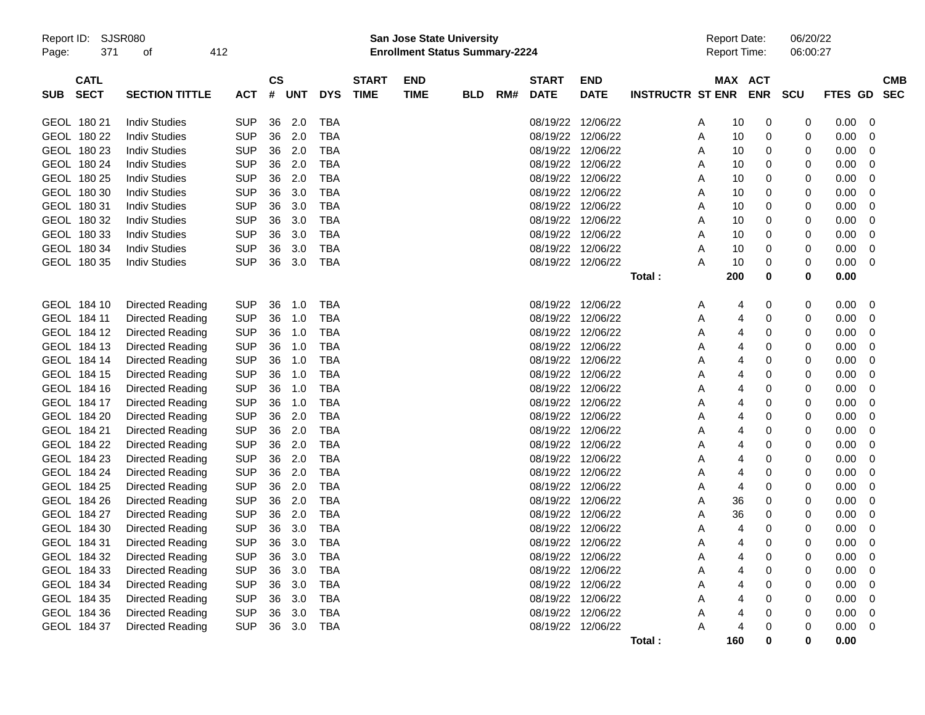| Report ID:<br>Page: | 371                        | SJSR080<br>οf           | 412 |            |                               |            |            |                             | <b>San Jose State University</b><br><b>Enrollment Status Summary-2224</b> |            |     |                             |                           |                         |   | <b>Report Date:</b><br>Report Time: |                       | 06/20/22<br>06:00:27 |                |                          |
|---------------------|----------------------------|-------------------------|-----|------------|-------------------------------|------------|------------|-----------------------------|---------------------------------------------------------------------------|------------|-----|-----------------------------|---------------------------|-------------------------|---|-------------------------------------|-----------------------|----------------------|----------------|--------------------------|
| <b>SUB</b>          | <b>CATL</b><br><b>SECT</b> | <b>SECTION TITTLE</b>   |     | <b>ACT</b> | $\mathsf{CS}\phantom{0}$<br># | <b>UNT</b> | <b>DYS</b> | <b>START</b><br><b>TIME</b> | <b>END</b><br><b>TIME</b>                                                 | <b>BLD</b> | RM# | <b>START</b><br><b>DATE</b> | <b>END</b><br><b>DATE</b> | <b>INSTRUCTR ST ENR</b> |   |                                     | MAX ACT<br><b>ENR</b> | <b>SCU</b>           | <b>FTES GD</b> | <b>CMB</b><br><b>SEC</b> |
|                     | GEOL 180 21                | <b>Indiv Studies</b>    |     | <b>SUP</b> | 36                            | 2.0        | TBA        |                             |                                                                           |            |     | 08/19/22                    | 12/06/22                  |                         | A | 10                                  | 0                     | 0                    | 0.00           | 0                        |
|                     | GEOL 180 22                | <b>Indiv Studies</b>    |     | <b>SUP</b> | 36                            | 2.0        | <b>TBA</b> |                             |                                                                           |            |     | 08/19/22                    | 12/06/22                  |                         | Α | 10                                  | 0                     | 0                    | 0.00           | 0                        |
|                     | GEOL 180 23                | <b>Indiv Studies</b>    |     | <b>SUP</b> | 36                            | 2.0        | <b>TBA</b> |                             |                                                                           |            |     | 08/19/22 12/06/22           |                           |                         | Α | 10                                  | 0                     | 0                    | 0.00           | 0                        |
|                     | GEOL 180 24                | <b>Indiv Studies</b>    |     | <b>SUP</b> | 36                            | 2.0        | <b>TBA</b> |                             |                                                                           |            |     | 08/19/22                    | 12/06/22                  |                         | Α | 10                                  | 0                     | 0                    | 0.00           | 0                        |
|                     | GEOL 180 25                | <b>Indiv Studies</b>    |     | <b>SUP</b> | 36                            | 2.0        | <b>TBA</b> |                             |                                                                           |            |     | 08/19/22                    | 12/06/22                  |                         | Α | 10                                  | 0                     | 0                    | 0.00           | 0                        |
|                     | GEOL 180 30                | <b>Indiv Studies</b>    |     | <b>SUP</b> | 36                            | 3.0        | <b>TBA</b> |                             |                                                                           |            |     | 08/19/22 12/06/22           |                           |                         | Α | 10                                  | 0                     | 0                    | 0.00           | 0                        |
|                     | GEOL 180 31                | <b>Indiv Studies</b>    |     | <b>SUP</b> | 36                            | 3.0        | <b>TBA</b> |                             |                                                                           |            |     | 08/19/22 12/06/22           |                           |                         | Α | 10                                  | 0                     | 0                    | 0.00           | 0                        |
|                     | GEOL 180 32                | <b>Indiv Studies</b>    |     | <b>SUP</b> | 36                            | 3.0        | <b>TBA</b> |                             |                                                                           |            |     | 08/19/22                    | 12/06/22                  |                         | Α | 10                                  | 0                     | 0                    | 0.00           | 0                        |
|                     | GEOL 180 33                | <b>Indiv Studies</b>    |     | <b>SUP</b> | 36                            | 3.0        | <b>TBA</b> |                             |                                                                           |            |     | 08/19/22 12/06/22           |                           |                         | Α | 10                                  | 0                     | 0                    | 0.00           | 0                        |
|                     | GEOL 180 34                | <b>Indiv Studies</b>    |     | <b>SUP</b> | 36                            | 3.0        | <b>TBA</b> |                             |                                                                           |            |     | 08/19/22 12/06/22           |                           |                         | Α | 10                                  | 0                     | 0                    | 0.00           | 0                        |
|                     | GEOL 180 35                | <b>Indiv Studies</b>    |     | <b>SUP</b> | 36                            | 3.0        | <b>TBA</b> |                             |                                                                           |            |     |                             | 08/19/22 12/06/22         |                         | Α | 10                                  | 0                     | 0                    | 0.00           | 0                        |
|                     |                            |                         |     |            |                               |            |            |                             |                                                                           |            |     |                             |                           | Total:                  |   | 200                                 | 0                     | 0                    | 0.00           |                          |
|                     | GEOL 184 10                | Directed Reading        |     | <b>SUP</b> | 36                            | 1.0        | <b>TBA</b> |                             |                                                                           |            |     | 08/19/22 12/06/22           |                           |                         | Α | 4                                   | 0                     | 0                    | 0.00           | 0                        |
|                     | GEOL 184 11                | Directed Reading        |     | <b>SUP</b> | 36                            | 1.0        | <b>TBA</b> |                             |                                                                           |            |     | 08/19/22                    | 12/06/22                  |                         | Α | 4                                   | 0                     | 0                    | 0.00           | 0                        |
|                     | GEOL 184 12                | Directed Reading        |     | <b>SUP</b> | 36                            | 1.0        | <b>TBA</b> |                             |                                                                           |            |     | 08/19/22 12/06/22           |                           |                         | Α | 4                                   | 0                     | 0                    | 0.00           | 0                        |
|                     | GEOL 184 13                | Directed Reading        |     | <b>SUP</b> | 36                            | 1.0        | <b>TBA</b> |                             |                                                                           |            |     | 08/19/22 12/06/22           |                           |                         | Α | 4                                   | 0                     | 0                    | 0.00           | 0                        |
|                     | GEOL 184 14                | Directed Reading        |     | <b>SUP</b> | 36                            | 1.0        | <b>TBA</b> |                             |                                                                           |            |     | 08/19/22 12/06/22           |                           |                         | Α | 4                                   | 0                     | 0                    | 0.00           | 0                        |
|                     | GEOL 184 15                | Directed Reading        |     | <b>SUP</b> | 36                            | 1.0        | <b>TBA</b> |                             |                                                                           |            |     | 08/19/22 12/06/22           |                           |                         | Α | 4                                   | 0                     | 0                    | 0.00           | 0                        |
|                     | GEOL 184 16                | Directed Reading        |     | <b>SUP</b> | 36                            | 1.0        | <b>TBA</b> |                             |                                                                           |            |     | 08/19/22 12/06/22           |                           |                         | Α | 4                                   | 0                     | 0                    | 0.00           | 0                        |
|                     | GEOL 184 17                | Directed Reading        |     | <b>SUP</b> | 36                            | 1.0        | <b>TBA</b> |                             |                                                                           |            |     | 08/19/22 12/06/22           |                           |                         | Α | 4                                   | 0                     | 0                    | 0.00           | 0                        |
|                     | GEOL 184 20                | Directed Reading        |     | <b>SUP</b> | 36                            | 2.0        | <b>TBA</b> |                             |                                                                           |            |     | 08/19/22                    | 12/06/22                  |                         | Α | 4                                   | 0                     | 0                    | 0.00           | 0                        |
|                     | GEOL 184 21                | Directed Reading        |     | <b>SUP</b> | 36                            | 2.0        | <b>TBA</b> |                             |                                                                           |            |     | 08/19/22 12/06/22           |                           |                         | Α | 4                                   | 0                     | 0                    | 0.00           | 0                        |
|                     | GEOL 184 22                | Directed Reading        |     | <b>SUP</b> | 36                            | 2.0        | <b>TBA</b> |                             |                                                                           |            |     | 08/19/22 12/06/22           |                           |                         | Α | 4                                   | 0                     | 0                    | 0.00           | 0                        |
|                     | GEOL 184 23                | Directed Reading        |     | <b>SUP</b> | 36                            | 2.0        | <b>TBA</b> |                             |                                                                           |            |     | 08/19/22 12/06/22           |                           |                         | Α | 4                                   | 0                     | 0                    | 0.00           | 0                        |
|                     | GEOL 184 24                | Directed Reading        |     | <b>SUP</b> | 36                            | 2.0        | <b>TBA</b> |                             |                                                                           |            |     | 08/19/22                    | 12/06/22                  |                         | Α | 4                                   | 0                     | 0                    | 0.00           | 0                        |
|                     | GEOL 184 25                | Directed Reading        |     | <b>SUP</b> | 36                            | 2.0        | <b>TBA</b> |                             |                                                                           |            |     | 08/19/22 12/06/22           |                           |                         | Α | 4                                   | 0                     | 0                    | 0.00           | 0                        |
|                     | GEOL 184 26                | Directed Reading        |     | <b>SUP</b> | 36                            | 2.0        | <b>TBA</b> |                             |                                                                           |            |     | 08/19/22 12/06/22           |                           |                         | Α | 36                                  | 0                     | 0                    | 0.00           | 0                        |
|                     | GEOL 184 27                | <b>Directed Reading</b> |     | <b>SUP</b> | 36                            | 2.0        | <b>TBA</b> |                             |                                                                           |            |     | 08/19/22                    | 12/06/22                  |                         | Α | 36                                  | 0                     | 0                    | 0.00           | 0                        |
|                     | GEOL 184 30                | Directed Reading        |     | <b>SUP</b> | 36                            | 3.0        | <b>TBA</b> |                             |                                                                           |            |     | 08/19/22 12/06/22           |                           |                         | Α | 4                                   | 0                     | 0                    | 0.00           | 0                        |
|                     | GEOL 184 31                | Directed Reading        |     | <b>SUP</b> | 36                            | 3.0        | <b>TBA</b> |                             |                                                                           |            |     | 08/19/22 12/06/22           |                           |                         | Α | 4                                   | 0                     | 0                    | 0.00           | 0                        |
|                     | GEOL 184 32                | Directed Reading        |     | <b>SUP</b> | 36                            | 3.0        | <b>TBA</b> |                             |                                                                           |            |     | 08/19/22 12/06/22           |                           |                         | Α | 4                                   | 0                     | 0                    | 0.00           | 0                        |
|                     | GEOL 184 33                | Directed Reading        |     | <b>SUP</b> | 36                            | 3.0        | <b>TBA</b> |                             |                                                                           |            |     | 08/19/22 12/06/22           |                           |                         | Α | 4                                   | 0                     | 0                    | 0.00           | 0                        |
|                     | GEOL 184 34                | Directed Reading        |     | <b>SUP</b> | 36                            | 3.0        | <b>TBA</b> |                             |                                                                           |            |     |                             | 08/19/22 12/06/22         |                         | Α | 4                                   | 0                     | 0                    | 0.00           | 0                        |
|                     | GEOL 184 35                | Directed Reading        |     | <b>SUP</b> | 36                            | 3.0        | <b>TBA</b> |                             |                                                                           |            |     |                             | 08/19/22 12/06/22         |                         | Α | 4                                   | 0                     | 0                    | 0.00           | 0                        |
|                     | GEOL 184 36                | <b>Directed Reading</b> |     | <b>SUP</b> | 36                            | 3.0        | <b>TBA</b> |                             |                                                                           |            |     |                             | 08/19/22 12/06/22         |                         | Α | 4                                   | 0                     | 0                    | 0.00           | 0                        |
|                     | GEOL 184 37                | Directed Reading        |     | <b>SUP</b> | 36                            | 3.0        | <b>TBA</b> |                             |                                                                           |            |     |                             | 08/19/22 12/06/22         |                         | Α | 4                                   | 0                     | 0                    | 0.00           | 0                        |
|                     |                            |                         |     |            |                               |            |            |                             |                                                                           |            |     |                             |                           | Total:                  |   | 160                                 | 0                     | 0                    | 0.00           |                          |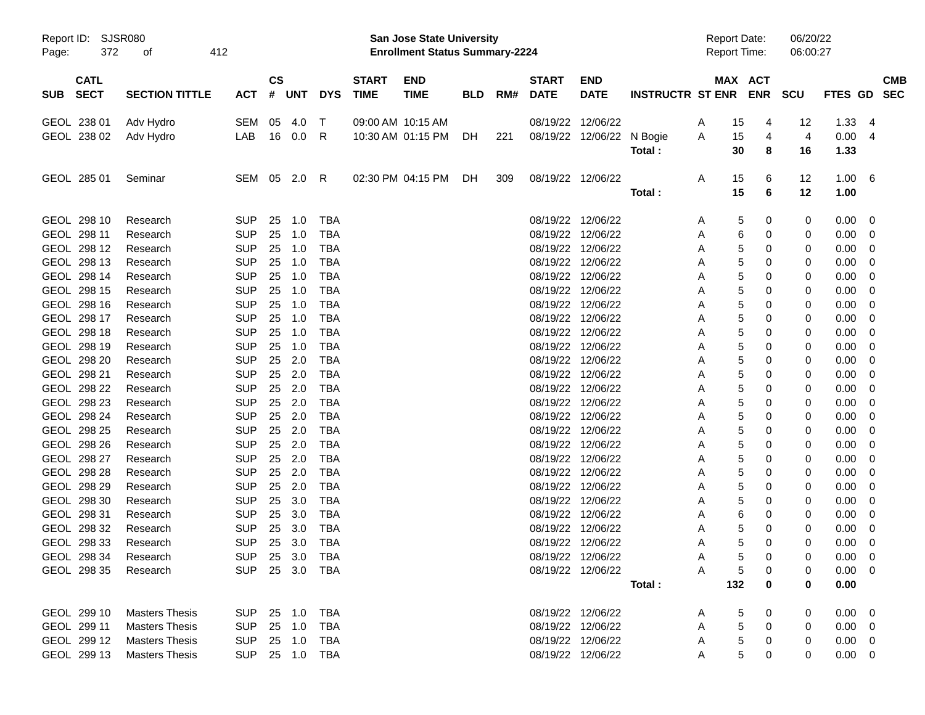|                            | Report ID: SJSR080<br>372<br>412<br>оf |                          |               |                  |                          |                   | <b>San Jose State University</b>      |            |     |                   |                                        |                      | <b>Report Date:</b> |             |        | 06/20/22 |                |                  |
|----------------------------|----------------------------------------|--------------------------|---------------|------------------|--------------------------|-------------------|---------------------------------------|------------|-----|-------------------|----------------------------------------|----------------------|---------------------|-------------|--------|----------|----------------|------------------|
| Page:                      |                                        |                          |               |                  |                          |                   | <b>Enrollment Status Summary-2224</b> |            |     |                   |                                        |                      | <b>Report Time:</b> |             |        | 06:00:27 |                |                  |
| <b>CATL</b>                |                                        |                          | $\mathsf{cs}$ |                  |                          | <b>START</b>      | <b>END</b>                            |            |     | <b>START</b>      | <b>END</b>                             |                      |                     | MAX ACT     |        |          |                | <b>CMB</b>       |
| <b>SECT</b><br><b>SUB</b>  | <b>SECTION TITTLE</b>                  | ACT                      |               | # UNT            | <b>DYS</b>               | <b>TIME</b>       | <b>TIME</b>                           | <b>BLD</b> | RM# | <b>DATE</b>       | <b>DATE</b>                            | INSTRUCTR ST ENR ENR |                     |             |        | SCU      |                | FTES GD SEC      |
| GEOL 238 01                | Adv Hydro                              | SEM                      | 05            | 4.0              | $\top$                   | 09:00 AM 10:15 AM |                                       |            |     |                   | 08/19/22 12/06/22                      |                      | A                   | 15          | 4      | 12       | 1.33           | -4               |
| GEOL 238 02                | Adv Hydro                              | LAB                      |               | 16  0.0          | - R                      |                   | 10:30 AM 01:15 PM                     | - DH       | 221 |                   | 08/19/22 12/06/22 N Bogie              |                      | A                   | 15          | 4      | 4        | 0.00           | -4               |
|                            |                                        |                          |               |                  |                          |                   |                                       |            |     |                   |                                        | Total:               |                     | 30          | 8      | 16       | 1.33           |                  |
| GEOL 285 01                | Seminar                                | SEM 05 2.0 R             |               |                  |                          |                   | 02:30 PM 04:15 PM                     | DH.        | 309 |                   | 08/19/22 12/06/22                      |                      | Α                   | 15          | 6      | 12       | 1.00           | $6^{\circ}$      |
|                            |                                        |                          |               |                  |                          |                   |                                       |            |     |                   |                                        | Total:               |                     | 15          | 6      | 12       | 1.00           |                  |
| GEOL 298 10                | Research                               | <b>SUP</b>               |               | 25 1.0           | <b>TBA</b>               |                   |                                       |            |     |                   | 08/19/22 12/06/22                      |                      | Α                   | 5           | 0      | 0        | 0.00           | 0                |
| GEOL 298 11                | Research                               | <b>SUP</b>               |               | 25 1.0           | <b>TBA</b>               |                   |                                       |            |     |                   | 08/19/22 12/06/22                      |                      | Α                   | 6           | 0      | 0        | 0.00           | 0                |
| GEOL 298 12                | Research                               | <b>SUP</b>               |               | 25 1.0           | <b>TBA</b>               |                   |                                       |            |     |                   | 08/19/22 12/06/22                      |                      | Α                   | 5           | 0      | 0        | 0.00           | $\mathbf 0$      |
| GEOL 298 13                | Research                               | <b>SUP</b>               | 25            | 1.0              | <b>TBA</b>               |                   |                                       |            |     |                   | 08/19/22 12/06/22                      |                      | Α                   | 5           | 0      | 0        | 0.00           | $\mathbf 0$      |
| GEOL 298 14                | Research                               | <b>SUP</b>               |               | 25 1.0           | <b>TBA</b>               |                   |                                       |            |     |                   | 08/19/22 12/06/22                      |                      | Α                   | 5           | 0      | 0        | 0.00           | $\mathbf 0$      |
| GEOL 298 15                | Research                               | <b>SUP</b>               |               | 25 1.0           | <b>TBA</b>               |                   |                                       |            |     |                   | 08/19/22 12/06/22                      |                      | Α                   | 5           | 0      | 0        | 0.00           | 0                |
| GEOL 298 16                | Research                               | <b>SUP</b>               | 25            | 1.0              | <b>TBA</b>               |                   |                                       |            |     |                   | 08/19/22 12/06/22                      |                      | Α                   | 5           | 0      | 0        | 0.00           | 0                |
| GEOL 298 17                | Research                               | <b>SUP</b>               | 25            | 1.0              | <b>TBA</b>               |                   |                                       |            |     |                   | 08/19/22 12/06/22                      |                      | Α                   | 5           | 0      | 0        | 0.00           | 0                |
| GEOL 298 18                | Research                               | <b>SUP</b>               | 25            | 1.0              | <b>TBA</b>               |                   |                                       |            |     |                   | 08/19/22 12/06/22                      |                      | Α                   | 5           | 0      | 0        | 0.00           | $\mathbf 0$      |
| GEOL 298 19                | Research                               | <b>SUP</b>               |               | 25 1.0           | <b>TBA</b>               |                   |                                       |            |     |                   | 08/19/22 12/06/22                      |                      | Α                   | 5           | 0      | 0        | 0.00           | $\mathbf 0$      |
| GEOL 298 20                | Research                               | <b>SUP</b>               |               | 25 2.0           | <b>TBA</b>               |                   |                                       |            |     |                   | 08/19/22 12/06/22                      |                      | Α                   | 5           | 0      | 0        | 0.00           | 0                |
| GEOL 298 21                | Research                               | <b>SUP</b>               |               | 25 2.0<br>25 2.0 | <b>TBA</b>               |                   |                                       |            |     |                   | 08/19/22 12/06/22                      |                      | Α                   | 5           | 0      | 0        | 0.00           | 0                |
| GEOL 298 22<br>GEOL 298 23 | Research                               | <b>SUP</b><br><b>SUP</b> |               | 25 2.0           | <b>TBA</b><br><b>TBA</b> |                   |                                       |            |     |                   | 08/19/22 12/06/22<br>08/19/22 12/06/22 |                      | Α                   | 5           | 0<br>0 | 0        | 0.00           | 0<br>$\mathbf 0$ |
| GEOL 298 24                | Research<br>Research                   | <b>SUP</b>               |               | 25 2.0           | <b>TBA</b>               |                   |                                       |            |     |                   | 08/19/22 12/06/22                      |                      | Α<br>Α              | 5<br>5      | 0      | 0<br>0   | 0.00<br>0.00   | $\mathbf 0$      |
| GEOL 298 25                | Research                               | <b>SUP</b>               |               | 25 2.0           | <b>TBA</b>               |                   |                                       |            |     |                   | 08/19/22 12/06/22                      |                      | Α                   | 5           | 0      | 0        | 0.00           | $\mathbf 0$      |
| GEOL 298 26                | Research                               | <b>SUP</b>               |               | 25 2.0           | <b>TBA</b>               |                   |                                       |            |     |                   | 08/19/22 12/06/22                      |                      | Α                   | 5           | 0      | 0        | 0.00           | 0                |
| GEOL 298 27                | Research                               | <b>SUP</b>               |               | 25 2.0           | <b>TBA</b>               |                   |                                       |            |     |                   | 08/19/22 12/06/22                      |                      | Α                   | 5           | 0      | 0        | 0.00           | 0                |
| GEOL 298 28                | Research                               | <b>SUP</b>               |               | 25 2.0           | <b>TBA</b>               |                   |                                       |            |     |                   | 08/19/22 12/06/22                      |                      | Α                   | 5           | 0      | 0        | 0.00           | $\mathbf 0$      |
| GEOL 298 29                | Research                               | <b>SUP</b>               |               | 25 2.0           | <b>TBA</b>               |                   |                                       |            |     |                   | 08/19/22 12/06/22                      |                      | Α                   | 5           | 0      | 0        | 0.00           | $\mathbf 0$      |
| GEOL 298 30                | Research                               | <b>SUP</b>               | 25            | 3.0              | <b>TBA</b>               |                   |                                       |            |     |                   | 08/19/22 12/06/22                      |                      | Α                   | 5           | 0      | 0        | 0.00           | $\mathbf 0$      |
| GEOL 298 31                | Research                               | <b>SUP</b>               | 25            | 3.0              | <b>TBA</b>               |                   |                                       |            |     |                   | 08/19/22 12/06/22                      |                      | Α                   | 6           | 0      | 0        | 0.00           | 0                |
| GEOL 298 32                | Research                               | <b>SUP</b>               | 25            | 3.0              | <b>TBA</b>               |                   |                                       |            |     |                   | 08/19/22 12/06/22                      |                      | Α                   | 5           | 0      | 0        | 0.00           | 0                |
| GEOL 298 33                | Research                               | <b>SUP</b>               |               | 25 3.0           | <b>TBA</b>               |                   |                                       |            |     | 08/19/22 12/06/22 |                                        |                      | A                   | 5           | 0      | 0        | 0.00           | $\overline{0}$   |
| GEOL 298 34                | Research                               | SUP 25 3.0 TBA           |               |                  |                          |                   |                                       |            |     |                   | 08/19/22 12/06/22                      |                      | A                   | $\mathbf 5$ | 0      | 0        | $0.00 \t 0$    |                  |
| GEOL 298 35                | Research                               | SUP 25 3.0 TBA           |               |                  |                          |                   |                                       |            |     |                   | 08/19/22 12/06/22                      |                      | Α                   | 5           | 0      | 0        | $0.00 \quad 0$ |                  |
|                            |                                        |                          |               |                  |                          |                   |                                       |            |     |                   |                                        | Total:               |                     | 132         | 0      | 0        | 0.00           |                  |
| GEOL 299 10                | <b>Masters Thesis</b>                  | SUP 25 1.0 TBA           |               |                  |                          |                   |                                       |            |     |                   | 08/19/22 12/06/22                      |                      | A                   | 5           | 0      | 0        | $0.00 \t 0$    |                  |
| GEOL 299 11                | <b>Masters Thesis</b>                  | SUP                      |               | 25 1.0           | TBA                      |                   |                                       |            |     |                   | 08/19/22 12/06/22                      |                      | A                   | 5           | 0      | 0        | $0.00 \quad 0$ |                  |
| GEOL 299 12                | <b>Masters Thesis</b>                  | <b>SUP</b>               |               | 25 1.0           | TBA                      |                   |                                       |            |     |                   | 08/19/22 12/06/22                      |                      | A                   | $\mathbf 5$ | 0      | 0        | $0.00 \quad 0$ |                  |
| GEOL 299 13                | <b>Masters Thesis</b>                  | SUP 25 1.0 TBA           |               |                  |                          |                   |                                       |            |     |                   | 08/19/22 12/06/22                      |                      | Α                   | 5           | 0      | 0        | $0.00 \t 0$    |                  |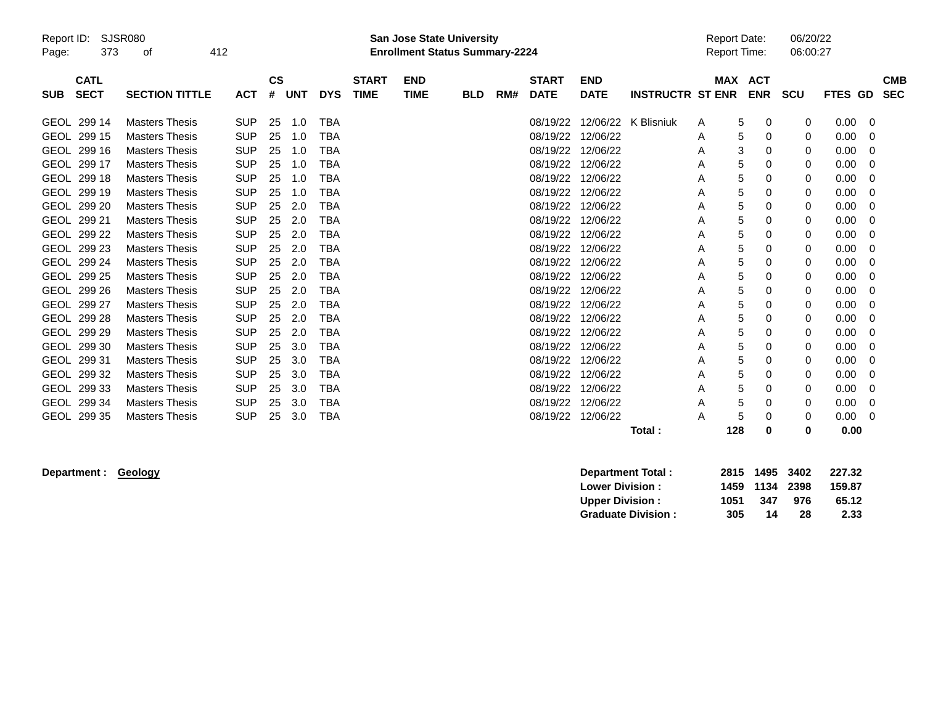| Report ID:<br>Page: | 373                        | <b>SJSR080</b><br>412<br>οf |            |                    |            |            |                             | <b>San Jose State University</b><br><b>Enrollment Status Summary-2224</b> |            |     |                             |                           |                         | <b>Report Date:</b><br><b>Report Time:</b> |                          | 06/20/22<br>06:00:27 |             |             |                          |
|---------------------|----------------------------|-----------------------------|------------|--------------------|------------|------------|-----------------------------|---------------------------------------------------------------------------|------------|-----|-----------------------------|---------------------------|-------------------------|--------------------------------------------|--------------------------|----------------------|-------------|-------------|--------------------------|
| <b>SUB</b>          | <b>CATL</b><br><b>SECT</b> | <b>SECTION TITTLE</b>       | <b>ACT</b> | $\mathsf{cs}$<br># | <b>UNT</b> | <b>DYS</b> | <b>START</b><br><b>TIME</b> | <b>END</b><br><b>TIME</b>                                                 | <b>BLD</b> | RM# | <b>START</b><br><b>DATE</b> | <b>END</b><br><b>DATE</b> | <b>INSTRUCTR ST ENR</b> | <b>MAX</b>                                 | <b>ACT</b><br><b>ENR</b> | <b>SCU</b>           | <b>FTES</b> | GD          | <b>CMB</b><br><b>SEC</b> |
|                     | GEOL 299 14                | <b>Masters Thesis</b>       | <b>SUP</b> | 25                 | 1.0        | TBA        |                             |                                                                           |            |     | 08/19/22                    | 12/06/22                  | K Blisniuk              | A                                          | 5<br>0                   | 0                    | 0.00        | $\mathbf 0$ |                          |
|                     | GEOL 299 15                | <b>Masters Thesis</b>       | <b>SUP</b> | 25                 | 1.0        | <b>TBA</b> |                             |                                                                           |            |     | 08/19/22                    | 12/06/22                  |                         | A                                          | 5<br>0                   | 0                    | 0.00        | 0           |                          |
| <b>GEOL</b>         | 299 16                     | <b>Masters Thesis</b>       | <b>SUP</b> | 25                 | 1.0        | <b>TBA</b> |                             |                                                                           |            |     | 08/19/22                    | 12/06/22                  |                         | A                                          | 3<br>0                   | 0                    | 0.00        | $\Omega$    |                          |
|                     | GEOL 299 17                | <b>Masters Thesis</b>       | <b>SUP</b> | 25                 | 1.0        | <b>TBA</b> |                             |                                                                           |            |     | 08/19/22                    | 12/06/22                  |                         | A                                          | 5<br>0                   | 0                    | 0.00        | 0           |                          |
| <b>GEOL</b>         | 299 18                     | <b>Masters Thesis</b>       | <b>SUP</b> | 25                 | 1.0        | TBA        |                             |                                                                           |            |     | 08/19/22                    | 12/06/22                  |                         | A                                          | 5<br>0                   | 0                    | 0.00        | 0           |                          |
| <b>GEOL</b>         | 299 19                     | <b>Masters Thesis</b>       | <b>SUP</b> | 25                 | 1.0        | TBA        |                             |                                                                           |            |     | 08/19/22                    | 12/06/22                  |                         | Α                                          | 5<br>0                   | 0                    | 0.00        | 0           |                          |
| <b>GEOL</b>         | 299 20                     | <b>Masters Thesis</b>       | <b>SUP</b> | 25                 | 2.0        | <b>TBA</b> |                             |                                                                           |            |     | 08/19/22                    | 12/06/22                  |                         | A                                          | 5<br>0                   | 0                    | 0.00        | 0           |                          |
|                     | GEOL 299 21                | <b>Masters Thesis</b>       | <b>SUP</b> | 25                 | 2.0        | <b>TBA</b> |                             |                                                                           |            |     | 08/19/22                    | 12/06/22                  |                         | A                                          | 5<br>0                   | 0                    | 0.00        | 0           |                          |
| <b>GEOL</b>         | 299 22                     | <b>Masters Thesis</b>       | <b>SUP</b> | 25                 | 2.0        | <b>TBA</b> |                             |                                                                           |            |     | 08/19/22                    | 12/06/22                  |                         | A                                          | 5<br>0                   | 0                    | 0.00        | 0           |                          |
| <b>GEOL</b>         | 299 23                     | <b>Masters Thesis</b>       | <b>SUP</b> | 25                 | 2.0        | TBA        |                             |                                                                           |            |     | 08/19/22                    | 12/06/22                  |                         | A                                          | 5<br>0                   | 0                    | 0.00        | $\Omega$    |                          |
|                     | GEOL 299 24                | <b>Masters Thesis</b>       | <b>SUP</b> | 25                 | 2.0        | <b>TBA</b> |                             |                                                                           |            |     | 08/19/22                    | 12/06/22                  |                         | A                                          | 5<br>0                   | 0                    | 0.00        | $\Omega$    |                          |
| <b>GEOL</b>         | 299 25                     | <b>Masters Thesis</b>       | <b>SUP</b> | 25                 | 2.0        | <b>TBA</b> |                             |                                                                           |            |     | 08/19/22                    | 12/06/22                  |                         | A                                          | 5<br>0                   | 0                    | 0.00        | 0           |                          |
|                     | GEOL 299 26                | <b>Masters Thesis</b>       | <b>SUP</b> | 25                 | 2.0        | <b>TBA</b> |                             |                                                                           |            |     | 08/19/22                    | 12/06/22                  |                         | Α                                          | 5<br>0                   | 0                    | 0.00        | 0           |                          |
| <b>GEOL</b>         | 299 27                     | <b>Masters Thesis</b>       | <b>SUP</b> | 25                 | 2.0        | <b>TBA</b> |                             |                                                                           |            |     | 08/19/22                    | 12/06/22                  |                         | A                                          | 5<br>0                   | 0                    | 0.00        | $\Omega$    |                          |
|                     | GEOL 299 28                | <b>Masters Thesis</b>       | <b>SUP</b> | 25                 | 2.0        | <b>TBA</b> |                             |                                                                           |            |     | 08/19/22                    | 12/06/22                  |                         | A                                          | 5<br>0                   | 0                    | 0.00        | 0           |                          |
| <b>GEOL</b>         | 299 29                     | <b>Masters Thesis</b>       | <b>SUP</b> | 25                 | 2.0        | <b>TBA</b> |                             |                                                                           |            |     | 08/19/22                    | 12/06/22                  |                         | A                                          | 5<br>0                   | 0                    | 0.00        | 0           |                          |
| <b>GEOL</b>         | 299 30                     | <b>Masters Thesis</b>       | <b>SUP</b> | 25                 | 3.0        | <b>TBA</b> |                             |                                                                           |            |     | 08/19/22                    | 12/06/22                  |                         | A                                          | 5<br>0                   | 0                    | 0.00        | 0           |                          |
| <b>GEOL</b>         | 299 31                     | <b>Masters Thesis</b>       | <b>SUP</b> | 25                 | 3.0        | TBA        |                             |                                                                           |            |     | 08/19/22                    | 12/06/22                  |                         | A                                          | 5<br>0                   | 0                    | 0.00        | 0           |                          |
| <b>GEOL</b>         | 299 32                     | <b>Masters Thesis</b>       | <b>SUP</b> | 25                 | 3.0        | <b>TBA</b> |                             |                                                                           |            |     | 08/19/22                    | 12/06/22                  |                         | A                                          | 5<br>0                   | 0                    | 0.00        | $\Omega$    |                          |
| <b>GEOL</b>         | 299 33                     | <b>Masters Thesis</b>       | <b>SUP</b> | 25                 | 3.0        | <b>TBA</b> |                             |                                                                           |            |     | 08/19/22                    | 12/06/22                  |                         | A                                          | 5<br>0                   | 0                    | 0.00        | 0           |                          |
| GEOL                | 299 34                     | <b>Masters Thesis</b>       | <b>SUP</b> | 25                 | 3.0        | <b>TBA</b> |                             |                                                                           |            |     | 08/19/22                    | 12/06/22                  |                         | A                                          | 5<br>0                   | 0                    | 0.00        | 0           |                          |
|                     | GEOL 299 35                | <b>Masters Thesis</b>       | <b>SUP</b> | 25                 | 3.0        | <b>TBA</b> |                             |                                                                           |            |     | 08/19/22                    | 12/06/22                  |                         | A                                          | 5<br>$\Omega$            | 0                    | 0.00        | $\Omega$    |                          |
|                     |                            |                             |            |                    |            |            |                             |                                                                           |            |     |                             |                           | Total:                  | 128                                        | 0                        | 0                    | 0.00        |             |                          |

 $Department : Geology$ 

| <b>Department Total:</b>  |      | 2815 1495 3402 |     | 227.32 |
|---------------------------|------|----------------|-----|--------|
| <b>Lower Division :</b>   |      | 1459 1134 2398 |     | 159.87 |
| <b>Upper Division:</b>    | 1051 | 347            | 976 | 65.12  |
| <b>Graduate Division:</b> | 305  | 14             | 28  | 2.33   |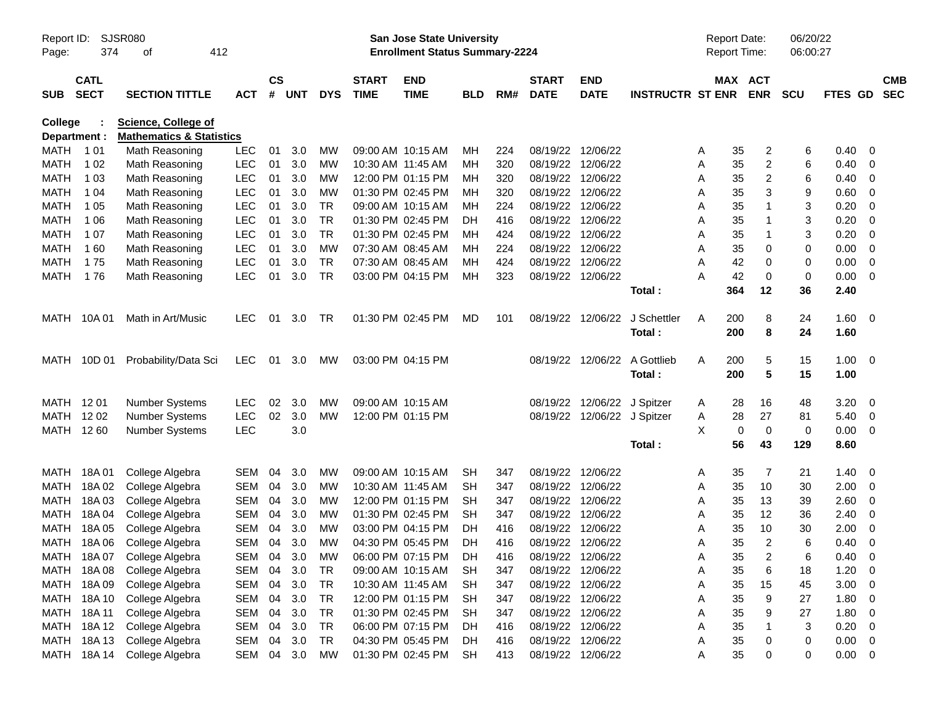| Page:                   | <b>SJSR080</b><br>Report ID:<br>374<br>412<br>οf<br><b>CATL</b> |                                                                   |            |                    |            |            |                             | <b>San Jose State University</b><br><b>Enrollment Status Summary-2224</b> |            |     |                             |                             |                         | <b>Report Date:</b><br>Report Time: |                       | 06/20/22<br>06:00:27 |             |                          |                          |
|-------------------------|-----------------------------------------------------------------|-------------------------------------------------------------------|------------|--------------------|------------|------------|-----------------------------|---------------------------------------------------------------------------|------------|-----|-----------------------------|-----------------------------|-------------------------|-------------------------------------|-----------------------|----------------------|-------------|--------------------------|--------------------------|
| <b>SUB</b>              | <b>SECT</b>                                                     | <b>SECTION TITTLE</b>                                             | ACT        | $\mathsf{cs}$<br># | <b>UNT</b> | <b>DYS</b> | <b>START</b><br><b>TIME</b> | <b>END</b><br><b>TIME</b>                                                 | <b>BLD</b> | RM# | <b>START</b><br><b>DATE</b> | <b>END</b><br><b>DATE</b>   | <b>INSTRUCTR ST ENR</b> |                                     | MAX ACT<br><b>ENR</b> | <b>SCU</b>           | FTES GD     |                          | <b>CMB</b><br><b>SEC</b> |
| College<br>Department : |                                                                 | <b>Science, College of</b><br><b>Mathematics &amp; Statistics</b> |            |                    |            |            |                             |                                                                           |            |     |                             |                             |                         |                                     |                       |                      |             |                          |                          |
| MATH                    | 1 0 1                                                           | Math Reasoning                                                    | LEC        | 01                 | 3.0        | MW         | 09:00 AM 10:15 AM           |                                                                           | MН         | 224 |                             | 08/19/22 12/06/22           |                         | 35<br>A                             | 2                     | 6                    | 0.40        | - 0                      |                          |
| MATH                    | 1 0 2                                                           | Math Reasoning                                                    | <b>LEC</b> | 01                 | 3.0        | MW         | 10:30 AM 11:45 AM           |                                                                           | MН         | 320 |                             | 08/19/22 12/06/22           |                         | 35<br>A                             | $\overline{c}$        | 6                    | 0.40        | - 0                      |                          |
| MATH                    | 1 0 3                                                           | Math Reasoning                                                    | <b>LEC</b> | 01                 | 3.0        | MW         |                             | 12:00 PM 01:15 PM                                                         | MН         | 320 |                             | 08/19/22 12/06/22           |                         | 35<br>A                             | 2                     | 6                    | 0.40        | - 0                      |                          |
| MATH                    | 1 04                                                            | Math Reasoning                                                    | <b>LEC</b> | 01                 | 3.0        | MW         |                             | 01:30 PM 02:45 PM                                                         | MН         | 320 |                             | 08/19/22 12/06/22           |                         | 35<br>A                             | 3                     | 9                    | 0.60        | - 0                      |                          |
| MATH                    | 1 0 5                                                           | Math Reasoning                                                    | <b>LEC</b> | 01                 | 3.0        | <b>TR</b>  |                             | 09:00 AM 10:15 AM                                                         | мн         | 224 |                             | 08/19/22 12/06/22           |                         | 35<br>A                             | 1                     | 3                    | 0.20        | 0                        |                          |
| MATH                    | 1 0 6                                                           | Math Reasoning                                                    | <b>LEC</b> | 01                 | 3.0        | <b>TR</b>  |                             | 01:30 PM 02:45 PM                                                         | DH         | 416 | 08/19/22                    | 12/06/22                    |                         | 35<br>A                             | 1                     | 3                    | 0.20        | 0                        |                          |
| MATH                    | 1 0 7                                                           | Math Reasoning                                                    | <b>LEC</b> | 01                 | 3.0        | <b>TR</b>  |                             | 01:30 PM 02:45 PM                                                         | MН         | 424 |                             | 08/19/22 12/06/22           |                         | 35<br>A                             | 1                     | 3                    | 0.20        | 0                        |                          |
| MATH                    | 160                                                             | Math Reasoning                                                    | <b>LEC</b> | 01                 | 3.0        | МW         | 07:30 AM 08:45 AM           |                                                                           | MН         | 224 |                             | 08/19/22 12/06/22           |                         | 35<br>A                             | 0                     | 0                    | 0.00        | 0                        |                          |
| MATH                    | 175                                                             | Math Reasoning                                                    | <b>LEC</b> | 01                 | 3.0        | <b>TR</b>  | 07:30 AM 08:45 AM           |                                                                           | MН         | 424 | 08/19/22                    | 12/06/22                    |                         | 42<br>A                             | 0                     | 0                    | 0.00        | 0                        |                          |
| MATH                    | 176                                                             | Math Reasoning                                                    | <b>LEC</b> | 01                 | 3.0        | <b>TR</b>  |                             | 03:00 PM 04:15 PM                                                         | MН         | 323 |                             | 08/19/22 12/06/22           |                         | 42<br>A                             | 0                     | 0                    | 0.00        | - 0                      |                          |
|                         |                                                                 |                                                                   |            |                    |            |            |                             |                                                                           |            |     |                             |                             | Total:                  | 364                                 | 12                    | 36                   | 2.40        |                          |                          |
| MATH                    | 10A 01                                                          | Math in Art/Music                                                 | <b>LEC</b> | 01                 | 3.0        | TR         |                             | 01:30 PM 02:45 PM                                                         | MD         | 101 | 08/19/22                    | 12/06/22                    | J Schettler             | 200<br>A                            | 8                     | 24                   | 1.60        | $\overline{\mathbf{0}}$  |                          |
|                         |                                                                 |                                                                   |            |                    |            |            |                             |                                                                           |            |     |                             |                             | Total:                  | 200                                 | 8                     | 24                   | 1.60        |                          |                          |
| MATH                    | 10D 01                                                          | Probability/Data Sci                                              | <b>LEC</b> | 01                 | 3.0        | МW         | 03:00 PM 04:15 PM           |                                                                           |            |     |                             | 08/19/22 12/06/22           | A Gottlieb              | 200<br>A                            | 5                     | 15                   | 1.00        | $\overline{\phantom{0}}$ |                          |
|                         |                                                                 |                                                                   |            |                    |            |            |                             |                                                                           |            |     |                             |                             | Total:                  | 200                                 | 5                     | 15                   | 1.00        |                          |                          |
| MATH 1201               |                                                                 | <b>Number Systems</b>                                             | <b>LEC</b> | 02                 | 3.0        | МW         | 09:00 AM 10:15 AM           |                                                                           |            |     | 08/19/22                    | 12/06/22 J Spitzer          |                         | A                                   | 16<br>28              | 48                   | 3.20        | - 0                      |                          |
| MATH                    | 12 02                                                           | <b>Number Systems</b>                                             | <b>LEC</b> | 02                 | 3.0        | <b>MW</b>  |                             | 12:00 PM 01:15 PM                                                         |            |     |                             | 08/19/22 12/06/22 J Spitzer |                         | 28<br>A                             | 27                    | 81                   | 5.40        | - 0                      |                          |
| MATH 1260               |                                                                 | <b>Number Systems</b>                                             | <b>LEC</b> |                    | 3.0        |            |                             |                                                                           |            |     |                             |                             |                         | X                                   | $\mathbf 0$<br>0      | 0                    | 0.00        | $\overline{\mathbf{0}}$  |                          |
|                         |                                                                 |                                                                   |            |                    |            |            |                             |                                                                           |            |     |                             |                             | Total:                  |                                     | 56<br>43              | 129                  | 8.60        |                          |                          |
| MATH                    | 18A 01                                                          | College Algebra                                                   | <b>SEM</b> | 04                 | 3.0        | MW         |                             | 09:00 AM 10:15 AM                                                         | SН         | 347 |                             | 08/19/22 12/06/22           |                         | 35<br>A                             | 7                     | 21                   | 1.40        | - 0                      |                          |
| MATH                    | 18A02                                                           | College Algebra                                                   | <b>SEM</b> | 04                 | 3.0        | MW         |                             | 10:30 AM 11:45 AM                                                         | SН         | 347 |                             | 08/19/22 12/06/22           |                         | 35<br>A                             | 10                    | 30                   | 2.00        | - 0                      |                          |
| MATH                    | 18A03                                                           | College Algebra                                                   | <b>SEM</b> | 04                 | 3.0        | MW         |                             | 12:00 PM 01:15 PM                                                         | SН         | 347 |                             | 08/19/22 12/06/22           |                         | 35<br>A                             | 13                    | 39                   | 2.60        | - 0                      |                          |
| <b>MATH</b>             | 18A 04                                                          | College Algebra                                                   | SEM        | 04                 | 3.0        | MW         |                             | 01:30 PM 02:45 PM                                                         | <b>SH</b>  | 347 | 08/19/22                    | 12/06/22                    |                         | 35<br>A                             | 12                    | 36                   | 2.40        | - 0                      |                          |
| <b>MATH</b>             | 18A 05                                                          | College Algebra                                                   | <b>SEM</b> | 04                 | 3.0        | MW         |                             | 03:00 PM 04:15 PM                                                         | DН         | 416 | 08/19/22                    | 12/06/22                    |                         | 35<br>A                             | 10                    | 30                   | 2.00        | - 0                      |                          |
|                         | MATH 18A06                                                      | College Algebra                                                   | SEM        | 04                 | 3.0        | МW         |                             | 04:30 PM 05:45 PM                                                         | DH         | 416 |                             | 08/19/22 12/06/22           |                         | 35<br>A                             | 2                     | 6                    | 0.40        | 0                        |                          |
|                         |                                                                 | MATH 18A 07 College Algebra                                       | SEM 04 3.0 |                    |            | MW         |                             | 06:00 PM 07:15 PM                                                         | DH         | 416 | 08/19/22 12/06/22           |                             |                         | Α                                   | 35<br>2               | 6                    | 0.40        | $\overline{\mathbf{0}}$  |                          |
|                         | MATH 18A08                                                      | College Algebra                                                   | SEM 04     |                    | 3.0        | TR         |                             | 09:00 AM 10:15 AM                                                         | SH         | 347 |                             | 08/19/22 12/06/22           |                         | 35<br>A                             | $\,6$                 | 18                   | 1.20        | - 0                      |                          |
|                         | MATH 18A 09                                                     | College Algebra                                                   | SEM        | 04                 | 3.0        | <b>TR</b>  |                             | 10:30 AM 11:45 AM                                                         | SH         | 347 |                             | 08/19/22 12/06/22           |                         | 35<br>Α                             | 15                    | 45                   | 3.00        | $\overline{\mathbf{0}}$  |                          |
|                         | MATH 18A 10                                                     | College Algebra                                                   | SEM        | 04                 | 3.0        | TR         |                             | 12:00 PM 01:15 PM SH                                                      |            | 347 |                             | 08/19/22 12/06/22           |                         | 35<br>Α                             | 9                     | 27                   | 1.80        | $\overline{\mathbf{0}}$  |                          |
|                         | MATH 18A 11                                                     | College Algebra                                                   | SEM        | 04                 | 3.0        | TR         |                             | 01:30 PM 02:45 PM                                                         | SH         | 347 |                             | 08/19/22 12/06/22           |                         | 35<br>Α                             | 9                     | 27                   | 1.80        | $\overline{\mathbf{0}}$  |                          |
|                         |                                                                 | MATH 18A 12 College Algebra                                       | SEM        | 04                 | 3.0        | <b>TR</b>  |                             | 06:00 PM 07:15 PM                                                         | -DH        | 416 |                             | 08/19/22 12/06/22           |                         | 35<br>Α                             |                       | 3                    | 0.20        | $\overline{\mathbf{0}}$  |                          |
|                         | MATH 18A13                                                      | College Algebra                                                   | SEM        | 04                 | 3.0        | <b>TR</b>  |                             | 04:30 PM 05:45 PM                                                         | -DH        | 416 |                             | 08/19/22 12/06/22           |                         | 35<br>A                             | 0                     | 0                    | 0.00        | $\overline{\mathbf{0}}$  |                          |
|                         | MATH 18A14                                                      | College Algebra                                                   | SEM 04 3.0 |                    |            | MW         |                             | 01:30 PM 02:45 PM SH                                                      |            | 413 |                             | 08/19/22 12/06/22           |                         | A                                   | 35<br>0               | 0                    | $0.00 \t 0$ |                          |                          |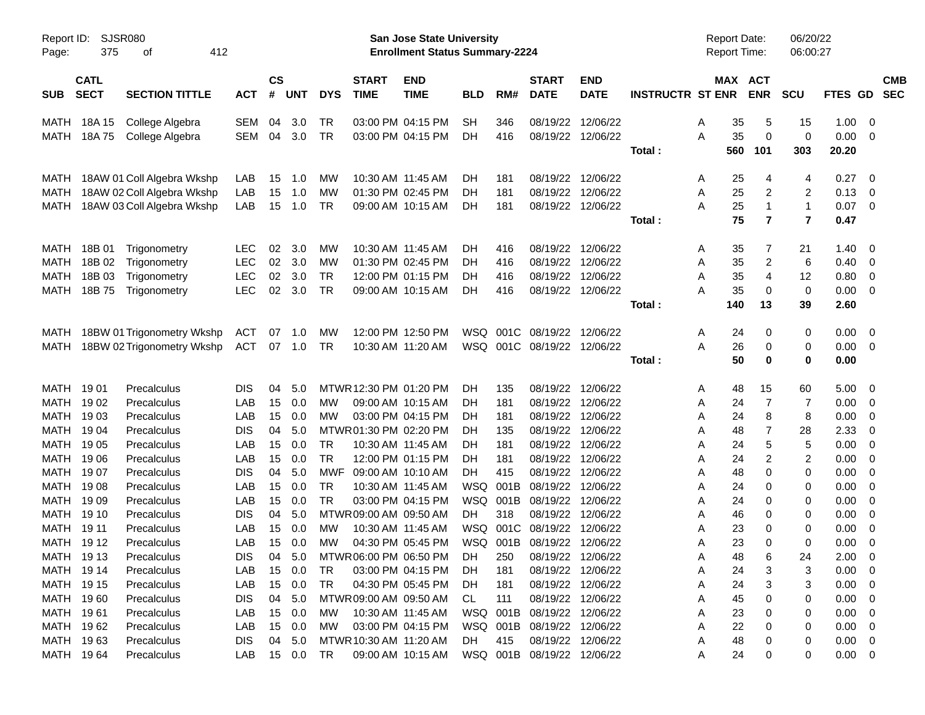| Report ID:<br>Page:        | 375                        | <b>SJSR080</b><br>412<br>οf  |                          |                |            |                 |                             | San Jose State University<br><b>Enrollment Status Summary-2224</b> |            |            |                             |                                        |                         | <b>Report Date:</b><br><b>Report Time:</b> |                       | 06/20/22<br>06:00:27 |              |                                                    |            |
|----------------------------|----------------------------|------------------------------|--------------------------|----------------|------------|-----------------|-----------------------------|--------------------------------------------------------------------|------------|------------|-----------------------------|----------------------------------------|-------------------------|--------------------------------------------|-----------------------|----------------------|--------------|----------------------------------------------------|------------|
| <b>SUB</b>                 | <b>CATL</b><br><b>SECT</b> | <b>SECTION TITTLE</b>        | <b>ACT</b>               | <b>CS</b><br># | <b>UNT</b> | <b>DYS</b>      | <b>START</b><br><b>TIME</b> | <b>END</b><br><b>TIME</b>                                          | <b>BLD</b> | RM#        | <b>START</b><br><b>DATE</b> | <b>END</b><br><b>DATE</b>              | <b>INSTRUCTR ST ENR</b> |                                            | MAX ACT<br><b>ENR</b> | <b>SCU</b>           | FTES GD SEC  |                                                    | <b>CMB</b> |
|                            |                            |                              |                          |                |            |                 |                             |                                                                    |            |            |                             |                                        |                         |                                            |                       |                      |              |                                                    |            |
| MATH<br>MATH               | 18A 15                     | College Algebra              | SEM<br>SEM               | 04<br>04       | 3.0<br>3.0 | TR<br>TR        |                             | 03:00 PM 04:15 PM<br>03:00 PM 04:15 PM                             | <b>SH</b>  | 346<br>416 |                             | 08/19/22 12/06/22<br>08/19/22 12/06/22 |                         | 35<br>A<br>35<br>A                         | 5<br>0                | 15<br>0              | 1.00<br>0.00 | - 0<br>- 0                                         |            |
|                            | 18A 75                     | College Algebra              |                          |                |            |                 |                             |                                                                    | DH         |            |                             |                                        | Total:                  | 560                                        | 101                   | 303                  | 20.20        |                                                    |            |
|                            |                            |                              |                          |                |            |                 |                             |                                                                    |            |            |                             |                                        |                         |                                            |                       |                      |              |                                                    |            |
| MATH                       |                            | 18AW 01 Coll Algebra Wkshp   | LAB                      | 15             | 1.0        | МW              | 10:30 AM 11:45 AM           |                                                                    | DH         | 181        |                             | 08/19/22 12/06/22                      |                         | 25<br>A                                    | 4                     | 4                    | 0.27         | - 0                                                |            |
| MATH                       |                            | 18AW 02 Coll Algebra Wkshp   | LAB                      | 15             | 1.0        | <b>MW</b>       |                             | 01:30 PM 02:45 PM                                                  | DH         | 181        |                             | 08/19/22 12/06/22                      |                         | 25<br>A                                    | 2                     | 2                    | 0.13         | $\overline{\mathbf{0}}$                            |            |
| <b>MATH</b>                |                            | 18AW 03 Coll Algebra Wkshp   | LAB                      | 15             | 1.0        | TR              |                             | 09:00 AM 10:15 AM                                                  | DН         | 181        |                             | 08/19/22 12/06/22                      |                         | 25<br>A                                    | $\mathbf{1}$          | 1                    | 0.07         | $\overline{\mathbf{0}}$                            |            |
|                            |                            |                              |                          |                |            |                 |                             |                                                                    |            |            |                             |                                        | Total:                  | 75                                         | $\overline{7}$        | $\overline{7}$       | 0.47         |                                                    |            |
|                            |                            |                              |                          |                |            |                 |                             |                                                                    |            |            |                             |                                        |                         |                                            |                       |                      |              |                                                    |            |
| MATH                       | 18B 01                     | Trigonometry                 | <b>LEC</b>               | 02             | 3.0        | МW              | 10:30 AM 11:45 AM           |                                                                    | DH         | 416        |                             | 08/19/22 12/06/22                      |                         | 35<br>A                                    | 7                     | 21                   | 1.40         | - 0                                                |            |
| MATH                       | 18B 02                     | Trigonometry                 | <b>LEC</b>               | 02             | 3.0        | <b>MW</b>       |                             | 01:30 PM 02:45 PM                                                  | DH         | 416        | 08/19/22 12/06/22           |                                        |                         | 35<br>A                                    | 2                     | 6                    | 0.40         | $\overline{\mathbf{0}}$                            |            |
| <b>MATH</b><br><b>MATH</b> | 18B 03<br>18B 75           | Trigonometry<br>Trigonometry | <b>LEC</b><br><b>LEC</b> | 02<br>02       | 3.0<br>3.0 | <b>TR</b><br>TR |                             | 12:00 PM 01:15 PM<br>09:00 AM 10:15 AM                             | DH<br>DН   | 416<br>416 |                             | 08/19/22 12/06/22<br>08/19/22 12/06/22 |                         | 35<br>Α<br>35<br>Α                         | 4<br>0                | 12<br>0              | 0.80<br>0.00 | $\overline{\mathbf{0}}$<br>$\overline{\mathbf{0}}$ |            |
|                            |                            |                              |                          |                |            |                 |                             |                                                                    |            |            |                             |                                        | Total:                  | 140                                        | 13                    | 39                   | 2.60         |                                                    |            |
|                            |                            |                              |                          |                |            |                 |                             |                                                                    |            |            |                             |                                        |                         |                                            |                       |                      |              |                                                    |            |
| MATH                       |                            | 18BW 01 Trigonometry Wkshp   | ACT                      | 07             | 1.0        | МW              |                             | 12:00 PM 12:50 PM                                                  | WSQ        | 001C       | 08/19/22 12/06/22           |                                        |                         | 24<br>A                                    | 0                     | 0                    | 0.00         | - 0                                                |            |
| MATH                       |                            | 18BW 02 Trigonometry Wkshp   | ACT                      |                | 07 1.0     | TR              | 10:30 AM 11:20 AM           |                                                                    |            |            | WSQ 001C 08/19/22 12/06/22  |                                        |                         | 26<br>A                                    | 0                     | 0                    | 0.00         | $\overline{\phantom{0}}$                           |            |
|                            |                            |                              |                          |                |            |                 |                             |                                                                    |            |            |                             |                                        | Total:                  | 50                                         | 0                     | 0                    | 0.00         |                                                    |            |
| MATH                       | 1901                       | Precalculus                  | <b>DIS</b>               | 04             | 5.0        |                 | MTWR 12:30 PM 01:20 PM      |                                                                    | DH         | 135        |                             | 08/19/22 12/06/22                      |                         | 48<br>A                                    | 15                    | 60                   | 5.00         | - 0                                                |            |
| MATH                       | 1902                       | Precalculus                  | LAB                      | 15             | 0.0        | MW              |                             | 09:00 AM 10:15 AM                                                  | DH         | 181        |                             | 08/19/22 12/06/22                      |                         | 24<br>A                                    | $\overline{7}$        | 7                    | 0.00         | - 0                                                |            |
| <b>MATH</b>                | 1903                       | Precalculus                  | LAB                      | 15             | 0.0        | MW              |                             | 03:00 PM 04:15 PM                                                  | DH         | 181        |                             | 08/19/22 12/06/22                      |                         | 24<br>A                                    | 8                     | 8                    | 0.00         | - 0                                                |            |
| <b>MATH</b>                | 1904                       | Precalculus                  | <b>DIS</b>               | 04             | 5.0        |                 | MTWR01:30 PM 02:20 PM       |                                                                    | DН         | 135        |                             | 08/19/22 12/06/22                      |                         | 48<br>A                                    | 7                     | 28                   | 2.33         | 0                                                  |            |
| MATH                       | 19 05                      | Precalculus                  | LAB                      | 15             | 0.0        | <b>TR</b>       | 10:30 AM 11:45 AM           |                                                                    | DН         | 181        |                             | 08/19/22 12/06/22                      |                         | 24<br>A                                    | 5                     | $\mathbf 5$          | 0.00         | 0                                                  |            |
| <b>MATH</b>                | 1906                       | Precalculus                  | LAB                      | 15             | 0.0        | <b>TR</b>       |                             | 12:00 PM 01:15 PM                                                  | DН         | 181        |                             | 08/19/22 12/06/22                      |                         | 24<br>A                                    | 2                     | $\overline{2}$       | 0.00         | - 0                                                |            |
| <b>MATH</b>                | 1907                       | Precalculus                  | <b>DIS</b>               | 04             | 5.0        | MWF             | 09:00 AM 10:10 AM           |                                                                    | DН         | 415        |                             | 08/19/22 12/06/22                      |                         | 48<br>A                                    | 0                     | 0                    | 0.00         | - 0                                                |            |
| <b>MATH</b>                | 1908                       | Precalculus                  | LAB                      | 15             | 0.0        | <b>TR</b>       | 10:30 AM 11:45 AM           |                                                                    | <b>WSQ</b> | 001B       | 08/19/22 12/06/22           |                                        |                         | 24<br>A                                    | 0                     | 0                    | 0.00         | - 0                                                |            |
| MATH                       | 1909                       | Precalculus                  | LAB                      | 15             | 0.0        | <b>TR</b>       |                             | 03:00 PM 04:15 PM                                                  | WSQ        | 001B       | 08/19/22 12/06/22           |                                        |                         | 24<br>A                                    | 0                     | 0                    | 0.00         | 0                                                  |            |
| MATH                       | 19 10                      | Precalculus                  | <b>DIS</b>               | 04             | 5.0        |                 | MTWR 09:00 AM 09:50 AM      |                                                                    | DH.        | 318        | 08/19/22 12/06/22           |                                        |                         | 46<br>A                                    | 0                     | 0                    | 0.00         | $\overline{\mathbf{0}}$                            |            |
| <b>MATH</b>                | 19 11                      | Precalculus                  | LAB                      | 15             | 0.0        | <b>MW</b>       | 10:30 AM 11:45 AM           |                                                                    | <b>WSQ</b> | 001C       | 08/19/22 12/06/22           |                                        |                         | 23<br>Α                                    | 0                     | 0                    | 0.00         | $\overline{\mathbf{0}}$                            |            |
| MATH 1912                  |                            | Precalculus                  | LAB                      | 15             | 0.0        | MW              |                             | 04:30 PM 05:45 PM                                                  | WSQ        | 001B       | 08/19/22 12/06/22           |                                        |                         | 23<br>A                                    | 0                     | 0                    | 0.00         | 0                                                  |            |
| MATH 1913                  |                            | Precalculus                  | <b>DIS</b>               | 04             | 5.0        |                 | MTWR06:00 PM 06:50 PM       |                                                                    | DH         | 250        | 08/19/22 12/06/22           |                                        |                         | 48<br>Α                                    | 6                     | 24                   | 2.00         | $\overline{\mathbf{0}}$                            |            |
| MATH 1914                  |                            | Precalculus                  | LAB                      | 15             | 0.0        | TR              |                             | 03:00 PM 04:15 PM                                                  | <b>DH</b>  | 181        |                             | 08/19/22 12/06/22                      |                         | Α<br>24                                    | 3                     | 3                    | $0.00 \t 0$  |                                                    |            |
| MATH 1915                  |                            | Precalculus                  | LAB                      | 15             | 0.0        | TR              |                             | 04:30 PM 05:45 PM                                                  | DH.        | 181        |                             | 08/19/22 12/06/22                      |                         | 24<br>A                                    | 3                     | 3                    | $0.00 \t 0$  |                                                    |            |
| MATH 1960                  |                            | Precalculus                  | <b>DIS</b>               | 04             | 5.0        |                 | MTWR 09:00 AM 09:50 AM      |                                                                    | CL         | 111        |                             | 08/19/22 12/06/22                      |                         | 45<br>Α                                    | 0                     | 0                    | $0.00 \t 0$  |                                                    |            |
| MATH 1961                  |                            | Precalculus                  | LAB                      | 15             | 0.0        | МW              |                             | 10:30 AM 11:45 AM                                                  |            |            | WSQ 001B 08/19/22 12/06/22  |                                        |                         | 23<br>Α                                    | 0                     | 0                    | $0.00 \t 0$  |                                                    |            |
| MATH 1962                  |                            | Precalculus                  | LAB                      | 15             | 0.0        | МW              |                             | 03:00 PM 04:15 PM                                                  |            |            | WSQ 001B 08/19/22 12/06/22  |                                        |                         | 22<br>Α                                    | 0                     | 0                    | $0.00 \t 0$  |                                                    |            |
| MATH 1963                  |                            | Precalculus                  | <b>DIS</b>               | 04             | 5.0        |                 | MTWR 10:30 AM 11:20 AM      |                                                                    | DH.        | 415        |                             | 08/19/22 12/06/22                      |                         | 48<br>Α                                    | 0                     | 0                    | $0.00 \t 0$  |                                                    |            |
| MATH 1964                  |                            | Precalculus                  | LAB                      |                | 15 0.0     | - TR            |                             | 09:00 AM 10:15 AM                                                  |            |            | WSQ 001B 08/19/22 12/06/22  |                                        |                         | 24<br>A                                    | 0                     | 0                    | $0.00 \t 0$  |                                                    |            |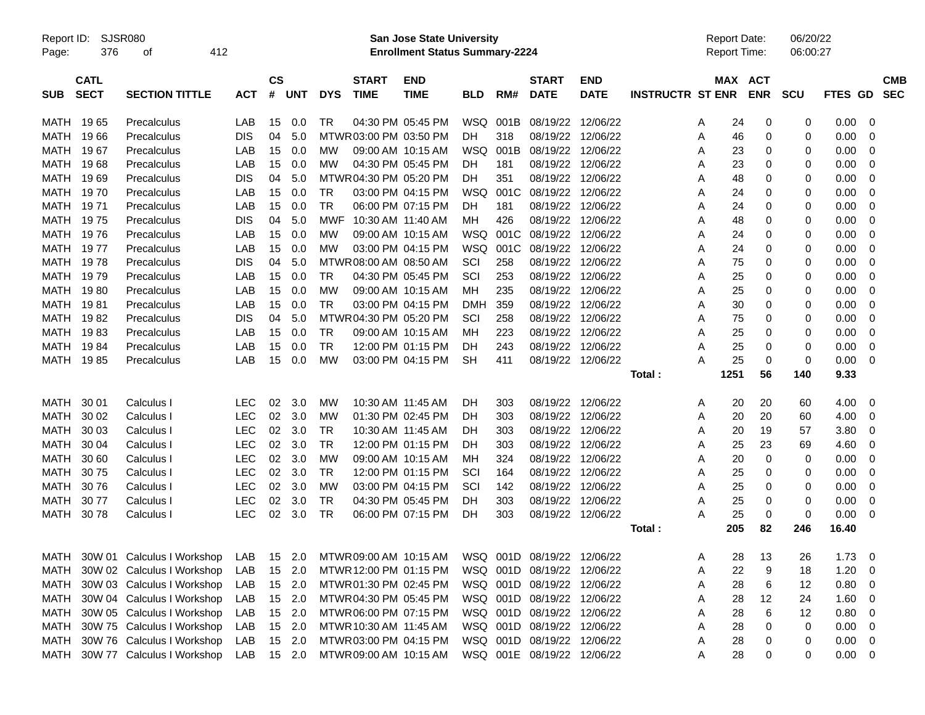| Report ID:<br>Page: | 376                        | <b>SJSR080</b><br>412<br>οf     |            |                |            |                 |                             | <b>San Jose State University</b><br><b>Enrollment Status Summary-2224</b> |            |                 |                             |                           |                         |   | <b>Report Date:</b><br>Report Time: |            | 06/20/22<br>06:00:27 |         |                |                          |
|---------------------|----------------------------|---------------------------------|------------|----------------|------------|-----------------|-----------------------------|---------------------------------------------------------------------------|------------|-----------------|-----------------------------|---------------------------|-------------------------|---|-------------------------------------|------------|----------------------|---------|----------------|--------------------------|
| <b>SUB</b>          | <b>CATL</b><br><b>SECT</b> | <b>SECTION TITTLE</b>           | <b>ACT</b> | <b>CS</b><br># | <b>UNT</b> | <b>DYS</b>      | <b>START</b><br><b>TIME</b> | <b>END</b><br><b>TIME</b>                                                 | <b>BLD</b> | RM#             | <b>START</b><br><b>DATE</b> | <b>END</b><br><b>DATE</b> | <b>INSTRUCTR ST ENR</b> |   | MAX ACT                             | <b>ENR</b> | <b>SCU</b>           | FTES GD |                | <b>CMB</b><br><b>SEC</b> |
|                     |                            |                                 |            |                |            |                 |                             |                                                                           |            |                 |                             |                           |                         |   |                                     |            |                      |         |                |                          |
| MATH                | 1965                       | Precalculus                     | LAB        | 15             | 0.0        | TR              |                             | 04:30 PM 05:45 PM                                                         |            | <b>WSQ 001B</b> | 08/19/22 12/06/22           |                           |                         | A | 24                                  | 0          | 0                    | 0.00    | 0              |                          |
| MATH                | 1966                       | Precalculus                     | <b>DIS</b> | 04             | 5.0        |                 | MTWR 03:00 PM 03:50 PM      |                                                                           | DH.        | 318             | 08/19/22                    | 12/06/22                  |                         | A | 46                                  | 0          | 0                    | 0.00    | 0              |                          |
| MATH                | 1967                       | Precalculus                     | LAB        | 15             | 0.0        | мw              |                             | 09:00 AM 10:15 AM                                                         | WSQ        | 001B            | 08/19/22                    | 12/06/22                  |                         | A | 23                                  | 0          | 0                    | 0.00    | 0              |                          |
| MATH                | 1968                       | Precalculus                     | LAB        | 15             | 0.0        | MW              |                             | 04:30 PM 05:45 PM                                                         | DH.        | 181             | 08/19/22                    | 12/06/22                  |                         | A | 23                                  | 0          | 0                    | 0.00    | 0              |                          |
| MATH                | 1969                       | Precalculus                     | <b>DIS</b> | 04             | 5.0        |                 | MTWR04:30 PM 05:20 PM       |                                                                           | DH         | 351             | 08/19/22 12/06/22           |                           |                         | A | 48                                  | 0          | 0                    | 0.00    | 0              |                          |
| MATH                | 1970                       | Precalculus                     | LAB        | 15             | 0.0        | TR              |                             | 03:00 PM 04:15 PM                                                         | WSQ        | 001C            | 08/19/22 12/06/22           |                           |                         | A | 24                                  | 0          | 0                    | 0.00    | 0              |                          |
| MATH                | 19 71                      | Precalculus                     | LAB        | 15             | 0.0        | TR              |                             | 06:00 PM 07:15 PM                                                         | DH.        | 181             | 08/19/22                    | 12/06/22                  |                         | A | 24                                  | 0          | 0                    | 0.00    | 0              |                          |
| MATH                | 1975                       | Precalculus                     | <b>DIS</b> | 04             | 5.0        | MWF             | 10:30 AM 11:40 AM           |                                                                           | мн         | 426             | 08/19/22                    | 12/06/22                  |                         | A | 48                                  | 0          | 0                    | 0.00    | 0              |                          |
| MATH                | 1976                       | Precalculus                     | LAB        | 15             | 0.0        | MW              |                             | 09:00 AM 10:15 AM                                                         | WSQ        | 001C            | 08/19/22                    | 12/06/22                  |                         | A | 24                                  | 0          | 0                    | 0.00    | 0              |                          |
| MATH                | 19 77                      | Precalculus                     | LAB        | 15             | 0.0        | MW              |                             | 03:00 PM 04:15 PM                                                         | WSQ        | 001C            | 08/19/22 12/06/22           |                           |                         | A | 24                                  | 0          | 0                    | 0.00    | 0              |                          |
| MATH                | 1978                       | Precalculus                     | <b>DIS</b> | 04             | 5.0        |                 | MTWR 08:00 AM 08:50 AM      |                                                                           | SCI        | 258             | 08/19/22                    | 12/06/22                  |                         | A | 75                                  | 0          | 0                    | 0.00    | 0              |                          |
| MATH                | 1979                       | Precalculus                     | LAB        | 15             | 0.0        | TR              |                             | 04:30 PM 05:45 PM                                                         | SCI        | 253             | 08/19/22                    | 12/06/22                  |                         | A | 25                                  | 0          | 0                    | 0.00    | 0              |                          |
| MATH                | 1980                       | Precalculus                     | LAB        | 15             | 0.0        | <b>MW</b>       |                             | 09:00 AM 10:15 AM                                                         | мн         | 235             | 08/19/22                    | 12/06/22                  |                         | A | 25                                  | 0          | 0                    | 0.00    | 0              |                          |
| MATH                | 1981                       | Precalculus                     | LAB        | 15             | 0.0        | <b>TR</b>       |                             | 03:00 PM 04:15 PM                                                         | <b>DMH</b> | 359             | 08/19/22 12/06/22           |                           |                         | A | 30                                  | 0          | 0                    | 0.00    | 0              |                          |
| MATH                | 1982                       | Precalculus                     | <b>DIS</b> | 04             | 5.0        |                 | MTWR04:30 PM 05:20 PM       |                                                                           | SCI        | 258             | 08/19/22 12/06/22           |                           |                         | A | 75                                  | 0          | 0                    | 0.00    | 0              |                          |
| MATH                | 1983                       | Precalculus                     | LAB        | 15             | 0.0        | TR              |                             | 09:00 AM 10:15 AM                                                         | мн         | 223             | 08/19/22                    | 12/06/22                  |                         | A | 25                                  | 0          | 0                    | 0.00    | 0              |                          |
| MATH                | 1984                       | Precalculus                     | LAB        | 15             | 0.0        | <b>TR</b>       |                             | 12:00 PM 01:15 PM                                                         | DH         | 243             | 08/19/22 12/06/22           |                           |                         | A | 25                                  | 0          | 0                    | 0.00    | 0              |                          |
|                     | MATH 1985                  | Precalculus                     | LAB        | 15             | 0.0        | <b>MW</b>       |                             | 03:00 PM 04:15 PM                                                         | <b>SH</b>  | 411             | 08/19/22 12/06/22           |                           |                         | A | 25                                  | 0          | $\Omega$             | 0.00    | 0              |                          |
|                     |                            |                                 |            |                |            |                 |                             |                                                                           |            |                 |                             |                           | Total:                  |   | 1251                                | 56         | 140                  | 9.33    |                |                          |
| MATH                | 30 01                      | Calculus I                      | <b>LEC</b> | 02             | 3.0        | MW              | 10:30 AM 11:45 AM           |                                                                           | DH         | 303             | 08/19/22 12/06/22           |                           |                         | A | 20                                  | 20         | 60                   | 4.00    | 0              |                          |
| <b>MATH</b>         | 30 02                      | Calculus I                      | LEC        | 02             | 3.0        | MW              |                             | 01:30 PM 02:45 PM                                                         | DH         | 303             | 08/19/22                    | 12/06/22                  |                         |   | 20                                  | 20         | 60                   | 4.00    | 0              |                          |
|                     |                            |                                 | LEC        |                |            |                 |                             |                                                                           |            |                 |                             |                           |                         | A |                                     |            |                      |         |                |                          |
| <b>MATH</b>         | 30 03                      | Calculus I                      |            | 02             | 3.0        | TR<br><b>TR</b> |                             | 10:30 AM 11:45 AM                                                         | <b>DH</b>  | 303             | 08/19/22 12/06/22           |                           |                         | A | 20                                  | 19         | 57                   | 3.80    | 0              |                          |
| <b>MATH</b>         | 30 04                      | Calculus I                      | <b>LEC</b> | 02             | 3.0        |                 |                             | 12:00 PM 01:15 PM                                                         | DH         | 303             | 08/19/22                    | 12/06/22                  |                         | A | 25                                  | 23         | 69                   | 4.60    | 0              |                          |
| <b>MATH</b>         | 30 60                      | Calculus I                      | <b>LEC</b> | 02             | 3.0        | МW              |                             | 09:00 AM 10:15 AM                                                         | мн         | 324             | 08/19/22                    | 12/06/22                  |                         | A | 20                                  | 0          | $\Omega$             | 0.00    | 0              |                          |
| <b>MATH</b>         | 3075                       | Calculus I                      | LEC        | 02             | 3.0        | TR              |                             | 12:00 PM 01:15 PM                                                         | SCI        | 164             | 08/19/22                    | 12/06/22                  |                         | A | 25                                  | 0          | 0                    | 0.00    | 0              |                          |
| <b>MATH</b>         | 3076                       | Calculus I                      | LEC        | 02             | 3.0        | <b>MW</b>       |                             | 03:00 PM 04:15 PM                                                         | SCI        | 142             | 08/19/22 12/06/22           |                           |                         | A | 25                                  | 0          | 0                    | 0.00    | 0              |                          |
| MATH                | 3077                       | Calculus I                      | LEC        | 02             | 3.0        | TR              |                             | 04:30 PM 05:45 PM                                                         | DH         | 303             | 08/19/22 12/06/22           |                           |                         | A | 25                                  | 0          | 0                    | 0.00    | 0              |                          |
| MATH                | 3078                       | Calculus I                      | LEC        | $02\,$         | 3.0        | TR              |                             | 06:00 PM 07:15 PM                                                         | DH         | 303             | 08/19/22 12/06/22           |                           |                         | A | 25                                  | 0          | $\mathbf 0$          | 0.00    | 0              |                          |
|                     |                            |                                 |            |                |            |                 |                             |                                                                           |            |                 |                             |                           | Total:                  |   | 205                                 | 82         | 246                  | 16.40   |                |                          |
|                     |                            | MATH 30W 01 Calculus I Workshop | LAB        |                | 15 2.0     |                 |                             | MTWR 09:00 AM 10:15 AM                                                    |            |                 | WSQ 001D 08/19/22 12/06/22  |                           |                         | A | 28                                  | 13         | 26                   | 1.73    | $\overline{0}$ |                          |
| MATH                |                            | 30W 02 Calculus I Workshop      | LAB        |                | 15 2.0     |                 | MTWR 12:00 PM 01:15 PM      |                                                                           |            |                 | WSQ 001D 08/19/22 12/06/22  |                           |                         | A | 22                                  | 9          | 18                   | 1.20    | 0              |                          |
| MATH                |                            | 30W 03 Calculus I Workshop      | LAB        |                | 15 2.0     |                 | MTWR01:30 PM 02:45 PM       |                                                                           |            |                 | WSQ 001D 08/19/22 12/06/22  |                           |                         | A | 28                                  | 6          | 12                   | 0.80    | 0              |                          |
| MATH                |                            | 30W 04 Calculus I Workshop      | LAB        |                | 15 2.0     |                 | MTWR 04:30 PM 05:45 PM      |                                                                           |            |                 | WSQ 001D 08/19/22 12/06/22  |                           |                         | A | 28                                  | 12         | 24                   | 1.60    | 0              |                          |
| MATH                |                            | 30W 05 Calculus I Workshop      | LAB        |                | 15 2.0     |                 | MTWR06:00 PM 07:15 PM       |                                                                           |            |                 | WSQ 001D 08/19/22 12/06/22  |                           |                         | A | 28                                  | 6          | 12                   | 0.80    | 0              |                          |
| MATH                |                            | 30W 75 Calculus I Workshop      | LAB        |                | 15 2.0     |                 | MTWR 10:30 AM 11:45 AM      |                                                                           |            |                 | WSQ 001D 08/19/22 12/06/22  |                           |                         | A | 28                                  | 0          | 0                    | 0.00    | 0              |                          |
| MATH                |                            | 30W 76 Calculus I Workshop      | LAB        |                | 15 2.0     |                 | MTWR03:00 PM 04:15 PM       |                                                                           |            |                 | WSQ 001D 08/19/22 12/06/22  |                           |                         | A | 28                                  | 0          | 0                    | 0.00    | 0              |                          |
| MATH                |                            | 30W 77 Calculus I Workshop      | LAB        |                | 15 2.0     |                 | MTWR 09:00 AM 10:15 AM      |                                                                           |            |                 | WSQ 001E 08/19/22 12/06/22  |                           |                         | Α | 28                                  | 0          | 0                    | 0.00    | 0              |                          |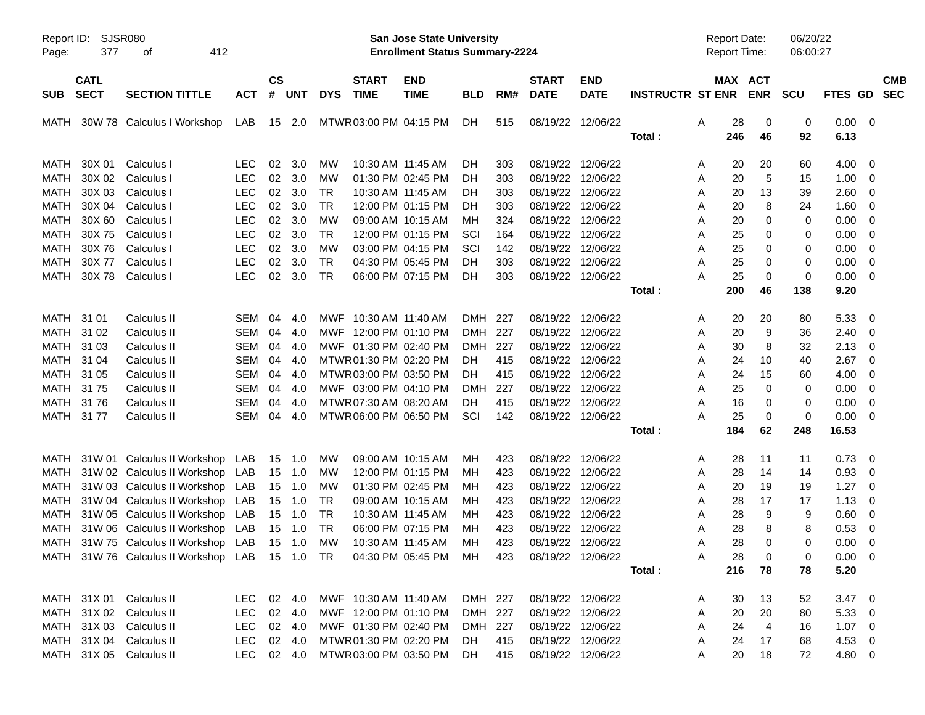| Page:       | Report ID: SJSR080<br>377  | 412<br>оf                                                                                 |            |                    |                |            |                             | San Jose State University<br><b>Enrollment Status Summary-2224</b> |            |     |                             |                           |                         | <b>Report Date:</b><br><b>Report Time:</b> |                       | 06/20/22<br>06:00:27 |                |                          |            |
|-------------|----------------------------|-------------------------------------------------------------------------------------------|------------|--------------------|----------------|------------|-----------------------------|--------------------------------------------------------------------|------------|-----|-----------------------------|---------------------------|-------------------------|--------------------------------------------|-----------------------|----------------------|----------------|--------------------------|------------|
|             |                            |                                                                                           |            |                    |                |            |                             |                                                                    |            |     |                             |                           |                         |                                            |                       |                      |                |                          |            |
| <b>SUB</b>  | <b>CATL</b><br><b>SECT</b> | <b>SECTION TITTLE</b>                                                                     | <b>ACT</b> | $\mathsf{cs}$<br># | UNT            | <b>DYS</b> | <b>START</b><br><b>TIME</b> | <b>END</b><br><b>TIME</b>                                          | <b>BLD</b> | RM# | <b>START</b><br><b>DATE</b> | <b>END</b><br><b>DATE</b> | <b>INSTRUCTR ST ENR</b> |                                            | MAX ACT<br><b>ENR</b> | <b>SCU</b>           | FTES GD SEC    |                          | <b>CMB</b> |
|             |                            |                                                                                           |            |                    |                |            |                             |                                                                    |            |     |                             |                           |                         |                                            |                       |                      |                |                          |            |
|             |                            | MATH 30W 78 Calculus I Workshop                                                           | LAB        |                    | 15 2.0         |            | MTWR 03:00 PM 04:15 PM      |                                                                    | DH.        | 515 |                             | 08/19/22 12/06/22         |                         | 28<br>A                                    | 0                     | 0                    | $0.00 \t 0$    |                          |            |
|             |                            |                                                                                           |            |                    |                |            |                             |                                                                    |            |     |                             |                           | Total:                  | 246                                        | 46                    | 92                   | 6.13           |                          |            |
| MATH        | 30X 01                     | Calculus I                                                                                | <b>LEC</b> | 02                 | 3.0            | <b>MW</b>  |                             | 10:30 AM 11:45 AM                                                  | DH.        | 303 |                             | 08/19/22 12/06/22         |                         | A                                          | 20<br>20              | 60                   | 4.00           | - 0                      |            |
| <b>MATH</b> |                            | 30X 02 Calculus I                                                                         | <b>LEC</b> | 02                 | 3.0            | MW         |                             | 01:30 PM 02:45 PM                                                  | DH.        | 303 | 08/19/22 12/06/22           |                           |                         | 20<br>A                                    | 5                     | 15                   | 1.00           | - 0                      |            |
| MATH        | 30X 03                     | Calculus I                                                                                | <b>LEC</b> | 02                 | 3.0            | <b>TR</b>  |                             | 10:30 AM 11:45 AM                                                  | DH.        | 303 | 08/19/22 12/06/22           |                           |                         | A                                          | 20<br>13              | 39                   | 2.60           | - 0                      |            |
| MATH        |                            | 30X 04 Calculus I                                                                         | <b>LEC</b> | 02                 | 3.0            | <b>TR</b>  |                             | 12:00 PM 01:15 PM                                                  | DH.        | 303 | 08/19/22 12/06/22           |                           |                         | 20<br>A                                    | 8                     | 24                   | 1.60           | - 0                      |            |
| <b>MATH</b> | 30X 60                     | Calculus I                                                                                | <b>LEC</b> | 02                 | 3.0            | MW         |                             | 09:00 AM 10:15 AM                                                  | MН         | 324 | 08/19/22 12/06/22           |                           |                         | 20<br>A                                    | 0                     | 0                    | 0.00           | $\overline{\mathbf{0}}$  |            |
| <b>MATH</b> | 30X75                      | Calculus I                                                                                | <b>LEC</b> | 02                 | 3.0            | <b>TR</b>  |                             | 12:00 PM 01:15 PM                                                  | SCI        | 164 | 08/19/22 12/06/22           |                           |                         | 25<br>A                                    | 0                     | 0                    | 0.00           | $\overline{\mathbf{0}}$  |            |
| MATH        | 30X76                      | Calculus I                                                                                | <b>LEC</b> | 02                 | 3.0            | MW         |                             | 03:00 PM 04:15 PM                                                  | SCI        | 142 | 08/19/22 12/06/22           |                           |                         | 25<br>A                                    | 0                     | 0                    | 0.00           | $\overline{\mathbf{0}}$  |            |
| <b>MATH</b> | 30X 77                     | Calculus I                                                                                | <b>LEC</b> | 02                 | 3.0            | <b>TR</b>  |                             | 04:30 PM 05:45 PM                                                  | DH.        | 303 | 08/19/22 12/06/22           |                           |                         | A                                          | 25<br>0               | 0                    | 0.00           | $\overline{\mathbf{0}}$  |            |
| <b>MATH</b> |                            | 30X 78 Calculus I                                                                         | <b>LEC</b> | 02                 | 3.0            | <b>TR</b>  |                             | 06:00 PM 07:15 PM                                                  | DH.        | 303 | 08/19/22 12/06/22           |                           |                         | 25<br>A                                    | 0                     | 0                    | 0.00           | $\overline{\phantom{0}}$ |            |
|             |                            |                                                                                           |            |                    |                |            |                             |                                                                    |            |     |                             |                           | Total:                  | 200                                        | 46                    | 138                  | 9.20           |                          |            |
| MATH 31 01  |                            | Calculus II                                                                               | SEM        | 04                 | 4.0            |            | MWF 10:30 AM 11:40 AM       |                                                                    | DMH        | 227 |                             | 08/19/22 12/06/22         |                         |                                            | 20                    |                      | 5.33           |                          |            |
| MATH 31 02  |                            | Calculus II                                                                               | SEM        | 04                 | 4.0            |            | MWF 12:00 PM 01:10 PM       |                                                                    | DMH 227    |     |                             | 08/19/22 12/06/22         |                         | A<br>20                                    | 20                    | 80<br>36             | 2.40           | - 0                      |            |
|             |                            |                                                                                           |            |                    |                |            |                             |                                                                    |            |     |                             |                           |                         | A                                          | 9                     |                      |                | - 0                      |            |
| MATH 31 03  |                            | Calculus II                                                                               | SEM        | 04                 | 4.0            |            | MWF 01:30 PM 02:40 PM       |                                                                    | <b>DMH</b> | 227 | 08/19/22 12/06/22           |                           |                         | 30<br>A                                    | 8                     | 32                   | 2.13           | - 0                      |            |
| MATH        | 31 04                      | Calculus II                                                                               | SEM        | 04                 | 4.0            |            | MTWR01:30 PM 02:20 PM       |                                                                    | DH.        | 415 | 08/19/22 12/06/22           |                           |                         | 24<br>A                                    | 10                    | 40                   | 2.67           | $\overline{\mathbf{0}}$  |            |
| <b>MATH</b> | 31 05                      | Calculus II                                                                               | SEM        | 04                 | 4.0            |            | MTWR 03:00 PM 03:50 PM      |                                                                    | DH.        | 415 | 08/19/22 12/06/22           |                           |                         | 24<br>A                                    | 15                    | 60                   | 4.00           | - 0                      |            |
| <b>MATH</b> | 31 75                      | Calculus II                                                                               | SEM        | 04                 | 4.0            |            | MWF 03:00 PM 04:10 PM       |                                                                    | <b>DMH</b> | 227 | 08/19/22 12/06/22           |                           |                         | 25<br>A                                    | 0                     | 0                    | 0.00           | - 0                      |            |
| <b>MATH</b> | 31 76                      | Calculus II                                                                               | SEM        | 04                 | 4.0            |            | MTWR 07:30 AM 08:20 AM      |                                                                    | DH.        | 415 | 08/19/22 12/06/22           |                           |                         | A                                          | 16<br>0               | 0                    | 0.00           | - 0                      |            |
| MATH 3177   |                            | Calculus II                                                                               | SEM        | 04                 | 4.0            |            | MTWR06:00 PM 06:50 PM       |                                                                    | SCI        | 142 | 08/19/22 12/06/22           |                           |                         | 25<br>A                                    | 0                     | 0                    | $0.00 \t 0$    |                          |            |
|             |                            |                                                                                           |            |                    |                |            |                             |                                                                    |            |     |                             |                           | Total:                  | 184                                        | 62                    | 248                  | 16.53          |                          |            |
|             |                            | MATH 31W 01 Calculus II Workshop LAB                                                      |            |                    | 15 1.0         | <b>MW</b>  |                             | 09:00 AM 10:15 AM                                                  | МH         | 423 | 08/19/22 12/06/22           |                           |                         | 28<br>A                                    | 11                    | 11                   | 0.73           | - 0                      |            |
| MATH        |                            | 31W 02 Calculus II Workshop LAB                                                           |            | 15                 | 1.0            | <b>MW</b>  |                             | 12:00 PM 01:15 PM                                                  | MН         | 423 | 08/19/22 12/06/22           |                           |                         | 28<br>A                                    | 14                    | 14                   | 0.93           | - 0                      |            |
| MATH        |                            | 31W 03 Calculus II Workshop LAB                                                           |            | 15                 | 1.0            | <b>MW</b>  |                             | 01:30 PM 02:45 PM                                                  | мн         | 423 | 08/19/22 12/06/22           |                           |                         | 20<br>A                                    | 19                    | 19                   | 1.27           | $\overline{\phantom{0}}$ |            |
| MATH        |                            | 31W 04 Calculus II Workshop LAB                                                           |            | 15                 | 1.0            | <b>TR</b>  |                             | 09:00 AM 10:15 AM                                                  | мн         | 423 | 08/19/22 12/06/22           |                           |                         | 28<br>A                                    | 17                    | 17                   | 1.13           | - 0                      |            |
| MATH        |                            | 31W 05 Calculus II Workshop LAB                                                           |            | 15                 | 1.0            | TR         |                             | 10:30 AM 11:45 AM                                                  | мн         | 423 | 08/19/22 12/06/22           |                           |                         | 28<br>A                                    | 9                     | 9                    | 0.60           | - 0                      |            |
| MATH        |                            | 31W 06 Calculus II Workshop LAB                                                           |            | 15                 | 1.0            | TR         |                             | 06:00 PM 07:15 PM                                                  | мн         | 423 | 08/19/22 12/06/22           |                           |                         | 28<br>A                                    | 8                     | 8                    | 0.53           | $\overline{\mathbf{0}}$  |            |
|             |                            | MATH 31W 75 Calculus II Workshop LAB                                                      |            |                    | 15 1.0         | МW         |                             | 10:30 AM 11:45 AM                                                  | мн         | 423 | 08/19/22 12/06/22           |                           |                         | A                                          | 28<br>0               | 0                    | 0.00           | - 0                      |            |
|             |                            | MATH 31W 76 Calculus II Workshop LAB 15 1.0 TR 04:30 PM 05:45 PM MH 423 08/19/22 12/06/22 |            |                    |                |            |                             |                                                                    |            |     |                             |                           |                         | A                                          | 28<br>0               | 0                    | $0.00 \t 0$    |                          |            |
|             |                            |                                                                                           |            |                    |                |            |                             |                                                                    |            |     |                             |                           | Total:                  | 216                                        | 78                    | 78                   | 5.20           |                          |            |
|             |                            | MATH 31X 01 Calculus II                                                                   | LEC 02 4.0 |                    |                |            |                             | MWF 10:30 AM 11:40 AM                                              | DMH 227    |     | 08/19/22 12/06/22           |                           |                         | 30<br>A                                    | 13                    | 52                   | $3.47 \quad 0$ |                          |            |
|             |                            | MATH 31X 02 Calculus II                                                                   | <b>LEC</b> |                    | 02 4.0         |            |                             | MWF 12:00 PM 01:10 PM                                              | DMH 227    |     | 08/19/22 12/06/22           |                           |                         | 20<br>A                                    | 20                    | 80                   | 5.33 0         |                          |            |
|             |                            | MATH 31X 03 Calculus II                                                                   | <b>LEC</b> |                    | 02 4.0         |            |                             | MWF 01:30 PM 02:40 PM                                              | DMH 227    |     |                             | 08/19/22 12/06/22         |                         | 24<br>A                                    | $\overline{4}$        | 16                   | $1.07 \t 0$    |                          |            |
|             |                            | MATH 31X 04 Calculus II                                                                   | <b>LEC</b> |                    | $02 \quad 4.0$ |            |                             | MTWR01:30 PM 02:20 PM                                              | DH.        | 415 | 08/19/22 12/06/22           |                           |                         | A                                          | 24<br>17              | 68                   | $4.53$ 0       |                          |            |
|             |                            | MATH 31X 05 Calculus II                                                                   | <b>LEC</b> |                    | 02 4.0         |            |                             | MTWR 03:00 PM 03:50 PM                                             | DH.        | 415 | 08/19/22 12/06/22           |                           |                         | A                                          | 20<br>18              | 72                   | 4.80 0         |                          |            |
|             |                            |                                                                                           |            |                    |                |            |                             |                                                                    |            |     |                             |                           |                         |                                            |                       |                      |                |                          |            |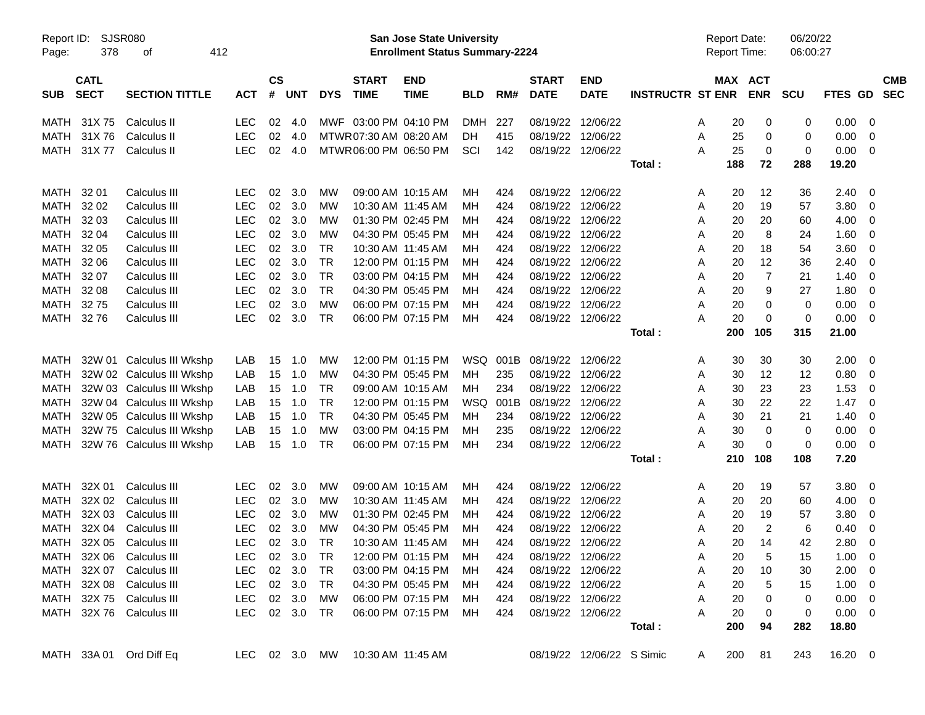| Report ID:<br>Page: | 378                        | <b>SJSR080</b><br>412<br>οf |               |                |            |            |                             | San Jose State University<br><b>Enrollment Status Summary-2224</b> |            |      |                             |                           |                         |   | <b>Report Date:</b><br><b>Report Time:</b> |                         | 06/20/22<br>06:00:27 |                |                          |                          |
|---------------------|----------------------------|-----------------------------|---------------|----------------|------------|------------|-----------------------------|--------------------------------------------------------------------|------------|------|-----------------------------|---------------------------|-------------------------|---|--------------------------------------------|-------------------------|----------------------|----------------|--------------------------|--------------------------|
| <b>SUB</b>          | <b>CATL</b><br><b>SECT</b> | <b>SECTION TITTLE</b>       | <b>ACT</b>    | <b>CS</b><br># | <b>UNT</b> | <b>DYS</b> | <b>START</b><br><b>TIME</b> | <b>END</b><br><b>TIME</b>                                          | <b>BLD</b> | RM#  | <b>START</b><br><b>DATE</b> | <b>END</b><br><b>DATE</b> | <b>INSTRUCTR ST ENR</b> |   | MAX ACT                                    | <b>ENR</b>              | <b>SCU</b>           | <b>FTES GD</b> |                          | <b>CMB</b><br><b>SEC</b> |
| MATH                | 31X75                      | Calculus II                 | <b>LEC</b>    | 02             | 4.0        |            | MWF 03:00 PM 04:10 PM       |                                                                    | <b>DMH</b> | 227  | 08/19/22 12/06/22           |                           |                         | A | 20                                         | 0                       | 0                    | 0.00           | - 0                      |                          |
| MATH                | 31X76                      | Calculus II                 | LEC           | 02             | 4.0        |            | MTWR 07:30 AM 08:20 AM      |                                                                    | DH         | 415  | 08/19/22 12/06/22           |                           |                         | Α | 25                                         | 0                       | 0                    | 0.00           | 0                        |                          |
| <b>MATH</b>         | 31X 77                     | Calculus II                 | <b>LEC</b>    | 02             | 4.0        |            | MTWR06:00 PM 06:50 PM       |                                                                    | SCI        | 142  | 08/19/22 12/06/22           |                           |                         | А | 25                                         | 0                       | 0                    | 0.00           | $\overline{\phantom{0}}$ |                          |
|                     |                            |                             |               |                |            |            |                             |                                                                    |            |      |                             |                           | Total:                  |   | 188                                        | 72                      | 288                  | 19.20          |                          |                          |
| MATH                | 32 01                      | Calculus III                | LEC           | 02             | 3.0        | MW         |                             | 09:00 AM 10:15 AM                                                  | MН         | 424  | 08/19/22 12/06/22           |                           |                         | A | 20                                         | 12                      | 36                   | 2.40           | - 0                      |                          |
| MATH                | 32 02                      | Calculus III                | <b>LEC</b>    | 02             | 3.0        | МW         |                             | 10:30 AM 11:45 AM                                                  | MН         | 424  | 08/19/22 12/06/22           |                           |                         | A | 20                                         | 19                      | 57                   | 3.80           | - 0                      |                          |
| MATH                | 32 03                      | Calculus III                | <b>LEC</b>    | 02             | 3.0        | МW         |                             | 01:30 PM 02:45 PM                                                  | MН         | 424  | 08/19/22 12/06/22           |                           |                         | A | 20                                         | 20                      | 60                   | 4.00           | 0                        |                          |
| MATH                | 32 04                      | Calculus III                | <b>LEC</b>    | 02             | 3.0        | МW         |                             | 04:30 PM 05:45 PM                                                  | MН         | 424  | 08/19/22 12/06/22           |                           |                         | A | 20                                         | 8                       | 24                   | 1.60           | 0                        |                          |
| MATH                | 32 05                      | Calculus III                | <b>LEC</b>    | 02             | 3.0        | <b>TR</b>  |                             | 10:30 AM 11:45 AM                                                  | MН         | 424  | 08/19/22 12/06/22           |                           |                         | A | 20                                         | 18                      | 54                   | 3.60           | - 0                      |                          |
| MATH                | 32 06                      | Calculus III                | <b>LEC</b>    | 02             | 3.0        | <b>TR</b>  |                             | 12:00 PM 01:15 PM                                                  | MН         | 424  | 08/19/22 12/06/22           |                           |                         | A | 20                                         | 12                      | 36                   | 2.40           | 0                        |                          |
| <b>MATH</b>         | 32 07                      | Calculus III                | <b>LEC</b>    | 02             | 3.0        | <b>TR</b>  |                             | 03:00 PM 04:15 PM                                                  | MН         | 424  | 08/19/22 12/06/22           |                           |                         | A | 20                                         | $\overline{7}$          | 21                   | 1.40           | 0                        |                          |
| <b>MATH</b>         | 32 08                      | Calculus III                | <b>LEC</b>    | 02             | 3.0        | <b>TR</b>  |                             | 04:30 PM 05:45 PM                                                  | MН         | 424  | 08/19/22 12/06/22           |                           |                         | A | 20                                         | 9                       | 27                   | 1.80           | 0                        |                          |
| <b>MATH</b>         | 3275                       | Calculus III                | <b>LEC</b>    | 02             | 3.0        | <b>MW</b>  |                             | 06:00 PM 07:15 PM                                                  | MН         | 424  | 08/19/22 12/06/22           |                           |                         | A | 20                                         | 0                       | 0                    | 0.00           | 0                        |                          |
| MATH                | 3276                       | Calculus III                | <b>LEC</b>    | 02             | 3.0        | <b>TR</b>  |                             | 06:00 PM 07:15 PM                                                  | МH         | 424  | 08/19/22 12/06/22           |                           |                         | А | 20                                         | 0                       | $\mathbf 0$          | 0.00           | $\overline{\mathbf{0}}$  |                          |
|                     |                            |                             |               |                |            |            |                             |                                                                    |            |      |                             |                           | Total:                  |   | 200                                        | 105                     | 315                  | 21.00          |                          |                          |
| MATH                |                            | 32W 01 Calculus III Wkshp   | LAB           | 15             | 1.0        | MW         |                             | 12:00 PM 01:15 PM                                                  | WSQ        | 001B | 08/19/22 12/06/22           |                           |                         | A | 30                                         | 30                      | 30                   | 2.00           | $\overline{\phantom{0}}$ |                          |
| MATH                |                            | 32W 02 Calculus III Wkshp   | LAB           | 15             | 1.0        | МW         |                             | 04:30 PM 05:45 PM                                                  | MН         | 235  | 08/19/22 12/06/22           |                           |                         | A | 30                                         | 12                      | 12                   | 0.80           | - 0                      |                          |
| MATH                |                            | 32W 03 Calculus III Wkshp   | LAB           | 15             | 1.0        | TR         |                             | 09:00 AM 10:15 AM                                                  | MН         | 234  | 08/19/22 12/06/22           |                           |                         | A | 30                                         | 23                      | 23                   | 1.53           | 0                        |                          |
| MATH                |                            | 32W 04 Calculus III Wkshp   | LAB           | 15             | 1.0        | <b>TR</b>  |                             | 12:00 PM 01:15 PM                                                  | WSQ        | 001B | 08/19/22 12/06/22           |                           |                         | A | 30                                         | 22                      | 22                   | 1.47           | - 0                      |                          |
| MATH                |                            | 32W 05 Calculus III Wkshp   | LAB           | 15             | 1.0        | <b>TR</b>  |                             | 04:30 PM 05:45 PM                                                  | MH.        | 234  | 08/19/22 12/06/22           |                           |                         | A | 30                                         | 21                      | 21                   | 1.40           | 0                        |                          |
| MATH                |                            | 32W 75 Calculus III Wkshp   | LAB           | 15             | 1.0        | МW         |                             | 03:00 PM 04:15 PM                                                  | мн         | 235  | 08/19/22 12/06/22           |                           |                         | A | 30                                         | $\mathbf 0$             | 0                    | 0.00           | - 0                      |                          |
| MATH                |                            | 32W 76 Calculus III Wkshp   | LAB           | 15             | 1.0        | <b>TR</b>  |                             | 06:00 PM 07:15 PM                                                  | МH         | 234  | 08/19/22 12/06/22           |                           |                         | А | 30                                         | 0                       | $\mathbf 0$          | 0.00           | $\overline{\mathbf{0}}$  |                          |
|                     |                            |                             |               |                |            |            |                             |                                                                    |            |      |                             |                           | Total:                  |   | 210                                        | 108                     | 108                  | 7.20           |                          |                          |
| MATH                | 32X 01                     | Calculus III                | LEC           | 02             | 3.0        | MW         |                             | 09:00 AM 10:15 AM                                                  | MН         | 424  | 08/19/22 12/06/22           |                           |                         | A | 20                                         | 19                      | 57                   | 3.80           | $\overline{\phantom{0}}$ |                          |
| MATH                | 32X 02                     | Calculus III                | <b>LEC</b>    | 02             | 3.0        | МW         |                             | 10:30 AM 11:45 AM                                                  | MН         | 424  | 08/19/22 12/06/22           |                           |                         | A | 20                                         | 20                      | 60                   | 4.00           | - 0                      |                          |
| MATH                | 32X 03                     | Calculus III                | <b>LEC</b>    | 02             | 3.0        | МW         |                             | 01:30 PM 02:45 PM                                                  | MН         | 424  | 08/19/22 12/06/22           |                           |                         | A | 20                                         | 19                      | 57                   | 3.80           | 0                        |                          |
| MATH                | 32X 04                     | <b>Calculus III</b>         | <b>LEC</b>    | 02             | 3.0        | МW         |                             | 04:30 PM 05:45 PM                                                  | мн         | 424  | 08/19/22 12/06/22           |                           |                         | A | 20                                         | $\overline{\mathbf{c}}$ | 6                    | 0.40           | 0                        |                          |
| MATH                | 32X 05                     | Calculus III                | LEC           | 02             | 3.0        | TR         |                             | 10:30 AM 11:45 AM                                                  | MН         | 424  | 08/19/22 12/06/22           |                           |                         | A | 20                                         | 14                      | 42                   | 2.80           | - 0                      |                          |
|                     |                            | MATH 32X 06 Calculus III    | <b>LEC</b>    |                | 02 3.0     | TR         |                             | 12:00 PM 01:15 PM                                                  | МH         | 424  | 08/19/22 12/06/22           |                           |                         | A | 20                                         | 5                       | 15                   | $1.00 \t 0$    |                          |                          |
|                     | MATH 32X 07                | Calculus III                | <b>LEC</b>    |                | 02 3.0     | TR.        |                             | 03:00 PM 04:15 PM                                                  | MН         | 424  | 08/19/22 12/06/22           |                           |                         | A | 20                                         | 10                      | 30                   | $2.00 \t 0$    |                          |                          |
|                     | MATH 32X 08                | Calculus III                | <b>LEC</b>    |                | 02 3.0     | TR         |                             | 04:30 PM 05:45 PM                                                  | MH.        | 424  | 08/19/22 12/06/22           |                           |                         | A | 20                                         | 5                       | 15                   | $1.00 \t 0$    |                          |                          |
|                     |                            | MATH 32X 75 Calculus III    | <b>LEC</b>    |                | 02 3.0     | МW         |                             | 06:00 PM 07:15 PM                                                  | MН         | 424  | 08/19/22 12/06/22           |                           |                         | A | 20                                         | 0                       | 0                    | $0.00 \t 0$    |                          |                          |
|                     |                            | MATH 32X 76 Calculus III    | <b>LEC</b>    |                | 02 3.0 TR  |            |                             | 06:00 PM 07:15 PM                                                  | MН         | 424  | 08/19/22 12/06/22           |                           |                         | A | 20                                         | 0                       | 0                    | $0.00 \t 0$    |                          |                          |
|                     |                            |                             |               |                |            |            |                             |                                                                    |            |      |                             |                           | Total:                  |   | 200                                        | 94                      | 282                  | 18.80          |                          |                          |
|                     |                            | MATH 33A 01 Ord Diff Eq     | LEC 02 3.0 MW |                |            |            | 10:30 AM 11:45 AM           |                                                                    |            |      |                             | 08/19/22 12/06/22 S Simic |                         | A | 200                                        | 81                      | 243                  | 16.20 0        |                          |                          |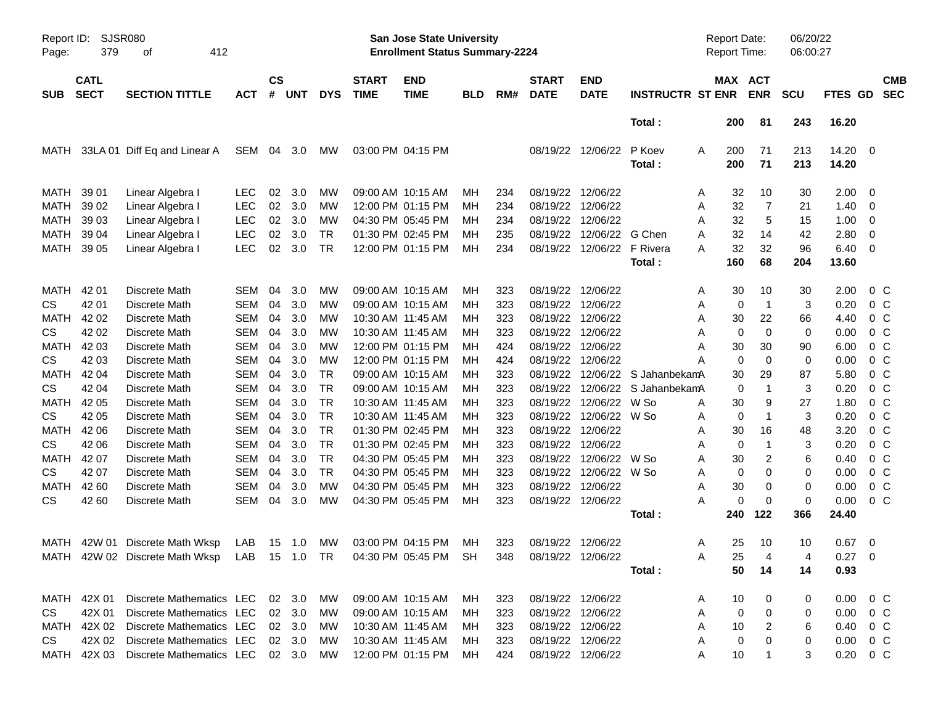| Report ID:<br>Page: | 379                        | <b>SJSR080</b><br>412<br>οf                                       |            |                    |            |            |                             | San Jose State University<br><b>Enrollment Status Summary-2224</b> |            |     |                             |                            |                         | <b>Report Date:</b><br><b>Report Time:</b> |                       | 06/20/22<br>06:00:27 |                |                          |
|---------------------|----------------------------|-------------------------------------------------------------------|------------|--------------------|------------|------------|-----------------------------|--------------------------------------------------------------------|------------|-----|-----------------------------|----------------------------|-------------------------|--------------------------------------------|-----------------------|----------------------|----------------|--------------------------|
| <b>SUB</b>          | <b>CATL</b><br><b>SECT</b> | <b>SECTION TITTLE</b>                                             | ACT        | $\mathsf{cs}$<br># | <b>UNT</b> | <b>DYS</b> | <b>START</b><br><b>TIME</b> | <b>END</b><br><b>TIME</b>                                          | <b>BLD</b> | RM# | <b>START</b><br><b>DATE</b> | <b>END</b><br><b>DATE</b>  | <b>INSTRUCTR ST ENR</b> |                                            | MAX ACT<br><b>ENR</b> | <b>SCU</b>           | FTES GD        | <b>CMB</b><br><b>SEC</b> |
|                     |                            |                                                                   |            |                    |            |            |                             |                                                                    |            |     |                             |                            | Total:                  | 200                                        | 81                    | 243                  | 16.20          |                          |
| MATH                |                            | 33LA 01 Diff Eq and Linear A                                      | SEM 04 3.0 |                    |            | <b>MW</b>  |                             | 03:00 PM 04:15 PM                                                  |            |     |                             | 08/19/22 12/06/22          | P Koev<br>Total:        | A<br>200<br>200                            | 71<br>71              | 213<br>213           | 14.20<br>14.20 | - 0                      |
| MATH                | 39 01                      | Linear Algebra I                                                  | <b>LEC</b> | 02                 | 3.0        | MW         |                             | 09:00 AM 10:15 AM                                                  | MН         | 234 | 08/19/22                    | 12/06/22                   |                         | 32<br>A                                    | 10                    | 30                   | 2.00           | 0                        |
| <b>MATH</b>         | 39 02                      | Linear Algebra I                                                  | <b>LEC</b> | 02                 | 3.0        | MW         |                             | 12:00 PM 01:15 PM                                                  | MН         | 234 | 08/19/22 12/06/22           |                            |                         | 32<br>A                                    | 7                     | 21                   | 1.40           | - 0                      |
| <b>MATH</b>         | 39 03                      | Linear Algebra I                                                  | <b>LEC</b> | 02                 | 3.0        | MW         |                             | 04:30 PM 05:45 PM                                                  | MН         | 234 | 08/19/22 12/06/22           |                            |                         | 32<br>Α                                    | 5                     | 15                   | 1.00           | 0                        |
| <b>MATH</b>         | 39 04                      | Linear Algebra I                                                  | <b>LEC</b> | 02                 | 3.0        | <b>TR</b>  |                             | 01:30 PM 02:45 PM                                                  | MН         | 235 | 08/19/22                    | 12/06/22                   | G Chen                  | Α<br>32                                    | 14                    | 42                   | 2.80           | 0                        |
| <b>MATH</b>         | 39 05                      | Linear Algebra I                                                  | <b>LEC</b> | 02                 | 3.0        | <b>TR</b>  |                             | 12:00 PM 01:15 PM                                                  | MН         | 234 |                             | 08/19/22 12/06/22 F Rivera |                         | 32<br>А                                    | 32                    | 96                   | 6.40           | - 0                      |
|                     |                            |                                                                   |            |                    |            |            |                             |                                                                    |            |     |                             |                            | Total:                  | 160                                        | 68                    | 204                  | 13.60          |                          |
| MATH                | 42 01                      | Discrete Math                                                     | <b>SEM</b> | 04                 | 3.0        | MW         |                             | 09:00 AM 10:15 AM                                                  | MН         | 323 | 08/19/22                    | 12/06/22                   |                         | 30<br>A                                    | 10                    | 30                   | 2.00           | 0 <sup>o</sup>           |
| <b>CS</b>           | 42 01                      | Discrete Math                                                     | <b>SEM</b> | 04                 | 3.0        | MW         |                             | 09:00 AM 10:15 AM                                                  | MН         | 323 | 08/19/22 12/06/22           |                            |                         | A                                          | $\overline{1}$<br>0   | 3                    | 0.20           | 0 <sup>C</sup>           |
| <b>MATH</b>         | 42 02                      | Discrete Math                                                     | <b>SEM</b> | 04                 | 3.0        | MW         |                             | 10:30 AM 11:45 AM                                                  | MН         | 323 | 08/19/22 12/06/22           |                            |                         | 30<br>Α                                    | 22                    | 66                   | 4.40           | 0 <sup>C</sup>           |
| <b>CS</b>           | 42 02                      | Discrete Math                                                     | <b>SEM</b> | 04                 | 3.0        | MW         |                             | 10:30 AM 11:45 AM                                                  | MН         | 323 | 08/19/22                    | 12/06/22                   |                         | Α                                          | $\mathbf 0$<br>0      | 0                    | 0.00           | 0 <sub>C</sub>           |
| <b>MATH</b>         | 42 03                      | Discrete Math                                                     | <b>SEM</b> | 04                 | 3.0        | МW         |                             | 12:00 PM 01:15 PM                                                  | MН         | 424 | 08/19/22                    | 12/06/22                   |                         | 30<br>A                                    | 30                    | 90                   | 6.00           | 0 <sub>C</sub>           |
| <b>CS</b>           | 42 03                      | Discrete Math                                                     | <b>SEM</b> | 04                 | 3.0        | МW         |                             | 12:00 PM 01:15 PM                                                  | MН         | 424 | 08/19/22 12/06/22           |                            |                         | A                                          | $\mathbf 0$<br>0      | 0                    | 0.00           | 0 <sup>o</sup>           |
| <b>MATH</b>         | 42 04                      | Discrete Math                                                     | <b>SEM</b> | 04                 | 3.0        | <b>TR</b>  |                             | 09:00 AM 10:15 AM                                                  | MН         | 323 | 08/19/22                    |                            | 12/06/22 S JahanbekamA  | 30                                         | 29                    | 87                   | 5.80           | 0 <sub>C</sub>           |
| <b>CS</b>           | 42 04                      | Discrete Math                                                     | <b>SEM</b> | 04                 | 3.0        | <b>TR</b>  |                             | 09:00 AM 10:15 AM                                                  | MН         | 323 | 08/19/22                    |                            | 12/06/22 S JahanbekamA  |                                            | $\overline{1}$<br>0   | 3                    | 0.20           | 0 <sup>o</sup>           |
| <b>MATH</b>         | 42 05                      | Discrete Math                                                     | <b>SEM</b> | 04                 | 3.0        | <b>TR</b>  |                             | 10:30 AM 11:45 AM                                                  | MН         | 323 | 08/19/22                    | 12/06/22 W So              |                         | 30<br>A                                    | 9                     | 27                   | 1.80           | 0 <sup>o</sup>           |
| <b>CS</b>           | 42 05                      | Discrete Math                                                     | <b>SEM</b> | 04                 | 3.0        | <b>TR</b>  |                             | 10:30 AM 11:45 AM                                                  | MН         | 323 |                             | 08/19/22 12/06/22 W So     |                         | Α                                          | $\mathbf 1$<br>0      | 3                    | 0.20           | 0 <sup>o</sup>           |
| <b>MATH</b>         | 42 06                      | Discrete Math                                                     | <b>SEM</b> | 04                 | 3.0        | <b>TR</b>  |                             | 01:30 PM 02:45 PM                                                  | MН         | 323 | 08/19/22                    | 12/06/22                   |                         | 30<br>Α                                    | 16                    | 48                   | 3.20           | 0 <sup>o</sup>           |
| <b>CS</b>           | 42 06                      | Discrete Math                                                     | <b>SEM</b> | 04                 | 3.0        | <b>TR</b>  |                             | 01:30 PM 02:45 PM                                                  | MН         | 323 | 08/19/22                    | 12/06/22                   |                         | Α                                          | $\overline{1}$<br>0   | 3                    | 0.20           | 0 <sup>o</sup>           |
| <b>MATH</b>         | 42 07                      | Discrete Math                                                     | <b>SEM</b> | 04                 | 3.0        | <b>TR</b>  |                             | 04:30 PM 05:45 PM                                                  | MН         | 323 |                             | 08/19/22 12/06/22 W So     |                         | 30<br>Α                                    | $\overline{2}$        | 6                    | 0.40           | 0 <sup>o</sup>           |
| <b>CS</b>           | 42 07                      | Discrete Math                                                     | <b>SEM</b> | 04                 | 3.0        | <b>TR</b>  |                             | 04:30 PM 05:45 PM                                                  | MН         | 323 | 08/19/22                    | 12/06/22 W So              |                         | Α                                          | $\mathbf 0$<br>0      | 0                    | 0.00           | 0 <sup>o</sup>           |
| <b>MATH</b>         | 42 60                      | Discrete Math                                                     | <b>SEM</b> | 04                 | 3.0        | MW         |                             | 04:30 PM 05:45 PM                                                  | MН         | 323 | 08/19/22                    | 12/06/22                   |                         | 30<br>Α                                    | 0                     | 0                    | 0.00           | 0 <sub>C</sub>           |
| <b>CS</b>           | 42 60                      | Discrete Math                                                     | <b>SEM</b> | 04                 | 3.0        | MW         |                             | 04:30 PM 05:45 PM                                                  | MН         | 323 | 08/19/22 12/06/22           |                            |                         | А                                          | $\mathbf 0$<br>0      | 0                    | 0.00           | 0 <sub>C</sub>           |
|                     |                            |                                                                   |            |                    |            |            |                             |                                                                    |            |     |                             |                            | Total:                  | 240                                        | 122                   | 366                  | 24.40          |                          |
|                     |                            | MATH 42W 01 Discrete Math Wksp                                    | LAB        |                    | 15 1.0     | МW         |                             | 03:00 PM 04:15 PM                                                  | MН         | 323 | 08/19/22 12/06/22           |                            |                         | 25<br>A                                    | 10                    | 10                   | 0.67           | - 0                      |
|                     |                            | MATH 42W 02 Discrete Math Wksp LAB 15 1.0 TR 04:30 PM 05:45 PM SH |            |                    |            |            |                             |                                                                    |            |     | 348 08/19/22 12/06/22       |                            |                         | 25<br>Α                                    | $\overline{4}$        | 4                    | $0.27$ 0       |                          |
|                     |                            |                                                                   |            |                    |            |            |                             |                                                                    |            |     |                             |                            | Total :                 | 50                                         | 14                    | 14                   | 0.93           |                          |
|                     |                            | MATH 42X 01 Discrete Mathematics LEC 02 3.0                       |            |                    |            | MW         |                             | 09:00 AM 10:15 AM                                                  | MH         | 323 | 08/19/22 12/06/22           |                            |                         | 10<br>A                                    | 0                     | 0                    | $0.00 \t 0 C$  |                          |
| CS                  | 42X 01                     | Discrete Mathematics LEC                                          |            |                    | 02 3.0     | MW.        |                             | 09:00 AM 10:15 AM                                                  | MH.        | 323 | 08/19/22 12/06/22           |                            |                         | Α                                          | 0<br>0                | 0                    | $0.00 \t 0 C$  |                          |
|                     |                            | MATH 42X 02 Discrete Mathematics LEC                              |            |                    | 02 3.0     | MW         |                             | 10:30 AM 11:45 AM                                                  | MH         | 323 | 08/19/22 12/06/22           |                            |                         | Α<br>10                                    | $\overline{2}$        | 6                    | 0.40 0 C       |                          |
| CS                  |                            | 42X 02 Discrete Mathematics LEC                                   |            |                    | 02 3.0     | MW.        |                             | 10:30 AM 11:45 AM                                                  | MН         | 323 | 08/19/22 12/06/22           |                            |                         | A                                          | $\mathbf 0$<br>0      | 0                    | $0.00 \t 0 C$  |                          |
|                     |                            | MATH 42X 03 Discrete Mathematics LEC 02 3.0                       |            |                    |            | MW         |                             | 12:00 PM 01:15 PM                                                  | MН         | 424 | 08/19/22 12/06/22           |                            |                         | 10<br>A                                    | $\mathbf 1$           | 3                    | $0.20 \t 0 C$  |                          |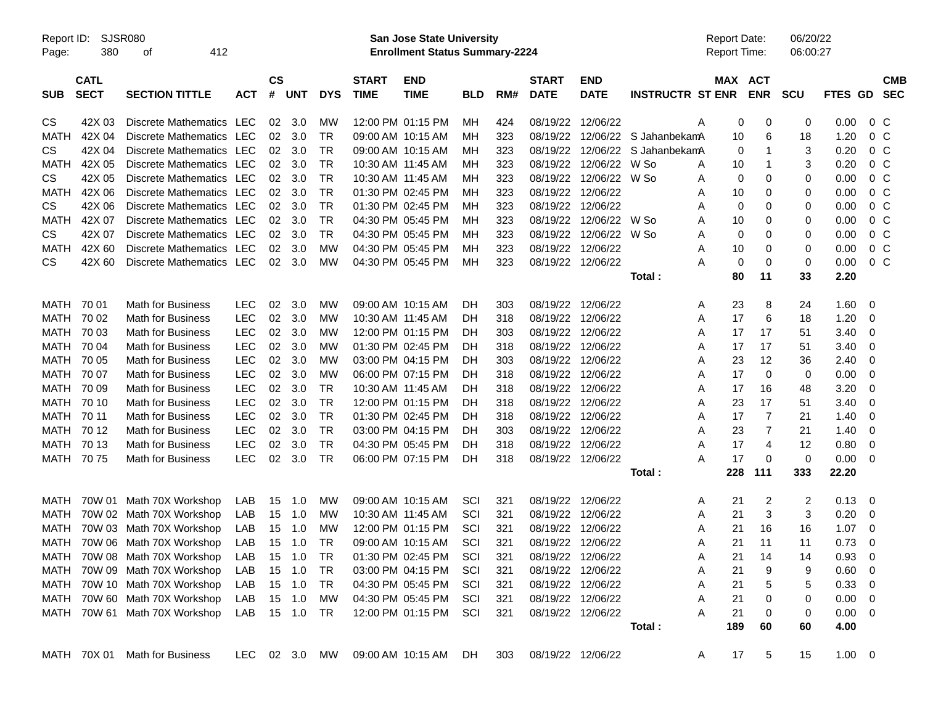| Report ID:<br>Page: | SJSR080<br>380             | 412<br>οf                     |            |                |               |            |                             | San Jose State University<br><b>Enrollment Status Summary-2224</b> |            |     |                             |                           |                         | <b>Report Date:</b><br>Report Time: |            | 06/20/22<br>06:00:27 |                |                |                          |
|---------------------|----------------------------|-------------------------------|------------|----------------|---------------|------------|-----------------------------|--------------------------------------------------------------------|------------|-----|-----------------------------|---------------------------|-------------------------|-------------------------------------|------------|----------------------|----------------|----------------|--------------------------|
| <b>SUB</b>          | <b>CATL</b><br><b>SECT</b> | <b>SECTION TITTLE</b>         | <b>ACT</b> | <b>CS</b><br># | <b>UNT</b>    | <b>DYS</b> | <b>START</b><br><b>TIME</b> | <b>END</b><br><b>TIME</b>                                          | <b>BLD</b> | RM# | <b>START</b><br><b>DATE</b> | <b>END</b><br><b>DATE</b> | <b>INSTRUCTR ST ENR</b> | MAX ACT                             | <b>ENR</b> | <b>SCU</b>           | <b>FTES GD</b> |                | <b>CMB</b><br><b>SEC</b> |
| CS                  | 42X 03                     | Discrete Mathematics LEC      |            | 02             | 3.0           | MW         |                             | 12:00 PM 01:15 PM                                                  | ΜН         | 424 | 08/19/22                    | 12/06/22                  | Α                       | 0                                   | 0          | 0                    | 0.00           | $0\,$ C        |                          |
| <b>MATH</b>         | 42X 04                     | <b>Discrete Mathematics</b>   | <b>LEC</b> | 02             | 3.0           | <b>TR</b>  |                             | 09:00 AM 10:15 AM                                                  | ΜН         | 323 | 08/19/22                    | 12/06/22                  | S JahanbekamA           | 10                                  | 6          | 18                   | 1.20           | 0 <sup>C</sup> |                          |
| CS                  | 42X 04                     | Discrete Mathematics          | LEC        | 02             | 3.0           | <b>TR</b>  |                             | 09:00 AM 10:15 AM                                                  | ΜН         | 323 | 08/19/22                    | 12/06/22                  | S JahanbekamA           | 0                                   | 1          | 3                    | 0.20           | $0\,C$         |                          |
| MATH                | 42X 05                     | <b>Discrete Mathematics</b>   | LEC        | 02             | 3.0           | <b>TR</b>  | 10:30 AM 11:45 AM           |                                                                    | мн         | 323 | 08/19/22                    | 12/06/22                  | W So<br>Α               | 10                                  | 1          | 3                    | 0.20           | $0\,C$         |                          |
| CS                  | 42X 05                     | Discrete Mathematics          | <b>LEC</b> | 02             | 3.0           | <b>TR</b>  | 10:30 AM 11:45 AM           |                                                                    | мн         | 323 | 08/19/22                    | 12/06/22                  | W So<br>Α               | 0                                   | 0          | 0                    | 0.00           | 0 <sup>C</sup> |                          |
| <b>MATH</b>         | 42X 06                     | Discrete Mathematics          | <b>LEC</b> | 02             | 3.0           | <b>TR</b>  |                             | 01:30 PM 02:45 PM                                                  | ΜН         | 323 | 08/19/22                    | 12/06/22                  | Α                       | 10                                  | 0          | 0                    | 0.00           | 0 <sup>C</sup> |                          |
| CS                  | 42X 06                     | <b>Discrete Mathematics</b>   | LEC        | 02             | 3.0           | <b>TR</b>  |                             | 01:30 PM 02:45 PM                                                  | ΜН         | 323 | 08/19/22                    | 12/06/22                  | Α                       | 0                                   | 0          | 0                    | 0.00           | 0 <sup>C</sup> |                          |
| <b>MATH</b>         | 42X 07                     | Discrete Mathematics          | <b>LEC</b> | 02             | 3.0           | <b>TR</b>  |                             | 04:30 PM 05:45 PM                                                  | ΜН         | 323 | 08/19/22                    | 12/06/22                  | W So<br>Α               | 10                                  | 0          | 0                    | 0.00           | 0 <sup>C</sup> |                          |
| CS                  | 42X 07                     | Discrete Mathematics          | <b>LEC</b> | 02             | 3.0           | <b>TR</b>  |                             | 04:30 PM 05:45 PM                                                  | ΜН         | 323 | 08/19/22                    | 12/06/22                  | W So<br>Α               | 0                                   | 0          | 0                    | 0.00           | 0 <sup>C</sup> |                          |
| <b>MATH</b>         | 42X 60                     | Discrete Mathematics          | LEC        | 02             | 3.0           | МW         |                             | 04:30 PM 05:45 PM                                                  | ΜН         | 323 | 08/19/22                    | 12/06/22                  | Α                       | 10                                  | 0          | 0                    | 0.00           | 0 <sup>C</sup> |                          |
| CS.                 | 42X 60                     | Discrete Mathematics          | <b>LEC</b> | 02             | 3.0           | МW         |                             | 04:30 PM 05:45 PM                                                  | МH         | 323 | 08/19/22                    | 12/06/22                  | Α                       | 0                                   | 0          | 0                    | 0.00           | 0 <sup>C</sup> |                          |
|                     |                            |                               |            |                |               |            |                             |                                                                    |            |     |                             |                           | Total:                  | 80                                  | 11         | 33                   | 2.20           |                |                          |
| MATH                | 70 01                      | <b>Math for Business</b>      | <b>LEC</b> | 02             | 3.0           | MW         |                             | 09:00 AM 10:15 AM                                                  | DH         | 303 | 08/19/22                    | 12/06/22                  | A                       | 23                                  | 8          | 24                   | 1.60           | 0              |                          |
| <b>MATH</b>         | 70 02                      | <b>Math for Business</b>      | <b>LEC</b> | 02             | 3.0           | MW         | 10:30 AM 11:45 AM           |                                                                    | DH         | 318 | 08/19/22                    | 12/06/22                  | Α                       | 17                                  | 6          | 18                   | 1.20           | 0              |                          |
| MATH                | 70 03                      | Math for Business             | <b>LEC</b> | 02             | 3.0           | МW         |                             | 12:00 PM 01:15 PM                                                  | DH         | 303 | 08/19/22                    | 12/06/22                  | Α                       | 17                                  | 17         | 51                   | 3.40           | 0              |                          |
| MATH                | 70 04                      | <b>Math for Business</b>      | <b>LEC</b> | 02             | 3.0           | MW         |                             | 01:30 PM 02:45 PM                                                  | DH         | 318 | 08/19/22                    | 12/06/22                  | Α                       | 17                                  | 17         | 51                   | 3.40           | 0              |                          |
| MATH                | 70 05                      | <b>Math for Business</b>      | <b>LEC</b> | 02             | 3.0           | MW         |                             | 03:00 PM 04:15 PM                                                  | DH         | 303 | 08/19/22                    | 12/06/22                  | Α                       | 23                                  | 12         | 36                   | 2.40           | 0              |                          |
| MATH                | 70 07                      | <b>Math for Business</b>      | <b>LEC</b> | 02             | 3.0           | MW         |                             | 06:00 PM 07:15 PM                                                  | DH         | 318 | 08/19/22                    | 12/06/22                  | Α                       | 17                                  | 0          | 0                    | 0.00           | 0              |                          |
| MATH                | 70 09                      | <b>Math for Business</b>      | <b>LEC</b> | 02             | 3.0           | TR         | 10:30 AM 11:45 AM           |                                                                    | DН         | 318 | 08/19/22                    | 12/06/22                  | Α                       | 17                                  |            | 48                   |                | 0              |                          |
|                     |                            | <b>Math for Business</b>      |            |                |               |            |                             | 12:00 PM 01:15 PM                                                  |            |     |                             |                           |                         |                                     | 16         |                      | 3.20           |                |                          |
| MATH                | 70 10                      | <b>Math for Business</b>      | <b>LEC</b> | 02             | 3.0           | <b>TR</b>  |                             | 01:30 PM 02:45 PM                                                  | DH         | 318 | 08/19/22                    | 12/06/22                  | Α                       | 23                                  | 17<br>7    | 51                   | 3.40           | 0              |                          |
| MATH                | 70 11                      | <b>Math for Business</b>      | <b>LEC</b> | 02             | 3.0           | <b>TR</b>  |                             | 03:00 PM 04:15 PM                                                  | DH         | 318 | 08/19/22                    | 12/06/22                  | Α                       | 17                                  |            | 21                   | 1.40           | 0              |                          |
| MATH                | 70 12                      |                               | <b>LEC</b> | 02             | 3.0           | <b>TR</b>  |                             |                                                                    | DН         | 303 | 08/19/22                    | 12/06/22                  | Α                       | 23                                  | 7          | 21                   | 1.40           | 0              |                          |
| <b>MATH</b>         | 70 13                      | <b>Math for Business</b>      | <b>LEC</b> | 02             | 3.0           | <b>TR</b>  |                             | 04:30 PM 05:45 PM                                                  | DH         | 318 | 08/19/22                    | 12/06/22                  | Α                       | 17                                  | 4          | 12                   | 0.80           | 0              |                          |
| <b>MATH</b>         | 7075                       | <b>Math for Business</b>      | <b>LEC</b> | 02             | 3.0           | <b>TR</b>  |                             | 06:00 PM 07:15 PM                                                  | DH         | 318 |                             | 08/19/22 12/06/22         | Α                       | 17                                  | 0          | 0                    | 0.00           | 0              |                          |
|                     |                            |                               |            |                |               |            |                             |                                                                    |            |     |                             |                           | Total:                  | 228                                 | 111        | 333                  | 22.20          |                |                          |
| MATH                | 70W 01                     | Math 70X Workshop             | LAB        | 15             | 1.0           | MW         |                             | 09:00 AM 10:15 AM                                                  | SCI        | 321 | 08/19/22                    | 12/06/22                  | A                       | 21                                  | 2          | 2                    | 0.13           | 0              |                          |
| MATH                | 70W 02                     | Math 70X Workshop             | LAB        | 15             | 1.0           | МW         | 10:30 AM 11:45 AM           |                                                                    | SCI        | 321 | 08/19/22                    | 12/06/22                  | Α                       | 21                                  | 3          | 3                    | 0.20           | 0              |                          |
| MATH                | 70W 03                     | Math 70X Workshop             | LAB        | 15             | 1.0           | МW         |                             | 12:00 PM 01:15 PM                                                  | SCI        | 321 | 08/19/22                    | 12/06/22                  | Α                       | 21                                  | 16         | 16                   | 1.07           | 0              |                          |
| <b>MATH</b>         |                            | 70W 06 Math 70X Workshop      | LAB        | 15             | 1.0           | TR         |                             | 09:00 AM 10:15 AM                                                  | SCI        | 321 |                             | 08/19/22 12/06/22         | Α                       | 21                                  | 11         | 11                   | 0.73           | 0              |                          |
|                     |                            | MATH 70W 08 Math 70X Workshop | LAB        |                | 15 1.0        | TR         |                             | 01:30 PM 02:45 PM                                                  | SCI        | 321 | 08/19/22 12/06/22           |                           | Α                       | 21                                  | 14         | 14                   | $0.93 \ 0$     |                |                          |
|                     |                            | MATH 70W 09 Math 70X Workshop | LAB        |                | 15 1.0        | TR         |                             | 03:00 PM 04:15 PM                                                  | SCI        | 321 |                             | 08/19/22 12/06/22         | Α                       | 21                                  | 9          | 9                    | $0.60 \quad 0$ |                |                          |
|                     |                            | MATH 70W 10 Math 70X Workshop | LAB        |                | 15 1.0        | TR         |                             | 04:30 PM 05:45 PM                                                  | SCI        | 321 |                             | 08/19/22 12/06/22         | Α                       | 21                                  | 5          | 5                    | 0.33 0         |                |                          |
|                     |                            | MATH 70W 60 Math 70X Workshop | LAB        |                | 15 1.0        | МW         |                             | 04:30 PM 05:45 PM                                                  | SCI        | 321 |                             | 08/19/22 12/06/22         | Α                       | 21                                  | 0          | 0                    | $0.00 \quad 0$ |                |                          |
|                     |                            | MATH 70W 61 Math 70X Workshop | LAB        |                | 15 1.0        | TR         |                             | 12:00 PM 01:15 PM                                                  | SCI        | 321 |                             | 08/19/22 12/06/22         | Α                       | 21                                  | 0          | 0                    | $0.00 \t 0$    |                |                          |
|                     |                            |                               |            |                |               |            |                             |                                                                    |            |     |                             |                           | Total:                  | 189                                 | 60         | 60                   | 4.00           |                |                          |
|                     |                            | MATH 70X 01 Math for Business |            |                | LEC 02 3.0 MW |            |                             | 09:00 AM 10:15 AM                                                  | DH.        | 303 | 08/19/22 12/06/22           |                           | A                       | 17                                  | 5          | 15                   | $1.00 \t 0$    |                |                          |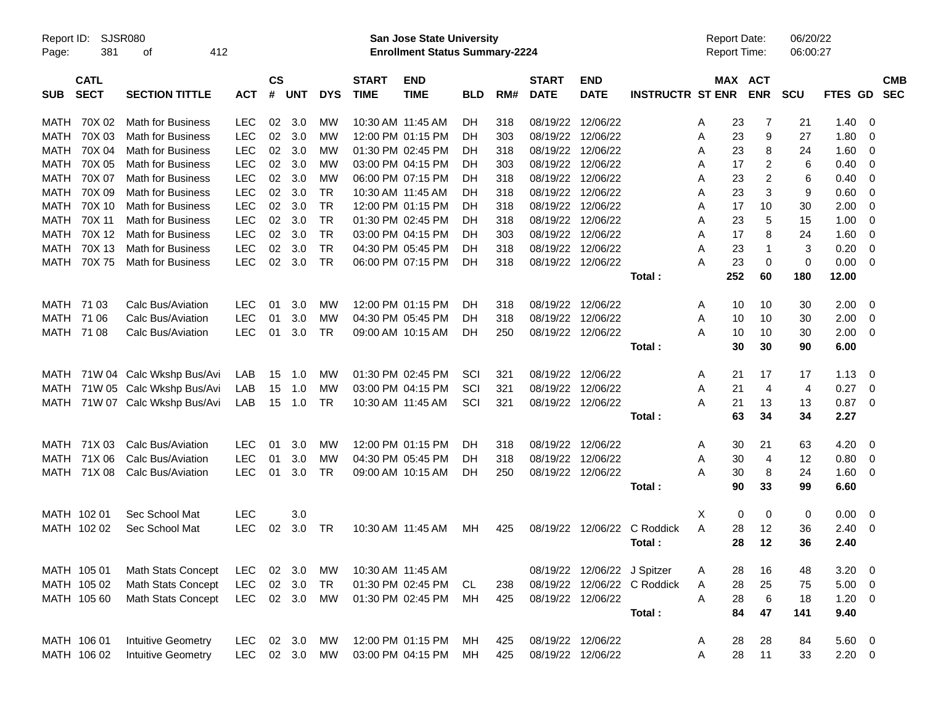| Page:      | Report ID:<br>SJSR080<br>381<br>412<br>оf<br><b>CATL</b>                   |                           |            |                |            |            |                             | San Jose State University<br><b>Enrollment Status Summary-2224</b> |            |     |                             |                             |                             | <b>Report Date:</b><br>Report Time: |                       | 06/20/22<br>06:00:27 |                |                          |                          |
|------------|----------------------------------------------------------------------------|---------------------------|------------|----------------|------------|------------|-----------------------------|--------------------------------------------------------------------|------------|-----|-----------------------------|-----------------------------|-----------------------------|-------------------------------------|-----------------------|----------------------|----------------|--------------------------|--------------------------|
| <b>SUB</b> | <b>SECT</b><br><b>SECTION TITTLE</b><br>70X 02<br><b>Math for Business</b> |                           | <b>ACT</b> | <b>CS</b><br># | <b>UNT</b> | <b>DYS</b> | <b>START</b><br><b>TIME</b> | <b>END</b><br><b>TIME</b>                                          | <b>BLD</b> | RM# | <b>START</b><br><b>DATE</b> | <b>END</b><br><b>DATE</b>   | <b>INSTRUCTR ST ENR</b>     |                                     | MAX ACT<br><b>ENR</b> | <b>SCU</b>           | <b>FTES GD</b> |                          | <b>CMB</b><br><b>SEC</b> |
| MATH       |                                                                            |                           | <b>LEC</b> | 02             | 3.0        | MW         |                             | 10:30 AM 11:45 AM                                                  | DН         | 318 |                             | 08/19/22 12/06/22           |                             | A                                   | 23<br>7               | 21                   | 1.40           | - 0                      |                          |
| MATH       | 70X 03                                                                     | <b>Math for Business</b>  | <b>LEC</b> | 02             | 3.0        | МW         |                             | 12:00 PM 01:15 PM                                                  | DН         | 303 |                             | 08/19/22 12/06/22           |                             | 23<br>Α                             | 9                     | 27                   | 1.80           | - 0                      |                          |
| MATH       | 70X 04                                                                     | <b>Math for Business</b>  | <b>LEC</b> | 02             | 3.0        | МW         |                             | 01:30 PM 02:45 PM                                                  | DH         | 318 |                             | 08/19/22 12/06/22           |                             | 23<br>A                             | 8                     | 24                   | 1.60           | 0                        |                          |
| MATH       | 70X 05                                                                     | <b>Math for Business</b>  | <b>LEC</b> | 02             | 3.0        | МW         |                             | 03:00 PM 04:15 PM                                                  | DH         | 303 |                             | 08/19/22 12/06/22           |                             | 17<br>A                             | 2                     | 6                    | 0.40           | 0                        |                          |
| MATH       | 70X 07                                                                     | Math for Business         | <b>LEC</b> | 02             | 3.0        | МW         |                             | 06:00 PM 07:15 PM                                                  | DH         | 318 |                             | 08/19/22 12/06/22           |                             | 23<br>Α                             | $\overline{c}$        | 6                    | 0.40           | 0                        |                          |
| MATH       | 70X 09                                                                     | <b>Math for Business</b>  | <b>LEC</b> | 02             | 3.0        | TR.        |                             | 10:30 AM 11:45 AM                                                  | DH         | 318 |                             | 08/19/22 12/06/22           |                             | 23<br>A                             | 3                     | 9                    | 0.60           | 0                        |                          |
| MATH       | 70X 10                                                                     | Math for Business         | <b>LEC</b> | 02             | 3.0        | TR         |                             | 12:00 PM 01:15 PM                                                  | DH         | 318 |                             | 08/19/22 12/06/22           |                             | 17<br>Α                             | 10                    | 30                   | 2.00           | 0                        |                          |
| MATH       | 70X 11                                                                     | <b>Math for Business</b>  | <b>LEC</b> | 02             | 3.0        | <b>TR</b>  |                             | 01:30 PM 02:45 PM                                                  | DH         | 318 |                             | 08/19/22 12/06/22           |                             | Α<br>23                             | 5                     | 15                   | 1.00           | 0                        |                          |
| MATH       | 70X 12                                                                     | Math for Business         | <b>LEC</b> | 02             | 3.0        | <b>TR</b>  |                             | 03:00 PM 04:15 PM                                                  | DH         | 303 |                             | 08/19/22 12/06/22           |                             | 17<br>A                             | 8                     | 24                   | 1.60           | 0                        |                          |
| MATH       | 70X 13                                                                     | Math for Business         | <b>LEC</b> | 02             | 3.0        | <b>TR</b>  |                             | 04:30 PM 05:45 PM                                                  | DH         | 318 |                             | 08/19/22 12/06/22           |                             | 23<br>A                             | $\mathbf 1$           | 3                    | 0.20           | 0                        |                          |
| MATH       | 70X75                                                                      | <b>Math for Business</b>  | <b>LEC</b> | 02             | 3.0        | <b>TR</b>  |                             | 06:00 PM 07:15 PM                                                  | DH         | 318 |                             | 08/19/22 12/06/22           |                             | 23<br>А                             | $\mathbf 0$           | 0                    | 0.00           | $\overline{\mathbf{0}}$  |                          |
|            |                                                                            |                           |            |                |            |            |                             |                                                                    |            |     |                             |                             | Total:                      | 252                                 | 60                    | 180                  | 12.00          |                          |                          |
|            |                                                                            |                           |            |                |            |            |                             |                                                                    |            |     |                             |                             |                             |                                     |                       |                      |                |                          |                          |
| MATH       | 71 03                                                                      | Calc Bus/Aviation         | <b>LEC</b> | 01             | 3.0        | MW         |                             | 12:00 PM 01:15 PM                                                  | DН         | 318 |                             | 08/19/22 12/06/22           |                             | A                                   | 10<br>10              | 30                   | 2.00           | $\overline{\phantom{0}}$ |                          |
| MATH       | 71 06                                                                      | Calc Bus/Aviation         | <b>LEC</b> | 01             | 3.0        | МW         |                             | 04:30 PM 05:45 PM                                                  | DH         | 318 |                             | 08/19/22 12/06/22           |                             | Α<br>10                             | 10                    | 30                   | 2.00           | $\overline{\mathbf{0}}$  |                          |
|            | MATH 71 08                                                                 | Calc Bus/Aviation         | <b>LEC</b> | 01             | 3.0        | TR.        |                             | 09:00 AM 10:15 AM                                                  | DH.        | 250 |                             | 08/19/22 12/06/22           |                             | А<br>10                             | 10                    | 30                   | 2.00           | $\overline{\phantom{0}}$ |                          |
|            |                                                                            |                           |            |                |            |            |                             |                                                                    |            |     |                             |                             | Total:                      |                                     | 30<br>30              | 90                   | 6.00           |                          |                          |
| MATH       |                                                                            | 71W 04 Calc Wkshp Bus/Avi | LAB        | 15             | 1.0        | МW         |                             | 01:30 PM 02:45 PM                                                  | SCI        | 321 |                             | 08/19/22 12/06/22           |                             | 21<br>A                             | 17                    | 17                   | 1.13           | $\overline{\mathbf{0}}$  |                          |
| MATH       |                                                                            | 71W 05 Calc Wkshp Bus/Avi | LAB        | 15             | 1.0        | МW         |                             | 03:00 PM 04:15 PM                                                  | SCI        | 321 |                             | 08/19/22 12/06/22           |                             | 21<br>A                             | 4                     | 4                    | 0.27           | $\overline{\mathbf{0}}$  |                          |
| MATH       |                                                                            | 71W 07 Calc Wkshp Bus/Avi | LAB        | 15             | 1.0        | <b>TR</b>  |                             | 10:30 AM 11:45 AM                                                  | SCI        | 321 |                             | 08/19/22 12/06/22           |                             | 21<br>А                             | 13                    | 13                   | $0.87$ 0       |                          |                          |
|            |                                                                            |                           |            |                |            |            |                             |                                                                    |            |     |                             |                             | Total:                      | 63                                  | 34                    | 34                   | 2.27           |                          |                          |
| MATH       | 71X 03                                                                     | Calc Bus/Aviation         | <b>LEC</b> | 01             | 3.0        | MW         |                             | 12:00 PM 01:15 PM                                                  | DН         | 318 |                             | 08/19/22 12/06/22           |                             | 30<br>A                             | 21                    | 63                   | 4.20           | $\overline{\phantom{0}}$ |                          |
| MATH       | 71X 06                                                                     | Calc Bus/Aviation         | <b>LEC</b> | 01             | 3.0        | МW         |                             | 04:30 PM 05:45 PM                                                  | DН         | 318 |                             | 08/19/22 12/06/22           |                             | 30<br>A                             | 4                     | 12                   | 0.80           | $\overline{\mathbf{0}}$  |                          |
| MATH       | 71X 08                                                                     | Calc Bus/Aviation         | <b>LEC</b> | 01             | 3.0        | TR         |                             | 09:00 AM 10:15 AM                                                  | DH.        | 250 |                             | 08/19/22 12/06/22           |                             | 30<br>Α                             | 8                     | 24                   | 1.60           | $\overline{\mathbf{0}}$  |                          |
|            |                                                                            |                           |            |                |            |            |                             |                                                                    |            |     |                             |                             | Total :                     | 90                                  | 33                    | 99                   | 6.60           |                          |                          |
|            |                                                                            |                           |            |                |            |            |                             |                                                                    |            |     |                             |                             |                             |                                     |                       |                      |                |                          |                          |
|            | MATH 102 01                                                                | Sec School Mat            | <b>LEC</b> |                | 3.0        |            |                             |                                                                    |            |     |                             |                             |                             | X                                   | 0<br>0                | 0                    | 0.00           | - 0                      |                          |
|            | MATH 102 02                                                                | Sec School Mat            | <b>LEC</b> | 02             | 3.0        | TR         |                             | 10:30 AM 11:45 AM                                                  | MН         | 425 |                             | 08/19/22 12/06/22           | C Roddick                   | 28<br>A                             | 12                    | 36                   | 2.40           | $\overline{\mathbf{0}}$  |                          |
|            |                                                                            |                           |            |                |            |            |                             |                                                                    |            |     |                             |                             | Total:                      |                                     | 28<br>12              | 36                   | 2.40           |                          |                          |
|            | MATH 105 01                                                                | Math Stats Concept        | <b>LEC</b> |                | 02 3.0     | МW         |                             | 10:30 AM 11:45 AM                                                  |            |     |                             | 08/19/22 12/06/22 J Spitzer |                             | 28<br>A                             | 16                    | 48                   | $3.20 \ 0$     |                          |                          |
|            | MATH 105 02                                                                | Math Stats Concept        | <b>LEC</b> |                | 02 3.0     | TR         |                             | 01:30 PM 02:45 PM                                                  | CL         | 238 |                             |                             | 08/19/22 12/06/22 C Roddick | Α                                   | 25<br>28              | 75                   | $5.00 \t 0$    |                          |                          |
|            | MATH 105 60                                                                | <b>Math Stats Concept</b> | <b>LEC</b> |                | 02 3.0     | MW         |                             | 01:30 PM 02:45 PM                                                  | МH         | 425 |                             | 08/19/22 12/06/22           |                             | A                                   | 6<br>28               | 18                   | $1.20 \t 0$    |                          |                          |
|            |                                                                            |                           |            |                |            |            |                             |                                                                    |            |     |                             |                             | Total:                      | 84                                  | 47                    | 141                  | 9.40           |                          |                          |
|            |                                                                            |                           |            |                |            |            |                             |                                                                    |            |     |                             |                             |                             |                                     |                       |                      |                |                          |                          |
|            | MATH 106 01                                                                | <b>Intuitive Geometry</b> | <b>LEC</b> |                | 02 3.0     | МW         |                             | 12:00 PM 01:15 PM                                                  | МH         | 425 |                             | 08/19/22 12/06/22           |                             | 28<br>A                             | 28                    | 84                   | 5.60 0         |                          |                          |
|            | MATH 106 02                                                                | <b>Intuitive Geometry</b> | <b>LEC</b> |                | 02 3.0     | МW         |                             | 03:00 PM 04:15 PM                                                  | МH         | 425 |                             | 08/19/22 12/06/22           |                             | A                                   | 11<br>28              | 33                   | $2.20 \t 0$    |                          |                          |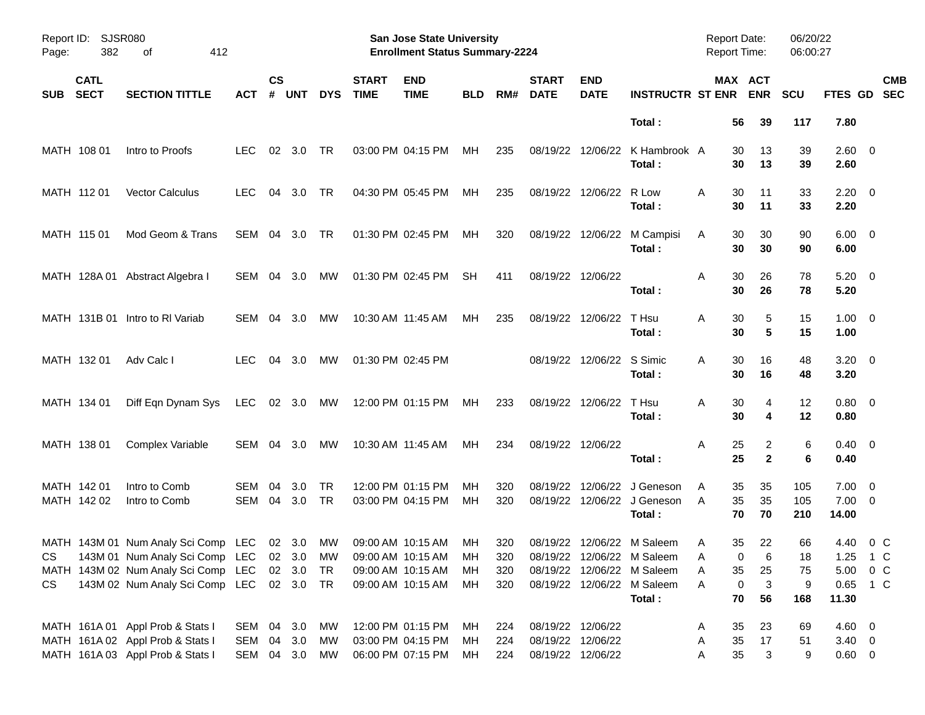| Report ID:<br>Page: | 382                        | <b>SJSR080</b><br>412<br>οf                |               |                    |                |            |                             | <b>San Jose State University</b><br><b>Enrollment Status Summary-2224</b> |            |            |                             |                           |                                                             | Report Date:<br>Report Time: |                       | 06/20/22<br>06:00:27 |                              |                           |
|---------------------|----------------------------|--------------------------------------------|---------------|--------------------|----------------|------------|-----------------------------|---------------------------------------------------------------------------|------------|------------|-----------------------------|---------------------------|-------------------------------------------------------------|------------------------------|-----------------------|----------------------|------------------------------|---------------------------|
| <b>SUB</b>          | <b>CATL</b><br><b>SECT</b> | <b>SECTION TITTLE</b>                      | АСТ           | $\mathsf{cs}$<br># | <b>UNT</b>     | <b>DYS</b> | <b>START</b><br><b>TIME</b> | <b>END</b><br><b>TIME</b>                                                 | <b>BLD</b> | RM#        | <b>START</b><br><b>DATE</b> | <b>END</b><br><b>DATE</b> | <b>INSTRUCTR ST ENR</b>                                     |                              | MAX ACT<br><b>ENR</b> | <b>SCU</b>           |                              | <b>CMB</b><br>FTES GD SEC |
|                     |                            |                                            |               |                    |                |            |                             |                                                                           |            |            |                             |                           | Total:                                                      | 56                           | 39                    | 117                  | 7.80                         |                           |
|                     | MATH 108 01                | Intro to Proofs                            | LEC.          |                    | $02 \quad 3.0$ | TR         |                             | 03:00 PM 04:15 PM                                                         | МH         | 235        |                             |                           | 08/19/22 12/06/22 K Hambrook A<br>Total:                    | 30<br>30                     | 13<br>13              | 39<br>39             | $2.60 \quad 0$<br>2.60       |                           |
|                     | MATH 112 01                | <b>Vector Calculus</b>                     | <b>LEC</b>    | 04                 | 3.0            | TR         |                             | 04:30 PM 05:45 PM                                                         | МH         | 235        |                             | 08/19/22 12/06/22         | R Low<br>Total:                                             | 30<br>A<br>30                | 11<br>11              | 33<br>33             | $2.20 \t 0$<br>2.20          |                           |
|                     | MATH 115 01                | Mod Geom & Trans                           | SEM 04        |                    | - 3.0          | TR         |                             | 01:30 PM 02:45 PM                                                         | МH         | 320        |                             |                           | 08/19/22 12/06/22 M Campisi<br>Total:                       | 30<br>A<br>30                | 30<br>30              | 90<br>90             | $6.00 \quad 0$<br>6.00       |                           |
|                     |                            | MATH 128A 01 Abstract Algebra I            | SEM 04        |                    | - 3.0          | MW         |                             | 01:30 PM 02:45 PM                                                         | <b>SH</b>  | 411        |                             | 08/19/22 12/06/22         | Total:                                                      | 30<br>A<br>30                | 26<br>26              | 78<br>78             | $5.20 \ 0$<br>5.20           |                           |
|                     |                            | MATH 131B 01 Intro to RI Variab            | SEM 04        |                    | - 3.0          | MW         |                             | 10:30 AM 11:45 AM                                                         | MН         | 235        |                             | 08/19/22 12/06/22         | T Hsu<br>Total:                                             | A<br>30<br>30                | 5<br>5                | 15<br>15             | $1.00 \t 0$<br>1.00          |                           |
|                     | MATH 132 01                | Adv Calc I                                 | <b>LEC</b>    |                    | 04 3.0         | MW         |                             | 01:30 PM 02:45 PM                                                         |            |            |                             | 08/19/22 12/06/22 S Simic | Total:                                                      | 30<br>A<br>30                | 16<br>16              | 48<br>48             | $3.20 \ 0$<br>3.20           |                           |
|                     | MATH 134 01                | Diff Eqn Dynam Sys                         | LEC 02 3.0    |                    |                | МW         |                             | 12:00 PM 01:15 PM                                                         | МH         | 233        |                             | 08/19/22 12/06/22         | T Hsu<br>Total:                                             | A<br>30<br>30                | 4<br>4                | 12<br>12             | $0.80 \quad 0$<br>0.80       |                           |
|                     | MATH 138 01                | Complex Variable                           | SEM 04 3.0    |                    |                | MW         |                             | 10:30 AM 11:45 AM                                                         | МH         | 234        |                             | 08/19/22 12/06/22         | Total:                                                      | A<br>25<br>25                | 2<br>$\overline{2}$   | 6<br>6               | $0.40 \quad 0$<br>0.40       |                           |
|                     | MATH 142 01<br>MATH 142 02 | Intro to Comb<br>Intro to Comb             | SEM<br>SEM 04 | 04                 | 3.0<br>3.0     | TR<br>TR   |                             | 12:00 PM 01:15 PM<br>03:00 PM 04:15 PM                                    | MН<br>MH   | 320<br>320 | 08/19/22                    |                           | 12/06/22 J Geneson<br>08/19/22 12/06/22 J Geneson<br>Total: | A<br>35<br>A<br>35<br>70     | 35<br>35<br>70        | 105<br>105<br>210    | 7.00<br>$7.00 \t 0$<br>14.00 | $\overline{\mathbf{0}}$   |
|                     |                            | MATH 143M 01 Num Analy Sci Comp LEC 02 3.0 |               |                    |                | МW         |                             | 09:00 AM 10:15 AM                                                         | MН         | 320        |                             |                           | 08/19/22 12/06/22 M Saleem                                  | 35<br>A                      | 22                    | 66                   | 4.40                         | 0 C                       |
| CS                  |                            | 143M 01 Num Analy Sci Comp LEC 02 3.0 MW   |               |                    |                |            |                             | 09:00 AM 10:15 AM                                                         | MH         | 320        |                             |                           | 08/19/22 12/06/22 M Saleem                                  | A                            | $\mathbf 0$<br>6      | 18                   | 1.25 1 C                     |                           |
|                     |                            | MATH 143M 02 Num Analy Sci Comp LEC 02 3.0 |               |                    |                | - TR       |                             | 09:00 AM 10:15 AM                                                         | МH         | 320        |                             |                           | 08/19/22 12/06/22 M Saleem                                  | 35<br>Α                      | 25                    | 75                   | $5.00 \t 0 \t C$             |                           |
| CS                  |                            | 143M 02 Num Analy Sci Comp LEC 02 3.0 TR   |               |                    |                |            |                             | 09:00 AM 10:15 AM                                                         | МH         | 320        |                             |                           | 08/19/22 12/06/22 M Saleem                                  | Α                            | $\mathbf{3}$<br>0     | 9                    | 0.65 1 C                     |                           |
|                     |                            |                                            |               |                    |                |            |                             |                                                                           |            |            |                             |                           | Total:                                                      | 70                           | 56                    | 168                  | 11.30                        |                           |
|                     |                            | MATH 161A 01 Appl Prob & Stats I           | SEM 04 3.0    |                    |                | МW         |                             | 12:00 PM 01:15 PM                                                         | MН         | 224        |                             | 08/19/22 12/06/22         |                                                             | 35<br>A                      | 23                    | 69                   | 4.60 0                       |                           |
|                     |                            | MATH 161A 02 Appl Prob & Stats I           | SEM 04        |                    | 3.0            | МW         |                             | 03:00 PM 04:15 PM                                                         | МH         | 224        |                             | 08/19/22 12/06/22         |                                                             | 35<br>A                      | 17                    | 51                   | $3.40 \ 0$                   |                           |
|                     |                            | MATH 161A 03 Appl Prob & Stats I           | SEM 04 3.0    |                    |                | МW         |                             | 06:00 PM 07:15 PM                                                         | МH         | 224        |                             | 08/19/22 12/06/22         |                                                             | 35<br>Α                      | 3                     | 9                    | $0.60 \t 0$                  |                           |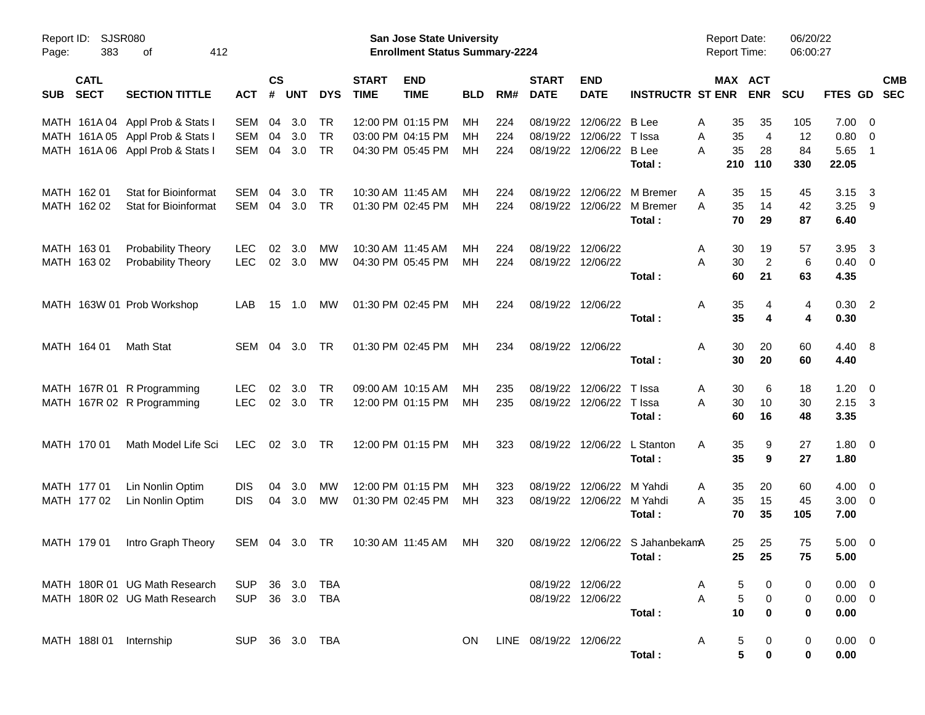| Page:      | Report ID: SJSR080<br>383<br>412<br>οf<br><b>CATL</b> |                                  |                |                    |            |            |                             | San Jose State University<br><b>Enrollment Status Summary-2224</b> |            |     |                             |                           |                         | <b>Report Date:</b><br><b>Report Time:</b> |                | 06/20/22<br>06:00:27 |                |                            |                          |
|------------|-------------------------------------------------------|----------------------------------|----------------|--------------------|------------|------------|-----------------------------|--------------------------------------------------------------------|------------|-----|-----------------------------|---------------------------|-------------------------|--------------------------------------------|----------------|----------------------|----------------|----------------------------|--------------------------|
| <b>SUB</b> | <b>SECT</b>                                           | <b>SECTION TITTLE</b>            | <b>ACT</b>     | $\mathsf{cs}$<br># | <b>UNT</b> | <b>DYS</b> | <b>START</b><br><b>TIME</b> | <b>END</b><br><b>TIME</b>                                          | <b>BLD</b> | RM# | <b>START</b><br><b>DATE</b> | <b>END</b><br><b>DATE</b> | <b>INSTRUCTR ST ENR</b> | MAX ACT                                    | <b>ENR</b>     | <b>SCU</b>           | <b>FTES GD</b> |                            | <b>CMB</b><br><b>SEC</b> |
|            |                                                       | MATH 161A 04 Appl Prob & Stats I | SEM            | 04                 | 3.0        | <b>TR</b>  |                             | 12:00 PM 01:15 PM                                                  | МH         | 224 | 08/19/22                    | 12/06/22                  | <b>B</b> Lee            | 35<br>Α                                    | 35             | 105                  | 7.00           | $\overline{\phantom{0}}$   |                          |
|            |                                                       | MATH 161A 05 Appl Prob & Stats I | SEM            | 04                 | 3.0        | <b>TR</b>  |                             | 03:00 PM 04:15 PM                                                  | MН         | 224 | 08/19/22                    | 12/06/22                  | T Issa                  | 35<br>Α                                    | 4              | 12                   | 0.80           | $\overline{\mathbf{0}}$    |                          |
|            |                                                       | MATH 161A 06 Appl Prob & Stats I | SEM            | 04                 | 3.0        | <b>TR</b>  |                             | 04:30 PM 05:45 PM                                                  | MН         | 224 | 08/19/22                    | 12/06/22                  | <b>B</b> Lee            | 35<br>Α                                    | 28             | 84                   | 5.65           | $\overline{\phantom{0}}$ 1 |                          |
|            |                                                       |                                  |                |                    |            |            |                             |                                                                    |            |     |                             |                           | Total:                  | 210                                        | 110            | 330                  | 22.05          |                            |                          |
|            | MATH 162 01                                           | Stat for Bioinformat             | SEM            | 04                 | 3.0        | <b>TR</b>  |                             | 10:30 AM 11:45 AM                                                  | MН         | 224 | 08/19/22                    | 12/06/22                  | M Bremer                | A<br>35                                    | 15             | 45                   | 3.15           | $\overline{\mathbf{3}}$    |                          |
|            | MATH 162 02                                           | <b>Stat for Bioinformat</b>      | SEM            |                    | 04 3.0     | TR         |                             | 01:30 PM 02:45 PM                                                  | MН         | 224 | 08/19/22                    | 12/06/22                  | M Bremer                | 35<br>A                                    | 14             | 42                   | $3.25$ 9       |                            |                          |
|            |                                                       |                                  |                |                    |            |            |                             |                                                                    |            |     |                             |                           | Total:                  | 70                                         | 29             | 87                   | 6.40           |                            |                          |
|            | MATH 163 01                                           | <b>Probability Theory</b>        | <b>LEC</b>     | 02                 | 3.0        | MW         |                             | 10:30 AM 11:45 AM                                                  | MН         | 224 | 08/19/22                    | 12/06/22                  |                         | A<br>30                                    | 19             | 57                   | 3.95           | $\overline{\mathbf{3}}$    |                          |
|            | MATH 163 02                                           | <b>Probability Theory</b>        | <b>LEC</b>     | 02                 | 3.0        | МW         |                             | 04:30 PM 05:45 PM                                                  | MН         | 224 |                             | 08/19/22 12/06/22         |                         | 30<br>A                                    | $\overline{2}$ | 6                    | 0.40           | $\overline{\mathbf{0}}$    |                          |
|            |                                                       |                                  |                |                    |            |            |                             |                                                                    |            |     |                             |                           | Total:                  | 60                                         | 21             | 63                   | 4.35           |                            |                          |
|            |                                                       | MATH 163W 01 Prob Workshop       | LAB            | 15                 | 1.0        | МW         |                             | 01:30 PM 02:45 PM                                                  | МH         | 224 | 08/19/22 12/06/22           |                           |                         | 35<br>Α                                    | 4              | 4                    | 0.30 2         |                            |                          |
|            |                                                       |                                  |                |                    |            |            |                             |                                                                    |            |     |                             |                           | Total:                  | 35                                         | 4              | 4                    | 0.30           |                            |                          |
|            | MATH 164 01                                           | Math Stat                        | SEM            | 04                 | 3.0        | TR         |                             | 01:30 PM 02:45 PM                                                  | МH         | 234 |                             | 08/19/22 12/06/22         |                         | 30<br>Α                                    | 20             | 60                   | 4.40 8         |                            |                          |
|            |                                                       |                                  |                |                    |            |            |                             |                                                                    |            |     |                             |                           | Total:                  | 30                                         | 20             | 60                   | 4.40           |                            |                          |
|            |                                                       | MATH 167R 01 R Programming       | <b>LEC</b>     | 02                 | 3.0        | TR         |                             | 09:00 AM 10:15 AM                                                  | MН         | 235 | 08/19/22                    | 12/06/22                  | T Issa                  | 30<br>A                                    | 6              | 18                   | 1.20           | $\overline{\mathbf{0}}$    |                          |
|            |                                                       | MATH 167R 02 R Programming       | <b>LEC</b>     | 02                 | 3.0        | TR         |                             | 12:00 PM 01:15 PM                                                  | МH         | 235 | 08/19/22                    | 12/06/22                  | T Issa                  | 30<br>Α                                    | 10             | 30                   | $2.15 \quad 3$ |                            |                          |
|            |                                                       |                                  |                |                    |            |            |                             |                                                                    |            |     |                             |                           | Total:                  | 60                                         | 16             | 48                   | 3.35           |                            |                          |
|            | MATH 170 01                                           | Math Model Life Sci              | <b>LEC</b>     | 02 <sub>o</sub>    | 3.0        | TR         |                             | 12:00 PM 01:15 PM                                                  | МH         | 323 |                             | 08/19/22 12/06/22         | L Stanton               | 35<br>Α                                    | 9              | 27                   | $1.80 \t 0$    |                            |                          |
|            |                                                       |                                  |                |                    |            |            |                             |                                                                    |            |     |                             |                           | Total:                  | 35                                         | 9              | 27                   | 1.80           |                            |                          |
|            | MATH 177 01                                           | Lin Nonlin Optim                 | <b>DIS</b>     | 04                 | 3.0        | MW         |                             | 12:00 PM 01:15 PM                                                  | MН         | 323 | 08/19/22                    | 12/06/22                  | M Yahdi                 | 35<br>A                                    | 20             | 60                   | 4.00           | - 0                        |                          |
|            | MATH 177 02                                           | Lin Nonlin Optim                 | <b>DIS</b>     | 04                 | 3.0        | <b>MW</b>  |                             | 01:30 PM 02:45 PM                                                  | МH         | 323 | 08/19/22                    | 12/06/22                  | M Yahdi                 | 35<br>A                                    | 15             | 45                   | 3.00           | $\overline{\phantom{0}}$   |                          |
|            |                                                       |                                  |                |                    |            |            |                             |                                                                    |            |     |                             |                           | Total:                  | 70                                         | 35             | 105                  | 7.00           |                            |                          |
|            | MATH 179 01                                           | Intro Graph Theory               | SEM 04 3.0     |                    |            | TR         |                             | 10:30 AM 11:45 AM                                                  | МH         | 320 | 08/19/22                    |                           | 12/06/22 S JahanbekamA  | 25                                         | 25             | 75                   | 5.00           | $\overline{\phantom{0}}$   |                          |
|            |                                                       |                                  |                |                    |            |            |                             |                                                                    |            |     |                             |                           | Total:                  | 25                                         | 25             | 75                   | 5.00           |                            |                          |
|            |                                                       | MATH 180R 01 UG Math Research    | SUP 36 3.0 TBA |                    |            |            |                             |                                                                    |            |     |                             | 08/19/22 12/06/22         |                         | A<br>5                                     |                |                      | $0.00 \quad 0$ |                            |                          |
|            |                                                       | MATH 180R 02 UG Math Research    | SUP 36 3.0 TBA |                    |            |            |                             |                                                                    |            |     |                             | 08/19/22 12/06/22         |                         | Α<br>5                                     | 0              | 0                    | $0.00 \t 0$    |                            |                          |
|            |                                                       |                                  |                |                    |            |            |                             |                                                                    |            |     |                             |                           | Total:                  | 10                                         | 0              | 0                    | 0.00           |                            |                          |
|            |                                                       | MATH 188I 01 Internship          | SUP 36 3.0 TBA |                    |            |            |                             |                                                                    | ON.        |     | LINE 08/19/22 12/06/22      |                           |                         | A<br>5                                     | 0              | 0                    | $0.00 \t 0$    |                            |                          |
|            |                                                       |                                  |                |                    |            |            |                             |                                                                    |            |     |                             |                           | Total:                  | 5                                          | 0              | 0                    | 0.00           |                            |                          |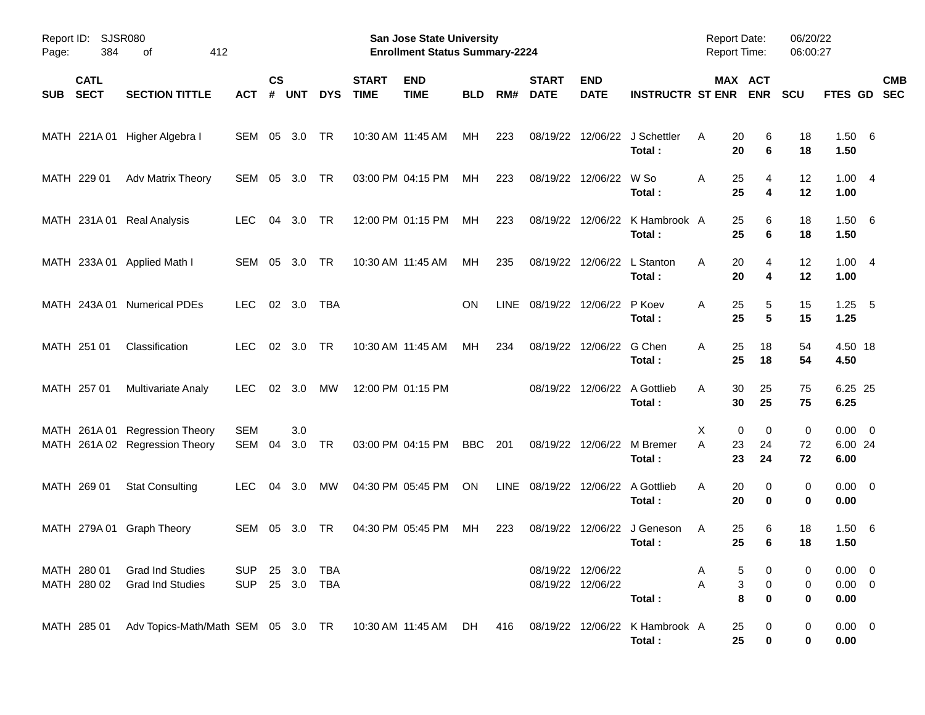| Report ID:<br>Page: | 384                        | SJSR080<br>412<br>οf                                             |                          |                    |            |                          |                             | <b>San Jose State University</b><br><b>Enrollment Status Summary-2224</b> |            |             |                             |                                        |                                              | Report Date:<br><b>Report Time:</b> |                            | 06/20/22<br>06:00:27 |                                    |                          |
|---------------------|----------------------------|------------------------------------------------------------------|--------------------------|--------------------|------------|--------------------------|-----------------------------|---------------------------------------------------------------------------|------------|-------------|-----------------------------|----------------------------------------|----------------------------------------------|-------------------------------------|----------------------------|----------------------|------------------------------------|--------------------------|
| <b>SUB</b>          | <b>CATL</b><br><b>SECT</b> | <b>SECTION TITTLE</b>                                            | АСТ                      | $\mathsf{cs}$<br># | <b>UNT</b> | <b>DYS</b>               | <b>START</b><br><b>TIME</b> | <b>END</b><br><b>TIME</b>                                                 | <b>BLD</b> | RM#         | <b>START</b><br><b>DATE</b> | <b>END</b><br><b>DATE</b>              | <b>INSTRUCTR ST ENR</b>                      |                                     | MAX ACT<br><b>ENR</b>      | <b>SCU</b>           | FTES GD                            | <b>CMB</b><br><b>SEC</b> |
|                     |                            | MATH 221A 01 Higher Algebra I                                    | SEM 05                   |                    | 3.0        | <b>TR</b>                |                             | 10:30 AM 11:45 AM                                                         | MH         | 223         | 08/19/22                    |                                        | 12/06/22 J Schettler<br>Total:               | 20<br>A<br>20                       | 6<br>6                     | 18<br>18             | 1.50 6<br>1.50                     |                          |
|                     | MATH 229 01                | Adv Matrix Theory                                                | SEM                      | 05                 | 3.0        | <b>TR</b>                |                             | 03:00 PM 04:15 PM                                                         | МH         | 223         | 08/19/22                    | 12/06/22                               | W So<br>Total:                               | Α<br>25<br>25                       | 4<br>4                     | 12<br>12             | 1.004<br>1.00                      |                          |
|                     |                            | MATH 231A 01 Real Analysis                                       | <b>LEC</b>               | 04                 | 3.0        | <b>TR</b>                |                             | 12:00 PM 01:15 PM                                                         | МH         | 223         |                             |                                        | 08/19/22 12/06/22 K Hambrook A<br>Total:     | 25<br>25                            | 6<br>6                     | 18<br>18             | 1.506<br>1.50                      |                          |
|                     |                            | MATH 233A 01 Applied Math I                                      | SEM                      | 05                 | 3.0        | <b>TR</b>                |                             | 10:30 AM 11:45 AM                                                         | MH         | 235         | 08/19/22                    | 12/06/22                               | L Stanton<br>Total:                          | 20<br>A<br>20                       | 4<br>4                     | 12<br>12             | 1.004<br>1.00                      |                          |
|                     | MATH 243A 01               | <b>Numerical PDEs</b>                                            | <b>LEC</b>               |                    | 02 3.0     | <b>TBA</b>               |                             |                                                                           | ΟN         | <b>LINE</b> | 08/19/22 12/06/22 P Koev    |                                        | Total:                                       | 25<br>A<br>25                       | 5<br>5                     | 15<br>15             | 1.25<br>1.25                       | $-5$                     |
|                     | MATH 251 01                | Classification                                                   | <b>LEC</b>               | 02                 | 3.0        | <b>TR</b>                |                             | 10:30 AM 11:45 AM                                                         | МH         | 234         | 08/19/22                    | 12/06/22 G Chen                        | Total:                                       | 25<br>A<br>25                       | 18<br>18                   | 54<br>54             | 4.50 18<br>4.50                    |                          |
|                     | MATH 257 01                | <b>Multivariate Analy</b>                                        | <b>LEC</b>               | 02                 | 3.0        | МW                       |                             | 12:00 PM 01:15 PM                                                         |            |             |                             | 08/19/22 12/06/22                      | A Gottlieb<br>Total:                         | 30<br>A<br>30                       | 25<br>25                   | 75<br>75             | 6.25 25<br>6.25                    |                          |
|                     |                            | MATH 261A 01 Regression Theory<br>MATH 261A 02 Regression Theory | <b>SEM</b><br>SEM        | 04                 | 3.0<br>3.0 | TR                       |                             | 03:00 PM 04:15 PM                                                         | BBC        | 201         |                             | 08/19/22 12/06/22                      | M Bremer<br>Total:                           | X<br>A<br>23<br>23                  | 0<br>0<br>24<br>24         | 0<br>72<br>72        | $0.00 \t 0$<br>6.00 24<br>6.00     |                          |
|                     | MATH 269 01                | <b>Stat Consulting</b>                                           | <b>LEC</b>               | 04                 | 3.0        | МW                       |                             | 04:30 PM 05:45 PM                                                         | ON         | <b>LINE</b> |                             |                                        | 08/19/22 12/06/22 A Gottlieb<br>Total:       | 20<br>A<br>20                       | 0<br>$\bf{0}$              | 0<br>0               | $0.00 \t 0$<br>0.00                |                          |
|                     |                            | MATH 279A 01 Graph Theory                                        | SEM                      | 05                 | 3.0        | TR                       |                             | 04:30 PM 05:45 PM                                                         | МH         | 223         | 08/19/22                    | 12/06/22                               | J Geneson<br>Total:                          | 25<br>Α<br>25                       | 6<br>6                     | 18<br>18             | 1.50 6<br>1.50                     |                          |
|                     | MATH 280 01<br>MATH 280 02 | <b>Grad Ind Studies</b><br><b>Grad Ind Studies</b>               | <b>SUP</b><br><b>SUP</b> |                    |            | 25 3.0 TBA<br>25 3.0 TBA |                             |                                                                           |            |             |                             | 08/19/22 12/06/22<br>08/19/22 12/06/22 | Total:                                       | A<br>Α                              | 5<br>0<br>3<br>0<br>8<br>0 | 0<br>0<br>0          | $0.00 \t 0$<br>$0.00 \t 0$<br>0.00 |                          |
|                     | MATH 285 01                | Adv Topics-Math/Math SEM 05 3.0 TR 10:30 AM 11:45 AM DH          |                          |                    |            |                          |                             |                                                                           |            |             |                             |                                        | 416 08/19/22 12/06/22 K Hambrook A<br>Total: | 25<br>25                            | 0<br>0                     | 0<br>0               | $0.00 \t 0$<br>0.00                |                          |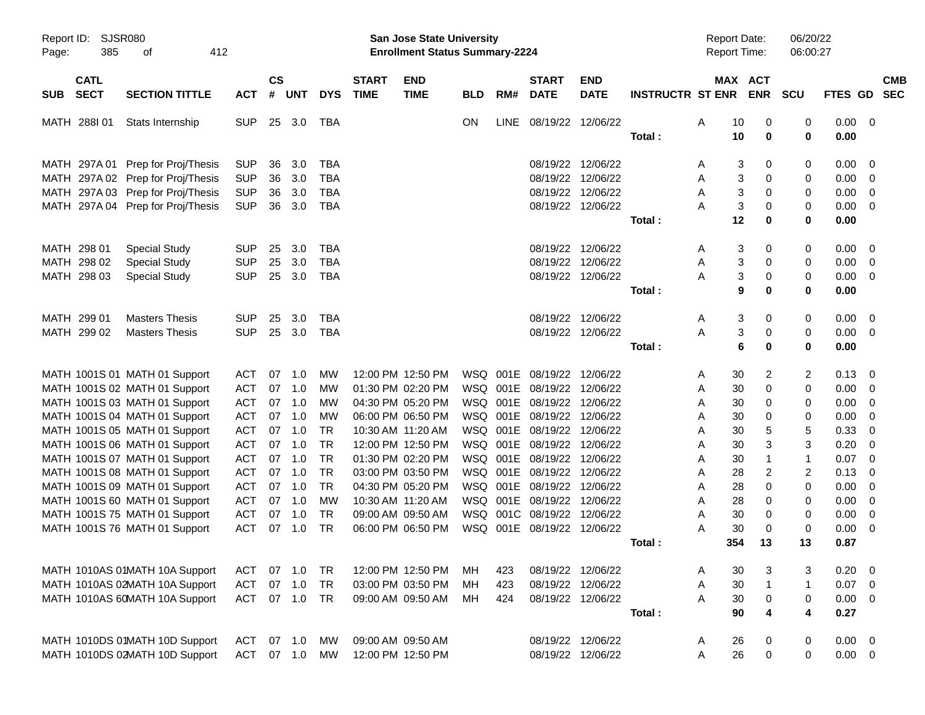| Report ID:<br>SJSR080<br>385<br>Page: | 412<br>οf                         |            |                    |            |            |                             | <b>San Jose State University</b><br><b>Enrollment Status Summary-2224</b> |            |      |                             |                           |                         | Report Date:<br><b>Report Time:</b> |         |                | 06/20/22<br>06:00:27 |                |                          |                          |
|---------------------------------------|-----------------------------------|------------|--------------------|------------|------------|-----------------------------|---------------------------------------------------------------------------|------------|------|-----------------------------|---------------------------|-------------------------|-------------------------------------|---------|----------------|----------------------|----------------|--------------------------|--------------------------|
| <b>CATL</b><br><b>SECT</b><br>SUB     | <b>SECTION TITTLE</b>             | <b>ACT</b> | $\mathsf{cs}$<br># | <b>UNT</b> | <b>DYS</b> | <b>START</b><br><b>TIME</b> | <b>END</b><br><b>TIME</b>                                                 | <b>BLD</b> | RM#  | <b>START</b><br><b>DATE</b> | <b>END</b><br><b>DATE</b> | <b>INSTRUCTR ST ENR</b> |                                     | MAX ACT | <b>ENR</b>     | <b>SCU</b>           | <b>FTES GD</b> |                          | <b>CMB</b><br><b>SEC</b> |
| MATH 288101                           | Stats Internship                  | <b>SUP</b> | 25                 | 3.0        | TBA        |                             |                                                                           | ON         | LINE | 08/19/22 12/06/22           |                           |                         | A                                   | 10      | 0              | 0                    | 0.00           | $\overline{\phantom{0}}$ |                          |
|                                       |                                   |            |                    |            |            |                             |                                                                           |            |      |                             |                           | Total:                  |                                     | 10      | 0              | 0                    | 0.00           |                          |                          |
| MATH 297A 01                          | Prep for Proj/Thesis              | <b>SUP</b> | 36                 | 3.0        | <b>TBA</b> |                             |                                                                           |            |      |                             | 08/19/22 12/06/22         |                         | Α                                   | 3       | 0              | 0                    | 0.00           | $\overline{\mathbf{0}}$  |                          |
|                                       | MATH 297A 02 Prep for Proj/Thesis | <b>SUP</b> | 36                 | 3.0        | <b>TBA</b> |                             |                                                                           |            |      |                             | 08/19/22 12/06/22         |                         | A                                   | 3       | 0              | 0                    | 0.00           | $\overline{\mathbf{0}}$  |                          |
| MATH                                  | 297A 03 Prep for Proj/Thesis      | <b>SUP</b> | 36                 | 3.0        | <b>TBA</b> |                             |                                                                           |            |      |                             | 08/19/22 12/06/22         |                         | A                                   | 3       | 0              | 0                    | 0.00           | $\overline{0}$           |                          |
|                                       | MATH 297A 04 Prep for Proj/Thesis | <b>SUP</b> | 36                 | 3.0        | TBA        |                             |                                                                           |            |      |                             | 08/19/22 12/06/22         |                         | Α                                   | 3       | 0              | $\mathbf 0$          | 0.00           | $\overline{\mathbf{0}}$  |                          |
|                                       |                                   |            |                    |            |            |                             |                                                                           |            |      |                             |                           | Total:                  |                                     | 12      | 0              | 0                    | 0.00           |                          |                          |
| MATH 298 01                           | <b>Special Study</b>              | <b>SUP</b> | 25                 | 3.0        | <b>TBA</b> |                             |                                                                           |            |      |                             | 08/19/22 12/06/22         |                         | A                                   | 3       | 0              | 0                    | 0.00           | - 0                      |                          |
| MATH 298 02                           | <b>Special Study</b>              | <b>SUP</b> | 25                 | 3.0        | <b>TBA</b> |                             |                                                                           |            |      |                             | 08/19/22 12/06/22         |                         | A                                   | 3       | 0              | 0                    | 0.00           | - 0                      |                          |
| MATH 298 03                           | <b>Special Study</b>              | <b>SUP</b> | 25                 | 3.0        | <b>TBA</b> |                             |                                                                           |            |      |                             | 08/19/22 12/06/22         |                         | Α                                   | 3       | 0              | $\mathbf 0$          | 0.00           | $\overline{\mathbf{0}}$  |                          |
|                                       |                                   |            |                    |            |            |                             |                                                                           |            |      |                             |                           | Total:                  |                                     | 9       | 0              | 0                    | 0.00           |                          |                          |
| MATH 299 01                           | <b>Masters Thesis</b>             | <b>SUP</b> | 25                 | 3.0        | <b>TBA</b> |                             |                                                                           |            |      |                             | 08/19/22 12/06/22         |                         | Α                                   | 3       | 0              | 0                    | 0.00           | - 0                      |                          |
| MATH 299 02                           | <b>Masters Thesis</b>             | <b>SUP</b> |                    | 25 3.0     | <b>TBA</b> |                             |                                                                           |            |      |                             | 08/19/22 12/06/22         |                         | A                                   | 3       | 0              | $\mathbf 0$          | 0.00           | $\overline{\phantom{0}}$ |                          |
|                                       |                                   |            |                    |            |            |                             |                                                                           |            |      |                             |                           | Total:                  |                                     | 6       | 0              | 0                    | 0.00           |                          |                          |
|                                       | MATH 1001S 01 MATH 01 Support     | <b>ACT</b> | 07                 | 1.0        | MW         |                             | 12:00 PM 12:50 PM                                                         |            |      | WSQ 001E 08/19/22 12/06/22  |                           |                         | A                                   | 30      | 2              | 2                    | 0.13           | - 0                      |                          |
|                                       | MATH 1001S 02 MATH 01 Support     | <b>ACT</b> | 07                 | 1.0        | МW         |                             | 01:30 PM 02:20 PM                                                         |            |      | WSQ 001E 08/19/22 12/06/22  |                           |                         | A                                   | 30      | 0              | 0                    | 0.00           | $\overline{\mathbf{0}}$  |                          |
|                                       | MATH 1001S 03 MATH 01 Support     | <b>ACT</b> | 07                 | 1.0        | МW         |                             | 04:30 PM 05:20 PM                                                         |            |      | WSQ 001E 08/19/22 12/06/22  |                           |                         | A                                   | 30      | 0              | 0                    | 0.00           | $\overline{0}$           |                          |
|                                       | MATH 1001S 04 MATH 01 Support     | <b>ACT</b> | 07                 | 1.0        | МW         |                             | 06:00 PM 06:50 PM                                                         |            |      | WSQ 001E 08/19/22 12/06/22  |                           |                         | A                                   | 30      | 0              | 0                    | 0.00           | $\overline{0}$           |                          |
|                                       | MATH 1001S 05 MATH 01 Support     | <b>ACT</b> | 07                 | 1.0        | <b>TR</b>  |                             | 10:30 AM 11:20 AM                                                         |            |      | WSQ 001E 08/19/22 12/06/22  |                           |                         | A                                   | 30      | 5              | 5                    | 0.33           | - 0                      |                          |
|                                       | MATH 1001S 06 MATH 01 Support     | <b>ACT</b> | 07                 | 1.0        | <b>TR</b>  |                             | 12:00 PM 12:50 PM                                                         |            |      | WSQ 001E 08/19/22 12/06/22  |                           |                         | A                                   | 30      | 3              | 3                    | 0.20           | - 0                      |                          |
|                                       | MATH 1001S 07 MATH 01 Support     | <b>ACT</b> | 07                 | 1.0        | <b>TR</b>  |                             | 01:30 PM 02:20 PM                                                         |            |      | WSQ 001E 08/19/22 12/06/22  |                           |                         | A                                   | 30      | -1             | 1                    | 0.07           | $\overline{0}$           |                          |
|                                       | MATH 1001S 08 MATH 01 Support     | <b>ACT</b> | 07                 | 1.0        | <b>TR</b>  |                             | 03:00 PM 03:50 PM                                                         |            |      | WSQ 001E 08/19/22 12/06/22  |                           |                         | A                                   | 28      | $\overline{c}$ | $\overline{c}$       | 0.13           | $\overline{0}$           |                          |
|                                       | MATH 1001S 09 MATH 01 Support     | <b>ACT</b> | 07                 | 1.0        | <b>TR</b>  |                             | 04:30 PM 05:20 PM                                                         |            |      | WSQ 001E 08/19/22 12/06/22  |                           |                         | A                                   | 28      | 0              | $\mathbf 0$          | 0.00           | $\overline{0}$           |                          |
|                                       | MATH 1001S 60 MATH 01 Support     | <b>ACT</b> | 07                 | 1.0        | МW         |                             | 10:30 AM 11:20 AM                                                         |            |      | WSQ 001E 08/19/22 12/06/22  |                           |                         | A                                   | 28      | 0              | 0                    | 0.00           | $\overline{0}$           |                          |
|                                       | MATH 1001S 75 MATH 01 Support     | <b>ACT</b> | 07                 | 1.0        | <b>TR</b>  |                             | 09:00 AM 09:50 AM                                                         |            |      | WSQ 001C 08/19/22 12/06/22  |                           |                         | A                                   | 30      | 0              | $\mathbf 0$          | 0.00           | $\overline{0}$           |                          |
|                                       | MATH 1001S 76 MATH 01 Support     | <b>ACT</b> | 07                 | 1.0        | <b>TR</b>  |                             | 06:00 PM 06:50 PM                                                         |            |      | WSQ 001E 08/19/22 12/06/22  |                           |                         | Α                                   | 30      | 0              | 0                    | 0.00           | $\overline{\mathbf{0}}$  |                          |
|                                       |                                   |            |                    |            |            |                             |                                                                           |            |      |                             |                           | Total:                  |                                     | 354     | 13             | 13                   | 0.87           |                          |                          |
|                                       | MATH 1010AS 01MATH 10A Support    | ACT        | 07                 | 1.0        | TR         |                             | 12:00 PM 12:50 PM                                                         | MН         | 423  |                             | 08/19/22 12/06/22         |                         | Α                                   | 30      | 3              | 3                    | 0.20           | $\overline{\mathbf{0}}$  |                          |
|                                       | MATH 1010AS 02MATH 10A Support    | <b>ACT</b> | 07                 | 1.0        | <b>TR</b>  |                             | 03:00 PM 03:50 PM                                                         | МH         | 423  |                             | 08/19/22 12/06/22         |                         | Α                                   | 30      | $\mathbf{1}$   | 1                    | 0.07           | $\overline{\mathbf{0}}$  |                          |
|                                       | MATH 1010AS 60MATH 10A Support    | <b>ACT</b> |                    | 07 1.0     | <b>TR</b>  |                             | 09:00 AM 09:50 AM                                                         | MН         | 424  |                             | 08/19/22 12/06/22         |                         | A                                   | 30      | 0              | 0                    | $0.00 \t 0$    |                          |                          |
|                                       |                                   |            |                    |            |            |                             |                                                                           |            |      |                             |                           | Total:                  |                                     | 90      | 4              | 4                    | 0.27           |                          |                          |
|                                       | MATH 1010DS 01MATH 10D Support    | ACT        |                    | 07 1.0     | MW         |                             | 09:00 AM 09:50 AM                                                         |            |      |                             | 08/19/22 12/06/22         |                         | A                                   | 26      | 0              | 0                    | $0.00 \quad 0$ |                          |                          |
|                                       | MATH 1010DS 02MATH 10D Support    | <b>ACT</b> |                    | 07 1.0     | MW         |                             | 12:00 PM 12:50 PM                                                         |            |      |                             | 08/19/22 12/06/22         |                         | Α                                   | 26      | $\mathbf 0$    | $\mathbf 0$          | $0.00 \t 0$    |                          |                          |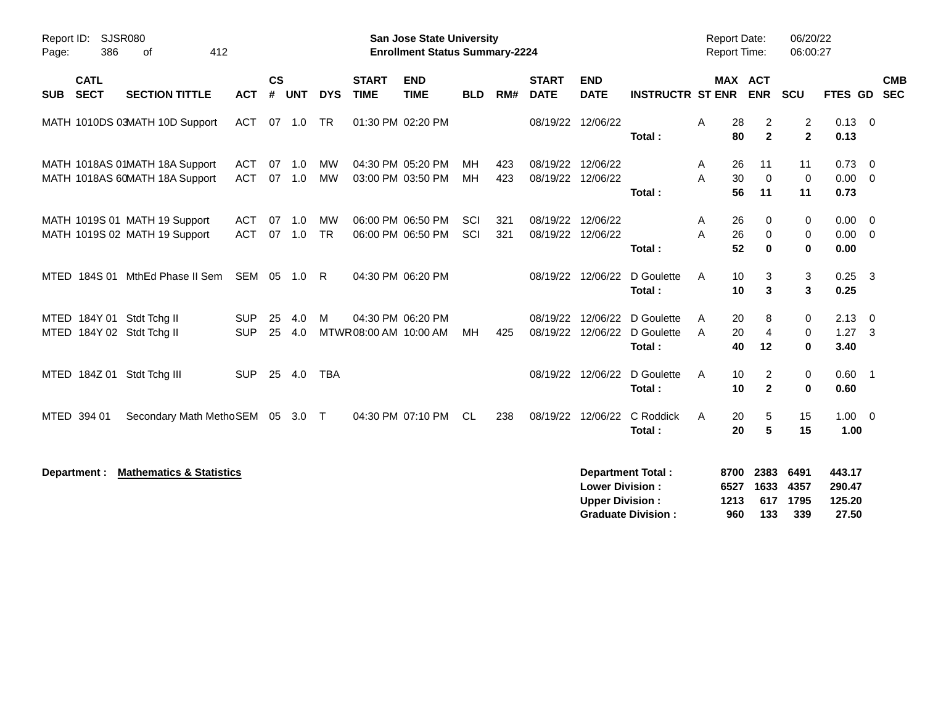| Report ID:<br>SJSR080<br>386<br>Page:<br>0f                       | 412                      |                    |            |                 |                             | <b>San Jose State University</b><br><b>Enrollment Status Summary-2224</b> |            |            |                               |                                                  |                                                       |        | <b>Report Date:</b>         | <b>Report Time:</b>            | 06/20/22<br>06:00:27             |                                     |                                           |            |
|-------------------------------------------------------------------|--------------------------|--------------------|------------|-----------------|-----------------------------|---------------------------------------------------------------------------|------------|------------|-------------------------------|--------------------------------------------------|-------------------------------------------------------|--------|-----------------------------|--------------------------------|----------------------------------|-------------------------------------|-------------------------------------------|------------|
| <b>CATL</b><br><b>SECT</b><br><b>SECTION TITTLE</b><br><b>SUB</b> | <b>ACT</b>               | $\mathsf{cs}$<br># | <b>UNT</b> | <b>DYS</b>      | <b>START</b><br><b>TIME</b> | <b>END</b><br><b>TIME</b>                                                 | <b>BLD</b> | RM#        | <b>START</b><br><b>DATE</b>   | <b>END</b><br><b>DATE</b>                        | <b>INSTRUCTR ST ENR</b>                               |        |                             | MAX ACT<br><b>ENR</b>          | <b>SCU</b>                       | FTES GD                             | <b>SEC</b>                                | <b>CMB</b> |
| MATH 1010DS 03MATH 10D Support                                    | <b>ACT</b>               | 07 1.0             |            | <b>TR</b>       |                             | 01:30 PM 02:20 PM                                                         |            |            | 08/19/22 12/06/22             |                                                  | Total:                                                | A      | 28<br>80                    | 2<br>$\mathbf{2}$              | $\overline{c}$<br>$\overline{2}$ | $0.13 \quad 0$<br>0.13              |                                           |            |
| MATH 1018AS 01MATH 18A Support<br>MATH 1018AS 60MATH 18A Support  | <b>ACT</b><br><b>ACT</b> | 07<br>07 1.0       | 1.0        | <b>MW</b><br>MW |                             | 04:30 PM 05:20 PM<br>03:00 PM 03:50 PM                                    | MH<br>МH   | 423<br>423 | 08/19/22<br>08/19/22 12/06/22 | 12/06/22                                         | Total:                                                | Α<br>A | 26<br>30<br>56              | 11<br>$\mathbf 0$<br>11        | 11<br>$\mathbf 0$<br>11          | 0.73<br>0.00<br>0.73                | $\overline{0}$<br>$\overline{\mathbf{0}}$ |            |
| MATH 1019S 01 MATH 19 Support<br>MATH 1019S 02 MATH 19 Support    | ACT<br><b>ACT</b>        | 07<br>07 1.0       | 1.0        | MW<br><b>TR</b> |                             | 06:00 PM 06:50 PM<br>06:00 PM 06:50 PM                                    | SCI<br>SCI | 321<br>321 | 08/19/22<br>08/19/22 12/06/22 | 12/06/22                                         | Total:                                                | A<br>A | 26<br>26<br>52              | 0<br>$\mathbf 0$<br>$\bf{0}$   | 0<br>0<br>$\bf{0}$               | 0.00<br>$0.00 \t 0$<br>0.00         | $\overline{\mathbf{0}}$                   |            |
| MTED 184S 01 MthEd Phase II Sem                                   |                          | SEM 05 1.0         |            | R               |                             | 04:30 PM 06:20 PM                                                         |            |            |                               | 08/19/22 12/06/22                                | D Goulette<br>Total:                                  | A      | 10<br>10                    | 3<br>3                         | 3<br>3                           | $0.25$ 3<br>0.25                    |                                           |            |
| MTED 184Y 01 Stdt Tchg II<br>MTED 184Y 02 Stdt Tchg II            | <b>SUP</b><br><b>SUP</b> | 25<br>25           | 4.0<br>4.0 | М               |                             | 04:30 PM 06:20 PM<br>MTWR 08:00 AM 10:00 AM                               | МH         | 425        | 08/19/22                      | 08/19/22 12/06/22<br>12/06/22                    | D Goulette<br>D Goulette<br>Total:                    | A<br>A | 20<br>20<br>40              | 8<br>$\overline{4}$<br>12      | 0<br>0<br>$\bf{0}$               | 2.13<br>$1.27 \t3$<br>3.40          | $\overline{\mathbf{0}}$                   |            |
| MTED 184Z 01 Stdt Tchg III                                        | <b>SUP</b>               | 25 4.0             |            | <b>TBA</b>      |                             |                                                                           |            |            |                               | 08/19/22 12/06/22                                | D Goulette<br>Total:                                  | A      | 10<br>10                    | $\overline{c}$<br>$\mathbf{2}$ | 0<br>0                           | $0.60$ 1<br>0.60                    |                                           |            |
| MTED 394 01<br>Secondary Math MethoSEM 05 3.0 T                   |                          |                    |            |                 |                             | 04:30 PM 07:10 PM                                                         | <b>CL</b>  | 238        |                               | 08/19/22 12/06/22                                | C Roddick<br>Total:                                   | A      | 20<br>20                    | 5<br>5                         | 15<br>15                         | $1.00 \t 0$<br>1.00                 |                                           |            |
| <b>Mathematics &amp; Statistics</b><br>Department :               |                          |                    |            |                 |                             |                                                                           |            |            |                               | <b>Lower Division:</b><br><b>Upper Division:</b> | <b>Department Total:</b><br><b>Graduate Division:</b> |        | 8700<br>6527<br>1213<br>960 | 2383<br>1633<br>617<br>133     | 6491<br>4357<br>1795<br>339      | 443.17<br>290.47<br>125.20<br>27.50 |                                           |            |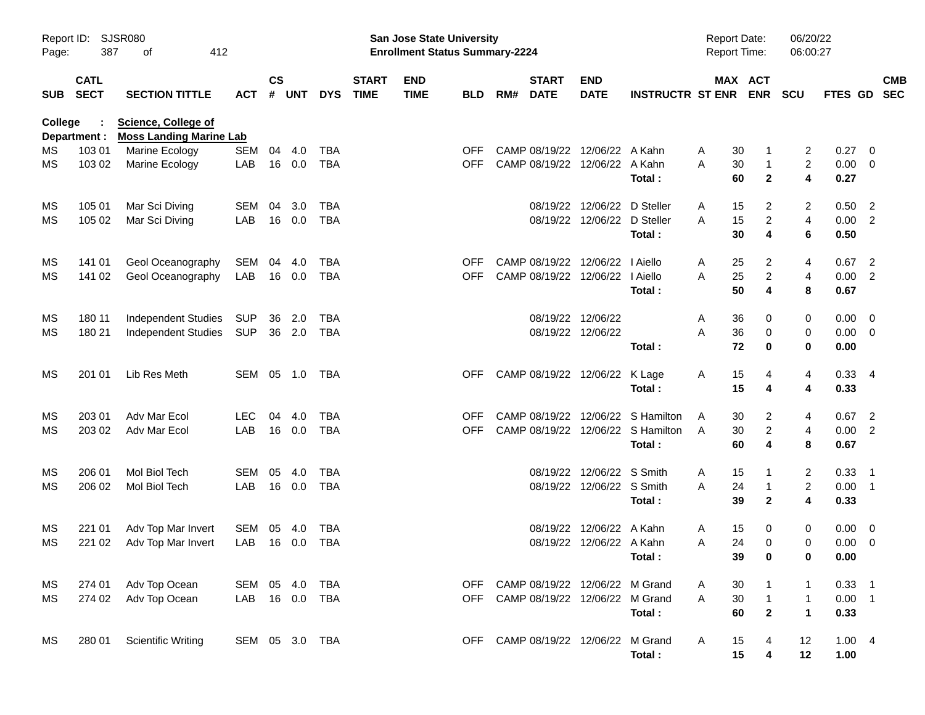| Report ID:<br>Page: | 387                        | SJSR080<br>412<br>οf                                         |                |                    |            |            |                             | San Jose State University<br><b>Enrollment Status Summary-2224</b> |            |     |                             |                                    |                                   | <b>Report Date:</b><br><b>Report Time:</b> |                                          | 06/20/22<br>06:00:27    |              |                            |            |
|---------------------|----------------------------|--------------------------------------------------------------|----------------|--------------------|------------|------------|-----------------------------|--------------------------------------------------------------------|------------|-----|-----------------------------|------------------------------------|-----------------------------------|--------------------------------------------|------------------------------------------|-------------------------|--------------|----------------------------|------------|
| <b>SUB</b>          | <b>CATL</b><br><b>SECT</b> | <b>SECTION TITTLE</b>                                        | <b>ACT</b>     | $\mathsf{cs}$<br># | <b>UNT</b> | <b>DYS</b> | <b>START</b><br><b>TIME</b> | <b>END</b><br><b>TIME</b>                                          | <b>BLD</b> | RM# | <b>START</b><br><b>DATE</b> | <b>END</b><br><b>DATE</b>          | <b>INSTRUCTR ST ENR</b>           |                                            | MAX ACT<br><b>ENR</b>                    | <b>SCU</b>              | FTES GD SEC  |                            | <b>CMB</b> |
| College             | Department :               | <b>Science, College of</b><br><b>Moss Landing Marine Lab</b> |                |                    |            |            |                             |                                                                    |            |     |                             |                                    |                                   |                                            |                                          |                         |              |                            |            |
| MS.                 | 103 01                     | Marine Ecology                                               | <b>SEM</b>     | 04                 | 4.0        | <b>TBA</b> |                             |                                                                    | <b>OFF</b> |     |                             | CAMP 08/19/22 12/06/22 A Kahn      |                                   | A                                          | 30<br>1                                  | 2                       | 0.27         | $\overline{\mathbf{0}}$    |            |
| MS                  | 103 02                     | Marine Ecology                                               | LAB            |                    | 16 0.0     | <b>TBA</b> |                             |                                                                    | <b>OFF</b> |     |                             | CAMP 08/19/22 12/06/22 A Kahn      | Total:                            | A                                          | 30<br>$\mathbf{1}$<br>60<br>$\mathbf{2}$ | $\overline{2}$<br>4     | 0.00<br>0.27 | $\overline{\mathbf{0}}$    |            |
| MS                  | 105 01                     | Mar Sci Diving                                               | <b>SEM</b>     | 04                 | 3.0        | TBA        |                             |                                                                    |            |     |                             | 08/19/22 12/06/22                  | D Steller                         | A                                          | 15<br>2                                  | 2                       | 0.50         | $\overline{\phantom{0}}$   |            |
| MS                  | 105 02                     | Mar Sci Diving                                               | LAB            |                    | 16 0.0     | <b>TBA</b> |                             |                                                                    |            |     |                             | 08/19/22 12/06/22                  | D Steller                         | A                                          | 15<br>$\overline{\mathbf{c}}$            | $\overline{\mathbf{4}}$ | 0.00         | $\overline{2}$             |            |
|                     |                            |                                                              |                |                    |            |            |                             |                                                                    |            |     |                             |                                    | Total:                            |                                            | 30<br>4                                  | 6                       | 0.50         |                            |            |
| MS                  | 141 01                     | Geol Oceanography                                            | SEM            | 04                 | 4.0        | <b>TBA</b> |                             |                                                                    | <b>OFF</b> |     |                             | CAMP 08/19/22 12/06/22             | I Aiello                          | A                                          | 25<br>2                                  | 4                       | 0.67         | $\overline{2}$             |            |
| MS                  | 141 02                     | Geol Oceanography                                            | LAB            |                    | 16 0.0     | <b>TBA</b> |                             |                                                                    | <b>OFF</b> |     |                             | CAMP 08/19/22 12/06/22   Aiello    |                                   | A                                          | 25<br>$\overline{c}$                     | $\overline{4}$          | 0.00         | $\overline{2}$             |            |
|                     |                            |                                                              |                |                    |            |            |                             |                                                                    |            |     |                             |                                    | Total:                            |                                            | 50<br>4                                  | 8                       | 0.67         |                            |            |
| MS                  | 180 11                     | <b>Independent Studies</b>                                   | SUP            | 36                 | 2.0        | TBA        |                             |                                                                    |            |     |                             | 08/19/22 12/06/22                  |                                   | A                                          | 36<br>0                                  | 0                       | 0.00         | $\overline{\mathbf{0}}$    |            |
| MS                  | 180 21                     | <b>Independent Studies</b>                                   | SUP            |                    | 36 2.0     | TBA        |                             |                                                                    |            |     |                             | 08/19/22 12/06/22                  |                                   | A                                          | 36<br>0                                  | 0                       | 0.00         | $\overline{\mathbf{0}}$    |            |
|                     |                            |                                                              |                |                    |            |            |                             |                                                                    |            |     |                             |                                    | Total:                            |                                            | 72<br>0                                  | 0                       | 0.00         |                            |            |
| MS                  | 201 01                     | Lib Res Meth                                                 | SEM 05 1.0     |                    |            | TBA        |                             |                                                                    | <b>OFF</b> |     |                             | CAMP 08/19/22 12/06/22 K Lage      |                                   | A                                          | 15<br>4                                  | 4                       | $0.33$ 4     |                            |            |
|                     |                            |                                                              |                |                    |            |            |                             |                                                                    |            |     |                             |                                    | Total:                            |                                            | 15<br>4                                  | 4                       | 0.33         |                            |            |
| MS                  | 203 01                     | Adv Mar Ecol                                                 | <b>LEC</b>     | 04                 | 4.0        | <b>TBA</b> |                             |                                                                    | <b>OFF</b> |     |                             | CAMP 08/19/22 12/06/22             | S Hamilton                        | A                                          | 2<br>30                                  | 4                       | 0.67         | $\overline{2}$             |            |
| MS                  | 203 02                     | Adv Mar Ecol                                                 | LAB            |                    | 16 0.0     | <b>TBA</b> |                             |                                                                    | <b>OFF</b> |     |                             |                                    | CAMP 08/19/22 12/06/22 S Hamilton | A                                          | $\overline{\mathbf{c}}$<br>30            | $\overline{\mathbf{r}}$ | 0.00         | $\overline{2}$             |            |
|                     |                            |                                                              |                |                    |            |            |                             |                                                                    |            |     |                             |                                    | Total:                            |                                            | 60<br>4                                  | 8                       | 0.67         |                            |            |
| MS                  | 206 01                     | Mol Biol Tech                                                | SEM            | 05                 | 4.0        | TBA        |                             |                                                                    |            |     |                             | 08/19/22 12/06/22 S Smith          |                                   | A                                          | 15                                       | $\overline{c}$          | 0.33         | $\overline{\phantom{0}}$ 1 |            |
| MS                  | 206 02                     | Mol Biol Tech                                                | LAB            |                    | 16 0.0     | <b>TBA</b> |                             |                                                                    |            |     |                             | 08/19/22 12/06/22 S Smith          |                                   | A                                          | 24<br>$\mathbf{1}$                       | $\overline{2}$          | 0.00         | $\overline{\phantom{0}}$ 1 |            |
|                     |                            |                                                              |                |                    |            |            |                             |                                                                    |            |     |                             |                                    | Total:                            |                                            | 39<br>$\mathbf{2}$                       | 4                       | 0.33         |                            |            |
| MS                  | 221 01                     | Adv Top Mar Invert                                           | <b>SEM</b>     | 05                 | -4.0       | TBA        |                             |                                                                    |            |     |                             | 08/19/22 12/06/22 A Kahn           |                                   | A                                          | 15<br>0                                  | 0                       | 0.00         | $\overline{\phantom{0}}$   |            |
| MS                  | 221 02                     | Adv Top Mar Invert                                           | LAB            |                    | 16 0.0     | <b>TBA</b> |                             |                                                                    |            |     |                             | 08/19/22 12/06/22 A Kahn           |                                   | A                                          | 24<br>0                                  | 0                       | 0.00         | $\overline{\mathbf{0}}$    |            |
|                     |                            |                                                              |                |                    |            |            |                             |                                                                    |            |     |                             |                                    | Total :                           |                                            | 39<br>0                                  | 0                       | 0.00         |                            |            |
| ΜS                  | 274 01                     | Adv Top Ocean                                                | SEM 05 4.0     |                    |            | TBA        |                             |                                                                    |            |     |                             | OFF CAMP 08/19/22 12/06/22 M Grand |                                   | A                                          | 30<br>$\mathbf{1}$                       | 1                       | $0.33$ 1     |                            |            |
| MS                  | 274 02                     | Adv Top Ocean                                                | LAB            |                    | 16  0.0    | TBA        |                             |                                                                    | OFF.       |     |                             | CAMP 08/19/22 12/06/22 M Grand     |                                   | A                                          | 30<br>$\mathbf{1}$                       | $\mathbf{1}$            | $0.00$ 1     |                            |            |
|                     |                            |                                                              |                |                    |            |            |                             |                                                                    |            |     |                             |                                    | Total:                            |                                            | 60<br>$\mathbf{2}$                       | $\mathbf{1}$            | 0.33         |                            |            |
| ΜS                  | 280 01                     | <b>Scientific Writing</b>                                    | SEM 05 3.0 TBA |                    |            |            |                             |                                                                    |            |     |                             | OFF CAMP 08/19/22 12/06/22         | M Grand                           | A                                          | 15<br>4                                  | 12                      | 1.004        |                            |            |
|                     |                            |                                                              |                |                    |            |            |                             |                                                                    |            |     |                             |                                    | Total:                            |                                            | 15<br>4                                  | 12                      | 1.00         |                            |            |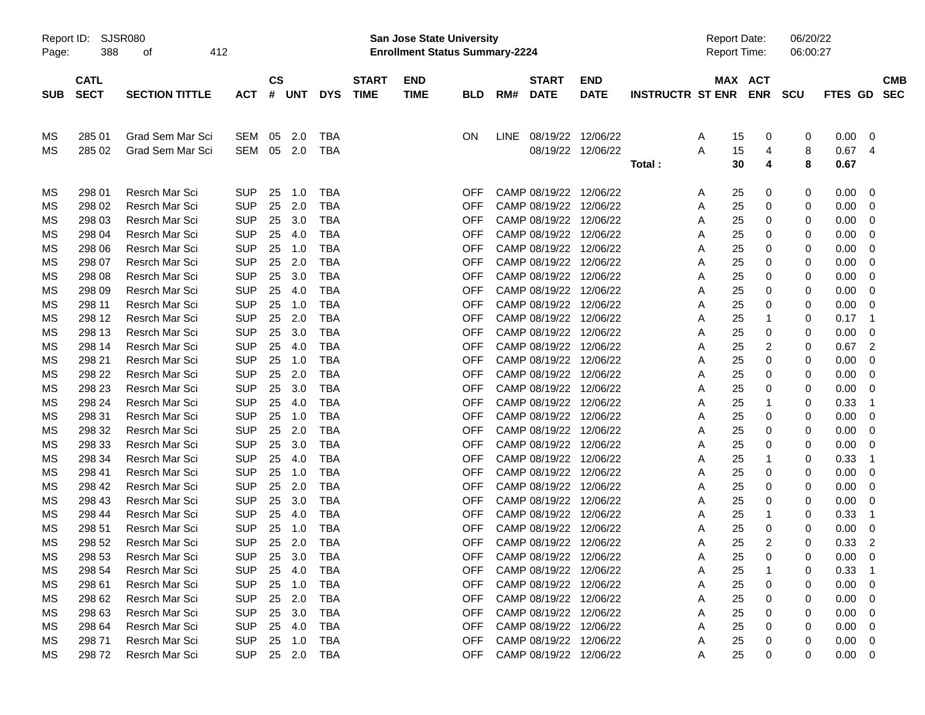| Report ID:<br>Page: | 388                        | SJSR080<br>412<br>οf  |            |                    |            |            |                             | <b>San Jose State University</b><br><b>Enrollment Status Summary-2224</b> |            |             |                             |                           |                                 |   |          | <b>Report Date:</b><br>Report Time: | 06/20/22<br>06:00:27 |                |                          |  |
|---------------------|----------------------------|-----------------------|------------|--------------------|------------|------------|-----------------------------|---------------------------------------------------------------------------|------------|-------------|-----------------------------|---------------------------|---------------------------------|---|----------|-------------------------------------|----------------------|----------------|--------------------------|--|
| <b>SUB</b>          | <b>CATL</b><br><b>SECT</b> | <b>SECTION TITTLE</b> | <b>ACT</b> | $\mathsf{cs}$<br># | <b>UNT</b> | <b>DYS</b> | <b>START</b><br><b>TIME</b> | <b>END</b><br><b>TIME</b>                                                 | <b>BLD</b> | RM#         | <b>START</b><br><b>DATE</b> | <b>END</b><br><b>DATE</b> | <b>INSTRUCTR ST ENR ENR SCU</b> |   |          | MAX ACT                             |                      | <b>FTES GD</b> | <b>CMB</b><br><b>SEC</b> |  |
| ΜS                  | 285 01                     | Grad Sem Mar Sci      | SEM        | 05                 | 2.0        | <b>TBA</b> |                             |                                                                           | ΟN         | <b>LINE</b> | 08/19/22 12/06/22           |                           |                                 | A | 15       | 0                                   | 0                    | 0.00           | 0                        |  |
| МS                  | 285 02                     | Grad Sem Mar Sci      | <b>SEM</b> | 05                 | 2.0        | TBA        |                             |                                                                           |            |             |                             | 08/19/22 12/06/22         | Total:                          | A | 15<br>30 | 4<br>4                              | 8<br>8               | 0.67<br>0.67   | 4                        |  |
| ΜS                  | 298 01                     | Resrch Mar Sci        | <b>SUP</b> | 25                 | 1.0        | <b>TBA</b> |                             |                                                                           | OFF        |             | CAMP 08/19/22 12/06/22      |                           |                                 | A | 25       | 0                                   | 0                    | 0.00           | - 0                      |  |
| МS                  | 298 02                     | Resrch Mar Sci        | <b>SUP</b> | 25                 | 2.0        | <b>TBA</b> |                             |                                                                           | OFF        |             | CAMP 08/19/22               | 12/06/22                  |                                 | A | 25       | 0                                   | 0                    | 0.00           | 0                        |  |
| МS                  | 298 03                     | Resrch Mar Sci        | <b>SUP</b> | 25                 | 3.0        | <b>TBA</b> |                             |                                                                           | <b>OFF</b> |             | CAMP 08/19/22               | 12/06/22                  |                                 | A | 25       | 0                                   | 0                    | 0.00           | 0                        |  |
| МS                  | 298 04                     | Resrch Mar Sci        | <b>SUP</b> | 25                 | 4.0        | <b>TBA</b> |                             |                                                                           | <b>OFF</b> |             | CAMP 08/19/22 12/06/22      |                           |                                 | Α | 25       | 0                                   | 0                    | 0.00           | 0                        |  |
| МS                  | 298 06                     | Resrch Mar Sci        | <b>SUP</b> | 25                 | 1.0        | <b>TBA</b> |                             |                                                                           | <b>OFF</b> |             | CAMP 08/19/22 12/06/22      |                           |                                 | Α | 25       | 0                                   | 0                    | 0.00           | 0                        |  |
| МS                  | 298 07                     | Resrch Mar Sci        | <b>SUP</b> | 25                 | 2.0        | <b>TBA</b> |                             |                                                                           | <b>OFF</b> |             | CAMP 08/19/22 12/06/22      |                           |                                 | A | 25       | 0                                   | 0                    | 0.00           | 0                        |  |
| МS                  | 298 08                     | Resrch Mar Sci        | <b>SUP</b> | 25                 | 3.0        | <b>TBA</b> |                             |                                                                           | OFF        |             | CAMP 08/19/22 12/06/22      |                           |                                 | A | 25       | 0                                   | 0                    | 0.00           | 0                        |  |
| МS                  | 298 09                     | Resrch Mar Sci        | <b>SUP</b> | 25                 | 4.0        | <b>TBA</b> |                             |                                                                           | OFF        |             | CAMP 08/19/22 12/06/22      |                           |                                 | Α | 25       | 0                                   | 0                    | 0.00           | 0                        |  |
| МS                  | 298 11                     | Resrch Mar Sci        | <b>SUP</b> | 25                 | 1.0        | <b>TBA</b> |                             |                                                                           | <b>OFF</b> |             | CAMP 08/19/22 12/06/22      |                           |                                 | Α | 25       | 0                                   | 0                    | 0.00           | 0                        |  |
| МS                  | 298 12                     | Resrch Mar Sci        | <b>SUP</b> | 25                 | 2.0        | <b>TBA</b> |                             |                                                                           | <b>OFF</b> |             | CAMP 08/19/22 12/06/22      |                           |                                 | Α | 25       | 1                                   | 0                    | 0.17           | -1                       |  |
| МS                  | 298 13                     | Resrch Mar Sci        | <b>SUP</b> | 25                 | 3.0        | <b>TBA</b> |                             |                                                                           | <b>OFF</b> |             | CAMP 08/19/22 12/06/22      |                           |                                 | Α | 25       | 0                                   | 0                    | 0.00           | 0                        |  |
| МS                  | 298 14                     | Resrch Mar Sci        | <b>SUP</b> | 25                 | 4.0        | <b>TBA</b> |                             |                                                                           | OFF        |             | CAMP 08/19/22 12/06/22      |                           |                                 | Α | 25       | 2                                   | 0                    | 0.67           | 2                        |  |
| МS                  | 298 21                     | Resrch Mar Sci        | <b>SUP</b> | 25                 | 1.0        | <b>TBA</b> |                             |                                                                           | OFF        |             | CAMP 08/19/22 12/06/22      |                           |                                 | A | 25       | 0                                   | 0                    | 0.00           | 0                        |  |
| МS                  | 298 22                     | Resrch Mar Sci        | <b>SUP</b> | 25                 | 2.0        | <b>TBA</b> |                             |                                                                           | OFF        |             | CAMP 08/19/22 12/06/22      |                           |                                 | Α | 25       | 0                                   | 0                    | 0.00           | 0                        |  |
| МS                  | 298 23                     | Resrch Mar Sci        | <b>SUP</b> | 25                 | 3.0        | <b>TBA</b> |                             |                                                                           | <b>OFF</b> |             | CAMP 08/19/22 12/06/22      |                           |                                 | Α | 25       | 0                                   | 0                    | 0.00           | 0                        |  |
| МS                  | 298 24                     | Resrch Mar Sci        | <b>SUP</b> | 25                 | 4.0        | <b>TBA</b> |                             |                                                                           | <b>OFF</b> |             | CAMP 08/19/22 12/06/22      |                           |                                 | Α | 25       | 1                                   | 0                    | 0.33           | -1                       |  |
| МS                  | 298 31                     | Resrch Mar Sci        | <b>SUP</b> | 25                 | 1.0        | <b>TBA</b> |                             |                                                                           | <b>OFF</b> |             | CAMP 08/19/22 12/06/22      |                           |                                 | Α | 25       | 0                                   | 0                    | 0.00           | 0                        |  |
| МS                  | 298 32                     | Resrch Mar Sci        | <b>SUP</b> | 25                 | 2.0        | <b>TBA</b> |                             |                                                                           | OFF        |             | CAMP 08/19/22 12/06/22      |                           |                                 | Α | 25       | 0                                   | 0                    | 0.00           | 0                        |  |
| МS                  | 298 33                     | Resrch Mar Sci        | <b>SUP</b> | 25                 | 3.0        | <b>TBA</b> |                             |                                                                           | OFF        |             | CAMP 08/19/22 12/06/22      |                           |                                 | A | 25       | 0                                   | 0                    | 0.00           | 0                        |  |
| МS                  | 298 34                     | Resrch Mar Sci        | <b>SUP</b> | 25                 | 4.0        | <b>TBA</b> |                             |                                                                           | OFF        |             | CAMP 08/19/22               | 12/06/22                  |                                 | Α | 25       | 1                                   | 0                    | 0.33           | -1                       |  |
| МS                  | 298 41                     | Resrch Mar Sci        | <b>SUP</b> | 25                 | 1.0        | <b>TBA</b> |                             |                                                                           | <b>OFF</b> |             | CAMP 08/19/22               | 12/06/22                  |                                 | Α | 25       | 0                                   | 0                    | 0.00           | 0                        |  |
| МS                  | 298 42                     | <b>Resrch Mar Sci</b> | <b>SUP</b> | 25                 | 2.0        | <b>TBA</b> |                             |                                                                           | <b>OFF</b> |             | CAMP 08/19/22 12/06/22      |                           |                                 | Α | 25       | 0                                   | 0                    | 0.00           | 0                        |  |
| МS                  | 298 43                     | <b>Resrch Mar Sci</b> | <b>SUP</b> | 25                 | 3.0        | <b>TBA</b> |                             |                                                                           | <b>OFF</b> |             | CAMP 08/19/22 12/06/22      |                           |                                 | A | 25       | 0                                   | 0                    | 0.00           | 0                        |  |
| МS                  | 298 44                     | <b>Resrch Mar Sci</b> | <b>SUP</b> | 25                 | 4.0        | <b>TBA</b> |                             |                                                                           | <b>OFF</b> |             | CAMP 08/19/22 12/06/22      |                           |                                 | A | 25       | 1                                   | 0                    | 0.33           | -1                       |  |
| МS                  | 298 51                     | <b>Resrch Mar Sci</b> | <b>SUP</b> | 25                 | 1.0        | <b>TBA</b> |                             |                                                                           | OFF        |             | CAMP 08/19/22               | 12/06/22                  |                                 | Α | 25       | 0                                   | 0                    | 0.00           | 0                        |  |
| MS                  | 298 52                     | <b>Resrch Mar Sci</b> | <b>SUP</b> | 25                 | 2.0        | <b>TBA</b> |                             |                                                                           | OFF        |             | CAMP 08/19/22 12/06/22      |                           |                                 | A | 25       | 2                                   | 0                    | 0.33           | 2                        |  |
| МS                  | 298 53                     | Resrch Mar Sci        | <b>SUP</b> | 25                 | 3.0        | TBA        |                             |                                                                           | 아버         |             | CAMP 08/19/22 12/06/22      |                           |                                 | A | 25       | 0                                   | 0                    | 0.00           | - 0                      |  |
| МS                  | 298 54                     | Resrch Mar Sci        | <b>SUP</b> | 25                 | 4.0        | TBA        |                             |                                                                           | OFF        |             | CAMP 08/19/22 12/06/22      |                           |                                 | A | 25       |                                     |                      | 0.33           |                          |  |
| МS                  | 298 61                     | Resrch Mar Sci        | <b>SUP</b> |                    | 25 1.0     | <b>TBA</b> |                             |                                                                           | <b>OFF</b> |             | CAMP 08/19/22 12/06/22      |                           |                                 | Α | 25       | 0                                   | 0                    | 0.00           | -0                       |  |
| МS                  | 298 62                     | Resrch Mar Sci        | <b>SUP</b> |                    | 25 2.0     | TBA        |                             |                                                                           | <b>OFF</b> |             | CAMP 08/19/22 12/06/22      |                           |                                 | Α | 25       | 0                                   | 0                    | 0.00           | -0                       |  |
| МS                  | 298 63                     | Resrch Mar Sci        | <b>SUP</b> | 25                 | 3.0        | TBA        |                             |                                                                           | <b>OFF</b> |             | CAMP 08/19/22 12/06/22      |                           |                                 | A | 25       | 0                                   | 0                    | 0.00           | 0                        |  |
| МS                  | 298 64                     | Resrch Mar Sci        | <b>SUP</b> |                    | 25 4.0     | TBA        |                             |                                                                           | <b>OFF</b> |             | CAMP 08/19/22 12/06/22      |                           |                                 | Α | 25       | 0                                   | 0                    | 0.00           | 0                        |  |
| МS                  | 298 71                     | Resrch Mar Sci        | <b>SUP</b> |                    | 25 1.0     | TBA        |                             |                                                                           | <b>OFF</b> |             | CAMP 08/19/22 12/06/22      |                           |                                 | A | 25       | 0                                   | 0                    | 0.00           | -0                       |  |
| МS                  | 29872                      | Resrch Mar Sci        | <b>SUP</b> |                    | 25 2.0 TBA |            |                             |                                                                           | <b>OFF</b> |             | CAMP 08/19/22 12/06/22      |                           |                                 | A | 25       | 0                                   | 0                    | $0.00 \t 0$    |                          |  |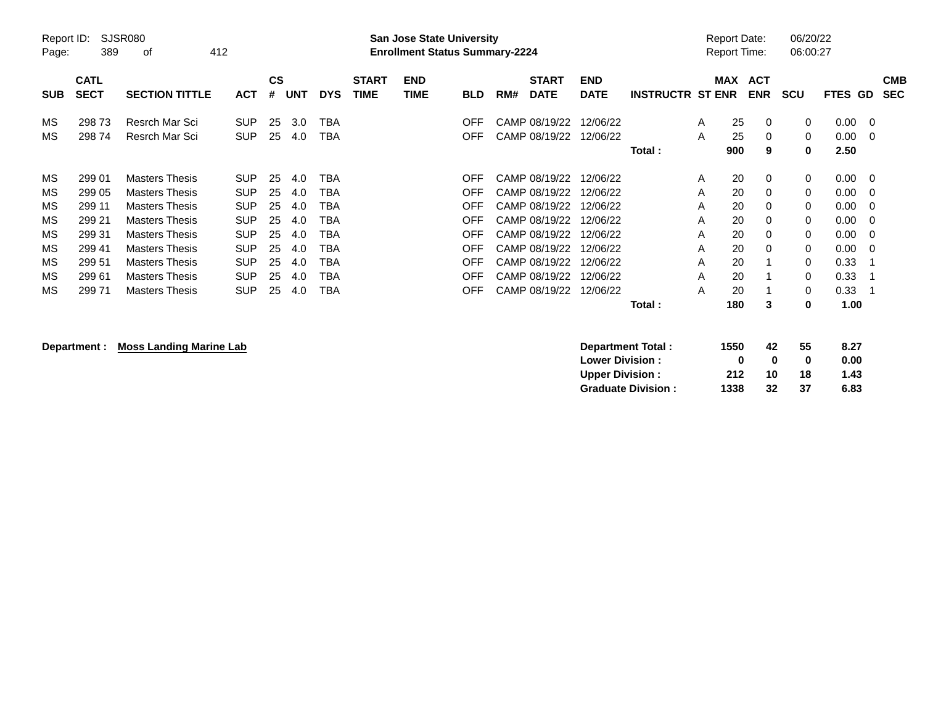| Report ID:<br>Page: | 389                        | SJSR080<br>412<br>0f  |            |                |            |            |                             | <b>San Jose State University</b><br><b>Enrollment Status Summary-2224</b> |            |     |                             |                           |                         |   | <b>Report Date:</b><br><b>Report Time:</b> |                          | 06/20/22<br>06:00:27 |         |                          |
|---------------------|----------------------------|-----------------------|------------|----------------|------------|------------|-----------------------------|---------------------------------------------------------------------------|------------|-----|-----------------------------|---------------------------|-------------------------|---|--------------------------------------------|--------------------------|----------------------|---------|--------------------------|
| <b>SUB</b>          | <b>CATL</b><br><b>SECT</b> | <b>SECTION TITTLE</b> | <b>ACT</b> | <b>CS</b><br># | <b>UNT</b> | <b>DYS</b> | <b>START</b><br><b>TIME</b> | <b>END</b><br><b>TIME</b>                                                 | <b>BLD</b> | RM# | <b>START</b><br><b>DATE</b> | <b>END</b><br><b>DATE</b> | <b>INSTRUCTR ST ENR</b> |   | <b>MAX</b>                                 | <b>ACT</b><br><b>ENR</b> | <b>SCU</b>           | FTES GD | <b>CMB</b><br><b>SEC</b> |
| MS                  | 29873                      | Resrch Mar Sci        | <b>SUP</b> | 25             | 3.0        | <b>TBA</b> |                             |                                                                           | OFF        |     | CAMP 08/19/22               | 12/06/22                  |                         | A | 25                                         | 0                        | $\mathbf 0$          | 0.00    | - 0                      |
| MS                  | 29874                      | Resrch Mar Sci        | <b>SUP</b> | 25             | 4.0        | <b>TBA</b> |                             |                                                                           | <b>OFF</b> |     | CAMP 08/19/22               | 12/06/22                  |                         | A | 25                                         | 0                        | $\mathbf 0$          | 0.00    | -0                       |
|                     |                            |                       |            |                |            |            |                             |                                                                           |            |     |                             |                           | Total:                  |   | 900                                        | 9                        | 0                    | 2.50    |                          |
| MS                  | 299 01                     | <b>Masters Thesis</b> | <b>SUP</b> | 25             | 4.0        | <b>TBA</b> |                             |                                                                           | OFF        |     | CAMP 08/19/22               | 12/06/22                  |                         | A | 20                                         | 0                        | 0                    | 0.00    | - 0                      |
| МS                  | 299 05                     | <b>Masters Thesis</b> | <b>SUP</b> | 25             | 4.0        | TBA        |                             |                                                                           | OFF        |     | CAMP 08/19/22               | 12/06/22                  |                         | A | 20                                         | 0                        | $\mathbf 0$          | 0.00    | 0                        |
| MS                  | 299 11                     | <b>Masters Thesis</b> | <b>SUP</b> | 25             | 4.0        | <b>TBA</b> |                             |                                                                           | <b>OFF</b> |     | CAMP 08/19/22               | 12/06/22                  |                         | A | 20                                         | $\mathbf 0$              | $\Omega$             | 0.00    | -0                       |
| MS                  | 299 21                     | <b>Masters Thesis</b> | <b>SUP</b> | 25             | 4.0        | TBA        |                             |                                                                           | OFF        |     | CAMP 08/19/22               | 12/06/22                  |                         | A | 20                                         | $\Omega$                 | $\Omega$             | 0.00    | -0                       |
| MS                  | 299 31                     | <b>Masters Thesis</b> | <b>SUP</b> | 25             | 4.0        | TBA        |                             |                                                                           | OFF        |     | CAMP 08/19/22               | 12/06/22                  |                         | A | 20                                         | 0                        | $\Omega$             | 0.00    | -0                       |
| МS                  | 299 41                     | <b>Masters Thesis</b> | <b>SUP</b> | 25             | 4.0        | TBA        |                             |                                                                           | OFF        |     | CAMP 08/19/22               | 12/06/22                  |                         | A | 20                                         | 0                        | $\mathbf 0$          | 0.00    | -0                       |
| MS                  | 299 51                     | <b>Masters Thesis</b> | <b>SUP</b> | 25             | 4.0        | <b>TBA</b> |                             |                                                                           | <b>OFF</b> |     | CAMP 08/19/22               | 12/06/22                  |                         | A | 20                                         |                          | $\Omega$             | 0.33    |                          |
| MS                  | 299 61                     | <b>Masters Thesis</b> | <b>SUP</b> | 25             | 4.0        | TBA        |                             |                                                                           | OFF        |     | CAMP 08/19/22               | 12/06/22                  |                         | A | 20                                         |                          | 0                    | 0.33    |                          |
| ΜS                  | 29971                      | <b>Masters Thesis</b> | <b>SUP</b> | 25             | 4.0        | <b>TBA</b> |                             |                                                                           | OFF        |     | CAMP 08/19/22               | 12/06/22                  |                         | A | 20                                         |                          | $\mathbf 0$          | 0.33    |                          |
|                     |                            |                       |            |                |            |            |                             |                                                                           |            |     |                             |                           | Total :                 |   | 180                                        | 3                        | 0                    | 1.00    |                          |

**Department : Moss Landing Marine Lab** 

| Department Total:         | 1550 | 42           | 55 | 8.27 |
|---------------------------|------|--------------|----|------|
| <b>Lower Division:</b>    |      | $\mathbf{u}$ | n  | 0.00 |
| <b>Upper Division:</b>    | 212  | 10           | 18 | 1.43 |
| <b>Graduate Division:</b> | 1338 | 32           | 37 | 6.83 |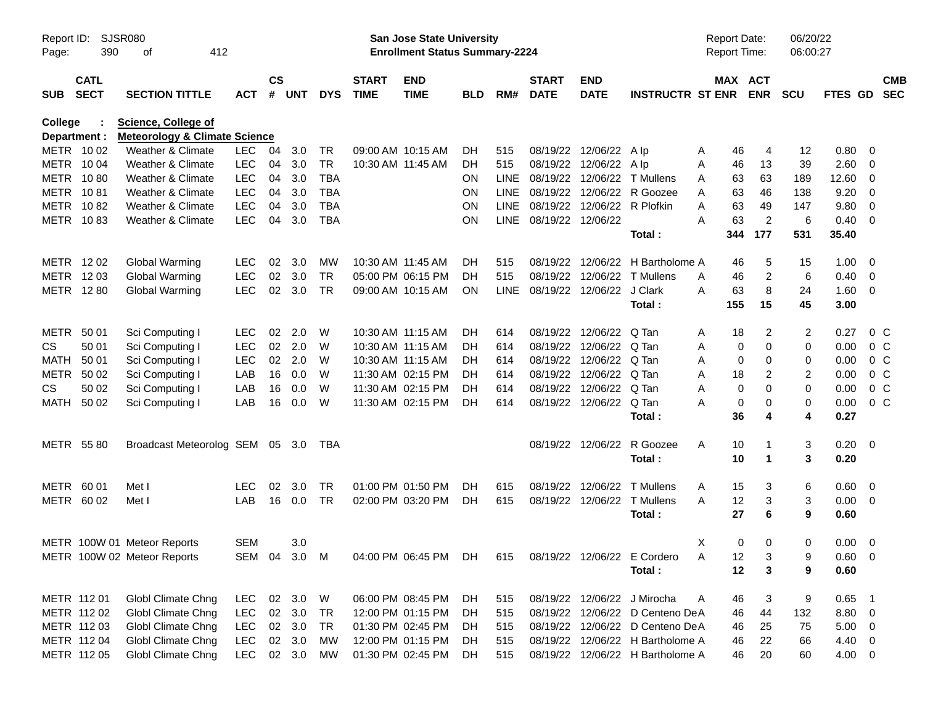| Report ID:<br>Page:     | <b>SJSR080</b><br>390      | 412<br>οf                                                              |            |                    |            |            |                             | San Jose State University<br><b>Enrollment Status Summary-2224</b> |            |             |                             |                             |                                  | <b>Report Date:</b><br><b>Report Time:</b> |                         | 06/20/22<br>06:00:27 |                |                          |
|-------------------------|----------------------------|------------------------------------------------------------------------|------------|--------------------|------------|------------|-----------------------------|--------------------------------------------------------------------|------------|-------------|-----------------------------|-----------------------------|----------------------------------|--------------------------------------------|-------------------------|----------------------|----------------|--------------------------|
| <b>SUB</b>              | <b>CATL</b><br><b>SECT</b> | <b>SECTION TITTLE</b>                                                  | <b>ACT</b> | $\mathsf{cs}$<br># | <b>UNT</b> | <b>DYS</b> | <b>START</b><br><b>TIME</b> | <b>END</b><br><b>TIME</b>                                          | <b>BLD</b> | RM#         | <b>START</b><br><b>DATE</b> | <b>END</b><br><b>DATE</b>   | <b>INSTRUCTR ST ENR</b>          | MAX ACT                                    | <b>ENR</b>              | <b>SCU</b>           | <b>FTES GD</b> | <b>CMB</b><br><b>SEC</b> |
| College<br>Department : |                            | <b>Science, College of</b><br><b>Meteorology &amp; Climate Science</b> |            |                    |            |            |                             |                                                                    |            |             |                             |                             |                                  |                                            |                         |                      |                |                          |
| METR 1002               |                            | Weather & Climate                                                      | <b>LEC</b> | 04                 | 3.0        | TR         |                             | 09:00 AM 10:15 AM                                                  | DH.        | 515         |                             | 08/19/22 12/06/22           | A Ip                             | 46<br>A                                    | 4                       | 12                   | 0.80           | $\overline{\mathbf{0}}$  |
| METR 1004               |                            | Weather & Climate                                                      | <b>LEC</b> | 04                 | 3.0        | <b>TR</b>  | 10:30 AM 11:45 AM           |                                                                    | DH.        | 515         |                             | 08/19/22 12/06/22 Alp       |                                  | Α<br>46                                    | 13                      | 39                   | 2.60           | $\overline{\mathbf{0}}$  |
| METR 1080               |                            | Weather & Climate                                                      | <b>LEC</b> | 04                 | 3.0        | <b>TBA</b> |                             |                                                                    | <b>ON</b>  | <b>LINE</b> |                             | 08/19/22 12/06/22           | T Mullens                        | 63<br>A                                    | 63                      | 189                  | 12.60          | $\overline{\mathbf{0}}$  |
| METR                    | 1081                       | Weather & Climate                                                      | <b>LEC</b> | 04                 | 3.0        | <b>TBA</b> |                             |                                                                    | <b>ON</b>  | <b>LINE</b> |                             | 08/19/22 12/06/22           | R Goozee                         | 63<br>A                                    | 46                      | 138                  | 9.20           | $\overline{0}$           |
| <b>METR</b>             | 1082                       | Weather & Climate                                                      | <b>LEC</b> | 04                 | 3.0        | <b>TBA</b> |                             |                                                                    | ON         | <b>LINE</b> |                             | 08/19/22 12/06/22 R Plofkin |                                  | 63<br>A                                    | 49                      | 147                  | 9.80           | $\overline{0}$           |
| METR 1083               |                            | Weather & Climate                                                      | <b>LEC</b> | 04                 | 3.0        | <b>TBA</b> |                             |                                                                    | ON         | LINE        | 08/19/22 12/06/22           |                             |                                  | 63<br>А                                    | $\overline{c}$          | 6                    | 0.40           | $\overline{\phantom{0}}$ |
|                         |                            |                                                                        |            |                    |            |            |                             |                                                                    |            |             |                             |                             | Total:                           | 344                                        | 177                     | 531                  | 35.40          |                          |
| METR 1202               |                            | Global Warming                                                         | <b>LEC</b> | 02                 | 3.0        | MW         | 10:30 AM 11:45 AM           |                                                                    | DH.        | 515         |                             |                             | 08/19/22 12/06/22 H Bartholome A | 46                                         | 5                       | 15                   | 1.00           | $\overline{\mathbf{0}}$  |
| METR 1203               |                            | Global Warming                                                         | <b>LEC</b> | 02                 | 3.0        | <b>TR</b>  |                             | 05:00 PM 06:15 PM                                                  | DH         | 515         |                             | 08/19/22 12/06/22           | T Mullens                        | 46<br>A                                    | 2                       | 6                    | 0.40           | $\overline{\mathbf{0}}$  |
| METR 1280               |                            | <b>Global Warming</b>                                                  | <b>LEC</b> | 02                 | 3.0        | <b>TR</b>  |                             | 09:00 AM 10:15 AM                                                  | <b>ON</b>  | <b>LINE</b> |                             | 08/19/22 12/06/22           | J Clark                          | 63<br>A                                    | 8                       | 24                   | 1.60           | $\overline{\mathbf{0}}$  |
|                         |                            |                                                                        |            |                    |            |            |                             |                                                                    |            |             |                             |                             | Total:                           | 155                                        | 15                      | 45                   | 3.00           |                          |
| METR                    | 50 01                      | Sci Computing I                                                        | <b>LEC</b> | 02                 | 2.0        | W          | 10:30 AM 11:15 AM           |                                                                    | DH.        | 614         |                             | 08/19/22 12/06/22           | Q Tan                            | 18<br>A                                    | 2                       | $\overline{c}$       | 0.27           | 0 <sup>C</sup>           |
| <b>CS</b>               | 50 01                      | Sci Computing I                                                        | <b>LEC</b> | 02                 | 2.0        | W          | 10:30 AM 11:15 AM           |                                                                    | DH         | 614         |                             | 08/19/22 12/06/22           | Q Tan                            | 0<br>A                                     | 0                       | 0                    | 0.00           | 0 <sup>C</sup>           |
| <b>MATH</b>             | 50 01                      | Sci Computing I                                                        | <b>LEC</b> | 02                 | 2.0        | W          | 10:30 AM 11:15 AM           |                                                                    | DH         | 614         |                             | 08/19/22 12/06/22           | Q Tan                            | 0<br>A                                     | 0                       | 0                    | 0.00           | 0 <sup>C</sup>           |
| <b>METR</b>             | 50 02                      | Sci Computing I                                                        | LAB        | 16                 | 0.0        | W          | 11:30 AM 02:15 PM           |                                                                    | DH         | 614         |                             | 08/19/22 12/06/22           | Q Tan                            | 18<br>Α                                    | 2                       | 2                    | 0.00           | 0 <sup>C</sup>           |
| CS.                     | 50 02                      | Sci Computing I                                                        | LAB        | 16                 | 0.0        | W          | 11:30 AM 02:15 PM           |                                                                    | DH         | 614         |                             | 08/19/22 12/06/22           | Q Tan                            | 0<br>Α                                     | 0                       | $\mathbf 0$          | 0.00           | 0 <sup>C</sup>           |
| <b>MATH</b>             | 50 02                      | Sci Computing I                                                        | LAB        | 16                 | 0.0        | W          |                             | 11:30 AM 02:15 PM                                                  | DH         | 614         |                             | 08/19/22 12/06/22           | Q Tan                            | 0<br>А                                     | 0                       | 0                    | 0.00           | 0 <sup>C</sup>           |
|                         |                            |                                                                        |            |                    |            |            |                             |                                                                    |            |             |                             |                             | Total:                           | 36                                         | 4                       | 4                    | 0.27           |                          |
| METR 5580               |                            | Broadcast Meteorolog SEM 05 3.0                                        |            |                    |            | TBA        |                             |                                                                    |            |             |                             | 08/19/22 12/06/22           | R Goozee                         | A<br>10                                    | -1                      | 3                    | $0.20 \ 0$     |                          |
|                         |                            |                                                                        |            |                    |            |            |                             |                                                                    |            |             |                             |                             | Total:                           | 10                                         | $\overline{\mathbf{1}}$ | 3                    | 0.20           |                          |
| METR 60 01              |                            | Met I                                                                  | <b>LEC</b> | 02                 | 3.0        | <b>TR</b>  |                             | 01:00 PM 01:50 PM                                                  | DH.        | 615         |                             | 08/19/22 12/06/22           | <b>T</b> Mullens                 | 15<br>A                                    | 3                       | 6                    | 0.60           | $\overline{\mathbf{0}}$  |
| METR 60 02              |                            | Met I                                                                  | LAB        | 16                 | 0.0        | <b>TR</b>  |                             | 02:00 PM 03:20 PM                                                  | DH         | 615         |                             | 08/19/22 12/06/22           | <b>T</b> Mullens                 | 12<br>A                                    | 3                       | 3                    | $0.00 \t 0$    |                          |
|                         |                            |                                                                        |            |                    |            |            |                             |                                                                    |            |             |                             |                             | Total:                           | 27                                         | 6                       | 9                    | 0.60           |                          |
|                         |                            | METR 100W 01 Meteor Reports                                            | <b>SEM</b> |                    | 3.0        |            |                             |                                                                    |            |             |                             |                             |                                  | X<br>0                                     | 0                       | 0                    | 0.00           | $\overline{\mathbf{0}}$  |
|                         |                            | METR 100W 02 Meteor Reports                                            |            |                    |            |            |                             | SEM 04 3.0 M 04:00 PM 06:45 PM DH                                  |            | 615         |                             |                             | 08/19/22 12/06/22 E Cordero      | 12<br>A                                    | 3                       | 9                    | $0.60 \t 0$    |                          |
|                         |                            |                                                                        |            |                    |            |            |                             |                                                                    |            |             |                             |                             | Total:                           | 12                                         | 3                       | 9                    | 0.60           |                          |
| METR 112 01             |                            | Globl Climate Chng                                                     | LEC.       |                    | 02 3.0     | W          |                             | 06:00 PM 08:45 PM                                                  | DH         | 515         |                             |                             | 08/19/22 12/06/22 J Mirocha      | 46<br>A                                    | 3                       | 9                    | $0.65$ 1       |                          |
| METR 112 02             |                            | <b>Globl Climate Chng</b>                                              | <b>LEC</b> |                    | 02 3.0     | TR         |                             | 12:00 PM 01:15 PM                                                  | DH         | 515         |                             |                             | 08/19/22 12/06/22 D Centeno DeA  | 46                                         | 44                      | 132                  | 8.80 0         |                          |
|                         | METR 112 03                | <b>Globl Climate Chng</b>                                              | <b>LEC</b> |                    | 02 3.0     | <b>TR</b>  |                             | 01:30 PM 02:45 PM                                                  | DH         | 515         |                             |                             | 08/19/22 12/06/22 D Centeno DeA  | 46                                         | 25                      | 75                   | $5.00 \t 0$    |                          |
|                         | METR 112 04                | <b>Globl Climate Chng</b>                                              | <b>LEC</b> |                    | 02 3.0     | МW         |                             | 12:00 PM 01:15 PM                                                  | DH         | 515         |                             |                             | 08/19/22 12/06/22 H Bartholome A | 46                                         | 22                      | 66                   | 4.40 0         |                          |
|                         | METR 112 05                | <b>Globl Climate Chng</b>                                              | <b>LEC</b> |                    | 02 3.0     | МW         |                             | 01:30 PM 02:45 PM                                                  | DH         | 515         |                             |                             | 08/19/22 12/06/22 H Bartholome A | 46                                         | 20                      | 60                   | 4.00 0         |                          |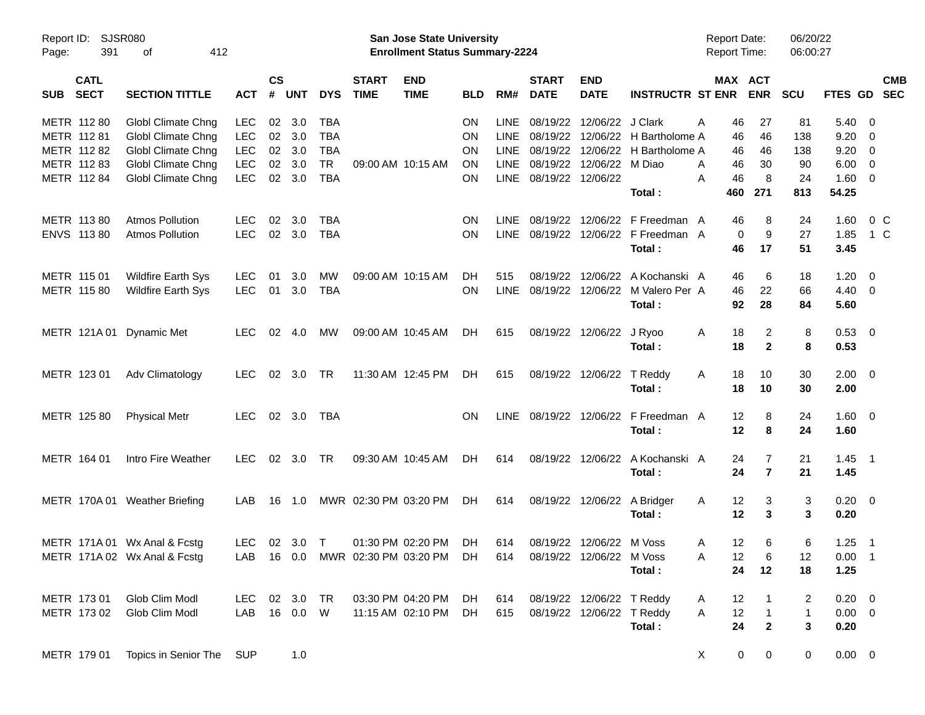| Report ID:<br>Page: | SJSR080<br>391             | 412<br>of                     |            |                    |                |            |                             | <b>San Jose State University</b><br><b>Enrollment Status Summary-2224</b> |            |             |                             |                           |                                 | <b>Report Date:</b><br>Report Time: |                     | 06/20/22<br>06:00:27 |                        |                          |
|---------------------|----------------------------|-------------------------------|------------|--------------------|----------------|------------|-----------------------------|---------------------------------------------------------------------------|------------|-------------|-----------------------------|---------------------------|---------------------------------|-------------------------------------|---------------------|----------------------|------------------------|--------------------------|
| <b>SUB</b>          | <b>CATL</b><br><b>SECT</b> | <b>SECTION TITTLE</b>         | <b>ACT</b> | $\mathsf{cs}$<br># | <b>UNT</b>     | <b>DYS</b> | <b>START</b><br><b>TIME</b> | <b>END</b><br><b>TIME</b>                                                 | <b>BLD</b> | RM#         | <b>START</b><br><b>DATE</b> | <b>END</b><br><b>DATE</b> | <b>INSTRUCTR ST ENR</b>         | MAX ACT                             | <b>ENR</b>          | <b>SCU</b>           | FTES GD SEC            | <b>CMB</b>               |
| METR 112 80         |                            | Globl Climate Chng            | <b>LEC</b> | 02                 | 3.0            | <b>TBA</b> |                             |                                                                           | <b>ON</b>  | LINE.       | 08/19/22                    | 12/06/22                  | J Clark                         | 46<br>Α                             | 27                  | 81                   | 5.40                   | - 0                      |
| METR 112 81         |                            | Globl Climate Chng            | <b>LEC</b> | 02                 | 3.0            | <b>TBA</b> |                             |                                                                           | <b>ON</b>  | <b>LINE</b> | 08/19/22                    | 12/06/22                  | H Bartholome A                  | 46                                  | 46                  | 138                  | 9.20                   | - 0                      |
|                     | METR 112 82                | Globl Climate Chng            | <b>LEC</b> | 02                 | 3.0            | <b>TBA</b> |                             |                                                                           | <b>ON</b>  | <b>LINE</b> | 08/19/22                    | 12/06/22                  | H Bartholome A                  | 46                                  | 46                  | 138                  | 9.20                   | $\overline{0}$           |
|                     | METR 112 83                | Globl Climate Chng            | <b>LEC</b> | 02                 | 3.0            | <b>TR</b>  | 09:00 AM 10:15 AM           |                                                                           | ON         | <b>LINE</b> | 08/19/22                    | 12/06/22                  | M Diao                          | 46<br>A                             | 30                  | 90                   | 6.00                   | $\overline{0}$           |
|                     | METR 112 84                | <b>Globl Climate Chng</b>     | <b>LEC</b> | 02                 | 3.0            | <b>TBA</b> |                             |                                                                           | <b>ON</b>  |             | LINE 08/19/22 12/06/22      |                           | Total:                          | 46<br>Α<br>460                      | 8<br>271            | 24<br>813            | 1.60<br>54.25          | $\overline{\phantom{0}}$ |
| METR 113 80         |                            | <b>Atmos Pollution</b>        | <b>LEC</b> | 02                 | 3.0            | <b>TBA</b> |                             |                                                                           | <b>ON</b>  | <b>LINE</b> | 08/19/22                    | 12/06/22                  | F Freedman A                    | 46                                  | 8                   | 24                   | 1.60                   | 0 <sup>C</sup>           |
|                     | ENVS 113 80                | <b>Atmos Pollution</b>        | <b>LEC</b> |                    | 02 3.0         | <b>TBA</b> |                             |                                                                           | <b>ON</b>  | <b>LINE</b> | 08/19/22                    |                           | 12/06/22 F Freedman A<br>Total: | 0<br>46                             | 9<br>17             | 27<br>51             | 1.85<br>3.45           | 1 C                      |
| METR 115 01         |                            | <b>Wildfire Earth Sys</b>     | LEC        | 01                 | 3.0            | MW         | 09:00 AM 10:15 AM           |                                                                           | DH         | 515         | 08/19/22                    | 12/06/22                  | A Kochanski A                   | 46                                  | 6                   | 18                   | 1.20                   | $\overline{\mathbf{0}}$  |
|                     | METR 115 80                | <b>Wildfire Earth Sys</b>     | <b>LEC</b> | 01                 | 3.0            | <b>TBA</b> |                             |                                                                           | <b>ON</b>  | <b>LINE</b> | 08/19/22                    | 12/06/22                  | M Valero Per A<br>Total:        | 46<br>92                            | 22<br>28            | 66<br>84             | $4.40 \quad 0$<br>5.60 |                          |
|                     | METR 121A01                | <b>Dynamic Met</b>            | <b>LEC</b> | 02                 | 4.0            | МW         | 09:00 AM 10:45 AM           |                                                                           | DH         | 615         | 08/19/22                    | 12/06/22                  | J Ryoo<br>Total:                | 18<br>A<br>18                       | 2<br>$\mathbf{2}$   | 8<br>8               | 0.53 0<br>0.53         |                          |
| METR 123 01         |                            | Adv Climatology               | <b>LEC</b> |                    | 02 3.0         | TR         |                             | 11:30 AM 12:45 PM                                                         | DH         | 615         | 08/19/22                    | 12/06/22                  | T Reddy<br>Total:               | 18<br>A<br>18                       | 10<br>10            | 30<br>30             | $2.00 \t 0$<br>2.00    |                          |
|                     | METR 125 80                | <b>Physical Metr</b>          | LEC.       |                    | 02 3.0         | TBA        |                             |                                                                           | <b>ON</b>  |             | LINE 08/19/22 12/06/22      |                           | F Freedman A<br>Total:          | 12<br>12                            | 8<br>8              | 24<br>24             | $1.60 \t 0$<br>1.60    |                          |
| METR 164 01         |                            | Intro Fire Weather            | <b>LEC</b> |                    | $02 \quad 3.0$ | <b>TR</b>  | 09:30 AM 10:45 AM           |                                                                           | DH         | 614         |                             | 08/19/22 12/06/22         | A Kochanski A<br>Total:         | 24<br>24                            | 7<br>$\overline{7}$ | 21<br>21             | $1.45$ 1<br>1.45       |                          |
|                     |                            | METR 170A 01 Weather Briefing | LAB        | 16                 | 1.0            |            | MWR 02:30 PM 03:20 PM       |                                                                           | DH         | 614         | 08/19/22                    | 12/06/22                  | A Bridger<br>Total:             | 12<br>A<br>12                       | 3<br>3              | 3<br>3               | $0.20 \ 0$<br>0.20     |                          |
|                     |                            | METR 171A 01 Wx Anal & Fcstg  | LEC.       |                    | 02 3.0 T       |            |                             | 01:30 PM 02:20 PM                                                         | DH         | 614         |                             | 08/19/22 12/06/22 M Voss  |                                 | 12<br>A                             | 6                   | 6                    | $1.25$ 1               |                          |
|                     |                            | METR 171A 02 Wx Anal & Fcstg  |            |                    |                |            |                             | LAB 16 0.0 MWR 02:30 PM 03:20 PM DH                                       |            |             | 614 08/19/22 12/06/22       |                           | M Voss                          | 12<br>Α                             | 6                   | 12                   | $0.00$ 1               |                          |
|                     |                            |                               |            |                    |                |            |                             |                                                                           |            |             |                             |                           | Total:                          | 24                                  | 12                  | 18                   | 1.25                   |                          |
|                     | METR 173 01                | Glob Clim Modl                | LEC 02 3.0 |                    |                | TR         |                             | 03:30 PM 04:20 PM                                                         | DH         | 614         |                             | 08/19/22 12/06/22 T Reddy |                                 | 12<br>A                             | $\mathbf{1}$        | 2                    | $0.20 \ 0$             |                          |
|                     | METR 173 02                | Glob Clim Modl                | LAB        |                    | 16  0.0  W     |            |                             | 11:15 AM 02:10 PM                                                         | DH         | 615         |                             | 08/19/22 12/06/22 T Reddy |                                 | 12<br>A                             | $\overline{1}$      | $\mathbf{1}$         | $0.00 \t 0$            |                          |
|                     |                            |                               |            |                    |                |            |                             |                                                                           |            |             |                             |                           | Total:                          | 24                                  | $\boldsymbol{2}$    | $\mathbf{3}$         | 0.20                   |                          |
|                     | METR 179 01                | Topics in Senior The          | SUP        |                    | 1.0            |            |                             |                                                                           |            |             |                             |                           |                                 | 0<br>X                              | 0                   | 0                    | $0.00 \t 0$            |                          |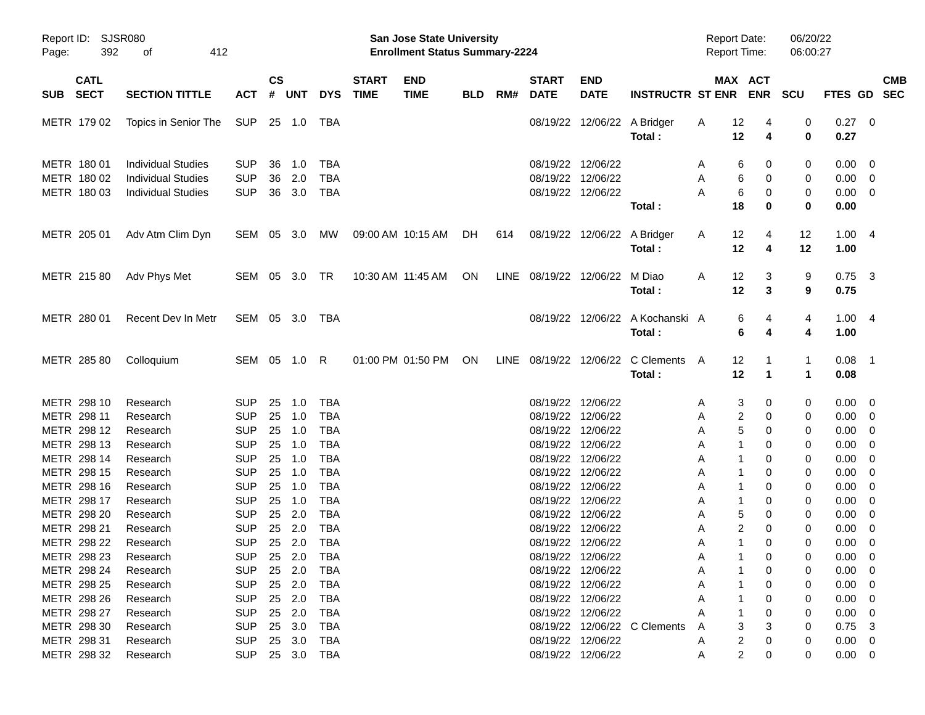| Page:                                                    | Report ID: SJSR080<br>392<br>412<br>οf                                              |                                                      |                      |                            |                                                      |                             | <b>San Jose State University</b><br><b>Enrollment Status Summary-2224</b> |            |     |                             |                                                                                  |                                             |                  | <b>Report Date:</b><br><b>Report Time:</b> |                                                  | 06/20/22<br>06:00:27                             |                                                                                                            |
|----------------------------------------------------------|-------------------------------------------------------------------------------------|------------------------------------------------------|----------------------|----------------------------|------------------------------------------------------|-----------------------------|---------------------------------------------------------------------------|------------|-----|-----------------------------|----------------------------------------------------------------------------------|---------------------------------------------|------------------|--------------------------------------------|--------------------------------------------------|--------------------------------------------------|------------------------------------------------------------------------------------------------------------|
| <b>CATL</b><br><b>SECT</b><br><b>SUB</b>                 | <b>SECTION TITTLE</b>                                                               | <b>ACT</b>                                           | $\mathsf{cs}$<br>#   | <b>UNT</b>                 | <b>DYS</b>                                           | <b>START</b><br><b>TIME</b> | <b>END</b><br><b>TIME</b>                                                 | <b>BLD</b> | RM# | <b>START</b><br><b>DATE</b> | <b>END</b><br><b>DATE</b>                                                        | <b>INSTRUCTR ST ENR</b>                     |                  | MAX ACT<br><b>ENR</b>                      | <b>SCU</b>                                       |                                                  | <b>CMB</b><br>FTES GD SEC                                                                                  |
| METR 179 02                                              | Topics in Senior The                                                                | SUP                                                  |                      | 25 1.0                     | TBA                                                  |                             |                                                                           |            |     |                             |                                                                                  | 08/19/22 12/06/22 A Bridger<br>Total:       | A                | 12<br>12                                   | 0<br>4<br>0<br>4                                 | 0.27 0<br>0.27                                   |                                                                                                            |
| METR 180 01<br>METR 180 02<br>METR 180 03                | <b>Individual Studies</b><br><b>Individual Studies</b><br><b>Individual Studies</b> | <b>SUP</b><br><b>SUP</b><br><b>SUP</b>               | 36<br>36<br>36       | 1.0<br>2.0<br>3.0          | TBA<br><b>TBA</b><br><b>TBA</b>                      |                             |                                                                           |            |     |                             | 08/19/22 12/06/22<br>08/19/22 12/06/22<br>08/19/22 12/06/22                      | Total:                                      | A<br>A<br>A      | 6<br>6<br>6<br>18                          | 0<br>0<br>0<br>0<br>0<br>0<br>0<br>0             | $0.00 \t 0$<br>$0.00 \ 0$<br>$0.00 \t 0$<br>0.00 |                                                                                                            |
| METR 205 01                                              | Adv Atm Clim Dyn                                                                    | SEM 05 3.0                                           |                      |                            | MW                                                   |                             | 09:00 AM 10:15 AM                                                         | DH.        | 614 |                             |                                                                                  | 08/19/22 12/06/22 A Bridger<br>Total:       | A                | $12 \,$<br>12                              | 12<br>4<br>12<br>4                               | 1.004<br>1.00                                    |                                                                                                            |
| METR 215 80                                              | Adv Phys Met                                                                        | SEM 05 3.0 TR                                        |                      |                            |                                                      |                             | 10:30 AM 11:45 AM                                                         | ON         |     |                             | LINE 08/19/22 12/06/22 M Diao                                                    | Total:                                      | A                | 12<br>12                                   | 3<br>9<br>9<br>3                                 | $0.75$ 3<br>0.75                                 |                                                                                                            |
| METR 280 01                                              | Recent Dev In Metr                                                                  | SEM 05 3.0 TBA                                       |                      |                            |                                                      |                             |                                                                           |            |     |                             |                                                                                  | 08/19/22 12/06/22 A Kochanski A<br>Total:   |                  | 6<br>6                                     | 4<br>4<br>4<br>4                                 | 1.004<br>1.00                                    |                                                                                                            |
| METR 285 80                                              | Colloquium                                                                          | SEM 05 1.0 R                                         |                      |                            |                                                      |                             | 01:00 PM 01:50 PM                                                         | ON         |     |                             |                                                                                  | LINE 08/19/22 12/06/22 C Clements<br>Total: | A                | 12<br>12                                   | $\mathbf{1}$<br>-1<br>$\mathbf 1$<br>$\mathbf 1$ | $0.08$ 1<br>0.08                                 |                                                                                                            |
| METR 298 10<br>METR 298 11<br>METR 298 12                | Research<br>Research<br>Research                                                    | <b>SUP</b><br><b>SUP</b><br><b>SUP</b>               | 25<br>25<br>25       | 1.0<br>1.0<br>1.0          | <b>TBA</b><br><b>TBA</b><br><b>TBA</b>               |                             |                                                                           |            |     |                             | 08/19/22 12/06/22<br>08/19/22 12/06/22<br>08/19/22 12/06/22                      |                                             | A<br>A<br>A      | 3<br>2<br>5                                | 0<br>0<br>0<br>0<br>0<br>0                       | $0.00 \t 0$<br>$0.00 \t 0$<br>$0.00 \t 0$        |                                                                                                            |
| METR 298 13<br>METR 298 14<br>METR 298 15                | Research<br>Research<br>Research                                                    | <b>SUP</b><br><b>SUP</b><br><b>SUP</b>               | 25<br>25<br>25       | 1.0<br>1.0<br>1.0          | <b>TBA</b><br><b>TBA</b><br><b>TBA</b>               |                             |                                                                           |            |     |                             | 08/19/22 12/06/22<br>08/19/22 12/06/22<br>08/19/22 12/06/22                      |                                             | A<br>Α<br>A      | 1<br>1<br>1                                | 0<br>0<br>0<br>0<br>0<br>0                       | 0.00<br>0.00<br>0.00                             | $\overline{\phantom{0}}$<br>$\overline{\phantom{0}}$<br>$\overline{\phantom{0}}$                           |
| METR 298 16<br>METR 298 17<br>METR 298 20<br>METR 298 21 | Research<br>Research<br>Research<br>Research                                        | <b>SUP</b><br><b>SUP</b><br><b>SUP</b><br><b>SUP</b> | 25<br>25<br>25<br>25 | 1.0<br>1.0<br>2.0<br>2.0   | <b>TBA</b><br><b>TBA</b><br><b>TBA</b><br><b>TBA</b> |                             |                                                                           |            |     |                             | 08/19/22 12/06/22<br>08/19/22 12/06/22<br>08/19/22 12/06/22<br>08/19/22 12/06/22 |                                             | A<br>Α<br>A<br>A | 1<br>$\mathbf{1}$<br>5<br>2                | 0<br>0<br>0<br>0<br>0<br>0<br>0<br>0             | 0.00<br>0.00<br>0.00<br>0.00                     | $\overline{\mathbf{0}}$<br>$\overline{\mathbf{0}}$<br>$\overline{\phantom{0}}$<br>$\overline{\phantom{0}}$ |
| METR 298 22<br>METR 298 23<br>METR 298 24                | Research<br>Research<br>Research                                                    | <b>SUP</b><br><b>SUP</b>                             |                      | 25 2.0                     | <b>TBA</b><br>SUP 25 2.0 TBA<br>25  2.0  TBA         |                             |                                                                           |            |     |                             | 08/19/22 12/06/22<br>08/19/22 12/06/22<br>08/19/22 12/06/22                      |                                             | A<br>A<br>Α      | 1<br>$\mathbf{1}$                          | 0<br>0<br>$\Omega$<br>$\Omega$<br>0<br>0         | 0.00<br>$0.00 \t 0$<br>$0.00 \t 0$               | $\overline{\mathbf{0}}$                                                                                    |
| METR 298 25<br>METR 298 26<br>METR 298 27                | Research<br>Research<br>Research                                                    | <b>SUP</b><br><b>SUP</b><br><b>SUP</b>               |                      | 25 2.0<br>25 2.0<br>25 2.0 | TBA<br>TBA<br>TBA                                    |                             |                                                                           |            |     |                             | 08/19/22 12/06/22<br>08/19/22 12/06/22<br>08/19/22 12/06/22                      |                                             | Α                |                                            | 0<br>0<br>0<br>0<br>0<br>0                       | $0.00 \t 0$<br>$0.00 \t 0$<br>$0.00 \t 0$        |                                                                                                            |
| METR 298 30<br>METR 298 31<br>METR 298 32                | Research<br>Research<br>Research                                                    | <b>SUP</b><br><b>SUP</b>                             |                      | 25 3.0<br>25 3.0           | TBA<br>TBA<br>SUP 25 3.0 TBA                         |                             |                                                                           |            |     |                             | 08/19/22 12/06/22<br>08/19/22 12/06/22                                           | 08/19/22 12/06/22 C Clements                | A<br>A<br>A      | 2<br>2                                     | 0<br>0<br>0<br>0<br>0                            | $0.75$ 3<br>$0.00 \t 0$<br>$0.00 \t 0$           |                                                                                                            |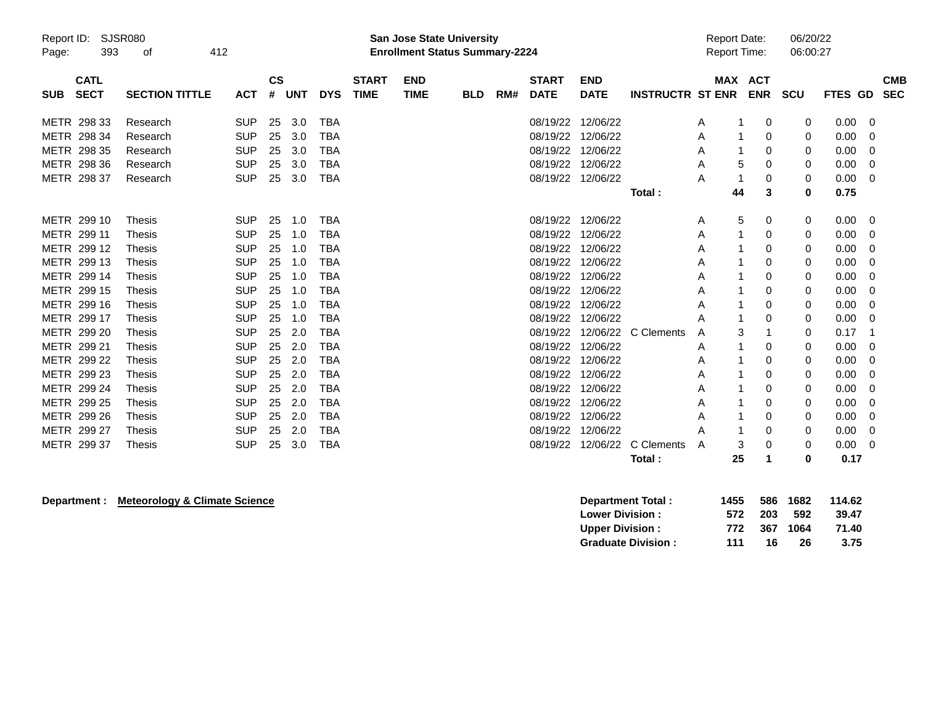| Report ID:<br>Page: | SJSR080<br>393             | 412<br>οf             |            |                    |     |            | <b>San Jose State University</b><br><b>Enrollment Status Summary-2224</b> |                           |            |     |                             |                           | <b>Report Date:</b><br><b>Report Time:</b> |        | 06/20/22<br>06:00:27  |     |                |                          |
|---------------------|----------------------------|-----------------------|------------|--------------------|-----|------------|---------------------------------------------------------------------------|---------------------------|------------|-----|-----------------------------|---------------------------|--------------------------------------------|--------|-----------------------|-----|----------------|--------------------------|
| <b>SUB</b>          | <b>CATL</b><br><b>SECT</b> | <b>SECTION TITTLE</b> | <b>ACT</b> | $\mathsf{cs}$<br># | UNT | <b>DYS</b> | <b>START</b><br><b>TIME</b>                                               | <b>END</b><br><b>TIME</b> | <b>BLD</b> | RM# | <b>START</b><br><b>DATE</b> | <b>END</b><br><b>DATE</b> | <b>INSTRUCTR ST ENR</b>                    |        | MAX ACT<br><b>ENR</b> | SCU | <b>FTES GD</b> | <b>CMB</b><br><b>SEC</b> |
|                     | METR 298 33                | Research              | <b>SUP</b> | 25                 | 3.0 | <b>TBA</b> |                                                                           |                           |            |     | 08/19/22 12/06/22           |                           |                                            | A      | 0                     | 0   | $0.00 \quad 0$ |                          |
|                     | METR 298 34                | Research              | <b>SUP</b> | 25                 | 3.0 | TBA        |                                                                           |                           |            |     | 08/19/22                    | 12/06/22                  |                                            | A      | 0                     | 0   | 0.00           | 0                        |
|                     | METR 298 35                | Research              | <b>SUP</b> | 25                 | 3.0 | <b>TBA</b> |                                                                           |                           |            |     | 08/19/22 12/06/22           |                           |                                            | Α      | 0                     | 0   | 0.00           | 0                        |
|                     | METR 298 36                | Research              | <b>SUP</b> | 25                 | 3.0 | <b>TBA</b> |                                                                           |                           |            |     | 08/19/22                    | 12/06/22                  |                                            | 5<br>Α | 0                     | 0   | 0.00           | 0                        |
|                     | METR 298 37                | Research              | <b>SUP</b> | 25                 | 3.0 | <b>TBA</b> |                                                                           |                           |            |     | 08/19/22 12/06/22           |                           |                                            | Α      | 0                     | 0   | 0.00           | $\Omega$                 |
|                     |                            |                       |            |                    |     |            |                                                                           |                           |            |     |                             |                           | Total:                                     | 44     | 3                     | 0   | 0.75           |                          |
|                     | METR 299 10                | <b>Thesis</b>         | <b>SUP</b> | 25                 | 1.0 | <b>TBA</b> |                                                                           |                           |            |     | 08/19/22 12/06/22           |                           |                                            | 5<br>Α | 0                     | 0   | $0.00 \t 0$    |                          |
|                     | METR 299 11                | <b>Thesis</b>         | <b>SUP</b> | 25                 | 1.0 | <b>TBA</b> |                                                                           |                           |            |     | 08/19/22                    | 12/06/22                  |                                            | Α      | 0                     | 0   | 0.00           | 0                        |
|                     | METR 299 12                | <b>Thesis</b>         | <b>SUP</b> | 25                 | 1.0 | <b>TBA</b> |                                                                           |                           |            |     | 08/19/22                    | 12/06/22                  |                                            | A      | 0                     | 0   | 0.00           | 0                        |
|                     | METR 299 13                | Thesis                | <b>SUP</b> | 25                 | 1.0 | <b>TBA</b> |                                                                           |                           |            |     | 08/19/22 12/06/22           |                           |                                            | A      | 0                     | 0   | 0.00           | 0                        |
|                     | METR 299 14                | Thesis                | <b>SUP</b> | 25                 | 1.0 | TBA        |                                                                           |                           |            |     | 08/19/22                    | 12/06/22                  |                                            | A      | 0                     | 0   | 0.00           | 0                        |
|                     | METR 299 15                | Thesis                | <b>SUP</b> | 25                 | 1.0 | <b>TBA</b> |                                                                           |                           |            |     | 08/19/22 12/06/22           |                           |                                            | Α      | 0                     | 0   | 0.00           | 0                        |
|                     | METR 299 16                | <b>Thesis</b>         | <b>SUP</b> | 25                 | 1.0 | <b>TBA</b> |                                                                           |                           |            |     | 08/19/22                    | 12/06/22                  |                                            | Α      | 0                     | 0   | 0.00           | 0                        |
|                     | METR 299 17                | <b>Thesis</b>         | <b>SUP</b> | 25                 | 1.0 | <b>TBA</b> |                                                                           |                           |            |     | 08/19/22                    | 12/06/22                  |                                            | A      | 0                     | 0   | 0.00           | 0                        |
|                     | METR 299 20                | Thesis                | <b>SUP</b> | 25                 | 2.0 | <b>TBA</b> |                                                                           |                           |            |     | 08/19/22                    |                           | 12/06/22 C Clements                        | 3<br>A |                       | 0   | 0.17           | -1                       |
|                     | METR 299 21                | Thesis                | <b>SUP</b> | 25                 | 2.0 | TBA        |                                                                           |                           |            |     | 08/19/22                    | 12/06/22                  |                                            | A      | 0                     | 0   | 0.00           | -0                       |
|                     | METR 299 22                | <b>Thesis</b>         | <b>SUP</b> | 25                 | 2.0 | <b>TBA</b> |                                                                           |                           |            |     | 08/19/22                    | 12/06/22                  |                                            | Α      | 0                     | 0   | 0.00           | 0                        |
|                     | METR 299 23                | <b>Thesis</b>         | <b>SUP</b> | 25                 | 2.0 | <b>TBA</b> |                                                                           |                           |            |     | 08/19/22                    | 12/06/22                  |                                            | Α      | 0                     | 0   | 0.00           | 0                        |
|                     | METR 299 24                | <b>Thesis</b>         | <b>SUP</b> | 25                 | 2.0 | <b>TBA</b> |                                                                           |                           |            |     | 08/19/22                    | 12/06/22                  |                                            | A      | 0                     | 0   | 0.00           | 0                        |
|                     | METR 299 25                | Thesis                | <b>SUP</b> | 25                 | 2.0 | <b>TBA</b> |                                                                           |                           |            |     | 08/19/22                    | 12/06/22                  |                                            | A      | 0                     | 0   | 0.00           | 0                        |
|                     | METR 299 26                | Thesis                | <b>SUP</b> | 25                 | 2.0 | TBA        |                                                                           |                           |            |     | 08/19/22                    | 12/06/22                  |                                            | A      | 0                     | 0   | 0.00           | 0                        |
|                     | METR 299 27                | Thesis                | <b>SUP</b> | 25                 | 2.0 | <b>TBA</b> |                                                                           |                           |            |     | 08/19/22                    | 12/06/22                  |                                            | Α      | 0                     | 0   | 0.00           | 0                        |
|                     | METR 299 37                | <b>Thesis</b>         | <b>SUP</b> | 25                 | 3.0 | <b>TBA</b> |                                                                           |                           |            |     | 08/19/22                    | 12/06/22                  | C Clements                                 | 3<br>A | 0                     | 0   | 0.00           | 0                        |
|                     |                            |                       |            |                    |     |            |                                                                           |                           |            |     |                             |                           | Total:                                     | 25     |                       | ŋ   | 0.17           |                          |

**Department : Meteorology & Climate Science** 

| Department Total:         | 1455 |      | 586 1682 | 114.62 |
|---------------------------|------|------|----------|--------|
| <b>Lower Division:</b>    | 572  | -203 | -592     | 39.47  |
| <b>Upper Division:</b>    | 772  | 367  | 1064     | 71.40  |
| <b>Graduate Division:</b> | 111  | 16.  | 26       | 3.75   |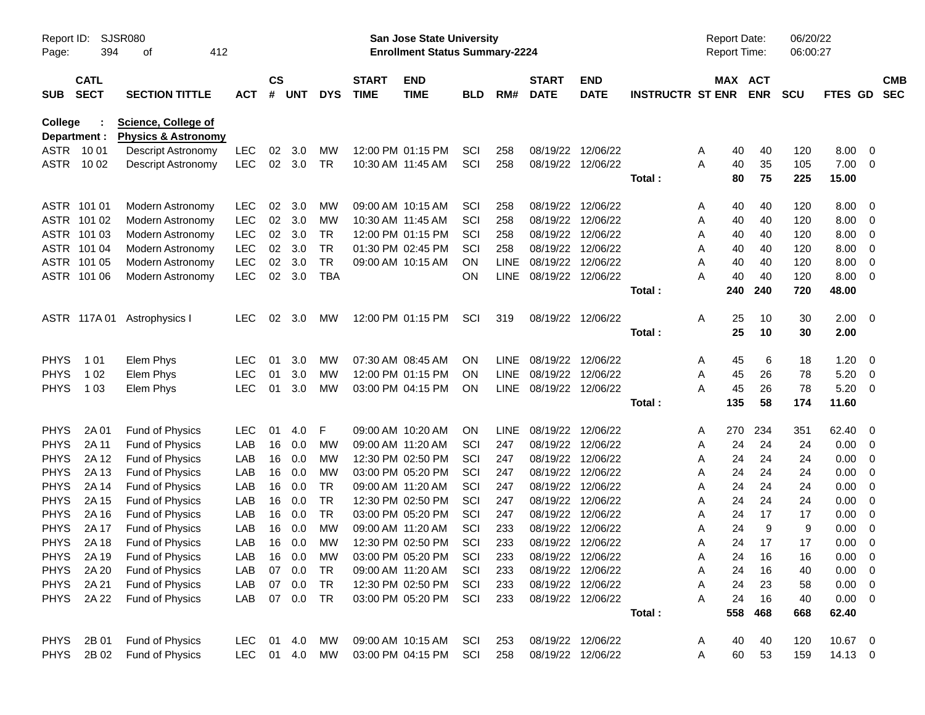| Report ID:<br>Page:        | 394                        | SJSR080<br>412<br>οf                                         |            |                    |               |                 |                             | <b>San Jose State University</b><br><b>Enrollment Status Summary-2224</b> |              |             |                               |                                        |                         | <b>Report Date:</b><br>Report Time: |            | 06/20/22<br>06:00:27 |              |                         |                          |
|----------------------------|----------------------------|--------------------------------------------------------------|------------|--------------------|---------------|-----------------|-----------------------------|---------------------------------------------------------------------------|--------------|-------------|-------------------------------|----------------------------------------|-------------------------|-------------------------------------|------------|----------------------|--------------|-------------------------|--------------------------|
| <b>SUB</b>                 | <b>CATL</b><br><b>SECT</b> | <b>SECTION TITTLE</b>                                        | <b>ACT</b> | $\mathsf{cs}$<br># | <b>UNT</b>    | <b>DYS</b>      | <b>START</b><br><b>TIME</b> | <b>END</b><br><b>TIME</b>                                                 | <b>BLD</b>   | RM#         | <b>START</b><br><b>DATE</b>   | <b>END</b><br><b>DATE</b>              | <b>INSTRUCTR ST ENR</b> | MAX ACT                             | <b>ENR</b> | <b>SCU</b>           | FTES GD      |                         | <b>CMB</b><br><b>SEC</b> |
| <b>College</b>             | Department :               | <b>Science, College of</b><br><b>Physics &amp; Astronomy</b> |            |                    |               |                 |                             |                                                                           |              |             |                               |                                        |                         |                                     |            |                      |              |                         |                          |
|                            | ASTR 1001                  | Descript Astronomy                                           | LEC        | 02                 | 3.0           | МW              |                             | 12:00 PM 01:15 PM                                                         | SCI          | 258         | 08/19/22                      | 12/06/22                               |                         | 40<br>A                             | 40         | 120                  | 8.00         | - 0                     |                          |
| ASTR                       | 10 02                      | <b>Descript Astronomy</b>                                    | <b>LEC</b> | 02                 | 3.0           | <b>TR</b>       | 10:30 AM 11:45 AM           |                                                                           | SCI          | 258         | 08/19/22                      | 12/06/22                               |                         | A<br>40                             | 35         | 105                  | 7.00         | - 0                     |                          |
|                            |                            |                                                              |            |                    |               |                 |                             |                                                                           |              |             |                               |                                        | Total:                  | 80                                  | 75         | 225                  | 15.00        |                         |                          |
|                            | ASTR 101 01                | Modern Astronomy                                             | <b>LEC</b> | 02                 | 3.0           | MW              |                             | 09:00 AM 10:15 AM                                                         | SCI          | 258         | 08/19/22                      | 12/06/22                               |                         | 40<br>A                             | 40         | 120                  | 8.00         | - 0                     |                          |
|                            | ASTR 101 02                | Modern Astronomy                                             | <b>LEC</b> | 02                 | 3.0           | MW              | 10:30 AM 11:45 AM           |                                                                           | SCI          | 258         | 08/19/22                      | 12/06/22                               |                         | 40<br>A                             | 40         | 120                  | 8.00         | 0                       |                          |
|                            | ASTR 101 03                | Modern Astronomy                                             | <b>LEC</b> | 02                 | 3.0           | TR              |                             | 12:00 PM 01:15 PM                                                         | SCI          | 258         | 08/19/22                      | 12/06/22                               |                         | 40<br>A                             | 40         | 120                  | 8.00         | 0                       |                          |
| ASTR                       | 101 04                     | Modern Astronomy                                             | <b>LEC</b> | 02                 | 3.0           | TR              |                             | 01:30 PM 02:45 PM                                                         | SCI          | 258         | 08/19/22                      | 12/06/22                               |                         | 40<br>A                             | 40         | 120                  | 8.00         | 0                       |                          |
| ASTR                       | 101 05                     | Modern Astronomy                                             | <b>LEC</b> | 02                 | 3.0           | <b>TR</b>       |                             | 09:00 AM 10:15 AM                                                         | ON           | <b>LINE</b> | 08/19/22                      | 12/06/22                               |                         | 40<br>A                             | 40         | 120                  | 8.00         | 0                       |                          |
|                            | ASTR 101 06                | Modern Astronomy                                             | <b>LEC</b> | 02                 | 3.0           | <b>TBA</b>      |                             |                                                                           | <b>ON</b>    | <b>LINE</b> | 08/19/22                      | 12/06/22                               |                         | А<br>40                             | 40         | 120                  | 8.00         | - 0                     |                          |
|                            |                            |                                                              |            |                    |               |                 |                             |                                                                           |              |             |                               |                                        | Total:                  | 240                                 | 240        | 720                  | 48.00        |                         |                          |
|                            | ASTR 117A01                | Astrophysics I                                               | <b>LEC</b> | 02                 | 3.0           | MW              |                             | 12:00 PM 01:15 PM                                                         | SCI          | 319         | 08/19/22                      | 12/06/22                               |                         | Α<br>25                             | 10         | 30                   | 2.00         | $\overline{\mathbf{0}}$ |                          |
|                            |                            |                                                              |            |                    |               |                 |                             |                                                                           |              |             |                               |                                        | Total:                  | 25                                  | 10         | 30                   | 2.00         |                         |                          |
| <b>PHYS</b>                | 1 0 1                      | Elem Phys                                                    | <b>LEC</b> | 01                 | 3.0           | МW              | 07:30 AM 08:45 AM           |                                                                           | <b>ON</b>    | <b>LINE</b> | 08/19/22                      | 12/06/22                               |                         | 45<br>A                             | 6          | 18                   | 1.20         | - 0                     |                          |
| <b>PHYS</b>                | 1 0 2                      | Elem Phys                                                    | <b>LEC</b> | 01                 | 3.0           | МW              |                             | 12:00 PM 01:15 PM                                                         | <b>ON</b>    | <b>LINE</b> | 08/19/22                      | 12/06/22                               |                         | A<br>45                             | 26         | 78                   | 5.20         | - 0                     |                          |
| <b>PHYS</b>                | 1 0 3                      | Elem Phys                                                    | <b>LEC</b> | 01                 | 3.0           | МW              |                             | 03:00 PM 04:15 PM                                                         | ON           |             | LINE 08/19/22 12/06/22        |                                        |                         | 45<br>A                             | 26         | 78                   | 5.20         | 0                       |                          |
|                            |                            |                                                              |            |                    |               |                 |                             |                                                                           |              |             |                               |                                        | Total:                  | 135                                 | 58         | 174                  | 11.60        |                         |                          |
| <b>PHYS</b>                | 2A 01                      | Fund of Physics                                              | <b>LEC</b> | 01                 | 4.0           | F               |                             | 09:00 AM 10:20 AM                                                         | ON           | <b>LINE</b> | 08/19/22                      | 12/06/22                               |                         | 270<br>A                            | 234        | 351                  | 62.40        | - 0                     |                          |
| <b>PHYS</b>                | 2A 11                      | Fund of Physics                                              | LAB        | 16                 | 0.0           | MW              | 09:00 AM 11:20 AM           |                                                                           | SCI          | 247         | 08/19/22                      | 12/06/22                               |                         | 24<br>A                             | 24         | 24                   | 0.00         | 0                       |                          |
| <b>PHYS</b>                | 2A 12                      | Fund of Physics                                              | LAB        | 16                 | 0.0           | MW              |                             | 12:30 PM 02:50 PM                                                         | SCI          | 247         | 08/19/22                      | 12/06/22                               |                         | 24<br>Α                             | 24         | 24                   | 0.00         | 0                       |                          |
| <b>PHYS</b>                | 2A 13                      | Fund of Physics                                              | LAB        | 16                 | 0.0           | MW              |                             | 03:00 PM 05:20 PM                                                         | SCI          | 247         | 08/19/22                      | 12/06/22                               |                         | 24<br>Α                             | 24         | 24                   | 0.00         | 0                       |                          |
| <b>PHYS</b>                | 2A 14                      | Fund of Physics                                              | LAB        | 16                 | 0.0           | TR              | 09:00 AM 11:20 AM           |                                                                           | SCI          | 247         | 08/19/22                      | 12/06/22                               |                         | 24<br>Α                             | 24         | 24                   | 0.00         | 0                       |                          |
| <b>PHYS</b>                | 2A 15                      | Fund of Physics                                              | LAB        | 16                 | 0.0           | TR              |                             | 12:30 PM 02:50 PM                                                         | SCI          | 247         | 08/19/22                      | 12/06/22                               |                         | 24<br>Α                             | 24         | 24                   | 0.00         | 0                       |                          |
| <b>PHYS</b>                | 2A 16                      | Fund of Physics                                              | LAB        | 16                 | 0.0           | <b>TR</b>       |                             | 03:00 PM 05:20 PM                                                         | SCI          | 247         | 08/19/22                      | 12/06/22                               |                         | 24<br>A                             | 17         | 17                   | 0.00         | 0                       |                          |
| <b>PHYS</b>                | 2A 17                      | Fund of Physics                                              | LAB        | 16                 | 0.0           | МW              | 09:00 AM 11:20 AM           |                                                                           | SCI          | 233         | 08/19/22<br>08/19/22 12/06/22 | 12/06/22                               |                         | 24<br>Α                             | 9<br>17    | 9                    | 0.00         | 0                       |                          |
| <b>PHYS</b><br><b>PHYS</b> | 2A 18<br>2A 19             | <b>Fund of Physics</b>                                       | LAB<br>LAB | 16                 | 0.0<br>16 0.0 | МW<br><b>MW</b> |                             | 12:30 PM 02:50 PM                                                         | SCI<br>SCI   | 233         | 08/19/22 12/06/22             |                                        |                         | 24<br>A<br>24                       | 16         | 17<br>16             | 0.00         | 0                       |                          |
|                            |                            | Fund of Physics<br>Fund of Physics                           |            |                    |               |                 |                             | 03:00 PM 05:20 PM                                                         |              | 233         |                               |                                        |                         | Α                                   |            |                      | 0.00         | $\overline{0}$          |                          |
| <b>PHYS</b><br><b>PHYS</b> | 2A 20<br>2A 21             | Fund of Physics                                              | LAB<br>LAB | 07<br>07           | 0.0<br>0.0    | TR<br>TR        |                             | 09:00 AM 11:20 AM<br>12:30 PM 02:50 PM                                    | SCI<br>- SCI | 233<br>233  |                               | 08/19/22 12/06/22<br>08/19/22 12/06/22 |                         | Α<br>24<br>24<br>Α                  | 16<br>23   | 40<br>58             | 0.00<br>0.00 | - 0<br>$\overline{0}$   |                          |
| <b>PHYS</b>                | 2A 22                      | Fund of Physics                                              | LAB        |                    | 07 0.0        | TR              |                             | 03:00 PM 05:20 PM SCI                                                     |              | 233         | 08/19/22 12/06/22             |                                        |                         | Α<br>24                             | 16         | 40                   | $0.00 \t 0$  |                         |                          |
|                            |                            |                                                              |            |                    |               |                 |                             |                                                                           |              |             |                               |                                        | Total:                  | 558                                 | 468        | 668                  | 62.40        |                         |                          |
|                            |                            |                                                              |            |                    |               |                 |                             |                                                                           |              |             |                               |                                        |                         |                                     |            |                      |              |                         |                          |
| <b>PHYS</b>                | 2B 01                      | Fund of Physics                                              | LEC        |                    | 01 4.0        | МW              |                             | 09:00 AM 10:15 AM                                                         | <b>SCI</b>   | 253         | 08/19/22 12/06/22             |                                        |                         | 40<br>A                             | 40         | 120                  | 10.67 0      |                         |                          |
| <b>PHYS</b>                | 2B 02                      | Fund of Physics                                              | <b>LEC</b> |                    | 01 4.0        | MW              |                             | 03:00 PM 04:15 PM                                                         | SCI          | 258         | 08/19/22 12/06/22             |                                        |                         | Α<br>60                             | 53         | 159                  | 14.13 0      |                         |                          |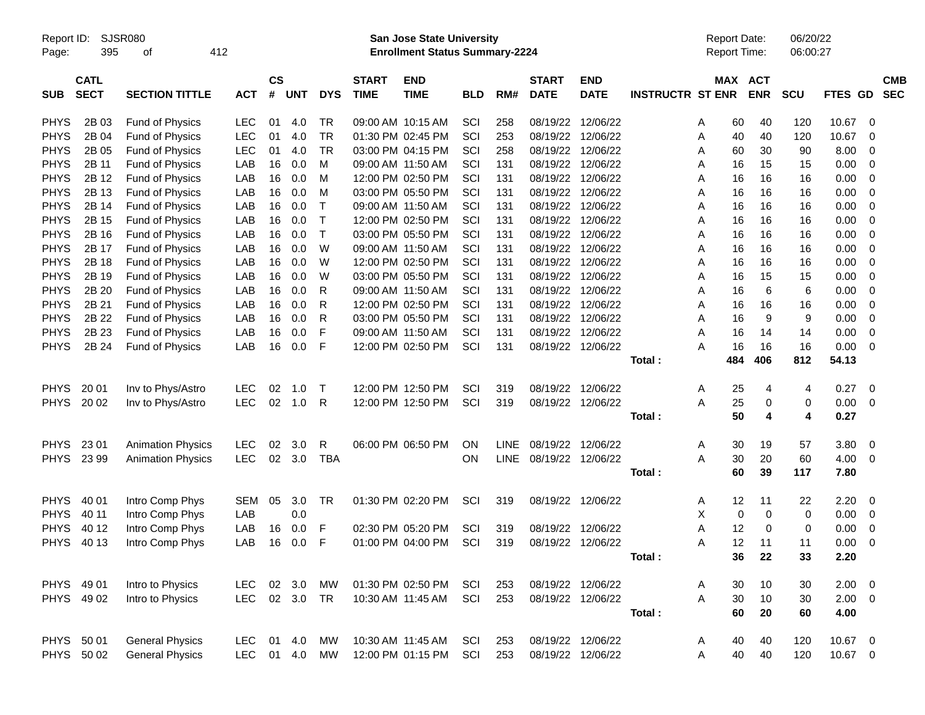| Report ID:<br>Page: | 395                        | SJSR080<br>οf            | 412        |                    |            |             |                             | <b>San Jose State University</b><br><b>Enrollment Status Summary-2224</b> |            |             |                             |                           |                         |   | <b>Report Date:</b><br>Report Time: |            | 06/20/22<br>06:00:27 |                |                         |                          |
|---------------------|----------------------------|--------------------------|------------|--------------------|------------|-------------|-----------------------------|---------------------------------------------------------------------------|------------|-------------|-----------------------------|---------------------------|-------------------------|---|-------------------------------------|------------|----------------------|----------------|-------------------------|--------------------------|
| <b>SUB</b>          | <b>CATL</b><br><b>SECT</b> | <b>SECTION TITTLE</b>    | <b>ACT</b> | $\mathsf{cs}$<br># | <b>UNT</b> | <b>DYS</b>  | <b>START</b><br><b>TIME</b> | <b>END</b><br><b>TIME</b>                                                 | <b>BLD</b> | RM#         | <b>START</b><br><b>DATE</b> | <b>END</b><br><b>DATE</b> | <b>INSTRUCTR ST ENR</b> |   | MAX ACT                             | <b>ENR</b> | <b>SCU</b>           | <b>FTES GD</b> |                         | <b>CMB</b><br><b>SEC</b> |
| <b>PHYS</b>         | 2B 03                      | <b>Fund of Physics</b>   | <b>LEC</b> | 01                 | 4.0        | TR          |                             | 09:00 AM 10:15 AM                                                         | SCI        | 258         | 08/19/22                    | 12/06/22                  |                         | Α | 60                                  | 40         | 120                  | 10.67          | - 0                     |                          |
| <b>PHYS</b>         | 2B 04                      | Fund of Physics          | <b>LEC</b> | 01                 | 4.0        | <b>TR</b>   |                             | 01:30 PM 02:45 PM                                                         | SCI        | 253         | 08/19/22                    | 12/06/22                  |                         | Α | 40                                  | 40         | 120                  | 10.67          | $\mathbf 0$             |                          |
| <b>PHYS</b>         | 2B 05                      | Fund of Physics          | <b>LEC</b> | 01                 | 4.0        | <b>TR</b>   |                             | 03:00 PM 04:15 PM                                                         | SCI        | 258         |                             | 08/19/22 12/06/22         |                         | A | 60                                  | 30         | 90                   | 8.00           | 0                       |                          |
| <b>PHYS</b>         | 2B 11                      | Fund of Physics          | LAB        | 16                 | 0.0        | M           |                             | 09:00 AM 11:50 AM                                                         | SCI        | 131         | 08/19/22                    | 12/06/22                  |                         | A | 16                                  | 15         | 15                   | 0.00           | 0                       |                          |
| <b>PHYS</b>         | 2B 12                      | Fund of Physics          | LAB        | 16                 | 0.0        | м           |                             | 12:00 PM 02:50 PM                                                         | SCI        | 131         | 08/19/22                    | 12/06/22                  |                         | A | 16                                  | 16         | 16                   | 0.00           | 0                       |                          |
| <b>PHYS</b>         | 2B 13                      | Fund of Physics          | LAB        | 16                 | 0.0        | м           |                             | 03:00 PM 05:50 PM                                                         | SCI        | 131         |                             | 08/19/22 12/06/22         |                         | A | 16                                  | 16         | 16                   | 0.00           | 0                       |                          |
| <b>PHYS</b>         | 2B 14                      | Fund of Physics          | LAB        | 16                 | 0.0        | Т           |                             | 09:00 AM 11:50 AM                                                         | SCI        | 131         |                             | 08/19/22 12/06/22         |                         | A | 16                                  | 16         | 16                   | 0.00           | 0                       |                          |
| <b>PHYS</b>         | 2B 15                      | Fund of Physics          | LAB        | 16                 | 0.0        | Т           |                             | 12:00 PM 02:50 PM                                                         | SCI        | 131         | 08/19/22                    | 12/06/22                  |                         | A | 16                                  | 16         | 16                   | 0.00           | 0                       |                          |
| <b>PHYS</b>         | 2B 16                      | Fund of Physics          | LAB        | 16                 | 0.0        | $\mathsf T$ |                             | 03:00 PM 05:50 PM                                                         | SCI        | 131         |                             | 08/19/22 12/06/22         |                         | A | 16                                  | 16         | 16                   | 0.00           | 0                       |                          |
| <b>PHYS</b>         | 2B 17                      | Fund of Physics          | LAB        | 16                 | 0.0        | W           |                             | 09:00 AM 11:50 AM                                                         | SCI        | 131         |                             | 08/19/22 12/06/22         |                         | A | 16                                  | 16         | 16                   | 0.00           | 0                       |                          |
| <b>PHYS</b>         | 2B 18                      | Fund of Physics          | LAB        | 16                 | 0.0        | W           |                             | 12:00 PM 02:50 PM                                                         | SCI        | 131         | 08/19/22                    | 12/06/22                  |                         | A | 16                                  | 16         | 16                   | 0.00           | 0                       |                          |
| <b>PHYS</b>         | 2B 19                      | Fund of Physics          | LAB        | 16                 | 0.0        | W           |                             | 03:00 PM 05:50 PM                                                         | SCI        | 131         |                             | 08/19/22 12/06/22         |                         | A | 16                                  | 15         | 15                   | 0.00           | 0                       |                          |
| <b>PHYS</b>         | 2B 20                      | Fund of Physics          | LAB        | 16                 | 0.0        | R           |                             | 09:00 AM 11:50 AM                                                         | SCI        | 131         |                             | 08/19/22 12/06/22         |                         | A | 16                                  | 6          | 6                    | 0.00           | 0                       |                          |
| <b>PHYS</b>         | 2B 21                      | Fund of Physics          | LAB        | 16                 | 0.0        | R           |                             | 12:00 PM 02:50 PM                                                         | SCI        | 131         |                             | 08/19/22 12/06/22         |                         | A | 16                                  | 16         | 16                   | 0.00           | 0                       |                          |
| <b>PHYS</b>         | 2B 22                      | Fund of Physics          | LAB        | 16                 | 0.0        | R           |                             | 03:00 PM 05:50 PM                                                         | SCI        | 131         |                             | 08/19/22 12/06/22         |                         | A | 16                                  | 9          | 9                    | 0.00           | 0                       |                          |
| <b>PHYS</b>         | 2B 23                      | Fund of Physics          | LAB        | 16                 | 0.0        | F           |                             | 09:00 AM 11:50 AM                                                         | SCI        | 131         |                             | 08/19/22 12/06/22         |                         | A | 16                                  | 14         | 14                   | 0.00           | 0                       |                          |
| <b>PHYS</b>         | 2B 24                      | Fund of Physics          | LAB        | 16                 | 0.0        | F           |                             | 12:00 PM 02:50 PM                                                         | SCI        | 131         |                             | 08/19/22 12/06/22         |                         | Α | 16                                  | 16         | 16                   | 0.00           | - 0                     |                          |
|                     |                            |                          |            |                    |            |             |                             |                                                                           |            |             |                             |                           | Total:                  |   | 484                                 | 406        | 812                  | 54.13          |                         |                          |
| <b>PHYS</b>         | 20 01                      | Inv to Phys/Astro        | <b>LEC</b> | 02                 | 1.0        | т           |                             | 12:00 PM 12:50 PM                                                         | SCI        | 319         |                             | 08/19/22 12/06/22         |                         | A | 25                                  | 4          | 4                    | 0.27           | $\overline{\mathbf{0}}$ |                          |
| <b>PHYS</b>         | 20 02                      | Inv to Phys/Astro        | <b>LEC</b> | 02                 | 1.0        | R           |                             | 12:00 PM 12:50 PM                                                         | SCI        | 319         | 08/19/22                    | 12/06/22                  |                         | A | 25                                  | 0          | 0                    | 0.00           | $\overline{0}$          |                          |
|                     |                            |                          |            |                    |            |             |                             |                                                                           |            |             |                             |                           | Total:                  |   | 50                                  | 4          | 4                    | 0.27           |                         |                          |
| <b>PHYS</b>         | 23 01                      | <b>Animation Physics</b> | <b>LEC</b> | 02                 | 3.0        | R           |                             | 06:00 PM 06:50 PM                                                         | <b>ON</b>  | LINE        | 08/19/22 12/06/22           |                           |                         | A | 30                                  | 19         | 57                   | 3.80           | $\overline{\mathbf{0}}$ |                          |
| <b>PHYS</b>         | 23 99                      | <b>Animation Physics</b> | <b>LEC</b> | 02                 | 3.0        | <b>TBA</b>  |                             |                                                                           | ON         | <b>LINE</b> |                             | 08/19/22 12/06/22         |                         | A | 30                                  | 20         | 60                   | 4.00           | - 0                     |                          |
|                     |                            |                          |            |                    |            |             |                             |                                                                           |            |             |                             |                           | Total:                  |   | 60                                  | 39         | 117                  | 7.80           |                         |                          |
| <b>PHYS</b>         | 40 01                      | Intro Comp Phys          | <b>SEM</b> | 05                 | 3.0        | TR.         |                             | 01:30 PM 02:20 PM                                                         | SCI        | 319         |                             | 08/19/22 12/06/22         |                         | A | 12                                  | 11         | 22                   | 2.20           | $\overline{\mathbf{0}}$ |                          |
| <b>PHYS</b>         | 40 11                      | Intro Comp Phys          | LAB        |                    | 0.0        |             |                             |                                                                           |            |             |                             |                           |                         | X | 0                                   | 0          | 0                    | 0.00           | - 0                     |                          |
| <b>PHYS</b>         | 40 12                      | Intro Comp Phys          | LAB        | 16                 | 0.0        | F           |                             | 02:30 PM 05:20 PM                                                         | SCI        | 319         |                             | 08/19/22 12/06/22         |                         | A | 12                                  | 0          | 0                    | 0.00           | 0                       |                          |
| <b>PHYS</b>         | 40 13                      | Intro Comp Phys          | LAB        | 16                 | 0.0        | F           |                             | 01:00 PM 04:00 PM                                                         | SCI        | 319         |                             | 08/19/22 12/06/22         |                         | A | 12                                  | 11         | 11                   | 0.00           | $\overline{\mathbf{0}}$ |                          |
|                     |                            |                          |            |                    |            |             |                             |                                                                           |            |             |                             |                           | Total:                  |   | 36                                  | 22         | 33                   | 2.20           |                         |                          |
|                     | PHYS 49 01                 | Intro to Physics         | LEC.       |                    | 02 3.0     | MW          |                             | 01:30 PM 02:50 PM                                                         | SCI        | 253         |                             | 08/19/22 12/06/22         |                         | A | 30                                  | 10         | 30                   | $2.00 \t 0$    |                         |                          |
|                     | PHYS 49 02                 | Intro to Physics         |            |                    | LEC 02 3.0 | <b>TR</b>   |                             | 10:30 AM 11:45 AM                                                         | SCI        | 253         |                             | 08/19/22 12/06/22         |                         | A | 30                                  | 10         | 30                   | $2.00 \t 0$    |                         |                          |
|                     |                            |                          |            |                    |            |             |                             |                                                                           |            |             |                             |                           | Total:                  |   | 60                                  | 20         | 60                   | 4.00           |                         |                          |
|                     | PHYS 50 01                 | <b>General Physics</b>   |            |                    | LEC 01 4.0 | MW          |                             | 10:30 AM 11:45 AM                                                         | SCI        | 253         |                             | 08/19/22 12/06/22         |                         | A | 40                                  | 40         | 120                  | 10.67 0        |                         |                          |
|                     | PHYS 50 02                 | <b>General Physics</b>   |            |                    | LEC 01 4.0 | MW          |                             | 12:00 PM 01:15 PM                                                         | SCI        | 253         |                             | 08/19/22 12/06/22         |                         | Α | 40                                  | 40         | 120                  | 10.67 0        |                         |                          |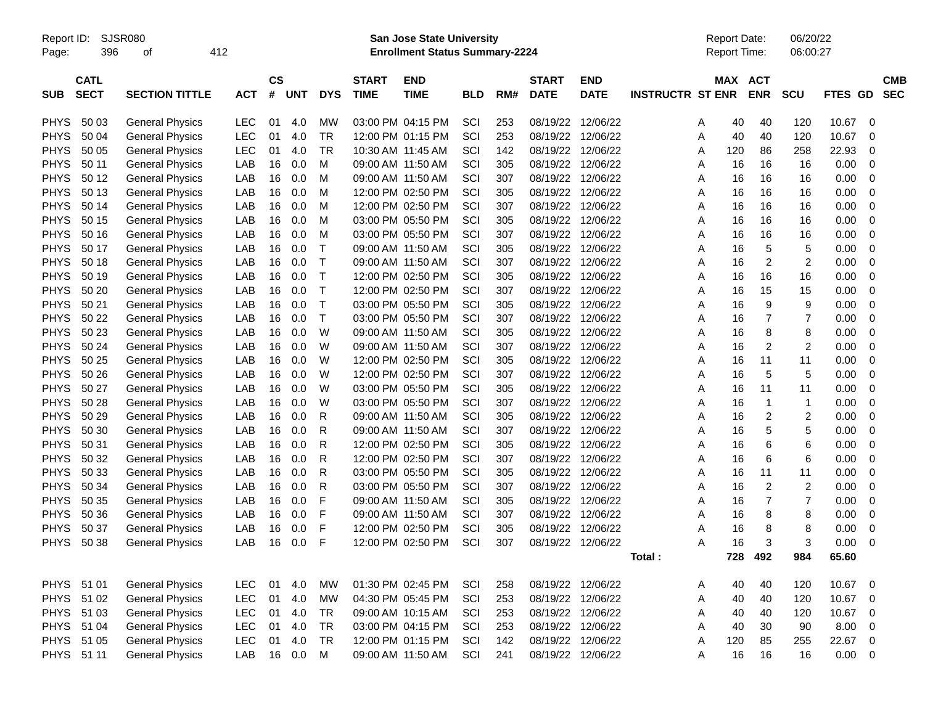Report ID: SJSR080 **San Jose State University** Report Date: 06/20/22

Page: 396 of 412 **Enrollment Status Summary-2224** Report Time: 06:00:27

|             | <b>CATL</b> |                        |            | CS |            |              | <b>START</b>      | <b>END</b>        |            |     | <b>START</b>      | <b>END</b>  |                         | <b>MAX</b> | <b>ACT</b>     |                  |                | <b>CMB</b>  |
|-------------|-------------|------------------------|------------|----|------------|--------------|-------------------|-------------------|------------|-----|-------------------|-------------|-------------------------|------------|----------------|------------------|----------------|-------------|
| <b>SUB</b>  | <b>SECT</b> | <b>SECTION TITTLE</b>  | <b>ACT</b> | #  | <b>UNT</b> | <b>DYS</b>   | <b>TIME</b>       | <b>TIME</b>       | <b>BLD</b> | RM# | <b>DATE</b>       | <b>DATE</b> | <b>INSTRUCTR ST ENR</b> |            | <b>ENR</b>     | <b>SCU</b>       | <b>FTES GD</b> | <b>SEC</b>  |
|             |             |                        |            |    |            |              |                   |                   |            |     |                   |             |                         |            |                |                  |                |             |
| <b>PHYS</b> | 50 03       | <b>General Physics</b> | LEC        | 01 | 4.0        | MW           | 03:00 PM 04:15 PM |                   | SCI        | 253 | 08/19/22          | 12/06/22    | A                       | 40         | 40             | 120              | 10.67          | 0           |
| <b>PHYS</b> | 50 04       | <b>General Physics</b> | LEC        | 01 | 4.0        | TR           |                   | 12:00 PM 01:15 PM | SCI        | 253 | 08/19/22          | 12/06/22    | Α                       | 40         | 40             | 120              | 10.67          | $\mathbf 0$ |
| <b>PHYS</b> | 50 05       | <b>General Physics</b> | LEC        | 01 | 4.0        | TR           | 10:30 AM 11:45 AM |                   | SCI        | 142 | 08/19/22          | 12/06/22    | Α                       | 120        | 86             | 258              | 22.93          | 0           |
| <b>PHYS</b> | 50 11       | <b>General Physics</b> | LAB        | 16 | 0.0        | M            |                   | 09:00 AM 11:50 AM | SCI        | 305 | 08/19/22          | 12/06/22    | A                       | 16         | 16             | 16               | 0.00           | 0           |
| <b>PHYS</b> | 50 12       | <b>General Physics</b> | LAB        | 16 | 0.0        | M            |                   | 09:00 AM 11:50 AM | SCI        | 307 | 08/19/22          | 12/06/22    | A                       | 16         | 16             | 16               | 0.00           | $\mathbf 0$ |
| <b>PHYS</b> | 50 13       | <b>General Physics</b> | LAB        | 16 | 0.0        | м            | 12:00 PM 02:50 PM |                   | SCI        | 305 | 08/19/22          | 12/06/22    | A                       | 16         | 16             | 16               | 0.00           | $\mathbf 0$ |
| <b>PHYS</b> | 50 14       | <b>General Physics</b> | LAB        | 16 | 0.0        | M            |                   | 12:00 PM 02:50 PM | SCI        | 307 | 08/19/22          | 12/06/22    | A                       | 16         | 16             | 16               | 0.00           | $\mathbf 0$ |
| <b>PHYS</b> | 50 15       | <b>General Physics</b> | LAB        | 16 | 0.0        | M            |                   | 03:00 PM 05:50 PM | SCI        | 305 | 08/19/22          | 12/06/22    | A                       | 16         | 16             | 16               | 0.00           | 0           |
| <b>PHYS</b> | 50 16       | <b>General Physics</b> | LAB        | 16 | 0.0        | м            |                   | 03:00 PM 05:50 PM | SCI        | 307 | 08/19/22          | 12/06/22    | Α                       | 16         | 16             | 16               | 0.00           | 0           |
| <b>PHYS</b> | 50 17       | <b>General Physics</b> | LAB        | 16 | 0.0        | $\top$       | 09:00 AM 11:50 AM |                   | SCI        | 305 | 08/19/22          | 12/06/22    | A                       | 16         | 5              | 5                | 0.00           | $\mathbf 0$ |
| <b>PHYS</b> | 50 18       | <b>General Physics</b> | LAB        | 16 | 0.0        | $\mathsf{T}$ | 09:00 AM 11:50 AM |                   | SCI        | 307 | 08/19/22          | 12/06/22    | A                       | 16         | $\overline{c}$ | $\boldsymbol{2}$ | 0.00           | $\mathbf 0$ |
| <b>PHYS</b> | 50 19       | <b>General Physics</b> | LAB        | 16 | 0.0        | $\mathsf{T}$ |                   | 12:00 PM 02:50 PM | SCI        | 305 | 08/19/22          | 12/06/22    | A                       | 16         | 16             | 16               | 0.00           | $\mathbf 0$ |
| <b>PHYS</b> | 50 20       | <b>General Physics</b> | LAB        | 16 | 0.0        | $\mathsf{T}$ |                   | 12:00 PM 02:50 PM | SCI        | 307 | 08/19/22          | 12/06/22    | A                       | 16         | 15             | 15               | 0.00           | $\mathbf 0$ |
| <b>PHYS</b> | 50 21       | <b>General Physics</b> | LAB        | 16 | 0.0        | $\mathsf{T}$ |                   | 03:00 PM 05:50 PM | SCI        | 305 | 08/19/22 12/06/22 |             | Α                       | 16         | 9              | 9                | 0.00           | $\mathbf 0$ |
| <b>PHYS</b> | 50 22       | <b>General Physics</b> | LAB        | 16 | 0.0        | $\top$       |                   | 03:00 PM 05:50 PM | SCI        | 307 | 08/19/22          | 12/06/22    | Α                       | 16         | $\overline{7}$ | $\overline{7}$   | 0.00           | 0           |
| <b>PHYS</b> | 50 23       | <b>General Physics</b> | LAB        | 16 | 0.0        | W            | 09:00 AM 11:50 AM |                   | SCI        | 305 | 08/19/22          | 12/06/22    | Α                       | 16         | 8              | 8                | 0.00           | 0           |
| <b>PHYS</b> | 50 24       | <b>General Physics</b> | LAB        | 16 | 0.0        | W            | 09:00 AM 11:50 AM |                   | SCI        | 307 | 08/19/22          | 12/06/22    | A                       | 16         | $\overline{c}$ | $\overline{c}$   | 0.00           | 0           |
| <b>PHYS</b> | 50 25       | <b>General Physics</b> | LAB        | 16 | 0.0        | W            |                   | 12:00 PM 02:50 PM | SCI        | 305 | 08/19/22          | 12/06/22    | Α                       | 16         | 11             | 11               | 0.00           | 0           |
| <b>PHYS</b> | 50 26       | <b>General Physics</b> | LAB        | 16 | 0.0        | W            |                   | 12:00 PM 02:50 PM | SCI        | 307 | 08/19/22          | 12/06/22    | Α                       | 16         | 5              | 5                | 0.00           | 0           |
| <b>PHYS</b> | 50 27       | <b>General Physics</b> | LAB        | 16 | 0.0        | W            |                   | 03:00 PM 05:50 PM | SCI        | 305 | 08/19/22          | 12/06/22    | A                       | 16         | 11             | 11               | 0.00           | $\mathbf 0$ |
| <b>PHYS</b> | 50 28       | <b>General Physics</b> | LAB        | 16 | 0.0        | W            |                   | 03:00 PM 05:50 PM | SCI        | 307 | 08/19/22          | 12/06/22    | A                       | 16         | $\mathbf 1$    | $\mathbf{1}$     | 0.00           | $\mathbf 0$ |
| <b>PHYS</b> | 50 29       | <b>General Physics</b> | LAB        | 16 | 0.0        | R            | 09:00 AM 11:50 AM |                   | SCI        | 305 | 08/19/22          | 12/06/22    | A                       | 16         | $\overline{c}$ | $\overline{c}$   | 0.00           | 0           |
| <b>PHYS</b> | 50 30       | <b>General Physics</b> | LAB        | 16 | 0.0        | R            |                   | 09:00 AM 11:50 AM | SCI        | 307 | 08/19/22          | 12/06/22    | A                       | 16         | 5              | 5                | 0.00           | 0           |
| <b>PHYS</b> | 50 31       | <b>General Physics</b> | LAB        | 16 | 0.0        | R            |                   | 12:00 PM 02:50 PM | SCI        | 305 | 08/19/22          | 12/06/22    | Α                       | 16         | 6              | 6                | 0.00           | $\mathbf 0$ |
| <b>PHYS</b> | 50 32       | <b>General Physics</b> | LAB        | 16 | 0.0        | $\mathsf{R}$ |                   | 12:00 PM 02:50 PM | SCI        | 307 | 08/19/22          | 12/06/22    | A                       | 16         | 6              | 6                | 0.00           | 0           |
| <b>PHYS</b> | 50 33       | <b>General Physics</b> | LAB        | 16 | 0.0        | $\mathsf{R}$ |                   | 03:00 PM 05:50 PM | SCI        | 305 | 08/19/22          | 12/06/22    | A                       | 16         | 11             | 11               | 0.00           | 0           |
| <b>PHYS</b> | 50 34       | <b>General Physics</b> | LAB        | 16 | 0.0        | $\mathsf{R}$ |                   | 03:00 PM 05:50 PM | SCI        | 307 | 08/19/22          | 12/06/22    | A                       | 16         | $\overline{c}$ | $\overline{c}$   | 0.00           | $\mathbf 0$ |
| <b>PHYS</b> | 50 35       | <b>General Physics</b> | LAB        | 16 | 0.0        | F            |                   | 09:00 AM 11:50 AM | SCI        | 305 | 08/19/22          | 12/06/22    | A                       | 16         | $\overline{7}$ | $\overline{7}$   | 0.00           | 0           |
| <b>PHYS</b> | 50 36       | <b>General Physics</b> | LAB        | 16 | 0.0        | F            |                   | 09:00 AM 11:50 AM | SCI        | 307 | 08/19/22          | 12/06/22    | A                       | 16         | 8              | 8                | 0.00           | 0           |
| <b>PHYS</b> | 50 37       | <b>General Physics</b> | LAB        | 16 | 0.0        | F            |                   | 12:00 PM 02:50 PM | SCI        | 305 | 08/19/22          | 12/06/22    | A                       | 16         | 8              | 8                | 0.00           | 0           |
| <b>PHYS</b> | 50 38       | <b>General Physics</b> | LAB        | 16 | 0.0        | F            |                   | 12:00 PM 02:50 PM | SCI        | 307 | 08/19/22 12/06/22 |             | A                       | 16         | 3              | 3                | 0.00           | $\mathbf 0$ |
|             |             |                        |            |    |            |              |                   |                   |            |     |                   |             | Total:                  | 728        | 492            | 984              | 65.60          |             |
|             |             |                        |            |    |            |              |                   |                   |            |     |                   |             |                         |            |                |                  |                |             |
| <b>PHYS</b> | 51 01       | <b>General Physics</b> | LEC        | 01 | 4.0        | <b>MW</b>    | 01:30 PM 02:45 PM |                   | SCI        | 258 | 08/19/22          | 12/06/22    | Α                       | 40         | 40             | 120              | 10.67          | $\mathbf 0$ |
| <b>PHYS</b> | 51 02       | <b>General Physics</b> | LEC        | 01 | 4.0        | <b>MW</b>    |                   | 04:30 PM 05:45 PM | SCI        | 253 | 08/19/22          | 12/06/22    | A                       | 40         | 40             | 120              | 10.67          | 0           |
| <b>PHYS</b> | 51 03       | <b>General Physics</b> | LEC        | 01 | 4.0        | TR           |                   | 09:00 AM 10:15 AM | SCI        | 253 | 08/19/22          | 12/06/22    | A                       | 40         | 40             | 120              | 10.67          | 0           |
| <b>PHYS</b> | 51 04       | <b>General Physics</b> | LEC        | 01 | 4.0        | <b>TR</b>    |                   | 03:00 PM 04:15 PM | SCI        | 253 | 08/19/22          | 12/06/22    | A                       | 40         | 30             | 90               | 8.00           | $\mathbf 0$ |
| <b>PHYS</b> | 51 05       | <b>General Physics</b> | <b>LEC</b> | 01 | 4.0        | <b>TR</b>    |                   | 12:00 PM 01:15 PM | SCI        | 142 | 08/19/22          | 12/06/22    | Α                       | 120        | 85             | 255              | 22.67          | 0           |
| <b>PHYS</b> | 51 11       | <b>General Physics</b> | LAB        | 16 | 0.0        | м            |                   | 09:00 AM 11:50 AM | SCI        | 241 | 08/19/22 12/06/22 |             | A                       | 16         | 16             | 16               | 0.00           | 0           |
|             |             |                        |            |    |            |              |                   |                   |            |     |                   |             |                         |            |                |                  |                |             |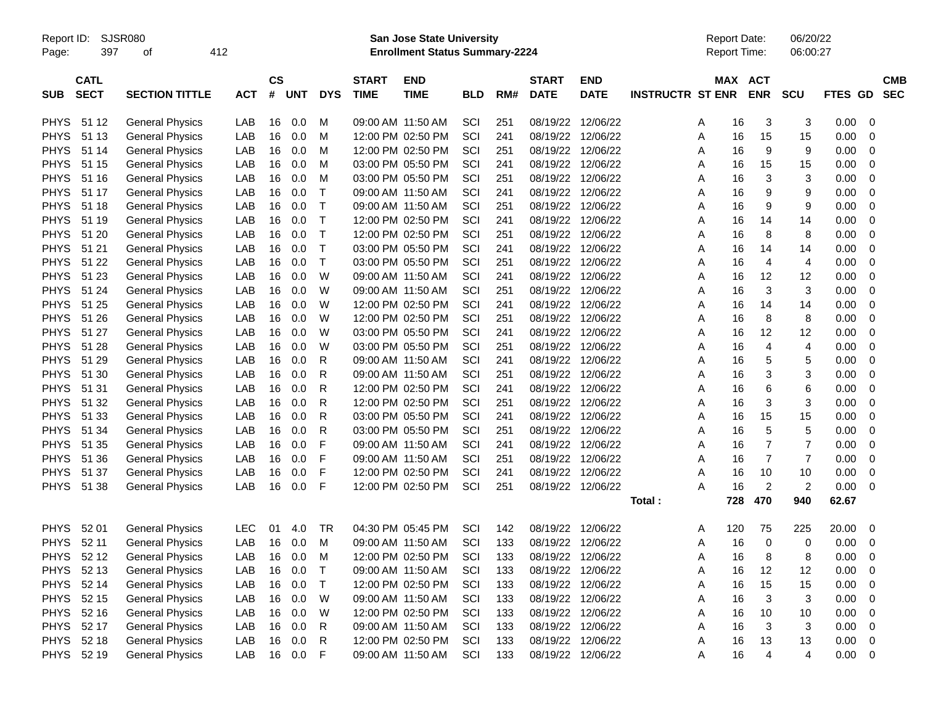Report ID: SJSR080 **San Jose State University** Report Date: 06/20/22

Page: 397 of 412 **Enrollment Status Summary-2224** Report Time: 06:00:27

|             | <b>CATL</b> |                        |     | <b>CS</b> |            |              | <b>START</b> | <b>END</b>        |            |     | <b>START</b>      | <b>END</b>        |                         | <b>MAX</b> | <b>ACT</b>              |                |                | <b>CMB</b>       |
|-------------|-------------|------------------------|-----|-----------|------------|--------------|--------------|-------------------|------------|-----|-------------------|-------------------|-------------------------|------------|-------------------------|----------------|----------------|------------------|
| <b>SUB</b>  | <b>SECT</b> | <b>SECTION TITTLE</b>  | ACT | #         | <b>UNT</b> | <b>DYS</b>   | <b>TIME</b>  | <b>TIME</b>       | <b>BLD</b> | RM# | <b>DATE</b>       | <b>DATE</b>       | <b>INSTRUCTR ST ENR</b> |            | <b>ENR</b>              | <b>SCU</b>     | <b>FTES GD</b> | <b>SEC</b>       |
| <b>PHYS</b> | 51 12       | <b>General Physics</b> | LAB | 16        | 0.0        | M            |              | 09:00 AM 11:50 AM | SCI        | 251 | 08/19/22 12/06/22 |                   |                         | 16<br>A    | 3                       | 3              | 0.00           | $\mathbf 0$      |
| <b>PHYS</b> | 51 13       | <b>General Physics</b> | LAB | 16        | 0.0        | M            |              | 12:00 PM 02:50 PM | SCI        | 241 |                   | 08/19/22 12/06/22 |                         | 16<br>A    | 15                      | 15             | 0.00           | $\mathbf 0$      |
| <b>PHYS</b> | 51 14       | <b>General Physics</b> | LAB | 16        | 0.0        | м            |              | 12:00 PM 02:50 PM | SCI        | 251 |                   | 08/19/22 12/06/22 |                         | A<br>16    | 9                       | 9              | 0.00           | 0                |
| <b>PHYS</b> | 51 15       | <b>General Physics</b> | LAB | 16        | 0.0        | м            |              | 03:00 PM 05:50 PM | SCI        | 241 |                   | 08/19/22 12/06/22 |                         | Α<br>16    | 15                      | 15             | 0.00           | $\mathbf 0$      |
| <b>PHYS</b> | 51 16       | <b>General Physics</b> | LAB | 16        | 0.0        | M            |              | 03:00 PM 05:50 PM | SCI        | 251 |                   | 08/19/22 12/06/22 |                         | 16<br>Α    | 3                       | 3              | 0.00           | 0                |
| <b>PHYS</b> | 51 17       | <b>General Physics</b> | LAB | 16        | 0.0        | $\top$       |              | 09:00 AM 11:50 AM | SCI        | 241 |                   | 08/19/22 12/06/22 |                         | 16<br>Α    | 9                       | 9              | 0.00           | 0                |
| <b>PHYS</b> | 51 18       | <b>General Physics</b> | LAB | 16        | 0.0        | $\mathsf{T}$ |              | 09:00 AM 11:50 AM | SCI        | 251 |                   | 08/19/22 12/06/22 |                         | 16<br>A    | 9                       | 9              | 0.00           | 0                |
| <b>PHYS</b> | 51 19       | <b>General Physics</b> | LAB | 16        | 0.0        | $\top$       |              | 12:00 PM 02:50 PM | SCI        | 241 | 08/19/22 12/06/22 |                   |                         | 16<br>Α    | 14                      | 14             | 0.00           | 0                |
| <b>PHYS</b> | 51 20       | <b>General Physics</b> | LAB | 16        | 0.0        | $\mathsf{T}$ |              | 12:00 PM 02:50 PM | SCI        | 251 | 08/19/22          | 12/06/22          |                         | 16<br>Α    | 8                       | 8              | 0.00           | $\boldsymbol{0}$ |
| <b>PHYS</b> | 51 21       | <b>General Physics</b> | LAB | 16        | 0.0        | $\top$       |              | 03:00 PM 05:50 PM | SCI        | 241 |                   | 08/19/22 12/06/22 |                         | Α<br>16    | 14                      | 14             | 0.00           | $\mathbf 0$      |
| <b>PHYS</b> | 51 22       | <b>General Physics</b> | LAB | 16        | 0.0        | $\top$       |              | 03:00 PM 05:50 PM | SCI        | 251 |                   | 08/19/22 12/06/22 |                         | 16<br>A    | 4                       | 4              | 0.00           | $\mathbf 0$      |
| <b>PHYS</b> | 51 23       | <b>General Physics</b> | LAB | 16        | 0.0        | W            |              | 09:00 AM 11:50 AM | SCI        | 241 |                   | 08/19/22 12/06/22 |                         | 16<br>A    | 12                      | 12             | 0.00           | $\mathbf 0$      |
| <b>PHYS</b> | 51 24       | <b>General Physics</b> | LAB | 16        | 0.0        | W            |              | 09:00 AM 11:50 AM | SCI        | 251 |                   | 08/19/22 12/06/22 |                         | A<br>16    | 3                       | 3              | 0.00           | 0                |
| <b>PHYS</b> | 51 25       | <b>General Physics</b> | LAB | 16        | 0.0        | W            |              | 12:00 PM 02:50 PM | SCI        | 241 |                   | 08/19/22 12/06/22 |                         | A<br>16    | 14                      | 14             | 0.00           | 0                |
| <b>PHYS</b> | 51 26       | <b>General Physics</b> | LAB | 16        | 0.0        | W            |              | 12:00 PM 02:50 PM | SCI        | 251 |                   | 08/19/22 12/06/22 |                         | 16<br>Α    | 8                       | 8              | 0.00           | 0                |
| <b>PHYS</b> | 51 27       | <b>General Physics</b> | LAB | 16        | 0.0        | W            |              | 03:00 PM 05:50 PM | SCI        | 241 | 08/19/22          | 12/06/22          |                         | 16<br>A    | 12                      | 12             | 0.00           | $\mathbf 0$      |
| <b>PHYS</b> | 51 28       | <b>General Physics</b> | LAB | 16        | 0.0        | W            |              | 03:00 PM 05:50 PM | SCI        | 251 | 08/19/22 12/06/22 |                   |                         | 16<br>A    | 4                       | 4              | 0.00           | $\mathbf 0$      |
| <b>PHYS</b> | 51 29       | <b>General Physics</b> | LAB | 16        | 0.0        | $\mathsf{R}$ |              | 09:00 AM 11:50 AM | SCI        | 241 | 08/19/22          | 12/06/22          |                         | 16<br>Α    | 5                       | 5              | 0.00           | $\mathbf 0$      |
| <b>PHYS</b> | 51 30       | <b>General Physics</b> | LAB | 16        | 0.0        | R            |              | 09:00 AM 11:50 AM | SCI        | 251 | 08/19/22 12/06/22 |                   |                         | 16<br>Α    | 3                       | 3              | 0.00           | $\mathbf 0$      |
| <b>PHYS</b> | 51 31       | <b>General Physics</b> | LAB | 16        | 0.0        | R            |              | 12:00 PM 02:50 PM | SCI        | 241 |                   | 08/19/22 12/06/22 |                         | 16<br>A    | 6                       | 6              | 0.00           | 0                |
| <b>PHYS</b> | 51 32       | <b>General Physics</b> | LAB | 16        | 0.0        | R            |              | 12:00 PM 02:50 PM | SCI        | 251 |                   | 08/19/22 12/06/22 |                         | 16<br>A    | 3                       | 3              | 0.00           | $\mathbf 0$      |
| <b>PHYS</b> | 51 33       | <b>General Physics</b> | LAB | 16        | 0.0        | R            |              | 03:00 PM 05:50 PM | SCI        | 241 | 08/19/22          | 12/06/22          |                         | A<br>16    | 15                      | 15             | 0.00           | 0                |
| <b>PHYS</b> | 51 34       | <b>General Physics</b> | LAB | 16        | 0.0        | R            |              | 03:00 PM 05:50 PM | SCI        | 251 |                   | 08/19/22 12/06/22 |                         | A<br>16    | 5                       | 5              | 0.00           | $\pmb{0}$        |
| <b>PHYS</b> | 51 35       | <b>General Physics</b> | LAB | 16        | 0.0        | F            |              | 09:00 AM 11:50 AM | SCI        | 241 |                   | 08/19/22 12/06/22 |                         | 16<br>A    | 7                       | $\overline{7}$ | 0.00           | $\mathbf 0$      |
| <b>PHYS</b> | 51 36       | <b>General Physics</b> | LAB | 16        | 0.0        | F            |              | 09:00 AM 11:50 AM | SCI        | 251 |                   | 08/19/22 12/06/22 |                         | 16<br>Α    | 7                       | $\overline{7}$ | 0.00           | 0                |
| <b>PHYS</b> | 51 37       | <b>General Physics</b> | LAB | 16        | 0.0        | F            |              | 12:00 PM 02:50 PM | SCI        | 241 | 08/19/22 12/06/22 |                   |                         | 16<br>A    | 10                      | 10             | 0.00           | $\mathbf 0$      |
| <b>PHYS</b> | 51 38       | <b>General Physics</b> | LAB | 16        | 0.0        | F            |              | 12:00 PM 02:50 PM | SCI        | 251 |                   | 08/19/22 12/06/22 |                         | 16<br>A    | $\overline{2}$          | $\overline{2}$ | 0.00           | 0                |
|             |             |                        |     |           |            |              |              |                   |            |     |                   |                   | Total :                 | 728        | 470                     | 940            | 62.67          |                  |
| <b>PHYS</b> | 52 01       | <b>General Physics</b> | LEC | 01        | 4.0        | TR           |              | 04:30 PM 05:45 PM | SCI        | 142 | 08/19/22 12/06/22 |                   |                         | 120<br>A   | 75                      | 225            | 20.00          | $\mathbf 0$      |
| <b>PHYS</b> | 52 11       | <b>General Physics</b> | LAB | 16        | 0.0        | м            |              | 09:00 AM 11:50 AM | SCI        | 133 |                   | 08/19/22 12/06/22 |                         | A<br>16    | $\mathbf 0$             | 0              | 0.00           | $\mathbf 0$      |
| <b>PHYS</b> | 52 12       | <b>General Physics</b> | LAB | 16        | 0.0        | м            |              | 12:00 PM 02:50 PM | SCI        | 133 |                   | 08/19/22 12/06/22 |                         | Α<br>16    | 8                       | 8              | 0.00           | 0                |
| <b>PHYS</b> | 52 13       | <b>General Physics</b> | LAB | 16        | 0.0        | $\mathsf{T}$ |              | 09:00 AM 11:50 AM | SCI        | 133 |                   | 08/19/22 12/06/22 |                         | 16<br>A    | 12                      | 12             | 0.00           | $\mathbf 0$      |
| <b>PHYS</b> | 52 14       | <b>General Physics</b> | LAB | 16        | 0.0        | $\top$       |              | 12:00 PM 02:50 PM | SCI        | 133 |                   | 08/19/22 12/06/22 |                         | 16<br>Α    | 15                      | 15             | 0.00           | 0                |
| <b>PHYS</b> | 52 15       | <b>General Physics</b> | LAB | 16        | 0.0        | W            |              | 09:00 AM 11:50 AM | SCI        | 133 |                   | 08/19/22 12/06/22 |                         | A<br>16    | $\sqrt{3}$              | 3              | 0.00           | $\mathbf 0$      |
| <b>PHYS</b> | 52 16       | <b>General Physics</b> | LAB | 16        | 0.0        | W            |              | 12:00 PM 02:50 PM | SCI        | 133 | 08/19/22          | 12/06/22          |                         | 16<br>Α    | 10                      | 10             | 0.00           | 0                |
| <b>PHYS</b> | 52 17       | <b>General Physics</b> | LAB | 16        | 0.0        | R            |              | 09:00 AM 11:50 AM | SCI        | 133 |                   | 08/19/22 12/06/22 |                         | 16<br>A    | 3                       | 3              | 0.00           | $\pmb{0}$        |
| <b>PHYS</b> | 52 18       | <b>General Physics</b> | LAB | 16        | 0.0        | R            |              | 12:00 PM 02:50 PM | SCI        | 133 | 08/19/22          | 12/06/22          |                         | 16<br>A    | 13                      | 13             | 0.00           | $\mathbf 0$      |
| <b>PHYS</b> | 52 19       | <b>General Physics</b> | LAB | 16        | 0.0        | F            |              | 09:00 AM 11:50 AM | SCI        | 133 | 08/19/22 12/06/22 |                   |                         | 16<br>A    | $\overline{\mathbf{4}}$ | 4              | 0.00           | 0                |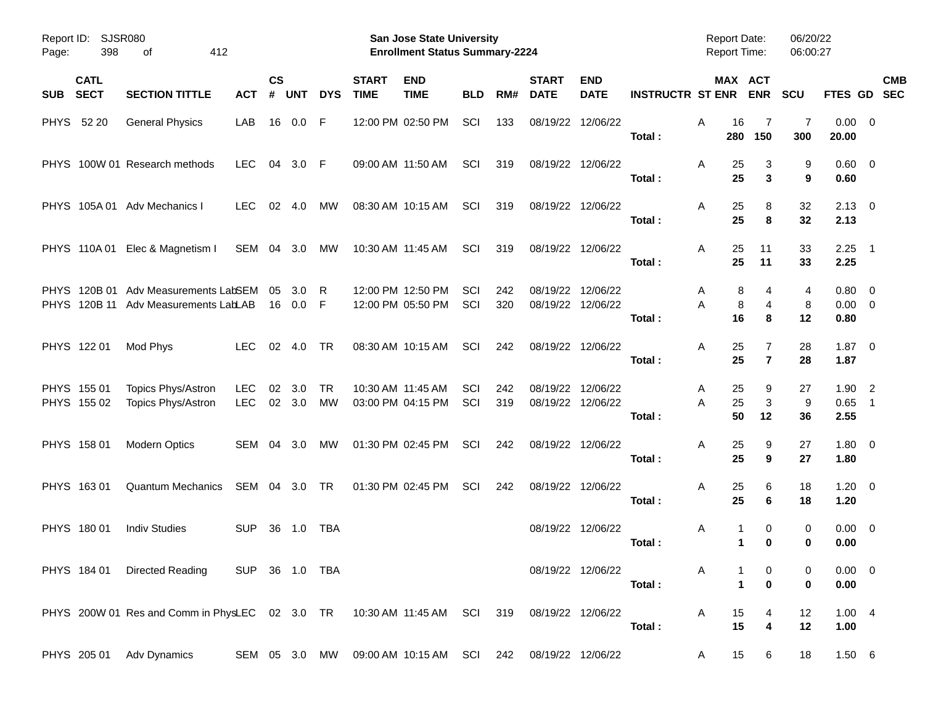| <b>SJSR080</b><br>Report ID:<br>398<br>412<br>Page:<br>οf |                            |                                                                          |                          |                |               |            |                             | <b>San Jose State University</b><br><b>Enrollment Status Summary-2224</b> |            | <b>Report Date:</b><br><b>Report Time:</b> |                             | 06/20/22<br>06:00:27      |                         |                          |                              |                  |                               |                                            |            |
|-----------------------------------------------------------|----------------------------|--------------------------------------------------------------------------|--------------------------|----------------|---------------|------------|-----------------------------|---------------------------------------------------------------------------|------------|--------------------------------------------|-----------------------------|---------------------------|-------------------------|--------------------------|------------------------------|------------------|-------------------------------|--------------------------------------------|------------|
| <b>SUB</b>                                                | <b>CATL</b><br><b>SECT</b> | <b>SECTION TITTLE</b>                                                    | <b>ACT</b>               | <b>CS</b><br># | <b>UNT</b>    | <b>DYS</b> | <b>START</b><br><b>TIME</b> | <b>END</b><br><b>TIME</b>                                                 | <b>BLD</b> | RM#                                        | <b>START</b><br><b>DATE</b> | <b>END</b><br><b>DATE</b> | <b>INSTRUCTR ST ENR</b> | MAX ACT                  | <b>ENR</b>                   | <b>SCU</b>       | FTES GD SEC                   |                                            | <b>CMB</b> |
|                                                           | PHYS 52 20                 | <b>General Physics</b>                                                   | LAB                      | 16             | 0.0           | F          |                             | 12:00 PM 02:50 PM                                                         | SCI        | 133                                        | 08/19/22                    | 12/06/22                  | Total:                  | Α<br>16<br>280           | 7<br>150                     | 7<br>300         | $0.00 \t 0$<br>20.00          |                                            |            |
|                                                           |                            | PHYS 100W 01 Research methods                                            | <b>LEC</b>               | 04             | 3.0 F         |            |                             | 09:00 AM 11:50 AM                                                         | SCI        | 319                                        |                             | 08/19/22 12/06/22         | Total:                  | Α<br>25<br>25            | 3<br>3                       | 9<br>9           | $0.60 \quad 0$<br>0.60        |                                            |            |
|                                                           |                            | PHYS 105A 01 Adv Mechanics I                                             | <b>LEC</b>               | 02             | 4.0           | МW         |                             | 08:30 AM 10:15 AM                                                         | SCI        | 319                                        |                             | 08/19/22 12/06/22         | Total:                  | Α<br>25<br>25            | 8<br>8                       | 32<br>32         | $2.13 \quad 0$<br>2.13        |                                            |            |
|                                                           | PHYS 110A01                | Elec & Magnetism I                                                       | SEM 04 3.0               |                |               | МW         |                             | 10:30 AM 11:45 AM                                                         | SCI        | 319                                        |                             | 08/19/22 12/06/22         | Total:                  | 25<br>Α<br>25            | 11<br>11                     | 33<br>33         | $2.25$ 1<br>2.25              |                                            |            |
|                                                           | PHYS 120B 01               | Adv Measurements LabSEM<br>PHYS 120B 11 Adv Measurements LabLAB          |                          | 05<br>16       | 3.0<br>0.0    | R<br>F     |                             | 12:00 PM 12:50 PM<br>12:00 PM 05:50 PM                                    | SCI<br>SCI | 242<br>320                                 | 08/19/22<br>08/19/22        | 12/06/22<br>12/06/22      | Total:                  | 8<br>A<br>8<br>A<br>16   | 4<br>$\overline{4}$<br>8     | 4<br>8<br>12     | 0.80 0<br>$0.00 \t 0$<br>0.80 |                                            |            |
|                                                           | PHYS 122 01                | Mod Phys                                                                 | <b>LEC</b>               | 02             | 4.0           | TR         |                             | 08:30 AM 10:15 AM                                                         | SCI        | 242                                        |                             | 08/19/22 12/06/22         | Total:                  | 25<br>Α<br>25            | 7<br>$\overline{7}$          | 28<br>28         | $1.87 \ 0$<br>1.87            |                                            |            |
|                                                           | PHYS 155 01<br>PHYS 155 02 | Topics Phys/Astron<br>Topics Phys/Astron                                 | <b>LEC</b><br><b>LEC</b> | 02             | 3.0<br>02 3.0 | TR<br>MW   |                             | 10:30 AM 11:45 AM<br>03:00 PM 04:15 PM                                    | SCI<br>SCI | 242<br>319                                 | 08/19/22<br>08/19/22        | 12/06/22<br>12/06/22      | Total:                  | 25<br>A<br>25<br>A<br>50 | 9<br>3<br>12                 | 27<br>9<br>36    | 1.90<br>0.65<br>2.55          | $\overline{2}$<br>$\overline{\phantom{1}}$ |            |
|                                                           | PHYS 158 01                | <b>Modern Optics</b>                                                     | SEM 04 3.0               |                |               | МW         |                             | 01:30 PM 02:45 PM                                                         | SCI        | 242                                        |                             | 08/19/22 12/06/22         | Total:                  | Α<br>25<br>25            | 9<br>9                       | 27<br>27         | 1.80 0<br>1.80                |                                            |            |
|                                                           | PHYS 163 01                | <b>Quantum Mechanics</b>                                                 | SEM 04 3.0               |                |               | TR         |                             | 01:30 PM 02:45 PM                                                         | SCI        | 242                                        |                             | 08/19/22 12/06/22         | Total:                  | Α<br>25<br>25            | 6<br>6                       | 18<br>18         | $1.20 \t 0$<br>1.20           |                                            |            |
|                                                           | PHYS 180 01                | <b>Indiv Studies</b>                                                     | <b>SUP</b>               | 36             | 1.0           | TBA        |                             |                                                                           |            |                                            |                             | 08/19/22 12/06/22         | Total:                  | Α<br>1<br>1              | 0<br>$\bf{0}$                | 0<br>0           | $0.00 \t 0$<br>0.00           |                                            |            |
|                                                           |                            | PHYS 184 01 Directed Reading                                             | SUP 36 1.0 TBA           |                |               |            |                             |                                                                           |            |                                            |                             | 08/19/22 12/06/22         | Total:                  | A<br>$\mathbf{1}$        | 0<br>$\mathbf 0$             | 0<br>$\mathbf 0$ | $0.00 \t 0$<br>0.00           |                                            |            |
|                                                           |                            | PHYS 200W 01 Res and Comm in PhysLEC 02 3.0 TR 10:30 AM 11:45 AM SCI 319 |                          |                |               |            |                             |                                                                           |            |                                            | 08/19/22 12/06/22           |                           | Total:                  | 15<br>A<br>15            | 4<br>$\overline{\mathbf{4}}$ | 12<br>12         | 1.004<br>1.00                 |                                            |            |
|                                                           | PHYS 205 01                | Adv Dynamics                                                             |                          |                |               |            |                             | SEM 05 3.0 MW 09:00 AM 10:15 AM SCI 242                                   |            |                                            | 08/19/22 12/06/22           |                           |                         | 15<br>A                  | 6                            | 18               | 1.50 6                        |                                            |            |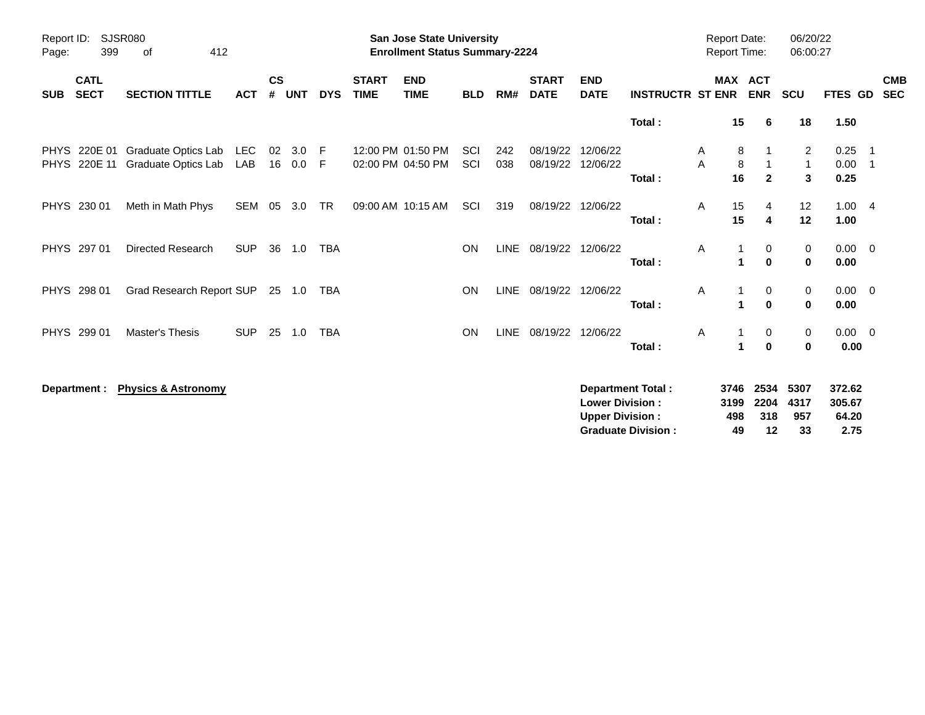| Report ID:<br>Page:        | 399                        | <b>SJSR080</b><br>412<br>0f                |            |                    |               |            |                             | <b>San Jose State University</b><br><b>Enrollment Status Summary-2224</b> |                   |             |                             |                           |                          | <b>Report Date:</b><br><b>Report Time:</b> |              |                              | 06/20/22<br>06:00:27                |                      |                                 |
|----------------------------|----------------------------|--------------------------------------------|------------|--------------------|---------------|------------|-----------------------------|---------------------------------------------------------------------------|-------------------|-------------|-----------------------------|---------------------------|--------------------------|--------------------------------------------|--------------|------------------------------|-------------------------------------|----------------------|---------------------------------|
| <b>SUB</b>                 | <b>CATL</b><br><b>SECT</b> | <b>SECTION TITTLE</b>                      | <b>ACT</b> | $\mathsf{cs}$<br># | <b>UNT</b>    | <b>DYS</b> | <b>START</b><br><b>TIME</b> | <b>END</b><br><b>TIME</b>                                                 | <b>BLD</b>        | RM#         | <b>START</b><br><b>DATE</b> | <b>END</b><br><b>DATE</b> | <b>INSTRUCTR ST ENR</b>  |                                            |              | <b>MAX ACT</b><br><b>ENR</b> | <b>SCU</b>                          | FTES GD              | <b>CMB</b><br><b>SEC</b>        |
|                            |                            |                                            |            |                    |               |            |                             |                                                                           |                   |             |                             |                           | Total:                   |                                            | 15           | 6                            | 18                                  | 1.50                 |                                 |
| <b>PHYS</b><br><b>PHYS</b> | 220E 01<br>220E 11         | Graduate Optics Lab<br>Graduate Optics Lab | LEC<br>LAB | 02                 | 3.0<br>16 0.0 | -F<br>F    |                             | 12:00 PM 01:50 PM<br>02:00 PM 04:50 PM                                    | <b>SCI</b><br>SCI | 242<br>038  | 08/19/22<br>08/19/22        | 12/06/22<br>12/06/22      | Total:                   | A<br>A                                     | 8<br>8<br>16 | $\overline{2}$               | $\overline{2}$<br>$\mathbf{1}$<br>3 | 0.25<br>0.00<br>0.25 | $\overline{\phantom{1}}$<br>- 1 |
|                            | PHYS 230 01                | Meth in Math Phys                          | <b>SEM</b> | 05                 | 3.0           | <b>TR</b>  |                             | 09:00 AM 10:15 AM                                                         | SCI               | 319         | 08/19/22                    | 12/06/22                  | Total:                   | Α                                          | 15<br>15     | 4<br>4                       | 12<br>12                            | 1.004<br>1.00        |                                 |
|                            | PHYS 297 01                | <b>Directed Research</b>                   | <b>SUP</b> | 36                 | 1.0           | <b>TBA</b> |                             |                                                                           | <b>ON</b>         | <b>LINE</b> | 08/19/22                    | 12/06/22                  | Total:                   | A                                          | 1            | 0<br>$\mathbf{0}$            | 0<br>$\mathbf 0$                    | $0.00 \t 0$<br>0.00  |                                 |
|                            | PHYS 298 01                | Grad Research Report SUP                   |            |                    | 25 1.0        | TBA        |                             |                                                                           | <b>ON</b>         |             | LINE 08/19/22               | 12/06/22                  | Total:                   | A                                          | 1            | 0<br>$\mathbf 0$             | 0<br>$\bf{0}$                       | $0.00 \t 0$<br>0.00  |                                 |
|                            | PHYS 299 01                | Master's Thesis                            | <b>SUP</b> | 25                 | 1.0           | <b>TBA</b> |                             |                                                                           | <b>ON</b>         | LINE        | 08/19/22                    | 12/06/22                  | Total:                   | A                                          | 1            | 0<br>$\mathbf 0$             | 0<br>$\bf{0}$                       | $0.00 \t 0$<br>0.00  |                                 |
|                            | Department :               | <b>Physics &amp; Astronomy</b>             |            |                    |               |            |                             |                                                                           |                   |             |                             | <b>Lower Division:</b>    | <b>Department Total:</b> |                                            | 3746<br>3199 | 2534<br>2204                 | 5307<br>4317                        | 372.62<br>305.67     |                                 |

**Upper Division : 498 318 957 64.20 Graduate Division : 49 12 33 2.75**